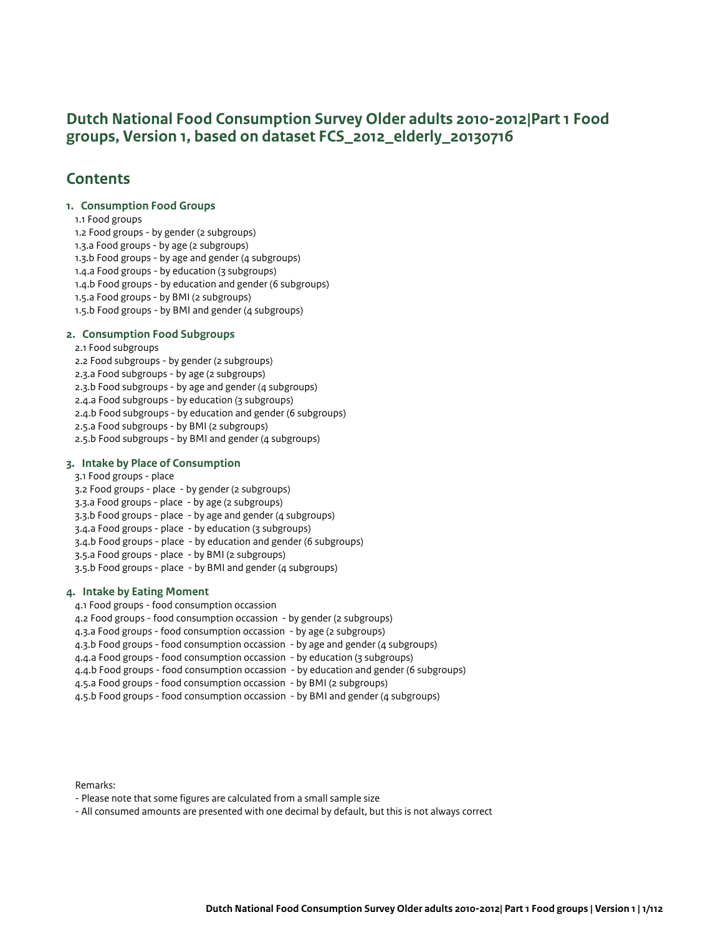# **Dutch National Food Consumption Survey Older adults 2010-2012|Part 1 Food groups, Version 1, based on dataset FCS\_2012\_elderly\_20130716**

# **Contents**

#### **1. Consumption Food Groups**

1.1 Food groups

1.2 Food groups - by gender (2 subgroups)

1.3.a Food groups - by age (2 subgroups)

1.3.b Food groups - by age and gender (4 subgroups)

1.4.a Food groups - by education (3 subgroups)

1.4.b Food groups - by education and gender (6 subgroups)

1.5.a Food groups - by BMI (2 subgroups)

1.5.b Food groups - by BMI and gender (4 subgroups)

#### **2. Consumption Food Subgroups**

#### 2.1 Food subgroups

2.2 Food subgroups - by gender (2 subgroups)

2.3.a Food subgroups - by age (2 subgroups)

2.3.b Food subgroups - by age and gender (4 subgroups)

2.4.a Food subgroups - by education (3 subgroups)

2.4.b Food subgroups - by education and gender (6 subgroups)

 2.5.a Food subgroups - by BMI (2 subgroups) 2.5.b Food subgroups - by BMI and gender (4 subgroups)

#### **3. Intake by Place of Consumption**

3.1 Food groups - place

3.2 Food groups - place - by gender (2 subgroups)

3.3.a Food groups - place - by age (2 subgroups)

3.3.b Food groups - place - by age and gender (4 subgroups)

3.4.a Food groups - place - by education (3 subgroups)

3.4.b Food groups - place - by education and gender (6 subgroups)

3.5.a Food groups - place - by BMI (2 subgroups)

3.5.b Food groups - place - by BMI and gender (4 subgroups)

#### **4. Intake by Eating Moment**

4.1 Food groups - food consumption occassion

 4.2 Food groups - food consumption occassion - by gender (2 subgroups) 4.3.a Food groups - food consumption occassion - by age (2 subgroups) 4.3.b Food groups - food consumption occassion - by age and gender (4 subgroups) 4.4.a Food groups - food consumption occassion - by education (3 subgroups) 4.4.b Food groups - food consumption occassion - by education and gender (6 subgroups) 4.5.a Food groups - food consumption occassion - by BMI (2 subgroups) 4.5.b Food groups - food consumption occassion - by BMI and gender (4 subgroups)

Remarks:

- Please note that some figures are calculated from a small sample size

- All consumed amounts are presented with one decimal by default, but this is not always correct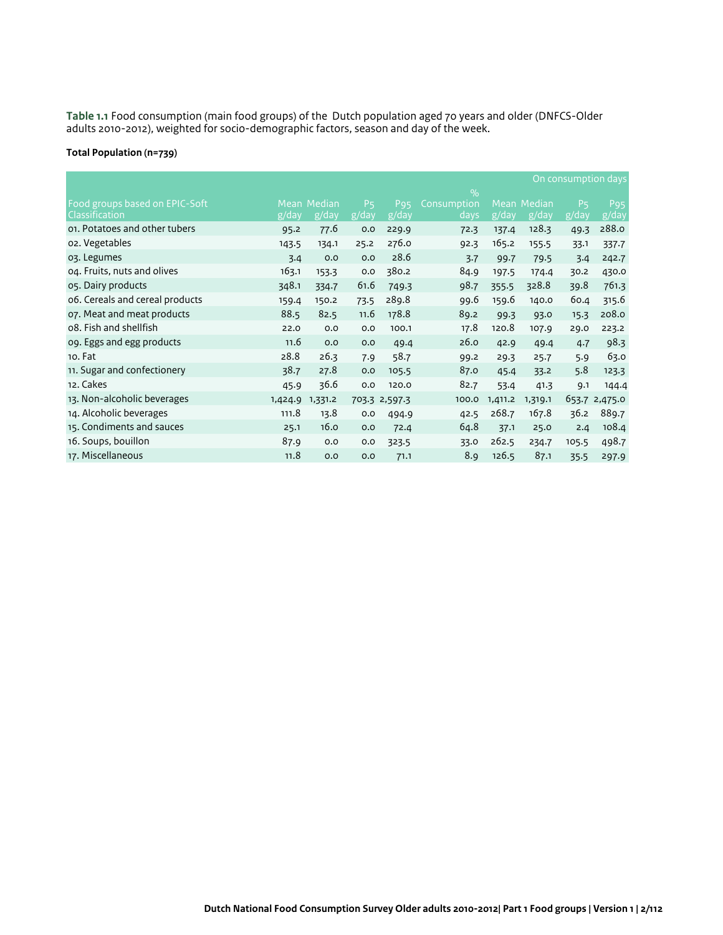**Table 1.1** Food consumption (main food groups) of the Dutch population aged 70 years and older (DNFCS-Older adults 2010-2012), weighted for socio-demographic factors, season and day of the week.

#### **Total Population (n=739)**

|                                 |         |             |                |                 |               |         |         | On consumption days |                 |  |  |  |
|---------------------------------|---------|-------------|----------------|-----------------|---------------|---------|---------|---------------------|-----------------|--|--|--|
|                                 |         |             |                |                 | $\frac{9}{0}$ |         |         |                     |                 |  |  |  |
| Food groups based on EPIC-Soft  |         | Mean Median | P <sub>5</sub> | P <sub>95</sub> | Consumption   | Mean    | Median  | P <sub>5</sub>      | P <sub>95</sub> |  |  |  |
| Classification                  | g/day   | g/day       | g/day          | g/day           | days          | g/day   | g/day   | g/day               | g/day           |  |  |  |
| 01. Potatoes and other tubers   | 95.2    | 77.6        | 0.0            | 229.9           | 72.3          | 137.4   | 128.3   | 49.3                | 288.0           |  |  |  |
| o2. Vegetables                  | 143.5   | 134.1       | 25.2           | 276.0           | 92.3          | 165.2   | 155.5   | 33.1                | 337.7           |  |  |  |
| 03. Legumes                     | 3.4     | 0.0         | 0.0            | 28.6            | 3.7           | 99.7    | 79.5    | 3.4                 | 242.7           |  |  |  |
| 04. Fruits, nuts and olives     | 163.1   | 153.3       | 0.0            | 380.2           | 84.9          | 197.5   | 174.4   | 30.2                | 430.0           |  |  |  |
| 05. Dairy products              | 348.1   | 334.7       | 61.6           | 749.3           | 98.7          | 355.5   | 328.8   | 39.8                | 761.3           |  |  |  |
| 06. Cereals and cereal products | 159.4   | 150.2       | 73.5           | 289.8           | 99.6          | 159.6   | 140.0   | 60.4                | 315.6           |  |  |  |
| 07. Meat and meat products      | 88.5    | 82.5        | 11.6           | 178.8           | 89.2          | 99.3    | 93.0    | 15.3                | 208.0           |  |  |  |
| 08. Fish and shellfish          | 22.0    | 0.0         | 0.0            | 100.1           | 17.8          | 120.8   | 107.9   | 29.0                | 223.2           |  |  |  |
| og. Eggs and egg products       | 11.6    | 0.0         | 0.0            | 49.4            | 26.0          | 42.9    | 49.4    | 4.7                 | 98.3            |  |  |  |
| 10. Fat                         | 28.8    | 26.3        | 7.9            | 58.7            | 99.2          | 29.3    | 25.7    | 5.9                 | 63.0            |  |  |  |
| 11. Sugar and confectionery     | 38.7    | 27.8        | 0.0            | 105.5           | 87.0          | 45.4    | 33.2    | 5.8                 | 123.3           |  |  |  |
| 12. Cakes                       | 45.9    | 36.6        | 0.0            | 120.0           | 82.7          | 53.4    | 41.3    | 9.1                 | 144.4           |  |  |  |
| 13. Non-alcoholic beverages     | 1,424.9 | 1,331.2     |                | 703.3 2,597.3   | 100.0         | 1,411.2 | 1,319.1 | 653.7               | 2,475.0         |  |  |  |
| 14. Alcoholic beverages         | 111.8   | 13.8        | 0.0            | 494.9           | 42.5          | 268.7   | 167.8   | 36.2                | 889.7           |  |  |  |
| 15. Condiments and sauces       | 25.1    | 16.0        | 0.0            | 72.4            | 64.8          | 37.1    | 25.0    | 2.4                 | 108.4           |  |  |  |
| 16. Soups, bouillon             | 87.9    | 0.0         | 0.0            | 323.5           | 33.0          | 262.5   | 234.7   | 105.5               | 498.7           |  |  |  |
| 17. Miscellaneous               | 11.8    | 0.0         | 0.0            | 71.1            | 8.9           | 126.5   | 87.1    | 35.5                | 297.9           |  |  |  |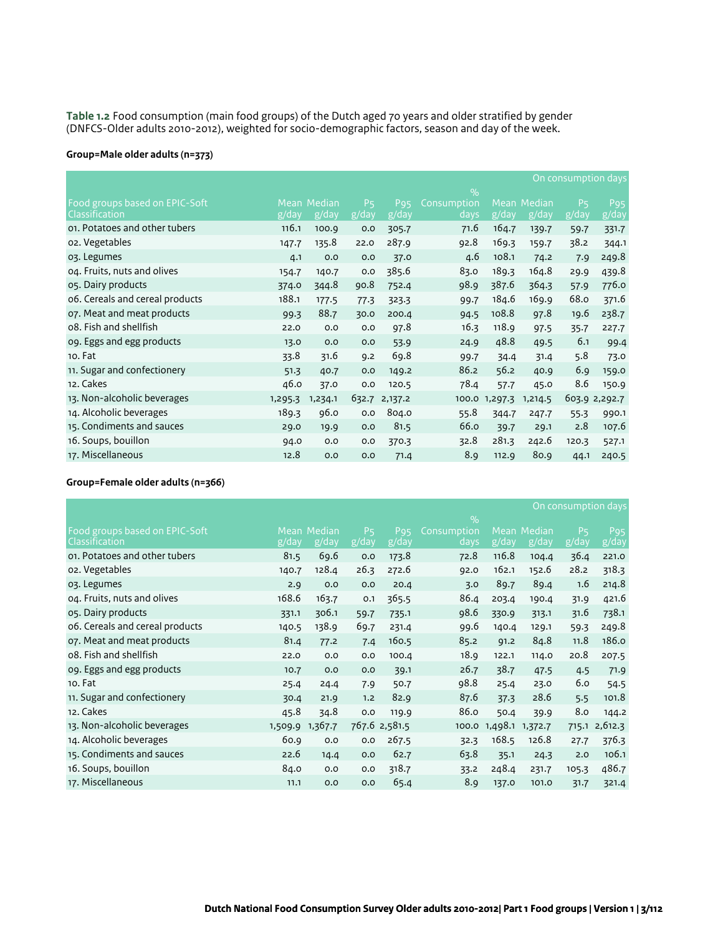**Table 1.2** Food consumption (main food groups) of the Dutch aged 70 years and older stratified by gender (DNFCS-Older adults 2010-2012), weighted for socio-demographic factors, season and day of the week.

### **Group=Male older adults (n=373)**

|                                                         | On consumption days |                      |                         |                          |                     |         |                      |                         |                          |
|---------------------------------------------------------|---------------------|----------------------|-------------------------|--------------------------|---------------------|---------|----------------------|-------------------------|--------------------------|
|                                                         |                     |                      |                         |                          | $\frac{9}{0}$       |         |                      |                         |                          |
| Food groups based on EPIC-Soft<br><b>Classification</b> | g/day               | Mean Median<br>g/day | P <sub>5</sub><br>g/day | P <sub>95</sub><br>g/day | Consumption<br>days | g/day   | Mean Median<br>g/day | P <sub>5</sub><br>g/day | P <sub>95</sub><br>g/day |
| 01. Potatoes and other tubers                           | 116.1               | 100.9                | 0.0                     | 305.7                    | 71.6                | 164.7   | 139.7                | 59.7                    | 331.7                    |
| 02. Vegetables                                          | 147.7               | 135.8                | 22.0                    | 287.9                    | 92.8                | 169.3   | 159.7                | 38.2                    | 344.1                    |
| 03. Legumes                                             | 4.1                 | O.O                  | 0.0                     | 37.0                     | 4.6                 | 108.1   | 74.2                 | 7.9                     | 249.8                    |
| 04. Fruits, nuts and olives                             | 154.7               | 140.7                | 0.0                     | 385.6                    | 83.0                | 189.3   | 164.8                | 29.9                    | 439.8                    |
| 05. Dairy products                                      | 374.0               | 344.8                | 90.8                    | 752.4                    | 98.9                | 387.6   | 364.3                | 57.9                    | 776.0                    |
| o6. Cereals and cereal products                         | 188.1               | 177.5                | 77.3                    | 323.3                    | 99.7                | 184.6   | 169.9                | 68.o                    | 371.6                    |
| 07. Meat and meat products                              | 99.3                | 88.7                 | 30.0                    | 200.4                    | 94.5                | 108.8   | 97.8                 | 19.6                    | 238.7                    |
| o8. Fish and shellfish                                  | 22.0                | O.O                  | 0.0                     | 97.8                     | 16.3                | 118.9   | 97.5                 | 35.7                    | 227.7                    |
| og. Eggs and egg products                               | 13.0                | 0.0                  | 0.0                     | 53.9                     | 24.9                | 48.8    | 49.5                 | 6.1                     | 99.4                     |
| 10. Fat                                                 | 33.8                | 31.6                 | 9.2                     | 69.8                     | 99.7                | 34.4    | 31.4                 | 5.8                     | 73.0                     |
| 11. Sugar and confectionery                             | 51.3                | 40.7                 | 0.0                     | 149.2                    | 86.2                | 56.2    | 40.9                 | 6.9                     | 159.0                    |
| 12. Cakes                                               | 46.0                | 37.0                 | 0.0                     | 120.5                    | 78.4                | 57.7    | 45.0                 | 8.6                     | 150.9                    |
| 13. Non-alcoholic beverages                             | 1,295.3             | 1,234.1              | 632.7                   | 2,137.2                  | 100.0               | 1,297.3 | 1,214.5              | 603.9                   | 2,292.7                  |
| 14. Alcoholic beverages                                 | 189.3               | 96.0                 | 0.0                     | 804.0                    | 55.8                | 344.7   | 247.7                | 55.3                    | 990.1                    |
| 15. Condiments and sauces                               | 29.0                | 19.9                 | 0.0                     | 81.5                     | 66.o                | 39.7    | 29.1                 | 2.8                     | 107.6                    |
| 16. Soups, bouillon                                     | 94.0                | 0.0                  | 0.0                     | 370.3                    | 32.8                | 281.3   | 242.6                | 120.3                   | 527.1                    |
| 17. Miscellaneous                                       | 12.8                | 0.0                  | 0.0                     | 71.4                     | 8.9                 | 112.9   | 80.9                 | 44.1                    | 240.5                    |

|                                                  |         |                      |                         |                          |                             | On consumption days           |                      |                         |                          |  |
|--------------------------------------------------|---------|----------------------|-------------------------|--------------------------|-----------------------------|-------------------------------|----------------------|-------------------------|--------------------------|--|
| Food groups based on EPIC-Soft<br>Classification | g/day   | Mean Median<br>g/day | P <sub>5</sub><br>g/day | P <sub>95</sub><br>g/day | $\%$<br>Consumption<br>days | $\overline{g}/\overline{day}$ | Mean Median<br>g/day | P <sub>5</sub><br>g/day | P <sub>95</sub><br>g/day |  |
| 01. Potatoes and other tubers                    | 81.5    | 69.6                 | 0.0                     | 173.8                    | 72.8                        | 116.8                         | 104.4                | 36.4                    | 221.0                    |  |
| 02. Vegetables                                   | 140.7   | 128.4                | 26.3                    | 272.6                    | 92.0                        | 162.1                         | 152.6                | 28.2                    | 318.3                    |  |
| 03. Legumes                                      | 2.9     | 0.0                  | 0.0                     | 20.4                     | 3.0                         | 89.7                          | 89.4                 | 1.6                     | 214.8                    |  |
| o4. Fruits, nuts and olives                      | 168.6   | 163.7                | 0.1                     | 365.5                    | 86.4                        | 203.4                         | 190.4                | 31.9                    | 421.6                    |  |
| 05. Dairy products                               | 331.1   | 306.1                | 59.7                    | 735.1                    | 98.6                        | 330.9                         | 313.1                | 31.6                    | 738.1                    |  |
| 06. Cereals and cereal products                  | 140.5   | 138.9                | 69.7                    | 231.4                    | 99.6                        | 140.4                         | 129.1                | 59.3                    | 249.8                    |  |
| 07. Meat and meat products                       | 81.4    | 77.2                 | 7.4                     | 160.5                    | 85.2                        | 91.2                          | 84.8                 | 11.8                    | 186.0                    |  |
| 08. Fish and shellfish                           | 22.0    | 0.0                  | 0.0                     | 100.4                    | 18.9                        | 122.1                         | 114.0                | 20.8                    | 207.5                    |  |
| og. Eggs and egg products                        | 10.7    | 0.0                  | 0.0                     | 39.1                     | 26.7                        | 38.7                          | 47.5                 | 4.5                     | 71.9                     |  |
| 10. Fat                                          | 25.4    | 24.4                 | 7.9                     | 50.7                     | 98.8                        | 25.4                          | 23.0                 | 6.0                     | 54.5                     |  |
| 11. Sugar and confectionery                      | 30.4    | 21.9                 | 1.2                     | 82.9                     | 87.6                        | 37.3                          | 28.6                 | 5.5                     | 101.8                    |  |
| 12. Cakes                                        | 45.8    | 34.8                 | 0.0                     | 119.9                    | 86.0                        | 50.4                          | 39.9                 | 8.0                     | 144.2                    |  |
| 13. Non-alcoholic beverages                      | 1,509.9 | 1,367.7              |                         | 767.6 2,581.5            | 100.0                       | 1,498.1                       | 1,372.7              | 715.1                   | 2,612.3                  |  |
| 14. Alcoholic beverages                          | 60.9    | 0.0                  | 0.0                     | 267.5                    | 32.3                        | 168.5                         | 126.8                | 27.7                    | 376.3                    |  |
| 15. Condiments and sauces                        | 22.6    | 14.4                 | 0.0                     | 62.7                     | 63.8                        | 35.1                          | 24.3                 | 2.0                     | 106.1                    |  |
| 16. Soups, bouillon                              | 84.0    | 0.0                  | 0.0                     | 318.7                    | 33.2                        | 248.4                         | 231.7                | 105.3                   | 486.7                    |  |
| 17. Miscellaneous                                | 11.1    | 0.0                  | 0.0                     | 65.4                     | 8.9                         | 137.0                         | 101.0                | 31.7                    | 321.4                    |  |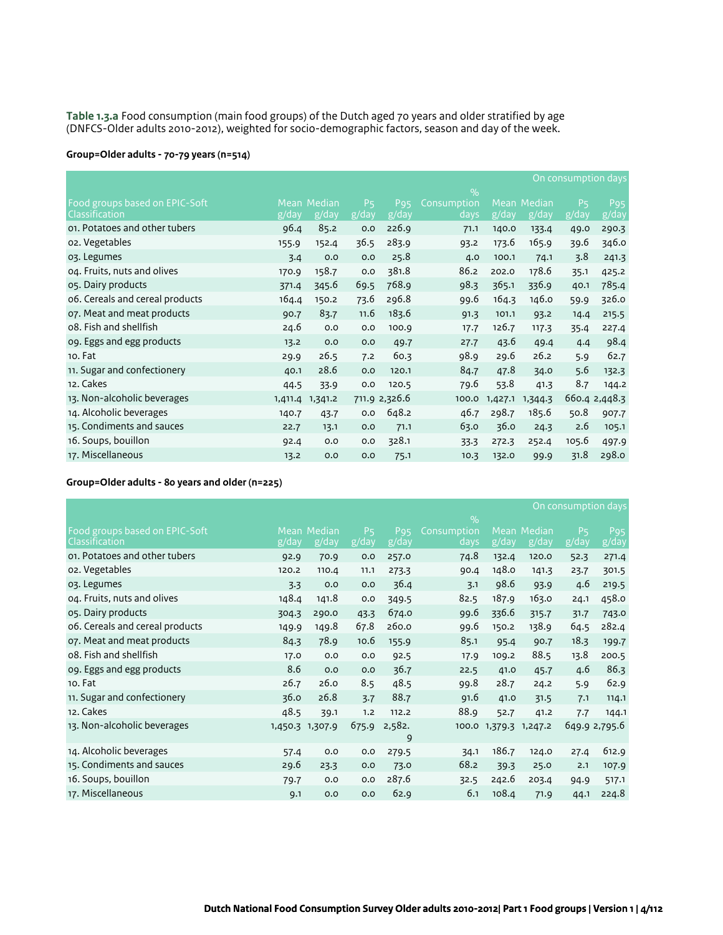**Table 1.3.a** Food consumption (main food groups) of the Dutch aged 70 years and older stratified by age (DNFCS-Older adults 2010-2012), weighted for socio-demographic factors, season and day of the week.

### **Group=Older adults - 70-79 years (n=514)**

|                                                  | On consumption days |                      |                         |                          |                     |         |                      |                               |                          |
|--------------------------------------------------|---------------------|----------------------|-------------------------|--------------------------|---------------------|---------|----------------------|-------------------------------|--------------------------|
|                                                  |                     |                      |                         |                          | $\frac{9}{0}$       |         |                      |                               |                          |
| Food groups based on EPIC-Soft<br>Classification | g/day               | Mean Median<br>g/day | P <sub>5</sub><br>g/day | P <sub>95</sub><br>g/day | Consumption<br>days | g/day   | Mean Median<br>g/day | <b>P<sub>5</sub></b><br>g/day | P <sub>95</sub><br>g/day |
| 01. Potatoes and other tubers                    | 96.4                | 85.2                 | 0.0                     | 226.9                    | 71.1                | 140.0   | 133.4                | 49.0                          | 290.3                    |
| o2. Vegetables                                   | 155.9               | 152.4                | 36.5                    | 283.9                    | 93.2                | 173.6   | 165.9                | 39.6                          | 346.0                    |
| 03. Legumes                                      | 3.4                 | 0.0                  | 0.0                     | 25.8                     | 4.0                 | 100.1   | 74.1                 | 3.8                           | 241.3                    |
| 04. Fruits, nuts and olives                      | 170.9               | 158.7                | 0.0                     | 381.8                    | 86.2                | 202.0   | 178.6                | 35.1                          | 425.2                    |
| 05. Dairy products                               | 371.4               | 345.6                | 69.5                    | 768.9                    | 98.3                | 365.1   | 336.9                | 40.1                          | 785.4                    |
| 06. Cereals and cereal products                  | 164.4               | 150.2                | 73.6                    | 296.8                    | 99.6                | 164.3   | 146.0                | 59.9                          | 326.0                    |
| 07. Meat and meat products                       | 90.7                | 83.7                 | 11.6                    | 183.6                    | 91.3                | 101.1   | 93.2                 | 14.4                          | 215.5                    |
| 08. Fish and shellfish                           | 24.6                | 0.0                  | 0.0                     | 100.9                    | 17.7                | 126.7   | 117.3                | 35.4                          | 227.4                    |
| og. Eggs and egg products                        | 13.2                | 0.0                  | 0.0                     | 49.7                     | 27.7                | 43.6    | 49.4                 | 4.4                           | 98.4                     |
| 10. Fat                                          | 29.9                | 26.5                 | 7.2                     | 60.3                     | 98.9                | 29.6    | 26.2                 | 5.9                           | 62.7                     |
| 11. Sugar and confectionery                      | 40.1                | 28.6                 | 0.0                     | 120.1                    | 84.7                | 47.8    | 34.0                 | 5.6                           | 132.3                    |
| 12. Cakes                                        | 44.5                | 33.9                 | 0.0                     | 120.5                    | 79.6                | 53.8    | 41.3                 | 8.7                           | 144.2                    |
| 13. Non-alcoholic beverages                      | 1,411.4             | 1,341.2              |                         | 711.9 2,326.6            | 100.0               | 1,427.1 | 1,344.3              |                               | 660.4 2,448.3            |
| 14. Alcoholic beverages                          | 140.7               | 43.7                 | 0.0                     | 648.2                    | 46.7                | 298.7   | 185.6                | 50.8                          | 907.7                    |
| 15. Condiments and sauces                        | 22.7                | 13.1                 | 0.0                     | 71.1                     | 63.0                | 36.0    | 24.3                 | 2.6                           | 105.1                    |
| 16. Soups, bouillon                              | 92.4                | 0.0                  | 0.0                     | 328.1                    | 33.3                | 272.3   | 252.4                | 105.6                         | 497.9                    |
| 17. Miscellaneous                                | 13.2                | 0.0                  | 0.0                     | 75.1                     | 10.3                | 132.0   | 99.9                 | 31.8                          | 298.0                    |

|                                                  | On consumption days |                      |                         |                          |                                      |                      |                 |                         |                          |
|--------------------------------------------------|---------------------|----------------------|-------------------------|--------------------------|--------------------------------------|----------------------|-----------------|-------------------------|--------------------------|
| Food groups based on EPIC-Soft<br>Classification | g/day               | Mean Median<br>g/day | P <sub>5</sub><br>g/day | P <sub>95</sub><br>g/day | $\frac{9}{0}$<br>Consumption<br>days | <b>Mean</b><br>g/day | Median<br>g/day | P <sub>5</sub><br>g/day | P <sub>95</sub><br>g/day |
| 01. Potatoes and other tubers                    | 92.9                | 70.9                 | 0.0                     | 257.0                    | 74.8                                 | 132.4                | 120.0           | 52.3                    | 271.4                    |
| 02. Vegetables                                   | 120.2               | 110.4                | 11.1                    | 273.3                    | 90.4                                 | 148.0                | 141.3           | 23.7                    | 301.5                    |
| 03. Legumes                                      | 3.3                 | 0.0                  | 0.0                     | 36.4                     | 3.1                                  | 98.6                 | 93.9            | 4.6                     | 219.5                    |
| 04. Fruits, nuts and olives                      | 148.4               | 141.8                | 0.0                     | 349.5                    | 82.5                                 | 187.9                | 163.0           | 24.1                    | 458.0                    |
| 05. Dairy products                               | 304.3               | 290.0                | 43.3                    | 674.0                    | 99.6                                 | 336.6                | 315.7           | 31.7                    | 743.0                    |
| 06. Cereals and cereal products                  | 149.9               | 149.8                | 67.8                    | 260.0                    | 99.6                                 | 150.2                | 138.9           | 64.5                    | 282.4                    |
| 07. Meat and meat products                       | 84.3                | 78.9                 | 10.6                    | 155.9                    | 85.1                                 | 95.4                 | 90.7            | 18.3                    | 199.7                    |
| 08. Fish and shellfish                           | 17.0                | 0.0                  | 0.0                     | 92.5                     | 17.9                                 | 109.2                | 88.5            | 13.8                    | 200.5                    |
| og. Eggs and egg products                        | 8.6                 | 0.0                  | 0.0                     | 36.7                     | 22.5                                 | 41.0                 | 45.7            | 4.6                     | 86.3                     |
| 10. Fat                                          | 26.7                | 26.0                 | 8.5                     | 48.5                     | 99.8                                 | 28.7                 | 24.2            | 5.9                     | 62.9                     |
| 11. Sugar and confectionery                      | 36.0                | 26.8                 | 3.7                     | 88.7                     | 91.6                                 | 41.0                 | 31.5            | 7.1                     | 114.1                    |
| 12. Cakes                                        | 48.5                | 39.1                 | 1.2                     | 112.2                    | 88.9                                 | 52.7                 | 41.2            | 7.7                     | 144.1                    |
| 13. Non-alcoholic beverages                      |                     | 1,450.3 1,307.9      | 675.9                   | 2,582.<br>9              | 100.0                                | 1,379.3              | 1,247.2         |                         | 649.9 2,795.6            |
| 14. Alcoholic beverages                          | 57.4                | 0.0                  | 0.0                     | 279.5                    | 34.1                                 | 186.7                | 124.0           | 27.4                    | 612.9                    |
| 15. Condiments and sauces                        | 29.6                | 23.3                 | 0.0                     | 73.0                     | 68.2                                 | 39.3                 | 25.0            | 2.1                     | 107.9                    |
| 16. Soups, bouillon                              | 79.7                | 0.0                  | 0.0                     | 287.6                    | 32.5                                 | 242.6                | 203.4           | 94.9                    | 517.1                    |
| 17. Miscellaneous                                | 9.1                 | 0.0                  | 0.0                     | 62.9                     | 6.1                                  | 108.4                | 71.9            | 44.1                    | 224.8                    |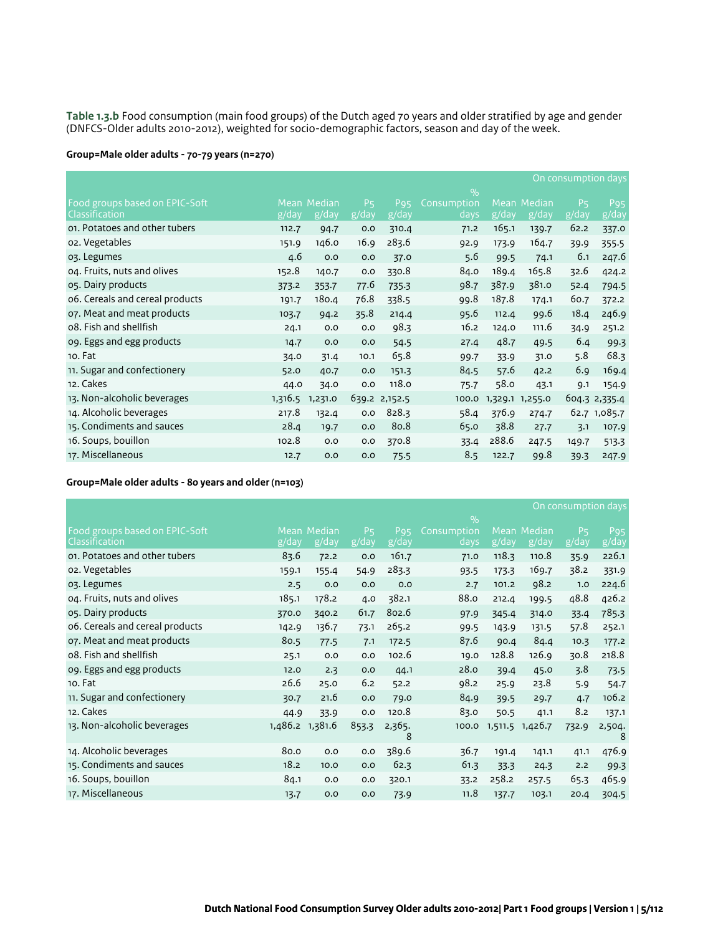**Table 1.3.b** Food consumption (main food groups) of the Dutch aged 70 years and older stratified by age and gender (DNFCS-Older adults 2010-2012), weighted for socio-demographic factors, season and day of the week.

### **Group=Male older adults - 70-79 years (n=270)**

|                                 |         |             |                |                 |               |       |                 |                | On consumption days |
|---------------------------------|---------|-------------|----------------|-----------------|---------------|-------|-----------------|----------------|---------------------|
|                                 |         |             |                |                 | $\frac{9}{0}$ |       |                 |                |                     |
| Food groups based on EPIC-Soft  |         | Mean Median | P <sub>5</sub> | P <sub>95</sub> | Consumption   |       | Mean Median     | P <sub>5</sub> | P <sub>95</sub>     |
| Classification                  | g/day   | g/day       | g/day          | g/day           | days          | g/day | g/day           | g/day          | g/day               |
| 01. Potatoes and other tubers   | 112.7   | 94.7        | 0.0            | 310.4           | 71.2          | 165.1 | 139.7           | 62.2           | 337.0               |
| o2. Vegetables                  | 151.9   | 146.0       | 16.9           | 283.6           | 92.9          | 173.9 | 164.7           | 39.9           | 355.5               |
| 03. Legumes                     | 4.6     | O.O         | 0.0            | 37.0            | 5.6           | 99.5  | 74.1            | 6.1            | 247.6               |
| 04. Fruits, nuts and olives     | 152.8   | 140.7       | 0.0            | 330.8           | 84.0          | 189.4 | 165.8           | 32.6           | 424.2               |
| 05. Dairy products              | 373.2   | 353.7       | 77.6           | 735.3           | 98.7          | 387.9 | 381.0           | 52.4           | 794.5               |
| o6. Cereals and cereal products | 191.7   | 180.4       | 76.8           | 338.5           | 99.8          | 187.8 | 174.1           | 60.7           | 372.2               |
| 07. Meat and meat products      | 103.7   | 94.2        | 35.8           | 214.4           | 95.6          | 112.4 | 99.6            | 18.4           | 246.9               |
| 08. Fish and shellfish          | 24.1    | 0.0         | 0.0            | 98.3            | 16.2          | 124.0 | 111.6           | 34.9           | 251.2               |
| og. Eggs and egg products       | 14.7    | O.O         | 0.0            | 54.5            | 27.4          | 48.7  | 49.5            | 6.4            | 99.3                |
| 10. Fat                         | 34.0    | 31.4        | 10.1           | 65.8            | 99.7          | 33.9  | 31.0            | 5.8            | 68.3                |
| 11. Sugar and confectionery     | 52.0    | 40.7        | 0.0            | 151.3           | 84.5          | 57.6  | 42.2            | 6.9            | 169.4               |
| 12. Cakes                       | 44.0    | 34.0        | 0.0            | 118.0           | 75.7          | 58.0  | 43.1            | 9.1            | 154.9               |
| 13. Non-alcoholic beverages     | 1,316.5 | 1,231.0     |                | 639.2 2,152.5   | 100.0         |       | 1,329.1 1,255.0 |                | 604.3 2,335.4       |
| 14. Alcoholic beverages         | 217.8   | 132.4       | 0.0            | 828.3           | 58.4          | 376.9 | 274.7           |                | 62.7 1,085.7        |
| 15. Condiments and sauces       | 28.4    | 19.7        | 0.0            | 80.8            | 65.0          | 38.8  | 27.7            | 3.1            | 107.9               |
| 16. Soups, bouillon             | 102.8   | 0.0         | 0.0            | 370.8           | 33.4          | 288.6 | 247.5           | 149.7          | 513.3               |
| 17. Miscellaneous               | 12.7    | 0.0         | 0.0            | 75.5            | 8.5           | 122.7 | 99.8            | 39.3           | 247.9               |

|                                                         |       |                      |                                      |                          |                     |               |                 | On consumption days     |              |
|---------------------------------------------------------|-------|----------------------|--------------------------------------|--------------------------|---------------------|---------------|-----------------|-------------------------|--------------|
|                                                         |       |                      |                                      |                          | $\frac{9}{0}$       |               |                 |                         |              |
| Food groups based on EPIC-Soft<br><b>Classification</b> | g/day | Mean Median<br>g/day | P <sub>5</sub><br>$\overline{g}/day$ | P <sub>95</sub><br>g/day | Consumption<br>days | Mean<br>g/day | Median<br>g/day | P <sub>5</sub><br>g/day | P95<br>g/day |
| 01. Potatoes and other tubers                           | 83.6  | 72.2                 | 0.0                                  | 161.7                    | 71.0                | 118.3         | 110.8           | 35.9                    | 226.1        |
| o2. Vegetables                                          | 159.1 | 155.4                | 54.9                                 | 283.3                    | 93.5                | 173.3         | 169.7           | 38.2                    | 331.9        |
| 03. Legumes                                             | 2.5   | O.O                  | 0.0                                  | 0.0                      | 2.7                 | 101.2         | 98.2            | 1.0                     | 224.6        |
| oq. Fruits, nuts and olives                             | 185.1 | 178.2                | 4.0                                  | 382.1                    | 88.o                | 212.4         | 199.5           | 48.8                    | 426.2        |
| 05. Dairy products                                      | 370.0 | 340.2                | 61.7                                 | 802.6                    | 97.9                | 345.4         | 314.0           | 33.4                    | 785.3        |
| 06. Cereals and cereal products                         | 142.9 | 136.7                | 73.1                                 | 265.2                    | 99.5                | 143.9         | 131.5           | 57.8                    | 252.1        |
| 07. Meat and meat products                              | 80.5  | 77.5                 | 7.1                                  | 172.5                    | 87.6                | 90.4          | 84.4            | 10.3                    | 177.2        |
| 08. Fish and shellfish                                  | 25.1  | 0.0                  | 0.0                                  | 102.6                    | 19.0                | 128.8         | 126.9           | 30.8                    | 218.8        |
| og. Eggs and egg products                               | 12.0  | 2.3                  | 0.0                                  | 44.1                     | 28.0                | 39.4          | 45.0            | 3.8                     | 73.5         |
| 10. Fat                                                 | 26.6  | 25.0                 | 6.2                                  | 52.2                     | 98.2                | 25.9          | 23.8            | 5.9                     | 54.7         |
| 11. Sugar and confectionery                             | 30.7  | 21.6                 | 0.0                                  | 79.0                     | 84.9                | 39.5          | 29.7            | 4.7                     | 106.2        |
| 12. Cakes                                               | 44.9  | 33.9                 | 0.0                                  | 120.8                    | 83.0                | 50.5          | 41.1            | 8.2                     | 137.1        |
| 13. Non-alcoholic beverages                             |       | 1,486.2 1,381.6      | 853.3                                | 2,365.<br>8              | 100.0               | 1,511.5       | 1,426.7         | 732.9                   | 2,504.<br>8  |
| 14. Alcoholic beverages                                 | 80.0  | 0.0                  | 0.0                                  | 389.6                    | 36.7                | 191.4         | 141.1           | 41.1                    | 476.9        |
| 15. Condiments and sauces                               | 18.2  | 10.0                 | 0.0                                  | 62.3                     | 61.3                | 33.3          | 24.3            | 2.2                     | 99.3         |
| 16. Soups, bouillon                                     | 84.1  | 0.0                  | 0.0                                  | 320.1                    | 33.2                | 258.2         | 257.5           | 65.3                    | 465.9        |
| 17. Miscellaneous                                       | 13.7  | 0.0                  | 0.0                                  | 73.9                     | 11.8                | 137.7         | 103.1           | 20.4                    | 304.5        |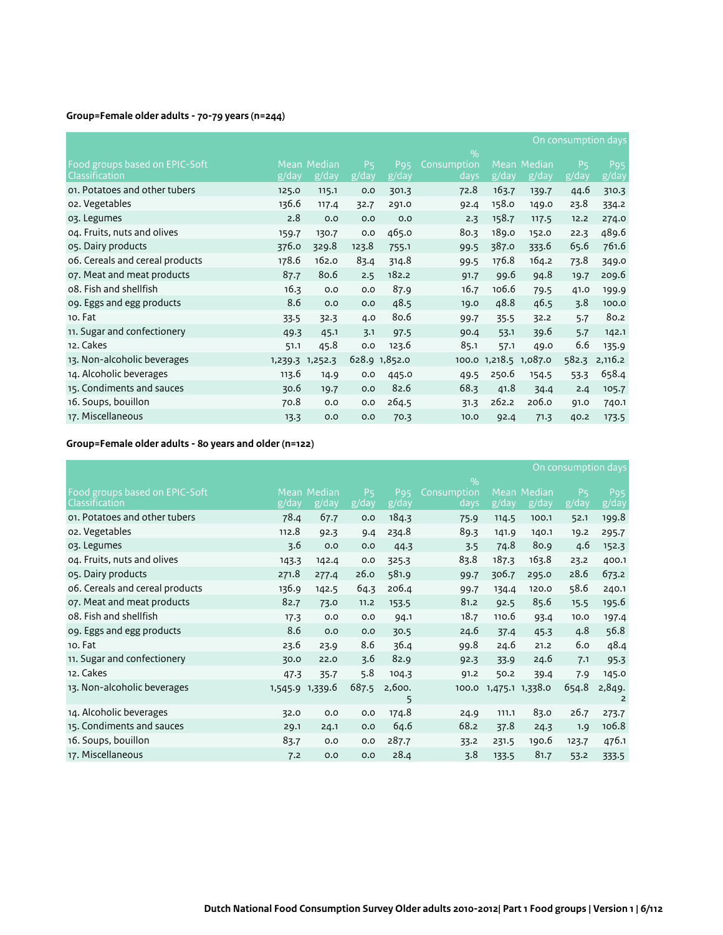# **Group=Female older adults - 70-79 years (n=244)**

|                                                  | On consumption days |                      |                         |                          |                                      |       |                      |                         |                          |
|--------------------------------------------------|---------------------|----------------------|-------------------------|--------------------------|--------------------------------------|-------|----------------------|-------------------------|--------------------------|
| Food groups based on EPIC-Soft<br>Classification | g/day               | Mean Median<br>g/day | P <sub>5</sub><br>g/day | P <sub>95</sub><br>g/day | $\frac{9}{0}$<br>Consumption<br>days | g/day | Mean Median<br>g/day | P <sub>5</sub><br>g/day | P <sub>95</sub><br>g/day |
| 01. Potatoes and other tubers                    | 125.0               | 115.1                | 0.0                     | 301.3                    | 72.8                                 | 163.7 | 139.7                | 44.6                    | 310.3                    |
| o2. Vegetables                                   | 136.6               | 117.4                | 32.7                    | 291.0                    | 92.4                                 | 158.0 | 149.0                | 23.8                    | 334.2                    |
| 03. Legumes                                      | 2.8                 | 0.0                  | O.O                     | 0.0                      | 2.3                                  | 158.7 | 117.5                | 12.2                    | 274.0                    |
| 04. Fruits, nuts and olives                      | 159.7               | 130.7                | 0.0                     | 465.0                    | 80.3                                 | 189.0 | 152.0                | 22.3                    | 489.6                    |
| 05. Dairy products                               | 376.0               | 329.8                | 123.8                   | 755.1                    | 99.5                                 | 387.0 | 333.6                | 65.6                    | 761.6                    |
| 06. Cereals and cereal products                  | 178.6               | 162.0                | 83.4                    | 314.8                    | 99.5                                 | 176.8 | 164.2                | 73.8                    | 349.0                    |
| 07. Meat and meat products                       | 87.7                | 80.6                 | 2.5                     | 182.2                    | 91.7                                 | 99.6  | 94.8                 | 19.7                    | 209.6                    |
| 08. Fish and shellfish                           | 16.3                | O.O                  | 0.0                     | 87.9                     | 16.7                                 | 106.6 | 79.5                 | 41.0                    | 199.9                    |
| og. Eggs and egg products                        | 8.6                 | 0.0                  | 0.0                     | 48.5                     | 19.0                                 | 48.8  | 46.5                 | 3.8                     | 100.0                    |
| 10. Fat                                          | 33.5                | 32.3                 | 4.0                     | 80.6                     | 99.7                                 | 35.5  | 32.2                 | 5.7                     | 80.2                     |
| 11. Sugar and confectionery                      | 49.3                | 45.1                 | 3.1                     | 97.5                     | 90.4                                 | 53.1  | 39.6                 | 5.7                     | 142.1                    |
| 12. Cakes                                        | 51.1                | 45.8                 | 0.0                     | 123.6                    | 85.1                                 | 57.1  | 49.0                 | 6.6                     | 135.9                    |
| 13. Non-alcoholic beverages                      |                     | 1,239.3 1,252.3      |                         | 628.9 1,852.0            | 100.0                                |       | 1,218.5 1,087.0      | 582.3                   | 2,116.2                  |
| 14. Alcoholic beverages                          | 113.6               | 14.9                 | 0.0                     | 445.0                    | 49.5                                 | 250.6 | 154.5                | 53.3                    | 658.4                    |
| 15. Condiments and sauces                        | 30.6                | 19.7                 | O.O                     | 82.6                     | 68.3                                 | 41.8  | 34.4                 | 2.4                     | 105.7                    |
| 16. Soups, bouillon                              | 70.8                | 0.0                  | 0.0                     | 264.5                    | 31.3                                 | 262.2 | 206.0                | 91.0                    | 740.1                    |
| 17. Miscellaneous                                | 13.3                | 0.0                  | 0.0                     | 70.3                     | 10.0                                 | 92.4  | 71.3                 | 40.2                    | 173.5                    |

|                                                         |         |                      |                               |                          |                                      |       |                                              | On consumption days     |                          |
|---------------------------------------------------------|---------|----------------------|-------------------------------|--------------------------|--------------------------------------|-------|----------------------------------------------|-------------------------|--------------------------|
| Food groups based on EPIC-Soft<br><b>Classification</b> | g/day   | Mean Median<br>g/day | <b>P<sub>5</sub></b><br>g/day | P <sub>95</sub><br>g/day | $\frac{9}{0}$<br>Consumption<br>days | g/day | Mean Median<br>$\overline{g}/\overline{day}$ | P <sub>5</sub><br>g/day | P <sub>95</sub><br>g/day |
| 01. Potatoes and other tubers                           | 78.4    | 67.7                 | 0.0                           | 184.3                    | 75.9                                 | 114.5 | 100.1                                        | 52.1                    | 199.8                    |
| 02. Vegetables                                          | 112.8   | 92.3                 | 9.4                           | 234.8                    | 89.3                                 | 141.9 | 140.1                                        | 19.2                    | 295.7                    |
| 03. Legumes                                             | 3.6     | 0.0                  | 0.0                           | 44.3                     | 3.5                                  | 74.8  | 80.9                                         | 4.6                     | 152.3                    |
| 04. Fruits, nuts and olives                             | 143.3   | 142.4                | 0.0                           | 325.3                    | 83.8                                 | 187.3 | 163.8                                        | 23.2                    | 400.1                    |
| 05. Dairy products                                      | 271.8   | 277.4                | 26.0                          | 581.9                    | 99.7                                 | 306.7 | 295.0                                        | 28.6                    | 673.2                    |
| 06. Cereals and cereal products                         | 136.9   | 142.5                | 64.3                          | 206.4                    | 99.7                                 | 134.4 | 120.0                                        | 58.6                    | 240.1                    |
| 07. Meat and meat products                              | 82.7    | 73.0                 | 11.2                          | 153.5                    | 81.2                                 | 92.5  | 85.6                                         | 15.5                    | 195.6                    |
| 08. Fish and shellfish                                  | 17.3    | 0.0                  | 0.0                           | 94.1                     | 18.7                                 | 110.6 | 93.4                                         | 10.0                    | 197.4                    |
| og. Eggs and egg products                               | 8.6     | 0.0                  | 0.0                           | 30.5                     | 24.6                                 | 37.4  | 45.3                                         | 4.8                     | 56.8                     |
| 10. Fat                                                 | 23.6    | 23.9                 | 8.6                           | 36.4                     | 99.8                                 | 24.6  | 21.2                                         | 6.0                     | 48.4                     |
| 11. Sugar and confectionery                             | 30.0    | 22.0                 | 3.6                           | 82.9                     | 92.3                                 | 33.9  | 24.6                                         | 7.1                     | 95.3                     |
| 12. Cakes                                               | 47.3    | $35 - 7$             | 5.8                           | 104.3                    | 91.2                                 | 50.2  | 39.4                                         | 7.9                     | 145.0                    |
| 13. Non-alcoholic beverages                             | 1,545.9 | 1,339.6              | 687.5                         | 2,600.<br>5              | 100.0                                |       | 1,475.1 1,338.0                              | 654.8                   | 2,849.<br>2              |
| 14. Alcoholic beverages                                 | 32.0    | 0.0                  | 0.0                           | 174.8                    | 24.9                                 | 111.1 | 83.0                                         | 26.7                    | 273.7                    |
| 15. Condiments and sauces                               | 29.1    | 24.1                 | 0.0                           | 64.6                     | 68.2                                 | 37.8  | 24.3                                         | 1.9                     | 106.8                    |
| 16. Soups, bouillon                                     | 83.7    | 0.0                  | 0.0                           | 287.7                    | 33.2                                 | 231.5 | 190.6                                        | 123.7                   | 476.1                    |
| 17. Miscellaneous                                       | 7.2     | 0.0                  | 0.0                           | 28.4                     | 3.8                                  | 133.5 | 81.7                                         | 53.2                    | 333.5                    |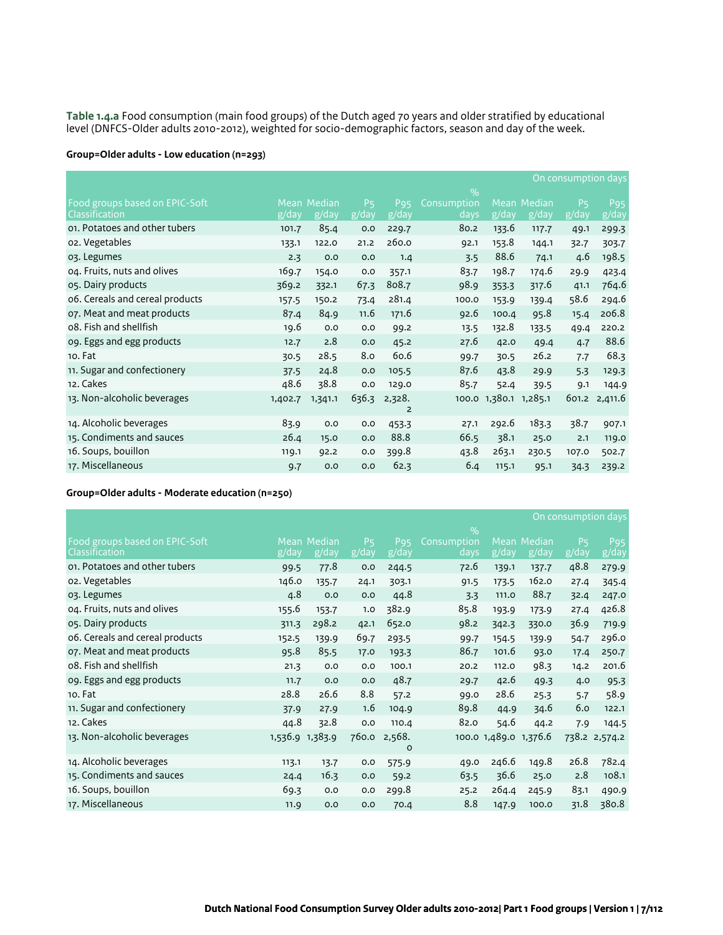**Table 1.4.a** Food consumption (main food groups) of the Dutch aged 70 years and older stratified by educational level (DNFCS-Older adults 2010-2012), weighted for socio-demographic factors, season and day of the week.

### **Group=Older adults - Low education (n=293)**

|                                                  | On consumption days |                      |                         |                          |                             |                 |                      |                               |              |
|--------------------------------------------------|---------------------|----------------------|-------------------------|--------------------------|-----------------------------|-----------------|----------------------|-------------------------------|--------------|
| Food groups based on EPIC-Soft<br>Classification | g/day               | Mean Median<br>g/day | P <sub>5</sub><br>g/day | P <sub>95</sub><br>g/day | $\%$<br>Consumption<br>days | g/day           | Mean Median<br>g/day | <b>P<sub>5</sub></b><br>g/day | P95<br>g/day |
| 01. Potatoes and other tubers                    | 101.7               | 85.4                 | 0.0                     | 229.7                    | 80.2                        | 133.6           | 117.7                | 49.1                          | 299.3        |
| 02. Vegetables                                   | 133.1               | 122.0                | 21.2                    | 260.0                    | 92.1                        | 153.8           | 144.1                | 32.7                          | 303.7        |
| 03. Legumes                                      | 2.3                 | 0.0                  | 0.0                     | 1.4                      | 3.5                         | 88.6            | 74.1                 | 4.6                           | 198.5        |
| 04. Fruits, nuts and olives                      | 169.7               | 154.0                | 0.0                     | 357.1                    | 83.7                        | 198.7           | 174.6                | 29.9                          | 423.4        |
| 05. Dairy products                               | 369.2               | 332.1                | 67.3                    | 808.7                    | 98.9                        | 353.3           | 317.6                | 41.1                          | 764.6        |
| 06. Cereals and cereal products                  | 157.5               | 150.2                | 73.4                    | 281.4                    | 100.0                       | 153.9           | 139.4                | 58.6                          | 294.6        |
| 07. Meat and meat products                       | 87.4                | 84.9                 | 11.6                    | 171.6                    | 92.6                        | 100.4           | 95.8                 | 15.4                          | 206.8        |
| 08. Fish and shellfish                           | 19.6                | 0.0                  | 0.0                     | 99.2                     | 13.5                        | 132.8           | 133.5                | 49.4                          | 220.2        |
| og. Eggs and egg products                        | 12.7                | 2.8                  | 0.0                     | 45.2                     | 27.6                        | 42.0            | 49.4                 | 4.7                           | 88.6         |
| 10. Fat                                          | 30.5                | 28.5                 | 8.0                     | 60.6                     | 99.7                        | 30.5            | 26.2                 | 7.7                           | 68.3         |
| 11. Sugar and confectionery                      | 37.5                | 24.8                 | 0.0                     | 105.5                    | 87.6                        | 43.8            | 29.9                 | 5.3                           | 129.3        |
| 12. Cakes                                        | 48.6                | 38.8                 | 0.0                     | 129.0                    | 85.7                        | 52.4            | 39.5                 | 9.1                           | 144.9        |
| 13. Non-alcoholic beverages                      | 1,402.7             | 1,341.1              | 636.3                   | 2,328.<br>2              | 100.0                       | 1,380.1 1,285.1 |                      | 601.2                         | 2,411.6      |
| 14. Alcoholic beverages                          | 83.9                | 0.0                  | 0.0                     | 453.3                    | 27.1                        | 292.6           | 183.3                | 38.7                          | 907.1        |
| 15. Condiments and sauces                        | 26.4                | 15.0                 | 0.0                     | 88.8                     | 66.5                        | 38.1            | 25.0                 | 2.1                           | 119.0        |
| 16. Soups, bouillon                              | 119.1               | 92.2                 | 0.0                     | 399.8                    | 43.8                        | 263.1           | 230.5                | 107.0                         | 502.7        |
| 17. Miscellaneous                                | 9.7                 | 0.0                  | 0.0                     | 62.3                     | 6.4                         | 115.1           | 95.1                 | 34.3                          | 239.2        |

### **Group=Older adults - Moderate education (n=250)**

|                                                  |         |             |                |                   |             |                       |        |                | On consumption days |
|--------------------------------------------------|---------|-------------|----------------|-------------------|-------------|-----------------------|--------|----------------|---------------------|
|                                                  |         |             |                |                   | $\%$        |                       |        |                |                     |
| Food groups based on EPIC-Soft<br>Classification |         | Mean Median | P <sub>5</sub> | P <sub>95</sub>   | Consumption | Mean                  | Median | P <sub>5</sub> | P <sub>95</sub>     |
|                                                  | g/day   | g/day       | g/day          | g/day             | days        | g/day                 | g/day  | g/day          | g/day               |
| 01. Potatoes and other tubers                    | 99.5    | 77.8        | 0.0            | 244.5             | 72.6        | 139.1                 | 137.7  | 48.8           | 279.9               |
| o2. Vegetables                                   | 146.0   | 135.7       | 24.1           | 303.1             | 91.5        | 173.5                 | 162.0  | 27.4           | 345.4               |
| 03. Legumes                                      | 4.8     | 0.0         | 0.0            | 44.8              | 3.3         | 111.0                 | 88.7   | 32.4           | 247.0               |
| 04. Fruits, nuts and olives                      | 155.6   | 153.7       | 1.0            | 382.9             | 85.8        | 193.9                 | 173.9  | 27.4           | 426.8               |
| 05. Dairy products                               | 311.3   | 298.2       | 42.1           | 652.0             | 98.2        | 342.3                 | 330.0  | 36.9           | 719.9               |
| o6. Cereals and cereal products                  | 152.5   | 139.9       | 69.7           | 293.5             | 99.7        | 154.5                 | 139.9  | 54.7           | 296.0               |
| 07. Meat and meat products                       | 95.8    | 85.5        | 17.0           | 193.3             | 86.7        | 101.6                 | 93.0   | 17.4           | 250.7               |
| 08. Fish and shellfish                           | 21.3    | 0.0         | 0.0            | 100.1             | 20.2        | 112.0                 | 98.3   | 14.2           | 201.6               |
| og. Eggs and egg products                        | 11.7    | 0.0         | 0.0            | 48.7              | 29.7        | 42.6                  | 49.3   | 4.0            | 95.3                |
| 10. Fat                                          | 28.8    | 26.6        | 8.8            | 57.2              | 99.0        | 28.6                  | 25.3   | 5.7            | 58.9                |
| 11. Sugar and confectionery                      | 37.9    | 27.9        | 1.6            | 104.9             | 89.8        | 44.9                  | 34.6   | 6.0            | 122.1               |
| 12. Cakes                                        | 44.8    | 32.8        | 0.0            | 110.4             | 82.0        | 54.6                  | 44.2   | 7.9            | 144.5               |
| 13. Non-alcoholic beverages                      | 1,536.9 | 1,383.9     |                | 760.0 2,568.<br>O |             | 100.0 1,489.0 1,376.6 |        |                | 738.2 2,574.2       |
| 14. Alcoholic beverages                          | 113.1   | 13.7        | 0.0            | 575.9             | 49.0        | 246.6                 | 149.8  | 26.8           | 782.4               |
| 15. Condiments and sauces                        | 24.4    | 16.3        | 0.0            | 59.2              | 63.5        | 36.6                  | 25.0   | 2.8            | 108.1               |
| 16. Soups, bouillon                              | 69.3    | 0.0         | 0.0            | 299.8             | 25.2        | 264.4                 | 245.9  | 83.1           | 490.9               |
| 17. Miscellaneous                                | 11.9    | 0.0         | 0.0            | 70.4              | 8.8         | 147.9                 | 100.0  | 31.8           | 380.8               |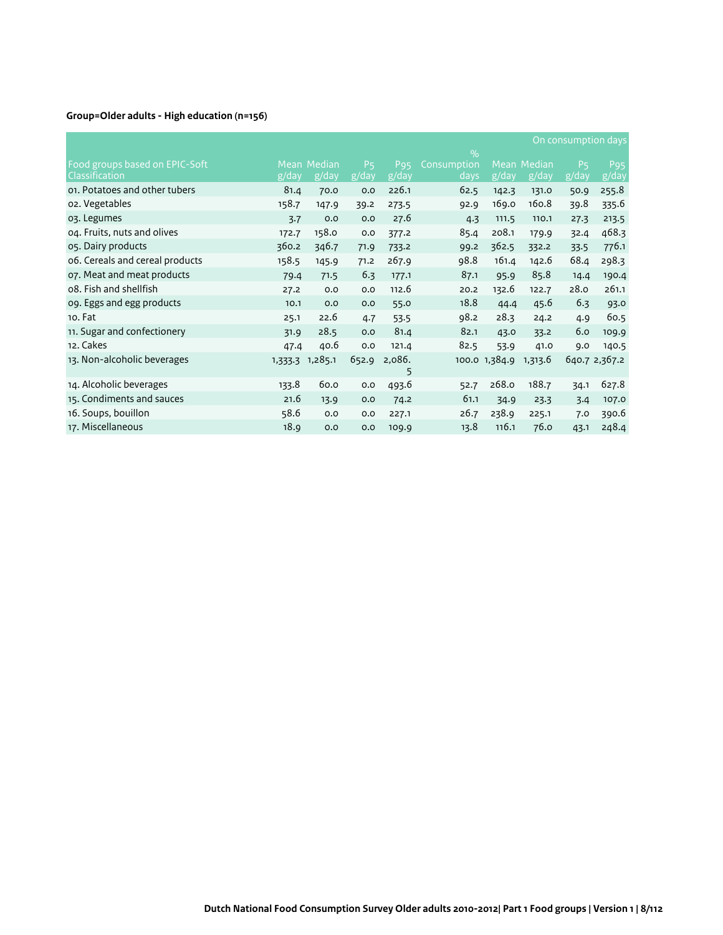# **Group=Older adults - High education (n=156)**

|                                                  |         |                      |                         |                          |                                      |               |                      |                               | On consumption days      |
|--------------------------------------------------|---------|----------------------|-------------------------|--------------------------|--------------------------------------|---------------|----------------------|-------------------------------|--------------------------|
| Food groups based on EPIC-Soft<br>Classification | g/day   | Mean Median<br>g/day | P <sub>5</sub><br>g/day | P <sub>95</sub><br>g/day | $\frac{9}{0}$<br>Consumption<br>days | g/day         | Mean Median<br>g/day | <b>P<sub>5</sub></b><br>g/day | P <sub>95</sub><br>g/day |
| 01. Potatoes and other tubers                    | 81.4    | 70.0                 | 0.0                     | 226.1                    | 62.5                                 | 142.3         | 131.0                | 50.9                          | 255.8                    |
| o2. Vegetables                                   | 158.7   | 147.9                | 39.2                    | 273.5                    | 92.9                                 | 169.0         | 160.8                | 39.8                          | 335.6                    |
| 03. Legumes                                      | 3.7     | O.O                  | 0.0                     | 27.6                     | 4.3                                  | 111.5         | 110.1                | 27.3                          | 213.5                    |
| 04. Fruits, nuts and olives                      | 172.7   | 158.0                | 0.0                     | 377.2                    | 85.4                                 | 208.1         | 179.9                | 32.4                          | 468.3                    |
| 05. Dairy products                               | 360.2   | 346.7                | 71.9                    | 733.2                    | 99.2                                 | 362.5         | 332.2                | 33.5                          | 776.1                    |
| 06. Cereals and cereal products                  | 158.5   | 145.9                | 71.2                    | 267.9                    | 98.8                                 | 161.4         | 142.6                | 68.4                          | 298.3                    |
| 07. Meat and meat products                       | 79.4    | 71.5                 | 6.3                     | 177.1                    | 87.1                                 | 95.9          | 85.8                 | 14.4                          | 190.4                    |
| 08. Fish and shellfish                           | 27.2    | 0.0                  | 0.0                     | 112.6                    | 20.2                                 | 132.6         | 122.7                | 28.0                          | 261.1                    |
| og. Eggs and egg products                        | 10.1    | 0.0                  | 0.0                     | 55.0                     | 18.8                                 | 44.4          | 45.6                 | 6.3                           | 93.0                     |
| 10. Fat                                          | 25.1    | 22.6                 | 4.7                     | 53.5                     | 98.2                                 | 28.3          | 24.2                 | 4.9                           | 60.5                     |
| 11. Sugar and confectionery                      | 31.9    | 28.5                 | 0.0                     | 81.4                     | 82.1                                 | 43.0          | 33.2                 | 6.0                           | 109.9                    |
| 12. Cakes                                        | 47.4    | 40.6                 | 0.0                     | 121.4                    | 82.5                                 | 53.9          | 41.0                 | 9.0                           | 140.5                    |
| 13. Non-alcoholic beverages                      | 1,333.3 | 1,285.1              | 652.9                   | 2,086.<br>5              |                                      | 100.0 1,384.9 | 1,313.6              |                               | 640.7 2,367.2            |
| 14. Alcoholic beverages                          | 133.8   | 60.0                 | 0.0                     | 493.6                    | 52.7                                 | 268.0         | 188.7                | 34.1                          | 627.8                    |
| 15. Condiments and sauces                        | 21.6    | 13.9                 | 0.0                     | 74.2                     | 61.1                                 | 34.9          | 23.3                 | 3.4                           | 107.0                    |
| 16. Soups, bouillon                              | 58.6    | 0.0                  | 0.0                     | 227.1                    | 26.7                                 | 238.9         | 225.1                | 7.0                           | 390.6                    |
| 17. Miscellaneous                                | 18.9    | 0.0                  | 0.0                     | 109.9                    | 13.8                                 | 116.1         | 76.0                 | 43.1                          | 248.4                    |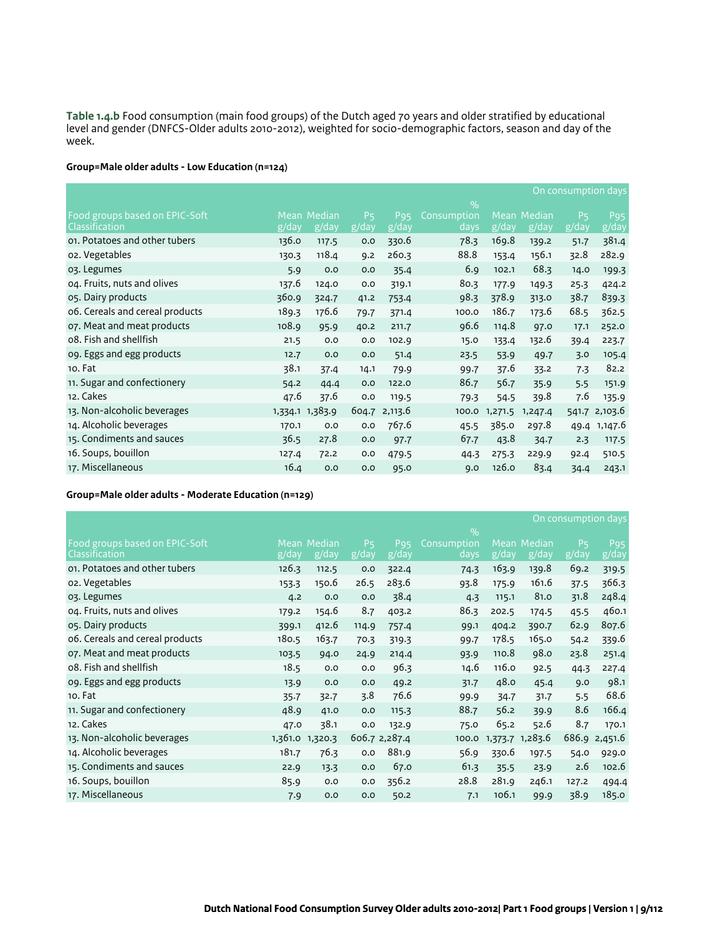**Table 1.4.b** Food consumption (main food groups) of the Dutch aged 70 years and older stratified by educational level and gender (DNFCS-Older adults 2010-2012), weighted for socio-demographic factors, season and day of the week.

#### **Group=Male older adults - Low Education (n=124)**

|                                 | On consumption days |             |                |                 |               |             |         |                      |                 |
|---------------------------------|---------------------|-------------|----------------|-----------------|---------------|-------------|---------|----------------------|-----------------|
|                                 |                     |             |                |                 | $\frac{9}{0}$ |             |         |                      |                 |
| Food groups based on EPIC-Soft  |                     | Mean Median | P <sub>5</sub> | P <sub>95</sub> | Consumption   | <b>Mean</b> | Median  | <b>P<sub>5</sub></b> | P <sub>95</sub> |
| Classification                  | g/day               | g/day       | g/day          | g/day           | days          | g/day       | g/day   | g/day                | g/day           |
| 01. Potatoes and other tubers   | 136.0               | 117.5       | 0.0            | 330.6           | 78.3          | 169.8       | 139.2   | 51.7                 | 381.4           |
| 02. Vegetables                  | 130.3               | 118.4       | 9.2            | 260.3           | 88.8          | 153.4       | 156.1   | 32.8                 | 282.9           |
| 03. Legumes                     | 5.9                 | 0.0         | 0.0            | 35.4            | 6.9           | 102.1       | 68.3    | 14.0                 | 199.3           |
| 04. Fruits, nuts and olives     | 137.6               | 124.0       | 0.0            | 319.1           | 80.3          | 177.9       | 149.3   | 25.3                 | 424.2           |
| 05. Dairy products              | 360.9               | 324.7       | 41.2           | 753.4           | 98.3          | 378.9       | 313.0   | 38.7                 | 839.3           |
| 06. Cereals and cereal products | 189.3               | 176.6       | 79.7           | 371.4           | 100.0         | 186.7       | 173.6   | 68.5                 | 362.5           |
| 07. Meat and meat products      | 108.9               | 95.9        | 40.2           | 211.7           | 96.6          | 114.8       | 97.0    | 17.1                 | 252.0           |
| 08. Fish and shellfish          | 21.5                | 0.0         | 0.0            | 102.9           | 15.0          | 133.4       | 132.6   | 39.4                 | 223.7           |
| og. Eggs and egg products       | 12.7                | 0.0         | 0.0            | 51.4            | 23.5          | 53.9        | 49.7    | 3.0                  | 105.4           |
| 10. Fat                         | 38.1                | 37.4        | 14.1           | 79.9            | 99.7          | 37.6        | 33.2    | 7.3                  | 82.2            |
| 11. Sugar and confectionery     | 54.2                | 44.4        | 0.0            | 122.0           | 86.7          | 56.7        | 35.9    | 5.5                  | 151.9           |
| 12. Cakes                       | 47.6                | 37.6        | 0.0            | 119.5           | 79.3          | 54.5        | 39.8    | 7.6                  | 135.9           |
| 13. Non-alcoholic beverages     | 1,334.1             | 1,383.9     | 604.7          | 2,113.6         | 100.0         | 1,271.5     | 1,247.4 | 541.7                | 2,103.6         |
| 14. Alcoholic beverages         | 170.1               | 0.0         | 0.0            | 767.6           | 45.5          | 385.0       | 297.8   | 49.4                 | 1,147.6         |
| 15. Condiments and sauces       | 36.5                | 27.8        | 0.0            | 97.7            | 67.7          | 43.8        | 34.7    | 2.3                  | 117.5           |
| 16. Soups, bouillon             | 127.4               | 72.2        | 0.0            | 479.5           | 44.3          | 275.3       | 229.9   | 92.4                 | 510.5           |
| 17. Miscellaneous               | 16.4                | 0.0         | 0.0            | 95.0            | 9.0           | 126.0       | 83.4    | 34.4                 | 243.1           |

#### **Group=Male older adults - Moderate Education (n=129)**

|                                                  | On consumption days |                      |                         |                          |                             |         |                      |                         |                                      |
|--------------------------------------------------|---------------------|----------------------|-------------------------|--------------------------|-----------------------------|---------|----------------------|-------------------------|--------------------------------------|
| Food groups based on EPIC-Soft<br>Classification | g/day               | Mean Median<br>g/day | P <sub>5</sub><br>g/day | P <sub>95</sub><br>g/day | $\%$<br>Consumption<br>days | g/day   | Mean Median<br>g/day | P <sub>5</sub><br>g/day | P95<br>$\overline{g}/\overline{day}$ |
| 01. Potatoes and other tubers                    | 126.3               | 112.5                | 0.0                     | 322.4                    | 74.3                        | 163.9   | 139.8                | 69.2                    | 319.5                                |
| o2. Vegetables                                   | 153.3               | 150.6                | 26.5                    | 283.6                    | 93.8                        | 175.9   | 161.6                | 37.5                    | 366.3                                |
| 03. Legumes                                      | 4.2                 | 0.0                  | 0.0                     | 38.4                     | 4.3                         | 115.1   | 81.0                 | 31.8                    | 248.4                                |
| 04. Fruits, nuts and olives                      | 179.2               | 154.6                | 8.7                     | 403.2                    | 86.3                        | 202.5   | 174.5                | 45.5                    | 460.1                                |
| 05. Dairy products                               | 399.1               | 412.6                | 114.9                   | 757.4                    | 99.1                        | 404.2   | 390.7                | 62.9                    | 807.6                                |
| 06. Cereals and cereal products                  | 180.5               | 163.7                | 70.3                    | 319.3                    | 99.7                        | 178.5   | 165.0                | 54.2                    | 339.6                                |
| 07. Meat and meat products                       | 103.5               | 94.0                 | 24.9                    | 214.4                    | 93.9                        | 110.8   | 98.0                 | 23.8                    | 251.4                                |
| 08. Fish and shellfish                           | 18.5                | 0.0                  | 0.0                     | 96.3                     | 14.6                        | 116.0   | 92.5                 | 44.3                    | 227.4                                |
| og. Eggs and egg products                        | 13.9                | 0.0                  | 0.0                     | 49.2                     | 31.7                        | 48.0    | 45.4                 | 9.0                     | 98.1                                 |
| 10. Fat                                          | 35.7                | 32.7                 | 3.8                     | 76.6                     | 99.9                        | 34.7    | 31.7                 | 5.5                     | 68.6                                 |
| 11. Sugar and confectionery                      | 48.9                | 41.0                 | 0.0                     | 115.3                    | 88.7                        | 56.2    | 39.9                 | 8.6                     | 166.4                                |
| 12. Cakes                                        | 47.0                | 38.1                 | 0.0                     | 132.9                    | 75.0                        | 65.2    | 52.6                 | 8.7                     | 170.1                                |
| 13. Non-alcoholic beverages                      | 1,361.0             | 1,320.3              |                         | 606.7 2,287.4            | 100.0                       | 1,373.7 | 1,283.6              | 686.9                   | 2,451.6                              |
| 14. Alcoholic beverages                          | 181.7               | 76.3                 | 0.0                     | 881.9                    | 56.9                        | 330.6   | 197.5                | 54.0                    | 929.0                                |
| 15. Condiments and sauces                        | 22.9                | 13.3                 | 0.0                     | 67.0                     | 61.3                        | 35.5    | 23.9                 | 2.6                     | 102.6                                |
| 16. Soups, bouillon                              | 85.9                | 0.0                  | 0.0                     | 356.2                    | 28.8                        | 281.9   | 246.1                | 127.2                   | 494.4                                |
| 17. Miscellaneous                                | 7.9                 | 0.0                  | 0.0                     | 50.2                     | 7.1                         | 106.1   | 99.9                 | 38.9                    | 185.0                                |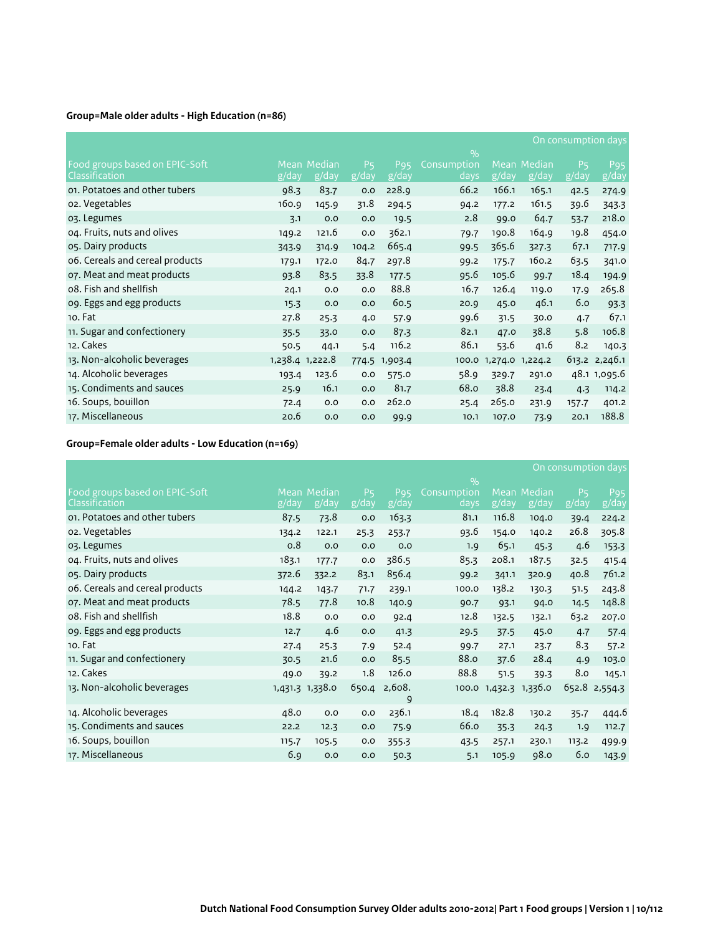# **Group=Male older adults - High Education (n=86)**

|                                                  | On consumption days |                      |                         |                          |                     |               |                 |                               |                          |
|--------------------------------------------------|---------------------|----------------------|-------------------------|--------------------------|---------------------|---------------|-----------------|-------------------------------|--------------------------|
|                                                  |                     |                      |                         |                          | $\frac{9}{0}$       |               |                 |                               |                          |
| Food groups based on EPIC-Soft<br>Classification | g/day               | Mean Median<br>g/day | P <sub>5</sub><br>g/day | P <sub>95</sub><br>g/day | Consumption<br>days | Mean<br>g/day | Median<br>g/day | <b>P<sub>5</sub></b><br>g/day | P <sub>95</sub><br>g/day |
| 01. Potatoes and other tubers                    | 98.3                | 83.7                 | 0.0                     | 228.9                    | 66.2                | 166.1         | 165.1           | 42.5                          | 274.9                    |
| o2. Vegetables                                   | 160.9               | 145.9                | 31.8                    | 294.5                    | 94.2                | 177.2         | 161.5           | 39.6                          | 343.3                    |
| 03. Legumes                                      | 3.1                 | O.O                  | 0.0                     | 19.5                     | 2.8                 | 99.0          | 64.7            | 53.7                          | 218.0                    |
| 04. Fruits, nuts and olives                      | 149.2               | 121.6                | 0.0                     | 362.1                    | 79.7                | 190.8         | 164.9           | 19.8                          | 454.0                    |
| 05. Dairy products                               | 343.9               | 314.9                | 104.2                   | 665.4                    | 99.5                | 365.6         | 327.3           | 67.1                          | 717.9                    |
| 06. Cereals and cereal products                  | 179.1               | 172.0                | 84.7                    | 297.8                    | 99.2                | 175.7         | 160.2           | 63.5                          | 341.0                    |
| 07. Meat and meat products                       | 93.8                | 83.5                 | 33.8                    | 177.5                    | 95.6                | 105.6         | 99.7            | 18.4                          | 194.9                    |
| 08. Fish and shellfish                           | 24.1                | 0.0                  | 0.0                     | 88.8                     | 16.7                | 126.4         | 119.0           | 17.9                          | 265.8                    |
| og. Eggs and egg products                        | 15.3                | 0.0                  | 0.0                     | 60.5                     | 20.9                | 45.0          | 46.1            | 6.0                           | 93.3                     |
| 10. Fat                                          | 27.8                | 25.3                 | 4.0                     | 57.9                     | 99.6                | 31.5          | 30.0            | 4.7                           | 67.1                     |
| 11. Sugar and confectionery                      | 35.5                | 33.0                 | 0.0                     | 87.3                     | 82.1                | 47.0          | 38.8            | 5.8                           | 106.8                    |
| 12. Cakes                                        | 50.5                | 44.1                 | 5.4                     | 116.2                    | 86.1                | 53.6          | 41.6            | 8.2                           | 140.3                    |
| 13. Non-alcoholic beverages                      | 1,238.4 1,222.8     |                      |                         | 774.5 1,903.4            | 100.0               | 1,274.0       | 1,224.2         | 613.2                         | 2,246.1                  |
| 14. Alcoholic beverages                          | 193.4               | 123.6                | 0.0                     | 575.0                    | 58.9                | 329.7         | 291.0           |                               | 48.1 1,095.6             |
| 15. Condiments and sauces                        | 25.9                | 16.1                 | 0.0                     | 81.7                     | 68.o                | 38.8          | 23.4            | 4.3                           | 114.2                    |
| 16. Soups, bouillon                              | 72.4                | O.O                  | 0.0                     | 262.0                    | 25.4                | 265.0         | 231.9           | 157.7                         | 401.2                    |
| 17. Miscellaneous                                | 20.6                | O.O                  | 0.0                     | 99.9                     | 10.1                | 107.0         | 73.9            | 20.1                          | 188.8                    |

**Group=Female older adults - Low Education (n=169)**

|                                                         |       |                      |                         |                          |                                      |       |                               |                               | On consumption days      |
|---------------------------------------------------------|-------|----------------------|-------------------------|--------------------------|--------------------------------------|-------|-------------------------------|-------------------------------|--------------------------|
| Food groups based on EPIC-Soft<br><b>Classification</b> | g/day | Mean Median<br>g/day | P <sub>5</sub><br>g/day | P <sub>95</sub><br>g/day | $\frac{9}{0}$<br>Consumption<br>days | g/day | Mean Median<br>$\sqrt{g/day}$ | <b>P<sub>5</sub></b><br>g/day | P <sub>95</sub><br>g/day |
| 01. Potatoes and other tubers                           | 87.5  | 73.8                 | 0.0                     | 163.3                    | 81.1                                 | 116.8 | 104.0                         | 39.4                          | 224.2                    |
| 02. Vegetables                                          | 134.2 | 122.1                | 25.3                    | 253.7                    | 93.6                                 | 154.0 | 140.2                         | 26.8                          | 305.8                    |
| 03. Legumes                                             | 0.8   | 0.0                  | O.O                     | 0.0                      | 1.9                                  | 65.1  | 45.3                          | 4.6                           | 153.3                    |
| 04. Fruits, nuts and olives                             | 183.1 | 177.7                | 0.0                     | 386.5                    | 85.3                                 | 208.1 | 187.5                         | 32.5                          | 415.4                    |
| 05. Dairy products                                      | 372.6 | 332.2                | 83.1                    | 856.4                    | 99.2                                 | 341.1 | 320.9                         | 40.8                          | 761.2                    |
| 06. Cereals and cereal products                         | 144.2 | 143.7                | 71.7                    | 239.1                    | 100.0                                | 138.2 | 130.3                         | 51.5                          | 243.8                    |
| 07. Meat and meat products                              | 78.5  | 77.8                 | 10.8                    | 140.9                    | 90.7                                 | 93.1  | 94.0                          | 14.5                          | 148.8                    |
| 08. Fish and shellfish                                  | 18.8  | 0.0                  | 0.0                     | 92.4                     | 12.8                                 | 132.5 | 132.1                         | 63.2                          | 207.0                    |
| og. Eggs and egg products                               | 12.7  | 4.6                  | 0.0                     | 41.3                     | 29.5                                 | 37.5  | 45.0                          | 4.7                           | 57.4                     |
| 10. Fat                                                 | 27.4  | 25.3                 | 7.9                     | 52.4                     | 99.7                                 | 27.1  | 23.7                          | 8.3                           | 57.2                     |
| 11. Sugar and confectionery                             | 30.5  | 21.6                 | 0.0                     | 85.5                     | 88.o                                 | 37.6  | 28.4                          | 4.9                           | 103.0                    |
| 12. Cakes                                               | 49.0  | 39.2                 | 1.8                     | 126.0                    | 88.8                                 | 51.5  | 39.3                          | 8.0                           | 145.1                    |
| 13. Non-alcoholic beverages                             |       | 1,431.3 1,338.0      | 650.4                   | 2,608.<br>9              | 100.0                                |       | 1,432.3 1,336.0               |                               | 652.8 2,554.3            |
| 14. Alcoholic beverages                                 | 48.0  | 0.0                  | 0.0                     | 236.1                    | 18.4                                 | 182.8 | 130.2                         | 35.7                          | 444.6                    |
| 15. Condiments and sauces                               | 22.2  | 12.3                 | 0.0                     | 75.9                     | 66.o                                 | 35.3  | 24.3                          | 1.9                           | 112.7                    |
| 16. Soups, bouillon                                     | 115.7 | 105.5                | 0.0                     | 355.3                    | 43.5                                 | 257.1 | 230.1                         | 113.2                         | 499.9                    |
| 17. Miscellaneous                                       | 6.9   | 0.0                  | 0.0                     | 50.3                     | 5.1                                  | 105.9 | 98.0                          | 6.0                           | 143.9                    |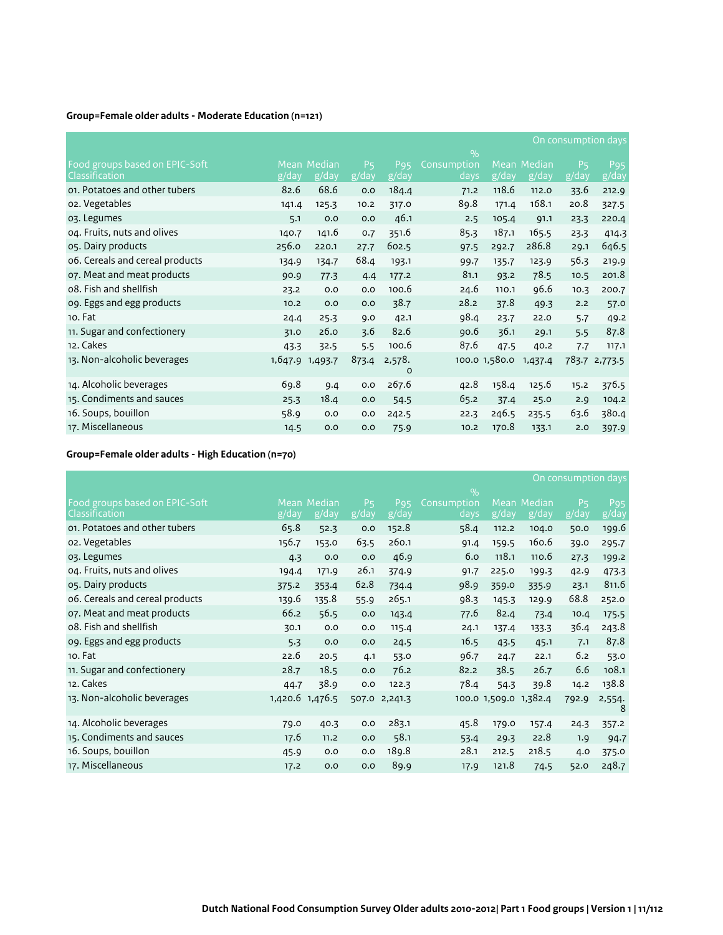# **Group=Female older adults - Moderate Education (n=121)**

|                                                  | On consumption days |                      |                         |                          |                                      |               |                      |                         |                          |
|--------------------------------------------------|---------------------|----------------------|-------------------------|--------------------------|--------------------------------------|---------------|----------------------|-------------------------|--------------------------|
| Food groups based on EPIC-Soft<br>Classification | g/day               | Mean Median<br>g/day | P <sub>5</sub><br>g/day | P <sub>95</sub><br>g/day | $\frac{9}{0}$<br>Consumption<br>days | g/day         | Mean Median<br>g/day | P <sub>5</sub><br>g/day | P <sub>95</sub><br>g/day |
| on. Potatoes and other tubers                    | 82.6                | 68.6                 | 0.0                     | 184.4                    | 71.2                                 | 118.6         | 112.0                | 33.6                    | 212.9                    |
| o2. Vegetables                                   | 141.4               | 125.3                | 10.2                    | 317.0                    | 89.8                                 | 171.4         | 168.1                | 20.8                    | 327.5                    |
| 03. Legumes                                      | 5.1                 | O.O                  | 0.0                     | 46.1                     | 2.5                                  | 105.4         | 91.1                 | 23.3                    | 220.4                    |
| 04. Fruits, nuts and olives                      | 140.7               | 141.6                | 0.7                     | 351.6                    | 85.3                                 | 187.1         | 165.5                | 23.3                    | 414.3                    |
| 05. Dairy products                               | 256.0               | 220.1                | 27.7                    | 602.5                    | 97.5                                 | 292.7         | 286.8                | 29.1                    | 646.5                    |
| 06. Cereals and cereal products                  | 134.9               | 134.7                | 68.4                    | 193.1                    | 99.7                                 | 135.7         | 123.9                | 56.3                    | 219.9                    |
| 07. Meat and meat products                       | 90.9                | 77.3                 | 4.4                     | 177.2                    | 81.1                                 | 93.2          | 78.5                 | 10.5                    | 201.8                    |
| 08. Fish and shellfish                           | 23.2                | 0.0                  | 0.0                     | 100.6                    | 24.6                                 | 110.1         | 96.6                 | 10.3                    | 200.7                    |
| og. Eggs and egg products                        | 10.2                | 0.0                  | 0.0                     | 38.7                     | 28.2                                 | 37.8          | 49.3                 | 2.2                     | 57.0                     |
| 10. Fat                                          | 24.4                | 25.3                 | 9.0                     | 42.1                     | 98.4                                 | 23.7          | 22.0                 | $5 - 7$                 | 49.2                     |
| 11. Sugar and confectionery                      | 31.0                | 26.0                 | 3.6                     | 82.6                     | 90.6                                 | 36.1          | 29.1                 | 5.5                     | 87.8                     |
| 12. Cakes                                        | 43.3                | 32.5                 | 5.5                     | 100.6                    | 87.6                                 | 47.5          | 40.2                 | 7.7                     | 117.1                    |
| 13. Non-alcoholic beverages                      | 1,647.9             | 1,493.7              | 873.4                   | 2,578.<br>O              |                                      | 100.0 1,580.0 | 1,437.4              |                         | 783.7 2,773.5            |
| 14. Alcoholic beverages                          | 69.8                | 9.4                  | 0.0                     | 267.6                    | 42.8                                 | 158.4         | 125.6                | 15.2                    | 376.5                    |
| 15. Condiments and sauces                        | 25.3                | 18.4                 | 0.0                     | 54.5                     | 65.2                                 | 37.4          | 25.0                 | 2.9                     | 104.2                    |
| 16. Soups, bouillon                              | 58.9                | 0.0                  | 0.0                     | 242.5                    | 22.3                                 | 246.5         | 235.5                | 63.6                    | 380.4                    |
| 17. Miscellaneous                                | 14.5                | 0.0                  | 0.0                     | 75.9                     | 10.2                                 | 170.8         | 133.1                | 2.0                     | 397.9                    |

### **Group=Female older adults - High Education (n=70)**

|                                 |         |             |                |                 |               |               |         | On consumption days |                 |
|---------------------------------|---------|-------------|----------------|-----------------|---------------|---------------|---------|---------------------|-----------------|
|                                 |         |             |                |                 | $\frac{0}{0}$ |               |         |                     |                 |
| Food groups based on EPIC-Soft  |         | Mean Median | P <sub>5</sub> | P <sub>95</sub> | Consumption   | <b>Mean</b>   | Median  | P <sub>5</sub>      | P <sub>95</sub> |
| Classification                  | g/day   | g/day       | g/day          | g/day           | days          | g/day         | g/day   | g/day               | g/day           |
| 01. Potatoes and other tubers   | 65.8    | 52.3        | 0.0            | 152.8           | 58.4          | 112.2         | 104.0   | 50.0                | 199.6           |
| o2. Vegetables                  | 156.7   | 153.0       | 63.5           | 260.1           | 91.4          | 159.5         | 160.6   | 39.0                | 295.7           |
| 03. Legumes                     | 4.3     | 0.0         | 0.0            | 46.9            | 6.0           | 118.1         | 110.6   | 27.3                | 199.2           |
| oq. Fruits, nuts and olives     | 194.4   | 171.9       | 26.1           | 374.9           | 91.7          | 225.0         | 199.3   | 42.9                | 473.3           |
| 05. Dairy products              | 375.2   | 353.4       | 62.8           | 734.4           | 98.9          | 359.0         | 335.9   | 23.1                | 811.6           |
| 06. Cereals and cereal products | 139.6   | 135.8       | 55.9           | 265.1           | 98.3          | 145.3         | 129.9   | 68.8                | 252.0           |
| 07. Meat and meat products      | 66.2    | 56.5        | 0.0            | 143.4           | 77.6          | 82.4          | 73.4    | 10.4                | 175.5           |
| 08. Fish and shellfish          | 30.1    | 0.0         | 0.0            | 115.4           | 24.1          | 137.4         | 133.3   | 36.4                | 243.8           |
| og. Eggs and egg products       | 5.3     | 0.0         | 0.0            | 24.5            | 16.5          | 43.5          | 45.1    | 7.1                 | 87.8            |
| 10. Fat                         | 22.6    | 20.5        | 4.1            | 53.0            | 96.7          | 24.7          | 22.1    | 6.2                 | 53.0            |
| 11. Sugar and confectionery     | 28.7    | 18.5        | 0.0            | 76.2            | 82.2          | 38.5          | 26.7    | 6.6                 | 108.1           |
| 12. Cakes                       | 44.7    | 38.9        | 0.0            | 122.3           | 78.4          | 54.3          | 39.8    | 14.2                | 138.8           |
| 13. Non-alcoholic beverages     | 1,420.6 | 1,476.5     |                | 507.0 2,241.3   |               | 100.0 1,509.0 | 1,382.4 | 792.9               | 2,554.<br>8     |
| 14. Alcoholic beverages         | 79.0    | 40.3        | 0.0            | 283.1           | 45.8          | 179.0         | 157.4   | 24.3                | 357.2           |
| 15. Condiments and sauces       | 17.6    | 11.2        | 0.0            | 58.1            | 53.4          | 29.3          | 22.8    | 1.9                 | 94.7            |
| 16. Soups, bouillon             | 45.9    | 0.0         | 0.0            | 189.8           | 28.1          | 212.5         | 218.5   | 4.0                 | 375.0           |
| 17. Miscellaneous               | 17.2    | 0.0         | 0.0            | 89.9            | 17.9          | 121.8         | 74.5    | 52.0                | 248.7           |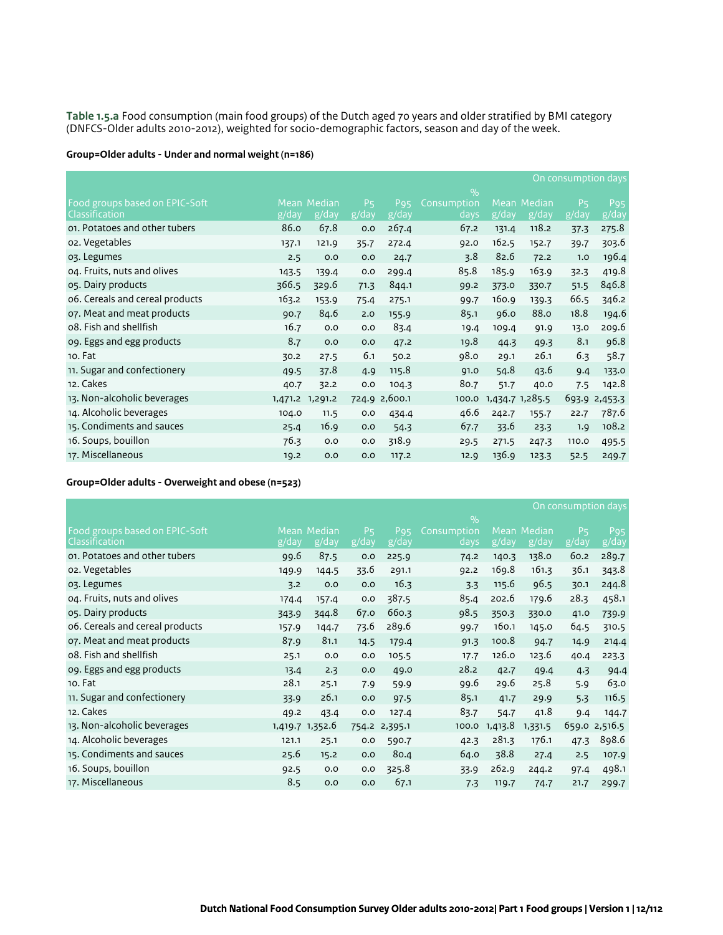**Table 1.5.a** Food consumption (main food groups) of the Dutch aged 70 years and older stratified by BMI category (DNFCS-Older adults 2010-2012), weighted for socio-demographic factors, season and day of the week.

### **Group=Older adults - Under and normal weight (n=186)**

|                                 | On consumption days |                 |                |                 |               |       |                 |                |                 |
|---------------------------------|---------------------|-----------------|----------------|-----------------|---------------|-------|-----------------|----------------|-----------------|
|                                 |                     |                 |                |                 | $\frac{9}{0}$ |       |                 |                |                 |
| Food groups based on EPIC-Soft  |                     | Mean Median     | P <sub>5</sub> | P <sub>95</sub> | Consumption   | Mean  | Median          | P <sub>5</sub> | P <sub>95</sub> |
| Classification                  | g/day               | g/day           | g/day          | g/day           | days          | g/day | g/day           | g/day          | g/day           |
| 01. Potatoes and other tubers   | 86.0                | 67.8            | 0.0            | 267.4           | 67.2          | 131.4 | 118.2           | 37.3           | 275.8           |
| o2. Vegetables                  | 137.1               | 121.9           | 35.7           | 272.4           | 92.0          | 162.5 | 152.7           | 39.7           | 303.6           |
| 03. Legumes                     | 2.5                 | 0.0             | 0.0            | 24.7            | 3.8           | 82.6  | 72.2            | 1.0            | 196.4           |
| 04. Fruits, nuts and olives     | 143.5               | 139.4           | 0.0            | 299.4           | 85.8          | 185.9 | 163.9           | 32.3           | 419.8           |
| 05. Dairy products              | 366.5               | 329.6           | 71.3           | 844.1           | 99.2          | 373.0 | 330.7           | 51.5           | 846.8           |
| 06. Cereals and cereal products | 163.2               | 153.9           | 75.4           | 275.1           | 99.7          | 160.9 | 139.3           | 66.5           | 346.2           |
| 07. Meat and meat products      | 90.7                | 84.6            | 2.0            | 155.9           | 85.1          | 96.0  | 88.0            | 18.8           | 194.6           |
| 08. Fish and shellfish          | 16.7                | 0.0             | 0.0            | 83.4            | 19.4          | 109.4 | 91.9            | 13.0           | 209.6           |
| og. Eggs and egg products       | 8.7                 | 0.0             | 0.0            | 47.2            | 19.8          | 44.3  | 49.3            | 8.1            | 96.8            |
| 10. Fat                         | 30.2                | 27.5            | 6.1            | 50.2            | 98.0          | 29.1  | 26.1            | 6.3            | 58.7            |
| 11. Sugar and confectionery     | 49.5                | 37.8            | 4.9            | 115.8           | 91.0          | 54.8  | 43.6            | 9.4            | 133.0           |
| 12. Cakes                       | 40.7                | 32.2            | 0.0            | 104.3           | 80.7          | 51.7  | 40.0            | 7.5            | 142.8           |
| 13. Non-alcoholic beverages     |                     | 1,471.2 1,291.2 | 724.9          | 2,600.1         | 100.0         |       | 1,434.7 1,285.5 | 693.9          | 2,453.3         |
| 14. Alcoholic beverages         | 104.0               | 11.5            | 0.0            | 434.4           | 46.6          | 242.7 | 155.7           | 22.7           | 787.6           |
| 15. Condiments and sauces       | 25.4                | 16.9            | 0.0            | 54.3            | 67.7          | 33.6  | 23.3            | 1.9            | 108.2           |
| 16. Soups, bouillon             | 76.3                | 0.0             | 0.0            | 318.9           | 29.5          | 271.5 | 247.3           | 110.0          | 495.5           |
| 17. Miscellaneous               | 19.2                | 0.0             | 0.0            | 117.2           | 12.9          | 136.9 | 123.3           | 52.5           | 249.7           |

### **Group=Older adults - Overweight and obese (n=523)**

|                                                  | On consumption days |                      |                         |                          |                             |         |                      |                         |               |
|--------------------------------------------------|---------------------|----------------------|-------------------------|--------------------------|-----------------------------|---------|----------------------|-------------------------|---------------|
| Food groups based on EPIC-Soft<br>Classification | g/day               | Mean Median<br>g/day | P <sub>5</sub><br>g/day | P <sub>95</sub><br>g/day | $\%$<br>Consumption<br>days | g/day   | Mean Median<br>g/day | P <sub>5</sub><br>g/day | P95<br>g/day  |
| 01. Potatoes and other tubers                    | 99.6                | 87.5                 | 0.0                     | 225.9                    | 74.2                        | 140.3   | 138.0                | 60.2                    | 289.7         |
| 02. Vegetables                                   | 149.9               | 144.5                | 33.6                    | 291.1                    | 92.2                        | 169.8   | 161.3                | 36.1                    | 343.8         |
| 03. Legumes                                      | 3.2                 | 0.0                  | 0.0                     | 16.3                     | 3.3                         | 115.6   | 96.5                 | 30.1                    | 244.8         |
| 04. Fruits, nuts and olives                      | 174.4               | 157.4                | 0.0                     | 387.5                    | 85.4                        | 202.6   | 179.6                | 28.3                    | 458.1         |
| 05. Dairy products                               | 343.9               | 344.8                | 67.0                    | 660.3                    | 98.5                        | 350.3   | 330.0                | 41.0                    | 739.9         |
| 06. Cereals and cereal products                  | 157.9               | 144.7                | 73.6                    | 289.6                    | 99.7                        | 160.1   | 145.0                | 64.5                    | 310.5         |
| 07. Meat and meat products                       | 87.9                | 81.1                 | 14.5                    | 179.4                    | 91.3                        | 100.8   | 94.7                 | 14.9                    | 214.4         |
| 08. Fish and shellfish                           | 25.1                | 0.0                  | 0.0                     | 105.5                    | 17.7                        | 126.0   | 123.6                | 40.4                    | 223.3         |
| og. Eggs and egg products                        | 13.4                | 2.3                  | 0.0                     | 49.0                     | 28.2                        | 42.7    | 49.4                 | 4.3                     | 94.4          |
| 10. Fat                                          | 28.1                | 25.1                 | 7.9                     | 59.9                     | 99.6                        | 29.6    | 25.8                 | 5.9                     | 63.0          |
| 11. Sugar and confectionery                      | 33.9                | 26.1                 | 0.0                     | 97.5                     | 85.1                        | 41.7    | 29.9                 | 5.3                     | 116.5         |
| 12. Cakes                                        | 49.2                | 43.4                 | 0.0                     | 127.4                    | 83.7                        | 54.7    | 41.8                 | 9.4                     | 144.7         |
| 13. Non-alcoholic beverages                      |                     | 1,419.7 1,352.6      |                         | 754.2 2,395.1            | 100.0                       | 1,413.8 | 1,331.5              |                         | 659.0 2,516.5 |
| 14. Alcoholic beverages                          | 121.1               | 25.1                 | 0.0                     | 590.7                    | 42.3                        | 281.3   | 176.1                | 47.3                    | 898.6         |
| 15. Condiments and sauces                        | 25.6                | 15.2                 | 0.0                     | 80.4                     | 64.0                        | 38.8    | 27.4                 | 2.5                     | 107.9         |
| 16. Soups, bouillon                              | 92.5                | 0.0                  | 0.0                     | 325.8                    | 33.9                        | 262.9   | 244.2                | 97.4                    | 498.1         |
| 17. Miscellaneous                                | 8.5                 | O.O                  | 0.0                     | 67.1                     | 7.3                         | 119.7   | 74.7                 | 21.7                    | 299.7         |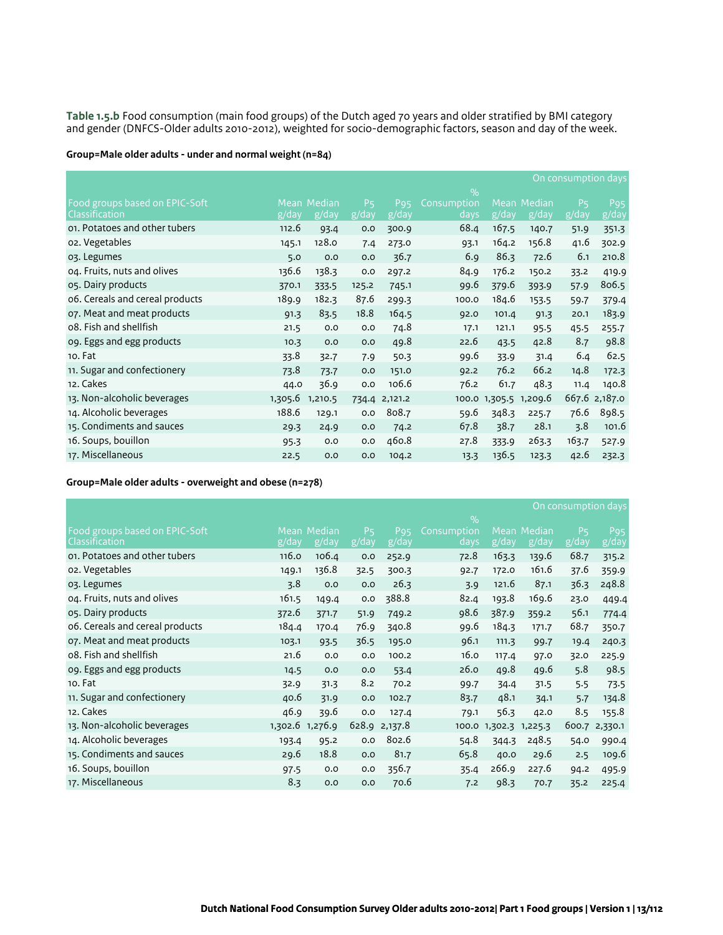**Table 1.5.b** Food consumption (main food groups) of the Dutch aged 70 years and older stratified by BMI category and gender (DNFCS-Older adults 2010-2012), weighted for socio-demographic factors, season and day of the week.

### **Group=Male older adults - under and normal weight (n=84)**

|                                 | On consumption days |             |                |                 |               |       |                 |                      |                 |
|---------------------------------|---------------------|-------------|----------------|-----------------|---------------|-------|-----------------|----------------------|-----------------|
|                                 |                     |             |                |                 | $\frac{9}{0}$ |       |                 |                      |                 |
| Food groups based on EPIC-Soft  |                     | Mean Median | P <sub>5</sub> | P <sub>95</sub> | Consumption   | Mean  | Median          | <b>P<sub>5</sub></b> | P <sub>95</sub> |
| Classification                  | g/day               | g/day       | g/day          | g/day           | days          | g/day | g/day           | g/day                | g/day           |
| 01. Potatoes and other tubers   | 112.6               | 93.4        | 0.0            | 300.9           | 68.4          | 167.5 | 140.7           | 51.9                 | 351.3           |
| 02. Vegetables                  | 145.1               | 128.0       | 7.4            | 273.0           | 93.1          | 164.2 | 156.8           | 41.6                 | 302.9           |
| 03. Legumes                     | 5.0                 | 0.0         | 0.0            | 36.7            | 6.9           | 86.3  | 72.6            | 6.1                  | 210.8           |
| 04. Fruits, nuts and olives     | 136.6               | 138.3       | 0.0            | 297.2           | 84.9          | 176.2 | 150.2           | 33.2                 | 419.9           |
| 05. Dairy products              | 370.1               | 333.5       | 125.2          | 745.1           | 99.6          | 379.6 | 393.9           | 57.9                 | 806.5           |
| o6. Cereals and cereal products | 189.9               | 182.3       | 87.6           | 299.3           | 100.0         | 184.6 | 153.5           | 59.7                 | 379.4           |
| 07. Meat and meat products      | 91.3                | 83.5        | 18.8           | 164.5           | 92.0          | 101.4 | 91.3            | 20.1                 | 183.9           |
| 08. Fish and shellfish          | 21.5                | O.O         | 0.0            | 74.8            | 17.1          | 121.1 | 95.5            | 45.5                 | 255.7           |
| og. Eggs and egg products       | 10.3                | 0.0         | 0.0            | 49.8            | 22.6          | 43.5  | 42.8            | 8.7                  | 98.8            |
| 10. Fat                         | 33.8                | 32.7        | 7.9            | 50.3            | 99.6          | 33.9  | 31.4            | 6.4                  | 62.5            |
| 11. Sugar and confectionery     | 73.8                | 73.7        | 0.0            | 151.0           | 92.2          | 76.2  | 66.2            | 14.8                 | 172.3           |
| 12. Cakes                       | 44.0                | 36.9        | 0.0            | 106.6           | 76.2          | 61.7  | 48.3            | 11.4                 | 140.8           |
| 13. Non-alcoholic beverages     | 1,305.6             | 1,210.5     | 734.4          | 2,121.2         | 100.0         |       | 1,305.5 1,209.6 | 667.6                | 2,187.0         |
| 14. Alcoholic beverages         | 188.6               | 129.1       | 0.0            | 808.7           | 59.6          | 348.3 | 225.7           | 76.6                 | 898.5           |
| 15. Condiments and sauces       | 29.3                | 24.9        | 0.0            | 74.2            | 67.8          | 38.7  | 28.1            | 3.8                  | 101.6           |
| 16. Soups, bouillon             | 95.3                | 0.0         | 0.0            | 460.8           | 27.8          | 333.9 | 263.3           | 163.7                | 527.9           |
| 17. Miscellaneous               | 22.5                | 0.0         | 0.0            | 104.2           | 13.3          | 136.5 | 123.3           | 42.6                 | 232.3           |

#### **Group=Male older adults - overweight and obese (n=278)**

|                                                  | On consumption days |                      |                         |                          |                                      |                 |                      |                         |                          |
|--------------------------------------------------|---------------------|----------------------|-------------------------|--------------------------|--------------------------------------|-----------------|----------------------|-------------------------|--------------------------|
| Food groups based on EPIC-Soft<br>Classification | g/day               | Mean Median<br>g/day | P <sub>5</sub><br>g/day | P <sub>95</sub><br>g/day | $\frac{9}{0}$<br>Consumption<br>days | g/day           | Mean Median<br>g/day | P <sub>5</sub><br>g/day | P <sub>95</sub><br>g/day |
| 01. Potatoes and other tubers                    | 116.0               | 106.4                | 0.0                     | 252.9                    | 72.8                                 | 163.3           | 139.6                | 68.7                    | 315.2                    |
| o2. Vegetables                                   | 149.1               | 136.8                | 32.5                    | 300.3                    | 92.7                                 | 172.0           | 161.6                | 37.6                    | 359.9                    |
| 03. Legumes                                      | 3.8                 | 0.0                  | 0.0                     | 26.3                     | 3.9                                  | 121.6           | 87.1                 | 36.3                    | 248.8                    |
| 04. Fruits, nuts and olives                      | 161.5               | 149.4                | 0.0                     | 388.8                    | 82.4                                 | 193.8           | 169.6                | 23.0                    | 449.4                    |
| 05. Dairy products                               | 372.6               | 371.7                | 51.9                    | 749.2                    | 98.6                                 | 387.9           | 359.2                | 56.1                    | 774.4                    |
| 06. Cereals and cereal products                  | 184.4               | 170.4                | 76.9                    | 340.8                    | 99.6                                 | 184.3           | 171.7                | 68.7                    | 350.7                    |
| 07. Meat and meat products                       | 103.1               | 93.5                 | 36.5                    | 195.0                    | 96.1                                 | 111.3           | 99.7                 | 19.4                    | 240.3                    |
| 08. Fish and shellfish                           | 21.6                | 0.0                  | 0.0                     | 100.2                    | 16.0                                 | 117.4           | 97.0                 | 32.0                    | 225.9                    |
| og. Eggs and egg products                        | 14.5                | 0.0                  | 0.0                     | 53.4                     | 26.0                                 | 49.8            | 49.6                 | 5.8                     | 98.5                     |
| 10. Fat                                          | 32.9                | 31.3                 | 8.2                     | 70.2                     | 99.7                                 | 34.4            | 31.5                 | 5.5                     | 73.5                     |
| 11. Sugar and confectionery                      | 40.6                | 31.9                 | 0.0                     | 102.7                    | 83.7                                 | 48.1            | 34.1                 | 5.7                     | 134.8                    |
| 12. Cakes                                        | 46.9                | 39.6                 | 0.0                     | 127.4                    | 79.1                                 | 56.3            | 42.0                 | 8.5                     | 155.8                    |
| 13. Non-alcoholic beverages                      | 1,302.6             | 1,276.9              |                         | 628.9 2,137.8            | 100.0                                | 1,302.3 1,225.3 |                      |                         | 600.7 2,330.1            |
| 14. Alcoholic beverages                          | 193.4               | 95.2                 | 0.0                     | 802.6                    | 54.8                                 | 344.3           | 248.5                | 54.0                    | 990.4                    |
| 15. Condiments and sauces                        | 29.6                | 18.8                 | 0.0                     | 81.7                     | 65.8                                 | 40.0            | 29.6                 | 2.5                     | 109.6                    |
| 16. Soups, bouillon                              | 97.5                | 0.0                  | 0.0                     | 356.7                    | 35.4                                 | 266.9           | 227.6                | 94.2                    | 495.9                    |
| 17. Miscellaneous                                | 8.3                 | 0.0                  | 0.0                     | 70.6                     | 7.2                                  | 98.3            | 70.7                 | 35.2                    | 225.4                    |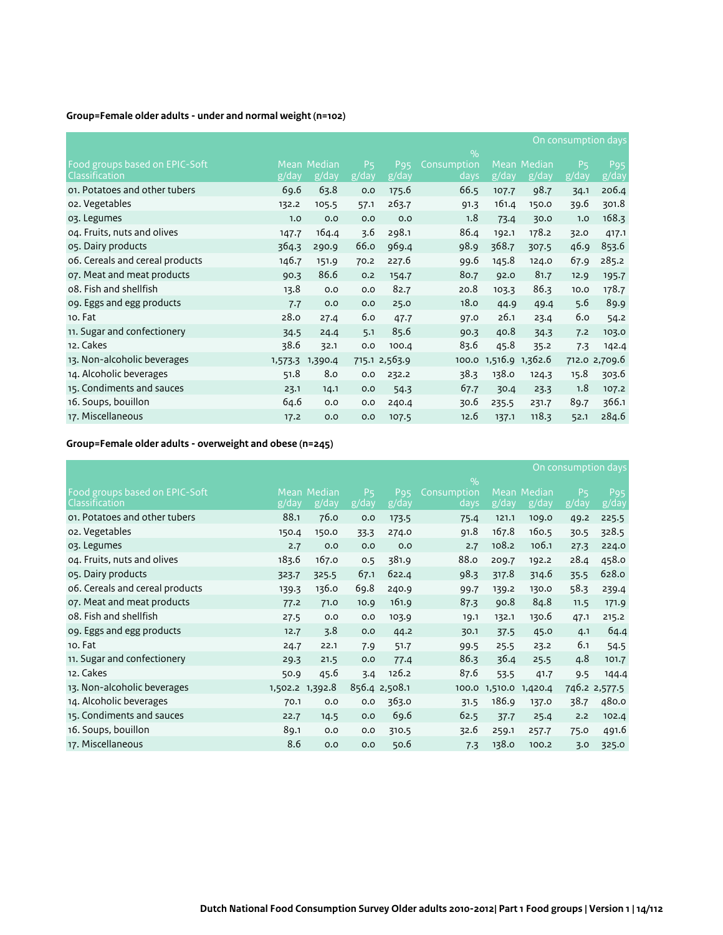# **Group=Female older adults - under and normal weight (n=102)**

|                                 | On consumption days |             |                |                 |                              |                 |        |                      |                 |
|---------------------------------|---------------------|-------------|----------------|-----------------|------------------------------|-----------------|--------|----------------------|-----------------|
| Food groups based on EPIC-Soft  |                     | Mean Median | P <sub>5</sub> | P <sub>95</sub> | $\frac{9}{0}$<br>Consumption | Mean            | Median | <b>P<sub>5</sub></b> | P <sub>95</sub> |
| Classification                  | g/day               | g/day       | g/day          | g/day           | days                         | g/day           | g/day  | g/day                | g/day           |
| 01. Potatoes and other tubers   | 69.6                | 63.8        | 0.0            | 175.6           | 66.5                         | 107.7           | 98.7   | 34.1                 | 206.4           |
| o2. Vegetables                  | 132.2               | 105.5       | 57.1           | 263.7           | 91.3                         | 161.4           | 150.0  | 39.6                 | 301.8           |
| 03. Legumes                     | 1.0                 | O.O         | O.O            | 0.0             | 1.8                          | 73.4            | 30.0   | 1.0                  | 168.3           |
| 04. Fruits, nuts and olives     | 147.7               | 164.4       | 3.6            | 298.1           | 86.4                         | 192.1           | 178.2  | 32.0                 | 417.1           |
| 05. Dairy products              | 364.3               | 290.9       | 66.0           | 969.4           | 98.9                         | 368.7           | 307.5  | 46.9                 | 853.6           |
| 06. Cereals and cereal products | 146.7               | 151.9       | 70.2           | 227.6           | 99.6                         | 145.8           | 124.0  | 67.9                 | 285.2           |
| 07. Meat and meat products      | 90.3                | 86.6        | 0.2            | 154.7           | 80.7                         | 92.0            | 81.7   | 12.9                 | 195.7           |
| 08. Fish and shellfish          | 13.8                | 0.0         | 0.0            | 82.7            | 20.8                         | 103.3           | 86.3   | 10.0                 | 178.7           |
| og. Eggs and egg products       | 7.7                 | 0.0         | 0.0            | 25.0            | 18.0                         | 44.9            | 49.4   | 5.6                  | 89.9            |
| 10. Fat                         | 28.0                | 27.4        | 6.0            | 47.7            | 97.0                         | 26.1            | 23.4   | 6.0                  | 54.2            |
| 11. Sugar and confectionery     | 34.5                | 24.4        | 5.1            | 85.6            | 90.3                         | 40.8            | 34.3   | 7.2                  | 103.0           |
| 12. Cakes                       | 38.6                | 32.1        | 0.0            | 100.4           | 83.6                         | 45.8            | 35.2   | 7.3                  | 142.4           |
| 13. Non-alcoholic beverages     | 1,573.3             | 1,390.4     |                | 715.1 2,563.9   | 100.0                        | 1,516.9 1,362.6 |        |                      | 712.0 2,709.6   |
| 14. Alcoholic beverages         | 51.8                | 8.0         | 0.0            | 232.2           | 38.3                         | 138.0           | 124.3  | 15.8                 | 303.6           |
| 15. Condiments and sauces       | 23.1                | 14.1        | 0.0            | 54.3            | 67.7                         | 30.4            | 23.3   | 1.8                  | 107.2           |
| 16. Soups, bouillon             | 64.6                | 0.0         | 0.0            | 240.4           | 30.6                         | 235.5           | 231.7  | 89.7                 | 366.1           |
| 17. Miscellaneous               | 17.2                | 0.0         | 0.0            | 107.5           | 12.6                         | 137.1           | 118.3  | 52.1                 | 284.6           |

# **Group=Female older adults - overweight and obese (n=245)**

|                                                         | On consumption days           |                      |                         |                          |                                      |         |                      |                         |                          |
|---------------------------------------------------------|-------------------------------|----------------------|-------------------------|--------------------------|--------------------------------------|---------|----------------------|-------------------------|--------------------------|
| Food groups based on EPIC-Soft<br><b>Classification</b> | $\overline{g}/\overline{day}$ | Mean Median<br>g/day | P <sub>5</sub><br>g/day | P <sub>95</sub><br>g/day | $\frac{0}{0}$<br>Consumption<br>days | g/day   | Mean Median<br>g/day | P <sub>5</sub><br>g/day | P <sub>95</sub><br>g/day |
| 01. Potatoes and other tubers                           | 88.1                          | 76.0                 | 0.0                     | 173.5                    | 75.4                                 | 121.1   | 109.0                | 49.2                    | 225.5                    |
| 02. Vegetables                                          | 150.4                         | 150.0                | 33.3                    | 274.0                    | 91.8                                 | 167.8   | 160.5                | 30.5                    | 328.5                    |
| 03. Legumes                                             | 2.7                           | 0.0                  | 0.0                     | 0.0                      | 2.7                                  | 108.2   | 106.1                | 27.3                    | 224.0                    |
| 04. Fruits, nuts and olives                             | 183.6                         | 167.0                | 0.5                     | 381.9                    | 88.o                                 | 209.7   | 192.2                | 28.4                    | 458.0                    |
| 05. Dairy products                                      | 323.7                         | 325.5                | 67.1                    | 622.4                    | 98.3                                 | 317.8   | 314.6                | 35.5                    | 628.0                    |
| 06. Cereals and cereal products                         | 139.3                         | 136.0                | 69.8                    | 240.9                    | 99.7                                 | 139.2   | 130.0                | 58.3                    | 239.4                    |
| 07. Meat and meat products                              | 77.2                          | 71.0                 | 10.9                    | 161.9                    | 87.3                                 | 90.8    | 84.8                 | 11.5                    | 171.9                    |
| 08. Fish and shellfish                                  | 27.5                          | O.O                  | 0.0                     | 103.9                    | 19.1                                 | 132.1   | 130.6                | 47.1                    | 215.2                    |
| og. Eggs and egg products                               | 12.7                          | 3.8                  | 0.0                     | 44.2                     | 30.1                                 | 37.5    | 45.0                 | 4.1                     | 64.4                     |
| 10. Fat                                                 | 24.7                          | 22.1                 | 7.9                     | 51.7                     | 99.5                                 | 25.5    | 23.2                 | 6.1                     | 54.5                     |
| 11. Sugar and confectionery                             | 29.3                          | 21.5                 | 0.0                     | 77.4                     | 86.3                                 | 36.4    | 25.5                 | 4.8                     | 101.7                    |
| 12. Cakes                                               | 50.9                          | 45.6                 | 3.4                     | 126.2                    | 87.6                                 | 53.5    | 41.7                 | 9.5                     | 144.4                    |
| 13. Non-alcoholic beverages                             | 1,502.2 1,392.8               |                      |                         | 856.4 2,508.1            | 100.0                                | 1,510.0 | 1,420.4              |                         | 746.2 2,577.5            |
| 14. Alcoholic beverages                                 | 70.1                          | 0.0                  | 0.0                     | 363.0                    | 31.5                                 | 186.9   | 137.0                | 38.7                    | 480.0                    |
| 15. Condiments and sauces                               | 22.7                          | 14.5                 | 0.0                     | 69.6                     | 62.5                                 | 37.7    | 25.4                 | 2.2                     | 102.4                    |
| 16. Soups, bouillon                                     | 89.1                          | 0.0                  | 0.0                     | 310.5                    | 32.6                                 | 259.1   | 257.7                | 75.0                    | 491.6                    |
| 17. Miscellaneous                                       | 8.6                           | 0.0                  | 0.0                     | 50.6                     | 7.3                                  | 138.0   | 100.2                | 3.0                     | 325.0                    |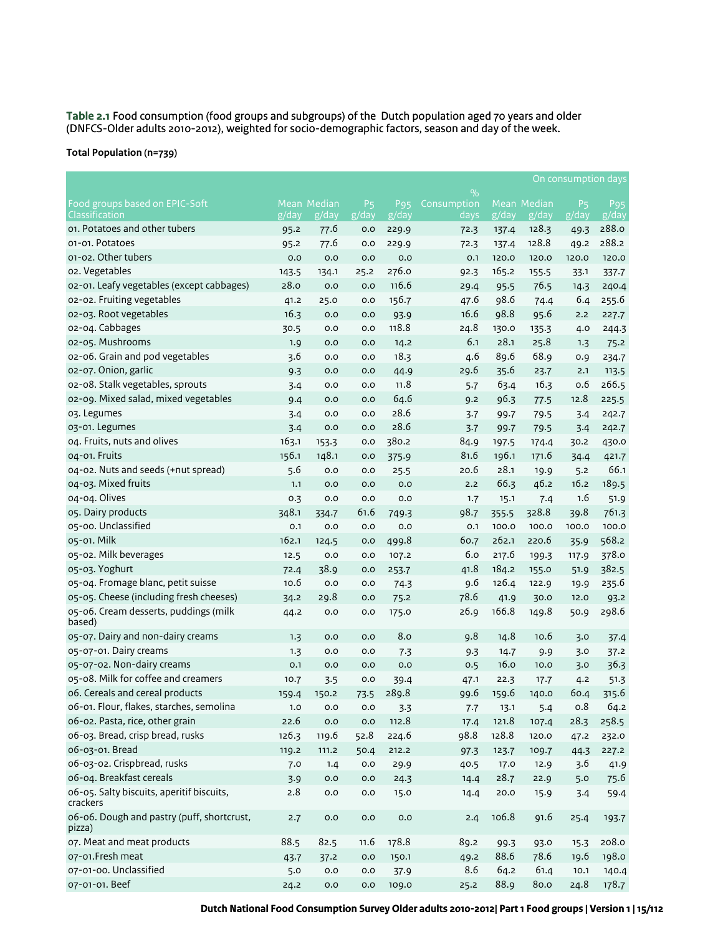**Table 2.1** Food consumption (food groups and subgroups) of the Dutch population aged 70 years and older (DNFCS-Older adults 2010-2012), weighted for socio-demographic factors, season and day of the week.

#### **Total Population (n=739)**

|                                                       |       |              |                |                               |             |       |                | On consumption days  |                 |
|-------------------------------------------------------|-------|--------------|----------------|-------------------------------|-------------|-------|----------------|----------------------|-----------------|
|                                                       |       |              |                |                               | $\%$        |       |                |                      |                 |
| Food groups based on EPIC-Soft                        |       | Mean Median  | P <sub>5</sub> | P <sub>95</sub>               | Consumption |       | Mean Median    | <b>P<sub>5</sub></b> | P <sub>95</sub> |
| Classification<br>01. Potatoes and other tubers       | g/day | g/day        | g/day          | $\overline{g}/\overline{day}$ | days        | g/day | $\sqrt{g/day}$ | $\overline{g}/day$   | g/day           |
| 01-01. Potatoes                                       | 95.2  | 77.6         | 0.0            | 229.9                         | 72.3        | 137.4 | 128.3          | 49.3                 | 288.0           |
|                                                       | 95.2  | 77.6         | 0.0            | 229.9                         | 72.3        | 137.4 | 128.8          | 49.2                 | 288.2           |
| 01-02. Other tubers                                   | 0.0   | 0.0          | 0.0            | 0.0                           | 0.1         | 120.0 | 120.0          | 120.0                | 120.0           |
| o2. Vegetables                                        | 143.5 | 134.1        | 25.2           | 276.0                         | 92.3        | 165.2 | 155.5          | 33.1                 | 337.7           |
| 02-01. Leafy vegetables (except cabbages)             | 28.0  | 0.0          | 0.0            | 116.6                         | 29.4        | 95.5  | 76.5           | 14.3                 | 240.4           |
| 02-02. Fruiting vegetables                            | 41.2  | 25.0         | 0.0            | 156.7                         | 47.6        | 98.6  | 74.4           | 6.4                  | 255.6           |
| 02-03. Root vegetables                                | 16.3  | 0.0          | 0.0            | 93.9                          | 16.6        | 98.8  | 95.6           | 2.2                  | 227.7           |
| 02-04. Cabbages                                       | 30.5  | 0.0          | 0.0            | 118.8                         | 24.8        | 130.0 | 135.3          | 4.0                  | 244.3           |
| 02-05. Mushrooms                                      | 1.9   | 0.0          | 0.0            | 14.2                          | 6.1         | 28.1  | 25.8           | 1.3                  | 75.2            |
| o2-o6. Grain and pod vegetables                       | 3.6   | 0.0          | 0.0            | 18.3                          | 4.6         | 89.6  | 68.9           | 0.9                  | 234.7           |
| 02-07. Onion, garlic                                  | 9.3   | 0.0          | 0.0            | 44.9                          | 29.6        | 35.6  | 23.7           | 2.1                  | 113.5           |
| 02-08. Stalk vegetables, sprouts                      | 3.4   | 0.0          | 0.0            | 11.8                          | 5.7         | 63.4  | 16.3           | 0.6                  | 266.5           |
| 02-09. Mixed salad, mixed vegetables                  | 9.4   | 0.0          | 0.0            | 64.6                          | 9.2         | 96.3  | 77.5           | 12.8                 | 225.5           |
| 03. Legumes                                           | 3.4   | 0.0          | 0.0            | 28.6                          | 3.7         | 99.7  | 79.5           | 3.4                  | 242.7           |
| 03-01. Legumes                                        | 3.4   | 0.0          | 0.0            | 28.6                          | 3.7         | 99.7  | 79.5           | 3.4                  | 242.7           |
| 04. Fruits, nuts and olives                           | 163.1 | 153.3        | 0.0            | 380.2                         | 84.9        | 197.5 | 174.4          | 30.2                 | 430.0           |
| 04-01. Fruits                                         | 156.1 | 148.1        | 0.0            | 375.9                         | 81.6        | 196.1 | 171.6          | 34.4                 | 421.7           |
| 04-02. Nuts and seeds (+nut spread)                   | 5.6   | 0.0          | 0.0            | 25.5                          | 20.6        | 28.1  | 19.9           | 5.2                  | 66.1            |
| 04-03. Mixed fruits                                   | 1.1   | 0.0          | 0.0            | 0.0                           | 2.2         | 66.3  | 46.2           | 16.2                 | 189.5           |
| 04-04. Olives                                         | 0.3   | 0.0          | 0.0            | 0.0                           | 1.7         | 15.1  | 7.4            | 1.6                  | 51.9            |
| 05. Dairy products                                    | 348.1 | 334.7        | 61.6           | 749.3                         | 98.7        | 355.5 | 328.8          | 39.8                 | 761.3           |
| 05-00. Unclassified                                   | O.1   | 0.0          | 0.0            | 0.0                           | O.1         | 100.0 | 100.0          | 100.0                | 100.0           |
| 05-01. Milk                                           | 162.1 | 124.5        | 0.0            | 499.8                         | 60.7        | 262.1 | 220.6          | 35.9                 | 568.2           |
| 05-02. Milk beverages                                 | 12.5  | 0.0          | 0.0            | 107.2                         | 6.0         | 217.6 | 199.3          | 117.9                | 378.0           |
| 05-03. Yoghurt                                        | 72.4  | 38.9         | 0.0            | 253.7                         | 41.8        | 184.2 | 155.0          | 51.9                 | 382.5           |
| 05-04. Fromage blanc, petit suisse                    | 10.6  | 0.0          | 0.0            | 74.3                          | 9.6         | 126.4 | 122.9          | 19.9                 | 235.6           |
| 05-05. Cheese (including fresh cheeses)               | 34.2  | 29.8         | 0.0            | 75.2                          | 78.6        | 41.9  | 30.0           | 12.0                 | 93.2            |
| 05-06. Cream desserts, puddings (milk                 | 44.2  | 0.0          | 0.0            | 175.0                         | 26.9        | 166.8 | 149.8          | 50.9                 | 298.6           |
| based)                                                |       |              |                |                               |             |       |                |                      |                 |
| 05-07. Dairy and non-dairy creams                     | 1.3   | 0.0          | 0.0            | 8.0                           | 9.8         | 14.8  | 10.6           | 3.0                  | 37.4            |
| 05-07-01. Dairy creams                                | 1.3   | 0.0          | 0.0            | 7.3                           | 9.3         | 14.7  | 9.9            | 3.0                  | 37.2            |
| 05-07-02. Non-dairy creams                            | 0.1   | 0.0          | 0.0            | 0.0                           | 0.5         | 16.0  | 10.0           | 3.0                  | 36.3            |
| 05-08. Milk for coffee and creamers                   | 10.7  | 3.5          | 0.0            | 39.4                          | 47.1        | 22.3  | 17.7           | 4.2                  | 51.3            |
| 06. Cereals and cereal products                       | 159.4 | 150.2        | 73.5           | 289.8                         | 99.6        | 159.6 | 140.0          | 60.4                 | 315.6           |
| 06-01. Flour, flakes, starches, semolina              | 1.0   | $_{\rm 0.0}$ | 0.0            | 3.3                           | 7.7         | 13.1  | 5.4            | 0.8                  | 64.2            |
| 06-02. Pasta, rice, other grain                       | 22.6  | 0.0          | 0.0            | 112.8                         | 17.4        | 121.8 | 107.4          | 28.3                 | 258.5           |
| 06-03. Bread, crisp bread, rusks                      | 126.3 | 119.6        | 52.8           | 224.6                         | 98.8        | 128.8 | 120.0          | 47.2                 | 232.0           |
| 06-03-01. Bread                                       | 119.2 | 111.2        | 50.4           | 212.2                         | 97.3        | 123.7 | 109.7          | 44.3                 | 227.2           |
| 06-03-02. Crispbread, rusks                           | 7.0   | 1.4          | 0.0            | 29.9                          | 40.5        | 17.0  | 12.9           | 3.6                  | 41.9            |
| 06-04. Breakfast cereals                              | 3.9   | $_{\rm 0.0}$ | 0.0            | 24.3                          | 14.4        | 28.7  | 22.9           | 5.0                  | 75.6            |
| 06-05. Salty biscuits, aperitif biscuits,<br>crackers | 2.8   | $_{0.0}$     | 0.0            | 15.0                          | 14.4        | 20.0  | 15.9           | 3.4                  | 59.4            |
| 06-06. Dough and pastry (puff, shortcrust,<br>pizza)  | 2.7   | 0.0          | 0.0            | 0.0                           | 2.4         | 106.8 | 91.6           | 25.4                 | 193.7           |
| 07. Meat and meat products                            | 88.5  | 82.5         | 11.6           | 178.8                         | 89.2        | 99.3  | 93.0           | 15.3                 | 208.0           |
| 07-01.Fresh meat                                      | 43.7  | 37.2         | 0.0            | 150.1                         | 49.2        | 88.6  | 78.6           | 19.6                 | 198.0           |
| 07-01-00. Unclassified                                | 5.0   | $_{0.0}$     | 0.0            | 37.9                          | 8.6         | 64.2  | 61.4           | 10.1                 | 140.4           |
| 07-01-01. Beef                                        | 24.2  | 0.0          | 0.0            | 109.0                         | 25.2        | 88.9  | 80.0           | 24.8                 | 178.7           |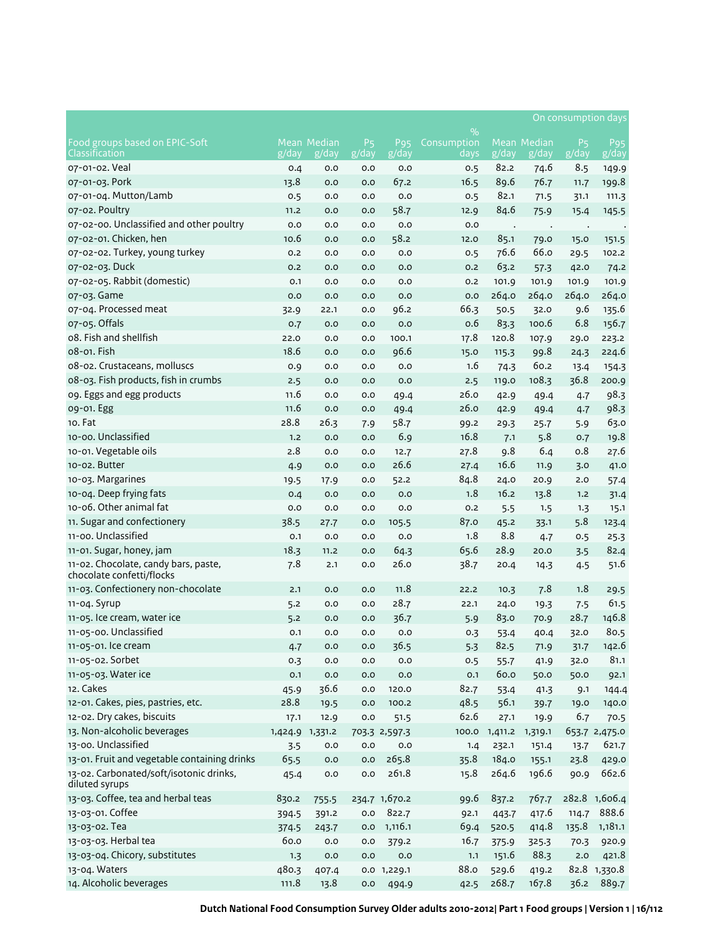|                                                                   |         |                      |                         |                                   |                                  |         |                         |                         | On consumption days      |
|-------------------------------------------------------------------|---------|----------------------|-------------------------|-----------------------------------|----------------------------------|---------|-------------------------|-------------------------|--------------------------|
|                                                                   |         |                      |                         |                                   | %                                |         |                         |                         |                          |
| Food groups based on EPIC-Soft<br>Classification                  | g/day   | Mean Median<br>g/day | P <sub>5</sub><br>g/day | P <sub>95</sub><br>$\sqrt{g/day}$ | Consumption<br>$\overline{days}$ | g/day   | Mean Median<br>$g$ /day | P <sub>5</sub><br>g/day | P <sub>95</sub><br>g/day |
| 07-01-02. Veal                                                    | 0.4     | 0.0                  | 0.0                     | 0.0                               | 0.5                              | 82.2    | 74.6                    | 8.5                     | 149.9                    |
| 07-01-03. Pork                                                    | 13.8    | 0.0                  | 0.0                     | 67.2                              | 16.5                             | 89.6    | 76.7                    | 11.7                    | 199.8                    |
| 07-01-04. Mutton/Lamb                                             | 0.5     | 0.0                  | 0.0                     | 0.0                               | 0.5                              | 82.1    | 71.5                    | 31.1                    | 111.3                    |
| 07-02. Poultry                                                    | 11.2    | 0.0                  | 0.0                     | 58.7                              | 12.9                             | 84.6    | 75.9                    | 15.4                    | 145.5                    |
| 07-02-00. Unclassified and other poultry                          | 0.0     | 0.0                  | 0.0                     | 0.0                               | 0.0                              | $\cdot$ | $\ddot{\phantom{0}}$    | $\ddot{\phantom{a}}$    |                          |
| 07-02-01. Chicken, hen                                            | 10.6    | 0.0                  | 0.0                     | 58.2                              | 12.0                             | 85.1    | 79.0                    | 15.0                    | 151.5                    |
| 07-02-02. Turkey, young turkey                                    | 0.2     | 0.0                  | 0.0                     | 0.0                               | 0.5                              | 76.6    | 66.0                    | 29.5                    | 102.2                    |
| 07-02-03. Duck                                                    | 0.2     | 0.0                  | 0.0                     | 0.0                               | 0.2                              | 63.2    | 57.3                    | 42.0                    | 74.2                     |
| 07-02-05. Rabbit (domestic)                                       | 0.1     | 0.0                  | 0.0                     | 0.0                               | 0.2                              | 101.9   | 101.9                   | 101.9                   | 101.9                    |
| 07-03. Game                                                       | 0.0     | 0.0                  | 0.0                     | 0.0                               | 0.0                              | 264.0   | 264.0                   | 264.0                   | 264.0                    |
| 07-04. Processed meat                                             | 32.9    | 22.1                 | 0.0                     | 96.2                              | 66.3                             | 50.5    | 32.0                    | 9.6                     | 135.6                    |
| 07-05. Offals                                                     | 0.7     | 0.0                  | 0.0                     | 0.0                               | 0.6                              | 83.3    | 100.6                   | 6.8                     | 156.7                    |
| o8. Fish and shellfish                                            | 22.0    | 0.0                  | 0.0                     | 100.1                             | 17.8                             | 120.8   | 107.9                   | 29.0                    | 223.2                    |
| 08-01. Fish                                                       | 18.6    | 0.0                  | 0.0                     | 96.6                              | 15.0                             | 115.3   | 99.8                    | 24.3                    | 224.6                    |
| 08-02. Crustaceans, molluscs                                      | 0.9     | 0.0                  | 0.0                     | 0.0                               | 1.6                              | 74.3    | 60.2                    | 13.4                    | 154.3                    |
| 08-03. Fish products, fish in crumbs                              | 2.5     | 0.0                  | 0.0                     | 0.0                               | 2.5                              | 119.0   | 108.3                   | 36.8                    | 200.9                    |
| og. Eggs and egg products                                         | 11.6    | 0.0                  | 0.0                     | 49.4                              | 26.0                             | 42.9    | 49.4                    | 4.7                     | 98.3                     |
| 09-01. Egg                                                        | 11.6    | 0.0                  | 0.0                     | 49.4                              | 26.0                             | 42.9    | 49.4                    | 4.7                     | 98.3                     |
| 10. Fat                                                           | 28.8    | 26.3                 | 7.9                     | 58.7                              | 99.2                             | 29.3    | 25.7                    | 5.9                     | 63.0                     |
| 10-00. Unclassified                                               | 1.2     | 0.0                  | 0.0                     | 6.9                               | 16.8                             | 7.1     | 5.8                     | 0.7                     | 19.8                     |
| 10-01. Vegetable oils                                             | 2.8     | 0.0                  | 0.0                     | 12.7                              | 27.8                             | 9.8     | 6.4                     | 0.8                     | 27.6                     |
| 10-02. Butter                                                     | 4.9     | 0.0                  | 0.0                     | 26.6                              | 27.4                             | 16.6    | 11.9                    | 3.0                     | 41.0                     |
| 10-03. Margarines                                                 | 19.5    | 17.9                 | 0.0                     | 52.2                              | 84.8                             | 24.0    | 20.9                    | 2.0                     | 57.4                     |
| 10-04. Deep frying fats                                           | 0.4     | 0.0                  | 0.0                     | 0.0                               | 1.8                              | 16.2    | 13.8                    | 1.2                     | 31.4                     |
| 10-06. Other animal fat                                           | 0.0     | 0.0                  | 0.0                     | 0.0                               | 0.2                              | 5.5     | 1.5                     | 1.3                     | 15.1                     |
| 11. Sugar and confectionery                                       | 38.5    | 27.7                 | 0.0                     | 105.5                             | 87.0                             | 45.2    | 33.1                    | 5.8                     | 123.4                    |
| 11-00. Unclassified                                               | O.1     | 0.0                  | 0.0                     | 0.0                               | 1.8                              | 8.8     | 4.7                     | 0.5                     | 25.3                     |
| 11-01. Sugar, honey, jam                                          | 18.3    | 11.2                 | 0.0                     | 64.3                              | 65.6                             | 28.9    | 20.0                    | 3.5                     | 82.4                     |
| 11-02. Chocolate, candy bars, paste,<br>chocolate confetti/flocks | 7.8     | 2.1                  | 0.0                     | 26.0                              | 38.7                             | 20.4    | 14.3                    | 4.5                     | 51.6                     |
| 11-03. Confectionery non-chocolate                                | 2.1     | 0.0                  | 0.0                     | 11.8                              | 22.2                             | 10.3    | 7.8                     | 1.8                     | 29.5                     |
| 11-04. Syrup                                                      | 5.2     | 0.0                  | 0.0                     | 28.7                              | 22.1                             | 24.0    | 19.3                    | 7.5                     | 61.5                     |
| 11-05. Ice cream, water ice                                       | 5.2     | 0.0                  | 0.0                     | 36.7                              | 5.9                              | 83.0    | 70.9                    | 28.7                    | 146.8                    |
| 11-05-00. Unclassified                                            | 0.1     | 0.0                  | 0.0                     | 0.0                               | 0.3                              | 53.4    | 40.4                    | 32.0                    | 80.5                     |
| 11-05-01. Ice cream                                               | 4.7     | 0.0                  | 0.0                     | 36.5                              | 5.3                              | 82.5    | 71.9                    | 31.7                    | 142.6                    |
| 11-05-02. Sorbet                                                  | 0.3     | 0.0                  | 0.0                     | $_{\rm 0.0}$                      | 0.5                              | $55-7$  | 41.9                    | 32.0                    | 81.1                     |
| 11-05-03. Water ice                                               | 0.1     | 0.0                  | 0.0                     | 0.0                               | 0.1                              | 60.0    | 50.0                    | 50.0                    | 92.1                     |
| 12. Cakes                                                         | 45.9    | 36.6                 | 0.0                     | 120.0                             | 82.7                             | 53.4    | 41.3                    | 9.1                     | 144.4                    |
| 12-01. Cakes, pies, pastries, etc.                                | 28.8    | 19.5                 | 0.0                     | 100.2                             | 48.5                             | 56.1    | 39.7                    | 19.0                    | 140.0                    |
| 12-02. Dry cakes, biscuits                                        | 17.1    | 12.9                 | $_{\rm 0.0}$            | 51.5                              | 62.6                             | 27.1    | 19.9                    | 6.7                     | 70.5                     |
| 13. Non-alcoholic beverages                                       | 1,424.9 | 1,331.2              |                         | 703.3 2,597.3                     | 100.0                            | 1,411.2 | 1,319.1                 |                         | 653.7 2,475.0            |
| 13-00. Unclassified                                               | 3.5     | 0.0                  | 0.0                     | 0.0                               | 1.4                              | 232.1   | 151.4                   | 13.7                    | 621.7                    |
| 13-01. Fruit and vegetable containing drinks                      | 65.5    | 0.0                  | 0.0                     | 265.8                             | 35.8                             | 184.0   | 155.1                   | 23.8                    | 429.0                    |
| 13-02. Carbonated/soft/isotonic drinks,<br>diluted syrups         | 45.4    | 0.0                  | 0.0                     | 261.8                             | 15.8                             | 264.6   | 196.6                   | 90.9                    | 662.6                    |
| 13-03. Coffee, tea and herbal teas                                | 830.2   | 755.5                |                         | 234.7 1,670.2                     | 99.6                             | 837.2   | 767.7                   |                         | 282.8 1,606.4            |
| 13-03-01. Coffee                                                  | 394.5   | 391.2                | $_{\rm 0.0}$            | 822.7                             | 92.1                             | 443.7   | 417.6                   | 114.7                   | 888.6                    |
| 13-03-02. Tea                                                     | 374.5   | 243.7                | 0.0                     | 1,116.1                           | 69.4                             | 520.5   | 414.8                   | 135.8                   | 1,181.1                  |
| 13-03-03. Herbal tea                                              | 60.0    | 0.0                  | 0.0                     | 379.2                             | 16.7                             | 375.9   | 325.3                   | 70.3                    | 920.9                    |
| 13-03-04. Chicory, substitutes                                    | 1.3     | 0.0                  | 0.0                     | 0.0                               | 1.1                              | 151.6   | 88.3                    | 2.0                     | 421.8                    |
| 13-04. Waters                                                     | 480.3   | 407.4                |                         | 0.0 1,229.1                       | 88.0                             | 529.6   | 419.2                   |                         | 82.8 1,330.8             |
| 14. Alcoholic beverages                                           | 111.8   | 13.8                 | 0.0                     | 494.9                             | 42.5                             | 268.7   | 167.8                   | 36.2                    | 889.7                    |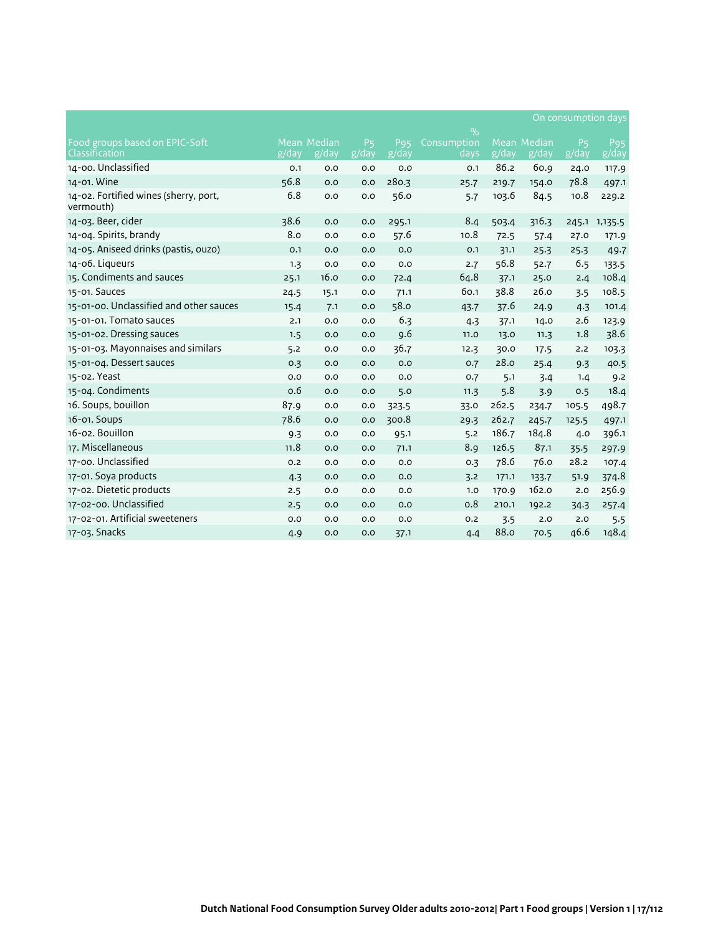|                                                    |       |                      |                                  |                                 |                     |                    |                      |                               | On consumption days      |
|----------------------------------------------------|-------|----------------------|----------------------------------|---------------------------------|---------------------|--------------------|----------------------|-------------------------------|--------------------------|
|                                                    |       |                      |                                  |                                 | $\frac{9}{0}$       |                    |                      |                               |                          |
| Food groups based on EPIC-Soft<br>Classification   | g/day | Mean Median<br>g/day | P <sub>5</sub><br>$\sqrt{g/day}$ | <b>P</b> <sub>95</sub><br>g/day | Consumption<br>days | $\overline{g}/day$ | Mean Median<br>g/day | <b>P<sub>5</sub></b><br>g/day | P <sub>95</sub><br>g/day |
| 14-00. Unclassified                                | 0.1   | 0.0                  | 0.0                              | 0.0                             | 0.1                 | 86.2               | 60.9                 | 24.0                          | 117.9                    |
| 14-01. Wine                                        | 56.8  | O.O                  | 0.0                              | 280.3                           | 25.7                | 219.7              | 154.0                | 78.8                          | 497.1                    |
| 14-02. Fortified wines (sherry, port,<br>vermouth) | 6.8   | 0.0                  | 0.0                              | 56.0                            | 5.7                 | 103.6              | 84.5                 | 10.8                          | 229.2                    |
| 14-03. Beer, cider                                 | 38.6  | O.O                  | 0.0                              | 295.1                           | 8.4                 | 503.4              | 316.3                |                               | 245.1 1,135.5            |
| 14-04. Spirits, brandy                             | 8.0   | 0.0                  | 0.0                              | 57.6                            | 10.8                | 72.5               | 57.4                 | 27.0                          | 171.9                    |
| 14-05. Aniseed drinks (pastis, ouzo)               | O.1   | 0.0                  | 0.0                              | 0.0                             | O.1                 | 31.1               | 25.3                 | 25.3                          | 49.7                     |
| 14-06. Liqueurs                                    | 1.3   | O.O                  | 0.0                              | 0.0                             | 2.7                 | 56.8               | 52.7                 | 6.5                           | 133.5                    |
| 15. Condiments and sauces                          | 25.1  | 16.0                 | 0.0                              | 72.4                            | 64.8                | 37.1               | 25.0                 | 2.4                           | 108.4                    |
| 15-01. Sauces                                      | 24.5  | 15.1                 | 0.0                              | 71.1                            | 60.1                | 38.8               | 26.0                 | 3.5                           | 108.5                    |
| 15-01-00. Unclassified and other sauces            | 15.4  | 7.1                  | 0.0                              | 58.0                            | 43.7                | 37.6               | 24.9                 | 4.3                           | 101.4                    |
| 15-01-01. Tomato sauces                            | 2.1   | 0.0                  | 0.0                              | 6.3                             | 4.3                 | 37.1               | 14.0                 | 2.6                           | 123.9                    |
| 15-01-02. Dressing sauces                          | 1.5   | O.O                  | 0.0                              | 9.6                             | 11.0                | 13.0               | 11.3                 | 1.8                           | 38.6                     |
| 15-01-03. Mayonnaises and similars                 | 5.2   | 0.0                  | 0.0                              | 36.7                            | 12.3                | 30.0               | 17.5                 | 2.2                           | 103.3                    |
| 15-01-04. Dessert sauces                           | 0.3   | O.O                  | 0.0                              | 0.0                             | 0.7                 | 28.0               | 25.4                 | 9.3                           | 40.5                     |
| 15-02. Yeast                                       | 0.0   | 0.0                  | 0.0                              | 0.0                             | 0.7                 | 5.1                | 3.4                  | 1.4                           | 9.2                      |
| 15-04. Condiments                                  | 0.6   | 0.0                  | 0.0                              | 5.0                             | 11.3                | 5.8                | 3.9                  | 0.5                           | 18.4                     |
| 16. Soups, bouillon                                | 87.9  | 0.0                  | 0.0                              | 323.5                           | 33.0                | 262.5              | 234.7                | 105.5                         | 498.7                    |
| 16-01. Soups                                       | 78.6  | O.O                  | 0.0                              | 300.8                           | 29.3                | 262.7              | 245.7                | 125.5                         | 497.1                    |
| 16-02. Bouillon                                    | 9.3   | 0.0                  | 0.0                              | 95.1                            | 5.2                 | 186.7              | 184.8                | 4.0                           | 396.1                    |
| 17. Miscellaneous                                  | 11.8  | O.O                  | 0.0                              | 71.1                            | 8.9                 | 126.5              | 87.1                 | 35.5                          | 297.9                    |
| 17-00. Unclassified                                | 0.2   | O.O                  | 0.0                              | 0.0                             | 0.3                 | 78.6               | 76.0                 | 28.2                          | 107.4                    |
| 17-01. Soya products                               | 4.3   | 0.0                  | 0.0                              | 0.0                             | 3.2                 | 171.1              | 133.7                | 51.9                          | 374.8                    |
| 17-02. Dietetic products                           | 2.5   | O.O                  | 0.0                              | 0.0                             | 1.0                 | 170.9              | 162.0                | 2.0                           | 256.9                    |
| 17-02-00. Unclassified                             | 2.5   | O.O                  | 0.0                              | 0.0                             | 0.8                 | 210.1              | 192.2                | 34.3                          | 257.4                    |
| 17-02-01. Artificial sweeteners                    | 0.0   | 0.0                  | 0.0                              | 0.0                             | 0.2                 | 3.5                | 2.0                  | 2.0                           | 5.5                      |
| 17-03. Snacks                                      | 4.9   | 0.0                  | 0.0                              | 37.1                            | 4.4                 | 88.0               | 70.5                 | 46.6                          | 148.4                    |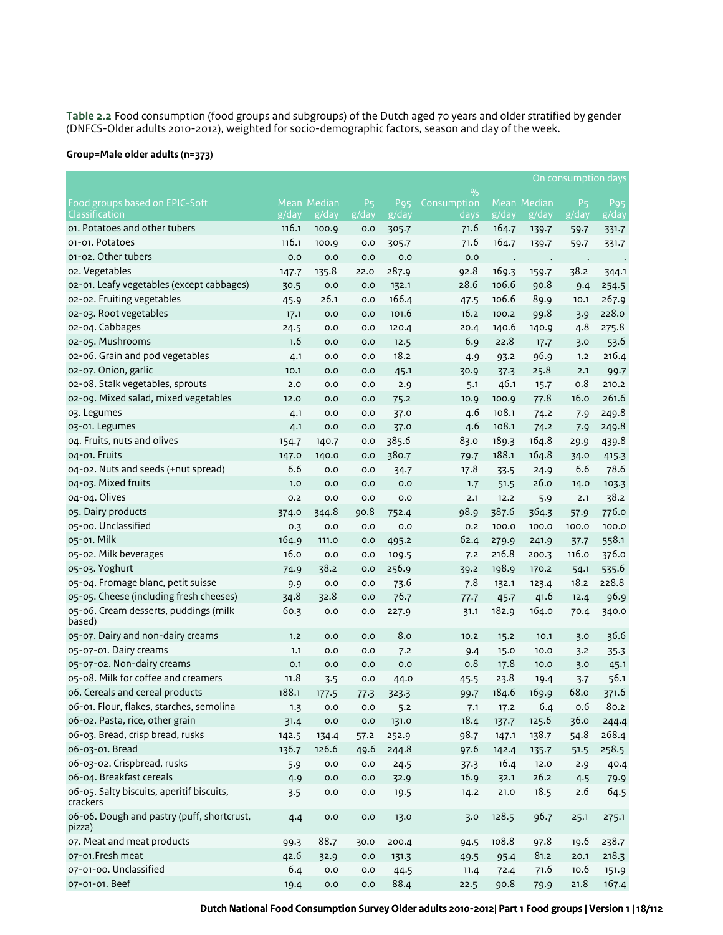**Table 2.2** Food consumption (food groups and subgroups) of the Dutch aged 70 years and older stratified by gender (DNFCS-Older adults 2010-2012), weighted for socio-demographic factors, season and day of the week.

### **Group=Male older adults (n=373)**

|                                                       |               |                                   |                         |                                   |                     |                |                      | On consumption days                                   |                                                  |
|-------------------------------------------------------|---------------|-----------------------------------|-------------------------|-----------------------------------|---------------------|----------------|----------------------|-------------------------------------------------------|--------------------------------------------------|
|                                                       |               |                                   |                         |                                   | $\%$                |                |                      |                                                       |                                                  |
| Food groups based on EPIC-Soft<br>Classification      | g/day         | Mean Median<br>$\overline{g}/day$ | P <sub>5</sub><br>g/day | P <sub>95</sub><br>$\sqrt{g/day}$ | Consumption<br>days | g/day          | Mean Median<br>g/day | <b>P<sub>5</sub></b><br>$\overline{g}/\overline{day}$ | P <sub>95</sub><br>$\overline{g}/\overline{day}$ |
| 01. Potatoes and other tubers                         | 116.1         | 100.9                             | 0.0                     | 305.7                             | 71.6                | 164.7          |                      |                                                       |                                                  |
| 01-01. Potatoes                                       | 116.1         | 100.9                             | 0.0                     | 305.7                             | 71.6                | 164.7          | 139.7<br>139.7       | 59.7<br>59.7                                          | 331.7                                            |
| 01-02. Other tubers                                   | 0.0           | 0.0                               | 0.0                     | 0.0                               | 0.0                 |                |                      |                                                       | 331.7                                            |
| o2. Vegetables                                        |               | 135.8                             | 22.0                    | 287.9                             | 92.8                | 169.3          | $\bullet$            | 38.2                                                  |                                                  |
| 02-01. Leafy vegetables (except cabbages)             | 147.7<br>30.5 | 0.0                               | 0.0                     | 132.1                             | 28.6                | 106.6          | 159.7<br>90.8        | 9.4                                                   | 344.1<br>254.5                                   |
| 02-02. Fruiting vegetables                            | 45.9          | 26.1                              | 0.0                     | 166.4                             | 47.5                | 106.6          | 89.9                 | 10.1                                                  | 267.9                                            |
| 02-03. Root vegetables                                | 17.1          | 0.0                               | 0.0                     | 101.6                             | 16.2                | 100.2          | 99.8                 |                                                       | 228.0                                            |
| 02-04. Cabbages                                       | 24.5          | 0.0                               | 0.0                     | 120.4                             | 20.4                | 140.6          | 140.9                | 3.9<br>4.8                                            | 275.8                                            |
| 02-05. Mushrooms                                      | 1.6           | 0.0                               | 0.0                     | 12.5                              | 6.9                 | 22.8           | 17.7                 |                                                       | 53.6                                             |
| o2-o6. Grain and pod vegetables                       |               | 0.0                               | 0.0                     | 18.2                              |                     |                | 96.9                 | 3.0<br>1.2                                            | 216.4                                            |
| 02-07. Onion, garlic                                  | 4.1<br>10.1   | 0.0                               | 0.0                     |                                   | 4.9                 | 93.2           | 25.8                 |                                                       |                                                  |
| 02-08. Stalk vegetables, sprouts                      |               | 0.0                               |                         | 45.1                              | 30.9                | 37.3           |                      | 2.1<br>0.8                                            | 99.7                                             |
| 02-09. Mixed salad, mixed vegetables                  | 2.0           |                                   | 0.0                     | 2.9                               | 5.1                 | 46.1           | 15.7<br>77.8         | 16.0                                                  | 210.2<br>261.6                                   |
|                                                       | 12.0          | 0.0                               | 0.0                     | 75.2                              | 10.9                | 100.9<br>108.1 |                      |                                                       |                                                  |
| 03. Legumes                                           | 4.1           | 0.0                               | 0.0                     | 37.0                              | 4.6                 | 108.1          | 74.2                 | 7.9                                                   | 249.8                                            |
| 03-01. Legumes                                        | 4.1           | 0.0                               | 0.0                     | 37.0                              | 4.6                 |                | 74.2                 | 7.9                                                   | 249.8                                            |
| 04. Fruits, nuts and olives                           | 154.7         | 140.7                             | 0.0                     | 385.6                             | 83.0                | 189.3          | 164.8                | 29.9                                                  | 439.8                                            |
| 04-01. Fruits                                         | 147.0<br>6.6  | 140.0                             | 0.0                     | 380.7                             | 79.7                | 188.1          | 164.8                | 34.0                                                  | 415.3                                            |
| 04-02. Nuts and seeds (+nut spread)                   |               | 0.0                               | 0.0                     | 34.7                              | 17.8                | 33.5           | 24.9                 | 6.6                                                   | 78.6                                             |
| 04-03. Mixed fruits                                   | 1.0           | 0.0                               | 0.0                     | 0.0                               | 1.7                 | 51.5           | 26.0                 | 14.0                                                  | 103.3                                            |
| 04-04. Olives                                         | 0.2           | 0.0                               | 0.0                     | 0.0                               | 2.1                 | 12.2           | 5.9                  | 2.1                                                   | 38.2                                             |
| 05. Dairy products                                    | 374.0         | 344.8                             | 90.8                    | 752.4                             | 98.9                | 387.6          | 364.3                | 57.9                                                  | 776.0                                            |
| 05-00. Unclassified                                   | 0.3           | 0.0                               | 0.0                     | 0.0                               | 0.2                 | 100.0          | 100.0                | 100.0                                                 | 100.0                                            |
| 05-01. Milk                                           | 164.9         | 111.0                             | 0.0                     | 495.2                             | 62.4                | 279.9          | 241.9                | 37.7                                                  | 558.1                                            |
| 05-02. Milk beverages                                 | 16.0          | 0.0                               | 0.0                     | 109.5                             | 7.2                 | 216.8          | 200.3                | 116.0                                                 | 376.0                                            |
| 05-03. Yoghurt                                        | 74.9          | 38.2                              | 0.0                     | 256.9                             | 39.2                | 198.9          | 170.2                | 54.1                                                  | 535.6                                            |
| 05-04. Fromage blanc, petit suisse                    | 9.9           | 0.0                               | 0.0                     | 73.6                              | 7.8                 | 132.1          | 123.4                | 18.2                                                  | 228.8                                            |
| 05-05. Cheese (including fresh cheeses)               | 34.8          | 32.8                              | 0.0                     | 76.7                              | 77.7                | 45.7           | 41.6                 | 12.4                                                  | 96.9                                             |
| 05-06. Cream desserts, puddings (milk<br>based)       | 60.3          | 0.0                               | 0.0                     | 227.9                             | 31.1                | 182.9          | 164.0                | 70.4                                                  | 340.0                                            |
| 05-07. Dairy and non-dairy creams                     | 1.2           | 0.0                               | 0.0                     | 8.0                               | 10.2                | 15.2           | 10.1                 | 3.0                                                   | 36.6                                             |
| 05-07-01. Dairy creams                                | 1.1           | 0.0                               | 0.0                     | 7.2                               | 9.4                 | 15.0           | 10.0                 | 3.2                                                   | 35.3                                             |
| 05-07-02. Non-dairy creams                            | 0.1           | 0.0                               | 0.0                     | 0.0                               | 0.8                 | 17.8           | 10.0                 | 3.0                                                   | 45.1                                             |
| 05-08. Milk for coffee and creamers                   | 11.8          | 3.5                               | 0.0                     | 44.0                              | 45.5                | 23.8           | 19.4                 | $3-7$                                                 | 56.1                                             |
| 06. Cereals and cereal products                       | 188.1         | 177.5                             | 77.3                    | 323.3                             | 99.7                | 184.6          | 169.9                | 68.o                                                  | 371.6                                            |
| 06-01. Flour, flakes, starches, semolina              | 1.3           | $_{\rm 0.0}$                      | 0.0                     | 5.2                               | 7.1                 | 17.2           | 6.4                  | 0.6                                                   | 80.2                                             |
| 06-02. Pasta, rice, other grain                       | 31.4          | $_{\rm 0.0}$                      | 0.0                     | 131.0                             | 18.4                | 137.7          | 125.6                | 36.0                                                  | 244.4                                            |
| 06-03. Bread, crisp bread, rusks                      | 142.5         | 134.4                             | 57.2                    | 252.9                             | 98.7                | 147.1          | 138.7                | 54.8                                                  | 268.4                                            |
| 06-03-01. Bread                                       | 136.7         | 126.6                             | 49.6                    | 244.8                             | 97.6                | 142.4          | 135.7                | 51.5                                                  | 258.5                                            |
| 06-03-02. Crispbread, rusks                           | 5.9           | $_{\rm 0.0}$                      | 0.0                     | 24.5                              | 37.3                | 16.4           | 12.0                 | 2.9                                                   | 40.4                                             |
| 06-04. Breakfast cereals                              | 4.9           | 0.0                               | 0.0                     | 32.9                              | 16.9                | 32.1           | 26.2                 | 4.5                                                   | 79.9                                             |
| 06-05. Salty biscuits, aperitif biscuits,<br>crackers | 3.5           | $_{0.0}$                          | 0.0                     | 19.5                              | 14.2                | 21.0           | 18.5                 | 2.6                                                   | 64.5                                             |
| 06-06. Dough and pastry (puff, shortcrust,<br>pizza)  | 4.4           | 0.0                               | 0.0                     | 13.0                              | 3.0                 | 128.5          | 96.7                 | 25.1                                                  | 275.1                                            |
| 07. Meat and meat products                            | 99.3          | 88.7                              | 30.0                    | 200.4                             | 94.5                | 108.8          | 97.8                 | 19.6                                                  | 238.7                                            |
| 07-01.Fresh meat                                      | 42.6          | 32.9                              | 0.0                     | 131.3                             | 49.5                | 95.4           | 81.2                 | 20.1                                                  | 218.3                                            |
| 07-01-00. Unclassified                                | 6.4           | 0.0                               | 0.0                     | 44.5                              | 11.4                | 72.4           | 71.6                 | 10.6                                                  | 151.9                                            |
| 07-01-01. Beef                                        | 19.4          | 0.0                               | 0.0                     | 88.4                              | 22.5                | 90.8           | 79.9                 | 21.8                                                  | 167.4                                            |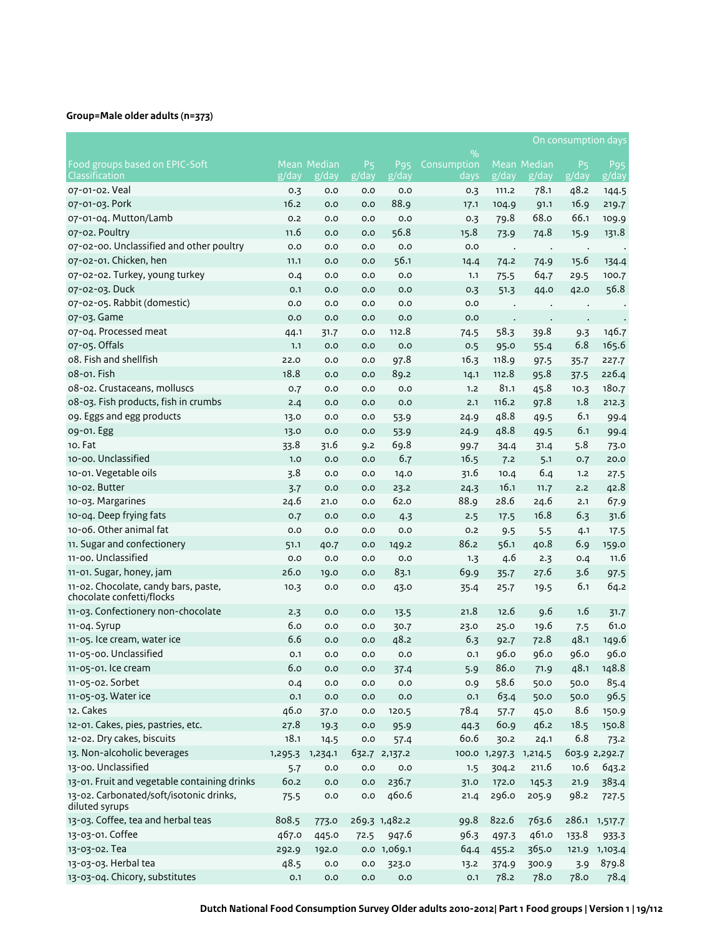# **Group=Male older adults (n=373)**

|                                                                   |         |                      |                         |                                 |                     |                       |                      |                                                       | On consumption days      |
|-------------------------------------------------------------------|---------|----------------------|-------------------------|---------------------------------|---------------------|-----------------------|----------------------|-------------------------------------------------------|--------------------------|
|                                                                   |         |                      |                         |                                 | $\%$                |                       |                      |                                                       |                          |
| Food groups based on EPIC-Soft<br>Classification                  | g/day   | Mean Median<br>g/day | P <sub>5</sub><br>g/day | <b>P</b> <sub>95</sub><br>g/day | Consumption<br>days | g/day                 | Mean Median<br>g/day | <b>P<sub>5</sub></b><br>$\overline{g}/\overline{day}$ | P <sub>95</sub><br>g/day |
| 07-01-02. Veal                                                    | 0.3     | 0.0                  | 0.0                     | 0.0                             | 0.3                 | 111.2                 | 78.1                 | 48.2                                                  | 144.5                    |
| 07-01-03. Pork                                                    | 16.2    | 0.0                  | 0.0                     | 88.9                            | 17.1                | 104.9                 | 91.1                 | 16.9                                                  | 219.7                    |
| 07-01-04. Mutton/Lamb                                             | 0.2     | 0.0                  | 0.0                     | 0.0                             | 0.3                 | 79.8                  | 68.o                 | 66.1                                                  | 109.9                    |
| 07-02. Poultry                                                    | 11.6    | 0.0                  | 0.0                     | 56.8                            | 15.8                | 73.9                  | 74.8                 | 15.9                                                  | 131.8                    |
| 07-02-00. Unclassified and other poultry                          | 0.0     | 0.0                  | 0.0                     | 0.0                             | 0.0                 | $\blacksquare$        |                      | $\bullet$                                             |                          |
| 07-02-01. Chicken, hen                                            | 11.1    | 0.0                  | 0.0                     | 56.1                            | 14.4                | 74.2                  | 74.9                 | 15.6                                                  | 134.4                    |
| 07-02-02. Turkey, young turkey                                    | 0.4     | 0.0                  | 0.0                     | 0.0                             | 1.1                 | 75.5                  | 64.7                 | 29.5                                                  | 100.7                    |
| 07-02-03. Duck                                                    | 0.1     | 0.0                  | 0.0                     | 0.0                             | 0.3                 | 51.3                  | 44.0                 | 42.0                                                  | 56.8                     |
| 07-02-05. Rabbit (domestic)                                       | 0.0     | 0.0                  | 0.0                     | 0.0                             | 0.0                 |                       |                      |                                                       |                          |
| 07-03. Game                                                       | 0.0     | 0.0                  | 0.0                     | 0.0                             | 0.0                 |                       |                      | $\bullet$                                             |                          |
| 07-04. Processed meat                                             | 44.1    | 31.7                 | 0.0                     | 112.8                           | 74.5                | 58.3                  | 39.8                 | 9.3                                                   | 146.7                    |
| 07-05. Offals                                                     | 1.1     | 0.0                  | 0.0                     | 0.0                             | 0.5                 | 95.0                  | 55.4                 | 6.8                                                   | 165.6                    |
| 08. Fish and shellfish                                            | 22.0    | 0.0                  | 0.0                     | 97.8                            | 16.3                | 118.9                 | 97.5                 | $35 - 7$                                              | 227.7                    |
| 08-01. Fish                                                       | 18.8    | 0.0                  | 0.0                     | 89.2                            | 14.1                | 112.8                 | 95.8                 | 37.5                                                  | 226.4                    |
| 08-02. Crustaceans, molluscs                                      | 0.7     | 0.0                  | 0.0                     | 0.0                             | 1.2                 | 81.1                  | 45.8                 | 10.3                                                  | 180.7                    |
| 08-03. Fish products, fish in crumbs                              | 2.4     | 0.0                  | 0.0                     | 0.0                             | 2.1                 | 116.2                 | 97.8                 | 1.8                                                   | 212.3                    |
| og. Eggs and egg products                                         | 13.0    | 0.0                  | 0.0                     | 53.9                            | 24.9                | 48.8                  | 49.5                 | 6.1                                                   | 99.4                     |
| 09-01. Egg                                                        | 13.0    | 0.0                  | 0.0                     | 53.9                            | 24.9                | 48.8                  | 49.5                 | 6.1                                                   | 99.4                     |
| 10. Fat                                                           | 33.8    | 31.6                 | 9.2                     | 69.8                            | 99.7                | 34.4                  | 31.4                 | 5.8                                                   | 73.0                     |
| 10-00. Unclassified                                               | 1.0     | 0.0                  | 0.0                     | 6.7                             | 16.5                | 7.2                   | 5.1                  | 0.7                                                   | 20.0                     |
| 10-01. Vegetable oils                                             | 3.8     | 0.0                  | 0.0                     | 14.0                            | 31.6                | 10.4                  | 6.4                  | 1.2                                                   | 27.5                     |
| 10-02. Butter                                                     | 3.7     | 0.0                  | 0.0                     | 23.2                            | 24.3                | 16.1                  | 11.7                 | 2.2                                                   | 42.8                     |
| 10-03. Margarines                                                 | 24.6    | 21.0                 | 0.0                     | 62.0                            | 88.9                | 28.6                  | 24.6                 | 2.1                                                   | 67.9                     |
| 10-04. Deep frying fats                                           | 0.7     | 0.0                  | 0.0                     | 4.3                             | 2.5                 | 17.5                  | 16.8                 | 6.3                                                   | 31.6                     |
| 10-06. Other animal fat                                           | 0.0     | 0.0                  | 0.0                     | 0.0                             | 0.2                 | 9.5                   | 5.5                  | 4.1                                                   | 17.5                     |
| 11. Sugar and confectionery                                       | 51.1    | 40.7                 | 0.0                     | 149.2                           | 86.2                | 56.1                  | 40.8                 | 6.9                                                   | 159.0                    |
| 11-00. Unclassified                                               | 0.0     | 0.0                  | 0.0                     | 0.0                             | 1.3                 | 4.6                   | 2.3                  | 0.4                                                   | 11.6                     |
| 11-01. Sugar, honey, jam                                          | 26.0    | 19.0                 | 0.0                     | 83.1                            | 69.9                | 35.7                  | 27.6                 | 3.6                                                   | 97.5                     |
| 11-02. Chocolate, candy bars, paste,<br>chocolate confetti/flocks | 10.3    | 0.0                  | 0.0                     | 43.0                            | 35.4                | 25.7                  | 19.5                 | 6.1                                                   | 64.2                     |
| 11-03. Confectionery non-chocolate                                | 2.3     | 0.0                  | 0.0                     | 13.5                            | 21.8                | 12.6                  | 9.6                  | 1.6                                                   | 31.7                     |
| 11-04. Syrup                                                      | 6.0     | 0.0                  | 0.0                     | 30.7                            | 23.0                | 25.0                  | 19.6                 | 7.5                                                   | 61.0                     |
| 11-05. Ice cream, water ice                                       | 6.6     | 0.0                  | 0.0                     | 48.2                            | 6.3                 | 92.7                  | 72.8                 | 48.1                                                  | 149.6                    |
| 11-05-00. Unclassified                                            | 0.1     | 0.0                  | 0.0                     | 0.0                             | 0.1                 | 96.0                  | 96.0                 | 96.0                                                  | 96.0                     |
| 11-05-01. Ice cream                                               | 6.0     | 0.0                  | 0.0                     | 37.4                            | 5.9                 | 86.0                  | 71.9                 | 48.1                                                  | 148.8                    |
| 11-05-02. Sorbet                                                  | 0.4     | 0.0                  | 0.0                     | 0.0                             | 0.9                 | 58.6                  | 50.0                 | 50.0                                                  | 85.4                     |
| 11-05-03. Water ice                                               | 0.1     | 0.0                  | 0.0                     | 0.0                             | 0.1                 | 63.4                  | 50.0                 | 50.0                                                  | 96.5                     |
| 12. Cakes                                                         | 46.0    | 37.0                 | 0.0                     | 120.5                           | 78.4                | 57.7                  | 45.0                 | 8.6                                                   | 150.9                    |
| 12-01. Cakes, pies, pastries, etc.                                | 27.8    | 19.3                 | 0.0                     | 95.9                            | 44.3                | 60.9                  | 46.2                 | 18.5                                                  | 150.8                    |
| 12-02. Dry cakes, biscuits                                        | 18.1    | 14.5                 | 0.0                     | 57.4                            | 60.6                | 30.2                  | 24.1                 | 6.8                                                   | 73.2                     |
| 13. Non-alcoholic beverages                                       | 1,295.3 | 1,234.1              |                         | 632.7 2,137.2                   |                     | 100.0 1,297.3 1,214.5 |                      |                                                       | 603.9 2,292.7            |
| 13-00. Unclassified                                               | 5.7     | 0.0                  | 0.0                     | 0.0                             | 1.5                 | 304.2                 | 211.6                | 10.6                                                  | 643.2                    |
| 13-01. Fruit and vegetable containing drinks                      | 60.2    | 0.0                  | 0.0                     | 236.7                           | 31.0                | 172.0                 | 145.3                | 21.9                                                  | 383.4                    |
| 13-02. Carbonated/soft/isotonic drinks,<br>diluted syrups         | 75.5    | 0.0                  | 0.0                     | 460.6                           | 21.4                | 296.0                 | 205.9                | 98.2                                                  | 727.5                    |
| 13-03. Coffee, tea and herbal teas                                | 808.5   | 773.0                |                         | 269.3 1,482.2                   | 99.8                | 822.6                 | 763.6                |                                                       | 286.1 1,517.7            |
| 13-03-01. Coffee                                                  | 467.0   | 445.0                | 72.5                    | 947.6                           | 96.3                | 497.3                 | 461.0                | 133.8                                                 | 933.3                    |
| 13-03-02. Tea                                                     | 292.9   | 192.0                |                         | 0.0 1,069.1                     | 64.4                | 455.2                 | 365.0                | 121.9                                                 | 1,103.4                  |
| 13-03-03. Herbal tea                                              | 48.5    | 0.0                  | 0.0                     | 323.0                           | 13.2                | 374.9                 | 300.9                | 3.9                                                   | 879.8                    |
| 13-03-04. Chicory, substitutes                                    | 0.1     | 0.0                  | 0.0                     | 0.0                             | 0.1                 | 78.2                  | 78.0                 | 78.0                                                  | 78.4                     |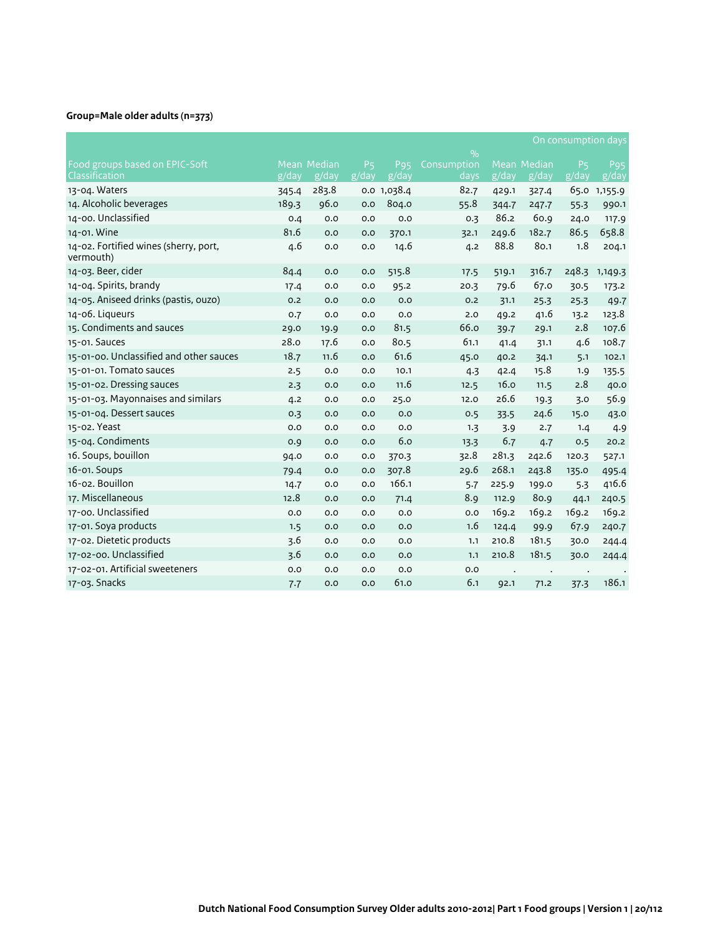# **Group=Male older adults (n=373)**

|                                                    |       |             |                    |                           |                              |       |                    | On consumption days  |                 |
|----------------------------------------------------|-------|-------------|--------------------|---------------------------|------------------------------|-------|--------------------|----------------------|-----------------|
| Food groups based on EPIC-Soft                     |       | Mean Median | P <sub>5</sub>     | P <sub>95</sub>           | $\frac{9}{0}$<br>Consumption |       | <b>Mean Median</b> | <b>P<sub>5</sub></b> | P <sub>95</sub> |
| Classification                                     | g/day | g/day       | $\overline{g}/day$ | $\overline{g}/\text{day}$ | days                         | g/day | g/day              | $\overline{g}/day$   | g/day           |
| 13-04. Waters                                      | 345.4 | 283.8       |                    | 0.0 1,038.4               | 82.7                         | 429.1 | 327.4              | 65.0                 | 1,155.9         |
| 14. Alcoholic beverages                            | 189.3 | 96.0        | 0.0                | 804.0                     | 55.8                         | 344.7 | 247.7              | 55.3                 | 990.1           |
| 14-00. Unclassified                                | 0.4   | 0.0         | 0.0                | O.O                       | 0.3                          | 86.2  | 60.9               | 24.0                 | 117.9           |
| 14-01. Wine                                        | 81.6  | 0.0         | 0.0                | 370.1                     | 32.1                         | 249.6 | 182.7              | 86.5                 | 658.8           |
| 14-02. Fortified wines (sherry, port,<br>vermouth) | 4.6   | 0.0         | 0.0                | 14.6                      | 4.2                          | 88.8  | 80.1               | 1.8                  | 204.1           |
| 14-03. Beer, cider                                 | 84.4  | 0.0         | 0.0                | 515.8                     | 17.5                         | 519.1 | 316.7              | 248.3                | 1,149.3         |
| 14-04. Spirits, brandy                             | 17.4  | 0.0         | 0.0                | 95.2                      | 20.3                         | 79.6  | 67.0               | 30.5                 | 173.2           |
| 14-05. Aniseed drinks (pastis, ouzo)               | 0.2   | O.O         | 0.0                | 0.0                       | 0.2                          | 31.1  | 25.3               | 25.3                 | 49.7            |
| 14-06. Liqueurs                                    | 0.7   | 0.0         | 0.0                | 0.0                       | 2.0                          | 49.2  | 41.6               | 13.2                 | 123.8           |
| 15. Condiments and sauces                          | 29.0  | 19.9        | 0.0                | 81.5                      | 66.0                         | 39.7  | 29.1               | 2.8                  | 107.6           |
| 15-01. Sauces                                      | 28.0  | 17.6        | 0.0                | 80.5                      | 61.1                         | 41.4  | 31.1               | 4.6                  | 108.7           |
| 15-01-00. Unclassified and other sauces            | 18.7  | 11.6        | 0.0                | 61.6                      | 45.0                         | 40.2  | 34.1               | 5.1                  | 102.1           |
| 15-01-01. Tomato sauces                            | 2.5   | 0.0         | 0.0                | 10.1                      | 4.3                          | 42.4  | 15.8               | 1.9                  | 135.5           |
| 15-01-02. Dressing sauces                          | 2.3   | 0.0         | 0.0                | 11.6                      | 12.5                         | 16.0  | 11.5               | 2.8                  | 40.0            |
| 15-01-03. Mayonnaises and similars                 | 4.2   | O.O         | 0.0                | 25.0                      | 12.0                         | 26.6  | 19.3               | 3.0                  | 56.9            |
| 15-01-04. Dessert sauces                           | 0.3   | 0.0         | 0.0                | 0.0                       | 0.5                          | 33.5  | 24.6               | 15.0                 | 43.0            |
| 15-02. Yeast                                       | 0.0   | 0.0         | 0.0                | 0.0                       | 1.3                          | 3.9   | 2.7                | 1.4                  | 4.9             |
| 15-04. Condiments                                  | 0.9   | 0.0         | 0.0                | 6.0                       | 13.3                         | 6.7   | 4.7                | 0.5                  | 20.2            |
| 16. Soups, bouillon                                | 94.0  | O.O         | 0.0                | 370.3                     | 32.8                         | 281.3 | 242.6              | 120.3                | 527.1           |
| 16-01. Soups                                       | 79.4  | 0.0         | 0.0                | 307.8                     | 29.6                         | 268.1 | 243.8              | 135.0                | 495.4           |
| 16-02. Bouillon                                    | 14.7  | 0.0         | 0.0                | 166.1                     | 5.7                          | 225.9 | 199.0              | 5.3                  | 416.6           |
| 17. Miscellaneous                                  | 12.8  | 0.0         | 0.0                | 71.4                      | 8.9                          | 112.9 | 80.9               | 44.1                 | 240.5           |
| 17-00. Unclassified                                | 0.0   | 0.0         | 0.0                | 0.0                       | 0.0                          | 169.2 | 169.2              | 169.2                | 169.2           |
| 17-01. Soya products                               | 1.5   | 0.0         | 0.0                | O.O                       | 1.6                          | 124.4 | 99.9               | 67.9                 | 240.7           |
| 17-02. Dietetic products                           | 3.6   | 0.0         | 0.0                | 0.0                       | 1.1                          | 210.8 | 181.5              | 30.0                 | 244.4           |
| 17-02-00. Unclassified                             | 3.6   | 0.0         | 0.0                | 0.0                       | 1.1                          | 210.8 | 181.5              | 30.0                 | 244.4           |
| 17-02-01. Artificial sweeteners                    | 0.0   | 0.0         | 0.0                | 0.0                       | 0.0                          |       |                    |                      |                 |
| 17-03. Snacks                                      | 7.7   | 0.0         | 0.0                | 61.0                      | 6.1                          | 92.1  | 71.2               | 37.3                 | 186.1           |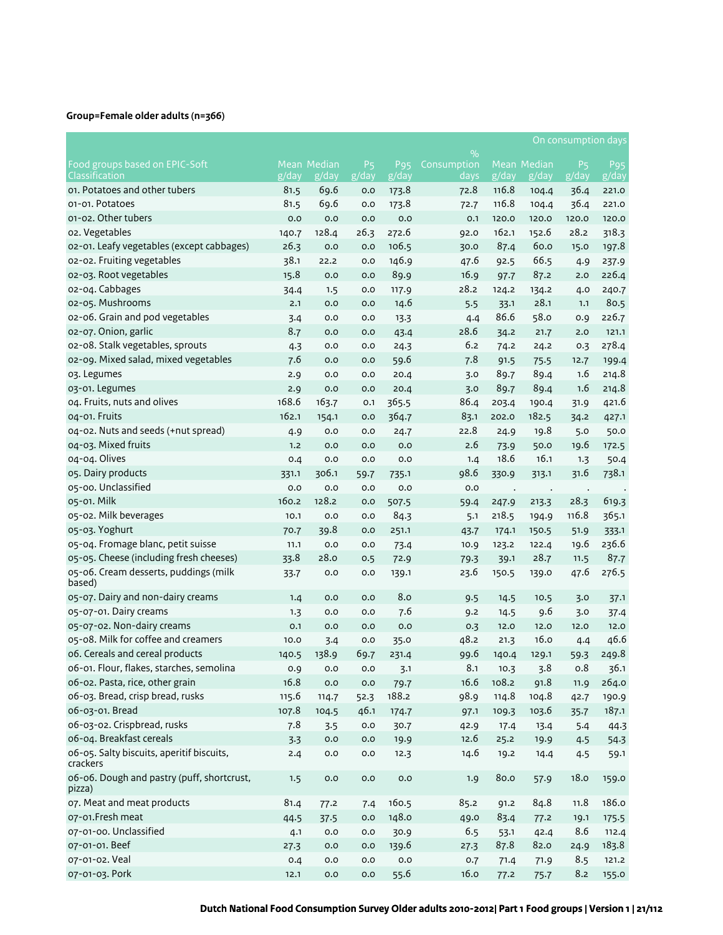|                                                                               |              |                      |                         |                          |                     |                |                      | On consumption days                             |                          |
|-------------------------------------------------------------------------------|--------------|----------------------|-------------------------|--------------------------|---------------------|----------------|----------------------|-------------------------------------------------|--------------------------|
|                                                                               |              |                      |                         |                          | $\%$                |                |                      |                                                 |                          |
| Food groups based on EPIC-Soft<br>Classification                              | g/day        | Mean Median<br>g/day | P <sub>5</sub><br>g/day | P <sub>95</sub><br>g/day | Consumption<br>days | g/day          | Mean Median<br>g/day | P <sub>5</sub><br>$\overline{g}/\overline{day}$ | P <sub>95</sub><br>g/day |
| 01. Potatoes and other tubers                                                 | 81.5         | 69.6                 | 0.0                     | 173.8                    | 72.8                | 116.8          | 104.4                | 36.4                                            | 221.0                    |
| 01-01. Potatoes                                                               | 81.5         | 69.6                 | 0.0                     | 173.8                    | 72.7                | 116.8          | 104.4                | 36.4                                            | 221.0                    |
| 01-02. Other tubers                                                           | 0.0          | 0.0                  | 0.0                     | 0.0                      | 0.1                 | 120.0          | 120.0                | 120.0                                           | 120.0                    |
| o2. Vegetables                                                                | 140.7        | 128.4                | 26.3                    | 272.6                    | 92.0                | 162.1          | 152.6                | 28.2                                            | 318.3                    |
| 02-01. Leafy vegetables (except cabbages)                                     | 26.3         | 0.0                  | 0.0                     | 106.5                    | 30.0                | 87.4           | 60.0                 | 15.0                                            | 197.8                    |
| 02-02. Fruiting vegetables                                                    | 38.1         | 22.2                 | 0.0                     | 146.9                    | 47.6                | 92.5           | 66.5                 | 4.9                                             | 237.9                    |
| 02-03. Root vegetables                                                        | 15.8         | 0.0                  | 0.0                     | 89.9                     | 16.9                | 97.7           | 87.2                 | 2.0                                             | 226.4                    |
| 02-04. Cabbages                                                               | 34.4         | 1.5                  | 0.0                     | 117.9                    | 28.2                | 124.2          | 134.2                | 4.0                                             | 240.7                    |
| 02-05. Mushrooms                                                              | 2.1          | 0.0                  | 0.0                     | 14.6                     | 5.5                 | 33.1           | 28.1                 | 1.1                                             | 80.5                     |
| o2-o6. Grain and pod vegetables                                               | 3.4          | 0.0                  | 0.0                     | 13.3                     | 4.4                 | 86.6           | 58.0                 | 0.9                                             | 226.7                    |
| 02-07. Onion, garlic                                                          | 8.7          | 0.0                  | 0.0                     | 43.4                     | 28.6                | 34.2           | 21.7                 | 2.0                                             | 121.1                    |
| 02-08. Stalk vegetables, sprouts                                              | 4.3          | 0.0                  | 0.0                     | 24.3                     | 6.2                 | 74.2           | 24.2                 | 0.3                                             | 278.4                    |
| 02-09. Mixed salad, mixed vegetables                                          | 7.6          | 0.0                  | 0.0                     | 59.6                     | 7.8                 | 91.5           | 75.5                 | 12.7                                            | 199.4                    |
| 03. Legumes                                                                   | 2.9          | 0.0                  | 0.0                     | 20.4                     | 3.0                 | 89.7           | 89.4                 | 1.6                                             | 214.8                    |
| 03-01. Legumes                                                                | 2.9          | 0.0                  | 0.0                     | 20.4                     | 3.0                 | 89.7           | 89.4                 | 1.6                                             | 214.8                    |
| 04. Fruits, nuts and olives                                                   | 168.6        | 163.7                | 0.1                     | 365.5                    | 86.4                | 203.4          | 190.4                |                                                 | 421.6                    |
| 04-01. Fruits                                                                 | 162.1        | 154.1                | 0.0                     | 364.7                    | 83.1                | 202.0          | 182.5                | 31.9<br>34.2                                    |                          |
| 04-02. Nuts and seeds (+nut spread)                                           |              | 0.0                  | 0.0                     | 24.7                     | 22.8                | 24.9           | 19.8                 | 5.0                                             | 427.1<br>50.0            |
| 04-03. Mixed fruits                                                           | 4.9<br>1.2   | 0.0                  | 0.0                     | 0.0                      | 2.6                 |                | 50.0                 | 19.6                                            |                          |
| 04-04. Olives                                                                 |              | 0.0                  | 0.0                     | 0.0                      | 1.4                 | 73.9<br>18.6   | 16.1                 |                                                 | 172.5                    |
| 05. Dairy products                                                            | 0.4          | 306.1                |                         |                          | 98.6                |                |                      | 1.3<br>31.6                                     | 50.4<br>738.1            |
| 05-00. Unclassified                                                           | 331.1<br>0.0 | 0.0                  | 59.7<br>0.0             | 735.1<br>0.0             | 0.0                 | 330.9          | 313.1                |                                                 |                          |
| 05-01. Milk                                                                   | 160.2        | 128.2                | 0.0                     |                          |                     |                |                      | $\bullet$<br>28.3                               |                          |
| 05-02. Milk beverages                                                         | 10.1         | 0.0                  | 0.0                     | 507.5<br>84.3            | 59.4                | 247.9<br>218.5 | 213.3                | 116.8                                           | 619.3<br>365.1           |
| 05-03. Yoghurt                                                                |              |                      |                         |                          | 5.1                 |                | 194.9                |                                                 |                          |
|                                                                               | 70.7         | 39.8                 | 0.0                     | 251.1                    | 43.7                | 174.1          | 150.5                | 51.9                                            | 333.1                    |
| 05-04. Fromage blanc, petit suisse<br>05-05. Cheese (including fresh cheeses) | 11.1         | 0.0<br>28.0          | 0.0                     | 73.4                     | 10.9                | 123.2          | 122.4<br>28.7        | 19.6                                            | 236.6<br>87.7            |
| 05-06. Cream desserts, puddings (milk                                         | 33.8         |                      | 0.5                     | 72.9                     | 79.3                | 39.1           |                      | 11.5                                            | 276.5                    |
| based)                                                                        | 33.7         | 0.0                  | 0.0                     | 139.1                    | 23.6                | 150.5          | 139.0                | 47.6                                            |                          |
| 05-07. Dairy and non-dairy creams                                             | 1.4          | 0.0                  | 0.0                     | 8.0                      | 9.5                 | 14.5           | 10.5                 | 3.0                                             | 37.1                     |
| 05-07-01. Dairy creams                                                        | 1.3          | 0.0                  | 0.0                     | 7.6                      | 9.2                 | 14.5           | 9.6                  | 3.0                                             | 37.4                     |
| 05-07-02. Non-dairy creams                                                    | O.1          | 0.0                  | 0.0                     | 0.0                      | 0.3                 | 12.0           | 12.0                 | 12.0                                            | 12.0                     |
| 05-08. Milk for coffee and creamers                                           | 10.0         | 3.4                  | 0.0                     | 35.0                     | 48.2                | 21.3           | 16.0                 | 4.4                                             | 46.6                     |
| o6. Cereals and cereal products                                               | 140.5        | 138.9                | 69.7                    | 231.4                    | 99.6                | 140.4          | 129.1                | 59.3                                            | 249.8                    |
| 06-01. Flour, flakes, starches, semolina                                      | 0.9          | $_{0.0}$             | $_{\rm 0.0}$            | 3.1                      | 8.1                 | 10.3           | 3.8                  | 0.8                                             | 36.1                     |
| 06-02. Pasta, rice, other grain                                               | 16.8         | 0.0                  | $_{\rm 0.0}$            | 79.7                     | 16.6                | 108.2          | 91.8                 | 11.9                                            | 264.0                    |
| 06-03. Bread, crisp bread, rusks                                              | 115.6        | 114.7                | 52.3                    | 188.2                    | 98.9                | 114.8          | 104.8                | 42.7                                            | 190.9                    |
| 06-03-01. Bread                                                               | 107.8        | 104.5                | 46.1                    | 174.7                    | 97.1                | 109.3          | 103.6                | 35.7                                            | 187.1                    |
| 06-03-02. Crispbread, rusks                                                   | 7.8          | 3.5                  | 0.0                     | 30.7                     | 42.9                | 17.4           | 13.4                 | 5.4                                             | 44.3                     |
| 06-04. Breakfast cereals                                                      | 3.3          | $_{\rm 0.0}$         | 0.0                     | 19.9                     | 12.6                | 25.2           | 19.9                 | 4.5                                             | 54.3                     |
| 06-05. Salty biscuits, aperitif biscuits,<br>crackers                         | 2.4          | $_{\rm 0.0}$         | 0.0                     | 12.3                     | 14.6                | 19.2           | 14.4                 | 4.5                                             | 59.1                     |
| o6-o6. Dough and pastry (puff, shortcrust,<br>pizza)                          | 1.5          | 0.0                  | 0.0                     | $_{\rm 0.0}$             | 1.9                 | 80.0           | 57.9                 | 18.0                                            | 159.0                    |
| 07. Meat and meat products                                                    | 81.4         | 77.2                 | 7.4                     | 160.5                    | 85.2                | 91.2           | 84.8                 | 11.8                                            | 186.0                    |
| 07-01.Fresh meat                                                              | 44.5         | 37.5                 | $_{\rm 0.0}$            | 148.0                    | 49.0                | 83.4           | 77.2                 | 19.1                                            | 175.5                    |
| 07-01-00. Unclassified                                                        | 4.1          | $_{\rm 0.0}$         | $_{\rm 0.0}$            | 30.9                     | 6.5                 | 53.1           | 42.4                 | 8.6                                             | 112.4                    |
| 07-01-01. Beef                                                                | 27.3         | 0.0                  | 0.0                     | 139.6                    | 27.3                | 87.8           | 82.0                 | 24.9                                            | 183.8                    |
| 07-01-02. Veal                                                                | 0.4          | 0.0                  | 0.0                     | $_{\rm 0.0}$             | 0.7                 | 71.4           | 71.9                 | 8.5                                             | 121.2                    |
| 07-01-03. Pork                                                                | 12.1         | $_{\rm 0.0}$         | $_{\rm 0.0}$            | 55.6                     | 16.0                | 77.2           | 75.7                 | 8.2                                             | 155.0                    |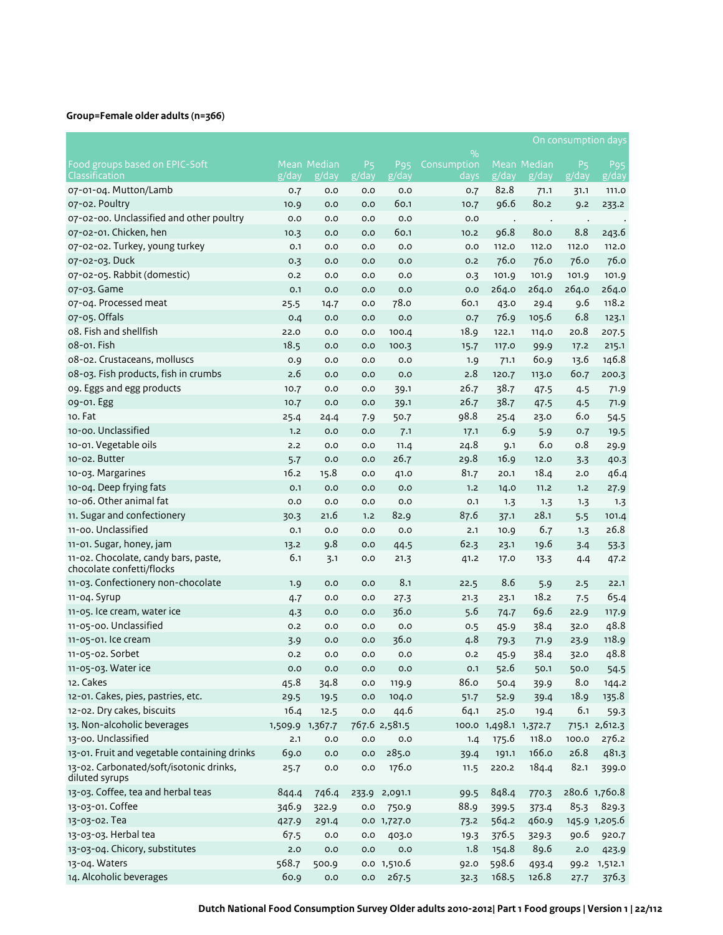|                                                                   |                 |                      |                         |               |                     |                       |                      |                                      | On consumption days      |
|-------------------------------------------------------------------|-----------------|----------------------|-------------------------|---------------|---------------------|-----------------------|----------------------|--------------------------------------|--------------------------|
|                                                                   |                 |                      |                         |               | $\frac{9}{0}$       |                       |                      |                                      |                          |
| Food groups based on EPIC-Soft<br>Classification                  | g/day           | Mean Median<br>g/day | P <sub>5</sub><br>g/day | P95<br>g/day  | Consumption<br>days | g/day                 | Mean Median<br>g/day | P <sub>5</sub><br>$\overline{g}/day$ | P <sub>95</sub><br>g/day |
| 07-01-04. Mutton/Lamb                                             |                 | 0.0                  | 0.0                     | 0.0           |                     | 82.8                  | 71.1                 |                                      | 111.0                    |
| 07-02. Poultry                                                    | 0.7             | 0.0                  | 0.0                     | 60.1          | 0.7                 | 96.6                  | 80.2                 | 31.1                                 |                          |
| 07-02-00. Unclassified and other poultry                          | 10.9<br>0.0     | 0.0                  | 0.0                     | 0.0           | 10.7<br>0.0         |                       |                      | 9.2                                  | 233.2                    |
| 07-02-01. Chicken, hen                                            |                 |                      |                         | 60.1          |                     | $\cdot$<br>96.8       | 80.0                 | 8.8                                  |                          |
|                                                                   | 10.3            | 0.0                  | 0.0                     |               | 10.2                |                       |                      |                                      | 243.6                    |
| 07-02-02. Turkey, young turkey                                    | 0.1             | 0.0                  | 0.0                     | 0.0           | 0.0                 | 112.0<br>76.0         | 112.0<br>76.0        | 112.0<br>76.0                        | 112.0<br>76.0            |
| 07-02-03. Duck                                                    | 0.3             | 0.0                  | 0.0                     | 0.0           | 0.2                 |                       |                      |                                      |                          |
| 07-02-05. Rabbit (domestic)                                       | 0.2             | 0.0                  | 0.0                     | 0.0           | 0.3                 | 101.9                 | 101.9                | 101.9                                | 101.9                    |
| 07-03. Game<br>07-04. Processed meat                              | 0.1             | 0.0                  | 0.0                     | 0.0<br>78.0   | 0.0<br>60.1         | 264.0                 | 264.0                | 264.0                                | 264.0<br>118.2           |
| 07-05. Offals                                                     | 25.5            | 14.7                 | 0.0                     |               |                     | 43.0                  | 29.4                 | 9.6<br>6.8                           |                          |
| 08. Fish and shellfish                                            | 0.4             | 0.0                  | 0.0                     | 0.0           | 0.7                 | 76.9                  | 105.6                |                                      | 123.1                    |
| 08-01. Fish                                                       | 22.0            | 0.0                  | 0.0                     | 100.4         | 18.9                | 122.1                 | 114.0                | 20.8                                 | 207.5                    |
|                                                                   | 18.5            | 0.0                  | 0.0                     | 100.3         | 15.7                | 117.0                 | 99.9                 | 17.2                                 | 215.1                    |
| 08-02. Crustaceans, molluscs                                      | 0.9             | 0.0                  | 0.0                     | 0.0           | 1.9                 | 71.1                  | 60.9                 | 13.6                                 | 146.8                    |
| 08-03. Fish products, fish in crumbs                              | 2.6             | 0.0                  | 0.0                     | 0.0           | 2.8                 | 120.7                 | 113.0                | 60.7                                 | 200.3                    |
| og. Eggs and egg products                                         | 10.7            | 0.0                  | 0.0                     | 39.1          | 26.7                | 38.7                  | 47.5                 | 4.5                                  | 71.9                     |
| 09-01. Egg                                                        | 10.7            | 0.0                  | 0.0                     | 39.1          | 26.7                | 38.7                  | 47.5                 | 4.5                                  | 71.9                     |
| 10. Fat                                                           | 25.4            | 24.4                 | 7.9                     | 50.7          | 98.8                | 25.4                  | 23.0                 | 6.0                                  | 54.5                     |
| 10-00. Unclassified                                               | 1.2             | 0.0                  | 0.0                     | 7.1           | 17.1                | 6.9                   | 5.9                  | 0.7                                  | 19.5                     |
| 10-01. Vegetable oils                                             | 2.2             | 0.0                  | 0.0                     | 11.4          | 24.8                | 9.1                   | 6.0                  | 0.8                                  | 29.9                     |
| 10-02. Butter                                                     | 5.7             | 0.0                  | 0.0                     | 26.7          | 29.8                | 16.9                  | 12.0                 | 3.3                                  | 40.3                     |
| 10-03. Margarines                                                 | 16.2            | 15.8                 | 0.0                     | 41.0          | 81.7                | 20.1                  | 18.4                 | 2.0                                  | 46.4                     |
| 10-04. Deep frying fats                                           | 0.1             | 0.0                  | 0.0                     | 0.0           | 1.2                 | 14.0                  | 11.2                 | 1.2                                  | 27.9                     |
| 10-06. Other animal fat                                           | 0.0             | 0.0                  | 0.0                     | 0.0           | 0.1                 | 1.3                   | 1.3                  | 1.3                                  | 1.3                      |
| 11. Sugar and confectionery                                       | 30.3            | 21.6                 | 1.2                     | 82.9          | 87.6                | 37.1                  | 28.1                 | 5.5                                  | 101.4                    |
| 11-00. Unclassified                                               | 0.1             | 0.0                  | 0.0                     | 0.0           | 2.1                 | 10.9                  | 6.7                  | 1.3                                  | 26.8                     |
| 11-01. Sugar, honey, jam                                          | 13.2            | 9.8                  | 0.0                     | 44.5          | 62.3                | 23.1                  | 19.6                 | 3.4                                  | 53.3                     |
| 11-02. Chocolate, candy bars, paste,<br>chocolate confetti/flocks | 6.1             | 3.1                  | 0.0                     | 21.3          | 41.2                | 17.0                  | 13.3                 | 4.4                                  | 47.2                     |
| 11-03. Confectionery non-chocolate                                | 1.9             | 0.0                  | 0.0                     | 8.1           | 22.5                | 8.6                   | 5.9                  | 2.5                                  | 22.1                     |
| 11-04. Syrup                                                      | 4.7             | 0.0                  | 0.0                     | 27.3          | 21.3                | 23.1                  | 18.2                 | 7.5                                  | 65.4                     |
| 11-05. Ice cream, water ice                                       | 4.3             | 0.0                  | 0.0                     | 36.0          | 5.6                 | 74.7                  | 69.6                 | 22.9                                 | 117.9                    |
| 11-05-00. Unclassified                                            | 0.2             | 0.0                  | 0.0                     | 0.0           | 0.5                 | 45.9                  | 38.4                 | 32.0                                 | 48.8                     |
| 11-05-01. Ice cream                                               | 3.9             | 0.0                  | 0.0                     | 36.0          | 4.8                 | 79.3                  | 71.9                 | 23.9                                 | 118.9                    |
| 11-05-02. Sorbet                                                  | 0.2             | 0.0                  | 0.0                     | 0.0           | 0.2                 | 45.9                  | 38.4                 | 32.0                                 | 48.8                     |
| 11-05-03. Water ice                                               | 0.0             | 0.0                  | 0.0                     | 0.0           | O.1                 | 52.6                  | 50.1                 | 50.0                                 | 54.5                     |
| 12. Cakes                                                         | 45.8            | 34.8                 | 0.0                     | 119.9         | 86.0                | 50.4                  | 39.9                 | 8.0                                  | 144.2                    |
| 12-01. Cakes, pies, pastries, etc.                                | 29.5            | 19.5                 | 0.0                     | 104.0         | 51.7                | 52.9                  | 39.4                 | 18.9                                 | 135.8                    |
| 12-02. Dry cakes, biscuits                                        | 16.4            | 12.5                 | 0.0                     | 44.6          | 64.1                | 25.0                  | 19.4                 | 6.1                                  | 59.3                     |
| 13. Non-alcoholic beverages                                       | 1,509.9 1,367.7 |                      |                         | 767.6 2,581.5 |                     | 100.0 1,498.1 1,372.7 |                      |                                      | 715.1 2,612.3            |
| 13-00. Unclassified                                               | 2.1             | 0.0                  | 0.0                     | 0.0           | 1.4                 | 175.6                 | 118.0                | 100.0                                | 276.2                    |
| 13-01. Fruit and vegetable containing drinks                      | 69.0            | 0.0                  | 0.0                     | 285.0         | 39.4                | 191.1                 | 166.0                | 26.8                                 | 481.3                    |
| 13-02. Carbonated/soft/isotonic drinks,<br>diluted syrups         | 25.7            | 0.0                  | 0.0                     | 176.0         | 11.5                | 220.2                 | 184.4                | 82.1                                 | 399.0                    |
| 13-03. Coffee, tea and herbal teas                                | 844.4           | 746.4                | 233.9                   | 2,091.1       | 99.5                | 848.4                 | 770.3                |                                      | 280.6 1,760.8            |
| 13-03-01. Coffee                                                  | 346.9           | 322.9                | 0.0                     | 750.9         | 88.9                | 399.5                 | 373.4                | 85.3                                 | 829.3                    |
| 13-03-02. Tea                                                     | 427.9           | 291.4                |                         | 0.0 1,727.0   | 73.2                | 564.2                 | 460.9                |                                      | 145.9 1,205.6            |
| 13-03-03. Herbal tea                                              | 67.5            | $_{\rm 0.0}$         | 0.0                     | 403.0         | 19.3                | 376.5                 | 329.3                | 90.6                                 | 920.7                    |
| 13-03-04. Chicory, substitutes                                    | 2.0             | 0.0                  | 0.0                     | 0.0           | 1.8                 | 154.8                 | 89.6                 | 2.0                                  | 423.9                    |
| 13-04. Waters                                                     | 568.7           | 500.9                |                         | 0.0 1,510.6   | 92.0                | 598.6                 | 493.4                | 99.2                                 | 1,512.1                  |
| 14. Alcoholic beverages                                           | 60.9            | 0.0                  | 0.0                     | 267.5         | 32.3                | 168.5                 | 126.8                | 27.7                                 | 376.3                    |
|                                                                   |                 |                      |                         |               |                     |                       |                      |                                      |                          |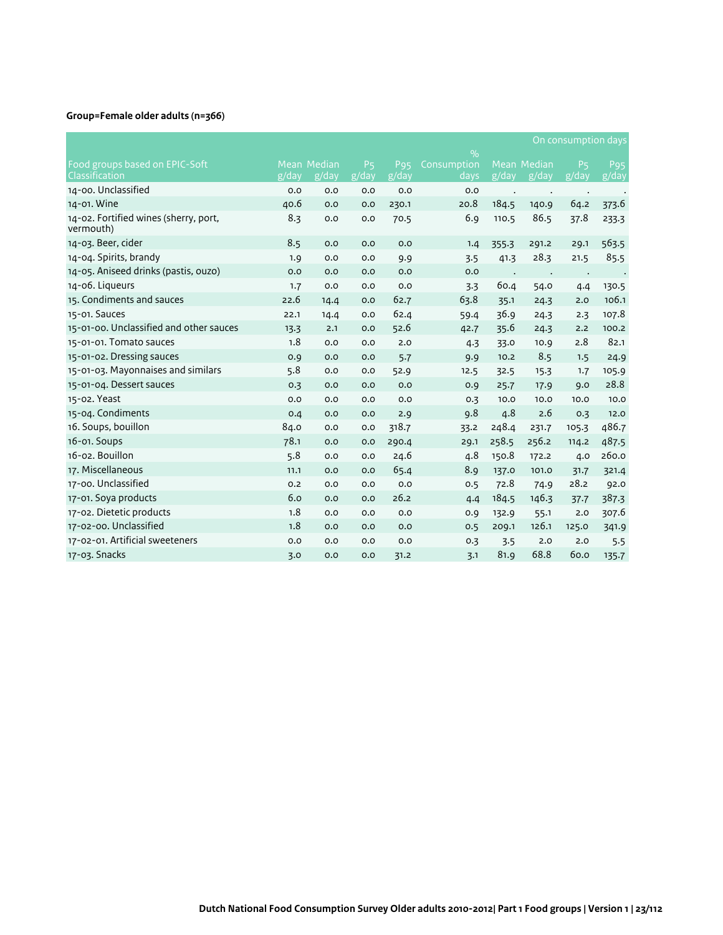|                                                    |                       |             |                         |                 |                              |       |             | On consumption days |              |
|----------------------------------------------------|-----------------------|-------------|-------------------------|-----------------|------------------------------|-------|-------------|---------------------|--------------|
| Food groups based on EPIC-Soft                     |                       | Mean Median |                         | P <sub>95</sub> | $\frac{9}{0}$<br>Consumption |       | Mean Median | P <sub>5</sub>      |              |
| Classification                                     | $\sqrt{g}/\sqrt{day}$ | g/day       | P <sub>5</sub><br>g/day | g/day           | days                         | g/day | g/day       | $\sqrt{g/d}$ ay     | P95<br>g/day |
| 14-00. Unclassified                                | 0.0                   | 0.0         | 0.0                     | O.O             | 0.0                          |       |             | $\bullet$           |              |
| 14-01. Wine                                        | 40.6                  | 0.0         | 0.0                     | 230.1           | 20.8                         | 184.5 | 140.9       | 64.2                | 373.6        |
| 14-02. Fortified wines (sherry, port,<br>vermouth) | 8.3                   | 0.0         | 0.0                     | 70.5            | 6.9                          | 110.5 | 86.5        | 37.8                | 233.3        |
| 14-03. Beer, cider                                 | 8.5                   | 0.0         | 0.0                     | 0.0             | 1.4                          | 355.3 | 291.2       | 29.1                | 563.5        |
| 14-04. Spirits, brandy                             | 1.9                   | 0.0         | 0.0                     | 9.9             | 3.5                          | 41.3  | 28.3        | 21.5                | 85.5         |
| 14-05. Aniseed drinks (pastis, ouzo)               | 0.0                   | O.O         | 0.0                     | O.O             | 0.0                          |       |             | $\bullet$           |              |
| 14-06. Liqueurs                                    | 1.7                   | 0.0         | 0.0                     | 0.0             | 3.3                          | 60.4  | 54.0        | 4.4                 | 130.5        |
| 15. Condiments and sauces                          | 22.6                  | 14.4        | 0.0                     | 62.7            | 63.8                         | 35.1  | 24.3        | 2.0                 | 106.1        |
| 15-01. Sauces                                      | 22.1                  | 14.4        | 0.0                     | 62.4            | 59.4                         | 36.9  | 24.3        | 2.3                 | 107.8        |
| 15-01-00. Unclassified and other sauces            | 13.3                  | 2.1         | 0.0                     | 52.6            | 42.7                         | 35.6  | 24.3        | 2.2                 | 100.2        |
| 15-01-01. Tomato sauces                            | 1.8                   | 0.0         | 0.0                     | 2.0             | 4.3                          | 33.0  | 10.9        | 2.8                 | 82.1         |
| 15-01-02. Dressing sauces                          | 0.9                   | 0.0         | 0.0                     | 5.7             | 9.9                          | 10.2  | 8.5         | 1.5                 | 24.9         |
| 15-01-03. Mayonnaises and similars                 | 5.8                   | 0.0         | 0.0                     | 52.9            | 12.5                         | 32.5  | 15.3        | 1.7                 | 105.9        |
| 15-01-04. Dessert sauces                           | 0.3                   | 0.0         | 0.0                     | 0.0             | 0.9                          | 25.7  | 17.9        | 9.0                 | 28.8         |
| 15-02. Yeast                                       | 0.0                   | 0.0         | 0.0                     | 0.0             | 0.3                          | 10.0  | 10.0        | 10.0                | 10.0         |
| 15-04. Condiments                                  | 0.4                   | 0.0         | 0.0                     | 2.9             | 9.8                          | 4.8   | 2.6         | 0.3                 | 12.0         |
| 16. Soups, bouillon                                | 84.0                  | 0.0         | 0.0                     | 318.7           | 33.2                         | 248.4 | 231.7       | 105.3               | 486.7        |
| 16-01. Soups                                       | 78.1                  | 0.0         | 0.0                     | 290.4           | 29.1                         | 258.5 | 256.2       | 114.2               | 487.5        |
| 16-02. Bouillon                                    | 5.8                   | 0.0         | 0.0                     | 24.6            | 4.8                          | 150.8 | 172.2       | 4.0                 | 260.0        |
| 17. Miscellaneous                                  | 11.1                  | O.O         | 0.0                     | 65.4            | 8.9                          | 137.0 | 101.0       | 31.7                | 321.4        |
| 17-00. Unclassified                                | 0.2                   | 0.0         | 0.0                     | 0.0             | 0.5                          | 72.8  | 74.9        | 28.2                | 92.0         |
| 17-01. Soya products                               | 6.0                   | 0.0         | 0.0                     | 26.2            | 4.4                          | 184.5 | 146.3       | 37.7                | 387.3        |
| 17-02. Dietetic products                           | 1.8                   | 0.0         | 0.0                     | 0.0             | 0.9                          | 132.9 | 55.1        | 2.0                 | 307.6        |
| 17-02-00. Unclassified                             | 1.8                   | 0.0         | 0.0                     | 0.0             | 0.5                          | 209.1 | 126.1       | 125.0               | 341.9        |
| 17-02-01. Artificial sweeteners                    | 0.0                   | 0.0         | 0.0                     | 0.0             | 0.3                          | 3.5   | 2.0         | 2.0                 | 5.5          |
| 17-03. Snacks                                      | 3.0                   | 0.0         | 0.0                     | 31.2            | 3.1                          | 81.9  | 68.8        | 60.0                | 135.7        |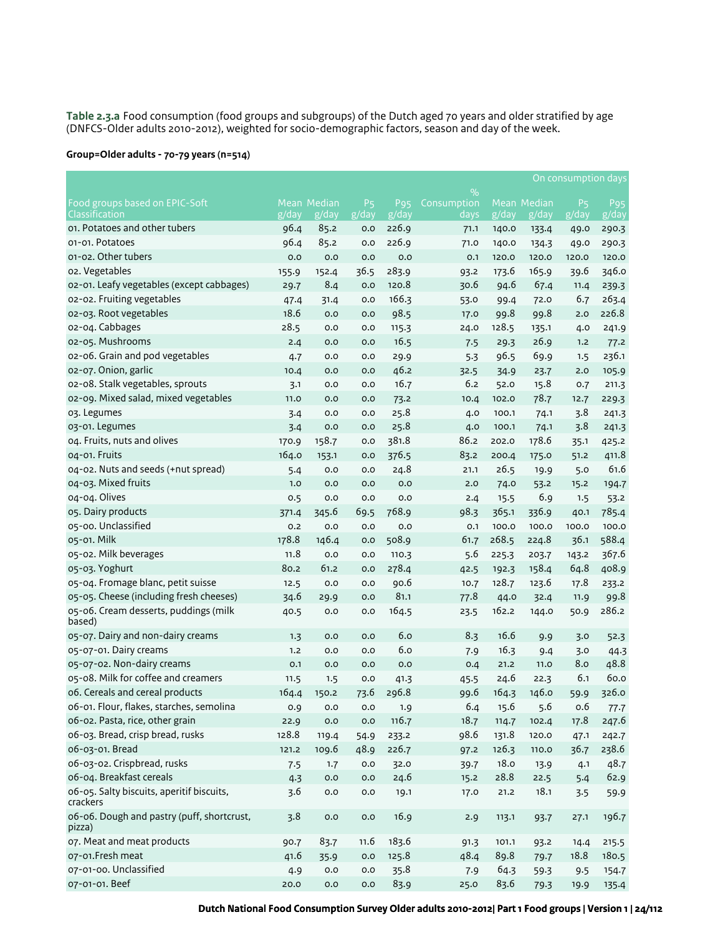**Table 2.3.a** Food consumption (food groups and subgroups) of the Dutch aged 70 years and older stratified by age (DNFCS-Older adults 2010-2012), weighted for socio-demographic factors, season and day of the week.

### **Group=Older adults - 70-79 years (n=514)**

|                                                       |       |                             |                         |                                 |                     |       |                      | On consumption days                                   |                                                  |
|-------------------------------------------------------|-------|-----------------------------|-------------------------|---------------------------------|---------------------|-------|----------------------|-------------------------------------------------------|--------------------------------------------------|
|                                                       |       |                             |                         |                                 | $\%$                |       |                      |                                                       |                                                  |
| Food groups based on EPIC-Soft<br>Classification      | g/day | <b>Mean Median</b><br>g/day | P <sub>5</sub><br>g/day | <b>P</b> <sub>95</sub><br>g/day | Consumption<br>days | g/day | Mean Median<br>g/day | <b>P<sub>5</sub></b><br>$\overline{g}/\overline{day}$ | P <sub>95</sub><br>$\overline{g}/\overline{day}$ |
| 01. Potatoes and other tubers                         | 96.4  | 85.2                        | 0.0                     | 226.9                           | 71.1                | 140.0 | 133.4                | 49.0                                                  | 290.3                                            |
| 01-01. Potatoes                                       | 96.4  | 85.2                        | 0.0                     | 226.9                           | 71.0                | 140.0 | 134.3                | 49.0                                                  | 290.3                                            |
| 01-02. Other tubers                                   | 0.0   | 0.0                         | 0.0                     | 0.0                             | 0.1                 | 120.0 | 120.0                | 120.0                                                 | 120.0                                            |
| o2. Vegetables                                        | 155.9 | 152.4                       | 36.5                    | 283.9                           | 93.2                | 173.6 | 165.9                | 39.6                                                  | 346.0                                            |
| 02-01. Leafy vegetables (except cabbages)             | 29.7  | 8.4                         | 0.0                     | 120.8                           | 30.6                | 94.6  | 67.4                 | 11.4                                                  | 239.3                                            |
| 02-02. Fruiting vegetables                            | 47.4  | 31.4                        | 0.0                     | 166.3                           | 53.0                | 99.4  | 72.0                 | 6.7                                                   | 263.4                                            |
| 02-03. Root vegetables                                | 18.6  | 0.0                         | 0.0                     | 98.5                            | 17.0                | 99.8  | 99.8                 | 2.0                                                   | 226.8                                            |
| 02-04. Cabbages                                       | 28.5  | 0.0                         | 0.0                     | 115.3                           | 24.0                | 128.5 | 135.1                | 4.0                                                   | 241.9                                            |
| 02-05. Mushrooms                                      | 2.4   | 0.0                         | 0.0                     | 16.5                            | 7.5                 | 29.3  | 26.9                 | 1.2                                                   | 77.2                                             |
| o2-o6. Grain and pod vegetables                       | 4.7   | 0.0                         | 0.0                     | 29.9                            | 5.3                 | 96.5  | 69.9                 | 1.5                                                   | 236.1                                            |
| 02-07. Onion, garlic                                  | 10.4  | 0.0                         | 0.0                     | 46.2                            | 32.5                | 34.9  | 23.7                 | 2.0                                                   | 105.9                                            |
| 02-08. Stalk vegetables, sprouts                      | 3.1   | 0.0                         | 0.0                     | 16.7                            | 6.2                 | 52.0  | 15.8                 | 0.7                                                   | 211.3                                            |
| 02-09. Mixed salad, mixed vegetables                  | 11.0  | 0.0                         | 0.0                     | 73.2                            | 10.4                | 102.0 | 78.7                 | 12.7                                                  | 229.3                                            |
| 03. Legumes                                           | 3.4   | 0.0                         | 0.0                     | 25.8                            | 4.0                 | 100.1 | 74.1                 | 3.8                                                   | 241.3                                            |
| 03-01. Legumes                                        | 3.4   | 0.0                         | 0.0                     | 25.8                            | 4.0                 | 100.1 | 74.1                 | 3.8                                                   | 241.3                                            |
| 04. Fruits, nuts and olives                           | 170.9 | 158.7                       | 0.0                     | 381.8                           | 86.2                | 202.0 | 178.6                | 35.1                                                  | 425.2                                            |
| 04-01. Fruits                                         | 164.0 | 153.1                       | 0.0                     | 376.5                           | 83.2                | 200.4 | 175.0                | 51.2                                                  | 411.8                                            |
| 04-02. Nuts and seeds (+nut spread)                   | 5.4   | 0.0                         | 0.0                     | 24.8                            | 21.1                | 26.5  | 19.9                 | 5.0                                                   | 61.6                                             |
| 04-03. Mixed fruits                                   | 1.0   | 0.0                         | 0.0                     | 0.0                             | 2.0                 | 74.0  | 53.2                 | 15.2                                                  | 194.7                                            |
| 04-04. Olives                                         | 0.5   | 0.0                         | 0.0                     | 0.0                             | 2.4                 | 15.5  | 6.9                  | 1.5                                                   | 53.2                                             |
| 05. Dairy products                                    | 371.4 | 345.6                       | 69.5                    | 768.9                           | 98.3                | 365.1 | 336.9                | 40.1                                                  | 785.4                                            |
| 05-00. Unclassified                                   | 0.2   | 0.0                         | 0.0                     | 0.0                             | 0.1                 | 100.0 | 100.0                | 100.0                                                 | 100.0                                            |
| 05-01. Milk                                           | 178.8 | 146.4                       | 0.0                     | 508.9                           | 61.7                | 268.5 | 224.8                | 36.1                                                  | 588.4                                            |
| 05-02. Milk beverages                                 | 11.8  | 0.0                         | 0.0                     | 110.3                           | 5.6                 | 225.3 | 203.7                | 143.2                                                 | 367.6                                            |
| 05-03. Yoghurt                                        | 80.2  | 61.2                        | 0.0                     | 278.4                           | 42.5                | 192.3 | 158.4                | 64.8                                                  | 408.9                                            |
| 05-04. Fromage blanc, petit suisse                    | 12.5  | 0.0                         | 0.0                     | 90.6                            | 10.7                | 128.7 | 123.6                | 17.8                                                  | 233.2                                            |
| 05-05. Cheese (including fresh cheeses)               | 34.6  | 29.9                        | 0.0                     | 81.1                            | 77.8                | 44.0  | 32.4                 | 11.9                                                  | 99.8                                             |
| 05-06. Cream desserts, puddings (milk<br>based)       | 40.5  | 0.0                         | 0.0                     | 164.5                           | 23.5                | 162.2 | 144.0                | 50.9                                                  | 286.2                                            |
| 05-07. Dairy and non-dairy creams                     | 1.3   | 0.0                         | 0.0                     | 6.0                             | 8.3                 | 16.6  | 9.9                  | 3.0                                                   | 52.3                                             |
| 05-07-01. Dairy creams                                | 1.2   | 0.0                         | 0.0                     | 6.0                             | 7.9                 | 16.3  | 9.4                  | 3.0                                                   | 44.3                                             |
| 05-07-02. Non-dairy creams                            | 0.1   | 0.0                         | 0.0                     | 0.0                             | 0.4                 | 21.2  | 11.0                 | 8.0                                                   | 48.8                                             |
| 05-08. Milk for coffee and creamers                   | 11.5  | 1.5                         | 0.0                     | 41.3                            | 45.5                | 24.6  | 22.3                 | 6.1                                                   | 60.0                                             |
| o6. Cereals and cereal products                       | 164.4 | 150.2                       | 73.6                    | 296.8                           | 99.6                | 164.3 | 146.0                | 59.9                                                  | 326.0                                            |
| 06-01. Flour, flakes, starches, semolina              | 0.9   | $_{\rm 0.0}$                | 0.0                     | 1.9                             | 6.4                 | 15.6  | 5.6                  | 0.6                                                   | 77.7                                             |
| 06-02. Pasta, rice, other grain                       | 22.9  | 0.0                         | 0.0                     | 116.7                           | 18.7                | 114.7 | 102.4                | 17.8                                                  | 247.6                                            |
| 06-03. Bread, crisp bread, rusks                      | 128.8 | 119.4                       | 54.9                    | 233.2                           | 98.6                | 131.8 | 120.0                | 47.1                                                  | 242.7                                            |
| 06-03-01. Bread                                       | 121.2 | 109.6                       | 48.9                    | 226.7                           | 97.2                | 126.3 | 110.0                | 36.7                                                  | 238.6                                            |
| 06-03-02. Crispbread, rusks                           | 7.5   | 1.7                         | 0.0                     | 32.0                            | 39.7                | 18.0  | 13.9                 | 4.1                                                   | 48.7                                             |
| 06-04. Breakfast cereals                              | 4.3   | $_{\rm 0.0}$                | 0.0                     | 24.6                            | 15.2                | 28.8  | 22.5                 | 5.4                                                   | 62.9                                             |
| 06-05. Salty biscuits, aperitif biscuits,<br>crackers | 3.6   | $_{\rm 0.0}$                | 0.0                     | 19.1                            | 17.0                | 21.2  | 18.1                 | 3.5                                                   | 59.9                                             |
| 06-06. Dough and pastry (puff, shortcrust,<br>pizza)  | 3.8   | $_{\rm 0.0}$                | $_{\rm 0.0}$            | 16.9                            | 2.9                 | 113.1 | 93.7                 | 27.1                                                  | 196.7                                            |
| 07. Meat and meat products                            | 90.7  | 83.7                        | 11.6                    | 183.6                           | 91.3                | 101.1 | 93.2                 | 14.4                                                  | 215.5                                            |
| 07-01.Fresh meat                                      | 41.6  | 35.9                        | 0.0                     | 125.8                           | 48.4                | 89.8  | 79.7                 | 18.8                                                  | 180.5                                            |
| 07-01-00. Unclassified                                | 4.9   | 0.0                         | 0.0                     | 35.8                            | 7.9                 | 64.3  | 59.3                 | 9.5                                                   | 154.7                                            |
| 07-01-01. Beef                                        | 20.0  | $_{0.0}$                    | $_{\rm 0.0}$            | 83.9                            | 25.0                | 83.6  | 79.3                 | 19.9                                                  | 135.4                                            |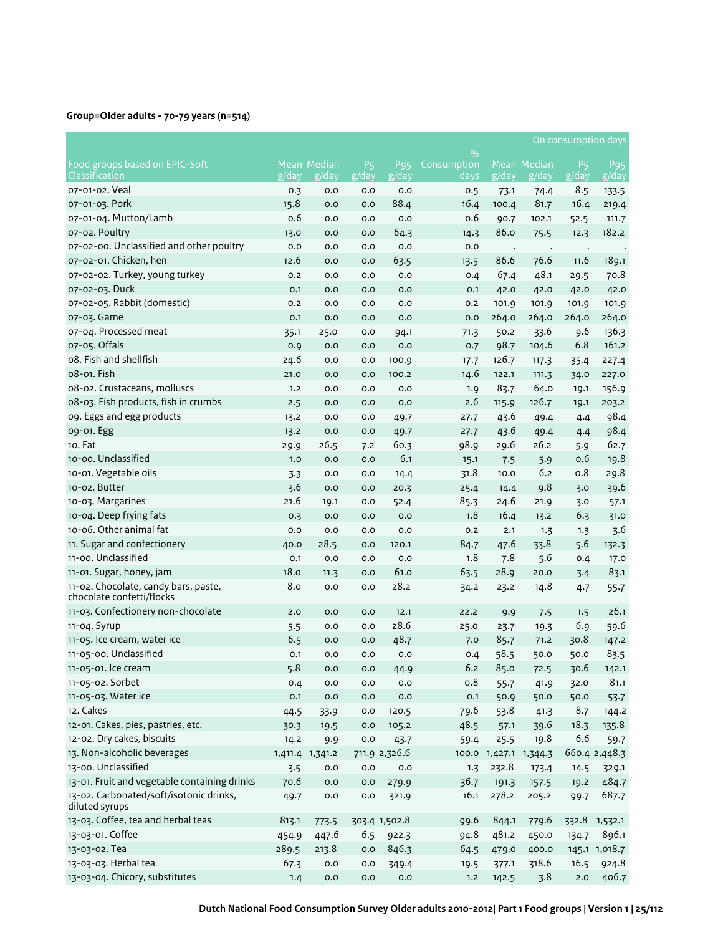# **Group=Older adults - 70-79 years (n=514)**

|                                                                   |             |                      |                         |                          |                     |                    |                             | On consumption days                  |                          |
|-------------------------------------------------------------------|-------------|----------------------|-------------------------|--------------------------|---------------------|--------------------|-----------------------------|--------------------------------------|--------------------------|
|                                                                   |             |                      |                         |                          | $\%$                |                    |                             |                                      |                          |
| Food groups based on EPIC-Soft<br>Classification                  | g/day       | Mean Median<br>g/day | P <sub>5</sub><br>g/day | P <sub>95</sub><br>g/day | Consumption<br>days | $\overline{g}/day$ | <b>Mean Median</b><br>g/day | P <sub>5</sub><br>$\overline{g}/day$ | P <sub>95</sub><br>g/day |
| 07-01-02. Veal                                                    |             |                      |                         |                          |                     |                    |                             | 8.5                                  |                          |
| 07-01-03. Pork                                                    | 0.3<br>15.8 | 0.0<br>0.0           | 0.0<br>0.0              | 0.0<br>88.4              | 0.5<br>16.4         | 73.1<br>100.4      | 74.4<br>81.7                | 16.4                                 | 133.5                    |
| 07-01-04. Mutton/Lamb                                             | 0.6         | 0.0                  | 0.0                     | 0.0                      | 0.6                 |                    |                             |                                      | 219.4                    |
| 07-02. Poultry                                                    |             |                      |                         |                          |                     | 90.7<br>86.0       | 102.1                       | 52.5                                 | 111.7<br>182.2           |
|                                                                   | 13.0        | 0.0                  | 0.0                     | 64.3                     | 14.3                |                    | 75.5                        | 12.3                                 |                          |
| 07-02-00. Unclassified and other poultry                          | 0.0         | 0.0                  | 0.0                     | 0.0                      | 0.0                 | $\bullet$          | $\cdot$                     | $\bullet$                            |                          |
| 07-02-01. Chicken, hen                                            | 12.6        | 0.0                  | 0.0                     | 63.5                     | 13.5                | 86.6               | 76.6                        | 11.6                                 | 189.1                    |
| 07-02-02. Turkey, young turkey                                    | 0.2         | 0.0                  | 0.0                     | 0.0                      | 0.4                 | 67.4               | 48.1                        | 29.5                                 | 70.8                     |
| 07-02-03. Duck                                                    | O.1         | 0.0                  | 0.0                     | 0.0                      | 0.1                 | 42.0               | 42.0                        | 42.0                                 | 42.0                     |
| 07-02-05. Rabbit (domestic)                                       | 0.2         | 0.0                  | 0.0                     | 0.0                      | 0.2                 | 101.9              | 101.9                       | 101.9                                | 101.9                    |
| 07-03. Game                                                       | O.1         | 0.0                  | 0.0                     | 0.0                      | 0.0                 | 264.0              | 264.0                       | 264.0                                | 264.0                    |
| 07-04. Processed meat                                             | 35.1        | 25.0                 | 0.0                     | 94.1                     | 71.3                | 50.2               | 33.6                        | 9.6                                  | 136.3                    |
| 07-05. Offals                                                     | 0.9         | 0.0                  | 0.0                     | 0.0                      | 0.7                 | 98.7               | 104.6                       | 6.8                                  | 161.2                    |
| 08. Fish and shellfish                                            | 24.6        | 0.0                  | 0.0                     | 100.9                    | 17.7                | 126.7              | 117.3                       | 35.4                                 | 227.4                    |
| 08-01. Fish                                                       | 21.0        | 0.0                  | 0.0                     | 100.2                    | 14.6                | 122.1              | 111.3                       | 34.0                                 | 227.0                    |
| 08-02. Crustaceans, molluscs                                      | 1.2         | 0.0                  | 0.0                     | 0.0                      | 1.9                 | 83.7               | 64.0                        | 19.1                                 | 156.9                    |
| 08-03. Fish products, fish in crumbs                              | 2.5         | 0.0                  | 0.0                     | 0.0                      | 2.6                 | 115.9              | 126.7                       | 19.1                                 | 203.2                    |
| og. Eggs and egg products                                         | 13.2        | 0.0                  | 0.0                     | 49.7                     | 27.7                | 43.6               | 49.4                        | 4.4                                  | 98.4                     |
| 09-01. Egg                                                        | 13.2        | 0.0                  | 0.0                     | 49.7                     | 27.7                | 43.6               | 49.4                        | 4.4                                  | 98.4                     |
| 10. Fat                                                           | 29.9        | 26.5                 | 7.2                     | 60.3                     | 98.9                | 29.6               | 26.2                        | 5.9                                  | 62.7                     |
| 10-00. Unclassified                                               | 1.0         | 0.0                  | 0.0                     | 6.1                      | 15.1                | 7.5                | 5.9                         | 0.6                                  | 19.8                     |
| 10-01. Vegetable oils                                             | 3.3         | 0.0                  | 0.0                     | 14.4                     | 31.8                | 10.0               | 6.2                         | 0.8                                  | 29.8                     |
| 10-02. Butter                                                     | 3.6         | 0.0                  | 0.0                     | 20.3                     | 25.4                | 14.4               | 9.8                         | 3.0                                  | 39.6                     |
| 10-03. Margarines                                                 | 21.6        | 19.1                 | 0.0                     | 52.4                     | 85.3                | 24.6               | 21.9                        | 3.0                                  | 57.1                     |
| 10-04. Deep frying fats                                           | 0.3         | 0.0                  | 0.0                     | 0.0                      | 1.8                 | 16.4               | 13.2                        | 6.3                                  | 31.0                     |
| 10-06. Other animal fat                                           | 0.0         | 0.0                  | 0.0                     | 0.0                      | 0.2                 | 2.1                | 1.3                         | 1.3                                  | 3.6                      |
| 11. Sugar and confectionery                                       | 40.0        | 28.5                 | 0.0                     | 120.1                    | 84.7                | 47.6               | 33.8                        | 5.6                                  | 132.3                    |
| 11-00. Unclassified                                               | 0.1         | 0.0                  | 0.0                     | 0.0                      | 1.8                 | 7.8                | 5.6                         | 0.4                                  | 17.0                     |
| 11-01. Sugar, honey, jam                                          | 18.0        | 11.3                 | 0.0                     | 61.0                     | 63.5                | 28.9               | 20.0                        | 3.4                                  | 83.1                     |
| 11-02. Chocolate, candy bars, paste,<br>chocolate confetti/flocks | 8.0         | 0.0                  | 0.0                     | 28.2                     | 34.2                | 23.2               | 14.8                        | 4.7                                  | $55 - 7$                 |
| 11-03. Confectionery non-chocolate                                | 2.0         | 0.0                  | 0.0                     | 12.1                     | 22.2                | 9.9                | 7.5                         | 1.5                                  | 26.1                     |
| 11-04. Syrup                                                      | 5.5         | 0.0                  | 0.0                     | 28.6                     | 25.0                | 23.7               | 19.3                        | 6.9                                  | 59.6                     |
| 11-05. Ice cream, water ice                                       | 6.5         | 0.0                  | 0.0                     | 48.7                     | 7.0                 | 85.7               | 71.2                        | 30.8                                 | 147.2                    |
| 11-05-00. Unclassified                                            | 0.1         | O.O                  | 0.0                     | 0.0                      | 0.4                 | 58.5               | 50.0                        | 50.0                                 | 83.5                     |
| 11-05-01. Ice cream                                               | 5.8         | 0.0                  | $_{\rm 0.0}$            | 44.9                     | 6.2                 | 85.0               | 72.5                        | 30.6                                 | 142.1                    |
| 11-05-02. Sorbet                                                  | 0.4         | 0.0                  | 0.0                     | 0.0                      | 0.8                 | 55.7               | 41.9                        | 32.0                                 | 81.1                     |
| 11-05-03. Water ice                                               | 0.1         | 0.0                  | 0.0                     | 0.0                      | 0.1                 | 50.9               | 50.0                        | 50.0                                 | 53.7                     |
| 12. Cakes                                                         | 44.5        | 33.9                 | 0.0                     | 120.5                    | 79.6                | 53.8               | 41.3                        | 8.7                                  | 144.2                    |
| 12-01. Cakes, pies, pastries, etc.                                | 30.3        | 19.5                 | 0.0                     | 105.2                    | 48.5                | 57.1               | 39.6                        | 18.3                                 | 135.8                    |
| 12-02. Dry cakes, biscuits                                        | 14.2        | 9.9                  | 0.0                     | 43.7                     | 59.4                | 25.5               | 19.8                        | 6.6                                  | 59.7                     |
| 13. Non-alcoholic beverages                                       |             | 1,411.4 1,341.2      |                         | 711.9 2,326.6            | 100.0               | 1,427.1 1,344.3    |                             |                                      | 660.4 2,448.3            |
| 13-00. Unclassified                                               | 3.5         | 0.0                  | 0.0                     | 0.0                      | 1.3                 | 232.8              | 173.4                       | 14.5                                 | 329.1                    |
| 13-01. Fruit and vegetable containing drinks                      | 70.6        | 0.0                  | 0.0                     | 279.9                    | 36.7                | 191.3              | 157.5                       | 19.2                                 | 484.7                    |
| 13-02. Carbonated/soft/isotonic drinks,<br>diluted syrups         | 49.7        | 0.0                  | 0.0                     | 321.9                    | 16.1                | 278.2              | 205.2                       | 99.7                                 | 687.7                    |
| 13-03. Coffee, tea and herbal teas                                | 813.1       | 773.5                |                         | 303.4 1,502.8            | 99.6                | 844.1              | 779.6                       |                                      | 332.8 1,532.1            |
| 13-03-01. Coffee                                                  | 454.9       | 447.6                | 6.5                     | 922.3                    | 94.8                | 481.2              | 450.0                       | 134.7                                | 896.1                    |
| 13-03-02. Tea                                                     | 289.5       | 213.8                | $_{\rm 0.0}$            | 846.3                    | 64.5                | 479.0              | 400.0                       |                                      | 145.1 1,018.7            |
| 13-03-03. Herbal tea                                              | 67.3        | 0.0                  | 0.0                     | 349.4                    | 19.5                | 377.1              | 318.6                       | 16.5                                 | 924.8                    |
| 13-03-04. Chicory, substitutes                                    | 1.4         | 0.0                  | 0.0                     | 0.0                      | 1.2                 | 142.5              | 3.8                         | 2.0                                  | 406.7                    |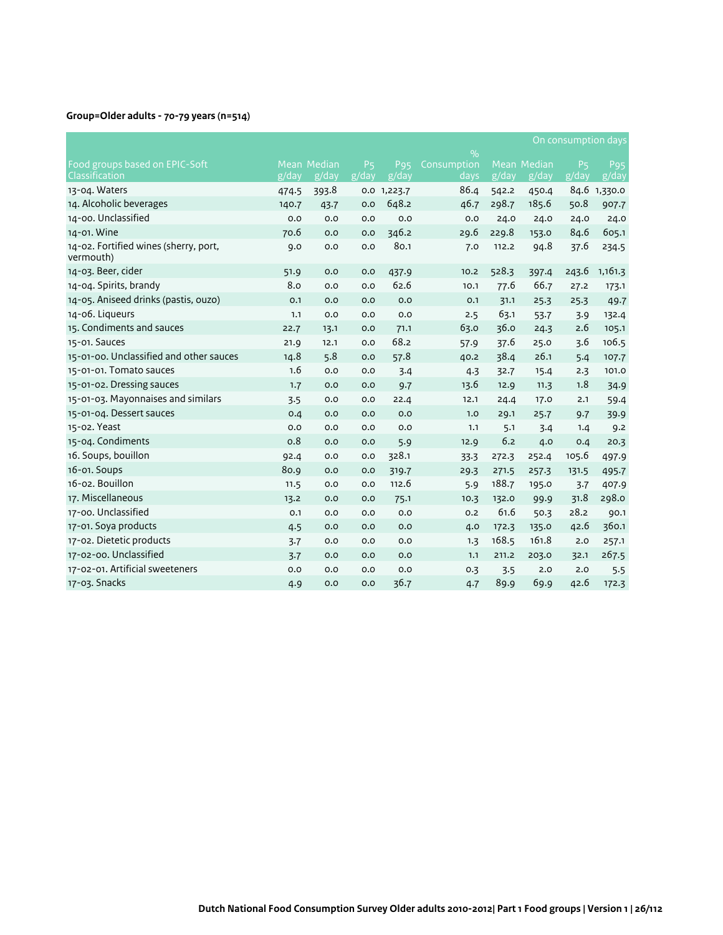# **Group=Older adults - 70-79 years (n=514)**

|                                                    |       |                      |                         |                          |                     |       |                             | On consumption days     |                                                  |
|----------------------------------------------------|-------|----------------------|-------------------------|--------------------------|---------------------|-------|-----------------------------|-------------------------|--------------------------------------------------|
|                                                    |       |                      |                         |                          | $\frac{9}{0}$       |       |                             |                         |                                                  |
| Food groups based on EPIC-Soft<br>Classification   | g/day | Mean Median<br>g/day | P <sub>5</sub><br>g/day | Pg <sub>5</sub><br>g/day | Consumption<br>days | g/day | <b>Mean Median</b><br>g/day | P <sub>5</sub><br>g/day | P <sub>95</sub><br>$\overline{g}/\overline{day}$ |
| 13-04. Waters                                      | 474.5 | 393.8                |                         | 0.0 1,223.7              | 86.4                | 542.2 | 450.4                       | 84.6                    | 1,330.0                                          |
| 14. Alcoholic beverages                            | 140.7 | 43.7                 | 0.0                     | 648.2                    | 46.7                | 298.7 | 185.6                       | 50.8                    | 907.7                                            |
| 14-00. Unclassified                                | 0.0   | 0.0                  | 0.0                     | 0.0                      | 0.0                 | 24.0  | 24.0                        | 24.0                    | 24.0                                             |
| 14-01. Wine                                        | 70.6  | 0.0                  | 0.0                     | 346.2                    | 29.6                | 229.8 | 153.0                       | 84.6                    | 605.1                                            |
| 14-02. Fortified wines (sherry, port,<br>vermouth) | 9.0   | 0.0                  | 0.0                     | 80.1                     | 7.0                 | 112.2 | 94.8                        | 37.6                    | 234.5                                            |
| 14-03. Beer, cider                                 | 51.9  | 0.0                  | 0.0                     | 437.9                    | 10.2                | 528.3 | 397.4                       | 243.6                   | 1,161.3                                          |
| 14-04. Spirits, brandy                             | 8.0   | O.O                  | 0.0                     | 62.6                     | 10.1                | 77.6  | 66.7                        | 27.2                    | 173.1                                            |
| 14-05. Aniseed drinks (pastis, ouzo)               | O.1   | O.O                  | 0.0                     | O.O                      | O.1                 | 31.1  | 25.3                        | 25.3                    | 49.7                                             |
| 14-06. Liqueurs                                    | 1.1   | O.O                  | 0.0                     | O.O                      | 2.5                 | 63.1  | 53.7                        | 3.9                     | 132.4                                            |
| 15. Condiments and sauces                          | 22.7  | 13.1                 | 0.0                     | 71.1                     | 63.0                | 36.0  | 24.3                        | 2.6                     | 105.1                                            |
| 15-01. Sauces                                      | 21.9  | 12.1                 | 0.0                     | 68.2                     | 57.9                | 37.6  | 25.0                        | 3.6                     | 106.5                                            |
| 15-01-00. Unclassified and other sauces            | 14.8  | 5.8                  | 0.0                     | 57.8                     | 40.2                | 38.4  | 26.1                        | 5.4                     | 107.7                                            |
| 15-01-01. Tomato sauces                            | 1.6   | O.O                  | 0.0                     | 3.4                      | 4.3                 | 32.7  | 15.4                        | 2.3                     | 101.0                                            |
| 15-01-02. Dressing sauces                          | 1.7   | O.O                  | 0.0                     | 9.7                      | 13.6                | 12.9  | 11.3                        | 1.8                     | 34.9                                             |
| 15-01-03. Mayonnaises and similars                 | 3.5   | 0.0                  | 0.0                     | 22.4                     | 12.1                | 24.4  | 17.0                        | 2.1                     | 59.4                                             |
| 15-01-04. Dessert sauces                           | 0.4   | 0.0                  | 0.0                     | 0.0                      | 1.0                 | 29.1  | 25.7                        | 9.7                     | 39.9                                             |
| 15-02. Yeast                                       | 0.0   | 0.0                  | 0.0                     | 0.0                      | 1.1                 | 5.1   | 3.4                         | 1.4                     | 9.2                                              |
| 15-04. Condiments                                  | 0.8   | O.O                  | 0.0                     | 5.9                      | 12.9                | 6.2   | 4.0                         | 0.4                     | 20.3                                             |
| 16. Soups, bouillon                                | 92.4  | 0.0                  | 0.0                     | 328.1                    | 33.3                | 272.3 | 252.4                       | 105.6                   | 497.9                                            |
| 16-01. Soups                                       | 80.9  | 0.0                  | 0.0                     | 319.7                    | 29.3                | 271.5 | 257.3                       | 131.5                   | 495.7                                            |
| 16-02. Bouillon                                    | 11.5  | 0.0                  | 0.0                     | 112.6                    | 5.9                 | 188.7 | 195.0                       | 3.7                     | 407.9                                            |
| 17. Miscellaneous                                  | 13.2  | O.O                  | 0.0                     | 75.1                     | 10.3                | 132.0 | 99.9                        | 31.8                    | 298.0                                            |
| 17-00. Unclassified                                | O.1   | 0.0                  | 0.0                     | 0.0                      | 0.2                 | 61.6  | 50.3                        | 28.2                    | 90.1                                             |
| 17-01. Soya products                               | 4.5   | 0.0                  | 0.0                     | 0.0                      | 4.0                 | 172.3 | 135.0                       | 42.6                    | 360.1                                            |
| 17-02. Dietetic products                           | 3.7   | O.O                  | 0.0                     | O.O                      | 1.3                 | 168.5 | 161.8                       | 2.0                     | 257.1                                            |
| 17-02-00. Unclassified                             | 3.7   | O.O                  | 0.0                     | 0.0                      | 1.1                 | 211.2 | 203.0                       | 32.1                    | 267.5                                            |
| 17-02-01. Artificial sweeteners                    | 0.0   | O.O                  | 0.0                     | 0.0                      | 0.3                 | 3.5   | 2.0                         | 2.0                     | 5.5                                              |
| 17-03. Snacks                                      | 4.9   | O.O                  | 0.0                     | 36.7                     | 4.7                 | 89.9  | 69.9                        | 42.6                    | 172.3                                            |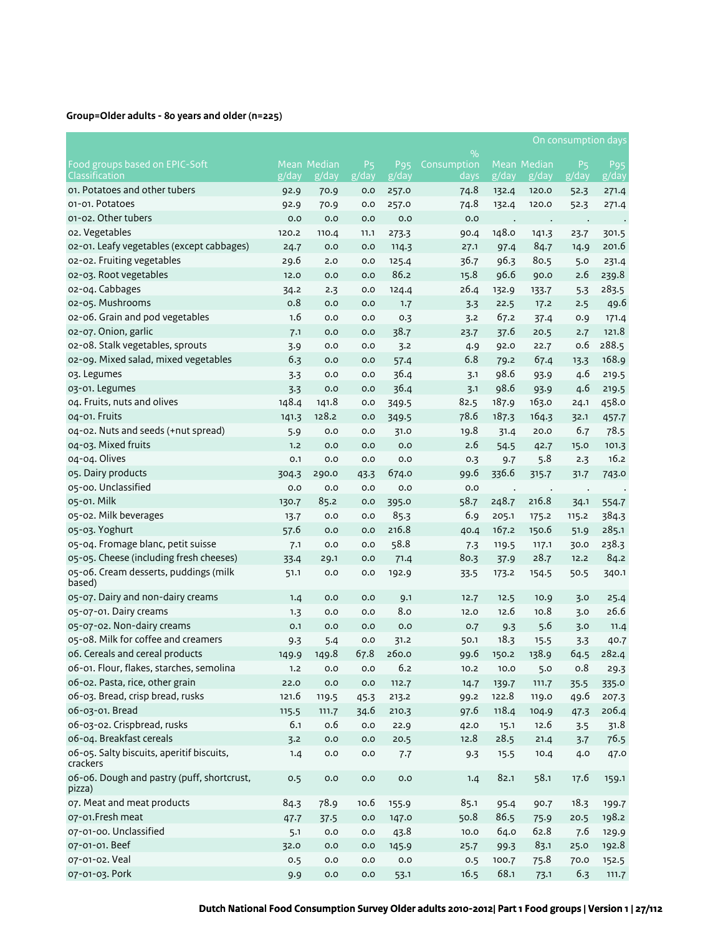|                                                       |       |                    |                |                 |             |       |             | On consumption days |                 |
|-------------------------------------------------------|-------|--------------------|----------------|-----------------|-------------|-------|-------------|---------------------|-----------------|
|                                                       |       |                    |                |                 | $\%$        |       |             |                     |                 |
| Food groups based on EPIC-Soft                        |       | <b>Mean Median</b> | P <sub>5</sub> | P <sub>95</sub> | Consumption |       | Mean Median | P <sub>5</sub>      | P <sub>95</sub> |
| Classification                                        | g/day | g/day              | g/day          | g/day           | days        | g/day | g/day       | g/day               | g/day           |
| 01. Potatoes and other tubers                         | 92.9  | 70.9               | 0.0            | 257.0           | 74.8        | 132.4 | 120.0       | 52.3                | 271.4           |
| 01-01. Potatoes                                       | 92.9  | 70.9               | 0.0            | 257.0           | 74.8        | 132.4 | 120.0       | 52.3                | 271.4           |
| 01-02. Other tubers                                   | 0.0   | 0.0                | 0.0            | 0.0             | 0.0         |       |             |                     |                 |
| o2. Vegetables                                        | 120.2 | 110.4              | 11.1           | 273.3           | 90.4        | 148.0 | 141.3       | 23.7                | 301.5           |
| 02-01. Leafy vegetables (except cabbages)             | 24.7  | 0.0                | 0.0            | 114.3           | 27.1        | 97.4  | 84.7        | 14.9                | 201.6           |
| 02-02. Fruiting vegetables                            | 29.6  | 2.0                | 0.0            | 125.4           | 36.7        | 96.3  | 80.5        | 5.0                 | 231.4           |
| 02-03. Root vegetables                                | 12.0  | 0.0                | 0.0            | 86.2            | 15.8        | 96.6  | 90.0        | 2.6                 | 239.8           |
| 02-04. Cabbages                                       | 34.2  | 2.3                | 0.0            | 124.4           | 26.4        | 132.9 | 133.7       | 5.3                 | 283.5           |
| 02-05. Mushrooms                                      | 0.8   | 0.0                | 0.0            | 1.7             | 3.3         | 22.5  | 17.2        | 2.5                 | 49.6            |
| o2-o6. Grain and pod vegetables                       | 1.6   | 0.0                | 0.0            | 0.3             | 3.2         | 67.2  | 37.4        | 0.9                 | 171.4           |
| 02-07. Onion, garlic                                  | 7.1   | 0.0                | 0.0            | 38.7            | 23.7        | 37.6  | 20.5        | 2.7                 | 121.8           |
| 02-08. Stalk vegetables, sprouts                      | 3.9   | 0.0                | 0.0            | 3.2             | 4.9         | 92.0  | 22.7        | 0.6                 | 288.5           |
| o2-o9. Mixed salad, mixed vegetables                  | 6.3   | 0.0                | 0.0            | 57.4            | 6.8         | 79.2  | 67.4        | 13.3                | 168.9           |
| 03. Legumes                                           | 3.3   | 0.0                | 0.0            | 36.4            | 3.1         | 98.6  | 93.9        | 4.6                 | 219.5           |
| 03-01. Legumes                                        | 3.3   | 0.0                | 0.0            | 36.4            | 3.1         | 98.6  | 93.9        | 4.6                 | 219.5           |
| 04. Fruits, nuts and olives                           | 148.4 | 141.8              | 0.0            | 349.5           | 82.5        | 187.9 | 163.0       | 24.1                | 458.0           |
| 04-01. Fruits                                         | 141.3 | 128.2              | 0.0            | 349.5           | 78.6        | 187.3 | 164.3       | 32.1                | 457.7           |
| 04-02. Nuts and seeds (+nut spread)                   | 5.9   | 0.0                | 0.0            | 31.0            | 19.8        | 31.4  | 20.0        | 6.7                 | 78.5            |
| 04-03. Mixed fruits                                   | 1.2   | 0.0                | 0.0            | 0.0             | 2.6         | 54.5  | 42.7        | 15.0                | 101.3           |
| 04-04. Olives                                         | 0.1   | 0.0                | 0.0            | 0.0             | 0.3         | 9.7   | 5.8         | 2.3                 | 16.2            |
| 05. Dairy products                                    | 304.3 | 290.0              | 43.3           | 674.0           | 99.6        | 336.6 | 315.7       | 31.7                | 743.0           |
| 05-00. Unclassified                                   | 0.0   | 0.0                | 0.0            | 0.0             | 0.0         |       |             |                     |                 |
| 05-01. Milk                                           | 130.7 | 85.2               | 0.0            | 395.0           | 58.7        | 248.7 | 216.8       | 34.1                | 554.7           |
| 05-02. Milk beverages                                 | 13.7  | 0.0                | 0.0            | 85.3            | 6.9         | 205.1 | 175.2       | 115.2               | 384.3           |
| 05-03. Yoghurt                                        | 57.6  | 0.0                | 0.0            | 216.8           | 40.4        | 167.2 | 150.6       | 51.9                | 285.1           |
| 05-04. Fromage blanc, petit suisse                    | 7.1   | 0.0                | 0.0            | 58.8            | 7.3         | 119.5 | 117.1       | 30.0                | 238.3           |
| 05-05. Cheese (including fresh cheeses)               | 33.4  | 29.1               | 0.0            | 71.4            | 80.3        | 37.9  | 28.7        | 12.2                | 84.2            |
| 05-06. Cream desserts, puddings (milk<br>based)       | 51.1  | 0.0                | 0.0            | 192.9           | 33.5        | 173.2 | 154.5       | 50.5                | 340.1           |
| 05-07. Dairy and non-dairy creams                     | 1.4   | 0.0                | 0.0            | 9.1             | 12.7        | 12.5  | 10.9        | 3.0                 | 25.4            |
| 05-07-01. Dairy creams                                | 1.3   | 0.0                | 0.0            | 8.0             | 12.0        | 12.6  | 10.8        | 3.0                 | 26.6            |
| 05-07-02. Non-dairy creams                            | 0.1   | 0.0                | 0.0            | 0.0             | 0.7         | 9.3   | 5.6         | 3.0                 | 11.4            |
| 05-08. Milk for coffee and creamers                   | 9.3   | 5.4                | 0.0            | 31.2            | 50.1        | 18.3  | 15.5        | 3.3                 | 40.7            |
| o6. Cereals and cereal products                       | 149.9 | 149.8              | 67.8           | 260.0           | 99.6        | 150.2 | 138.9       | 64.5                | 282.4           |
| 06-01. Flour, flakes, starches, semolina              | 1.2   | $_{\rm 0.0}$       | 0.0            | 6.2             | 10.2        | 10.0  | 5.0         | 0.8                 | 29.3            |
| 06-02. Pasta, rice, other grain                       | 22.0  | 0.0                | 0.0            | 112.7           | 14.7        | 139.7 | 111.7       | 35.5                | 335.0           |
| 06-03. Bread, crisp bread, rusks                      | 121.6 | 119.5              | 45.3           | 213.2           | 99.2        | 122.8 | 119.0       | 49.6                | 207.3           |
| 06-03-01. Bread                                       | 115.5 | 111.7              | 34.6           | 210.3           | 97.6        | 118.4 | 104.9       | 47.3                | 206.4           |
| 06-03-02. Crispbread, rusks                           | 6.1   | 0.6                | 0.0            | 22.9            | 42.0        | 15.1  | 12.6        | 3.5                 | 31.8            |
| 06-04. Breakfast cereals                              | 3.2   | $_{\rm 0.0}$       | 0.0            | 20.5            | 12.8        | 28.5  | 21.4        | 3.7                 | 76.5            |
| 06-05. Salty biscuits, aperitif biscuits,<br>crackers | 1.4   | 0.0                | 0.0            | 7.7             | 9.3         | 15.5  | 10.4        | 4.0                 | 47.0            |
| 06-06. Dough and pastry (puff, shortcrust,<br>pizza)  | 0.5   | $_{\rm 0.0}$       | $_{\rm 0.0}$   | $_{\rm 0.0}$    | 1.4         | 82.1  | 58.1        | 17.6                | 159.1           |
| 07. Meat and meat products                            | 84.3  | 78.9               | 10.6           | 155.9           | 85.1        | 95.4  | 90.7        | 18.3                | 199.7           |
| 07-01.Fresh meat                                      | 47.7  | 37.5               | 0.0            | 147.0           | 50.8        | 86.5  | 75.9        | 20.5                | 198.2           |
| 07-01-00. Unclassified                                | 5.1   | 0.0                | 0.0            | 43.8            | 10.0        | 64.0  | 62.8        | 7.6                 | 129.9           |
| 07-01-01. Beef                                        | 32.0  | 0.0                | 0.0            | 145.9           | 25.7        | 99.3  | 83.1        | 25.0                | 192.8           |
| 07-01-02. Veal                                        | 0.5   | 0.0                | 0.0            | $_{\rm 0.0}$    | 0.5         | 100.7 | 75.8        | 70.0                | 152.5           |
| 07-01-03. Pork                                        | 9.9   | $_{\rm 0.0}$       | 0.0            | 53.1            | 16.5        | 68.1  | 73.1        | 6.3                 | 111.7           |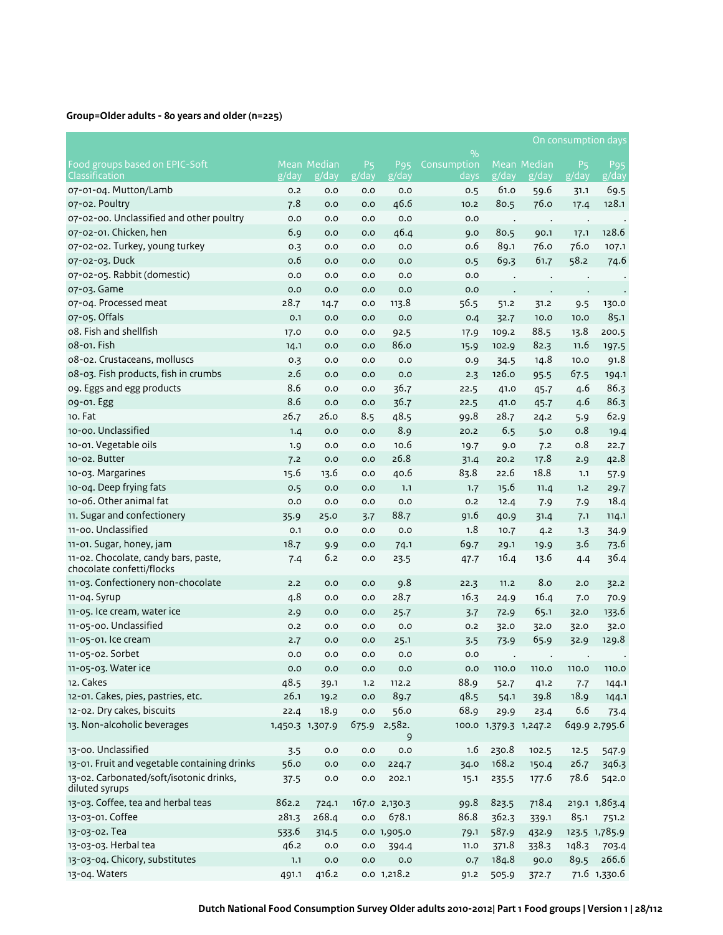|                                                                   |                 |                      |                               |                          |                     |                       |                             |                                      | On consumption days      |
|-------------------------------------------------------------------|-----------------|----------------------|-------------------------------|--------------------------|---------------------|-----------------------|-----------------------------|--------------------------------------|--------------------------|
|                                                                   |                 |                      |                               |                          | $\%$                |                       |                             |                                      |                          |
| Food groups based on EPIC-Soft<br>Classification                  | g/day           | Mean Median<br>g/day | <b>P<sub>5</sub></b><br>g/day | P <sub>95</sub><br>g/day | Consumption<br>days | g/day                 | <b>Mean Median</b><br>g/day | P <sub>5</sub><br>$\overline{g}/day$ | P <sub>95</sub><br>g/day |
| 07-01-04. Mutton/Lamb                                             | 0.2             | 0.0                  | 0.0                           | 0.0                      | 0.5                 | 61.0                  | 59.6                        | 31.1                                 | 69.5                     |
| 07-02. Poultry                                                    | 7.8             | 0.0                  | 0.0                           | 46.6                     | 10.2                | 80.5                  | 76.0                        | 17.4                                 | 128.1                    |
| 07-02-00. Unclassified and other poultry                          | 0.0             | 0.0                  | 0.0                           | 0.0                      | 0.0                 | $\cdot$               | $\cdot$                     | $\cdot$                              |                          |
| 07-02-01. Chicken, hen                                            | 6.9             | 0.0                  | 0.0                           | 46.4                     | 9.0                 | 80.5                  | 90.1                        | 17.1                                 | 128.6                    |
| 07-02-02. Turkey, young turkey                                    | 0.3             | 0.0                  | 0.0                           | 0.0                      | о.6                 | 89.1                  | 76.0                        | 76.0                                 | 107.1                    |
| 07-02-03. Duck                                                    | 0.6             | 0.0                  | 0.0                           | 0.0                      | 0.5                 | 69.3                  | 61.7                        | 58.2                                 | 74.6                     |
| 07-02-05. Rabbit (domestic)                                       | 0.0             | 0.0                  | 0.0                           | 0.0                      | 0.0                 |                       |                             |                                      |                          |
| 07-03. Game                                                       | 0.0             | 0.0                  | 0.0                           | 0.0                      | 0.0                 |                       |                             | $\bullet$                            |                          |
| 07-04. Processed meat                                             | 28.7            | 14.7                 | 0.0                           | 113.8                    | 56.5                | 51.2                  | 31.2                        | 9.5                                  | 130.0                    |
| 07-05. Offals                                                     | 0.1             | 0.0                  | 0.0                           | 0.0                      | 0.4                 | 32.7                  | 10.0                        | 10.0                                 | 85.1                     |
| o8. Fish and shellfish                                            | 17.0            | 0.0                  | 0.0                           | 92.5                     | 17.9                | 109.2                 | 88.5                        | 13.8                                 | 200.5                    |
| 08-01. Fish                                                       | 14.1            | 0.0                  | 0.0                           | 86.0                     | 15.9                | 102.9                 | 82.3                        | 11.6                                 | 197.5                    |
| 08-02. Crustaceans, molluscs                                      | 0.3             | 0.0                  | 0.0                           | 0.0                      | 0.9                 | 34.5                  | 14.8                        | 10.0                                 | 91.8                     |
| 08-03. Fish products, fish in crumbs                              | 2.6             | 0.0                  | 0.0                           | 0.0                      | 2.3                 | 126.0                 | 95.5                        | 67.5                                 | 194.1                    |
| og. Eggs and egg products                                         | 8.6             | 0.0                  | 0.0                           | 36.7                     | 22.5                | 41.0                  | 45.7                        | 4.6                                  | 86.3                     |
| 09-01. Egg                                                        | 8.6             | 0.0                  | 0.0                           | 36.7                     | 22.5                | 41.0                  | 45.7                        | 4.6                                  | 86.3                     |
| 10. Fat                                                           | 26.7            | 26.0                 | 8.5                           | 48.5                     | 99.8                | 28.7                  | 24.2                        | 5.9                                  | 62.9                     |
| 10-00. Unclassified                                               | 1.4             | 0.0                  | 0.0                           | 8.9                      | 20.2                | 6.5                   | 5.0                         | 0.8                                  | 19.4                     |
| 10-01. Vegetable oils                                             | 1.9             | 0.0                  | 0.0                           | 10.6                     | 19.7                | 9.0                   | 7.2                         | 0.8                                  | 22.7                     |
| 10-02. Butter                                                     | 7.2             | 0.0                  | 0.0                           | 26.8                     | 31.4                | 20.2                  | 17.8                        | 2.9                                  | 42.8                     |
| 10-03. Margarines                                                 | 15.6            | 13.6                 | 0.0                           | 40.6                     | 83.8                | 22.6                  | 18.8                        | 1.1                                  | 57.9                     |
| 10-04. Deep frying fats                                           | 0.5             | 0.0                  | 0.0                           | 1.1                      | 1.7                 | 15.6                  | 11.4                        | 1.2                                  | 29.7                     |
| 10-06. Other animal fat                                           | 0.0             | 0.0                  | 0.0                           | 0.0                      | 0.2                 | 12.4                  | 7.9                         | 7.9                                  | 18.4                     |
| 11. Sugar and confectionery                                       | 35.9            | 25.0                 | 3.7                           | 88.7                     | 91.6                | 40.9                  | 31.4                        | 7.1                                  | 114.1                    |
| 11-00. Unclassified                                               | 0.1             | 0.0                  | 0.0                           | 0.0                      | 1.8                 | 10.7                  | 4.2                         | 1.3                                  | 34.9                     |
| 11-01. Sugar, honey, jam                                          | 18.7            | 9.9                  | 0.0                           | 74.1                     | 69.7                | 29.1                  | 19.9                        | 3.6                                  | 73.6                     |
| 11-02. Chocolate, candy bars, paste,<br>chocolate confetti/flocks | 7.4             | 6.2                  | 0.0                           | 23.5                     | 47.7                | 16.4                  | 13.6                        | 4.4                                  | 36.4                     |
| 11-03. Confectionery non-chocolate                                | 2.2             | 0.0                  | 0.0                           | 9.8                      | 22.3                | 11.2                  | 8.0                         | 2.0                                  | 32.2                     |
| 11-04. Syrup                                                      | 4.8             | 0.0                  | 0.0                           | 28.7                     | 16.3                | 24.9                  | 16.4                        | 7.0                                  | 70.9                     |
| 11-05. Ice cream, water ice                                       | 2.9             | 0.0                  | 0.0                           | 25.7                     | 3.7                 | 72.9                  | 65.1                        | 32.0                                 | 133.6                    |
| 11-05-00. Unclassified                                            | 0.2             | 0.0                  | 0.0                           | 0.0                      | 0.2                 | 32.0                  | 32.0                        | 32.0                                 | 32.0                     |
| 11-05-01. Ice cream                                               | 2.7             | 0.0                  | 0.0                           | 25.1                     | 3.5                 | 73.9                  | 65.9                        | 32.9                                 | 129.8                    |
| 11-05-02. Sorbet                                                  | 0.0             | 0.0                  | 0.0                           | 0.0                      | 0.0                 |                       |                             |                                      |                          |
| 11-05-03. Water ice                                               | 0.0             | 0.0                  | 0.0                           | 0.0                      | 0.0                 | 110.0                 | 110.0                       | 110.0                                | 110.0                    |
| 12. Cakes                                                         | 48.5            | 39.1                 | 1.2                           | 112.2                    | 88.9                | 52.7                  | 41.2                        | 7.7                                  | 144.1                    |
| 12-01. Cakes, pies, pastries, etc.                                | 26.1            | 19.2                 | 0.0                           | 89.7                     | 48.5                | 54.1                  | 39.8                        | 18.9                                 | 144.1                    |
| 12-02. Dry cakes, biscuits                                        | 22.4            | 18.9                 | 0.0                           | 56.0                     | 68.9                | 29.9                  | 23.4                        | 6.6                                  | 73.4                     |
| 13. Non-alcoholic beverages                                       | 1,450.3 1,307.9 |                      | 675.9                         | 2,582.<br>9              |                     | 100.0 1,379.3 1,247.2 |                             |                                      | 649.9 2,795.6            |
| 13-00. Unclassified                                               | 3.5             | 0.0                  | 0.0                           | 0.0                      | 1.6                 | 230.8                 | 102.5                       | 12.5                                 | 547.9                    |
| 13-01. Fruit and vegetable containing drinks                      | 56.0            | 0.0                  | 0.0                           | 224.7                    | 34.0                | 168.2                 | 150.4                       | 26.7                                 | 346.3                    |
| 13-02. Carbonated/soft/isotonic drinks,<br>diluted syrups         | 37.5            | 0.0                  | 0.0                           | 202.1                    | 15.1                | 235.5                 | 177.6                       | 78.6                                 | 542.0                    |
| 13-03. Coffee, tea and herbal teas                                | 862.2           | 724.1                |                               | 167.0 2,130.3            | 99.8                | 823.5                 | 718.4                       |                                      | 219.1 1,863.4            |
| 13-03-01. Coffee                                                  | 281.3           | 268.4                | 0.0                           | 678.1                    | 86.8                | 362.3                 | 339.1                       | 85.1                                 | 751.2                    |
| 13-03-02. Tea                                                     | 533.6           | 314.5                |                               | 0.0 1,905.0              | 79.1                | 587.9                 | 432.9                       |                                      | 123.5 1,785.9            |
| 13-03-03. Herbal tea                                              | 46.2            | 0.0                  | 0.0                           | 394.4                    | 11.0                | 371.8                 | 338.3                       | 148.3                                | 703.4                    |
| 13-03-04. Chicory, substitutes                                    | 1.1             | 0.0                  | 0.0                           | 0.0                      | 0.7                 | 184.8                 | 90.0                        | 89.5                                 | 266.6                    |
| 13-04. Waters                                                     | 491.1           | 416.2                |                               | 0.0 1,218.2              | 91.2                | 505.9                 | 372.7                       |                                      | 71.6 1,330.6             |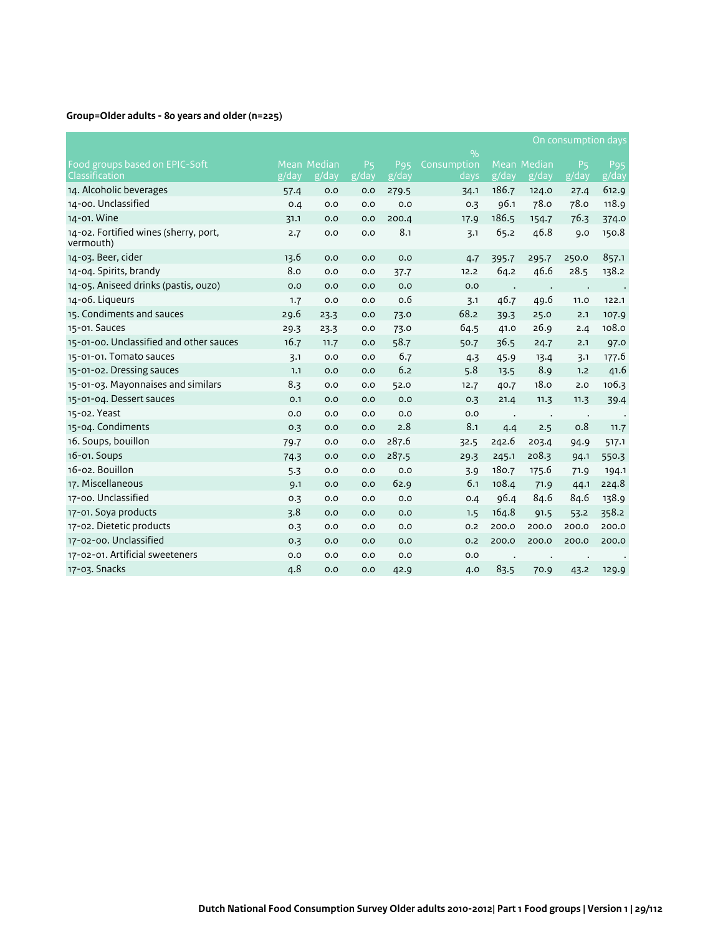|                                                    |       |                                              |                         |                                 |                                      |                  |                      | On consumption days     |              |
|----------------------------------------------------|-------|----------------------------------------------|-------------------------|---------------------------------|--------------------------------------|------------------|----------------------|-------------------------|--------------|
| Food groups based on EPIC-Soft<br>Classification   | g/day | Mean Median<br>$\overline{g}/\overline{day}$ | P <sub>5</sub><br>g/day | <b>P</b> <sub>95</sub><br>g/day | $\frac{9}{0}$<br>Consumption<br>days | g/day            | Mean Median<br>g/day | P <sub>5</sub><br>g/day | P95<br>g/day |
| 14. Alcoholic beverages                            | 57.4  | 0.0                                          | 0.0                     | 279.5                           | 34.1                                 | 186.7            | 124.0                | 27.4                    | 612.9        |
| 14-00. Unclassified                                | 0.4   | 0.0                                          | 0.0                     | O.O                             | 0.3                                  | 96.1             | 78.0                 | 78.0                    | 118.9        |
| 14-01. Wine                                        | 31.1  | O.O                                          | 0.0                     | 200.4                           | 17.9                                 | 186.5            | 154.7                | 76.3                    | 374.0        |
| 14-02. Fortified wines (sherry, port,<br>vermouth) | 2.7   | 0.0                                          | 0.0                     | 8.1                             | 3.1                                  | 65.2             | 46.8                 | 9.0                     | 150.8        |
| 14-03. Beer, cider                                 | 13.6  | 0.0                                          | 0.0                     | 0.0                             | 4.7                                  | 395.7            | 295.7                | 250.0                   | 857.1        |
| 14-04. Spirits, brandy                             | 8.0   | 0.0                                          | 0.0                     | 37.7                            | 12.2                                 | 64.2             | 46.6                 | 28.5                    | 138.2        |
| 14-05. Aniseed drinks (pastis, ouzo)               | 0.0   | 0.0                                          | 0.0                     | 0.0                             | 0.0                                  |                  |                      |                         | $\,$ .       |
| 14-06. Liqueurs                                    | 1.7   | 0.0                                          | 0.0                     | 0.6                             | 3.1                                  | 46.7             | 49.6                 | 11.0                    | 122.1        |
| 15. Condiments and sauces                          | 29.6  | 23.3                                         | 0.0                     | 73.0                            | 68.2                                 | 39.3             | 25.0                 | 2.1                     | 107.9        |
| 15-01. Sauces                                      | 29.3  | 23.3                                         | 0.0                     | 73.0                            | 64.5                                 | 41.0             | 26.9                 | 2.4                     | 108.0        |
| 15-01-00. Unclassified and other sauces            | 16.7  | 11.7                                         | 0.0                     | 58.7                            | 50.7                                 | 36.5             | 24.7                 | 2.1                     | 97.0         |
| 15-01-01. Tomato sauces                            | 3.1   | O.O                                          | 0.0                     | 6.7                             | 4.3                                  | 45.9             | 13.4                 | 3.1                     | 177.6        |
| 15-01-02. Dressing sauces                          | 1.1   | O.O                                          | 0.0                     | 6.2                             | 5.8                                  | 13.5             | 8.9                  | 1.2                     | 41.6         |
| 15-01-03. Mayonnaises and similars                 | 8.3   | 0.0                                          | 0.0                     | 52.0                            | 12.7                                 | 40.7             | 18.0                 | 2.0                     | 106.3        |
| 15-01-04. Dessert sauces                           | 0.1   | 0.0                                          | 0.0                     | O.O                             | 0.3                                  | 21.4             | 11.3                 | 11.3                    | 39.4         |
| 15-02. Yeast                                       | 0.0   | 0.0                                          | 0.0                     | 0.0                             | 0.0                                  | $\blacksquare$ . | $\cdot$              | $\bullet$               |              |
| 15-04. Condiments                                  | 0.3   | 0.0                                          | 0.0                     | 2.8                             | 8.1                                  | 4.4              | 2.5                  | 0.8                     | 11.7         |
| 16. Soups, bouillon                                | 79.7  | 0.0                                          | 0.0                     | 287.6                           | 32.5                                 | 242.6            | 203.4                | 94.9                    | 517.1        |
| 16-01. Soups                                       | 74.3  | 0.0                                          | 0.0                     | 287.5                           | 29.3                                 | 245.1            | 208.3                | 94.1                    | 550.3        |
| 16-02. Bouillon                                    | 5.3   | 0.0                                          | 0.0                     | 0.0                             | 3.9                                  | 180.7            | 175.6                | 71.9                    | 194.1        |
| 17. Miscellaneous                                  | 9.1   | 0.0                                          | 0.0                     | 62.9                            | 6.1                                  | 108.4            | 71.9                 | 44.1                    | 224.8        |
| 17-00. Unclassified                                | 0.3   | 0.0                                          | 0.0                     | O.O                             | 0.4                                  | 96.4             | 84.6                 | 84.6                    | 138.9        |
| 17-01. Soya products                               | 3.8   | 0.0                                          | 0.0                     | 0.0                             | 1.5                                  | 164.8            | 91.5                 | 53.2                    | 358.2        |
| 17-02. Dietetic products                           | 0.3   | 0.0                                          | 0.0                     | O.O                             | 0.2                                  | 200.0            | 200.0                | 200.0                   | 200.0        |
| 17-02-00. Unclassified                             | 0.3   | 0.0                                          | 0.0                     | 0.0                             | 0.2                                  | 200.0            | 200.0                | 200.0                   | 200.0        |
| 17-02-01. Artificial sweeteners                    | 0.0   | 0.0                                          | 0.0                     | 0.0                             | 0.0                                  |                  |                      |                         |              |
| 17-03. Snacks                                      | 4.8   | 0.0                                          | 0.0                     | 42.9                            | 4.0                                  | 83.5             | 70.9                 | 43.2                    | 129.9        |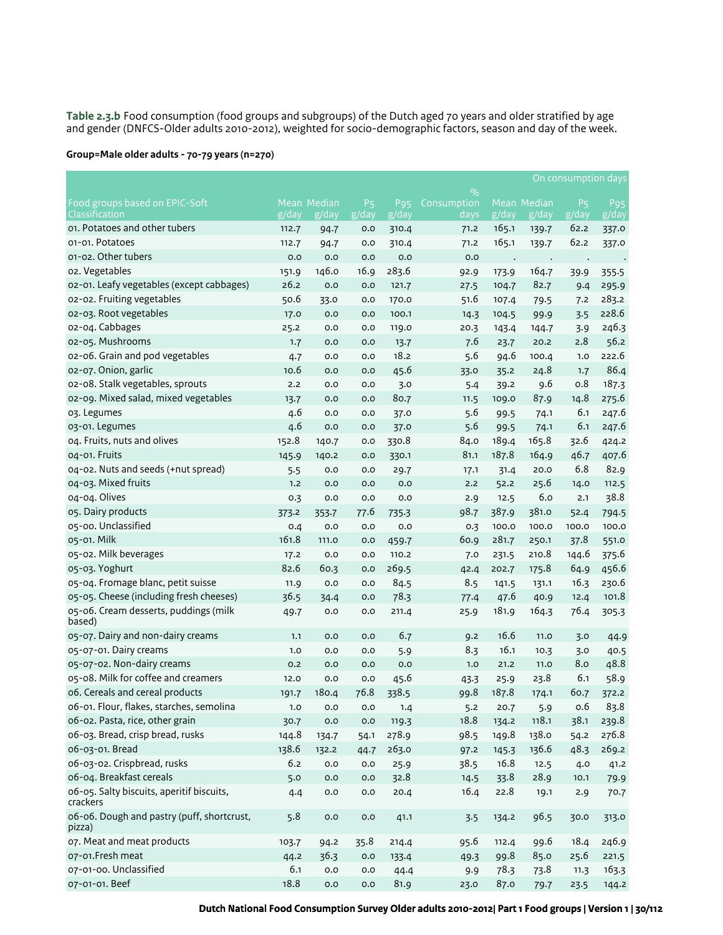**Table 2.3.b** Food consumption (food groups and subgroups) of the Dutch aged 70 years and older stratified by age and gender (DNFCS-Older adults 2010-2012), weighted for socio-demographic factors, season and day of the week.

### **Group=Male older adults - 70-79 years (n=270)**

|                                                       |       |             |                |                 |                     |       |             | On consumption days           |                 |
|-------------------------------------------------------|-------|-------------|----------------|-----------------|---------------------|-------|-------------|-------------------------------|-----------------|
| Food groups based on EPIC-Soft                        |       | Mean Median | P <sub>5</sub> | P <sub>95</sub> | $\%$<br>Consumption |       | Mean Median | P <sub>5</sub>                | P <sub>95</sub> |
| <b>Classification</b>                                 | g/day | g/day       | g/day          | g/day           | days                | g/day | g/day       | $\overline{g}/\overline{day}$ | g/day           |
| 01. Potatoes and other tubers                         | 112.7 | 94.7        | 0.0            | 310.4           | 71.2                | 165.1 | 139.7       | 62.2                          | 337.0           |
| 01-01. Potatoes                                       | 112.7 | 94.7        | 0.0            | 310.4           | 71.2                | 165.1 | 139.7       | 62.2                          | 337.0           |
| 01-02. Other tubers                                   | 0.0   | 0.0         | 0.0            | 0.0             | 0.0                 |       |             |                               |                 |
| o2. Vegetables                                        | 151.9 | 146.0       | 16.9           | 283.6           | 92.9                | 173.9 | 164.7       | 39.9                          | 355.5           |
| 02-01. Leafy vegetables (except cabbages)             | 26.2  | 0.0         | 0.0            | 121.7           | 27.5                | 104.7 | 82.7        | 9.4                           | 295.9           |
| 02-02. Fruiting vegetables                            | 50.6  | 33.0        | 0.0            | 170.0           | 51.6                | 107.4 | 79.5        | 7.2                           | 283.2           |
| 02-03. Root vegetables                                | 17.0  | 0.0         | 0.0            | 100.1           | 14.3                | 104.5 | 99.9        | 3.5                           | 228.6           |
| 02-04. Cabbages                                       | 25.2  | 0.0         | 0.0            | 119.0           | 20.3                | 143.4 | 144.7       | 3.9                           | 246.3           |
| 02-05. Mushrooms                                      | 1.7   | 0.0         | 0.0            | 13.7            | 7.6                 | 23.7  | 20.2        | 2.8                           | 56.2            |
| o2-o6. Grain and pod vegetables                       | 4.7   | 0.0         | 0.0            | 18.2            | 5.6                 | 94.6  | 100.4       | 1.0                           | 222.6           |
| 02-07. Onion, garlic                                  | 10.6  | 0.0         | 0.0            | 45.6            | 33.0                | 35.2  | 24.8        | 1.7                           | 86.4            |
| 02-08. Stalk vegetables, sprouts                      | 2.2   | 0.0         | 0.0            | 3.0             | 5.4                 | 39.2  | 9.6         | 0.8                           | 187.3           |
| 02-09. Mixed salad, mixed vegetables                  | 13.7  | 0.0         | 0.0            | 80.7            | 11.5                | 109.0 | 87.9        | 14.8                          | 275.6           |
| 03. Legumes                                           | 4.6   | 0.0         | 0.0            | 37.0            | 5.6                 | 99.5  | 74.1        | 6.1                           | 247.6           |
| 03-01. Legumes                                        | 4.6   | 0.0         | 0.0            | 37.0            | 5.6                 | 99.5  | 74.1        | 6.1                           | 247.6           |
| 04. Fruits, nuts and olives                           | 152.8 | 140.7       | 0.0            | 330.8           | 84.0                | 189.4 | 165.8       | 32.6                          | 424.2           |
| 04-01. Fruits                                         | 145.9 | 140.2       | 0.0            | 330.1           | 81.1                | 187.8 | 164.9       | 46.7                          | 407.6           |
| 04-02. Nuts and seeds (+nut spread)                   | 5.5   | 0.0         | 0.0            | 29.7            | 17.1                | 31.4  | 20.0        | 6.8                           | 82.9            |
| 04-03. Mixed fruits                                   | 1.2   | 0.0         | 0.0            | 0.0             | 2.2                 | 52.2  | 25.6        | 14.0                          | 112.5           |
| 04-04. Olives                                         | 0.3   | 0.0         | 0.0            | 0.0             | 2.9                 | 12.5  | 6.0         | 2.1                           | 38.8            |
| 05. Dairy products                                    | 373.2 | 353.7       | 77.6           | 735.3           | 98.7                | 387.9 | 381.0       | 52.4                          | 794.5           |
| 05-00. Unclassified                                   | 0.4   | 0.0         | 0.0            | 0.0             | 0.3                 | 100.0 | 100.0       | 100.0                         | 100.0           |
| 05-01. Milk                                           | 161.8 | 111.0       | 0.0            | 459.7           | 60.9                | 281.7 | 250.1       | 37.8                          | 551.0           |
| 05-02. Milk beverages                                 | 17.2  | 0.0         | 0.0            | 110.2           | 7.0                 | 231.5 | 210.8       | 144.6                         | 375.6           |
| 05-03. Yoghurt                                        | 82.6  | 60.3        | 0.0            | 269.5           | 42.4                | 202.7 | 175.8       | 64.9                          | 456.6           |
| 05-04. Fromage blanc, petit suisse                    | 11.9  | 0.0         | 0.0            | 84.5            | 8.5                 | 141.5 | 131.1       | 16.3                          | 230.6           |
| 05-05. Cheese (including fresh cheeses)               | 36.5  | 34.4        | 0.0            | 78.3            | 77.4                | 47.6  | 40.9        | 12.4                          | 101.8           |
| 05-06. Cream desserts, puddings (milk<br>based)       | 49.7  | 0.0         | 0.0            | 211.4           | 25.9                | 181.9 | 164.3       | 76.4                          | 305.3           |
| 05-07. Dairy and non-dairy creams                     | 1.1   | 0.0         | 0.0            | 6.7             | 9.2                 | 16.6  | 11.0        | 3.0                           | 44.9            |
| 05-07-01. Dairy creams                                | 1.0   | 0.0         | 0.0            | 5.9             | 8.3                 | 16.1  | 10.3        | 3.0                           | 40.5            |
| 05-07-02. Non-dairy creams                            | 0.2   | 0.0         | 0.0            | 0.0             | 1.0                 | 21.2  | 11.0        | 8.0                           | 48.8            |
| 05-08. Milk for coffee and creamers                   | 12.0  | 0.0         | 0.0            | 45.6            | 43.3                | 25.9  | 23.8        | 6.1                           | 58.9            |
| 06. Cereals and cereal products                       | 191.7 | 180.4       | 76.8           | 338.5           | 99.8                | 187.8 | 174.1       | 60.7                          | 372.2           |
| 06-01. Flour, flakes, starches, semolina              | 1.0   | 0.0         | $_{\rm 0.0}$   | 1.4             | 5.2                 | 20.7  | 5.9         | 0.6                           | 83.8            |
| 06-02. Pasta, rice, other grain                       | 30.7  | 0.0         | 0.0            | 119.3           | 18.8                | 134.2 | 118.1       | 38.1                          | 239.8           |
| 06-03. Bread, crisp bread, rusks                      | 144.8 | 134.7       | 54.1           | 278.9           | 98.5                | 149.8 | 138.0       | 54.2                          | 276.8           |
| 06-03-01. Bread                                       | 138.6 | 132.2       | 44.7           | 263.0           | 97.2                | 145.3 | 136.6       | 48.3                          | 269.2           |
| 06-03-02. Crispbread, rusks                           | 6.2   | 0.0         | 0.0            | 25.9            | 38.5                | 16.8  | 12.5        | 4.0                           | 41.2            |
| 06-04. Breakfast cereals                              | 5.0   | 0.0         | 0.0            | 32.8            | 14.5                | 33.8  | 28.9        | 10.1                          | 79.9            |
| 06-05. Salty biscuits, aperitif biscuits,<br>crackers | 4.4   | 0.0         | 0.0            | 20.4            | 16.4                | 22.8  | 19.1        | 2.9                           | 70.7            |
| 06-06. Dough and pastry (puff, shortcrust,<br>pizza)  | 5.8   | 0.0         | 0.0            | 41.1            | 3.5                 | 134.2 | 96.5        | 30.0                          | 313.0           |
| 07. Meat and meat products                            | 103.7 | 94.2        | 35.8           | 214.4           | 95.6                | 112.4 | 99.6        | 18.4                          | 246.9           |
| 07-01.Fresh meat                                      | 44.2  | 36.3        | 0.0            | 133.4           | 49.3                | 99.8  | 85.0        | 25.6                          | 221.5           |
| 07-01-00. Unclassified                                | 6.1   | 0.0         | 0.0            | 44.4            | 9.9                 | 78.3  | 73.8        | 11.3                          | 163.3           |
| 07-01-01. Beef                                        | 18.8  | 0.0         | 0.0            | 81.9            | 23.0                | 87.0  | 79.7        | 23.5                          | 144.2           |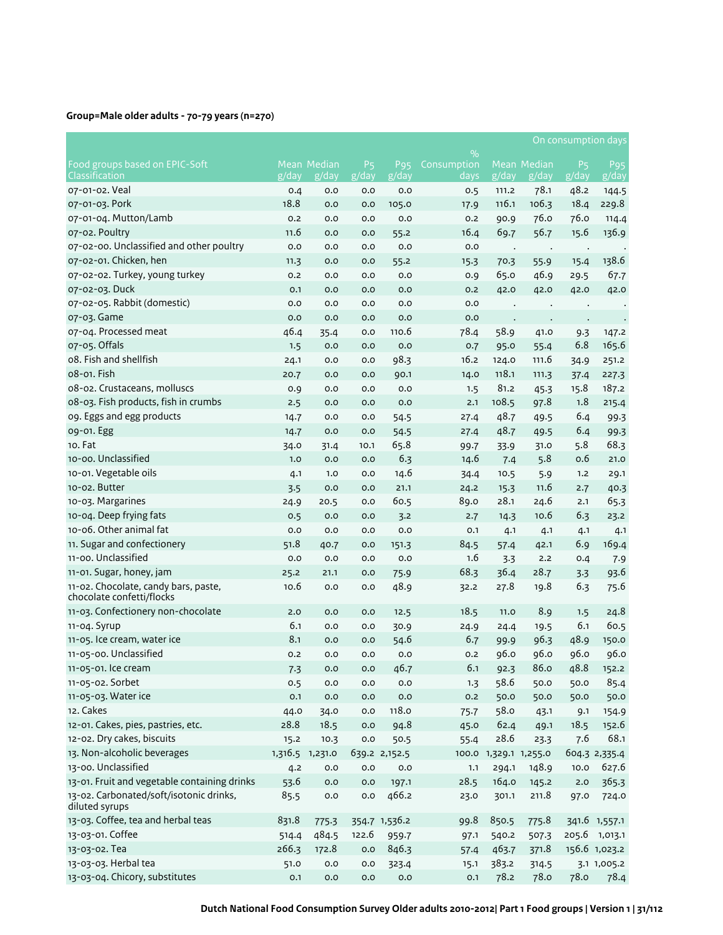# **Group=Male older adults - 70-79 years (n=270)**

|                                                                   |         |                      |                         |                                                  |                     |                 |                      | On consumption days     |                          |
|-------------------------------------------------------------------|---------|----------------------|-------------------------|--------------------------------------------------|---------------------|-----------------|----------------------|-------------------------|--------------------------|
|                                                                   |         |                      |                         |                                                  | $\%$                |                 |                      |                         |                          |
| Food groups based on EPIC-Soft<br>Classification                  | g/day   | Mean Median<br>g/day | P <sub>5</sub><br>g/day | P <sub>95</sub><br>$\overline{g}/\overline{day}$ | Consumption<br>days | g/day           | Mean Median<br>g/day | P <sub>5</sub><br>g/day | P <sub>95</sub><br>g/day |
| 07-01-02. Veal                                                    | 0.4     | 0.0                  | 0.0                     | 0.0                                              | 0.5                 | 111.2           | 78.1                 | 48.2                    | 144.5                    |
| 07-01-03. Pork                                                    | 18.8    | 0.0                  | 0.0                     | 105.0                                            | 17.9                | 116.1           | 106.3                | 18.4                    | 229.8                    |
| 07-01-04. Mutton/Lamb                                             | 0.2     | 0.0                  | 0.0                     | 0.0                                              | 0.2                 | 90.9            | 76.0                 | 76.0                    | 114.4                    |
| 07-02. Poultry                                                    | 11.6    | 0.0                  | 0.0                     | 55.2                                             | 16.4                | 69.7            | 56.7                 | 15.6                    | 136.9                    |
| 07-02-00. Unclassified and other poultry                          | 0.0     | 0.0                  | 0.0                     | 0.0                                              | 0.0                 |                 |                      |                         |                          |
| 07-02-01. Chicken, hen                                            | 11.3    | 0.0                  | 0.0                     | 55.2                                             |                     | $\cdot$<br>70.3 | $\cdot$              | $\bullet$<br>15.4       | 138.6                    |
| 07-02-02. Turkey, young turkey                                    | 0.2     | 0.0                  | 0.0                     | 0.0                                              | 15.3                |                 | 55.9<br>46.9         |                         |                          |
| 07-02-03. Duck                                                    |         |                      |                         |                                                  | 0.9                 | 65.0            |                      | 29.5                    | 67.7                     |
| 07-02-05. Rabbit (domestic)                                       | 0.1     | 0.0                  | 0.0                     | 0.0                                              | 0.2                 | 42.0            | 42.0                 | 42.0                    | 42.0                     |
|                                                                   | 0.0     | 0.0                  | 0.0                     | 0.0                                              | 0.0                 |                 |                      |                         |                          |
| 07-03. Game                                                       | 0.0     | 0.0                  | 0.0                     | 0.0                                              | 0.0                 |                 |                      | $\bullet$               |                          |
| 07-04. Processed meat                                             | 46.4    | 35.4                 | 0.0                     | 110.6                                            | 78.4                | 58.9            | 41.0                 | 9.3                     | 147.2                    |
| 07-05. Offals                                                     | 1.5     | 0.0                  | 0.0                     | 0.0                                              | 0.7                 | 95.0            | 55.4                 | 6.8                     | 165.6                    |
| 08. Fish and shellfish                                            | 24.1    | 0.0                  | 0.0                     | 98.3                                             | 16.2                | 124.0           | 111.6                | 34.9                    | 251.2                    |
| 08-01. Fish                                                       | 20.7    | 0.0                  | 0.0                     | 90.1                                             | 14.0                | 118.1           | 111.3                | 37.4                    | 227.3                    |
| 08-02. Crustaceans, molluscs                                      | 0.9     | 0.0                  | 0.0                     | 0.0                                              | 1.5                 | 81.2            | 45.3                 | 15.8                    | 187.2                    |
| 08-03. Fish products, fish in crumbs                              | 2.5     | 0.0                  | 0.0                     | 0.0                                              | 2.1                 | 108.5           | 97.8                 | 1.8                     | 215.4                    |
| og. Eggs and egg products                                         | 14.7    | 0.0                  | 0.0                     | 54.5                                             | 27.4                | 48.7            | 49.5                 | 6.4                     | 99.3                     |
| 09-01. Egg                                                        | 14.7    | 0.0                  | 0.0                     | 54.5                                             | 27.4                | 48.7            | 49.5                 | 6.4                     | 99.3                     |
| 10. Fat                                                           | 34.0    | 31.4                 | 10.1                    | 65.8                                             | 99.7                | 33.9            | 31.0                 | 5.8                     | 68.3                     |
| 10-00. Unclassified                                               | 1.0     | 0.0                  | 0.0                     | 6.3                                              | 14.6                | 7.4             | 5.8                  | 0.6                     | 21.0                     |
| 10-01. Vegetable oils                                             | 4.1     | 1.0                  | 0.0                     | 14.6                                             | 34.4                | 10.5            | 5.9                  | 1.2                     | 29.1                     |
| 10-02. Butter                                                     | 3.5     | 0.0                  | 0.0                     | 21.1                                             | 24.2                | 15.3            | 11.6                 | 2.7                     | 40.3                     |
| 10-03. Margarines                                                 | 24.9    | 20.5                 | 0.0                     | 60.5                                             | 89.0                | 28.1            | 24.6                 | 2.1                     | 65.3                     |
| 10-04. Deep frying fats                                           | 0.5     | 0.0                  | 0.0                     | 3.2                                              | 2.7                 | 14.3            | 10.6                 | 6.3                     | 23.2                     |
| 10-06. Other animal fat                                           | 0.0     | 0.0                  | 0.0                     | 0.0                                              | 0.1                 | 4.1             | 4.1                  | 4.1                     | 4.1                      |
| 11. Sugar and confectionery                                       | 51.8    | 40.7                 | 0.0                     | 151.3                                            | 84.5                | 57.4            | 42.1                 | 6.9                     | 169.4                    |
| 11-00. Unclassified                                               | 0.0     | 0.0                  | 0.0                     | 0.0                                              | 1.6                 | 3.3             | 2.2                  | 0.4                     | 7.9                      |
| 11-01. Sugar, honey, jam                                          | 25.2    | 21.1                 | 0.0                     | 75.9                                             | 68.3                | 36.4            | 28.7                 | 3.3                     | 93.6                     |
| 11-02. Chocolate, candy bars, paste,<br>chocolate confetti/flocks | 10.6    | 0.0                  | 0.0                     | 48.9                                             | 32.2                | 27.8            | 19.8                 | 6.3                     | 75.6                     |
| 11-03. Confectionery non-chocolate                                | 2.0     | O.O                  | 0.0                     | 12.5                                             | 18.5                | 11.0            | 8.9                  | 1.5                     | 24.8                     |
| 11-04. Syrup                                                      | 6.1     | 0.0                  | 0.0                     | 30.9                                             | 24.9                | 24.4            | 19.5                 | 6.1                     | 60.5                     |
| 11-05. Ice cream, water ice                                       | 8.1     | 0.0                  | 0.0                     | 54.6                                             | 6.7                 | 99.9            | 96.3                 | 48.9                    | 150.0                    |
| 11-05-00. Unclassified                                            | 0.2     | O.O                  | 0.0                     | O.O                                              | 0.2                 | 96.0            | 96.0                 | 96.0                    | 96.0                     |
| 11-05-01. Ice cream                                               | 7.3     | 0.0                  | 0.0                     | 46.7                                             | 6.1                 | 92.3            | 86.o                 | 48.8                    | 152.2                    |
| 11-05-02. Sorbet                                                  | 0.5     | 0.0                  | 0.0                     | 0.0                                              | 1.3                 | 58.6            | 50.0                 | 50.0                    | 85.4                     |
| 11-05-03. Water ice                                               | 0.1     | 0.0                  | 0.0                     | 0.0                                              | 0.2                 | 50.0            | 50.0                 | 50.0                    | 50.0                     |
| 12. Cakes                                                         | 44.0    | 34.0                 | 0.0                     | 118.0                                            | 75.7                | 58.0            | 43.1                 | 9.1                     | 154.9                    |
| 12-01. Cakes, pies, pastries, etc.                                | 28.8    | 18.5                 | 0.0                     | 94.8                                             | 45.0                | 62.4            | 49.1                 | 18.5                    | 152.6                    |
| 12-02. Dry cakes, biscuits                                        | 15.2    | 10.3                 | 0.0                     | 50.5                                             | 55.4                | 28.6            | 23.3                 | 7.6                     | 68.1                     |
| 13. Non-alcoholic beverages                                       | 1,316.5 | 1,231.0              |                         | 639.2 2,152.5                                    | 100.0               | 1,329.1 1,255.0 |                      |                         | 604.3 2,335.4            |
| 13-00. Unclassified                                               | 4.2     | 0.0                  | 0.0                     | 0.0                                              | 1.1                 | 294.1           | 148.9                | 10.0                    | 627.6                    |
| 13-01. Fruit and vegetable containing drinks                      | 53.6    | 0.0                  | 0.0                     | 197.1                                            | 28.5                | 164.0           | 145.2                | 2.0                     | 365.3                    |
| 13-02. Carbonated/soft/isotonic drinks,<br>diluted syrups         | 85.5    | 0.0                  | 0.0                     | 466.2                                            | 23.0                | 301.1           | 211.8                | 97.0                    | 724.0                    |
| 13-03. Coffee, tea and herbal teas                                | 831.8   | 775.3                |                         | 354.7 1,536.2                                    | 99.8                | 850.5           | 775.8                |                         | 341.6 1,557.1            |
| 13-03-01. Coffee                                                  | 514.4   | 484.5                | 122.6                   | 959.7                                            | 97.1                | 540.2           | 507.3                |                         | 205.6 1,013.1            |
| 13-03-02. Tea                                                     | 266.3   | 172.8                | 0.0                     | 846.3                                            | 57.4                | 463.7           | 371.8                |                         | 156.6 1,023.2            |
| 13-03-03. Herbal tea                                              | 51.0    | 0.0                  | 0.0                     | 323.4                                            | 15.1                | 383.2           | 314.5                |                         | 3.1 1,005.2              |
| 13-03-04. Chicory, substitutes                                    | 0.1     | 0.0                  | 0.0                     | 0.0                                              | 0.1                 | 78.2            | 78.0                 | 78.0                    | 78.4                     |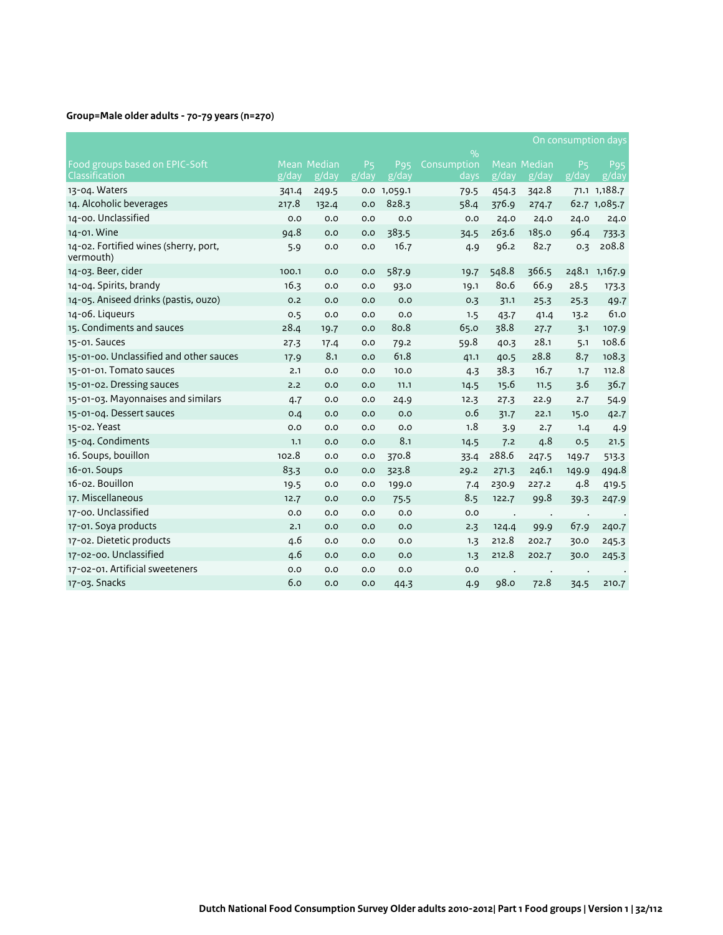# **Group=Male older adults - 70-79 years (n=270)**

|                                                    |       |             |                         |                               |                              |       |                    | On consumption days     |                          |
|----------------------------------------------------|-------|-------------|-------------------------|-------------------------------|------------------------------|-------|--------------------|-------------------------|--------------------------|
| Food groups based on EPIC-Soft                     |       | Mean Median |                         | P <sub>95</sub>               | $\frac{9}{0}$<br>Consumption |       | <b>Mean Median</b> |                         |                          |
| Classification                                     | g/day | g/day       | P <sub>5</sub><br>g/day | $\overline{g}/\overline{day}$ | days                         | g/day | g/day              | P <sub>5</sub><br>g/day | P <sub>95</sub><br>g/day |
| 13-04. Waters                                      | 341.4 | 249.5       | 0.0                     | 1,059.1                       | 79.5                         | 454.3 | 342.8              |                         | 71.1 1,188.7             |
| 14. Alcoholic beverages                            | 217.8 | 132.4       | 0.0                     | 828.3                         | 58.4                         | 376.9 | 274.7              |                         | 62.7 1,085.7             |
| 14-00. Unclassified                                | 0.0   | 0.0         | 0.0                     | O.O                           | O.O                          | 24.0  | 24.0               | 24.0                    | 24.0                     |
| 14-01. Wine                                        | 94.8  | 0.0         | 0.0                     | 383.5                         | 34.5                         | 263.6 | 185.0              | 96.4                    | 733.3                    |
| 14-02. Fortified wines (sherry, port,<br>vermouth) | 5.9   | 0.0         | 0.0                     | 16.7                          | 4.9                          | 96.2  | 82.7               | 0.3                     | 208.8                    |
| 14-03. Beer, cider                                 | 100.1 | 0.0         | 0.0                     | 587.9                         | 19.7                         | 548.8 | 366.5              |                         | 248.1 1,167.9            |
| 14-04. Spirits, brandy                             | 16.3  | 0.0         | 0.0                     | 93.0                          | 19.1                         | 80.6  | 66.9               | 28.5                    | 173.3                    |
| 14-05. Aniseed drinks (pastis, ouzo)               | 0.2   | O.O         | 0.0                     | 0.0                           | 0.3                          | 31.1  | 25.3               | 25.3                    | 49.7                     |
| 14-06. Liqueurs                                    | 0.5   | 0.0         | 0.0                     | 0.0                           | 1.5                          | 43.7  | 41.4               | 13.2                    | 61.0                     |
| 15. Condiments and sauces                          | 28.4  | 19.7        | 0.0                     | 80.8                          | 65.0                         | 38.8  | 27.7               | 3.1                     | 107.9                    |
| 15-01. Sauces                                      | 27.3  | 17.4        | 0.0                     | 79.2                          | 59.8                         | 40.3  | 28.1               | 5.1                     | 108.6                    |
| 15-01-00. Unclassified and other sauces            | 17.9  | 8.1         | 0.0                     | 61.8                          | 41.1                         | 40.5  | 28.8               | 8.7                     | 108.3                    |
| 15-01-01. Tomato sauces                            | 2.1   | 0.0         | 0.0                     | 10.0                          | 4.3                          | 38.3  | 16.7               | 1.7                     | 112.8                    |
| 15-01-02. Dressing sauces                          | 2.2   | 0.0         | 0.0                     | 11.1                          | 14.5                         | 15.6  | 11.5               | 3.6                     | 36.7                     |
| 15-01-03. Mayonnaises and similars                 | 4.7   | O.O         | 0.0                     | 24.9                          | 12.3                         | 27.3  | 22.9               | 2.7                     | 54.9                     |
| 15-01-04. Dessert sauces                           | 0.4   | 0.0         | 0.0                     | 0.0                           | 0.6                          | 31.7  | 22.1               | 15.0                    | 42.7                     |
| 15-02. Yeast                                       | 0.0   | 0.0         | 0.0                     | 0.0                           | 1.8                          | 3.9   | 2.7                | 1.4                     | 4.9                      |
| 15-04. Condiments                                  | 1.1   | O.O         | 0.0                     | 8.1                           | 14.5                         | 7.2   | 4.8                | 0.5                     | 21.5                     |
| 16. Soups, bouillon                                | 102.8 | 0.0         | 0.0                     | 370.8                         | 33.4                         | 288.6 | 247.5              | 149.7                   | 513.3                    |
| 16-01. Soups                                       | 83.3  | 0.0         | 0.0                     | 323.8                         | 29.2                         | 271.3 | 246.1              | 149.9                   | 494.8                    |
| 16-02. Bouillon                                    | 19.5  | 0.0         | 0.0                     | 199.0                         | 7.4                          | 230.9 | 227.2              | 4.8                     | 419.5                    |
| 17. Miscellaneous                                  | 12.7  | 0.0         | 0.0                     | 75.5                          | 8.5                          | 122.7 | 99.8               | 39.3                    | 247.9                    |
| 17-00. Unclassified                                | 0.0   | 0.0         | 0.0                     | 0.0                           | 0.0                          |       | $\cdot$            | $\cdot$                 |                          |
| 17-01. Soya products                               | 2.1   | O.O         | 0.0                     | O.O                           | 2.3                          | 124.4 | 99.9               | 67.9                    | 240.7                    |
| 17-02. Dietetic products                           | 4.6   | 0.0         | 0.0                     | 0.0                           | 1.3                          | 212.8 | 202.7              | 30.0                    | 245.3                    |
| 17-02-00. Unclassified                             | 4.6   | O.O         | 0.0                     | O.O                           | 1.3                          | 212.8 | 202.7              | 30.0                    | 245.3                    |
| 17-02-01. Artificial sweeteners                    | 0.0   | 0.0         | 0.0                     | 0.0                           | 0.0                          |       | $\cdot$            |                         |                          |
| 17-03. Snacks                                      | 6.0   | 0.0         | 0.0                     | 44.3                          | 4.9                          | 98.0  | 72.8               | 34.5                    | 210.7                    |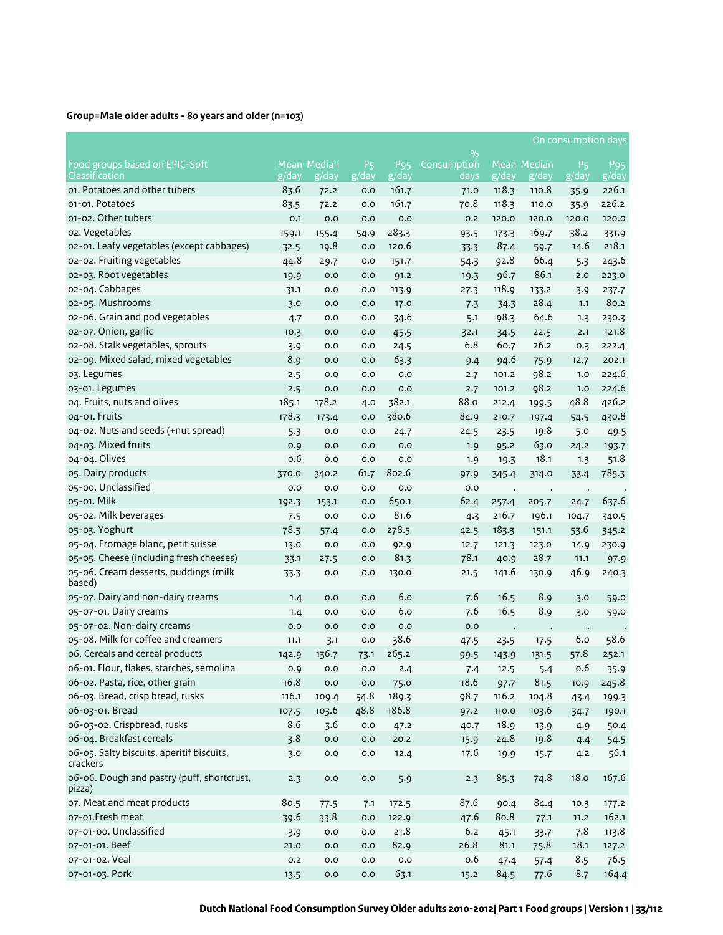|                                                                               |              |                      |                                       |                      |                     |                |                      | On consumption days                             |                          |
|-------------------------------------------------------------------------------|--------------|----------------------|---------------------------------------|----------------------|---------------------|----------------|----------------------|-------------------------------------------------|--------------------------|
|                                                                               |              |                      |                                       |                      | $\%$                |                |                      |                                                 |                          |
| Food groups based on EPIC-Soft<br>Classification                              | g/day        | Mean Median<br>g/day | P <sub>5</sub><br>$\overline{g/d}$ ay | <b>P</b> 95<br>g/day | Consumption<br>days | g/day          | Mean Median<br>g/day | P <sub>5</sub><br>$\overline{g}/\overline{day}$ | P <sub>95</sub><br>g/day |
| 01. Potatoes and other tubers                                                 | 83.6         | 72.2                 | 0.0                                   | 161.7                | 71.0                | 118.3          | 110.8                |                                                 | 226.1                    |
| 01-01. Potatoes                                                               | 83.5         | 72.2                 | 0.0                                   | 161.7                | 70.8                | 118.3          | 110.0                | 35.9<br>35.9                                    | 226.2                    |
| 01-02. Other tubers                                                           | O.1          | 0.0                  | 0.0                                   | 0.0                  | 0.2                 | 120.0          | 120.0                | 120.0                                           | 120.0                    |
| o2. Vegetables                                                                | 159.1        | 155.4                | 54.9                                  | 283.3                | 93.5                | 173.3          | 169.7                | 38.2                                            | 331.9                    |
| 02-01. Leafy vegetables (except cabbages)                                     | 32.5         | 19.8                 | 0.0                                   | 120.6                | 33.3                | 87.4           | 59.7                 | 14.6                                            | 218.1                    |
| 02-02. Fruiting vegetables                                                    | 44.8         | 29.7                 | 0.0                                   | 151.7                | 54.3                | 92.8           | 66.4                 | 5.3                                             | 243.6                    |
| 02-03. Root vegetables                                                        | 19.9         | 0.0                  | 0.0                                   | 91.2                 | 19.3                | 96.7           | 86.1                 | 2.0                                             | 223.0                    |
| 02-04. Cabbages                                                               | 31.1         | 0.0                  | 0.0                                   | 113.9                | 27.3                | 118.9          | 133.2                | 3.9                                             | 237.7                    |
| 02-05. Mushrooms                                                              | 3.0          | 0.0                  | 0.0                                   | 17.0                 | 7.3                 | 34.3           | 28.4                 | 1.1                                             | 80.2                     |
| o2-o6. Grain and pod vegetables                                               | 4.7          | 0.0                  | 0.0                                   | 34.6                 | 5.1                 | 98.3           | 64.6                 | 1.3                                             | 230.3                    |
| 02-07. Onion, garlic                                                          | 10.3         | 0.0                  | 0.0                                   | 45.5                 | 32.1                | 34.5           | 22.5                 | 2.1                                             | 121.8                    |
| 02-08. Stalk vegetables, sprouts                                              | 3.9          | 0.0                  | 0.0                                   | 24.5                 | 6.8                 | 60.7           | 26.2                 | 0.3                                             | 222.4                    |
| 02-09. Mixed salad, mixed vegetables                                          | 8.9          | 0.0                  | 0.0                                   | 63.3                 |                     | 94.6           | 75.9                 | 12.7                                            | 202.1                    |
| 03. Legumes                                                                   | 2.5          | 0.0                  | 0.0                                   | 0.0                  | 9.4<br>2.7          | 101.2          | 98.2                 | 1.0                                             | 224.6                    |
| 03-01. Legumes                                                                |              | 0.0                  | 0.0                                   | 0.0                  |                     | 101.2          | 98.2                 | 1.0                                             | 224.6                    |
| 04. Fruits, nuts and olives                                                   | 2.5<br>185.1 | 178.2                |                                       | 382.1                | 2.7<br>88.o         |                |                      | 48.8                                            | 426.2                    |
| 04-01. Fruits                                                                 | 178.3        |                      | 4.0                                   | 380.6                |                     | 212.4          | 199.5                |                                                 |                          |
| 04-02. Nuts and seeds (+nut spread)                                           |              | 173.4                | 0.0                                   |                      | 84.9                | 210.7          | 197.4                | 54.5                                            | 430.8                    |
| 04-03. Mixed fruits                                                           | 5.3          | 0.0<br>0.0           | 0.0<br>0.0                            | 24.7<br>0.0          | 24.5                | 23.5           | 19.8<br>63.0         | 5.0                                             | 49.5                     |
| 04-04. Olives                                                                 | 0.9<br>0.6   |                      |                                       | 0.0                  | 1.9                 | 95.2           | 18.1                 | 24.2                                            | 193.7<br>51.8            |
| 05. Dairy products                                                            |              | 0.0                  | 0.0                                   | 802.6                | 1.9                 | 19.3           |                      | 1.3                                             | 785.3                    |
| 05-00. Unclassified                                                           | 370.0        | 340.2                | 61.7                                  | 0.0                  | 97.9<br>O.O         | 345.4          | 314.0                | 33.4                                            |                          |
| 05-01. Milk                                                                   | 0.0          | 0.0                  | 0.0                                   | 650.1                | 62.4                |                | $\cdot$              |                                                 |                          |
| 05-02. Milk beverages                                                         | 192.3        | 153.1                | 0.0                                   | 81.6                 |                     | 257.4<br>216.7 | 205.7                | 24.7                                            | 637.6                    |
| 05-03. Yoghurt                                                                | 7.5<br>78.3  | 0.0                  | 0.0                                   | 278.5                | 4.3                 |                | 196.1                | 104.7                                           | 340.5                    |
|                                                                               |              | 57.4                 | 0.0                                   |                      | 42.5                | 183.3          | 151.1                | 53.6                                            | 345.2                    |
| 05-04. Fromage blanc, petit suisse<br>05-05. Cheese (including fresh cheeses) | 13.0         | 0.0                  | 0.0                                   | 92.9                 | 12.7                | 121.3          | 123.0                | 14.9                                            | 230.9                    |
| 05-06. Cream desserts, puddings (milk                                         | 33.1         | 27.5                 | 0.0                                   | 81.3                 | 78.1                | 40.9           | 28.7                 | 11.1                                            | 97.9                     |
| based)                                                                        | 33.3         | 0.0                  | 0.0                                   | 130.0                | 21.5                | 141.6          | 130.9                | 46.9                                            | 240.3                    |
| 05-07. Dairy and non-dairy creams                                             | 1.4          | 0.0                  | 0.0                                   | 6.0                  | 7.6                 | 16.5           | 8.9                  | 3.0                                             | 59.0                     |
| 05-07-01. Dairy creams                                                        | 1.4          | 0.0                  | 0.0                                   | 6.0                  | 7.6                 | 16.5           | 8.9                  | 3.0                                             | 59.0                     |
| 05-07-02. Non-dairy creams                                                    | 0.0          | 0.0                  | 0.0                                   | 0.0                  | 0.0                 |                |                      |                                                 |                          |
| 05-08. Milk for coffee and creamers                                           | 11.1         | 3.1                  | 0.0                                   | 38.6                 | 47.5                | 23.5           | 17.5                 | 6.0                                             | 58.6                     |
| o6. Cereals and cereal products                                               | 142.9        | 136.7                | 73.1                                  | 265.2                | 99.5                | 143.9          | 131.5                | 57.8                                            | 252.1                    |
| 06-01. Flour, flakes, starches, semolina                                      | 0.9          | $_{0.0}$             | $_{\rm 0.0}$                          | 2.4                  | 7.4                 | 12.5           | 5.4                  | 0.6                                             | 35.9                     |
| 06-02. Pasta, rice, other grain                                               | 16.8         | 0.0                  | 0.0                                   | 75.0                 | 18.6                | 97.7           | 81.5                 | 10.9                                            | 245.8                    |
| 06-03. Bread, crisp bread, rusks                                              | 116.1        | 109.4                | 54.8                                  | 189.3                | 98.7                | 116.2          | 104.8                | 43.4                                            | 199.3                    |
| 06-03-01. Bread                                                               | 107.5        | 103.6                | 48.8                                  | 186.8                | 97.2                | 110.0          | 103.6                | 34.7                                            | 190.1                    |
| 06-03-02. Crispbread, rusks                                                   | 8.6          | 3.6                  | $_{\rm 0.0}$                          | 47.2                 | 40.7                | 18.9           | 13.9                 | 4.9                                             | 50.4                     |
| 06-04. Breakfast cereals                                                      | 3.8          | 0.0                  | $_{0.0}$                              | 20.2                 | 15.9                | 24.8           | 19.8                 | 4.4                                             | 54.5                     |
| 06-05. Salty biscuits, aperitif biscuits,<br>crackers                         | 3.0          | 0.0                  | $_{\rm 0.0}$                          | 12.4                 | 17.6                | 19.9           | 15.7                 | 4.2                                             | 56.1                     |
| 06-06. Dough and pastry (puff, shortcrust,<br>pizza)                          | 2.3          | $_{\rm 0.0}$         | 0.0                                   | 5.9                  | 2.3                 | 85.3           | 74.8                 | 18.0                                            | 167.6                    |
| 07. Meat and meat products                                                    | 80.5         | 77.5                 | 7.1                                   | 172.5                | 87.6                | 90.4           | 84.4                 | 10.3                                            | 177.2                    |
| 07-01.Fresh meat                                                              | 39.6         | 33.8                 | $_{\rm 0.0}$                          | 122.9                | 47.6                | 80.8           | 77.1                 | 11.2                                            | 162.1                    |
| 07-01-00. Unclassified                                                        | 3.9          | 0.0                  | $_{\rm 0.0}$                          | 21.8                 | 6.2                 | 45.1           | 33.7                 | 7.8                                             | 113.8                    |
| 07-01-01. Beef                                                                | 21.0         | 0.0                  | 0.0                                   | 82.9                 | 26.8                | 81.1           | 75.8                 | 18.1                                            | 127.2                    |
| 07-01-02. Veal                                                                | 0.2          | 0.0                  | 0.0                                   | 0.0                  | 0.6                 | 47.4           | 57.4                 | 8.5                                             | 76.5                     |
| 07-01-03. Pork                                                                | 13.5         | $_{\rm 0.0}$         | 0.0                                   | 63.1                 | 15.2                | 84.5           | 77.6                 | 8.7                                             | 164.4                    |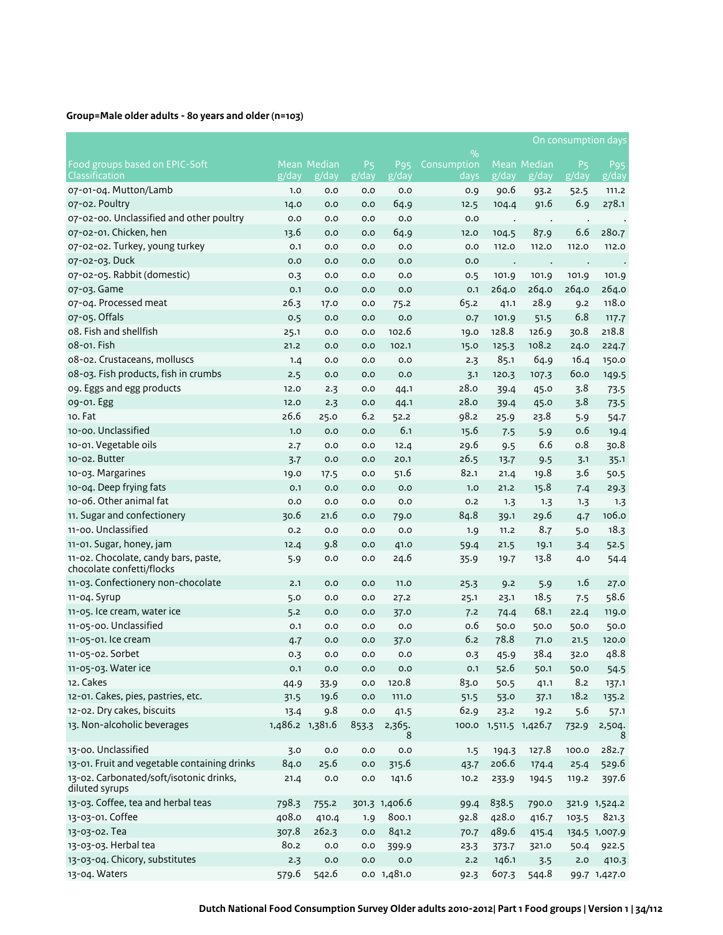| $\%$<br><b>Mean Median</b><br>Food groups based on EPIC-Soft<br>Mean Median<br>P <sub>5</sub><br>P <sub>95</sub><br>Consumption<br>P <sub>5</sub><br>P <sub>95</sub><br>g/day<br>g/day<br>$\overline{g}/day$<br>Classification<br>g/day<br>g/day<br>days<br>g/day<br>g/day<br>g/day<br>07-01-04. Mutton/Lamb<br>90.6<br>1.0<br>0.0<br>0.0<br>0.0<br>0.9<br>93.2<br>52.5<br>111.2<br>07-02. Poultry<br>6.9<br>278.1<br>64.9<br>91.6<br>104.4<br>14.0<br>0.0<br>0.0<br>12.5<br>07-02-00. Unclassified and other poultry<br>0.0<br>0.0<br>0.0<br>0.0<br>0.0<br>$\cdot$<br>$\cdot$<br>$\cdot$<br>07-02-01. Chicken, hen<br>6.6<br>280.7<br>13.6<br>64.9<br>0.0<br>87.9<br>0.0<br>12.0<br>104.5<br>07-02-02. Turkey, young turkey<br>0.1<br>0.0<br>0.0<br>0.0<br>0.0<br>112.0<br>112.0<br>112.0<br>112.0<br>07-02-03. Duck<br>0.0<br>0.0<br>0.0<br>0.0<br>0.0<br>$\cdot$<br>07-02-05. Rabbit (domestic)<br>0.3<br>0.0<br>0.0<br>0.0<br>0.5<br>101.9<br>101.9<br>101.9<br>101.9<br>07-03. Game<br>264.0<br>264.0<br>264.0<br>264.0<br>O.1<br>0.0<br>0.0<br>0.1<br>0.0<br>07-04. Processed meat<br>28.9<br>118.0<br>26.3<br>65.2<br>17.0<br>0.0<br>75.2<br>41.1<br>9.2<br>07-05. Offals<br>6.8<br>0.5<br>0.0<br>0.7<br>101.9<br>51.5<br>117.7<br>0.0<br>0.0<br>08. Fish and shellfish<br>128.8<br>102.6<br>126.9<br>218.8<br>30.8<br>25.1<br>0.0<br>0.0<br>19.0<br>08-01. Fish<br>108.2<br>21.2<br>102.1<br>15.0<br>125.3<br>24.0<br>224.7<br>0.0<br>0.0<br>08-02. Crustaceans, molluscs<br>85.1<br>64.9<br>16.4<br>0.0<br>150.0<br>1.4<br>0.0<br>0.0<br>2.3<br>08-03. Fish products, fish in crumbs<br>60.0<br>2.5<br>0.0<br>120.3<br>107.3<br>0.0<br>0.0<br>3.1<br>149.5<br>og. Eggs and egg products<br>28.0<br>3.8<br>12.0<br>2.3<br>45.0<br>0.0<br>44.1<br>39.4<br>73.5<br>09-01. Egg<br>28.0<br>2.3<br>3.8<br>45.0<br>73.5<br>12.0<br>0.0<br>44.1<br>39.4<br>10. Fat<br>26.6<br>98.2<br>6.2<br>23.8<br>25.0<br>52.2<br>25.9<br>54.7<br>5.9<br>10-00. Unclassified<br>6.1<br>15.6<br>0.6<br>1.0<br>0.0<br>0.0<br>7.5<br>5.9<br>19.4<br>10-01. Vegetable oils<br>6.6<br>0.8<br>30.8<br>29.6<br>0.0<br>2.7<br>0.0<br>12.4<br>9.5<br>10-02. Butter<br>26.5<br>3.7<br>20.1<br>0.0<br>0.0<br>13.7<br>9.5<br>3.1<br>35.1<br>10-03. Margarines<br>82.1<br>19.8<br>51.6<br>3.6<br>19.0<br>21.4<br>50.5<br>17.5<br>0.0<br>10-04. Deep frying fats<br>15.8<br>0.0<br>0.0<br>1.0<br>29.3<br>0.1<br>0.0<br>21.2<br>7.4<br>10-06. Other animal fat<br>0.0<br>0.0<br>0.0<br>0.0<br>0.2<br>1.3<br>1.3<br>1.3<br>1.3<br>11. Sugar and confectionery<br>21.6<br>84.8<br>29.6<br>106.0<br>30.6<br>79.0<br>4.7<br>0.0<br>39.1<br>11-00. Unclassified<br>8.7<br>18.3<br>0.2<br>0.0<br>0.0<br>0.0<br>1.9<br>11.2<br>5.0<br>11-01. Sugar, honey, jam<br>9.8<br>52.5<br>12.4<br>0.0<br>41.0<br>59.4<br>21.5<br>19.1<br>3.4<br>11-02. Chocolate, candy bars, paste,<br>13.8<br>0.0<br>0.0<br>24.6<br>5.9<br>35.9<br>19.7<br>4.0<br>54.4<br>chocolate confetti/flocks<br>11-03. Confectionery non-chocolate<br>1.6<br>2.1<br>0.0<br>11.0<br>0.0<br>25.3<br>9.2<br>5.9<br>27.0<br>11-04. Syrup<br>18.5<br>58.6<br>5.0<br>0.0<br>25.1<br>0.0<br>27.2<br>23.1<br>7.5<br>11-05. Ice cream, water ice<br>68.1<br>5.2<br>119.0<br>0.0<br>0.0<br>37.0<br>7.2<br>74.4<br>22.4<br>11-05-00. Unclassified<br>0.6<br>0.1<br>0.0<br>0.0<br>50.0<br>50.0<br>0.0<br>50.0<br>50.0<br>11-05-01. Ice cream<br>6.2<br>78.8<br>120.0<br>4.7<br>0.0<br>0.0<br>37.0<br>71.0<br>21.5<br>48.8<br>11-05-02. Sorbet<br>38.4<br>0.3<br>0.0<br>0.0<br>0.0<br>45.9<br>32.0<br>0.3<br>11-05-03. Water ice<br>0.0<br>0.0<br>52.6<br>0.1<br>0.0<br>50.1<br>50.0<br>0.1<br>54.5<br>12. Cakes<br>120.8<br>8.2<br>83.0<br>50.5<br>41.1<br>44.9<br>33.9<br>0.0<br>137.1<br>12-01. Cakes, pies, pastries, etc.<br>19.6<br>18.2<br>51.5<br>31.5<br>0.0<br>111.0<br>53.0<br>37.1<br>135.2<br>12-02. Dry cakes, biscuits<br>9.8<br>62.9<br>5.6<br>13.4<br>0.0<br>23.2<br>19.2<br>41.5<br>57.1<br>13. Non-alcoholic beverages<br>1,486.2 1,381.6<br>2,365.<br>100.0 1,511.5 1,426.7<br>853.3<br>732.9<br>2,504.<br>8<br>8<br>13-00. Unclassified<br>282.7<br>0.0<br>0.0<br>194.3<br>127.8<br>100.0<br>3.0<br>0.0<br>1.5<br>13-01. Fruit and vegetable containing drinks<br>206.6<br>84.0<br>25.6<br>315.6<br>529.6<br>0.0<br>43.7<br>174.4<br>25.4<br>13-02. Carbonated/soft/isotonic drinks,<br>141.6<br>0.0<br>$_{\rm 0.0}$<br>10.2<br>397.6<br>21.4<br>233.9<br>194.5<br>119.2<br>diluted syrups<br>13-03. Coffee, tea and herbal teas<br>838.5<br>798.3<br>301.3 1,406.6<br>755.2<br>99.4<br>790.0<br>321.9 1,524.2<br>408.0<br>13-03-01. Coffee<br>800.1<br>92.8<br>428.0<br>410.4<br>416.7<br>103.5<br>821.3<br>1.9<br>13-03-02. Tea<br>307.8<br>262.3<br>489.6<br>841.2<br>70.7<br>0.0<br>415.4<br>134.5 1,007.9<br>13-03-03. Herbal tea<br>80.2<br>0.0<br>0.0<br>399.9<br>321.0<br>50.4<br>922.5<br>23.3<br>373.7<br>13-03-04. Chicory, substitutes<br>146.1<br>0.0<br>0.0<br>0.0<br>2.2<br>2.0<br>410.3<br>2.3<br>3.5<br>13-04. Waters<br>0.0 1,481.0<br>579.6<br>542.6<br>607.3<br>544.8<br>92.3<br>99.7 1,427.0 |  |  |  |  | On consumption days |
|---------------------------------------------------------------------------------------------------------------------------------------------------------------------------------------------------------------------------------------------------------------------------------------------------------------------------------------------------------------------------------------------------------------------------------------------------------------------------------------------------------------------------------------------------------------------------------------------------------------------------------------------------------------------------------------------------------------------------------------------------------------------------------------------------------------------------------------------------------------------------------------------------------------------------------------------------------------------------------------------------------------------------------------------------------------------------------------------------------------------------------------------------------------------------------------------------------------------------------------------------------------------------------------------------------------------------------------------------------------------------------------------------------------------------------------------------------------------------------------------------------------------------------------------------------------------------------------------------------------------------------------------------------------------------------------------------------------------------------------------------------------------------------------------------------------------------------------------------------------------------------------------------------------------------------------------------------------------------------------------------------------------------------------------------------------------------------------------------------------------------------------------------------------------------------------------------------------------------------------------------------------------------------------------------------------------------------------------------------------------------------------------------------------------------------------------------------------------------------------------------------------------------------------------------------------------------------------------------------------------------------------------------------------------------------------------------------------------------------------------------------------------------------------------------------------------------------------------------------------------------------------------------------------------------------------------------------------------------------------------------------------------------------------------------------------------------------------------------------------------------------------------------------------------------------------------------------------------------------------------------------------------------------------------------------------------------------------------------------------------------------------------------------------------------------------------------------------------------------------------------------------------------------------------------------------------------------------------------------------------------------------------------------------------------------------------------------------------------------------------------------------------------------------------------------------------------------------------------------------------------------------------------------------------------------------------------------------------------------------------------------------------------------------------------------------------------------------------------------------------------------------------------------------------------------------------------------------------------------------------------------------------------------------------------------------------------------------------------------------------------------------------------------------------------------------------------------------------------------------------------------------------------------------------------------------------------------------------------------------------------------------------------------------------------------------------------------------------------------------------------------------------------------------------------------------------------------------------------------------------------------------------------------------------------------------------------------------------------------------------------------------------------------------------------------|--|--|--|--|---------------------|
|                                                                                                                                                                                                                                                                                                                                                                                                                                                                                                                                                                                                                                                                                                                                                                                                                                                                                                                                                                                                                                                                                                                                                                                                                                                                                                                                                                                                                                                                                                                                                                                                                                                                                                                                                                                                                                                                                                                                                                                                                                                                                                                                                                                                                                                                                                                                                                                                                                                                                                                                                                                                                                                                                                                                                                                                                                                                                                                                                                                                                                                                                                                                                                                                                                                                                                                                                                                                                                                                                                                                                                                                                                                                                                                                                                                                                                                                                                                                                                                                                                                                                                                                                                                                                                                                                                                                                                                                                                                                                                                                                                                                                                                                                                                                                                                                                                                                                                                                                                                                                                                         |  |  |  |  |                     |
|                                                                                                                                                                                                                                                                                                                                                                                                                                                                                                                                                                                                                                                                                                                                                                                                                                                                                                                                                                                                                                                                                                                                                                                                                                                                                                                                                                                                                                                                                                                                                                                                                                                                                                                                                                                                                                                                                                                                                                                                                                                                                                                                                                                                                                                                                                                                                                                                                                                                                                                                                                                                                                                                                                                                                                                                                                                                                                                                                                                                                                                                                                                                                                                                                                                                                                                                                                                                                                                                                                                                                                                                                                                                                                                                                                                                                                                                                                                                                                                                                                                                                                                                                                                                                                                                                                                                                                                                                                                                                                                                                                                                                                                                                                                                                                                                                                                                                                                                                                                                                                                         |  |  |  |  |                     |
|                                                                                                                                                                                                                                                                                                                                                                                                                                                                                                                                                                                                                                                                                                                                                                                                                                                                                                                                                                                                                                                                                                                                                                                                                                                                                                                                                                                                                                                                                                                                                                                                                                                                                                                                                                                                                                                                                                                                                                                                                                                                                                                                                                                                                                                                                                                                                                                                                                                                                                                                                                                                                                                                                                                                                                                                                                                                                                                                                                                                                                                                                                                                                                                                                                                                                                                                                                                                                                                                                                                                                                                                                                                                                                                                                                                                                                                                                                                                                                                                                                                                                                                                                                                                                                                                                                                                                                                                                                                                                                                                                                                                                                                                                                                                                                                                                                                                                                                                                                                                                                                         |  |  |  |  |                     |
|                                                                                                                                                                                                                                                                                                                                                                                                                                                                                                                                                                                                                                                                                                                                                                                                                                                                                                                                                                                                                                                                                                                                                                                                                                                                                                                                                                                                                                                                                                                                                                                                                                                                                                                                                                                                                                                                                                                                                                                                                                                                                                                                                                                                                                                                                                                                                                                                                                                                                                                                                                                                                                                                                                                                                                                                                                                                                                                                                                                                                                                                                                                                                                                                                                                                                                                                                                                                                                                                                                                                                                                                                                                                                                                                                                                                                                                                                                                                                                                                                                                                                                                                                                                                                                                                                                                                                                                                                                                                                                                                                                                                                                                                                                                                                                                                                                                                                                                                                                                                                                                         |  |  |  |  |                     |
|                                                                                                                                                                                                                                                                                                                                                                                                                                                                                                                                                                                                                                                                                                                                                                                                                                                                                                                                                                                                                                                                                                                                                                                                                                                                                                                                                                                                                                                                                                                                                                                                                                                                                                                                                                                                                                                                                                                                                                                                                                                                                                                                                                                                                                                                                                                                                                                                                                                                                                                                                                                                                                                                                                                                                                                                                                                                                                                                                                                                                                                                                                                                                                                                                                                                                                                                                                                                                                                                                                                                                                                                                                                                                                                                                                                                                                                                                                                                                                                                                                                                                                                                                                                                                                                                                                                                                                                                                                                                                                                                                                                                                                                                                                                                                                                                                                                                                                                                                                                                                                                         |  |  |  |  |                     |
|                                                                                                                                                                                                                                                                                                                                                                                                                                                                                                                                                                                                                                                                                                                                                                                                                                                                                                                                                                                                                                                                                                                                                                                                                                                                                                                                                                                                                                                                                                                                                                                                                                                                                                                                                                                                                                                                                                                                                                                                                                                                                                                                                                                                                                                                                                                                                                                                                                                                                                                                                                                                                                                                                                                                                                                                                                                                                                                                                                                                                                                                                                                                                                                                                                                                                                                                                                                                                                                                                                                                                                                                                                                                                                                                                                                                                                                                                                                                                                                                                                                                                                                                                                                                                                                                                                                                                                                                                                                                                                                                                                                                                                                                                                                                                                                                                                                                                                                                                                                                                                                         |  |  |  |  |                     |
|                                                                                                                                                                                                                                                                                                                                                                                                                                                                                                                                                                                                                                                                                                                                                                                                                                                                                                                                                                                                                                                                                                                                                                                                                                                                                                                                                                                                                                                                                                                                                                                                                                                                                                                                                                                                                                                                                                                                                                                                                                                                                                                                                                                                                                                                                                                                                                                                                                                                                                                                                                                                                                                                                                                                                                                                                                                                                                                                                                                                                                                                                                                                                                                                                                                                                                                                                                                                                                                                                                                                                                                                                                                                                                                                                                                                                                                                                                                                                                                                                                                                                                                                                                                                                                                                                                                                                                                                                                                                                                                                                                                                                                                                                                                                                                                                                                                                                                                                                                                                                                                         |  |  |  |  |                     |
|                                                                                                                                                                                                                                                                                                                                                                                                                                                                                                                                                                                                                                                                                                                                                                                                                                                                                                                                                                                                                                                                                                                                                                                                                                                                                                                                                                                                                                                                                                                                                                                                                                                                                                                                                                                                                                                                                                                                                                                                                                                                                                                                                                                                                                                                                                                                                                                                                                                                                                                                                                                                                                                                                                                                                                                                                                                                                                                                                                                                                                                                                                                                                                                                                                                                                                                                                                                                                                                                                                                                                                                                                                                                                                                                                                                                                                                                                                                                                                                                                                                                                                                                                                                                                                                                                                                                                                                                                                                                                                                                                                                                                                                                                                                                                                                                                                                                                                                                                                                                                                                         |  |  |  |  |                     |
|                                                                                                                                                                                                                                                                                                                                                                                                                                                                                                                                                                                                                                                                                                                                                                                                                                                                                                                                                                                                                                                                                                                                                                                                                                                                                                                                                                                                                                                                                                                                                                                                                                                                                                                                                                                                                                                                                                                                                                                                                                                                                                                                                                                                                                                                                                                                                                                                                                                                                                                                                                                                                                                                                                                                                                                                                                                                                                                                                                                                                                                                                                                                                                                                                                                                                                                                                                                                                                                                                                                                                                                                                                                                                                                                                                                                                                                                                                                                                                                                                                                                                                                                                                                                                                                                                                                                                                                                                                                                                                                                                                                                                                                                                                                                                                                                                                                                                                                                                                                                                                                         |  |  |  |  |                     |
|                                                                                                                                                                                                                                                                                                                                                                                                                                                                                                                                                                                                                                                                                                                                                                                                                                                                                                                                                                                                                                                                                                                                                                                                                                                                                                                                                                                                                                                                                                                                                                                                                                                                                                                                                                                                                                                                                                                                                                                                                                                                                                                                                                                                                                                                                                                                                                                                                                                                                                                                                                                                                                                                                                                                                                                                                                                                                                                                                                                                                                                                                                                                                                                                                                                                                                                                                                                                                                                                                                                                                                                                                                                                                                                                                                                                                                                                                                                                                                                                                                                                                                                                                                                                                                                                                                                                                                                                                                                                                                                                                                                                                                                                                                                                                                                                                                                                                                                                                                                                                                                         |  |  |  |  |                     |
|                                                                                                                                                                                                                                                                                                                                                                                                                                                                                                                                                                                                                                                                                                                                                                                                                                                                                                                                                                                                                                                                                                                                                                                                                                                                                                                                                                                                                                                                                                                                                                                                                                                                                                                                                                                                                                                                                                                                                                                                                                                                                                                                                                                                                                                                                                                                                                                                                                                                                                                                                                                                                                                                                                                                                                                                                                                                                                                                                                                                                                                                                                                                                                                                                                                                                                                                                                                                                                                                                                                                                                                                                                                                                                                                                                                                                                                                                                                                                                                                                                                                                                                                                                                                                                                                                                                                                                                                                                                                                                                                                                                                                                                                                                                                                                                                                                                                                                                                                                                                                                                         |  |  |  |  |                     |
|                                                                                                                                                                                                                                                                                                                                                                                                                                                                                                                                                                                                                                                                                                                                                                                                                                                                                                                                                                                                                                                                                                                                                                                                                                                                                                                                                                                                                                                                                                                                                                                                                                                                                                                                                                                                                                                                                                                                                                                                                                                                                                                                                                                                                                                                                                                                                                                                                                                                                                                                                                                                                                                                                                                                                                                                                                                                                                                                                                                                                                                                                                                                                                                                                                                                                                                                                                                                                                                                                                                                                                                                                                                                                                                                                                                                                                                                                                                                                                                                                                                                                                                                                                                                                                                                                                                                                                                                                                                                                                                                                                                                                                                                                                                                                                                                                                                                                                                                                                                                                                                         |  |  |  |  |                     |
|                                                                                                                                                                                                                                                                                                                                                                                                                                                                                                                                                                                                                                                                                                                                                                                                                                                                                                                                                                                                                                                                                                                                                                                                                                                                                                                                                                                                                                                                                                                                                                                                                                                                                                                                                                                                                                                                                                                                                                                                                                                                                                                                                                                                                                                                                                                                                                                                                                                                                                                                                                                                                                                                                                                                                                                                                                                                                                                                                                                                                                                                                                                                                                                                                                                                                                                                                                                                                                                                                                                                                                                                                                                                                                                                                                                                                                                                                                                                                                                                                                                                                                                                                                                                                                                                                                                                                                                                                                                                                                                                                                                                                                                                                                                                                                                                                                                                                                                                                                                                                                                         |  |  |  |  |                     |
|                                                                                                                                                                                                                                                                                                                                                                                                                                                                                                                                                                                                                                                                                                                                                                                                                                                                                                                                                                                                                                                                                                                                                                                                                                                                                                                                                                                                                                                                                                                                                                                                                                                                                                                                                                                                                                                                                                                                                                                                                                                                                                                                                                                                                                                                                                                                                                                                                                                                                                                                                                                                                                                                                                                                                                                                                                                                                                                                                                                                                                                                                                                                                                                                                                                                                                                                                                                                                                                                                                                                                                                                                                                                                                                                                                                                                                                                                                                                                                                                                                                                                                                                                                                                                                                                                                                                                                                                                                                                                                                                                                                                                                                                                                                                                                                                                                                                                                                                                                                                                                                         |  |  |  |  |                     |
|                                                                                                                                                                                                                                                                                                                                                                                                                                                                                                                                                                                                                                                                                                                                                                                                                                                                                                                                                                                                                                                                                                                                                                                                                                                                                                                                                                                                                                                                                                                                                                                                                                                                                                                                                                                                                                                                                                                                                                                                                                                                                                                                                                                                                                                                                                                                                                                                                                                                                                                                                                                                                                                                                                                                                                                                                                                                                                                                                                                                                                                                                                                                                                                                                                                                                                                                                                                                                                                                                                                                                                                                                                                                                                                                                                                                                                                                                                                                                                                                                                                                                                                                                                                                                                                                                                                                                                                                                                                                                                                                                                                                                                                                                                                                                                                                                                                                                                                                                                                                                                                         |  |  |  |  |                     |
|                                                                                                                                                                                                                                                                                                                                                                                                                                                                                                                                                                                                                                                                                                                                                                                                                                                                                                                                                                                                                                                                                                                                                                                                                                                                                                                                                                                                                                                                                                                                                                                                                                                                                                                                                                                                                                                                                                                                                                                                                                                                                                                                                                                                                                                                                                                                                                                                                                                                                                                                                                                                                                                                                                                                                                                                                                                                                                                                                                                                                                                                                                                                                                                                                                                                                                                                                                                                                                                                                                                                                                                                                                                                                                                                                                                                                                                                                                                                                                                                                                                                                                                                                                                                                                                                                                                                                                                                                                                                                                                                                                                                                                                                                                                                                                                                                                                                                                                                                                                                                                                         |  |  |  |  |                     |
|                                                                                                                                                                                                                                                                                                                                                                                                                                                                                                                                                                                                                                                                                                                                                                                                                                                                                                                                                                                                                                                                                                                                                                                                                                                                                                                                                                                                                                                                                                                                                                                                                                                                                                                                                                                                                                                                                                                                                                                                                                                                                                                                                                                                                                                                                                                                                                                                                                                                                                                                                                                                                                                                                                                                                                                                                                                                                                                                                                                                                                                                                                                                                                                                                                                                                                                                                                                                                                                                                                                                                                                                                                                                                                                                                                                                                                                                                                                                                                                                                                                                                                                                                                                                                                                                                                                                                                                                                                                                                                                                                                                                                                                                                                                                                                                                                                                                                                                                                                                                                                                         |  |  |  |  |                     |
|                                                                                                                                                                                                                                                                                                                                                                                                                                                                                                                                                                                                                                                                                                                                                                                                                                                                                                                                                                                                                                                                                                                                                                                                                                                                                                                                                                                                                                                                                                                                                                                                                                                                                                                                                                                                                                                                                                                                                                                                                                                                                                                                                                                                                                                                                                                                                                                                                                                                                                                                                                                                                                                                                                                                                                                                                                                                                                                                                                                                                                                                                                                                                                                                                                                                                                                                                                                                                                                                                                                                                                                                                                                                                                                                                                                                                                                                                                                                                                                                                                                                                                                                                                                                                                                                                                                                                                                                                                                                                                                                                                                                                                                                                                                                                                                                                                                                                                                                                                                                                                                         |  |  |  |  |                     |
|                                                                                                                                                                                                                                                                                                                                                                                                                                                                                                                                                                                                                                                                                                                                                                                                                                                                                                                                                                                                                                                                                                                                                                                                                                                                                                                                                                                                                                                                                                                                                                                                                                                                                                                                                                                                                                                                                                                                                                                                                                                                                                                                                                                                                                                                                                                                                                                                                                                                                                                                                                                                                                                                                                                                                                                                                                                                                                                                                                                                                                                                                                                                                                                                                                                                                                                                                                                                                                                                                                                                                                                                                                                                                                                                                                                                                                                                                                                                                                                                                                                                                                                                                                                                                                                                                                                                                                                                                                                                                                                                                                                                                                                                                                                                                                                                                                                                                                                                                                                                                                                         |  |  |  |  |                     |
|                                                                                                                                                                                                                                                                                                                                                                                                                                                                                                                                                                                                                                                                                                                                                                                                                                                                                                                                                                                                                                                                                                                                                                                                                                                                                                                                                                                                                                                                                                                                                                                                                                                                                                                                                                                                                                                                                                                                                                                                                                                                                                                                                                                                                                                                                                                                                                                                                                                                                                                                                                                                                                                                                                                                                                                                                                                                                                                                                                                                                                                                                                                                                                                                                                                                                                                                                                                                                                                                                                                                                                                                                                                                                                                                                                                                                                                                                                                                                                                                                                                                                                                                                                                                                                                                                                                                                                                                                                                                                                                                                                                                                                                                                                                                                                                                                                                                                                                                                                                                                                                         |  |  |  |  |                     |
|                                                                                                                                                                                                                                                                                                                                                                                                                                                                                                                                                                                                                                                                                                                                                                                                                                                                                                                                                                                                                                                                                                                                                                                                                                                                                                                                                                                                                                                                                                                                                                                                                                                                                                                                                                                                                                                                                                                                                                                                                                                                                                                                                                                                                                                                                                                                                                                                                                                                                                                                                                                                                                                                                                                                                                                                                                                                                                                                                                                                                                                                                                                                                                                                                                                                                                                                                                                                                                                                                                                                                                                                                                                                                                                                                                                                                                                                                                                                                                                                                                                                                                                                                                                                                                                                                                                                                                                                                                                                                                                                                                                                                                                                                                                                                                                                                                                                                                                                                                                                                                                         |  |  |  |  |                     |
|                                                                                                                                                                                                                                                                                                                                                                                                                                                                                                                                                                                                                                                                                                                                                                                                                                                                                                                                                                                                                                                                                                                                                                                                                                                                                                                                                                                                                                                                                                                                                                                                                                                                                                                                                                                                                                                                                                                                                                                                                                                                                                                                                                                                                                                                                                                                                                                                                                                                                                                                                                                                                                                                                                                                                                                                                                                                                                                                                                                                                                                                                                                                                                                                                                                                                                                                                                                                                                                                                                                                                                                                                                                                                                                                                                                                                                                                                                                                                                                                                                                                                                                                                                                                                                                                                                                                                                                                                                                                                                                                                                                                                                                                                                                                                                                                                                                                                                                                                                                                                                                         |  |  |  |  |                     |
|                                                                                                                                                                                                                                                                                                                                                                                                                                                                                                                                                                                                                                                                                                                                                                                                                                                                                                                                                                                                                                                                                                                                                                                                                                                                                                                                                                                                                                                                                                                                                                                                                                                                                                                                                                                                                                                                                                                                                                                                                                                                                                                                                                                                                                                                                                                                                                                                                                                                                                                                                                                                                                                                                                                                                                                                                                                                                                                                                                                                                                                                                                                                                                                                                                                                                                                                                                                                                                                                                                                                                                                                                                                                                                                                                                                                                                                                                                                                                                                                                                                                                                                                                                                                                                                                                                                                                                                                                                                                                                                                                                                                                                                                                                                                                                                                                                                                                                                                                                                                                                                         |  |  |  |  |                     |
|                                                                                                                                                                                                                                                                                                                                                                                                                                                                                                                                                                                                                                                                                                                                                                                                                                                                                                                                                                                                                                                                                                                                                                                                                                                                                                                                                                                                                                                                                                                                                                                                                                                                                                                                                                                                                                                                                                                                                                                                                                                                                                                                                                                                                                                                                                                                                                                                                                                                                                                                                                                                                                                                                                                                                                                                                                                                                                                                                                                                                                                                                                                                                                                                                                                                                                                                                                                                                                                                                                                                                                                                                                                                                                                                                                                                                                                                                                                                                                                                                                                                                                                                                                                                                                                                                                                                                                                                                                                                                                                                                                                                                                                                                                                                                                                                                                                                                                                                                                                                                                                         |  |  |  |  |                     |
|                                                                                                                                                                                                                                                                                                                                                                                                                                                                                                                                                                                                                                                                                                                                                                                                                                                                                                                                                                                                                                                                                                                                                                                                                                                                                                                                                                                                                                                                                                                                                                                                                                                                                                                                                                                                                                                                                                                                                                                                                                                                                                                                                                                                                                                                                                                                                                                                                                                                                                                                                                                                                                                                                                                                                                                                                                                                                                                                                                                                                                                                                                                                                                                                                                                                                                                                                                                                                                                                                                                                                                                                                                                                                                                                                                                                                                                                                                                                                                                                                                                                                                                                                                                                                                                                                                                                                                                                                                                                                                                                                                                                                                                                                                                                                                                                                                                                                                                                                                                                                                                         |  |  |  |  |                     |
|                                                                                                                                                                                                                                                                                                                                                                                                                                                                                                                                                                                                                                                                                                                                                                                                                                                                                                                                                                                                                                                                                                                                                                                                                                                                                                                                                                                                                                                                                                                                                                                                                                                                                                                                                                                                                                                                                                                                                                                                                                                                                                                                                                                                                                                                                                                                                                                                                                                                                                                                                                                                                                                                                                                                                                                                                                                                                                                                                                                                                                                                                                                                                                                                                                                                                                                                                                                                                                                                                                                                                                                                                                                                                                                                                                                                                                                                                                                                                                                                                                                                                                                                                                                                                                                                                                                                                                                                                                                                                                                                                                                                                                                                                                                                                                                                                                                                                                                                                                                                                                                         |  |  |  |  |                     |
|                                                                                                                                                                                                                                                                                                                                                                                                                                                                                                                                                                                                                                                                                                                                                                                                                                                                                                                                                                                                                                                                                                                                                                                                                                                                                                                                                                                                                                                                                                                                                                                                                                                                                                                                                                                                                                                                                                                                                                                                                                                                                                                                                                                                                                                                                                                                                                                                                                                                                                                                                                                                                                                                                                                                                                                                                                                                                                                                                                                                                                                                                                                                                                                                                                                                                                                                                                                                                                                                                                                                                                                                                                                                                                                                                                                                                                                                                                                                                                                                                                                                                                                                                                                                                                                                                                                                                                                                                                                                                                                                                                                                                                                                                                                                                                                                                                                                                                                                                                                                                                                         |  |  |  |  |                     |
|                                                                                                                                                                                                                                                                                                                                                                                                                                                                                                                                                                                                                                                                                                                                                                                                                                                                                                                                                                                                                                                                                                                                                                                                                                                                                                                                                                                                                                                                                                                                                                                                                                                                                                                                                                                                                                                                                                                                                                                                                                                                                                                                                                                                                                                                                                                                                                                                                                                                                                                                                                                                                                                                                                                                                                                                                                                                                                                                                                                                                                                                                                                                                                                                                                                                                                                                                                                                                                                                                                                                                                                                                                                                                                                                                                                                                                                                                                                                                                                                                                                                                                                                                                                                                                                                                                                                                                                                                                                                                                                                                                                                                                                                                                                                                                                                                                                                                                                                                                                                                                                         |  |  |  |  |                     |
|                                                                                                                                                                                                                                                                                                                                                                                                                                                                                                                                                                                                                                                                                                                                                                                                                                                                                                                                                                                                                                                                                                                                                                                                                                                                                                                                                                                                                                                                                                                                                                                                                                                                                                                                                                                                                                                                                                                                                                                                                                                                                                                                                                                                                                                                                                                                                                                                                                                                                                                                                                                                                                                                                                                                                                                                                                                                                                                                                                                                                                                                                                                                                                                                                                                                                                                                                                                                                                                                                                                                                                                                                                                                                                                                                                                                                                                                                                                                                                                                                                                                                                                                                                                                                                                                                                                                                                                                                                                                                                                                                                                                                                                                                                                                                                                                                                                                                                                                                                                                                                                         |  |  |  |  |                     |
|                                                                                                                                                                                                                                                                                                                                                                                                                                                                                                                                                                                                                                                                                                                                                                                                                                                                                                                                                                                                                                                                                                                                                                                                                                                                                                                                                                                                                                                                                                                                                                                                                                                                                                                                                                                                                                                                                                                                                                                                                                                                                                                                                                                                                                                                                                                                                                                                                                                                                                                                                                                                                                                                                                                                                                                                                                                                                                                                                                                                                                                                                                                                                                                                                                                                                                                                                                                                                                                                                                                                                                                                                                                                                                                                                                                                                                                                                                                                                                                                                                                                                                                                                                                                                                                                                                                                                                                                                                                                                                                                                                                                                                                                                                                                                                                                                                                                                                                                                                                                                                                         |  |  |  |  |                     |
|                                                                                                                                                                                                                                                                                                                                                                                                                                                                                                                                                                                                                                                                                                                                                                                                                                                                                                                                                                                                                                                                                                                                                                                                                                                                                                                                                                                                                                                                                                                                                                                                                                                                                                                                                                                                                                                                                                                                                                                                                                                                                                                                                                                                                                                                                                                                                                                                                                                                                                                                                                                                                                                                                                                                                                                                                                                                                                                                                                                                                                                                                                                                                                                                                                                                                                                                                                                                                                                                                                                                                                                                                                                                                                                                                                                                                                                                                                                                                                                                                                                                                                                                                                                                                                                                                                                                                                                                                                                                                                                                                                                                                                                                                                                                                                                                                                                                                                                                                                                                                                                         |  |  |  |  |                     |
|                                                                                                                                                                                                                                                                                                                                                                                                                                                                                                                                                                                                                                                                                                                                                                                                                                                                                                                                                                                                                                                                                                                                                                                                                                                                                                                                                                                                                                                                                                                                                                                                                                                                                                                                                                                                                                                                                                                                                                                                                                                                                                                                                                                                                                                                                                                                                                                                                                                                                                                                                                                                                                                                                                                                                                                                                                                                                                                                                                                                                                                                                                                                                                                                                                                                                                                                                                                                                                                                                                                                                                                                                                                                                                                                                                                                                                                                                                                                                                                                                                                                                                                                                                                                                                                                                                                                                                                                                                                                                                                                                                                                                                                                                                                                                                                                                                                                                                                                                                                                                                                         |  |  |  |  |                     |
|                                                                                                                                                                                                                                                                                                                                                                                                                                                                                                                                                                                                                                                                                                                                                                                                                                                                                                                                                                                                                                                                                                                                                                                                                                                                                                                                                                                                                                                                                                                                                                                                                                                                                                                                                                                                                                                                                                                                                                                                                                                                                                                                                                                                                                                                                                                                                                                                                                                                                                                                                                                                                                                                                                                                                                                                                                                                                                                                                                                                                                                                                                                                                                                                                                                                                                                                                                                                                                                                                                                                                                                                                                                                                                                                                                                                                                                                                                                                                                                                                                                                                                                                                                                                                                                                                                                                                                                                                                                                                                                                                                                                                                                                                                                                                                                                                                                                                                                                                                                                                                                         |  |  |  |  |                     |
|                                                                                                                                                                                                                                                                                                                                                                                                                                                                                                                                                                                                                                                                                                                                                                                                                                                                                                                                                                                                                                                                                                                                                                                                                                                                                                                                                                                                                                                                                                                                                                                                                                                                                                                                                                                                                                                                                                                                                                                                                                                                                                                                                                                                                                                                                                                                                                                                                                                                                                                                                                                                                                                                                                                                                                                                                                                                                                                                                                                                                                                                                                                                                                                                                                                                                                                                                                                                                                                                                                                                                                                                                                                                                                                                                                                                                                                                                                                                                                                                                                                                                                                                                                                                                                                                                                                                                                                                                                                                                                                                                                                                                                                                                                                                                                                                                                                                                                                                                                                                                                                         |  |  |  |  |                     |
|                                                                                                                                                                                                                                                                                                                                                                                                                                                                                                                                                                                                                                                                                                                                                                                                                                                                                                                                                                                                                                                                                                                                                                                                                                                                                                                                                                                                                                                                                                                                                                                                                                                                                                                                                                                                                                                                                                                                                                                                                                                                                                                                                                                                                                                                                                                                                                                                                                                                                                                                                                                                                                                                                                                                                                                                                                                                                                                                                                                                                                                                                                                                                                                                                                                                                                                                                                                                                                                                                                                                                                                                                                                                                                                                                                                                                                                                                                                                                                                                                                                                                                                                                                                                                                                                                                                                                                                                                                                                                                                                                                                                                                                                                                                                                                                                                                                                                                                                                                                                                                                         |  |  |  |  |                     |
|                                                                                                                                                                                                                                                                                                                                                                                                                                                                                                                                                                                                                                                                                                                                                                                                                                                                                                                                                                                                                                                                                                                                                                                                                                                                                                                                                                                                                                                                                                                                                                                                                                                                                                                                                                                                                                                                                                                                                                                                                                                                                                                                                                                                                                                                                                                                                                                                                                                                                                                                                                                                                                                                                                                                                                                                                                                                                                                                                                                                                                                                                                                                                                                                                                                                                                                                                                                                                                                                                                                                                                                                                                                                                                                                                                                                                                                                                                                                                                                                                                                                                                                                                                                                                                                                                                                                                                                                                                                                                                                                                                                                                                                                                                                                                                                                                                                                                                                                                                                                                                                         |  |  |  |  |                     |
|                                                                                                                                                                                                                                                                                                                                                                                                                                                                                                                                                                                                                                                                                                                                                                                                                                                                                                                                                                                                                                                                                                                                                                                                                                                                                                                                                                                                                                                                                                                                                                                                                                                                                                                                                                                                                                                                                                                                                                                                                                                                                                                                                                                                                                                                                                                                                                                                                                                                                                                                                                                                                                                                                                                                                                                                                                                                                                                                                                                                                                                                                                                                                                                                                                                                                                                                                                                                                                                                                                                                                                                                                                                                                                                                                                                                                                                                                                                                                                                                                                                                                                                                                                                                                                                                                                                                                                                                                                                                                                                                                                                                                                                                                                                                                                                                                                                                                                                                                                                                                                                         |  |  |  |  |                     |
|                                                                                                                                                                                                                                                                                                                                                                                                                                                                                                                                                                                                                                                                                                                                                                                                                                                                                                                                                                                                                                                                                                                                                                                                                                                                                                                                                                                                                                                                                                                                                                                                                                                                                                                                                                                                                                                                                                                                                                                                                                                                                                                                                                                                                                                                                                                                                                                                                                                                                                                                                                                                                                                                                                                                                                                                                                                                                                                                                                                                                                                                                                                                                                                                                                                                                                                                                                                                                                                                                                                                                                                                                                                                                                                                                                                                                                                                                                                                                                                                                                                                                                                                                                                                                                                                                                                                                                                                                                                                                                                                                                                                                                                                                                                                                                                                                                                                                                                                                                                                                                                         |  |  |  |  |                     |
|                                                                                                                                                                                                                                                                                                                                                                                                                                                                                                                                                                                                                                                                                                                                                                                                                                                                                                                                                                                                                                                                                                                                                                                                                                                                                                                                                                                                                                                                                                                                                                                                                                                                                                                                                                                                                                                                                                                                                                                                                                                                                                                                                                                                                                                                                                                                                                                                                                                                                                                                                                                                                                                                                                                                                                                                                                                                                                                                                                                                                                                                                                                                                                                                                                                                                                                                                                                                                                                                                                                                                                                                                                                                                                                                                                                                                                                                                                                                                                                                                                                                                                                                                                                                                                                                                                                                                                                                                                                                                                                                                                                                                                                                                                                                                                                                                                                                                                                                                                                                                                                         |  |  |  |  |                     |
|                                                                                                                                                                                                                                                                                                                                                                                                                                                                                                                                                                                                                                                                                                                                                                                                                                                                                                                                                                                                                                                                                                                                                                                                                                                                                                                                                                                                                                                                                                                                                                                                                                                                                                                                                                                                                                                                                                                                                                                                                                                                                                                                                                                                                                                                                                                                                                                                                                                                                                                                                                                                                                                                                                                                                                                                                                                                                                                                                                                                                                                                                                                                                                                                                                                                                                                                                                                                                                                                                                                                                                                                                                                                                                                                                                                                                                                                                                                                                                                                                                                                                                                                                                                                                                                                                                                                                                                                                                                                                                                                                                                                                                                                                                                                                                                                                                                                                                                                                                                                                                                         |  |  |  |  |                     |
|                                                                                                                                                                                                                                                                                                                                                                                                                                                                                                                                                                                                                                                                                                                                                                                                                                                                                                                                                                                                                                                                                                                                                                                                                                                                                                                                                                                                                                                                                                                                                                                                                                                                                                                                                                                                                                                                                                                                                                                                                                                                                                                                                                                                                                                                                                                                                                                                                                                                                                                                                                                                                                                                                                                                                                                                                                                                                                                                                                                                                                                                                                                                                                                                                                                                                                                                                                                                                                                                                                                                                                                                                                                                                                                                                                                                                                                                                                                                                                                                                                                                                                                                                                                                                                                                                                                                                                                                                                                                                                                                                                                                                                                                                                                                                                                                                                                                                                                                                                                                                                                         |  |  |  |  |                     |
|                                                                                                                                                                                                                                                                                                                                                                                                                                                                                                                                                                                                                                                                                                                                                                                                                                                                                                                                                                                                                                                                                                                                                                                                                                                                                                                                                                                                                                                                                                                                                                                                                                                                                                                                                                                                                                                                                                                                                                                                                                                                                                                                                                                                                                                                                                                                                                                                                                                                                                                                                                                                                                                                                                                                                                                                                                                                                                                                                                                                                                                                                                                                                                                                                                                                                                                                                                                                                                                                                                                                                                                                                                                                                                                                                                                                                                                                                                                                                                                                                                                                                                                                                                                                                                                                                                                                                                                                                                                                                                                                                                                                                                                                                                                                                                                                                                                                                                                                                                                                                                                         |  |  |  |  |                     |
|                                                                                                                                                                                                                                                                                                                                                                                                                                                                                                                                                                                                                                                                                                                                                                                                                                                                                                                                                                                                                                                                                                                                                                                                                                                                                                                                                                                                                                                                                                                                                                                                                                                                                                                                                                                                                                                                                                                                                                                                                                                                                                                                                                                                                                                                                                                                                                                                                                                                                                                                                                                                                                                                                                                                                                                                                                                                                                                                                                                                                                                                                                                                                                                                                                                                                                                                                                                                                                                                                                                                                                                                                                                                                                                                                                                                                                                                                                                                                                                                                                                                                                                                                                                                                                                                                                                                                                                                                                                                                                                                                                                                                                                                                                                                                                                                                                                                                                                                                                                                                                                         |  |  |  |  |                     |
|                                                                                                                                                                                                                                                                                                                                                                                                                                                                                                                                                                                                                                                                                                                                                                                                                                                                                                                                                                                                                                                                                                                                                                                                                                                                                                                                                                                                                                                                                                                                                                                                                                                                                                                                                                                                                                                                                                                                                                                                                                                                                                                                                                                                                                                                                                                                                                                                                                                                                                                                                                                                                                                                                                                                                                                                                                                                                                                                                                                                                                                                                                                                                                                                                                                                                                                                                                                                                                                                                                                                                                                                                                                                                                                                                                                                                                                                                                                                                                                                                                                                                                                                                                                                                                                                                                                                                                                                                                                                                                                                                                                                                                                                                                                                                                                                                                                                                                                                                                                                                                                         |  |  |  |  |                     |
|                                                                                                                                                                                                                                                                                                                                                                                                                                                                                                                                                                                                                                                                                                                                                                                                                                                                                                                                                                                                                                                                                                                                                                                                                                                                                                                                                                                                                                                                                                                                                                                                                                                                                                                                                                                                                                                                                                                                                                                                                                                                                                                                                                                                                                                                                                                                                                                                                                                                                                                                                                                                                                                                                                                                                                                                                                                                                                                                                                                                                                                                                                                                                                                                                                                                                                                                                                                                                                                                                                                                                                                                                                                                                                                                                                                                                                                                                                                                                                                                                                                                                                                                                                                                                                                                                                                                                                                                                                                                                                                                                                                                                                                                                                                                                                                                                                                                                                                                                                                                                                                         |  |  |  |  |                     |
|                                                                                                                                                                                                                                                                                                                                                                                                                                                                                                                                                                                                                                                                                                                                                                                                                                                                                                                                                                                                                                                                                                                                                                                                                                                                                                                                                                                                                                                                                                                                                                                                                                                                                                                                                                                                                                                                                                                                                                                                                                                                                                                                                                                                                                                                                                                                                                                                                                                                                                                                                                                                                                                                                                                                                                                                                                                                                                                                                                                                                                                                                                                                                                                                                                                                                                                                                                                                                                                                                                                                                                                                                                                                                                                                                                                                                                                                                                                                                                                                                                                                                                                                                                                                                                                                                                                                                                                                                                                                                                                                                                                                                                                                                                                                                                                                                                                                                                                                                                                                                                                         |  |  |  |  |                     |
|                                                                                                                                                                                                                                                                                                                                                                                                                                                                                                                                                                                                                                                                                                                                                                                                                                                                                                                                                                                                                                                                                                                                                                                                                                                                                                                                                                                                                                                                                                                                                                                                                                                                                                                                                                                                                                                                                                                                                                                                                                                                                                                                                                                                                                                                                                                                                                                                                                                                                                                                                                                                                                                                                                                                                                                                                                                                                                                                                                                                                                                                                                                                                                                                                                                                                                                                                                                                                                                                                                                                                                                                                                                                                                                                                                                                                                                                                                                                                                                                                                                                                                                                                                                                                                                                                                                                                                                                                                                                                                                                                                                                                                                                                                                                                                                                                                                                                                                                                                                                                                                         |  |  |  |  |                     |
|                                                                                                                                                                                                                                                                                                                                                                                                                                                                                                                                                                                                                                                                                                                                                                                                                                                                                                                                                                                                                                                                                                                                                                                                                                                                                                                                                                                                                                                                                                                                                                                                                                                                                                                                                                                                                                                                                                                                                                                                                                                                                                                                                                                                                                                                                                                                                                                                                                                                                                                                                                                                                                                                                                                                                                                                                                                                                                                                                                                                                                                                                                                                                                                                                                                                                                                                                                                                                                                                                                                                                                                                                                                                                                                                                                                                                                                                                                                                                                                                                                                                                                                                                                                                                                                                                                                                                                                                                                                                                                                                                                                                                                                                                                                                                                                                                                                                                                                                                                                                                                                         |  |  |  |  |                     |
|                                                                                                                                                                                                                                                                                                                                                                                                                                                                                                                                                                                                                                                                                                                                                                                                                                                                                                                                                                                                                                                                                                                                                                                                                                                                                                                                                                                                                                                                                                                                                                                                                                                                                                                                                                                                                                                                                                                                                                                                                                                                                                                                                                                                                                                                                                                                                                                                                                                                                                                                                                                                                                                                                                                                                                                                                                                                                                                                                                                                                                                                                                                                                                                                                                                                                                                                                                                                                                                                                                                                                                                                                                                                                                                                                                                                                                                                                                                                                                                                                                                                                                                                                                                                                                                                                                                                                                                                                                                                                                                                                                                                                                                                                                                                                                                                                                                                                                                                                                                                                                                         |  |  |  |  |                     |
|                                                                                                                                                                                                                                                                                                                                                                                                                                                                                                                                                                                                                                                                                                                                                                                                                                                                                                                                                                                                                                                                                                                                                                                                                                                                                                                                                                                                                                                                                                                                                                                                                                                                                                                                                                                                                                                                                                                                                                                                                                                                                                                                                                                                                                                                                                                                                                                                                                                                                                                                                                                                                                                                                                                                                                                                                                                                                                                                                                                                                                                                                                                                                                                                                                                                                                                                                                                                                                                                                                                                                                                                                                                                                                                                                                                                                                                                                                                                                                                                                                                                                                                                                                                                                                                                                                                                                                                                                                                                                                                                                                                                                                                                                                                                                                                                                                                                                                                                                                                                                                                         |  |  |  |  |                     |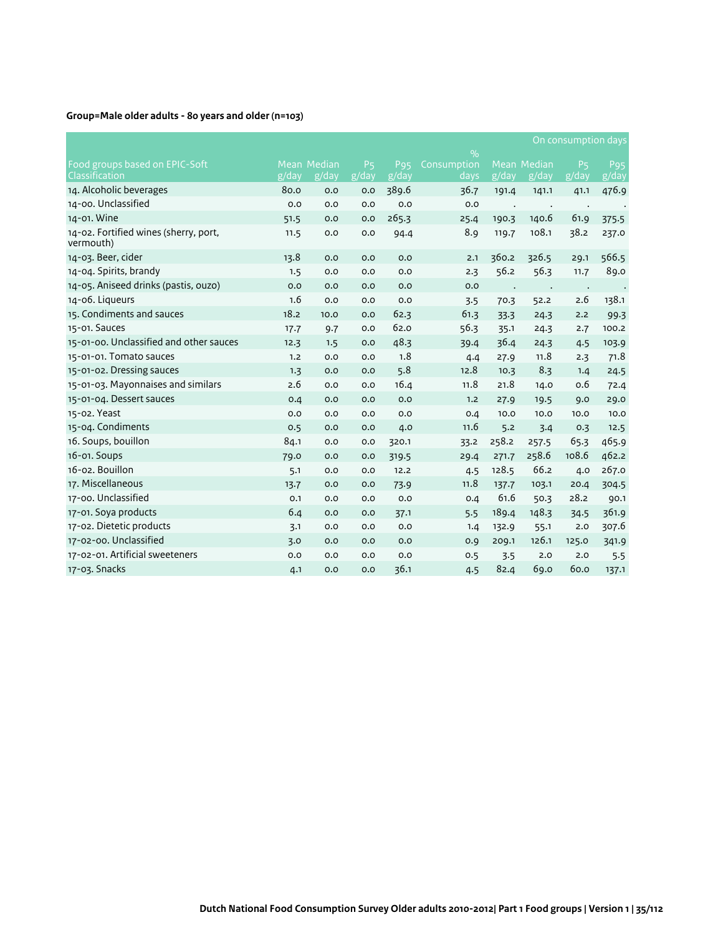|                                                    |                               |                |                         |                 |                     |       |                      | On consumption days     |                          |
|----------------------------------------------------|-------------------------------|----------------|-------------------------|-----------------|---------------------|-------|----------------------|-------------------------|--------------------------|
| Food groups based on EPIC-Soft                     |                               | Mean Median    |                         | P <sub>95</sub> | $\%$<br>Consumption |       | Mean Median          |                         |                          |
| Classification                                     | $\overline{g}/\overline{day}$ | $\sqrt{g/day}$ | P <sub>5</sub><br>g/day | $\sqrt{g/day}$  | days                | g/day | g/day                | P <sub>5</sub><br>g/day | P <sub>95</sub><br>g/day |
| 14. Alcoholic beverages                            | 80.0                          | 0.0            | 0.0                     | 389.6           | 36.7                | 191.4 | 141.1                | 41.1                    | 476.9                    |
| 14-00. Unclassified                                | 0.0                           | 0.0            | 0.0                     | 0.0             | 0.0                 |       | $\ddot{\phantom{a}}$ |                         |                          |
| 14-01. Wine                                        | 51.5                          | 0.0            | 0.0                     | 265.3           | 25.4                | 190.3 | 140.6                | 61.9                    | 375.5                    |
| 14-02. Fortified wines (sherry, port,<br>vermouth) | 11.5                          | 0.0            | 0.0                     | 94.4            | 8.9                 | 119.7 | 108.1                | 78.2                    | 237.0                    |
| 14-03. Beer, cider                                 | 13.8                          | 0.0            | 0.0                     | 0.0             | 2.1                 | 360.2 | 326.5                | 29.1                    | 566.5                    |
| 14-04. Spirits, brandy                             | 1.5                           | 0.0            | 0.0                     | 0.0             | 2.3                 | 56.2  | 56.3                 | 11.7                    | 89.0                     |
| 14-05. Aniseed drinks (pastis, ouzo)               | 0.0                           | 0.0            | 0.0                     | 0.0             | 0.0                 |       |                      | $\bullet$               |                          |
| 14-06. Liqueurs                                    | 1.6                           | 0.0            | 0.0                     | 0.0             | 3.5                 | 70.3  | 52.2                 | 2.6                     | 138.1                    |
| 15. Condiments and sauces                          | 18.2                          | 10.0           | 0.0                     | 62.3            | 61.3                | 33.3  | 24.3                 | 2.2                     | 99.3                     |
| 15-01. Sauces                                      | 17.7                          | 9.7            | 0.0                     | 62.0            | 56.3                | 35.1  | 24.3                 | 2.7                     | 100.2                    |
| 15-01-00. Unclassified and other sauces            | 12.3                          | 1.5            | 0.0                     | 48.3            | 39.4                | 36.4  | 24.3                 | 4.5                     | 103.9                    |
| 15-01-01. Tomato sauces                            | 1.2                           | 0.0            | 0.0                     | 1.8             | 4.4                 | 27.9  | 11.8                 | 2.3                     | 71.8                     |
| 15-01-02. Dressing sauces                          | 1.3                           | 0.0            | 0.0                     | 5.8             | 12.8                | 10.3  | 8.3                  | 1.4                     | 24.5                     |
| 15-01-03. Mayonnaises and similars                 | 2.6                           | 0.0            | 0.0                     | 16.4            | 11.8                | 21.8  | 14.0                 | 0.6                     | 72.4                     |
| 15-01-04. Dessert sauces                           | 0.4                           | 0.0            | 0.0                     | 0.0             | 1.2                 | 27.9  | 19.5                 | 9.0                     | 29.0                     |
| 15-02. Yeast                                       | 0.0                           | 0.0            | 0.0                     | 0.0             | 0.4                 | 10.0  | 10.0                 | 10.0                    | 10.0                     |
| 15-04. Condiments                                  | 0.5                           | 0.0            | 0.0                     | 4.0             | 11.6                | 5.2   | 3.4                  | 0.3                     | 12.5                     |
| 16. Soups, bouillon                                | 84.1                          | 0.0            | 0.0                     | 320.1           | 33.2                | 258.2 | 257.5                | 65.3                    | 465.9                    |
| 16-01. Soups                                       | 79.0                          | 0.0            | 0.0                     | 319.5           | 29.4                | 271.7 | 258.6                | 108.6                   | 462.2                    |
| 16-02. Bouillon                                    | 5.1                           | 0.0            | 0.0                     | 12.2            | 4.5                 | 128.5 | 66.2                 | 4.0                     | 267.0                    |
| 17. Miscellaneous                                  | 13.7                          | 0.0            | 0.0                     | 73.9            | 11.8                | 137.7 | 103.1                | 20.4                    | 304.5                    |
| 17-00. Unclassified                                | O.1                           | 0.0            | 0.0                     | 0.0             | 0.4                 | 61.6  | 50.3                 | 28.2                    | 90.1                     |
| 17-01. Soya products                               | 6.4                           | 0.0            | 0.0                     | 37.1            | 5.5                 | 189.4 | 148.3                | 34.5                    | 361.9                    |
| 17-02. Dietetic products                           | 3.1                           | 0.0            | 0.0                     | 0.0             | 1.4                 | 132.9 | 55.1                 | 2.0                     | 307.6                    |
| 17-02-00. Unclassified                             | 3.0                           | 0.0            | 0.0                     | 0.0             | 0.9                 | 209.1 | 126.1                | 125.0                   | 341.9                    |
| 17-02-01. Artificial sweeteners                    | 0.0                           | 0.0            | 0.0                     | O.O             | 0.5                 | 3.5   | 2.0                  | 2.0                     | 5.5                      |
| 17-03. Snacks                                      | 4.1                           | 0.0            | 0.0                     | 36.1            | 4.5                 | 82.4  | 69.0                 | 60.0                    | 137.1                    |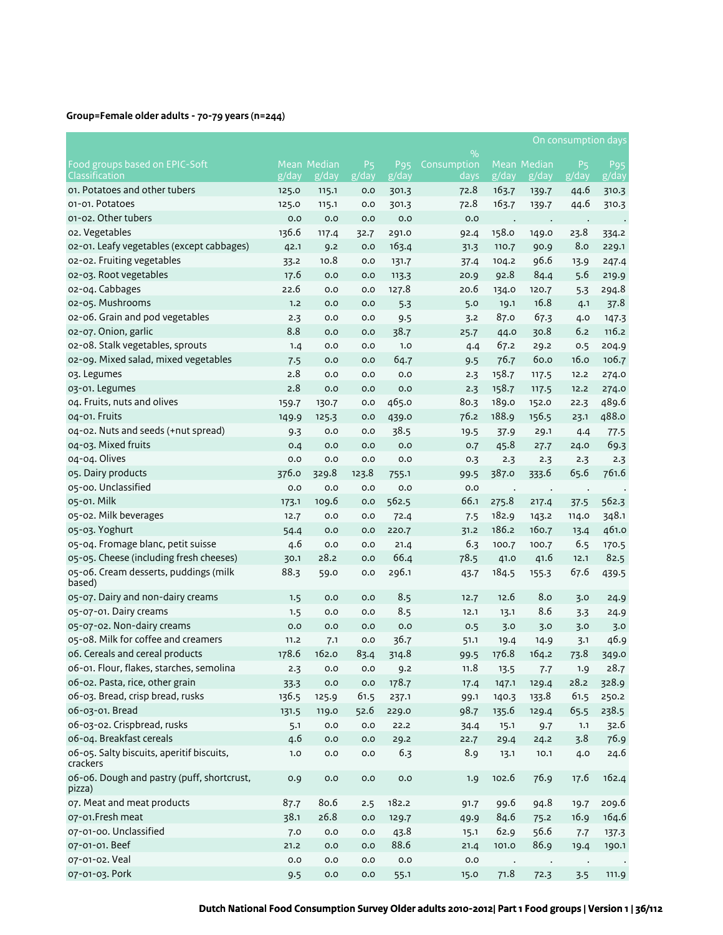# **Group=Female older adults - 70-79 years (n=244)**

|                                                       |       |                             |                               |                          |                     |       |                      | On consumption days     |                          |
|-------------------------------------------------------|-------|-----------------------------|-------------------------------|--------------------------|---------------------|-------|----------------------|-------------------------|--------------------------|
|                                                       |       |                             |                               |                          | $\%$                |       |                      |                         |                          |
| Food groups based on EPIC-Soft<br>Classification      | g/day | <b>Mean Median</b><br>g/day | <b>P<sub>5</sub></b><br>g/day | P <sub>95</sub><br>g/day | Consumption<br>days | g/day | Mean Median<br>g/day | P <sub>5</sub><br>g/day | P <sub>95</sub><br>g/day |
| 01. Potatoes and other tubers                         | 125.0 | 115.1                       | 0.0                           | 301.3                    | 72.8                | 163.7 | 139.7                | 44.6                    | 310.3                    |
| 01-01. Potatoes                                       | 125.0 | 115.1                       | 0.0                           | 301.3                    | 72.8                | 163.7 | 139.7                | 44.6                    | 310.3                    |
| 01-02. Other tubers                                   | 0.0   | 0.0                         | 0.0                           | 0.0                      | 0.0                 |       |                      |                         |                          |
| o2. Vegetables                                        | 136.6 | 117.4                       | 32.7                          | 291.0                    | 92.4                | 158.0 | 149.0                | 23.8                    | 334.2                    |
| 02-01. Leafy vegetables (except cabbages)             | 42.1  | 9.2                         | 0.0                           | 163.4                    | 31.3                | 110.7 | 90.9                 | 8.0                     | 229.1                    |
| 02-02. Fruiting vegetables                            | 33.2  | 10.8                        | 0.0                           | 131.7                    | 37.4                | 104.2 | 96.6                 | 13.9                    | 247.4                    |
| 02-03. Root vegetables                                | 17.6  | 0.0                         | 0.0                           | 113.3                    | 20.9                | 92.8  | 84.4                 | 5.6                     | 219.9                    |
| 02-04. Cabbages                                       | 22.6  | 0.0                         | 0.0                           | 127.8                    | 20.6                | 134.0 | 120.7                | 5.3                     | 294.8                    |
| 02-05. Mushrooms                                      | 1.2   | 0.0                         | 0.0                           | 5.3                      | 5.0                 | 19.1  | 16.8                 | 4.1                     | 37.8                     |
| o2-o6. Grain and pod vegetables                       | 2.3   | 0.0                         | 0.0                           | 9.5                      | 3.2                 | 87.0  | 67.3                 | 4.0                     | 147.3                    |
| 02-07. Onion, garlic                                  | 8.8   | 0.0                         | 0.0                           | 38.7                     | 25.7                | 44.0  | 30.8                 | 6.2                     | 116.2                    |
| 02-08. Stalk vegetables, sprouts                      | 1.4   | 0.0                         | 0.0                           | 1.0                      | 4.4                 | 67.2  | 29.2                 | 0.5                     | 204.9                    |
| o2-o9. Mixed salad, mixed vegetables                  | 7.5   | 0.0                         | 0.0                           | 64.7                     | 9.5                 | 76.7  | 60.0                 | 16.0                    | 106.7                    |
| 03. Legumes                                           | 2.8   | 0.0                         | 0.0                           | 0.0                      | 2.3                 | 158.7 | 117.5                | 12.2                    | 274.0                    |
| 03-01. Legumes                                        | 2.8   | 0.0                         | 0.0                           | 0.0                      | 2.3                 | 158.7 | 117.5                | 12.2                    | 274.0                    |
| 04. Fruits, nuts and olives                           | 159.7 | 130.7                       | 0.0                           | 465.0                    | 80.3                | 189.0 | 152.0                | 22.3                    | 489.6                    |
| 04-01. Fruits                                         | 149.9 | 125.3                       | 0.0                           | 439.0                    | 76.2                | 188.9 | 156.5                | 23.1                    | 488.0                    |
| 04-02. Nuts and seeds (+nut spread)                   | 9.3   | 0.0                         | 0.0                           | 38.5                     | 19.5                | 37.9  | 29.1                 | 4.4                     | 77.5                     |
| 04-03. Mixed fruits                                   | 0.4   | 0.0                         | 0.0                           | 0.0                      | 0.7                 | 45.8  | 27.7                 | 24.0                    | 69.3                     |
| 04-04. Olives                                         | 0.0   | 0.0                         | 0.0                           | 0.0                      | 0.3                 | 2.3   | 2.3                  | 2.3                     | 2.3                      |
| 05. Dairy products                                    | 376.0 | 329.8                       | 123.8                         | 755.1                    | 99.5                | 387.0 | 333.6                | 65.6                    | 761.6                    |
| 05-00. Unclassified                                   | 0.0   | 0.0                         | 0.0                           | 0.0                      | 0.0                 |       |                      | $\bullet$               |                          |
| 05-01. Milk                                           | 173.1 | 109.6                       | 0.0                           | 562.5                    | 66.1                | 275.8 | 217.4                | 37.5                    | 562.3                    |
| 05-02. Milk beverages                                 | 12.7  | 0.0                         | 0.0                           | 72.4                     | 7.5                 | 182.9 | 143.2                | 114.0                   | 348.1                    |
| 05-03. Yoghurt                                        | 54.4  | 0.0                         | 0.0                           | 220.7                    | 31.2                | 186.2 | 160.7                | 13.4                    | 461.0                    |
| 05-04. Fromage blanc, petit suisse                    | 4.6   | 0.0                         | 0.0                           | 21.4                     | 6.3                 | 100.7 | 100.7                | 6.5                     | 170.5                    |
| 05-05. Cheese (including fresh cheeses)               | 30.1  | 28.2                        | 0.0                           | 66.4                     | 78.5                | 41.0  | 41.6                 | 12.1                    | 82.5                     |
| 05-06. Cream desserts, puddings (milk                 | 88.3  | 59.0                        | 0.0                           | 296.1                    | 43.7                | 184.5 | 155.3                | 67.6                    | 439.5                    |
| based)                                                |       |                             |                               |                          |                     |       |                      |                         |                          |
| 05-07. Dairy and non-dairy creams                     | 1.5   | 0.0                         | 0.0                           | 8.5                      | 12.7                | 12.6  | 8.0                  | 3.0                     | 24.9                     |
| 05-07-01. Dairy creams                                | 1.5   | 0.0                         | 0.0                           | 8.5                      | 12.1                | 13.1  | 8.6                  | 3.3                     | 24.9                     |
| 05-07-02. Non-dairy creams                            | 0.0   | 0.0                         | 0.0                           | 0.0                      | 0.5                 | 3.0   | 3.0                  | 3.0                     | 3.0                      |
| 05-08. Milk for coffee and creamers                   | 11.2  | 7.1                         | 0.0                           | 36.7                     | 51.1                | 19.4  | 14.9                 | 3.1                     | 46.9                     |
| o6. Cereals and cereal products                       | 178.6 | 162.0                       | 83.4                          | 314.8                    | 99.5                | 176.8 | 164.2                | 73.8                    | 349.0                    |
| 06-01. Flour, flakes, starches, semolina              | 2.3   | $_{\rm 0.0}$                | 0.0                           | 9.2                      | 11.8                | 13.5  | 7.7                  | 1.9                     | 28.7                     |
| 06-02. Pasta, rice, other grain                       | 33.3  | 0.0                         | 0.0                           | 178.7                    | 17.4                | 147.1 | 129.4                | 28.2                    | 328.9                    |
| 06-03. Bread, crisp bread, rusks                      | 136.5 | 125.9                       | 61.5                          | 237.1                    | 99.1                | 140.3 | 133.8                | 61.5                    | 250.2                    |
| 06-03-01. Bread                                       | 131.5 | 119.0                       | 52.6                          | 229.0                    | 98.7                | 135.6 | 129.4                | 65.5                    | 238.5                    |
| 06-03-02. Crispbread, rusks                           | 5.1   | 0.0                         | 0.0                           | 22.2                     | 34.4                | 15.1  | 9.7                  | 1.1                     | 32.6                     |
| 06-04. Breakfast cereals                              | 4.6   | 0.0                         | 0.0                           | 29.2                     | 22.7                | 29.4  | 24.2                 | 3.8                     | 76.9                     |
| 06-05. Salty biscuits, aperitif biscuits,<br>crackers | 1.0   | 0.0                         | 0.0                           | 6.3                      | 8.9                 | 13.1  | 10.1                 | 4.0                     | 24.6                     |
| 06-06. Dough and pastry (puff, shortcrust,<br>pizza)  | 0.9   | $_{\rm 0.0}$                | 0.0                           | $_{\rm 0.0}$             | 1.9                 | 102.6 | 76.9                 | 17.6                    | 162.4                    |
| 07. Meat and meat products                            | 87.7  | 80.6                        | 2.5                           | 182.2                    | 91.7                | 99.6  | 94.8                 | 19.7                    | 209.6                    |
| 07-01.Fresh meat                                      | 38.1  | 26.8                        | 0.0                           | 129.7                    | 49.9                | 84.6  | 75.2                 | 16.9                    | 164.6                    |
| 07-01-00. Unclassified                                | 7.0   | $_{\rm 0.0}$                | 0.0                           | 43.8                     | 15.1                | 62.9  | 56.6                 | 7.7                     | 137.3                    |
| 07-01-01. Beef                                        | 21.2  | $_{\rm 0.0}$                | 0.0                           | 88.6                     | 21.4                | 101.0 | 86.9                 | 19.4                    | 190.1                    |
| 07-01-02. Veal                                        | 0.0   | 0.0                         | 0.0                           | $_{\rm 0.0}$             | 0.0                 |       |                      | $\bullet$               |                          |
| 07-01-03. Pork                                        | 9.5   | 0.0                         | 0.0                           | 55.1                     | 15.0                | 71.8  | 72.3                 | 3.5                     | 111.9                    |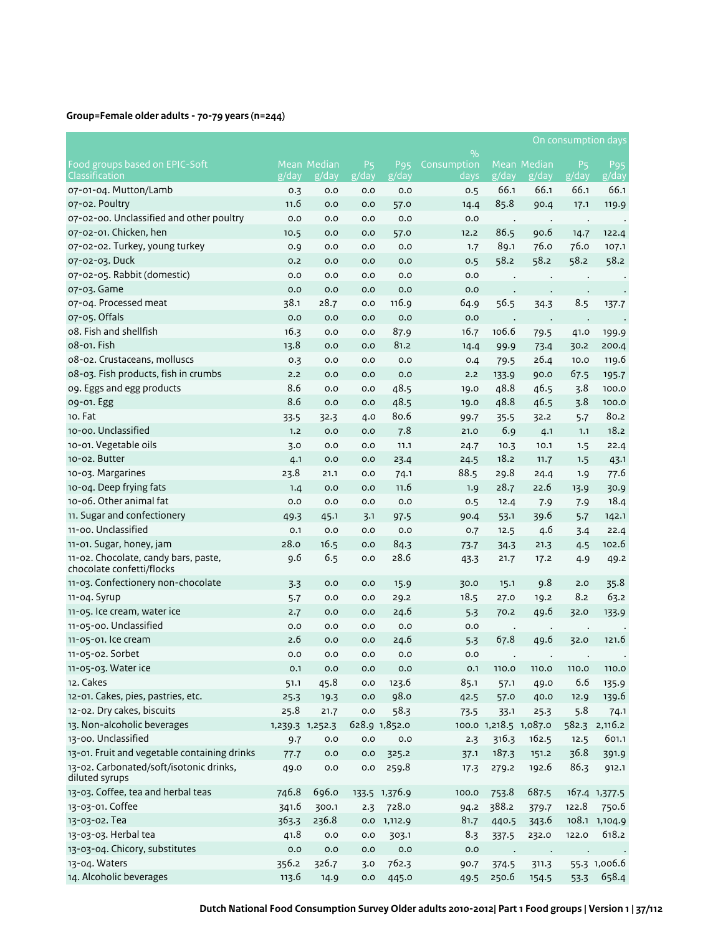# **Group=Female older adults - 70-79 years (n=244)**

|                                                                  |       |                      |                               |                                                  |                     |                       |                             |                               | On consumption days      |
|------------------------------------------------------------------|-------|----------------------|-------------------------------|--------------------------------------------------|---------------------|-----------------------|-----------------------------|-------------------------------|--------------------------|
|                                                                  |       |                      |                               |                                                  | $\%$                |                       |                             |                               |                          |
| Food groups based on EPIC-Soft<br>Classification                 | g/day | Mean Median<br>g/day | <b>P<sub>5</sub></b><br>g/day | P <sub>95</sub><br>$\overline{g}/\overline{day}$ | Consumption<br>days | g/day                 | <b>Mean Median</b><br>g/day | <b>P<sub>5</sub></b><br>g/day | P <sub>95</sub><br>g/day |
| 07-01-04. Mutton/Lamb                                            | 0.3   | 0.0                  | 0.0                           | 0.0                                              | 0.5                 | 66.1                  | 66.1                        | 66.1                          | 66.1                     |
| 07-02. Poultry                                                   | 11.6  | 0.0                  | 0.0                           | 57.0                                             | 14.4                | 85.8                  | 90.4                        | 17.1                          | 119.9                    |
| 07-02-00. Unclassified and other poultry                         | 0.0   | 0.0                  | 0.0                           | 0.0                                              | 0.0                 |                       |                             |                               |                          |
| 07-02-01. Chicken, hen                                           | 10.5  | 0.0                  | 0.0                           | 57.0                                             | 12.2                | $\cdot$<br>86.5       | $\cdot$<br>90.6             | $\cdot$<br>14.7               | 122.4                    |
| 07-02-02. Turkey, young turkey                                   | 0.9   | 0.0                  | 0.0                           | 0.0                                              | 1.7                 | 89.1                  | 76.0                        | 76.0                          | 107.1                    |
| 07-02-03. Duck                                                   | 0.2   | 0.0                  | 0.0                           | 0.0                                              | 0.5                 | 58.2                  | 58.2                        | 58.2                          | 58.2                     |
| 07-02-05. Rabbit (domestic)                                      | 0.0   | 0.0                  | 0.0                           | 0.0                                              | 0.0                 |                       |                             |                               |                          |
| 07-03. Game                                                      | 0.0   | 0.0                  | 0.0                           | 0.0                                              | 0.0                 |                       |                             |                               |                          |
| 07-04. Processed meat                                            | 38.1  | 28.7                 | 0.0                           | 116.9                                            | 64.9                | 56.5                  | 34.3                        | 8.5                           | 137.7                    |
| 07-05. Offals                                                    | 0.0   | 0.0                  | 0.0                           | 0.0                                              | 0.0                 |                       |                             |                               |                          |
| o8. Fish and shellfish                                           | 16.3  | 0.0                  | 0.0                           | 87.9                                             | 16.7                | 106.6                 | 79.5                        | 41.0                          | 199.9                    |
| 08-01. Fish                                                      | 13.8  | 0.0                  | 0.0                           | 81.2                                             | 14.4                | 99.9                  | 73.4                        | 30.2                          | 200.4                    |
| 08-02. Crustaceans, molluscs                                     | 0.3   | 0.0                  | 0.0                           | 0.0                                              | 0.4                 | 79.5                  | 26.4                        | 10.0                          | 119.6                    |
| 08-03. Fish products, fish in crumbs                             | 2.2   | 0.0                  | 0.0                           | 0.0                                              | 2.2                 | 133.9                 | 90.0                        | 67.5                          | 195.7                    |
| og. Eggs and egg products                                        | 8.6   | 0.0                  | 0.0                           | 48.5                                             | 19.0                | 48.8                  | 46.5                        | 3.8                           | 100.0                    |
| 09-01. Egg                                                       | 8.6   | 0.0                  | 0.0                           | 48.5                                             | 19.0                | 48.8                  | 46.5                        | 3.8                           | 100.0                    |
| 10. Fat                                                          | 33.5  | 32.3                 | 4.0                           | 80.6                                             | 99.7                | 35.5                  | 32.2                        | 5.7                           | 80.2                     |
| 10-00. Unclassified                                              | 1.2   | 0.0                  | 0.0                           | 7.8                                              | 21.0                | 6.9                   | 4.1                         | 1.1                           | 18.2                     |
| 10-01. Vegetable oils                                            | 3.0   | 0.0                  | 0.0                           | 11.1                                             | 24.7                | 10.3                  | 10.1                        | 1.5                           | 22.4                     |
| 10-02. Butter                                                    | 4.1   | 0.0                  | 0.0                           | 23.4                                             | 24.5                | 18.2                  | 11.7                        | 1.5                           | 43.1                     |
| 10-03. Margarines                                                | 23.8  | 21.1                 | 0.0                           | 74.1                                             | 88.5                | 29.8                  | 24.4                        | 1.9                           | 77.6                     |
| 10-04. Deep frying fats                                          | 1.4   | 0.0                  | 0.0                           | 11.6                                             | 1.9                 | 28.7                  | 22.6                        | 13.9                          | 30.9                     |
| 10-06. Other animal fat                                          | 0.0   | 0.0                  | 0.0                           | 0.0                                              | 0.5                 | 12.4                  | 7.9                         | 7.9                           | 18.4                     |
| 11. Sugar and confectionery                                      | 49.3  | 45.1                 | 3.1                           | 97.5                                             | 90.4                | 53.1                  | 39.6                        | 5.7                           | 142.1                    |
| 11-00. Unclassified                                              | 0.1   | 0.0                  | 0.0                           | 0.0                                              | 0.7                 | 12.5                  | 4.6                         | 3.4                           | 22.4                     |
| 11-01. Sugar, honey, jam                                         | 28.0  | 16.5                 | 0.0                           | 84.3                                             | 73.7                | 34.3                  | 21.3                        | 4.5                           | 102.6                    |
| 11-02. Chocolate, candy bars, paste,                             | 9.6   | 6.5                  | 0.0                           | 28.6                                             | 43.3                | 21.7                  | 17.2                        | 4.9                           | 49.2                     |
| chocolate confetti/flocks                                        |       |                      |                               |                                                  |                     |                       |                             |                               |                          |
| 11-03. Confectionery non-chocolate                               | 3.3   | 0.0                  | 0.0                           | 15.9                                             | 30.0                | 15.1                  | 9.8                         | 2.0                           | 35.8                     |
| 11-04. Syrup                                                     | 5.7   | 0.0                  | 0.0                           | 29.2                                             | 18.5                | 27.0                  | 19.2                        | 8.2                           | 63.2                     |
| 11-05. Ice cream, water ice                                      | 2.7   | 0.0                  | 0.0                           | 24.6                                             | 5.3                 | 70.2                  | 49.6                        | 32.0                          | 133.9                    |
| 11-05-00. Unclassified                                           | 0.0   | 0.0                  | 0.0                           | 0.0                                              | 0.0                 | $\cdot$               |                             | $\bullet$                     |                          |
| 11-05-01. Ice cream                                              | 2.6   | 0.0                  | 0.0                           | 24.6                                             | 5.3                 | 67.8                  | 49.6                        | 32.0                          | 121.6                    |
| 11-05-02. Sorbet                                                 | 0.0   | 0.0                  | 0.0                           | 0.0                                              | 0.0                 |                       |                             |                               |                          |
| 11-05-03. Water ice                                              | 0.1   | 0.0                  | 0.0                           | 0.0                                              | 0.1                 | 110.0                 | 110.0                       | 110.0                         | 110.0                    |
| 12. Cakes                                                        | 51.1  | 45.8                 | 0.0                           | 123.6                                            | 85.1                | 57.1                  | 49.0                        | 6.6                           | 135.9                    |
| 12-01. Cakes, pies, pastries, etc.<br>12-02. Dry cakes, biscuits | 25.3  | 19.3                 | 0.0                           | 98.0                                             | 42.5                | 57.0                  | 40.0                        | 12.9                          | 139.6                    |
| 13. Non-alcoholic beverages                                      | 25.8  | 21.7                 | 0.0                           | 58.3                                             | 73.5                | 33.1                  | 25.3                        | 5.8                           | 74.1                     |
| 13-00. Unclassified                                              |       | 1,239.3 1,252.3      |                               | 628.9 1,852.0                                    |                     | 100.0 1,218.5 1,087.0 | 162.5                       |                               | 582.3 2,116.2            |
| 13-01. Fruit and vegetable containing drinks                     | 9.7   | 0.0                  | 0.0                           | 0.0                                              | 2.3                 | 316.3                 |                             | 12.5                          | 601.1                    |
| 13-02. Carbonated/soft/isotonic drinks,                          | 77.7  | 0.0                  | 0.0                           | 325.2<br>259.8                                   | 37.1                | 187.3                 | 151.2                       | 36.8<br>86.3                  | 391.9                    |
| diluted syrups                                                   | 49.0  | 0.0                  | 0.0                           |                                                  | 17.3                | 279.2                 | 192.6                       |                               | 912.1                    |
| 13-03. Coffee, tea and herbal teas                               | 746.8 | 696.0                |                               | 133.5 1,376.9                                    | 100.0               | 753.8                 | 687.5                       |                               | 167.4 1,377.5            |
| 13-03-01. Coffee                                                 | 341.6 | 300.1                | 2.3                           | 728.0                                            | 94.2                | 388.2                 | 379.7                       | 122.8                         | 750.6                    |
| 13-03-02. Tea                                                    | 363.3 | 236.8                | 0.0                           | 1,112.9                                          | 81.7                | 440.5                 | 343.6                       |                               | 108.1 1,104.9            |
| 13-03-03. Herbal tea                                             | 41.8  | 0.0                  | 0.0                           | 303.1                                            | 8.3                 | 337.5                 | 232.0                       | 122.0                         | 618.2                    |
| 13-03-04. Chicory, substitutes                                   | 0.0   | 0.0                  | 0.0                           | 0.0                                              | 0.0                 |                       |                             |                               |                          |
| 13-04. Waters                                                    | 356.2 | 326.7                | 3.0                           | 762.3                                            | 90.7                | 374.5                 | 311.3                       |                               | 55.3 1,006.6             |
| 14. Alcoholic beverages                                          | 113.6 | 14.9                 | 0.0                           | 445.0                                            | 49.5                | 250.6                 | 154.5                       | 53.3                          | 658.4                    |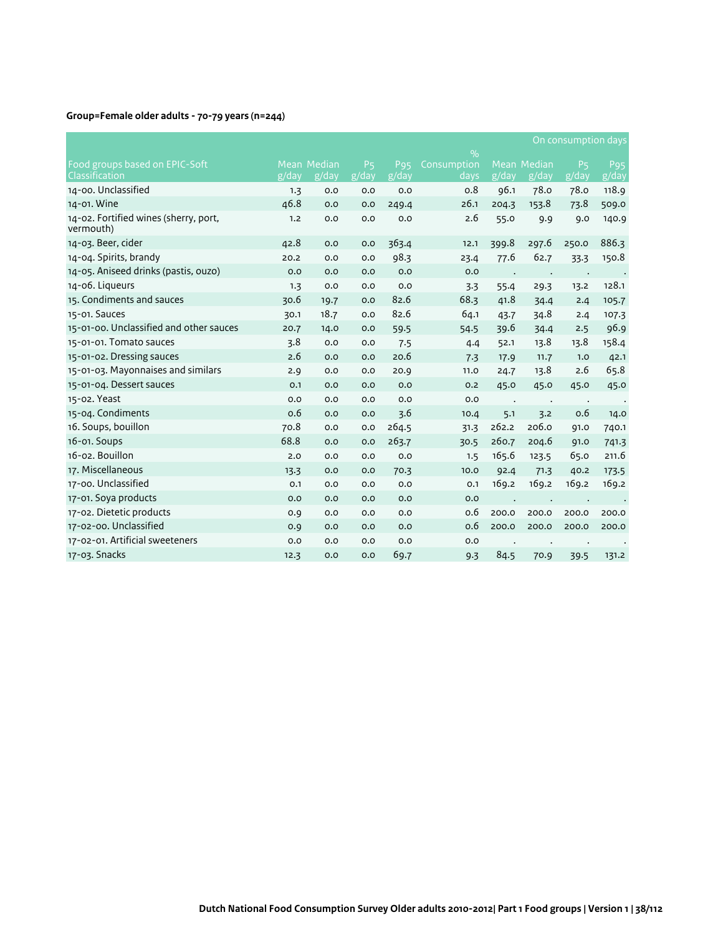# **Group=Female older adults - 70-79 years (n=244)**

|                                                    |       |             |                               |                          |                     |       |             | On consumption days                        |                          |
|----------------------------------------------------|-------|-------------|-------------------------------|--------------------------|---------------------|-------|-------------|--------------------------------------------|--------------------------|
| Food groups based on EPIC-Soft                     |       | Mean Median |                               |                          | $\frac{9}{0}$       |       | Mean Median |                                            |                          |
| Classification                                     | g/day | g/day       | <b>P<sub>5</sub></b><br>g/day | P <sub>95</sub><br>g/day | Consumption<br>days | g/day | g/day       | <b>P<sub>5</sub></b><br>$\overline{g}/day$ | P <sub>95</sub><br>g/day |
| 14-00. Unclassified                                | 1.3   | 0.0         | 0.0                           | 0.0                      | 0.8                 | 96.1  | 78.0        | 78.0                                       | 118.9                    |
| 14-01. Wine                                        | 46.8  | 0.0         | 0.0                           | 249.4                    | 26.1                | 204.3 | 153.8       | 73.8                                       | 509.0                    |
| 14-02. Fortified wines (sherry, port,<br>vermouth) | 1.2   | 0.0         | 0.0                           | 0.0                      | 2.6                 | 55.0  | 9.9         | 9.0                                        | 140.9                    |
| 14-03. Beer, cider                                 | 42.8  | 0.0         | 0.0                           | 363.4                    | 12.1                | 399.8 | 297.6       | 250.0                                      | 886.3                    |
| 14-04. Spirits, brandy                             | 20.2  | 0.0         | 0.0                           | 98.3                     | 23.4                | 77.6  | 62.7        | 33.3                                       | 150.8                    |
| 14-05. Aniseed drinks (pastis, ouzo)               | 0.0   | 0.0         | 0.0                           | 0.0                      | 0.0                 |       | $\cdot$     | $\cdot$                                    | $\bullet$                |
| 14-06. Liqueurs                                    | 1.3   | 0.0         | 0.0                           | 0.0                      | 3.3                 | 55.4  | 29.3        | 13.2                                       | 128.1                    |
| 15. Condiments and sauces                          | 30.6  | 19.7        | 0.0                           | 82.6                     | 68.3                | 41.8  | 34.4        | 2.4                                        | 105.7                    |
| 15-01. Sauces                                      | 30.1  | 18.7        | 0.0                           | 82.6                     | 64.1                | 43.7  | 34.8        | 2.4                                        | 107.3                    |
| 15-01-00. Unclassified and other sauces            | 20.7  | 14.0        | 0.0                           | 59.5                     | 54.5                | 39.6  | 34.4        | 2.5                                        | 96.9                     |
| 15-01-01. Tomato sauces                            | 3.8   | 0.0         | 0.0                           | 7.5                      | 4.4                 | 52.1  | 13.8        | 13.8                                       | 158.4                    |
| 15-01-02. Dressing sauces                          | 2.6   | 0.0         | 0.0                           | 20.6                     | 7.3                 | 17.9  | 11.7        | 1.0                                        | 42.1                     |
| 15-01-03. Mayonnaises and similars                 | 2.9   | 0.0         | 0.0                           | 20.9                     | 11.0                | 24.7  | 13.8        | 2.6                                        | 65.8                     |
| 15-01-04. Dessert sauces                           | O.1   | 0.0         | 0.0                           | 0.0                      | 0.2                 | 45.0  | 45.0        | 45.0                                       | 45.0                     |
| 15-02. Yeast                                       | 0.0   | 0.0         | 0.0                           | 0.0                      | 0.0                 |       | $\cdot$     | $\bullet$                                  |                          |
| 15-04. Condiments                                  | 0.6   | 0.0         | 0.0                           | 3.6                      | 10.4                | 5.1   | 3.2         | 0.6                                        | 14.0                     |
| 16. Soups, bouillon                                | 70.8  | 0.0         | 0.0                           | 264.5                    | 31.3                | 262.2 | 206.0       | 91.0                                       | 740.1                    |
| 16-01. Soups                                       | 68.8  | 0.0         | 0.0                           | 263.7                    | 30.5                | 260.7 | 204.6       | 91.0                                       | 741.3                    |
| 16-02. Bouillon                                    | 2.0   | 0.0         | 0.0                           | 0.0                      | 1.5                 | 165.6 | 123.5       | 65.0                                       | 211.6                    |
| 17. Miscellaneous                                  | 13.3  | 0.0         | 0.0                           | 70.3                     | 10.0                | 92.4  | 71.3        | 40.2                                       | 173.5                    |
| 17-00. Unclassified                                | O.1   | 0.0         | 0.0                           | 0.0                      | O.1                 | 169.2 | 169.2       | 169.2                                      | 169.2                    |
| 17-01. Soya products                               | 0.0   | 0.0         | 0.0                           | O.O                      | O.O                 |       |             |                                            |                          |
| 17-02. Dietetic products                           | 0.9   | 0.0         | 0.0                           | O.O                      | 0.6                 | 200.0 | 200.0       | 200.0                                      | 200.0                    |
| 17-02-00. Unclassified                             | 0.9   | 0.0         | 0.0                           | 0.0                      | 0.6                 | 200.0 | 200.0       | 200.0                                      | 200.0                    |
| 17-02-01. Artificial sweeteners                    | 0.0   | 0.0         | 0.0                           | 0.0                      | 0.0                 |       |             |                                            |                          |
| 17-03. Snacks                                      | 12.3  | 0.0         | 0.0                           | 69.7                     | 9.3                 | 84.5  | 70.9        | 39.5                                       | 131.2                    |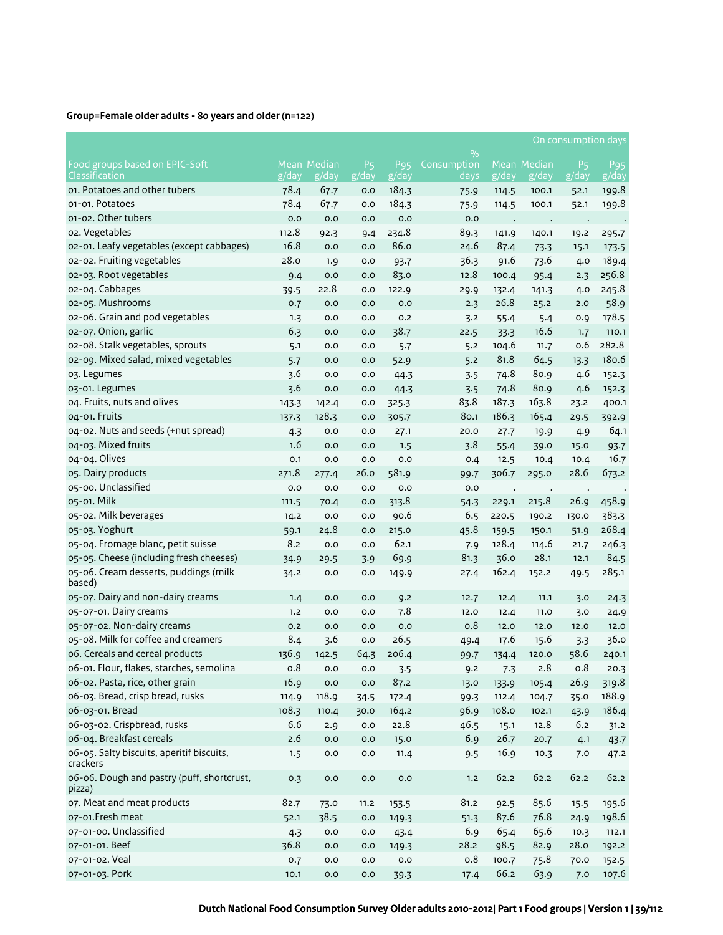# **Group=Female older adults - 80 years and older (n=122)**

|                                                       |               |                    |                |                 |             |       |             | On consumption days                  |                                                  |
|-------------------------------------------------------|---------------|--------------------|----------------|-----------------|-------------|-------|-------------|--------------------------------------|--------------------------------------------------|
|                                                       |               |                    |                |                 | $\%$        |       |             |                                      |                                                  |
| Food groups based on EPIC-Soft<br>Classification      |               | <b>Mean Median</b> | P <sub>5</sub> | P <sub>95</sub> | Consumption |       | Mean Median | P <sub>5</sub><br>$\overline{g}/day$ | P <sub>95</sub><br>$\overline{g}/\overline{day}$ |
| 01. Potatoes and other tubers                         | g/day<br>78.4 | g/day              | g/day          | g/day           | days        | g/day | g/day       |                                      |                                                  |
| 01-01. Potatoes                                       |               | 67.7               | 0.0            | 184.3           | 75.9        | 114.5 | 100.1       | 52.1                                 | 199.8                                            |
| 01-02. Other tubers                                   | 78.4          | 67.7<br>0.0        | 0.0            | 184.3<br>0.0    | 75.9        | 114.5 | 100.1       | 52.1                                 | 199.8                                            |
| o2. Vegetables                                        | 0.0<br>112.8  |                    | 0.0            |                 | 0.0         |       |             |                                      |                                                  |
| 02-01. Leafy vegetables (except cabbages)             | 16.8          | 92.3               | 9.4            | 234.8<br>86.0   | 89.3        | 141.9 | 140.1       | 19.2                                 | 295.7                                            |
|                                                       | 28.0          | 0.0                | 0.0            |                 | 24.6        | 87.4  | 73.3        | 15.1                                 | 173.5                                            |
| 02-02. Fruiting vegetables                            |               | 1.9                | 0.0            | 93.7            | 36.3        | 91.6  | 73.6        | 4.0                                  | 189.4                                            |
| 02-03. Root vegetables<br>02-04. Cabbages             | 9.4           | 0.0                | 0.0            | 83.0            | 12.8        | 100.4 | 95.4        | 2.3                                  | 256.8                                            |
|                                                       | 39.5          | 22.8               | 0.0            | 122.9           | 29.9        | 132.4 | 141.3       | 4.0                                  | 245.8                                            |
| 02-05. Mushrooms                                      | 0.7           | 0.0                | 0.0            | 0.0             | 2.3         | 26.8  | 25.2        | 2.0                                  | 58.9                                             |
| o2-o6. Grain and pod vegetables                       | 1.3           | 0.0                | 0.0            | 0.2             | 3.2         | 55.4  | 5.4         | 0.9                                  | 178.5                                            |
| 02-07. Onion, garlic                                  | 6.3           | 0.0                | 0.0            | 38.7            | 22.5        | 33.3  | 16.6        | 1.7                                  | 110.1                                            |
| 02-08. Stalk vegetables, sprouts                      | 5.1           | 0.0                | 0.0            | 5.7             | 5.2         | 104.6 | 11.7        | 0.6                                  | 282.8                                            |
| o2-o9. Mixed salad, mixed vegetables                  | 5.7           | 0.0                | 0.0            | 52.9            | 5.2         | 81.8  | 64.5        | 13.3                                 | 180.6                                            |
| 03. Legumes                                           | 3.6           | 0.0                | 0.0            | 44.3            | 3.5         | 74.8  | 80.9        | 4.6                                  | 152.3                                            |
| 03-01. Legumes                                        | 3.6           | 0.0                | 0.0            | 44.3            | 3.5         | 74.8  | 80.9        | 4.6                                  | 152.3                                            |
| 04. Fruits, nuts and olives                           | 143.3         | 142.4              | 0.0            | 325.3           | 83.8        | 187.3 | 163.8       | 23.2                                 | 400.1                                            |
| 04-01. Fruits                                         | 137.3         | 128.3              | 0.0            | 305.7           | 80.1        | 186.3 | 165.4       | 29.5                                 | 392.9                                            |
| 04-02. Nuts and seeds (+nut spread)                   | 4.3           | 0.0                | 0.0            | 27.1            | 20.0        | 27.7  | 19.9        | 4.9                                  | 64.1                                             |
| 04-03. Mixed fruits                                   | 1.6           | 0.0                | 0.0            | 1.5             | 3.8         | 55.4  | 39.0        | 15.0                                 | 93.7                                             |
| 04-04. Olives                                         | 0.1           | 0.0                | 0.0            | 0.0             | 0.4         | 12.5  | 10.4        | 10.4                                 | 16.7                                             |
| 05. Dairy products                                    | 271.8         | 277.4              | 26.0           | 581.9           | 99.7        | 306.7 | 295.0       | 28.6                                 | 673.2                                            |
| 05-00. Unclassified                                   | 0.0           | 0.0                | 0.0            | 0.0             | 0.0         |       | $\cdot$     |                                      |                                                  |
| 05-01. Milk                                           | 111.5         | 70.4               | 0.0            | 313.8           | 54.3        | 229.1 | 215.8       | 26.9                                 | 458.9                                            |
| 05-02. Milk beverages                                 | 14.2          | 0.0                | 0.0            | 90.6            | 6.5         | 220.5 | 190.2       | 130.0                                | 383.3                                            |
| 05-03. Yoghurt                                        | 59.1          | 24.8               | 0.0            | 215.0           | 45.8        | 159.5 | 150.1       | 51.9                                 | 268.4                                            |
| 05-04. Fromage blanc, petit suisse                    | 8.2           | 0.0                | 0.0            | 62.1            | 7.9         | 128.4 | 114.6       | 21.7                                 | 246.3                                            |
| 05-05. Cheese (including fresh cheeses)               | 34.9          | 29.5               | 3.9            | 69.9            | 81.3        | 36.0  | 28.1        | 12.1                                 | 84.5                                             |
| 05-06. Cream desserts, puddings (milk<br>based)       | 34.2          | 0.0                | 0.0            | 149.9           | 27.4        | 162.4 | 152.2       | 49.5                                 | 285.1                                            |
| 05-07. Dairy and non-dairy creams                     | 1.4           | 0.0                | 0.0            | 9.2             | 12.7        | 12.4  | 11.1        | 3.0                                  | 24.3                                             |
| 05-07-01. Dairy creams                                | 1.2           | 0.0                | 0.0            | 7.8             | 12.0        | 12.4  | 11.0        | 3.0                                  | 24.9                                             |
| 05-07-02. Non-dairy creams                            | 0.2           | 0.0                | 0.0            | 0.0             | 0.8         | 12.0  | 12.0        | 12.0                                 | 12.0                                             |
| 05-08. Milk for coffee and creamers                   | 8.4           | 3.6                | 0.0            | 26.5            | 49.4        | 17.6  | 15.6        | 3.3                                  | 36.0                                             |
| o6. Cereals and cereal products                       | 136.9         | 142.5              | 64.3           | 206.4           | 99.7        | 134.4 | 120.0       | 58.6                                 | 240.1                                            |
| 06-01. Flour, flakes, starches, semolina              | 0.8           | 0.0                | 0.0            | 3.5             | 9.2         | 7.3   | 2.8         | 0.8                                  | 20.3                                             |
| 06-02. Pasta, rice, other grain                       | 16.9          | 0.0                | 0.0            | 87.2            | 13.0        | 133.9 | 105.4       | 26.9                                 | 319.8                                            |
| 06-03. Bread, crisp bread, rusks                      | 114.9         | 118.9              | 34.5           | 172.4           | 99.3        | 112.4 | 104.7       | 35.0                                 | 188.9                                            |
| 06-03-01. Bread                                       | 108.3         | 110.4              | 30.0           | 164.2           | 96.9        | 108.0 | 102.1       | 43.9                                 | 186.4                                            |
| 06-03-02. Crispbread, rusks                           | 6.6           | 2.9                | 0.0            | 22.8            | 46.5        | 15.1  | 12.8        | 6.2                                  | 31.2                                             |
| 06-04. Breakfast cereals                              | 2.6           | 0.0                | 0.0            | 15.0            | 6.9         | 26.7  | 20.7        | 4.1                                  | 43.7                                             |
| 06-05. Salty biscuits, aperitif biscuits,<br>crackers | 1.5           | 0.0                | 0.0            | 11.4            | 9.5         | 16.9  | 10.3        | 7.0                                  | 47.2                                             |
| 06-06. Dough and pastry (puff, shortcrust,<br>pizza)  | 0.3           | $_{\rm 0.0}$       | 0.0            | 0.0             | 1.2         | 62.2  | 62.2        | 62.2                                 | 62.2                                             |
| 07. Meat and meat products                            | 82.7          | 73.0               | 11.2           | 153.5           | 81.2        | 92.5  | 85.6        | 15.5                                 | 195.6                                            |
| 07-01.Fresh meat                                      | 52.1          | 38.5               | 0.0            | 149.3           | 51.3        | 87.6  | 76.8        | 24.9                                 | 198.6                                            |
| 07-01-00. Unclassified                                | 4.3           | $_{\rm 0.0}$       | 0.0            | 43.4            | 6.9         | 65.4  | 65.6        | 10.3                                 | 112.1                                            |
| 07-01-01. Beef                                        | 36.8          | 0.0                | 0.0            | 149.3           | 28.2        | 98.5  | 82.9        | 28.0                                 | 192.2                                            |
| 07-01-02. Veal                                        | 0.7           | 0.0                | 0.0            | $_{\rm 0.0}$    | 0.8         | 100.7 | 75.8        | 70.0                                 | 152.5                                            |
| 07-01-03. Pork                                        | 10.1          | 0.0                | 0.0            | 39.3            | 17.4        | 66.2  | 63.9        | 7.0                                  | 107.6                                            |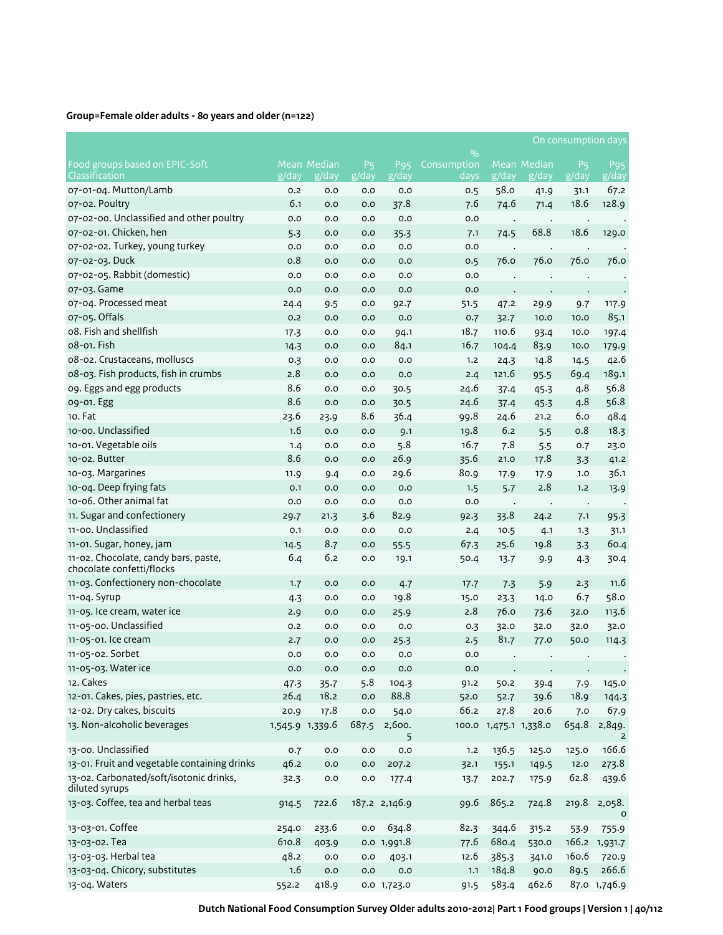# **Group=Female older adults - 80 years and older (n=122)**

|                                                                   |                 |                    |                |                 |             |                       |             |                    | On consumption days |
|-------------------------------------------------------------------|-----------------|--------------------|----------------|-----------------|-------------|-----------------------|-------------|--------------------|---------------------|
|                                                                   |                 |                    |                |                 | $\%$        |                       |             |                    |                     |
| Food groups based on EPIC-Soft                                    |                 | <b>Mean Median</b> | P <sub>5</sub> | P <sub>95</sub> | Consumption |                       | Mean Median | P <sub>5</sub>     | P <sub>95</sub>     |
| Classification                                                    | g/day           | g/day              | g/day          | g/day           | days        | $\sqrt{g}/\sqrt{day}$ | g/day       | $\overline{g}/day$ | g/day               |
| 07-01-04. Mutton/Lamb                                             | 0.2             | 0.0                | 0.0            | 0.0             | 0.5         | 58.0                  | 41.9        | 31.1<br>18.6       | 67.2                |
| 07-02. Poultry                                                    | 6.1             | 0.0                | 0.0            | 37.8            | 7.6         | 74.6                  | 71.4        |                    | 128.9               |
| 07-02-00. Unclassified and other poultry                          | 0.0             | 0.0                | 0.0            | 0.0             | 0.0         | $\cdot$               | $\cdot$     | $\cdot$            |                     |
| 07-02-01. Chicken, hen                                            | 5.3             | 0.0                | 0.0            | 35.3            | 7.1         | 74.5                  | 68.8        | 18.6               | 129.0               |
| 07-02-02. Turkey, young turkey                                    | 0.0             | 0.0                | 0.0            | 0.0             | 0.0         | $\cdot$               | $\cdot$     | $\bullet$          |                     |
| 07-02-03. Duck                                                    | 0.8             | 0.0                | 0.0            | 0.0             | 0.5         | 76.0                  | 76.0        | 76.0               | 76.0                |
| 07-02-05. Rabbit (domestic)                                       | 0.0             | 0.0                | 0.0            | 0.0             | 0.0         |                       |             |                    |                     |
| 07-03. Game                                                       | 0.0             | 0.0                | 0.0            | 0.0             | 0.0         |                       |             | $\bullet$          |                     |
| 07-04. Processed meat                                             | 24.4            | 9.5                | 0.0            | 92.7            | 51.5        | 47.2                  | 29.9        | 9.7                | 117.9               |
| 07-05. Offals                                                     | 0.2             | 0.0                | 0.0            | 0.0             | 0.7         | 32.7                  | 10.0        | 10.0               | 85.1                |
| 08. Fish and shellfish                                            | 17.3            | 0.0                | 0.0            | 94.1            | 18.7        | 110.6                 | 93.4        | 10.0               | 197.4               |
| 08-01. Fish                                                       | 14.3            | 0.0                | 0.0            | 84.1            | 16.7        | 104.4                 | 83.9        | 10.0               | 179.9               |
| 08-02. Crustaceans, molluscs                                      | 0.3             | 0.0                | 0.0            | 0.0             | 1.2         | 24.3                  | 14.8        | 14.5               | 42.6                |
| 08-03. Fish products, fish in crumbs                              | 2.8             | 0.0                | 0.0            | 0.0             | 2.4         | 121.6                 | 95.5        | 69.4               | 189.1               |
| og. Eggs and egg products                                         | 8.6             | 0.0                | 0.0            | 30.5            | 24.6        | 37.4                  | 45.3        | 4.8                | 56.8                |
| 09-01. Egg                                                        | 8.6             | 0.0                | 0.0            | 30.5            | 24.6        | 37.4                  | 45.3        | 4.8                | 56.8                |
| 10. Fat                                                           | 23.6            | 23.9               | 8.6            | 36.4            | 99.8        | 24.6                  | 21.2        | 6.0                | 48.4                |
| 10-00. Unclassified                                               | 1.6             | 0.0                | 0.0            | 9.1             | 19.8        | 6.2                   | 5.5         | 0.8                | 18.3                |
| 10-01. Vegetable oils                                             | 1.4             | 0.0                | 0.0            | 5.8             | 16.7        | 7.8                   | 5.5         | 0.7                | 23.0                |
| 10-02. Butter                                                     | 8.6             | 0.0                | 0.0            | 26.9            | 35.6        | 21.0                  | 17.8        | 3.3                | 41.2                |
| 10-03. Margarines                                                 | 11.9            | 9.4                | 0.0            | 29.6            | 80.9        | 17.9                  | 17.9        | 1.0                | 36.1                |
| 10-04. Deep frying fats                                           | 0.1             | 0.0                | 0.0            | 0.0             | 1.5         | 5.7                   | 2.8         | 1.2                | 13.9                |
| 10-06. Other animal fat                                           | 0.0             | 0.0                | 0.0            | 0.0             | 0.0         | $\,$ .                | $\cdot$     | $\,$ .             |                     |
| 11. Sugar and confectionery                                       | 29.7            | 21.3               | 3.6            | 82.9            | 92.3        | 33.8                  | 24.2        | 7.1                | 95.3                |
| 11-00. Unclassified                                               | 0.1             | 0.0                | 0.0            | 0.0             | 2.4         | 10.5                  | 4.1         | 1.3                | 31.1                |
| 11-01. Sugar, honey, jam                                          | 14.5            | 8.7                | 0.0            | 55.5            | 67.3        | 25.6                  | 19.8        | 3.3                | 60.4                |
| 11-02. Chocolate, candy bars, paste,<br>chocolate confetti/flocks | 6.4             | 6.2                | 0.0            | 19.1            | 50.4        | 13.7                  | 9.9         | 4.3                | 30.4                |
| 11-03. Confectionery non-chocolate                                | 1.7             | 0.0                | 0.0            | 4.7             | 17.7        | 7.3                   | 5.9         | 2.3                | 11.6                |
| 11-04. Syrup                                                      | 4.3             | 0.0                | 0.0            | 19.8            | 15.0        | 23.3                  | 14.0        | 6.7                | 58.0                |
| 11-05. Ice cream, water ice                                       | 2.9             | 0.0                | 0.0            | 25.9            | 2.8         | 76.0                  | 73.6        | 32.0               | 113.6               |
| 11-05-00. Unclassified                                            | 0.2             | 0.0                | 0.0            | 0.0             | 0.3         | 32.0                  | 32.0        | 32.0               | 32.0                |
| 11-05-01. Ice cream                                               | 2.7             | 0.0                | 0.0            | 25.3            | 2.5         | 81.7                  | 77.0        | 50.0               | 114.3               |
| 11-05-02. Sorbet                                                  | 0.0             | 0.0                | 0.0            | 0.0             | 0.0         |                       |             |                    |                     |
| 11-05-03. Water ice                                               | $_{\rm 0.0}$    | 0.0                | 0.0            | 0.0             | 0.0         |                       |             |                    |                     |
| 12. Cakes                                                         | 47.3            | 35.7               | 5.8            | 104.3           | 91.2        | 50.2                  | 39.4        | 7.9                | 145.0               |
| 12-01. Cakes, pies, pastries, etc.                                | 26.4            | 18.2               | 0.0            | 88.8            | 52.0        | 52.7                  | 39.6        | 18.9               | 144.3               |
| 12-02. Dry cakes, biscuits                                        | 20.9            | 17.8               | 0.0            | 54.0            | 66.2        | 27.8                  | 20.6        | 7.0                | 67.9                |
| 13. Non-alcoholic beverages                                       | 1,545.9 1,339.6 |                    | 687.5          | 2,600.<br>5     |             | 100.0 1,475.1 1,338.0 |             | 654.8              | 2,849.<br>2         |
| 13-00. Unclassified                                               | 0.7             | 0.0                | 0.0            | 0.0             | 1.2         | 136.5                 | 125.0       | 125.0              | 166.6               |
| 13-01. Fruit and vegetable containing drinks                      | 46.2            | 0.0                | 0.0            | 207.2           | 32.1        | 155.1                 | 149.5       | 12.0               | 273.8               |
| 13-02. Carbonated/soft/isotonic drinks,<br>diluted syrups         | 32.3            | 0.0                | 0.0            | 177.4           | 13.7        | 202.7                 | 175.9       | 62.8               | 439.6               |
| 13-03. Coffee, tea and herbal teas                                | 914.5           | 722.6              |                | 187.2 2,146.9   | 99.6        | 865.2                 | 724.8       | 219.8              | 2,058.              |
| 13-03-01. Coffee                                                  | 254.0           | 233.6              | 0.0            | 634.8           | 82.3        | 344.6                 | 315.2       | 53.9               | 755.9               |
| 13-03-02. Tea                                                     | 610.8           | 403.9              |                | 0.0 1,991.8     | 77.6        | 680.4                 | 530.0       | 166.2              | 1,931.7             |
| 13-03-03. Herbal tea                                              | 48.2            | 0.0                | 0.0            | 403.1           | 12.6        | 385.3                 | 341.0       | 160.6              | 720.9               |
| 13-03-04. Chicory, substitutes                                    | 1.6             | 0.0                | 0.0            | 0.0             | 1.1         | 184.8                 | 90.0        | 89.5               | 266.6               |
| 13-04. Waters                                                     | 552.2           | 418.9              |                | 0.0 1,723.0     | 91.5        | 583.4                 | 462.6       |                    | 87.0 1,746.9        |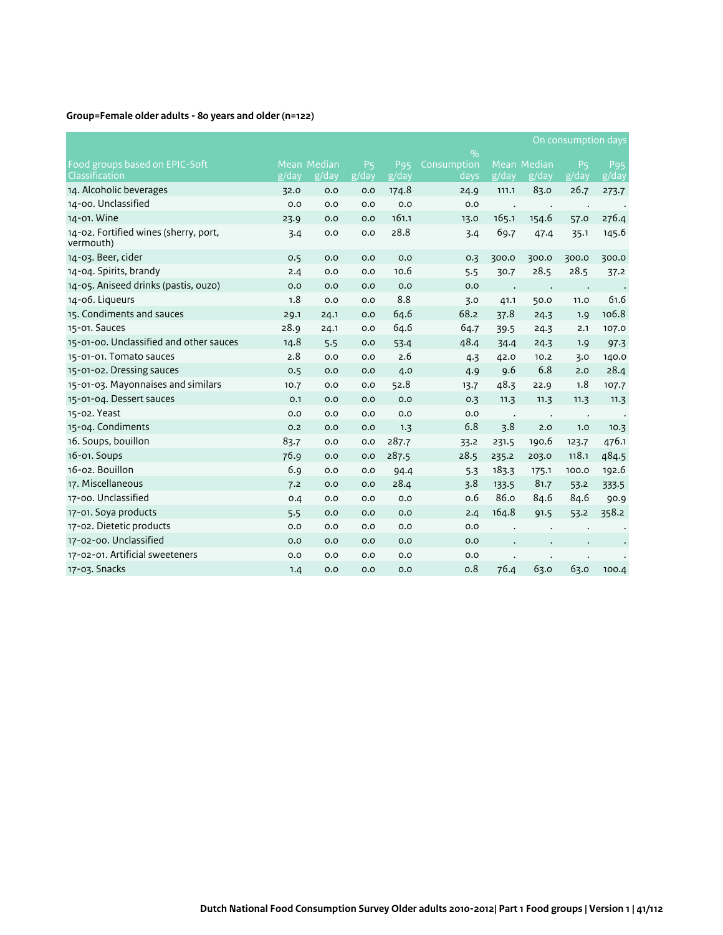# **Group=Female older adults - 80 years and older (n=122)**

|                                                    |                |                               |                |                 |                     |       |             | On consumption days |                    |
|----------------------------------------------------|----------------|-------------------------------|----------------|-----------------|---------------------|-------|-------------|---------------------|--------------------|
| Food groups based on EPIC-Soft                     |                | Mean Median                   | P <sub>5</sub> | P <sub>95</sub> | $\%$<br>Consumption |       | Mean Median | P <sub>5</sub>      | P <sub>95</sub>    |
| Classification                                     | $\sqrt{g/day}$ | $\overline{g}/\overline{day}$ | g/day          | g/day           | days                | g/day | g/day       | g/day               | $\overline{g}/day$ |
| 14. Alcoholic beverages                            | 32.0           | 0.0                           | 0.0            | 174.8           | 24.9                | 111.1 | 83.0        | 26.7                | 273.7              |
| 14-00. Unclassified                                | 0.0            | 0.0                           | 0.0            | O.O             | O.O                 |       |             |                     |                    |
| 14-01. Wine                                        | 23.9           | O.O                           | 0.0            | 161.1           | 13.0                | 165.1 | 154.6       | 57.0                | 276.4              |
| 14-02. Fortified wines (sherry, port,<br>vermouth) | 3.4            | 0.0                           | 0.0            | 28.8            | 3.4                 | 69.7  | 47.4        | 35.1                | 145.6              |
| 14-03. Beer, cider                                 | 0.5            | 0.0                           | 0.0            | O.O             | 0.3                 | 300.0 | 300.0       | 300.0               | 300.0              |
| 14-04. Spirits, brandy                             | 2.4            | 0.0                           | 0.0            | 10.6            | 5.5                 | 30.7  | 28.5        | 28.5                | 37.2               |
| 14-05. Aniseed drinks (pastis, ouzo)               | 0.0            | 0.0                           | 0.0            | O.O             | 0.0                 |       |             |                     |                    |
| 14-06. Liqueurs                                    | 1.8            | O.O                           | 0.0            | 8.8             | 3.0                 | 41.1  | 50.0        | 11.0                | 61.6               |
| 15. Condiments and sauces                          | 29.1           | 24.1                          | 0.0            | 64.6            | 68.2                | 37.8  | 24.3        | 1.9                 | 106.8              |
| 15-01. Sauces                                      | 28.9           | 24.1                          | 0.0            | 64.6            | 64.7                | 39.5  | 24.3        | 2.1                 | 107.0              |
| 15-01-00. Unclassified and other sauces            | 14.8           | 5.5                           | 0.0            | 53.4            | 48.4                | 34.4  | 24.3        | 1.9                 | 97.3               |
| 15-01-01. Tomato sauces                            | 2.8            | 0.0                           | 0.0            | 2.6             | 4.3                 | 42.0  | 10.2        | 3.0                 | 140.0              |
| 15-01-02. Dressing sauces                          | 0.5            | 0.0                           | 0.0            | 4.0             | 4.9                 | 9.6   | 6.8         | 2.0                 | 28.4               |
| 15-01-03. Mayonnaises and similars                 | 10.7           | O.O                           | 0.0            | 52.8            | 13.7                | 48.3  | 22.9        | 1.8                 | 107.7              |
| 15-01-04. Dessert sauces                           | 0.1            | 0.0                           | 0.0            | O.O             | 0.3                 | 11.3  | 11.3        | 11.3                | 11.3               |
| 15-02. Yeast                                       | 0.0            | 0.0                           | 0.0            | 0.0             | 0.0                 |       | $\cdot$     | $\bullet$           |                    |
| 15-04. Condiments                                  | 0.2            | 0.0                           | 0.0            | 1.3             | 6.8                 | 3.8   | 2.0         | 1.0                 | 10.3               |
| 16. Soups, bouillon                                | 83.7           | 0.0                           | 0.0            | 287.7           | 33.2                | 231.5 | 190.6       | 123.7               | 476.1              |
| 16-01. Soups                                       | 76.9           | 0.0                           | 0.0            | 287.5           | 28.5                | 235.2 | 203.0       | 118.1               | 484.5              |
| 16-02. Bouillon                                    | 6.9            | 0.0                           | 0.0            | 94.4            | 5.3                 | 183.3 | 175.1       | 100.0               | 192.6              |
| 17. Miscellaneous                                  | 7.2            | 0.0                           | 0.0            | 28.4            | 3.8                 | 133.5 | 81.7        | 53.2                | 333.5              |
| 17-00. Unclassified                                | 0.4            | 0.0                           | 0.0            | O.O             | 0.6                 | 86.0  | 84.6        | 84.6                | 90.9               |
| 17-01. Soya products                               | 5.5            | 0.0                           | 0.0            | 0.0             | 2.4                 | 164.8 | 91.5        | 53.2                | 358.2              |
| 17-02. Dietetic products                           | 0.0            | 0.0                           | 0.0            | O.O             | 0.0                 |       |             |                     |                    |
| 17-02-00. Unclassified                             | 0.0            | 0.0                           | 0.0            | O.O             | O.O                 |       |             |                     |                    |
| 17-02-01. Artificial sweeteners                    | 0.0            | 0.0                           | 0.0            | 0.0             | 0.0                 |       |             |                     |                    |
| 17-03. Snacks                                      | 1.4            | 0.0                           | 0.0            | 0.0             | 0.8                 | 76.4  | 63.0        | 63.0                | 100.4              |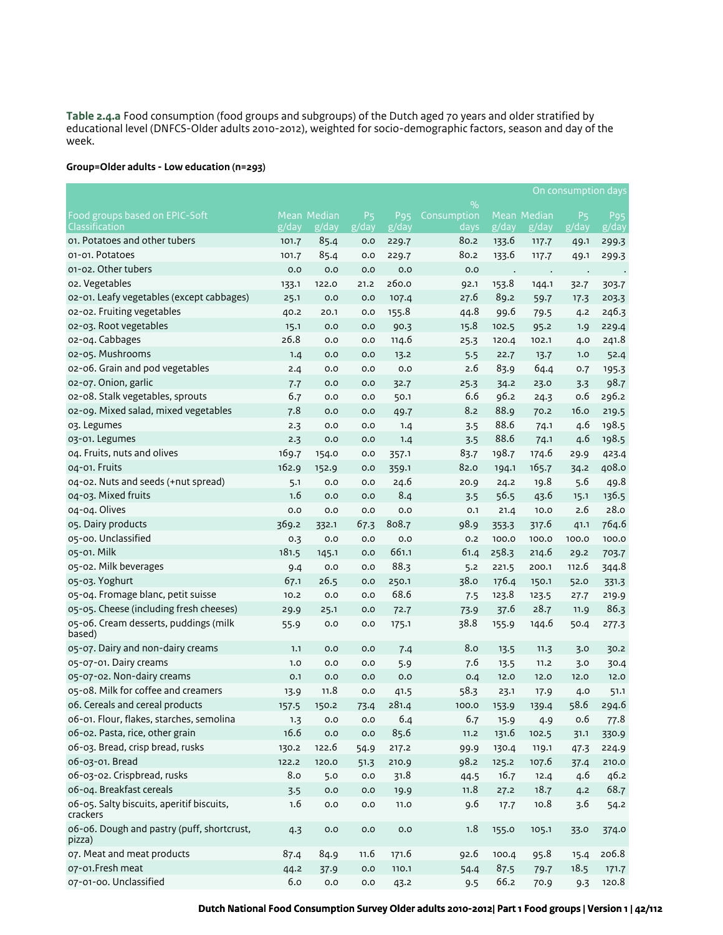**Table 2.4.a** Food consumption (food groups and subgroups) of the Dutch aged 70 years and older stratified by educational level (DNFCS-Older adults 2010-2012), weighted for socio-demographic factors, season and day of the week.

## **Group=Older adults - Low education (n=293)**

|                                                       |       |              |                |                               |             |       |                    | On consumption days           |                               |
|-------------------------------------------------------|-------|--------------|----------------|-------------------------------|-------------|-------|--------------------|-------------------------------|-------------------------------|
|                                                       |       |              |                |                               | $\%$        |       |                    |                               |                               |
| Food groups based on EPIC-Soft                        |       | Mean Median  | P <sub>5</sub> | <b>P95</b>                    | Consumption |       | <b>Mean Median</b> | P <sub>5</sub>                | P <sub>95</sub>               |
| Classification                                        | g/day | g/day        | g/day          | $\overline{g}/\overline{day}$ | days        | g/day | g/day              | $\overline{g}/\overline{day}$ | $\overline{g}/\overline{day}$ |
| 01. Potatoes and other tubers                         | 101.7 | 85.4         | 0.0            | 229.7                         | 80.2        | 133.6 | 117.7              | 49.1                          | 299.3                         |
| 01-01. Potatoes                                       | 101.7 | 85.4         | 0.0            | 229.7                         | 80.2        | 133.6 | 117.7              | 49.1                          | 299.3                         |
| 01-02. Other tubers                                   | 0.0   | 0.0          | 0.0            | 0.0                           | 0.0         |       |                    |                               |                               |
| o2. Vegetables                                        | 133.1 | 122.0        | 21.2           | 260.0                         | 92.1        | 153.8 | 144.1              | 32.7                          | 303.7                         |
| 02-01. Leafy vegetables (except cabbages)             | 25.1  | 0.0          | 0.0            | 107.4                         | 27.6        | 89.2  | 59.7               | 17.3                          | 203.3                         |
| 02-02. Fruiting vegetables                            | 40.2  | 20.1         | 0.0            | 155.8                         | 44.8        | 99.6  | 79.5               | 4.2                           | 246.3                         |
| 02-03. Root vegetables                                | 15.1  | 0.0          | 0.0            | 90.3                          | 15.8        | 102.5 | 95.2               | 1.9                           | 229.4                         |
| 02-04. Cabbages                                       | 26.8  | 0.0          | 0.0            | 114.6                         | 25.3        | 120.4 | 102.1              | 4.0                           | 241.8                         |
| 02-05. Mushrooms                                      | 1.4   | 0.0          | 0.0            | 13.2                          | 5.5         | 22.7  | 13.7               | 1.0                           | 52.4                          |
| o2-o6. Grain and pod vegetables                       | 2.4   | 0.0          | 0.0            | 0.0                           | 2.6         | 83.9  | 64.4               | 0.7                           | 195.3                         |
| 02-07. Onion, garlic                                  | 7.7   | 0.0          | 0.0            | 32.7                          | 25.3        | 34.2  | 23.0               | 3.3                           | 98.7                          |
| 02-08. Stalk vegetables, sprouts                      | 6.7   | 0.0          | 0.0            | 50.1                          | 6.6         | 96.2  | 24.3               | 0.6                           | 296.2                         |
| 02-09. Mixed salad, mixed vegetables                  | 7.8   | 0.0          | 0.0            | 49.7                          | 8.2         | 88.9  | 70.2               | 16.0                          | 219.5                         |
| 03. Legumes                                           | 2.3   | 0.0          | 0.0            | 1.4                           | 3.5         | 88.6  | 74.1               | 4.6                           | 198.5                         |
| 03-01. Legumes                                        | 2.3   | 0.0          | 0.0            | 1.4                           | 3.5         | 88.6  | 74.1               | 4.6                           | 198.5                         |
| 04. Fruits, nuts and olives                           | 169.7 | 154.0        | 0.0            | 357.1                         | 83.7        | 198.7 | 174.6              | 29.9                          | 423.4                         |
| 04-01. Fruits                                         | 162.9 | 152.9        | 0.0            | 359.1                         | 82.0        | 194.1 | 165.7              | 34.2                          | 408.0                         |
| 04-02. Nuts and seeds (+nut spread)                   | 5.1   | 0.0          | 0.0            | 24.6                          | 20.9        | 24.2  | 19.8               | 5.6                           | 49.8                          |
| 04-03. Mixed fruits                                   | 1.6   | 0.0          | 0.0            | 8.4                           | 3.5         | 56.5  | 43.6               | 15.1                          | 136.5                         |
| 04-04. Olives                                         | 0.0   | 0.0          | 0.0            | 0.0                           | O.1         | 21.4  | 10.0               | 2.6                           | 28.0                          |
| 05. Dairy products                                    | 369.2 | 332.1        | 67.3           | 808.7                         | 98.9        | 353.3 | 317.6              | 41.1                          | 764.6                         |
| 05-00. Unclassified                                   | 0.3   | 0.0          | 0.0            | 0.0                           | 0.2         | 100.0 | 100.0              | 100.0                         | 100.0                         |
| 05-01. Milk                                           | 181.5 | 145.1        | 0.0            | 661.1                         | 61.4        | 258.3 | 214.6              | 29.2                          | 703.7                         |
| 05-02. Milk beverages                                 | 9.4   | 0.0          | 0.0            | 88.3                          | 5.2         | 221.5 | 200.1              | 112.6                         | 344.8                         |
| 05-03. Yoghurt                                        | 67.1  | 26.5         | 0.0            | 250.1                         | 38.0        | 176.4 | 150.1              | 52.0                          | 331.3                         |
| 05-04. Fromage blanc, petit suisse                    | 10.2  | 0.0          | 0.0            | 68.6                          | 7.5         | 123.8 | 123.5              | 27.7                          | 219.9                         |
| 05-05. Cheese (including fresh cheeses)               | 29.9  | 25.1         | 0.0            | 72.7                          | 73.9        | 37.6  | 28.7               | 11.9                          | 86.3                          |
| 05-06. Cream desserts, puddings (milk<br>based)       | 55.9  | 0.0          | 0.0            | 175.1                         | 38.8        | 155.9 | 144.6              | 50.4                          | 277.3                         |
| 05-07. Dairy and non-dairy creams                     | 1.1   | 0.0          | 0.0            | 7.4                           | 8.0         | 13.5  | 11.3               | 3.0                           | 30.2                          |
| 05-07-01. Dairy creams                                | 1.0   | 0.0          | 0.0            | 5.9                           | 7.6         | 13.5  | 11.2               | 3.0                           | 30.4                          |
| 05-07-02. Non-dairy creams                            | O.1   | 0.0          | 0.0            | 0.0                           | 0.4         | 12.0  | 12.0               | 12.0                          | 12.0                          |
| 05-08. Milk for coffee and creamers                   | 13.9  | 11.8         | 0.0            | 41.5                          | 58.3        | 23.1  | 17.9               | 4.0                           | 51.1                          |
| o6. Cereals and cereal products                       | 157.5 | 150.2        | 73.4           | 281.4                         | 100.0       | 153.9 | 139.4              | 58.6                          | 294.6                         |
| 06-01. Flour, flakes, starches, semolina              | 1.3   | $_{\rm 0.0}$ | $_{\rm 0.0}$   | 6.4                           | 6.7         | 15.9  | 4.9                | 0.6                           | 77.8                          |
| 06-02. Pasta, rice, other grain                       | 16.6  | 0.0          | $_{\rm 0.0}$   | 85.6                          | 11.2        | 131.6 | 102.5              | 31.1                          | 330.9                         |
| 06-03. Bread, crisp bread, rusks                      | 130.2 | 122.6        | 54.9           | 217.2                         | 99.9        | 130.4 | 119.1              | 47.3                          | 224.9                         |
| 06-03-01. Bread                                       | 122.2 | 120.0        | 51.3           | 210.9                         | 98.2        | 125.2 | 107.6              | 37.4                          | 210.0                         |
| 06-03-02. Crispbread, rusks                           | 8.0   | 5.0          | $_{\rm 0.0}$   | 31.8                          | 44.5        | 16.7  | 12.4               | 4.6                           | 46.2                          |
| 06-04. Breakfast cereals                              | 3.5   | 0.0          | 0.0            | 19.9                          | 11.8        | 27.2  | 18.7               | 4.2                           | 68.7                          |
| 06-05. Salty biscuits, aperitif biscuits,<br>crackers | 1.6   | 0.0          | 0.0            | 11.0                          | 9.6         | 17.7  | 10.8               | 3.6                           | 54.2                          |
| 06-06. Dough and pastry (puff, shortcrust,<br>pizza)  | 4.3   | $_{\rm 0.0}$ | 0.0            | 0.0                           | 1.8         | 155.0 | 105.1              | 33.0                          | 374.0                         |
| 07. Meat and meat products                            | 87.4  | 84.9         | 11.6           | 171.6                         | 92.6        | 100.4 | 95.8               | 15.4                          | 206.8                         |
| 07-01.Fresh meat                                      | 44.2  | 37.9         | $_{\rm 0.0}$   | 110.1                         | 54.4        | 87.5  | 79.7               | 18.5                          | 171.7                         |
| 07-01-00. Unclassified                                | 6.0   | $_{0.0}$     | 0.0            | 43.2                          | 9.5         | 66.2  | 70.9               | 9.3                           | 120.8                         |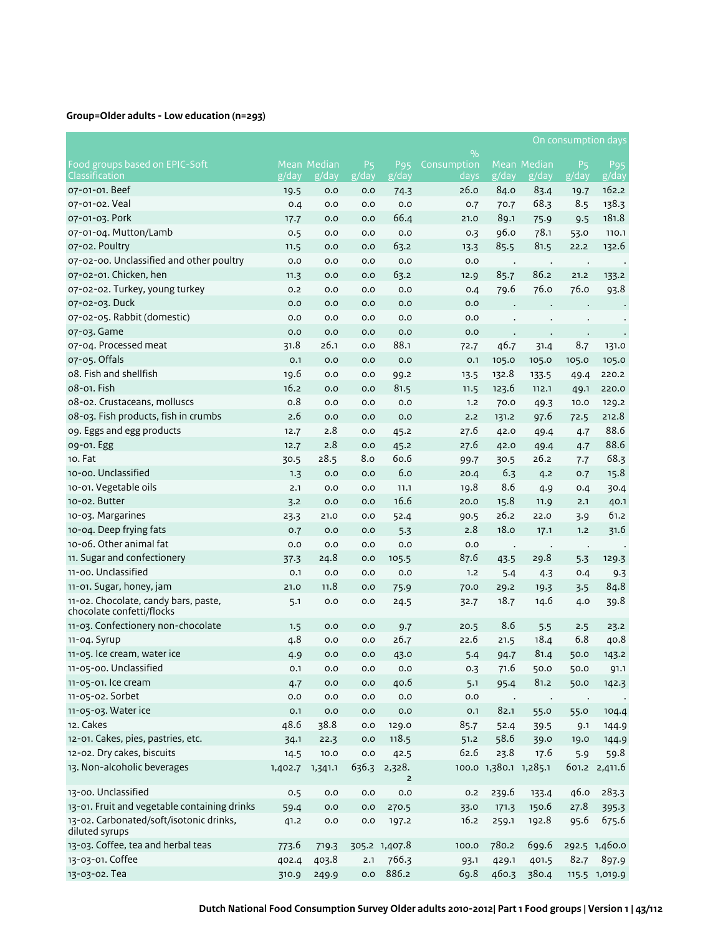# **Group=Older adults - Low education (n=293)**

|                                                                   |         |                      |                               |                          |                     |                       |                      |                                            | On consumption days      |
|-------------------------------------------------------------------|---------|----------------------|-------------------------------|--------------------------|---------------------|-----------------------|----------------------|--------------------------------------------|--------------------------|
|                                                                   |         |                      |                               |                          | $\%$                |                       |                      |                                            |                          |
| Food groups based on EPIC-Soft<br>Classification                  | g/day   | Mean Median<br>g/day | <b>P<sub>5</sub></b><br>g/day | P <sub>95</sub><br>g/day | Consumption<br>days | g/day                 | Mean Median<br>g/day | <b>P<sub>5</sub></b><br>$\overline{g}/day$ | P <sub>95</sub><br>g/day |
| 07-01-01. Beef                                                    | 19.5    | 0.0                  | 0.0                           | 74.3                     | 26.0                | 84.0                  | 83.4                 | 19.7                                       | 162.2                    |
| 07-01-02. Veal                                                    | 0.4     | 0.0                  | 0.0                           | 0.0                      | 0.7                 | 70.7                  | 68.3                 | 8.5                                        | 138.3                    |
| 07-01-03. Pork                                                    | 17.7    | 0.0                  | 0.0                           | 66.4                     | 21.0                | 89.1                  | 75.9                 | 9.5                                        | 181.8                    |
| 07-01-04. Mutton/Lamb                                             | 0.5     | 0.0                  | 0.0                           | 0.0                      | 0.3                 | 96.0                  | 78.1                 | 53.0                                       | 110.1                    |
| 07-02. Poultry                                                    | 11.5    | 0.0                  | 0.0                           | 63.2                     | 13.3                | 85.5                  | 81.5                 | 22.2                                       | 132.6                    |
| 07-02-00. Unclassified and other poultry                          | 0.0     | 0.0                  | 0.0                           | 0.0                      | 0.0                 |                       | $\cdot$              | $\bullet$                                  |                          |
| 07-02-01. Chicken, hen                                            | 11.3    | 0.0                  | 0.0                           | 63.2                     | 12.9                | 85.7                  | 86.2                 | 21.2                                       | 133.2                    |
| 07-02-02. Turkey, young turkey                                    | 0.2     | 0.0                  | 0.0                           | 0.0                      | 0.4                 | 79.6                  | 76.0                 | 76.0                                       | 93.8                     |
| 07-02-03. Duck                                                    | 0.0     | 0.0                  | 0.0                           | 0.0                      | 0.0                 |                       |                      |                                            |                          |
| 07-02-05. Rabbit (domestic)                                       | 0.0     | 0.0                  | 0.0                           | 0.0                      | 0.0                 |                       |                      |                                            |                          |
| 07-03. Game                                                       | 0.0     | 0.0                  | 0.0                           | 0.0                      | 0.0                 |                       |                      | $\bullet$                                  |                          |
| 07-04. Processed meat                                             | 31.8    | 26.1                 | 0.0                           | 88.1                     | 72.7                | 46.7                  | 31.4                 | 8.7                                        | 131.0                    |
| 07-05. Offals                                                     | 0.1     | 0.0                  | 0.0                           | 0.0                      | 0.1                 | 105.0                 | 105.0                | 105.0                                      | 105.0                    |
| 08. Fish and shellfish                                            | 19.6    | 0.0                  | 0.0                           | 99.2                     | 13.5                | 132.8                 | 133.5                | 49.4                                       | 220.2                    |
| 08-01. Fish                                                       | 16.2    | 0.0                  | 0.0                           | 81.5                     | 11.5                | 123.6                 | 112.1                | 49.1                                       | 220.0                    |
| 08-02. Crustaceans. molluscs                                      | 0.8     | 0.0                  | 0.0                           | 0.0                      | 1.2                 | 70.0                  | 49.3                 | 10.0                                       | 129.2                    |
| 08-03. Fish products, fish in crumbs                              | 2.6     | 0.0                  | 0.0                           | 0.0                      | 2.2                 | 131.2                 | 97.6                 | 72.5                                       | 212.8                    |
| og. Eggs and egg products                                         | 12.7    | 2.8                  | 0.0                           | 45.2                     | 27.6                | 42.0                  | 49.4                 | 4.7                                        | 88.6                     |
| 09-01. Egg                                                        | 12.7    | 2.8                  | 0.0                           | 45.2                     | 27.6                | 42.0                  | 49.4                 | 4.7                                        | 88.6                     |
| 10. Fat                                                           | 30.5    | 28.5                 | 8.0                           | 60.6                     | 99.7                | 30.5                  | 26.2                 | 7.7                                        | 68.3                     |
| 10-00. Unclassified                                               | 1.3     | 0.0                  | 0.0                           | 6.0                      | 20.4                | 6.3                   | 4.2                  | 0.7                                        | 15.8                     |
| 10-01. Vegetable oils                                             | 2.1     | 0.0                  | 0.0                           | 11.1                     | 19.8                | 8.6                   | 4.9                  | 0.4                                        | 30.4                     |
| 10-02. Butter                                                     | 3.2     | 0.0                  | 0.0                           | 16.6                     | 20.0                | 15.8                  | 11.9                 | 2.1                                        | 40.1                     |
| 10-03. Margarines                                                 | 23.3    | 21.0                 | 0.0                           | 52.4                     | 90.5                | 26.2                  | 22.0                 | 3.9                                        | 61.2                     |
| 10-04. Deep frying fats                                           | 0.7     | 0.0                  | 0.0                           | 5.3                      | 2.8                 | 18.0                  | 17.1                 | 1.2                                        | 31.6                     |
| 10-06. Other animal fat                                           | 0.0     | 0.0                  | 0.0                           | 0.0                      | 0.0                 | $\cdot$               |                      | $\cdot$                                    |                          |
| 11. Sugar and confectionery                                       | 37.3    | 24.8                 | 0.0                           | 105.5                    | 87.6                | 43.5                  | 29.8                 | 5.3                                        | 129.3                    |
| 11-00. Unclassified                                               | 0.1     | 0.0                  | 0.0                           | 0.0                      | 1.2                 | 5.4                   | 4.3                  | 0.4                                        | 9.3                      |
| 11-01. Sugar, honey, jam                                          | 21.0    | 11.8                 | 0.0                           | 75.9                     | 70.0                | 29.2                  | 19.3                 | 3.5                                        | 84.8                     |
| 11-02. Chocolate, candy bars, paste,<br>chocolate confetti/flocks | 5.1     | 0.0                  | 0.0                           | 24.5                     | 32.7                | 18.7                  | 14.6                 | 4.0                                        | 39.8                     |
| 11-03. Confectionery non-chocolate                                | 1.5     | 0.0                  | 0.0                           | 9.7                      | 20.5                | 8.6                   | 5.5                  | 2.5                                        | 23.2                     |
| 11-04. Syrup                                                      | 4.8     | 0.0                  | 0.0                           | 26.7                     | 22.6                | 21.5                  | 18.4                 | 6.8                                        | 40.8                     |
| 11-05. Ice cream, water ice                                       | 4.9     | 0.0                  | 0.0                           | 43.0                     | 5.4                 | 94.7                  | 81.4                 | 50.0                                       | 143.2                    |
| 11-05-00. Unclassified                                            | O.1     | 0.0                  | 0.0                           | 0.0                      | 0.3                 | 71.6                  | 50.0                 | 50.0                                       | 91.1                     |
| 11-05-01. Ice cream                                               | 4.7     | 0.0                  | 0.0                           | 40.6                     | 5.1                 | 95.4                  | 81.2                 | 50.0                                       | 142.3                    |
| 11-05-02. Sorbet                                                  | 0.0     | 0.0                  | 0.0                           | 0.0                      | 0.0                 | $\cdot$               | $\ddot{\phantom{a}}$ | $\bullet$                                  |                          |
| 11-05-03. Water ice                                               | 0.1     | 0.0                  | 0.0                           | 0.0                      | O.1                 | 82.1                  | 55.0                 | 55.0                                       | 104.4                    |
| 12. Cakes                                                         | 48.6    | 38.8                 | 0.0                           | 129.0                    | 85.7                | 52.4                  | 39.5                 | 9.1                                        | 144.9                    |
| 12-01. Cakes, pies, pastries, etc.                                | 34.1    | 22.3                 | 0.0                           | 118.5                    | 51.2                | 58.6                  | 39.0                 | 19.0                                       | 144.9                    |
| 12-02. Dry cakes, biscuits                                        | 14.5    | 10.0                 | 0.0                           | 42.5                     | 62.6                | 23.8                  | 17.6                 | 5.9                                        | 59.8                     |
| 13. Non-alcoholic beverages                                       | 1,402.7 | 1,341.1              | 636.3                         | 2,328.<br>$\overline{2}$ |                     | 100.0 1,380.1 1,285.1 |                      |                                            | 601.2 2,411.6            |
| 13-00. Unclassified                                               | 0.5     | 0.0                  | 0.0                           | 0.0                      | 0.2                 | 239.6                 | 133.4                | 46.0                                       | 283.3                    |
| 13-01. Fruit and vegetable containing drinks                      | 59.4    | 0.0                  | 0.0                           | 270.5                    | 33.0                | 171.3                 | 150.6                | 27.8                                       | 395.3                    |
| 13-02. Carbonated/soft/isotonic drinks,<br>diluted syrups         | 41.2    | 0.0                  | 0.0                           | 197.2                    | 16.2                | 259.1                 | 192.8                | 95.6                                       | 675.6                    |
| 13-03. Coffee, tea and herbal teas                                | 773.6   | 719.3                |                               | 305.2 1,407.8            | 100.0               | 780.2                 | 699.6                |                                            | 292.5 1,460.0            |
| 13-03-01. Coffee                                                  | 402.4   | 403.8                | 2.1                           | 766.3                    | 93.1                | 429.1                 | 401.5                | 82.7                                       | 897.9                    |
| 13-03-02. Tea                                                     | 310.9   | 249.9                | 0.0                           | 886.2                    | 69.8                | 460.3                 | 380.4                |                                            | 115.5 1,019.9            |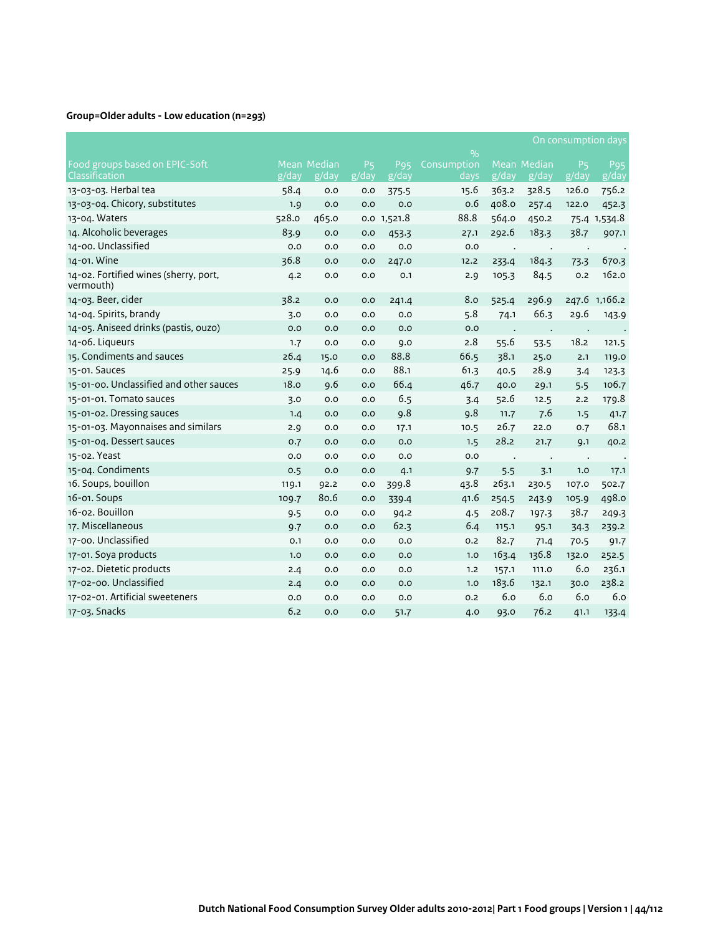# **Group=Older adults - Low education (n=293)**

|                                                    |       |                      |                         |                          |                     |                |                         | On consumption days     |                          |
|----------------------------------------------------|-------|----------------------|-------------------------|--------------------------|---------------------|----------------|-------------------------|-------------------------|--------------------------|
|                                                    |       |                      |                         |                          | $\frac{9}{0}$       |                |                         |                         |                          |
| Food groups based on EPIC-Soft<br>Classification   | g/day | Mean Median<br>g/day | P <sub>5</sub><br>g/day | P <sub>95</sub><br>g/day | Consumption<br>days | g/day          | Mean Median<br>$g$ /day | P <sub>5</sub><br>g/day | P <sub>95</sub><br>g/day |
| 13-03-03. Herbal tea                               | 58.4  | 0.0                  | 0.0                     | 375.5                    | 15.6                | 363.2          | 328.5                   | 126.0                   | 756.2                    |
| 13-03-04. Chicory, substitutes                     | 1.9   | 0.0                  | 0.0                     | 0.0                      | 0.6                 | 408.0          | 257.4                   | 122.0                   | 452.3                    |
| 13-04. Waters                                      | 528.0 | 465.0                |                         | 0.0 1,521.8              | 88.8                | 564.0          | 450.2                   |                         | 75.4 1,534.8             |
| 14. Alcoholic beverages                            | 83.9  | 0.0                  | 0.0                     | 453.3                    | 27.1                | 292.6          | 183.3                   | 38.7                    | 907.1                    |
| 14-00. Unclassified                                | 0.0   | O.O                  | O.O                     | 0.0                      | 0.0                 |                | $\cdot$                 | $\bullet$               |                          |
| 14-01. Wine                                        | 36.8  | 0.0                  | 0.0                     | 247.0                    | 12.2                | 233.4          | 184.3                   | 73.3                    | 670.3                    |
| 14-02. Fortified wines (sherry, port,<br>vermouth) | 4.2   | 0.0                  | 0.0                     | 0.1                      | 2.9                 | 105.3          | 84.5                    | 0.2                     | 162.0                    |
| 14-03. Beer, cider                                 | 38.2  | 0.0                  | 0.0                     | 241.4                    | 8.0                 | 525.4          | 296.9                   |                         | 247.6 1,166.2            |
| 14-04. Spirits, brandy                             | 3.0   | 0.0                  | O.O                     | 0.0                      | 5.8                 | 74.1           | 66.3                    | 29.6                    | 143.9                    |
| 14-05. Aniseed drinks (pastis, ouzo)               | 0.0   | 0.0                  | 0.0                     | 0.0                      | 0.0                 |                | ۰                       | $\ddot{\phantom{a}}$    |                          |
| 14-06. Liqueurs                                    | 1.7   | 0.0                  | 0.0                     | 9.0                      | 2.8                 | 55.6           | 53.5                    | 18.2                    | 121.5                    |
| 15. Condiments and sauces                          | 26.4  | 15.0                 | 0.0                     | 88.8                     | 66.5                | 38.1           | 25.0                    | 2.1                     | 119.0                    |
| 15-01. Sauces                                      | 25.9  | 14.6                 | 0.0                     | 88.1                     | 61.3                | 40.5           | 28.9                    | 3.4                     | 123.3                    |
| 15-01-00. Unclassified and other sauces            | 18.0  | 9.6                  | 0.0                     | 66.4                     | 46.7                | 40.0           | 29.1                    | 5.5                     | 106.7                    |
| 15-01-01. Tomato sauces                            | 3.0   | 0.0                  | 0.0                     | 6.5                      | 3.4                 | 52.6           | 12.5                    | 2.2                     | 179.8                    |
| 15-01-02. Dressing sauces                          | 1.4   | O.O                  | 0.0                     | 9.8                      | 9.8                 | 11.7           | 7.6                     | 1.5                     | 41.7                     |
| 15-01-03. Mayonnaises and similars                 | 2.9   | 0.0                  | 0.0                     | 17.1                     | 10.5                | 26.7           | 22.0                    | 0.7                     | 68.1                     |
| 15-01-04. Dessert sauces                           | 0.7   | 0.0                  | 0.0                     | 0.0                      | 1.5                 | 28.2           | 21.7                    | 9.1                     | 40.2                     |
| 15-02. Yeast                                       | 0.0   | 0.0                  | 0.0                     | 0.0                      | 0.0                 | $\blacksquare$ | $\cdot$                 | $\cdot$                 |                          |
| 15-04. Condiments                                  | 0.5   | 0.0                  | 0.0                     | 4.1                      | 9.7                 | 5.5            | 3.1                     | 1.0                     | 17.1                     |
| 16. Soups, bouillon                                | 119.1 | 92.2                 | 0.0                     | 399.8                    | 43.8                | 263.1          | 230.5                   | 107.0                   | 502.7                    |
| 16-01. Soups                                       | 109.7 | 80.6                 | 0.0                     | 339.4                    | 41.6                | 254.5          | 243.9                   | 105.9                   | 498.0                    |
| 16-02. Bouillon                                    | 9.5   | 0.0                  | 0.0                     | 94.2                     | 4.5                 | 208.7          | 197.3                   | 38.7                    | 249.3                    |
| 17. Miscellaneous                                  | 9.7   | 0.0                  | 0.0                     | 62.3                     | 6.4                 | 115.1          | 95.1                    | 34.3                    | 239.2                    |
| 17-00. Unclassified                                | 0.1   | 0.0                  | 0.0                     | 0.0                      | 0.2                 | 82.7           | 71.4                    | 70.5                    | 91.7                     |
| 17-01. Soya products                               | 1.0   | O.O                  | 0.0                     | 0.0                      | 1.0                 | 163.4          | 136.8                   | 132.0                   | 252.5                    |
| 17-02. Dietetic products                           | 2.4   | 0.0                  | 0.0                     | 0.0                      | 1.2                 | 157.1          | 111.0                   | 6.0                     | 236.1                    |
| 17-02-00. Unclassified                             | 2.4   | 0.0                  | 0.0                     | 0.0                      | 1.0                 | 183.6          | 132.1                   | 30.0                    | 238.2                    |
| 17-02-01. Artificial sweeteners                    | 0.0   | 0.0                  | 0.0                     | 0.0                      | 0.2                 | 6.0            | 6.0                     | 6.0                     | 6.0                      |
| 17-03. Snacks                                      | 6.2   | O.O                  | 0.0                     | 51.7                     | 4.0                 | 93.0           | 76.2                    | 41.1                    | 133.4                    |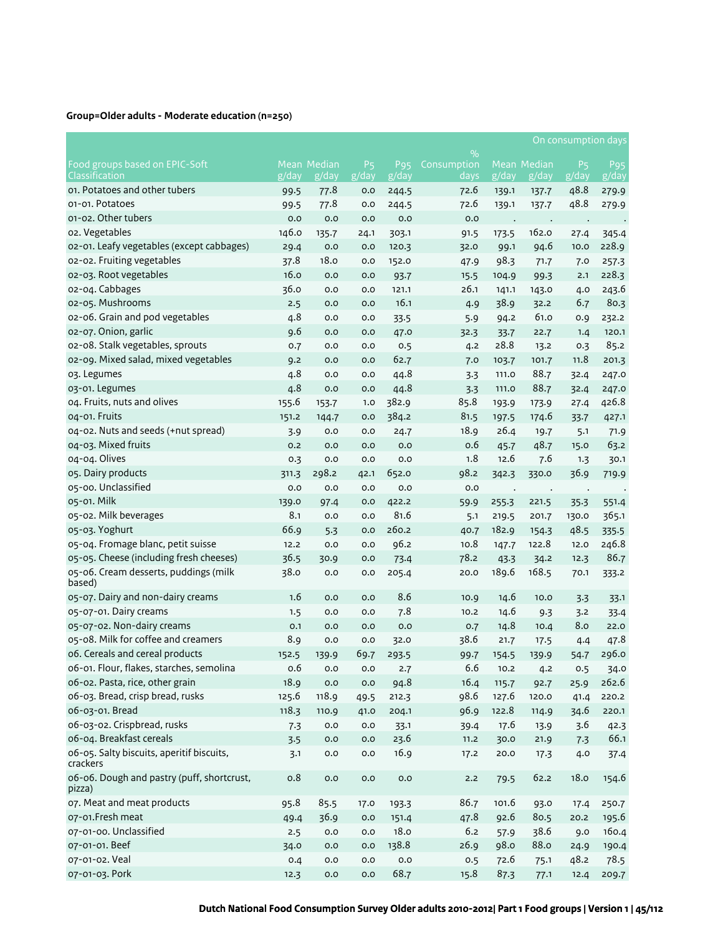# **Group=Older adults - Moderate education (n=250)**

|                                                       |       |                             |                         |                          |                     |         |                      | On consumption days                                   |                          |
|-------------------------------------------------------|-------|-----------------------------|-------------------------|--------------------------|---------------------|---------|----------------------|-------------------------------------------------------|--------------------------|
|                                                       |       |                             |                         |                          | $\%$                |         |                      |                                                       |                          |
| Food groups based on EPIC-Soft<br>Classification      | g/day | <b>Mean Median</b><br>g/day | P <sub>5</sub><br>g/day | P <sub>95</sub><br>g/day | Consumption<br>days | g/day   | Mean Median<br>g/day | <b>P<sub>5</sub></b><br>$\overline{g}/\overline{day}$ | P <sub>95</sub><br>g/day |
| 01. Potatoes and other tubers                         | 99.5  | 77.8                        | 0.0                     | 244.5                    | 72.6                | 139.1   | 137.7                | 48.8                                                  | 279.9                    |
| 01-01. Potatoes                                       | 99.5  | 77.8                        | 0.0                     | 244.5                    | 72.6                | 139.1   | 137.7                | 48.8                                                  | 279.9                    |
| 01-02. Other tubers                                   | 0.0   | 0.0                         | 0.0                     | 0.0                      | 0.0                 |         |                      |                                                       |                          |
| o2. Vegetables                                        | 146.0 | 135.7                       | 24.1                    | 303.1                    | 91.5                | 173.5   | 162.0                | 27.4                                                  | 345.4                    |
| 02-01. Leafy vegetables (except cabbages)             | 29.4  | 0.0                         | 0.0                     | 120.3                    | 32.0                | 99.1    | 94.6                 | 10.0                                                  | 228.9                    |
| 02-02. Fruiting vegetables                            | 37.8  | 18.0                        | 0.0                     | 152.0                    | 47.9                | 98.3    | 71.7                 | 7.0                                                   | 257.3                    |
| 02-03. Root vegetables                                | 16.0  | 0.0                         | 0.0                     | 93.7                     | 15.5                | 104.9   | 99.3                 | 2.1                                                   | 228.3                    |
| 02-04. Cabbages                                       | 36.0  | 0.0                         | 0.0                     | 121.1                    | 26.1                | 141.1   | 143.0                | 4.0                                                   | 243.6                    |
| 02-05. Mushrooms                                      | 2.5   | 0.0                         | 0.0                     | 16.1                     | 4.9                 | 38.9    | 32.2                 | 6.7                                                   | 80.3                     |
| o2-o6. Grain and pod vegetables                       | 4.8   | 0.0                         | 0.0                     | 33.5                     | 5.9                 | 94.2    | 61.0                 | 0.9                                                   | 232.2                    |
| 02-07. Onion, garlic                                  | 9.6   | 0.0                         | 0.0                     | 47.0                     | 32.3                | 33.7    | 22.7                 | 1.4                                                   | 120.1                    |
| 02-08. Stalk vegetables, sprouts                      | 0.7   | 0.0                         | 0.0                     | 0.5                      | 4.2                 | 28.8    | 13.2                 | 0.3                                                   | 85.2                     |
| 02-09. Mixed salad, mixed vegetables                  | 9.2   | 0.0                         | 0.0                     | 62.7                     | 7.0                 | 103.7   | 101.7                | 11.8                                                  | 201.3                    |
| 03. Legumes                                           | 4.8   | 0.0                         | 0.0                     | 44.8                     | 3.3                 | 111.0   | 88.7                 | 32.4                                                  | 247.0                    |
| 03-01. Legumes                                        | 4.8   | 0.0                         | 0.0                     | 44.8                     | 3.3                 | 111.0   | 88.7                 | 32.4                                                  | 247.0                    |
| 04. Fruits, nuts and olives                           | 155.6 | 153.7                       | 1.0                     | 382.9                    | 85.8                | 193.9   | 173.9                | 27.4                                                  | 426.8                    |
| 04-01. Fruits                                         | 151.2 | 144.7                       | 0.0                     | 384.2                    | 81.5                | 197.5   | 174.6                | 33.7                                                  | 427.1                    |
| 04-02. Nuts and seeds (+nut spread)                   | 3.9   | 0.0                         | 0.0                     | 24.7                     | 18.9                | 26.4    | 19.7                 | 5.1                                                   | 71.9                     |
| 04-03. Mixed fruits                                   | 0.2   | 0.0                         | 0.0                     | 0.0                      | 0.6                 | 45.7    | 48.7                 | 15.0                                                  | 63.2                     |
| 04-04. Olives                                         | 0.3   | 0.0                         | 0.0                     | 0.0                      | 1.8                 | 12.6    | 7.6                  | 1.3                                                   | 30.1                     |
| 05. Dairy products                                    | 311.3 | 298.2                       | 42.1                    | 652.0                    | 98.2                | 342.3   | 330.0                | 36.9                                                  | 719.9                    |
| 05-00. Unclassified                                   | 0.0   | 0.0                         | 0.0                     | 0.0                      | 0.0                 | $\cdot$ | $\cdot$              | $\cdot$                                               |                          |
| 05-01. Milk                                           | 139.0 | 97.4                        | 0.0                     | 422.2                    | 59.9                | 255.3   | 221.5                | 35.3                                                  | 551.4                    |
| 05-02. Milk beverages                                 | 8.1   | 0.0                         | 0.0                     | 81.6                     | 5.1                 | 219.5   | 201.7                | 130.0                                                 | 365.1                    |
| 05-03. Yoghurt                                        | 66.9  | 5.3                         | 0.0                     | 260.2                    | 40.7                | 182.9   | 154.3                | 48.5                                                  | 335.5                    |
| 05-04. Fromage blanc, petit suisse                    | 12.2  | 0.0                         | 0.0                     | 96.2                     | 10.8                | 147.7   | 122.8                | 12.0                                                  | 246.8                    |
| 05-05. Cheese (including fresh cheeses)               | 36.5  | 30.9                        | 0.0                     | 73.4                     | 78.2                | 43.3    | 34.2                 | 12.3                                                  | 86.7                     |
| 05-06. Cream desserts, puddings (milk<br>based)       | 38.0  | 0.0                         | 0.0                     | 205.4                    | 20.0                | 189.6   | 168.5                | 70.1                                                  | 333.2                    |
| 05-07. Dairy and non-dairy creams                     | 1.6   | 0.0                         | 0.0                     | 8.6                      | 10.9                | 14.6    | 10.0                 | 3.3                                                   | 33.1                     |
| 05-07-01. Dairy creams                                | 1.5   | 0.0                         | 0.0                     | 7.8                      | 10.2                | 14.6    | 9.3                  | 3.2                                                   | 33.4                     |
| 05-07-02. Non-dairy creams                            | 0.1   | 0.0                         | 0.0                     | 0.0                      | 0.7                 | 14.8    | 10.4                 | 8.0                                                   | 22.0                     |
| 05-08. Milk for coffee and creamers                   | 8.9   | 0.0                         | 0.0                     | 32.0                     | 38.6                | 21.7    | 17.5                 | 4.4                                                   | 47.8                     |
| o6. Cereals and cereal products                       | 152.5 | 139.9                       | 69.7                    | 293.5                    | 99.7                | 154.5   | 139.9                | 54.7                                                  | 296.0                    |
| 06-01. Flour, flakes, starches, semolina              | 0.6   | 0.0                         | 0.0                     | 2.7                      | 6.6                 | 10.2    | 4.2                  | 0.5                                                   | 34.0                     |
| 06-02. Pasta, rice, other grain                       | 18.9  | 0.0                         | 0.0                     | 94.8                     | 16.4                | 115.7   | 92.7                 | 25.9                                                  | 262.6                    |
| 06-03. Bread, crisp bread, rusks                      | 125.6 | 118.9                       | 49.5                    | 212.3                    | 98.6                | 127.6   | 120.0                | 41.4                                                  | 220.2                    |
| 06-03-01. Bread                                       | 118.3 | 110.9                       | 41.0                    | 204.1                    | 96.9                | 122.8   | 114.9                | 34.6                                                  | 220.1                    |
| 06-03-02. Crispbread, rusks                           | 7.3   | 0.0                         | 0.0                     | 33.1                     | 39.4                | 17.6    | 13.9                 | 3.6                                                   | 42.3                     |
| 06-04. Breakfast cereals                              | 3.5   | 0.0                         | 0.0                     | 23.6                     | 11.2                | 30.0    | 21.9                 | 7.3                                                   | 66.1                     |
| 06-05. Salty biscuits, aperitif biscuits,<br>crackers | 3.1   | 0.0                         | 0.0                     | 16.9                     | 17.2                | 20.0    | 17.3                 | 4.0                                                   | 37.4                     |
| 06-06. Dough and pastry (puff, shortcrust,<br>pizza)  | 0.8   | $_{\rm 0.0}$                | 0.0                     | $_{\rm 0.0}$             | 2.2                 | 79.5    | 62.2                 | 18.0                                                  | 154.6                    |
| 07. Meat and meat products                            | 95.8  | 85.5                        | 17.0                    | 193.3                    | 86.7                | 101.6   | 93.0                 | 17.4                                                  | 250.7                    |
| 07-01.Fresh meat                                      | 49.4  | 36.9                        | 0.0                     | 151.4                    | 47.8                | 92.6    | 80.5                 | 20.2                                                  | 195.6                    |
| 07-01-00. Unclassified                                | 2.5   | 0.0                         | 0.0                     | 18.0                     | 6.2                 | 57.9    | 38.6                 | 9.0                                                   | 160.4                    |
| 07-01-01. Beef                                        | 34.0  | 0.0                         | 0.0                     | 138.8                    | 26.9                | 98.0    | 88.0                 | 24.9                                                  | 190.4                    |
| 07-01-02. Veal                                        | 0.4   | 0.0                         | 0.0                     | 0.0                      | 0.5                 | 72.6    | 75.1                 | 48.2                                                  | 78.5                     |
| 07-01-03. Pork                                        | 12.3  | 0.0                         | 0.0                     | 68.7                     | 15.8                | 87.3    | 77.1                 | 12.4                                                  | 209.7                    |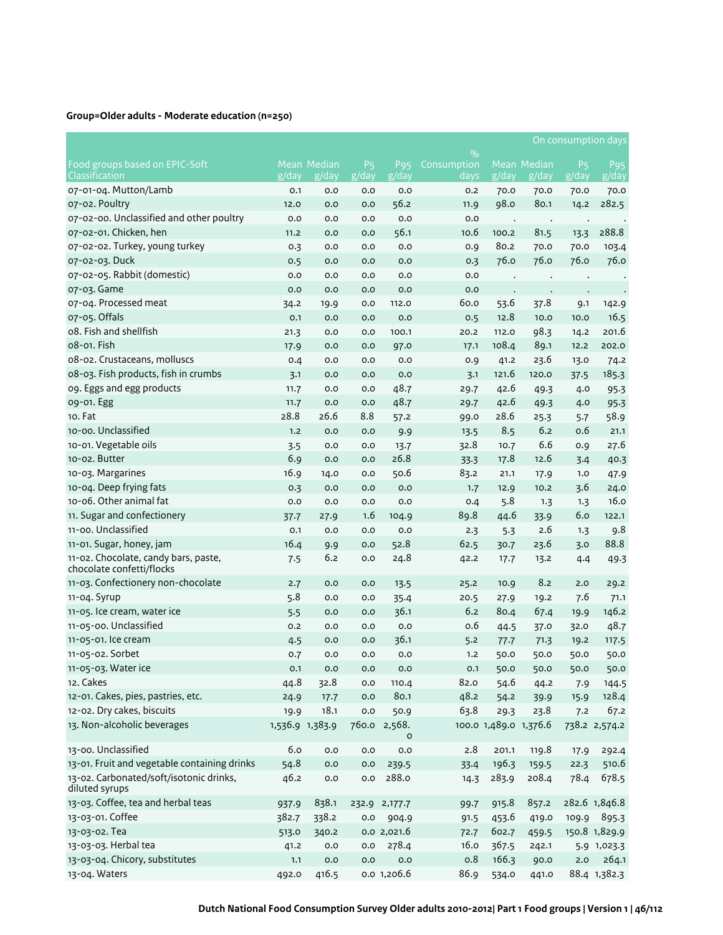# **Group=Older adults - Moderate education (n=250)**

|                                                                   |                 |                      |                         |                                                  |                     |                       |                      |                         | On consumption days      |
|-------------------------------------------------------------------|-----------------|----------------------|-------------------------|--------------------------------------------------|---------------------|-----------------------|----------------------|-------------------------|--------------------------|
|                                                                   |                 |                      |                         |                                                  | $\%$                |                       |                      |                         |                          |
| Food groups based on EPIC-Soft<br>Classification                  | g/day           | Mean Median<br>g/day | P <sub>5</sub><br>g/day | P <sub>95</sub><br>$\overline{g}/\overline{day}$ | Consumption<br>days | $\overline{g}/day$    | Mean Median<br>g/day | P <sub>5</sub><br>g/day | P <sub>95</sub><br>g/day |
| 07-01-04. Mutton/Lamb                                             | 0.1             | 0.0                  | 0.0                     | 0.0                                              | 0.2                 | 70.0                  | 70.0                 | 70.0                    | 70.0                     |
| 07-02. Poultry                                                    | 12.0            | 0.0                  | 0.0                     | 56.2                                             | 11.9                | 98.0                  | 80.1                 | 14.2                    | 282.5                    |
| 07-02-00. Unclassified and other poultry                          | 0.0             | 0.0                  | 0.0                     | 0.0                                              | 0.0                 | $\cdot$               | $\cdot$              |                         |                          |
| 07-02-01. Chicken, hen                                            | 11.2            | 0.0                  | 0.0                     | 56.1                                             | 10.6                | 100.2                 | 81.5                 | 13.3                    | 288.8                    |
| 07-02-02. Turkey, young turkey                                    | 0.3             | 0.0                  | 0.0                     | 0.0                                              | 0.9                 | 80.2                  | 70.0                 | 70.0                    | 103.4                    |
| 07-02-03. Duck                                                    | 0.5             | 0.0                  | 0.0                     | 0.0                                              | 0.3                 | 76.0                  | 76.0                 | 76.0                    | 76.0                     |
| 07-02-05. Rabbit (domestic)                                       | 0.0             | 0.0                  | 0.0                     | 0.0                                              | 0.0                 |                       |                      |                         |                          |
| 07-03. Game                                                       | 0.0             | 0.0                  | 0.0                     | 0.0                                              | 0.0                 |                       |                      |                         |                          |
| 07-04. Processed meat                                             | 34.2            | 19.9                 | 0.0                     | 112.0                                            | 60.0                | 53.6                  | 37.8                 | 9.1                     | 142.9                    |
| 07-05. Offals                                                     | 0.1             | 0.0                  | 0.0                     | 0.0                                              | 0.5                 | 12.8                  | 10.0                 | 10.0                    | 16.5                     |
| 08. Fish and shellfish                                            | 21.3            | 0.0                  | 0.0                     | 100.1                                            | 20.2                | 112.0                 | 98.3                 | 14.2                    | 201.6                    |
| 08-01. Fish                                                       | 17.9            | 0.0                  | 0.0                     | 97.0                                             | 17.1                | 108.4                 | 89.1                 | 12.2                    | 202.0                    |
| 08-02. Crustaceans, molluscs                                      | 0.4             | 0.0                  | 0.0                     | 0.0                                              | 0.9                 | 41.2                  | 23.6                 | 13.0                    | 74.2                     |
| 08-03. Fish products, fish in crumbs                              | 3.1             | 0.0                  | 0.0                     | 0.0                                              | 3.1                 | 121.6                 | 120.0                | 37.5                    | 185.3                    |
| og. Eggs and egg products                                         | 11.7            | 0.0                  | 0.0                     | 48.7                                             | 29.7                | 42.6                  | 49.3                 | 4.0                     | 95.3                     |
| 09-01. Egg                                                        | 11.7            | 0.0                  | 0.0                     | 48.7                                             | 29.7                | 42.6                  | 49.3                 | 4.0                     | 95.3                     |
| 10. Fat                                                           | 28.8            | 26.6                 | 8.8                     | 57.2                                             | 99.0                | 28.6                  | 25.3                 | 5.7                     | 58.9                     |
| 10-00. Unclassified                                               | 1.2             | 0.0                  | 0.0                     | 9.9                                              | 13.5                | 8.5                   | 6.2                  | 0.6                     | 21.1                     |
| 10-01. Vegetable oils                                             | 3.5             | 0.0                  | 0.0                     | 13.7                                             | 32.8                | 10.7                  | 6.6                  | 0.9                     | 27.6                     |
| 10-02. Butter                                                     | 6.9             | 0.0                  | 0.0                     | 26.8                                             | 33.3                | 17.8                  | 12.6                 | 3.4                     | 40.3                     |
| 10-03. Margarines                                                 | 16.9            | 14.0                 | 0.0                     | 50.6                                             | 83.2                | 21.1                  | 17.9                 | 1.0                     | 47.9                     |
| 10-04. Deep frying fats                                           | 0.3             | 0.0                  | 0.0                     | 0.0                                              | 1.7                 | 12.9                  | 10.2                 | 3.6                     | 24.0                     |
| 10-06. Other animal fat                                           | 0.0             | 0.0                  | 0.0                     | 0.0                                              | 0.4                 | 5.8                   | 1.3                  | 1.3                     | 16.0                     |
| 11. Sugar and confectionery                                       | 37.7            | 27.9                 | 1.6                     | 104.9                                            | 89.8                | 44.6                  | 33.9                 | 6.0                     | 122.1                    |
| 11-00. Unclassified                                               | 0.1             | 0.0                  | 0.0                     | 0.0                                              | 2.3                 | 5.3                   | 2.6                  | 1.3                     | 9.8                      |
| 11-01. Sugar, honey, jam                                          | 16.4            | 9.9                  | 0.0                     | 52.8                                             | 62.5                | 30.7                  | 23.6                 | 3.0                     | 88.8                     |
| 11-02. Chocolate, candy bars, paste,<br>chocolate confetti/flocks | 7.5             | 6.2                  | 0.0                     | 24.8                                             | 42.2                | 17.7                  | 13.2                 | 4.4                     | 49.3                     |
| 11-03. Confectionery non-chocolate                                | 2.7             | 0.0                  | 0.0                     | 13.5                                             | 25.2                | 10.9                  | 8.2                  | 2.0                     | 29.2                     |
| 11-04. Syrup                                                      | 5.8             | 0.0                  | 0.0                     | 35.4                                             | 20.5                | 27.9                  | 19.2                 | 7.6                     | 71.1                     |
| 11-05. Ice cream, water ice                                       | 5.5             | 0.0                  | 0.0                     | 36.1                                             | 6.2                 | 80.4                  | 67.4                 | 19.9                    | 146.2                    |
| 11-05-00. Unclassified                                            | 0.2             | 0.0                  | 0.0                     | 0.0                                              | 0.6                 | 44.5                  | 37.0                 | 32.0                    | 48.7                     |
| 11-05-01. Ice cream                                               | 4.5             | 0.0                  | 0.0                     | 36.1                                             | 5.2                 | 77.7                  | 71.3                 | 19.2                    | 117.5                    |
| 11-05-02. Sorbet                                                  | 0.7             | 0.0                  | 0.0                     | 0.0                                              | 1.2                 | 50.0                  | 50.0                 | 50.0                    | 50.0                     |
| 11-05-03. Water ice                                               | 0.1             | 0.0                  | 0.0                     | 0.0                                              | O.1                 | 50.0                  | 50.0                 | 50.0                    | 50.0                     |
| 12. Cakes                                                         | 44.8            | 32.8                 | 0.0                     | 110.4                                            | 82.0                | 54.6                  | 44.2                 | 7.9                     | 144.5                    |
| 12-01. Cakes, pies, pastries, etc.                                | 24.9            | 17.7                 | 0.0                     | 80.1                                             | 48.2                | 54.2                  | 39.9                 | 15.9                    | 128.4                    |
| 12-02. Dry cakes, biscuits                                        | 19.9            | 18.1                 | 0.0                     | 50.9                                             | 63.8                | 29.3                  | 23.8                 | 7.2                     | 67.2                     |
| 13. Non-alcoholic beverages                                       | 1,536.9 1,383.9 |                      |                         | 760.0 2,568.<br>$\mathsf O$                      |                     | 100.0 1,489.0 1,376.6 |                      |                         | 738.2 2,574.2            |
| 13-00. Unclassified                                               | 6.0             | 0.0                  | 0.0                     | 0.0                                              | 2.8                 | 201.1                 | 119.8                | 17.9                    | 292.4                    |
| 13-01. Fruit and vegetable containing drinks                      | 54.8            | 0.0                  | 0.0                     | 239.5                                            | 33.4                | 196.3                 | 159.5                | 22.3                    | 510.6                    |
| 13-02. Carbonated/soft/isotonic drinks,<br>diluted syrups         | 46.2            | $_{\rm 0.0}$         | 0.0                     | 288.0                                            | 14.3                | 283.9                 | 208.4                | 78.4                    | 678.5                    |
| 13-03. Coffee, tea and herbal teas                                | 937.9           | 838.1                |                         | 232.9 2,177.7                                    | 99.7                | 915.8                 | 857.2                |                         | 282.6 1,846.8            |
| 13-03-01. Coffee                                                  | 382.7           | 338.2                | 0.0                     | 904.9                                            | 91.5                | 453.6                 | 419.0                |                         | 109.9 895.3              |
| 13-03-02. Tea                                                     | 513.0           | 340.2                |                         | 0.02,021.6                                       | 72.7                | 602.7                 | 459.5                |                         | 150.8 1,829.9            |
| 13-03-03. Herbal tea                                              | 41.2            | 0.0                  | 0.0                     | 278.4                                            | 16.0                | 367.5                 | 242.1                |                         | 5.9 1,023.3              |
| 13-03-04. Chicory, substitutes                                    | 1.1             | 0.0                  | 0.0                     | 0.0                                              | 0.8                 | 166.3                 | 90.0                 | $2.0$                   | 264.1                    |
| 13-04. Waters                                                     | 492.0           | 416.5                |                         | 0.0 1,206.6                                      | 86.9                | 534.0                 | 441.0                |                         | 88.4 1,382.3             |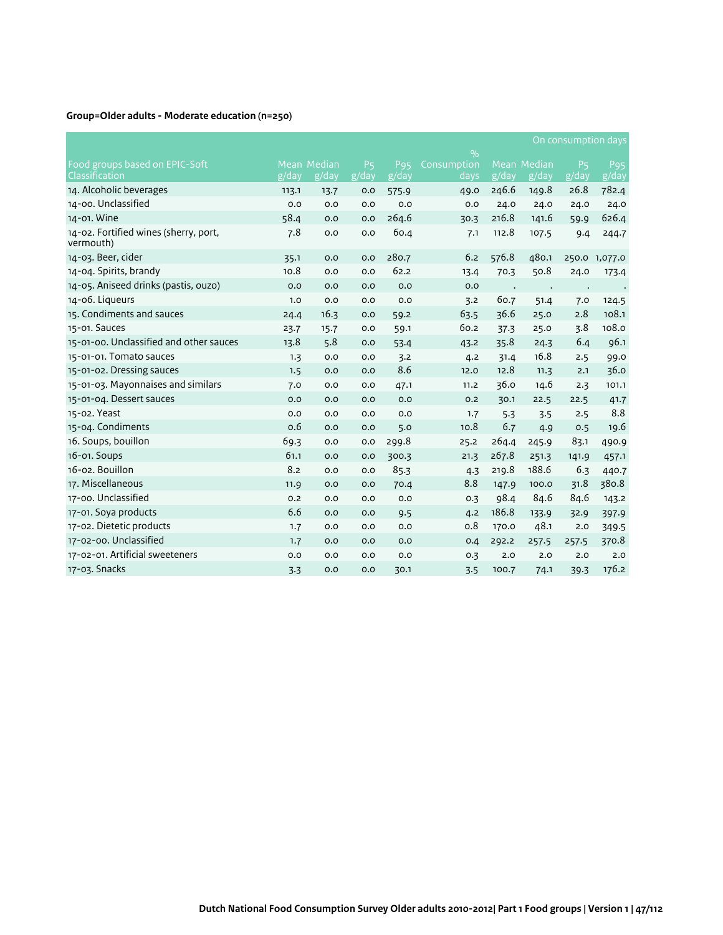# **Group=Older adults - Moderate education (n=250)**

|                                                    |       |             |                               |                        |                              |       |             |                       | On consumption days |
|----------------------------------------------------|-------|-------------|-------------------------------|------------------------|------------------------------|-------|-------------|-----------------------|---------------------|
| Food groups based on EPIC-Soft                     |       | Mean Median | P <sub>5</sub>                | <b>P</b> <sub>95</sub> | $\frac{9}{0}$<br>Consumption |       | Mean Median | <b>P<sub>5</sub></b>  | P95                 |
| Classification                                     | g/day | g/day       | $\overline{g}/\overline{day}$ | g/day                  | days                         | g/day | g/day       | $\sqrt{g}/\sqrt{day}$ | g/day               |
| 14. Alcoholic beverages                            | 113.1 | 13.7        | 0.0                           | 575.9                  | 49.0                         | 246.6 | 149.8       | 26.8                  | 782.4               |
| 14-00. Unclassified                                | 0.0   | O.O         | 0.0                           | O.O                    | O.O                          | 24.0  | 24.0        | 24.0                  | 24.0                |
| 14-01. Wine                                        | 58.4  | O.O         | 0.0                           | 264.6                  | 30.3                         | 216.8 | 141.6       | 59.9                  | 626.4               |
| 14-02. Fortified wines (sherry, port,<br>vermouth) | 7.8   | O.O         | 0.0                           | 60.4                   | 7.1                          | 112.8 | 107.5       | 9.4                   | 244.7               |
| 14-03. Beer, cider                                 | 35.1  | 0.0         | 0.0                           | 280.7                  | 6.2                          | 576.8 | 480.1       |                       | 250.0 1,077.0       |
| 14-04. Spirits, brandy                             | 10.8  | O.O         | 0.0                           | 62.2                   | 13.4                         | 70.3  | 50.8        | 24.0                  | 173.4               |
| 14-05. Aniseed drinks (pastis, ouzo)               | 0.0   | 0.0         | 0.0                           | 0.0                    | 0.0                          |       |             | $\bullet$             |                     |
| 14-06. Liqueurs                                    | 1.0   | 0.0         | 0.0                           | 0.0                    | 3.2                          | 60.7  | 51.4        | 7.0                   | 124.5               |
| 15. Condiments and sauces                          | 24.4  | 16.3        | 0.0                           | 59.2                   | 63.5                         | 36.6  | 25.0        | 2.8                   | 108.1               |
| 15-01. Sauces                                      | 23.7  | 15.7        | 0.0                           | 59.1                   | 60.2                         | 37.3  | 25.0        | 3.8                   | 108.0               |
| 15-01-00. Unclassified and other sauces            | 13.8  | 5.8         | 0.0                           | 53.4                   | 43.2                         | 35.8  | 24.3        | 6.4                   | 96.1                |
| 15-01-01. Tomato sauces                            | 1.3   | 0.0         | 0.0                           | 3.2                    | 4.2                          | 31.4  | 16.8        | 2.5                   | 99.0                |
| 15-01-02. Dressing sauces                          | 1.5   | O.O         | 0.0                           | 8.6                    | 12.0                         | 12.8  | 11.3        | 2.1                   | 36.0                |
| 15-01-03. Mayonnaises and similars                 | 7.0   | 0.0         | 0.0                           | 47.1                   | 11.2                         | 36.0  | 14.6        | 2.3                   | 101.1               |
| 15-01-04. Dessert sauces                           | 0.0   | O.O         | 0.0                           | 0.0                    | 0.2                          | 30.1  | 22.5        | 22.5                  | 41.7                |
| 15-02. Yeast                                       | 0.0   | 0.0         | 0.0                           | 0.0                    | 1.7                          | 5.3   | 3.5         | 2.5                   | 8.8                 |
| 15-04. Condiments                                  | 0.6   | O.O         | 0.0                           | 5.0                    | 10.8                         | 6.7   | 4.9         | 0.5                   | 19.6                |
| 16. Soups, bouillon                                | 69.3  | 0.0         | 0.0                           | 299.8                  | 25.2                         | 264.4 | 245.9       | 83.1                  | 490.9               |
| 16-01. Soups                                       | 61.1  | O.O         | 0.0                           | 300.3                  | 21.3                         | 267.8 | 251.3       | 141.9                 | 457.1               |
| 16-02. Bouillon                                    | 8.2   | O.O         | 0.0                           | 85.3                   | 4.3                          | 219.8 | 188.6       | 6.3                   | 440.7               |
| 17. Miscellaneous                                  | 11.9  | O.O         | 0.0                           | 70.4                   | 8.8                          | 147.9 | 100.0       | 31.8                  | 380.8               |
| 17-00. Unclassified                                | 0.2   | O.O         | 0.0                           | O.O                    | 0.3                          | 98.4  | 84.6        | 84.6                  | 143.2               |
| 17-01. Soya products                               | 6.6   | O.O         | 0.0                           | 9.5                    | 4.2                          | 186.8 | 133.9       | 32.9                  | 397.9               |
| 17-02. Dietetic products                           | 1.7   | O.O         | O.O                           | 0.0                    | 0.8                          | 170.0 | 48.1        | 2.0                   | 349.5               |
| 17-02-00. Unclassified                             | 1.7   | 0.0         | 0.0                           | 0.0                    | 0.4                          | 292.2 | 257.5       | 257.5                 | 370.8               |
| 17-02-01. Artificial sweeteners                    | 0.0   | 0.0         | 0.0                           | 0.0                    | 0.3                          | 2.0   | 2.0         | 2.0                   | 2.0                 |
| 17-03. Snacks                                      | 3.3   | 0.0         | 0.0                           | 30.1                   | 3.5                          | 100.7 | 74.1        | 39.3                  | 176.2               |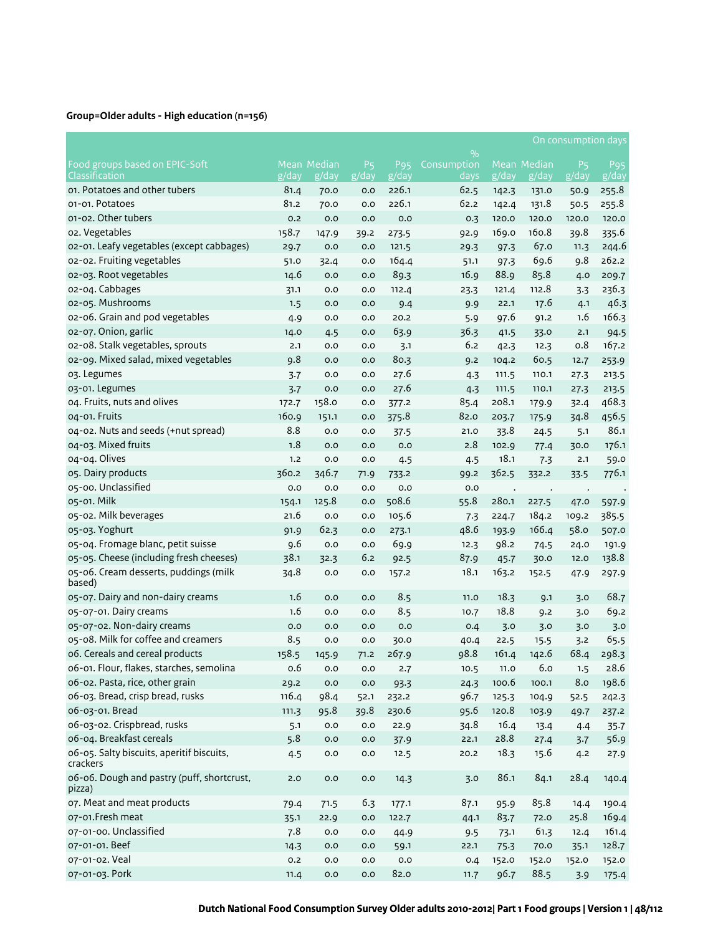# **Group=Older adults - High education (n=156)**

|                                                       |             |                      |                               |              |                     |                |                      | On consumption days     |                          |
|-------------------------------------------------------|-------------|----------------------|-------------------------------|--------------|---------------------|----------------|----------------------|-------------------------|--------------------------|
|                                                       |             |                      |                               |              | $\%$                |                |                      |                         |                          |
| Food groups based on EPIC-Soft<br>Classification      | g/day       | Mean Median<br>g/day | <b>P<sub>5</sub></b><br>g/day | P95<br>g/day | Consumption<br>days | $\sqrt{g/day}$ | Mean Median<br>g/day | P <sub>5</sub><br>g/day | P <sub>95</sub><br>g/day |
| 01. Potatoes and other tubers                         | 81.4        | 70.0                 | 0.0                           | 226.1        | 62.5                | 142.3          | 131.0                |                         | 255.8                    |
| 01-01. Potatoes                                       | 81.2        | 70.0                 | 0.0                           | 226.1        | 62.2                | 142.4          | 131.8                | 50.9<br>50.5            | 255.8                    |
| 01-02. Other tubers                                   | 0.2         | 0.0                  | 0.0                           | 0.0          | 0.3                 | 120.0          | 120.0                | 120.0                   | 120.0                    |
| o2. Vegetables                                        | 158.7       | 147.9                | 39.2                          | 273.5        | 92.9                | 169.0          | 160.8                | 39.8                    | 335.6                    |
| 02-01. Leafy vegetables (except cabbages)             | 29.7        | 0.0                  | 0.0                           | 121.5        | 29.3                | 97.3           | 67.0                 | 11.3                    | 244.6                    |
| 02-02. Fruiting vegetables                            | 51.0        |                      | 0.0                           | 164.4        | 51.1                | 97.3           | 69.6                 | 9.8                     | 262.2                    |
| 02-03. Root vegetables                                | 14.6        | 32.4<br>0.0          | 0.0                           | 89.3         | 16.9                | 88.9           | 85.8                 | 4.0                     | 209.7                    |
| 02-04. Cabbages                                       | 31.1        | 0.0                  | 0.0                           | 112.4        | 23.3                | 121.4          | 112.8                |                         | 236.3                    |
| 02-05. Mushrooms                                      | 1.5         | 0.0                  | 0.0                           | 9.4          | 9.9                 | 22.1           | 17.6                 | 3.3<br>4.1              | 46.3                     |
| o2-o6. Grain and pod vegetables                       |             | 0.0                  | 0.0                           | 20.2         | 5.9                 | 97.6           | 91.2                 | 1.6                     | 166.3                    |
| 02-07. Onion, garlic                                  | 4.9<br>14.0 | 4.5                  | 0.0                           | 63.9         | 36.3                | 41.5           | 33.0                 | 2.1                     | 94.5                     |
| 02-08. Stalk vegetables, sprouts                      | 2.1         | 0.0                  | 0.0                           |              | 6.2                 |                |                      | 0.8                     | 167.2                    |
| o2-o9. Mixed salad, mixed vegetables                  | 9.8         | 0.0                  | 0.0                           | 3.1<br>80.3  |                     | 42.3<br>104.2  | 12.3<br>60.5         |                         |                          |
|                                                       |             |                      |                               |              | 9.2                 |                |                      | 12.7                    | 253.9                    |
| 03. Legumes                                           | 3.7         | 0.0                  | 0.0                           | 27.6         | 4.3                 | 111.5          | 110.1                | 27.3                    | 213.5                    |
| 03-01. Legumes                                        | 3.7         | 0.0                  | 0.0                           | 27.6         | 4.3                 | 111.5          | 110.1                | 27.3                    | 213.5                    |
| 04. Fruits, nuts and olives                           | 172.7       | 158.0                | 0.0                           | 377.2        | 85.4                | 208.1          | 179.9                | 32.4                    | 468.3                    |
| 04-01. Fruits                                         | 160.9       | 151.1                | 0.0                           | 375.8        | 82.0                | 203.7          | 175.9                | 34.8                    | 456.5                    |
| 04-02. Nuts and seeds (+nut spread)                   | 8.8         | 0.0                  | 0.0                           | 37.5         | 21.0                | 33.8           | 24.5                 | 5.1                     | 86.1                     |
| 04-03. Mixed fruits                                   | 1.8         | 0.0                  | 0.0                           | 0.0          | 2.8                 | 102.9          | 77.4                 | 30.0                    | 176.1                    |
| 04-04. Olives                                         | 1.2         | 0.0                  | 0.0                           | 4.5          | 4.5                 | 18.1           | 7.3                  | 2.1                     | 59.0                     |
| 05. Dairy products                                    | 360.2       | 346.7                | 71.9                          | 733.2        | 99.2                | 362.5          | 332.2                | 33.5                    | 776.1                    |
| 05-00. Unclassified                                   | 0.0         | 0.0                  | 0.0                           | 0.0          | 0.0                 |                | $\cdot$              |                         |                          |
| 05-01. Milk                                           | 154.1       | 125.8                | 0.0                           | 508.6        | 55.8                | 280.1          | 227.5                | 47.0                    | 597.9                    |
| 05-02. Milk beverages                                 | 21.6        | 0.0                  | 0.0                           | 105.6        | 7.3                 | 224.7          | 184.2                | 109.2                   | 385.5                    |
| 05-03. Yoghurt                                        | 91.9        | 62.3                 | 0.0                           | 273.1        | 48.6                | 193.9          | 166.4                | 58.0                    | 507.0                    |
| 05-04. Fromage blanc, petit suisse                    | 9.6         | 0.0                  | 0.0                           | 69.9         | 12.3                | 98.2           | 74.5                 | 24.0                    | 191.9                    |
| 05-05. Cheese (including fresh cheeses)               | 38.1        | 32.3                 | 6.2                           | 92.5         | 87.9                | 45.7           | 30.0                 | 12.0                    | 138.8                    |
| 05-06. Cream desserts, puddings (milk<br>based)       | 34.8        | 0.0                  | 0.0                           | 157.2        | 18.1                | 163.2          | 152.5                | 47.9                    | 297.9                    |
| 05-07. Dairy and non-dairy creams                     | 1.6         | 0.0                  | 0.0                           | 8.5          | 11.0                | 18.3           | 9.1                  | 3.0                     | 68.7                     |
| 05-07-01. Dairy creams                                | 1.6         | 0.0                  | 0.0                           | 8.5          | 10.7                | 18.8           | 9.2                  | 3.0                     | 69.2                     |
| 05-07-02. Non-dairy creams                            | 0.0         | 0.0                  | 0.0                           | 0.0          | 0.4                 | 3.0            | 3.0                  | 3.0                     | 3.0                      |
| 05-08. Milk for coffee and creamers                   | 8.5         | 0.0                  | 0.0                           | 30.0         | 40.4                | 22.5           | 15.5                 | 3.2                     | 65.5                     |
| 06. Cereals and cereal products                       | 158.5       | 145.9                | 71.2                          | 267.9        | 98.8                | 161.4          | 142.6                | 68.4                    | 298.3                    |
| 06-01. Flour, flakes, starches, semolina              | 0.6         | $_{\rm 0.0}$         | $_{\rm 0.0}$                  | 2.7          | 10.5                | 11.0           | 6.0                  | 1.5                     | 28.6                     |
| 06-02. Pasta, rice, other grain                       | 29.2        | $_{\rm 0.0}$         | 0.0                           | 93.3         | 24.3                | 100.6          | 100.1                | 8.0                     | 198.6                    |
| 06-03. Bread, crisp bread, rusks                      | 116.4       | 98.4                 | 52.1                          | 232.2        | 96.7                | 125.3          | 104.9                | 52.5                    | 242.3                    |
| 06-03-01. Bread                                       | 111.3       | 95.8                 | 39.8                          | 230.6        | 95.6                | 120.8          | 103.9                | 49.7                    | 237.2                    |
| 06-03-02. Crispbread, rusks                           | 5.1         | $_{\rm 0.0}$         | 0.0                           | 22.9         | 34.8                | 16.4           | 13.4                 | 4.4                     | $35 - 7$                 |
| 06-04. Breakfast cereals                              | 5.8         | 0.0                  | 0.0                           | 37.9         | 22.1                | 28.8           | 27.4                 | 3.7                     | 56.9                     |
| 06-05. Salty biscuits, aperitif biscuits,<br>crackers | 4.5         | 0.0                  | 0.0                           | 12.5         | 20.2                | 18.3           | 15.6                 | 4.2                     | 27.9                     |
| 06-06. Dough and pastry (puff, shortcrust,<br>pizza)  | 2.0         | 0.0                  | 0.0                           | 14.3         | 3.0                 | 86.1           | 84.1                 | 28.4                    | 140.4                    |
| 07. Meat and meat products                            | 79.4        | 71.5                 | 6.3                           | 177.1        | 87.1                | 95.9           | 85.8                 | 14.4                    | 190.4                    |
| 07-01.Fresh meat                                      | 35.1        | 22.9                 | 0.0                           | 122.7        | 44.1                | 83.7           | 72.0                 | 25.8                    | 169.4                    |
| 07-01-00. Unclassified                                | 7.8         | 0.0                  | 0.0                           | 44.9         | 9.5                 | 73.1           | 61.3                 | 12.4                    | 161.4                    |
| 07-01-01. Beef                                        | 14.3        | 0.0                  | 0.0                           | 59.1         | 22.1                | 75.3           | 70.0                 | 35.1                    | 128.7                    |
| 07-01-02. Veal                                        | 0.2         | 0.0                  | 0.0                           | $_{\rm 0.0}$ | 0.4                 | 152.0          | 152.0                | 152.0                   | 152.0                    |
| 07-01-03. Pork                                        | 11.4        | $_{\rm 0.0}$         | 0.0                           | 82.0         | 11.7                | 96.7           | 88.5                 | 3.9                     | 175.4                    |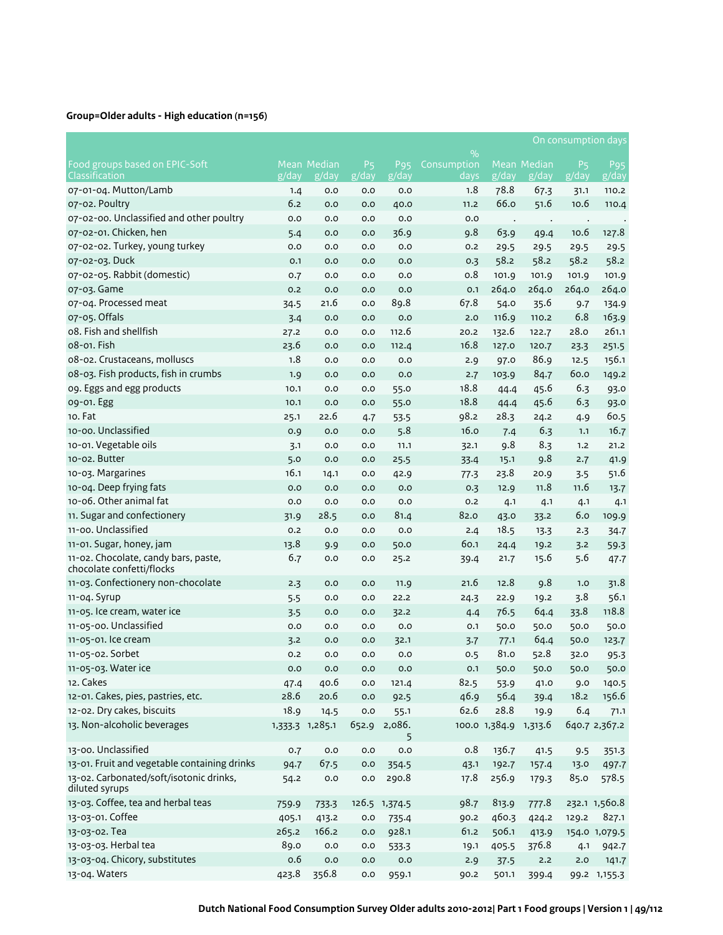# **Group=Older adults - High education (n=156)**

|                                                                   |       |                      |                         |                                                  |                     |                       |                      |                                      | On consumption days      |
|-------------------------------------------------------------------|-------|----------------------|-------------------------|--------------------------------------------------|---------------------|-----------------------|----------------------|--------------------------------------|--------------------------|
|                                                                   |       |                      |                         |                                                  | $\%$                |                       |                      |                                      |                          |
| Food groups based on EPIC-Soft<br>Classification                  | g/day | Mean Median<br>g/day | P <sub>5</sub><br>g/day | P <sub>95</sub><br>$\overline{g}/\overline{day}$ | Consumption<br>days | g/day                 | Mean Median<br>g/day | P <sub>5</sub><br>$\overline{g}/day$ | P <sub>95</sub><br>g/day |
| 07-01-04. Mutton/Lamb                                             | 1.4   | 0.0                  | 0.0                     | 0.0                                              | 1.8                 | 78.8                  | 67.3                 | 31.1                                 | 110.2                    |
| 07-02. Poultry                                                    | 6.2   | 0.0                  | 0.0                     | 40.0                                             | 11.2                | 66.0                  | 51.6                 | 10.6                                 | 110.4                    |
| 07-02-00. Unclassified and other poultry                          | 0.0   | 0.0                  | 0.0                     | 0.0                                              | 0.0                 | $\cdot$               | $\cdot$              | $\cdot$                              |                          |
| 07-02-01. Chicken, hen                                            | 5.4   | 0.0                  | 0.0                     | 36.9                                             | 9.8                 | 63.9                  | 49.4                 | 10.6                                 | 127.8                    |
| 07-02-02. Turkey, young turkey                                    | 0.0   | 0.0                  | 0.0                     | 0.0                                              | 0.2                 | 29.5                  | 29.5                 | 29.5                                 | 29.5                     |
| 07-02-03. Duck                                                    | O.1   | 0.0                  | 0.0                     | 0.0                                              | 0.3                 | 58.2                  | 58.2                 | 58.2                                 | 58.2                     |
| 07-02-05. Rabbit (domestic)                                       | 0.7   | 0.0                  | 0.0                     | 0.0                                              | 0.8                 | 101.9                 | 101.9                | 101.9                                | 101.9                    |
| 07-03. Game                                                       | 0.2   | 0.0                  | 0.0                     | 0.0                                              | 0.1                 | 264.0                 | 264.0                | 264.0                                | 264.0                    |
| 07-04. Processed meat                                             | 34.5  | 21.6                 | 0.0                     | 89.8                                             | 67.8                | 54.0                  | 35.6                 | 9.7                                  | 134.9                    |
| 07-05. Offals                                                     | 3.4   | 0.0                  | 0.0                     | 0.0                                              | 2.0                 | 116.9                 | 110.2                | 6.8                                  | 163.9                    |
| 08. Fish and shellfish                                            | 27.2  | 0.0                  | 0.0                     | 112.6                                            | 20.2                | 132.6                 | 122.7                | 28.0                                 | 261.1                    |
| 08-01. Fish                                                       | 23.6  | 0.0                  | 0.0                     | 112.4                                            | 16.8                | 127.0                 | 120.7                | 23.3                                 | 251.5                    |
| 08-02. Crustaceans, molluscs                                      | 1.8   | 0.0                  | 0.0                     | 0.0                                              | 2.9                 | 97.0                  | 86.9                 | 12.5                                 | 156.1                    |
| 08-03. Fish products, fish in crumbs                              | 1.9   | 0.0                  | 0.0                     | 0.0                                              | 2.7                 | 103.9                 | 84.7                 | 60.0                                 | 149.2                    |
| og. Eggs and egg products                                         | 10.1  | 0.0                  | 0.0                     | 55.0                                             | 18.8                | 44.4                  | 45.6                 | 6.3                                  | 93.0                     |
| 09-01. Egg                                                        | 10.1  | 0.0                  | 0.0                     | 55.0                                             | 18.8                | 44.4                  | 45.6                 | 6.3                                  | 93.0                     |
| 10. Fat                                                           | 25.1  | 22.6                 | 4.7                     | 53.5                                             | 98.2                | 28.3                  | 24.2                 | 4.9                                  | 60.5                     |
| 10-00. Unclassified                                               | 0.9   | 0.0                  | 0.0                     | 5.8                                              | 16.0                | 7.4                   | 6.3                  | 1.1                                  | 16.7                     |
| 10-01. Vegetable oils                                             | 3.1   | 0.0                  | 0.0                     | 11.1                                             | 32.1                | 9.8                   | 8.3                  | 1.2                                  | 21.2                     |
| 10-02. Butter                                                     | 5.0   | 0.0                  | 0.0                     | 25.5                                             | 33.4                | 15.1                  | 9.8                  | 2.7                                  | 41.9                     |
| 10-03. Margarines                                                 | 16.1  | 14.1                 | 0.0                     | 42.9                                             | 77.3                | 23.8                  | 20.9                 | 3.5                                  | 51.6                     |
| 10-04. Deep frying fats                                           | 0.0   | 0.0                  | 0.0                     | 0.0                                              | 0.3                 | 12.9                  | 11.8                 | 11.6                                 | 13.7                     |
| 10-06. Other animal fat                                           | 0.0   | 0.0                  | 0.0                     | 0.0                                              | 0.2                 | 4.1                   | 4.1                  | 4.1                                  | 4.1                      |
| 11. Sugar and confectionery                                       | 31.9  | 28.5                 | 0.0                     | 81.4                                             | 82.0                | 43.0                  | 33.2                 | 6.0                                  | 109.9                    |
| 11-00. Unclassified                                               | 0.2   | 0.0                  | 0.0                     | 0.0                                              | 2.4                 | 18.5                  | 13.3                 | 2.3                                  | 34.7                     |
| 11-01. Sugar, honey, jam                                          | 13.8  | 9.9                  | 0.0                     | 50.0                                             | 60.1                | 24.4                  | 19.2                 | 3.2                                  | 59.3                     |
| 11-02. Chocolate, candy bars, paste,<br>chocolate confetti/flocks | 6.7   | 0.0                  | 0.0                     | 25.2                                             | 39.4                | 21.7                  | 15.6                 | 5.6                                  | 47.7                     |
| 11-03. Confectionery non-chocolate                                | 2.3   | 0.0                  | 0.0                     | 11.9                                             | 21.6                | 12.8                  | 9.8                  | 1.0                                  | 31.8                     |
| 11-04. Syrup                                                      | 5.5   | 0.0                  | 0.0                     | 22.2                                             | 24.3                | 22.9                  | 19.2                 | 3.8                                  | 56.1                     |
| 11-05. Ice cream, water ice                                       | 3.5   | 0.0                  | 0.0                     | 32.2                                             | 4.4                 | 76.5                  | 64.4                 | 33.8                                 | 118.8                    |
| 11-05-00. Unclassified                                            | 0.0   | 0.0                  | 0.0                     | 0.0                                              | 0.1                 | 50.0                  | 50.0                 | 50.0                                 | 50.0                     |
| 11-05-01. Ice cream                                               | 3.2   | 0.0                  | 0.0                     | 32.1                                             | 3.7                 | 77.1                  | 64.4                 | 50.0                                 | 123.7                    |
| 11-05-02. Sorbet                                                  | 0.2   | 0.0                  | 0.0                     | 0.0                                              | 0.5                 | 81.0                  | 52.8                 | 32.0                                 | 95.3                     |
| 11-05-03. Water ice                                               | 0.0   | 0.0                  | 0.0                     | 0.0                                              | O.1                 | 50.0                  | 50.0                 | 50.0                                 | 50.0                     |
| 12. Cakes                                                         | 47.4  | 40.6                 | 0.0                     | 121.4                                            | 82.5                | 53.9                  | 41.0                 | 9.0                                  | 140.5                    |
| 12-01. Cakes, pies, pastries, etc.                                | 28.6  | 20.6                 | 0.0                     | 92.5                                             | 46.9                | 56.4                  | 39.4                 | 18.2                                 | 156.6                    |
| 12-02. Dry cakes, biscuits                                        | 18.9  | 14.5                 | 0.0                     | 55.1                                             | 62.6                | 28.8                  | 19.9                 | 6.4                                  | 71.1                     |
| 13. Non-alcoholic beverages                                       |       | 1,333.3 1,285.1      | 652.9                   | 2,086.<br>5                                      |                     | 100.0 1,384.9 1,313.6 |                      |                                      | 640.7 2,367.2            |
| 13-00. Unclassified                                               | 0.7   | 0.0                  | 0.0                     | 0.0                                              | 0.8                 | 136.7                 | 41.5                 | 9.5                                  | 351.3                    |
| 13-01. Fruit and vegetable containing drinks                      | 94.7  | 67.5                 | 0.0                     | 354.5                                            | 43.1                | 192.7                 | 157.4                | 13.0                                 | 497.7                    |
| 13-02. Carbonated/soft/isotonic drinks,<br>diluted syrups         | 54.2  | $_{\rm 0.0}$         | $_{\rm 0.0}$            | 290.8                                            | 17.8                | 256.9                 | 179.3                | 85.0                                 | 578.5                    |
| 13-03. Coffee, tea and herbal teas                                | 759.9 | 733.3                |                         | 126.5 1,374.5                                    | 98.7                | 813.9                 | 777.8                |                                      | 232.1 1,560.8            |
| 13-03-01. Coffee                                                  | 405.1 | 413.2                | 0.0                     | 735.4                                            | 90.2                | 460.3                 | 424.2                | 129.2                                | 827.1                    |
| 13-03-02. Tea                                                     | 265.2 | 166.2                | 0.0                     | 928.1                                            | 61.2                | 506.1                 | 413.9                |                                      | 154.0 1,079.5            |
| 13-03-03. Herbal tea                                              | 89.0  | 0.0                  | 0.0                     | 533.3                                            | 19.1                | 405.5                 | 376.8                | 4.1                                  | 942.7                    |
| 13-03-04. Chicory, substitutes                                    | 0.6   | 0.0                  | 0.0                     | 0.0                                              | 2.9                 | 37.5                  | 2.2                  | 2.0                                  | 141.7                    |
| 13-04. Waters                                                     | 423.8 | 356.8                | 0.0                     | 959.1                                            | 90.2                | 501.1                 | 399.4                |                                      | 99.2 1,155.3             |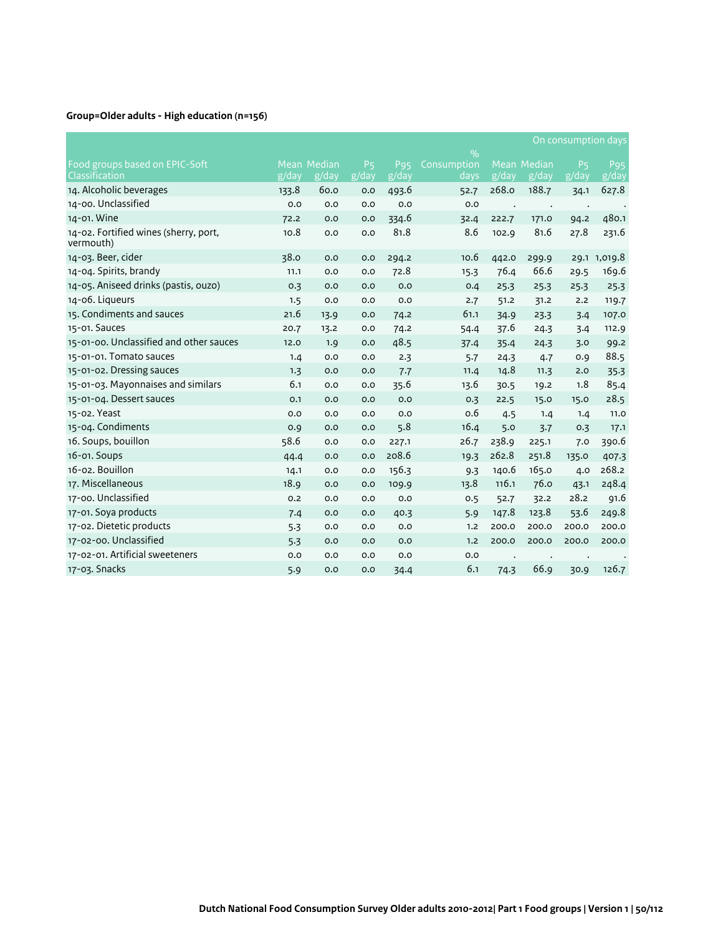# **Group=Older adults - High education (n=156)**

|                                                    |       |             |                         |       |                     |       |             |                         | On consumption days      |
|----------------------------------------------------|-------|-------------|-------------------------|-------|---------------------|-------|-------------|-------------------------|--------------------------|
| Food groups based on EPIC-Soft                     |       | Mean Median |                         | P95   | $\%$<br>Consumption |       | Mean Median |                         |                          |
| Classification                                     | g/day | g/day       | P <sub>5</sub><br>g/day | g/day | days                | g/day | g/day       | P <sub>5</sub><br>g/day | P <sub>95</sub><br>g/day |
| 14. Alcoholic beverages                            | 133.8 | 60.0        | 0.0                     | 493.6 | 52.7                | 268.0 | 188.7       | 34.1                    | 627.8                    |
| 14-00. Unclassified                                | 0.0   | O.O         | 0.0                     | O.O   | O.O                 |       |             |                         |                          |
| 14-01. Wine                                        | 72.2  | O.O         | 0.0                     | 334.6 | 32.4                | 222.7 | 171.0       | 94.2                    | 480.1                    |
| 14-02. Fortified wines (sherry, port,<br>vermouth) | 10.8  | 0.0         | 0.0                     | 81.8  | 8.6                 | 102.9 | 81.6        | 27.8                    | 231.6                    |
| 14-03. Beer, cider                                 | 38.0  | 0.0         | 0.0                     | 294.2 | 10.6                | 442.0 | 299.9       |                         | 29.1 1,019.8             |
| 14-04. Spirits, brandy                             | 11.1  | O.O         | 0.0                     | 72.8  | 15.3                | 76.4  | 66.6        | 29.5                    | 169.6                    |
| 14-05. Aniseed drinks (pastis, ouzo)               | 0.3   | 0.0         | 0.0                     | 0.0   | 0.4                 | 25.3  | 25.3        | 25.3                    | 25.3                     |
| 14-06. Liqueurs                                    | 1.5   | O.O         | 0.0                     | O.O   | 2.7                 | 51.2  | 31.2        | 2.2                     | 119.7                    |
| 15. Condiments and sauces                          | 21.6  | 13.9        | 0.0                     | 74.2  | 61.1                | 34.9  | 23.3        | 3.4                     | 107.0                    |
| 15-01. Sauces                                      | 20.7  | 13.2        | 0.0                     | 74.2  | 54.4                | 37.6  | 24.3        | 3.4                     | 112.9                    |
| 15-01-00. Unclassified and other sauces            | 12.0  | 1.9         | 0.0                     | 48.5  | 37.4                | 35.4  | 24.3        | 3.0                     | 99.2                     |
| 15-01-01. Tomato sauces                            | 1.4   | 0.0         | 0.0                     | 2.3   | 5.7                 | 24.3  | 4.7         | 0.9                     | 88.5                     |
| 15-01-02. Dressing sauces                          | 1.3   | 0.0         | 0.0                     | 7.7   | 11.4                | 14.8  | 11.3        | 2.0                     | 35.3                     |
| 15-01-03. Mayonnaises and similars                 | 6.1   | 0.0         | 0.0                     | 35.6  | 13.6                | 30.5  | 19.2        | 1.8                     | 85.4                     |
| 15-01-04. Dessert sauces                           | 0.1   | 0.0         | 0.0                     | O.O   | 0.3                 | 22.5  | 15.0        | 15.0                    | 28.5                     |
| 15-02. Yeast                                       | 0.0   | 0.0         | 0.0                     | 0.0   | 0.6                 | 4.5   | 1.4         | 1.4                     | 11.0                     |
| 15-04. Condiments                                  | 0.9   | 0.0         | 0.0                     | 5.8   | 16.4                | 5.0   | 3.7         | 0.3                     | 17.1                     |
| 16. Soups, bouillon                                | 58.6  | 0.0         | 0.0                     | 227.1 | 26.7                | 238.9 | 225.1       | 7.0                     | 390.6                    |
| 16-01. Soups                                       | 44.4  | 0.0         | 0.0                     | 208.6 | 19.3                | 262.8 | 251.8       | 135.0                   | 407.3                    |
| 16-02. Bouillon                                    | 14.1  | 0.0         | 0.0                     | 156.3 | 9.3                 | 140.6 | 165.0       | 4.0                     | 268.2                    |
| 17. Miscellaneous                                  | 18.9  | 0.0         | 0.0                     | 109.9 | 13.8                | 116.1 | 76.0        | 43.1                    | 248.4                    |
| 17-00. Unclassified                                | 0.2   | 0.0         | 0.0                     | O.O   | 0.5                 | 52.7  | 32.2        | 28.2                    | 91.6                     |
| 17-01. Soya products                               | 7.4   | 0.0         | 0.0                     | 40.3  | 5.9                 | 147.8 | 123.8       | 53.6                    | 249.8                    |
| 17-02. Dietetic products                           | 5.3   | 0.0         | 0.0                     | O.O   | 1.2                 | 200.0 | 200.0       | 200.0                   | 200.0                    |
| 17-02-00. Unclassified                             | 5.3   | O.O         | 0.0                     | O.O   | 1.2                 | 200.0 | 200.0       | 200.0                   | 200.0                    |
| 17-02-01. Artificial sweeteners                    | 0.0   | 0.0         | 0.0                     | O.O   | 0.0                 |       |             |                         |                          |
| 17-03. Snacks                                      | 5.9   | 0.0         | 0.0                     | 34.4  | 6.1                 | 74.3  | 66.9        | 30.9                    | 126.7                    |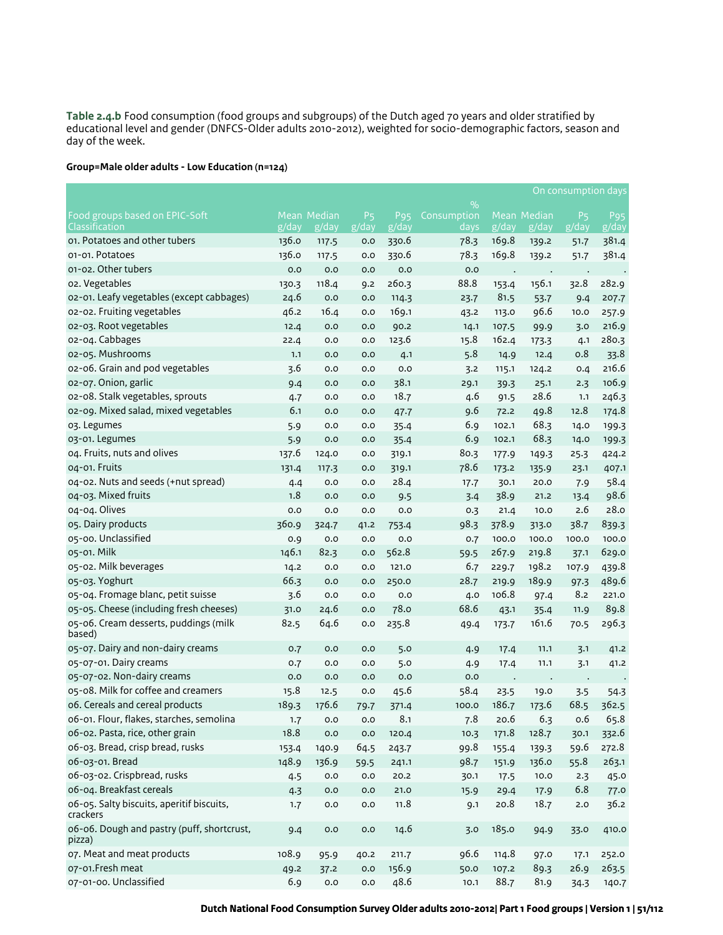**Table 2.4.b** Food consumption (food groups and subgroups) of the Dutch aged 70 years and older stratified by educational level and gender (DNFCS-Older adults 2010-2012), weighted for socio-demographic factors, season and day of the week.

## **Group=Male older adults - Low Education (n=124)**

|                                                       |       |              |                |                 |             |       |             | On consumption days |                        |
|-------------------------------------------------------|-------|--------------|----------------|-----------------|-------------|-------|-------------|---------------------|------------------------|
|                                                       |       |              |                |                 | $\%$        |       |             |                     |                        |
| Food groups based on EPIC-Soft                        |       | Mean Median  | P <sub>5</sub> | P <sub>95</sub> | Consumption |       | Mean Median | P <sub>5</sub>      | <b>P</b> <sub>95</sub> |
| Classification                                        | g/day | g/day        | g/day          | g/day           | days        | g/day | g/day       | g/day               | g/day                  |
| 01. Potatoes and other tubers                         | 136.0 | 117.5        | 0.0            | 330.6           | 78.3        | 169.8 | 139.2       | 51.7                | 381.4                  |
| 01-01. Potatoes                                       | 136.0 | 117.5        | 0.0            | 330.6           | 78.3        | 169.8 | 139.2       | 51.7                | 381.4                  |
| 01-02. Other tubers                                   | 0.0   | 0.0          | 0.0            | 0.0             | 0.0         |       |             |                     |                        |
| o2. Vegetables                                        | 130.3 | 118.4        | 9.2            | 260.3           | 88.8        | 153.4 | 156.1       | 32.8                | 282.9                  |
| 02-01. Leafy vegetables (except cabbages)             | 24.6  | 0.0          | 0.0            | 114.3           | 23.7        | 81.5  | 53.7        | 9.4                 | 207.7                  |
| 02-02. Fruiting vegetables                            | 46.2  | 16.4         | 0.0            | 169.1           | 43.2        | 113.0 | 96.6        | 10.0                | 257.9                  |
| 02-03. Root vegetables                                | 12.4  | 0.0          | 0.0            | 90.2            | 14.1        | 107.5 | 99.9        | 3.0                 | 216.9                  |
| 02-04. Cabbages                                       | 22.4  | 0.0          | 0.0            | 123.6           | 15.8        | 162.4 | 173.3       | 4.1                 | 280.3                  |
| 02-05. Mushrooms                                      | 1.1   | 0.0          | 0.0            | 4.1             | 5.8         | 14.9  | 12.4        | 0.8                 | 33.8                   |
| o2-o6. Grain and pod vegetables                       | 3.6   | 0.0          | 0.0            | 0.0             | 3.2         | 115.1 | 124.2       | 0.4                 | 216.6                  |
| 02-07. Onion, garlic                                  | 9.4   | 0.0          | 0.0            | 38.1            | 29.1        | 39.3  | 25.1        | 2.3                 | 106.9                  |
| 02-08. Stalk vegetables, sprouts                      | 4.7   | 0.0          | 0.0            | 18.7            | 4.6         | 91.5  | 28.6        | 1.1                 | 246.3                  |
| 02-09. Mixed salad, mixed vegetables                  | 6.1   | 0.0          | 0.0            | 47.7            | 9.6         | 72.2  | 49.8        | 12.8                | 174.8                  |
| 03. Legumes                                           | 5.9   | 0.0          | 0.0            | 35.4            | 6.9         | 102.1 | 68.3        | 14.0                | 199.3                  |
| 03-01. Legumes                                        | 5.9   | 0.0          | 0.0            | 35.4            | 6.9         | 102.1 | 68.3        | 14.0                | 199.3                  |
| 04. Fruits, nuts and olives                           | 137.6 | 124.0        | 0.0            | 319.1           | 80.3        | 177.9 | 149.3       | 25.3                | 424.2                  |
| 04-01. Fruits                                         | 131.4 | 117.3        | 0.0            | 319.1           | 78.6        | 173.2 | 135.9       | 23.1                | 407.1                  |
| 04-02. Nuts and seeds (+nut spread)                   | 4.4   | 0.0          | 0.0            | 28.4            | 17.7        | 30.1  | 20.0        | 7.9                 | 58.4                   |
| 04-03. Mixed fruits                                   | 1.8   | 0.0          | 0.0            | 9.5             | 3.4         | 38.9  | 21.2        | 13.4                | 98.6                   |
| 04-04. Olives                                         | 0.0   | 0.0          | 0.0            | 0.0             | 0.3         | 21.4  | 10.0        | 2.6                 | 28.0                   |
| 05. Dairy products                                    | 360.9 | 324.7        | 41.2           | 753.4           | 98.3        | 378.9 | 313.0       | 38.7                | 839.3                  |
| 05-00. Unclassified                                   | 0.9   | 0.0          | 0.0            | 0.0             | 0.7         | 100.0 | 100.0       | 100.0               | 100.0                  |
| 05-01. Milk                                           | 146.1 | 82.3         | 0.0            | 562.8           | 59.5        | 267.9 | 219.8       | 37.1                | 629.0                  |
| 05-02. Milk beverages                                 | 14.2  | 0.0          | 0.0            | 121.0           | 6.7         | 229.7 | 198.2       | 107.9               | 439.8                  |
| 05-03. Yoghurt                                        | 66.3  | 0.0          | 0.0            | 250.0           | 28.7        | 219.9 | 189.9       | 97.3                | 489.6                  |
| 05-04. Fromage blanc, petit suisse                    | 3.6   | 0.0          | 0.0            | 0.0             | 4.0         | 106.8 | 97.4        | 8.2                 | 221.0                  |
| 05-05. Cheese (including fresh cheeses)               | 31.0  | 24.6         | 0.0            | 78.0            | 68.6        | 43.1  | 35.4        | 11.9                | 89.8                   |
| 05-06. Cream desserts, puddings (milk                 | 82.5  | 64.6         | 0.0            | 235.8           | 49.4        | 173.7 | 161.6       | 70.5                | 296.3                  |
| based)                                                |       |              |                |                 |             |       |             |                     |                        |
| 05-07. Dairy and non-dairy creams                     | 0.7   | 0.0          | 0.0            | 5.0             | 4.9         | 17.4  | 11.1        | 3.1                 | 41.2                   |
| 05-07-01. Dairy creams                                | 0.7   | 0.0          | 0.0            | 5.0             | 4.9         | 17.4  | 11.1        | 3.1                 | 41.2                   |
| 05-07-02. Non-dairy creams                            | 0.0   | 0.0          | 0.0            | 0.0             | 0.0         |       |             |                     |                        |
| 05-08. Milk for coffee and creamers                   | 15.8  | 12.5         | 0.0            | 45.6            | 58.4        | 23.5  | 19.0        | 3.5                 | 54.3                   |
| 06. Cereals and cereal products                       | 189.3 | 176.6        | 79.7           | 371.4           | 100.0       | 186.7 | 173.6       | 68.5                | 362.5                  |
| 06-01. Flour, flakes, starches, semolina              | 1.7   | 0.0          | $_{\rm 0.0}$   | 8.1             | 7.8         | 20.6  | 6.3         | 0.6                 | 65.8                   |
| 06-02. Pasta, rice, other grain                       | 18.8  | 0.0          | $_{0.0}$       | 120.4           | 10.3        | 171.8 | 128.7       | 30.1                | 332.6                  |
| 06-03. Bread, crisp bread, rusks                      | 153.4 | 140.9        | 64.5           | 243.7           | 99.8        | 155.4 | 139.3       | 59.6                | 272.8                  |
| 06-03-01. Bread                                       | 148.9 | 136.9        | 59.5           | 241.1           | 98.7        | 151.9 | 136.0       | 55.8                | 263.1                  |
| 06-03-02. Crispbread, rusks                           | 4.5   | 0.0          | $_{\rm 0.0}$   | 20.2            | 30.1        | 17.5  | 10.0        | 2.3                 | 45.0                   |
| 06-04. Breakfast cereals                              | 4.3   | 0.0          | 0.0            | 21.0            | 15.9        | 29.4  | 17.9        | 6.8                 | 77.0                   |
| 06-05. Salty biscuits, aperitif biscuits,<br>crackers | 1.7   | 0.0          | 0.0            | 11.8            | 9.1         | 20.8  | 18.7        | 2.0                 | 36.2                   |
| 06-06. Dough and pastry (puff, shortcrust,<br>pizza)  | 9.4   | $_{\rm 0.0}$ | $_{0.0}$       | 14.6            | 3.0         | 185.0 | 94.9        | 33.0                | 410.0                  |
| 07. Meat and meat products                            | 108.9 | 95.9         | 40.2           | 211.7           | 96.6        | 114.8 | 97.0        | 17.1                | 252.0                  |
| 07-01.Fresh meat                                      | 49.2  | 37.2         | $_{0.0}$       | 156.9           | 50.0        | 107.2 | 89.3        | 26.9                | 263.5                  |
| 07-01-00. Unclassified                                | 6.9   | $_{0.0}$     | $_{\rm 0.0}$   | 48.6            | 10.1        | 88.7  | 81.9        | 34.3                | 140.7                  |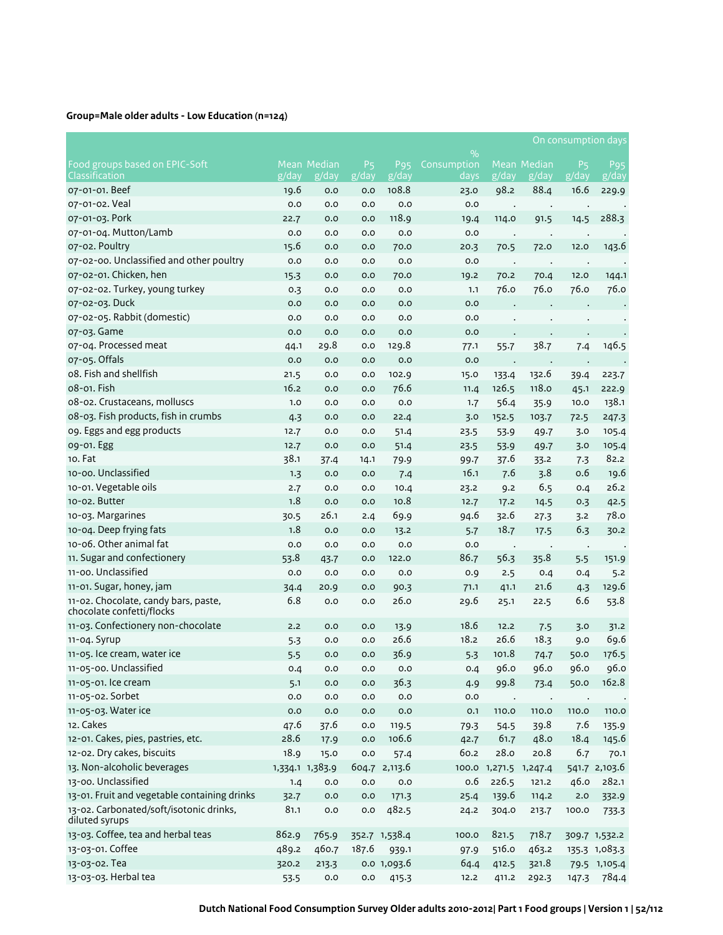# **Group=Male older adults - Low Education (n=124)**

|                                                                   |       |                      |                         |                          |                     |                  |                      | On consumption days                  |                                                  |
|-------------------------------------------------------------------|-------|----------------------|-------------------------|--------------------------|---------------------|------------------|----------------------|--------------------------------------|--------------------------------------------------|
|                                                                   |       |                      |                         |                          | $\%$                |                  |                      |                                      |                                                  |
| Food groups based on EPIC-Soft<br>Classification                  | g/day | Mean Median<br>g/day | P <sub>5</sub><br>g/day | P <sub>95</sub><br>g/day | Consumption<br>days | g/day            | Mean Median<br>g/day | P <sub>5</sub><br>$\overline{g}/day$ | P <sub>95</sub><br>$\overline{g}/\overline{day}$ |
| 07-01-01. Beef                                                    | 19.6  | 0.0                  | 0.0                     | 108.8                    | 23.0                | 98.2             | 88.4                 | 16.6                                 | 229.9                                            |
| 07-01-02. Veal                                                    | 0.0   | 0.0                  | 0.0                     | 0.0                      | 0.0                 |                  |                      |                                      |                                                  |
| 07-01-03. Pork                                                    | 22.7  | 0.0                  | 0.0                     | 118.9                    | 19.4                | $\cdot$<br>114.0 | $\cdot$<br>91.5      | $\bullet$<br>14.5                    | 288.3                                            |
| 07-01-04. Mutton/Lamb                                             | 0.0   | 0.0                  | 0.0                     | 0.0                      | 0.0                 |                  |                      |                                      |                                                  |
| 07-02. Poultry                                                    | 15.6  | 0.0                  | 0.0                     | 70.0                     | 20.3                | $\cdot$<br>70.5  | $\cdot$<br>72.0      | $\bullet$<br>12.0                    | 143.6                                            |
| 07-02-00. Unclassified and other poultry                          | 0.0   | 0.0                  | 0.0                     | 0.0                      | 0.0                 | $\cdot$          |                      |                                      |                                                  |
| 07-02-01. Chicken, hen                                            | 15.3  | 0.0                  | 0.0                     | 70.0                     | 19.2                | 70.2             | $\cdot$<br>70.4      | $\cdot$<br>12.0                      | 144.1                                            |
| 07-02-02. Turkey, young turkey                                    | 0.3   | 0.0                  | 0.0                     | 0.0                      | 1.1                 | 76.0             | 76.0                 | 76.0                                 | 76.0                                             |
| 07-02-03. Duck                                                    | 0.0   | 0.0                  | 0.0                     | 0.0                      | 0.0                 |                  |                      |                                      |                                                  |
| 07-02-05. Rabbit (domestic)                                       | 0.0   | 0.0                  | 0.0                     | 0.0                      | 0.0                 |                  |                      |                                      |                                                  |
| 07-03. Game                                                       | 0.0   | 0.0                  | 0.0                     | 0.0                      | 0.0                 |                  |                      |                                      |                                                  |
| 07-04. Processed meat                                             | 44.1  | 29.8                 | 0.0                     | 129.8                    | 77.1                | 55.7             | 38.7                 | 7.4                                  | 146.5                                            |
| 07-05. Offals                                                     | 0.0   | 0.0                  | 0.0                     | 0.0                      | 0.0                 |                  |                      |                                      |                                                  |
| o8. Fish and shellfish                                            | 21.5  | 0.0                  | 0.0                     | 102.9                    | 15.0                | 133.4            | 132.6                | 39.4                                 | 223.7                                            |
| 08-01. Fish                                                       | 16.2  | 0.0                  | 0.0                     | 76.6                     | 11.4                | 126.5            | 118.0                | 45.1                                 | 222.9                                            |
| 08-02. Crustaceans, molluscs                                      | 1.0   | 0.0                  | 0.0                     | 0.0                      | 1.7                 | 56.4             | 35.9                 | 10.0                                 | 138.1                                            |
| 08-03. Fish products, fish in crumbs                              | 4.3   | 0.0                  | 0.0                     | 22.4                     | 3.0                 | 152.5            | 103.7                | 72.5                                 | 247.3                                            |
| og. Eggs and egg products                                         | 12.7  | 0.0                  | 0.0                     | 51.4                     | 23.5                | 53.9             | 49.7                 | 3.0                                  | 105.4                                            |
| 09-01. Egg                                                        | 12.7  | 0.0                  | 0.0                     | 51.4                     | 23.5                | 53.9             | 49.7                 | 3.0                                  | 105.4                                            |
| 10. Fat                                                           | 38.1  | 37.4                 | 14.1                    | 79.9                     | 99.7                | 37.6             | 33.2                 | 7.3                                  | 82.2                                             |
| 10-00. Unclassified                                               | 1.3   | 0.0                  | 0.0                     | 7.4                      | 16.1                | 7.6              | 3.8                  | 0.6                                  | 19.6                                             |
| 10-01. Vegetable oils                                             | 2.7   | 0.0                  | 0.0                     | 10.4                     | 23.2                | 9.2              | 6.5                  | 0.4                                  | 26.2                                             |
| 10-02. Butter                                                     | 1.8   | 0.0                  | 0.0                     | 10.8                     | 12.7                | 17.2             | 14.5                 | 0.3                                  | 42.5                                             |
| 10-03. Margarines                                                 | 30.5  | 26.1                 | 2.4                     | 69.9                     | 94.6                | 32.6             | 27.3                 | 3.2                                  | 78.0                                             |
| 10-04. Deep frying fats                                           | 1.8   | 0.0                  | 0.0                     | 13.2                     | $5-7$               | 18.7             | 17.5                 | 6.3                                  | 30.2                                             |
| 10-06. Other animal fat                                           | 0.0   | 0.0                  | 0.0                     | 0.0                      | 0.0                 | $\blacksquare$   | $\cdot$              | $\blacksquare$                       |                                                  |
| 11. Sugar and confectionery                                       | 53.8  | 43.7                 | 0.0                     | 122.0                    | 86.7                | 56.3             | 35.8                 | 5.5                                  | 151.9                                            |
| 11-00. Unclassified                                               | 0.0   | 0.0                  | 0.0                     | 0.0                      | 0.9                 | 2.5              | 0.4                  | 0.4                                  | 5.2                                              |
| 11-01. Sugar, honey, jam                                          | 34.4  | 20.9                 | 0.0                     | 90.3                     | 71.1                | 41.1             | 21.6                 | 4.3                                  | 129.6                                            |
| 11-02. Chocolate, candy bars, paste,<br>chocolate confetti/flocks | 6.8   | 0.0                  | 0.0                     | 26.0                     | 29.6                | 25.1             | 22.5                 | 6.6                                  | 53.8                                             |
| 11-03. Confectionery non-chocolate                                | 2.2   | 0.0                  | 0.0                     | 13.9                     | 18.6                | 12.2             | 7.5                  | 3.0                                  | 31.2                                             |
| 11-04. Syrup                                                      | 5.3   | 0.0                  | 0.0                     | 26.6                     | 18.2                | 26.6             | 18.3                 | 9.0                                  | 69.6                                             |
| 11-05. Ice cream, water ice                                       | 5.5   | 0.0                  | 0.0                     | 36.9                     | 5.3                 | 101.8            | 74.7                 | 50.0                                 | 176.5                                            |
| 11-05-00. Unclassified                                            | 0.4   | 0.0                  | $_{\rm 0.0}$            | 0.0                      | 0.4                 | 96.0             | 96.0                 | 96.0                                 | 96.0                                             |
| 11-05-01. Ice cream                                               | 5.1   | 0.0                  | 0.0                     | 36.3                     | 4.9                 | 99.8             | 73.4                 | 50.0                                 | 162.8                                            |
| 11-05-02. Sorbet                                                  | 0.0   | 0.0                  | 0.0                     | 0.0                      | 0.0                 | $\cdot$          | $\cdot$              | $\bullet$                            |                                                  |
| 11-05-03. Water ice                                               | 0.0   | 0.0                  | 0.0                     | 0.0                      | 0.1                 | 110.0            | 110.0                | 110.0                                | 110.0                                            |
| 12. Cakes                                                         | 47.6  | 37.6                 | 0.0                     | 119.5                    | 79.3                | 54.5             | 39.8                 | 7.6                                  | 135.9                                            |
| 12-01. Cakes, pies, pastries, etc.                                | 28.6  | 17.9                 | 0.0                     | 106.6                    | 42.7                | 61.7             | 48.0                 | 18.4                                 | 145.6                                            |
| 12-02. Dry cakes, biscuits                                        | 18.9  | 15.0                 | 0.0                     | 57.4                     | 60.2                | 28.0             | 20.8                 | 6.7                                  | 70.1                                             |
| 13. Non-alcoholic beverages                                       |       | 1,334.1 1,383.9      |                         | 604.7 2,113.6            | 100.0               | 1,271.5 1,247.4  |                      |                                      | 541.7 2,103.6                                    |
| 13-00. Unclassified                                               | 1.4   | $_{\rm 0.0}$         | $_{\rm 0.0}$            | 0.0                      | 0.6                 | 226.5            | 121.2                | 46.0                                 | 282.1                                            |
| 13-01. Fruit and vegetable containing drinks                      | 32.7  | 0.0                  | 0.0                     | 171.3                    | 25.4                | 139.6            | 114.2                | $2.0$                                | 332.9                                            |
| 13-02. Carbonated/soft/isotonic drinks,<br>diluted syrups         | 81.1  | 0.0                  | 0.0                     | 482.5                    | 24.2                | 304.0            | 213.7                | 100.0                                | 733.3                                            |
| 13-03. Coffee, tea and herbal teas                                | 862.9 | 765.9                |                         | 352.7 1,538.4            | 100.0               | 821.5            | 718.7                |                                      | 309.7 1,532.2                                    |
| 13-03-01. Coffee                                                  | 489.2 | 460.7                | 187.6                   | 939.1                    | 97.9                | 516.0            | 463.2                |                                      | 135.3 1,083.3                                    |
| 13-03-02. Tea                                                     | 320.2 | 213.3                |                         | 0.0 1,093.6              | 64.4                | 412.5            | 321.8                |                                      | 79.5 1,105.4                                     |
| 13-03-03. Herbal tea                                              | 53.5  | 0.0                  | $_{\rm 0.0}$            | 415.3                    | 12.2                | 411.2            | 292.3                | 147.3                                | 784.4                                            |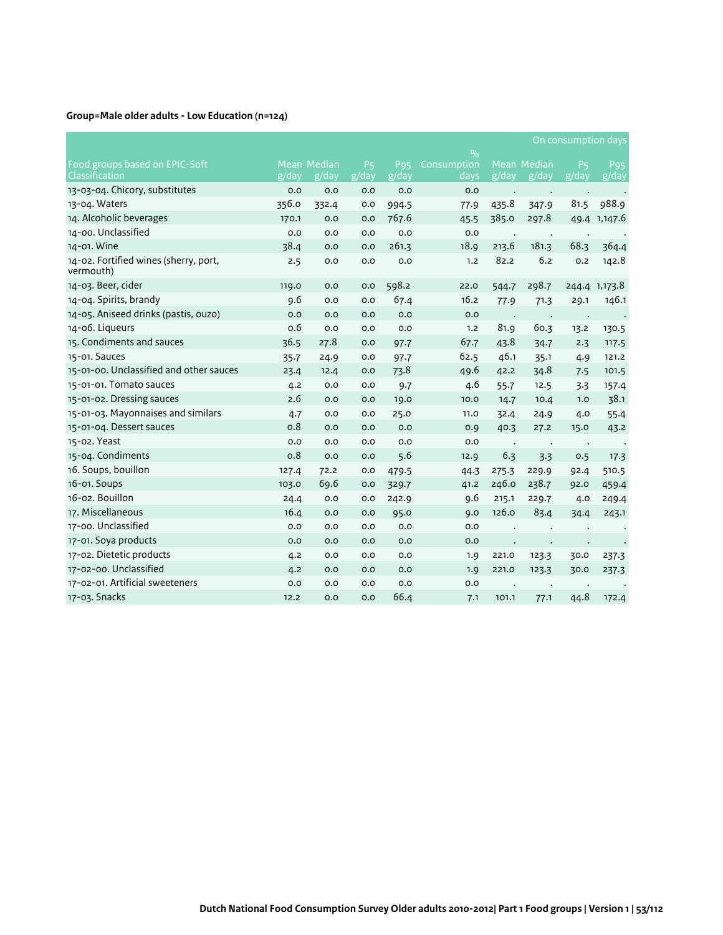# **Group=Male older adults - Low Education (n=124)**

|                                                    |       |             |                         |                        |                              |         |                    | On consumption days     |                                                  |
|----------------------------------------------------|-------|-------------|-------------------------|------------------------|------------------------------|---------|--------------------|-------------------------|--------------------------------------------------|
| Food groups based on EPIC-Soft                     |       | Mean Median |                         | <b>P</b> <sub>95</sub> | $\frac{9}{0}$<br>Consumption |         | <b>Mean Median</b> |                         |                                                  |
| Classification                                     | g/day | g/day       | P <sub>5</sub><br>g/day | g/day                  | days                         | g/day   | g/day              | P <sub>5</sub><br>g/day | P <sub>95</sub><br>$\overline{g}/\overline{day}$ |
| 13-03-04. Chicory, substitutes                     | 0.0   | 0.0         | 0.0                     | 0.0                    | 0.0                          |         |                    |                         |                                                  |
| 13-04. Waters                                      | 356.0 | 332.4       | 0.0                     | 994.5                  | 77.9                         | 435.8   | 347.9              | 81.5                    | 988.9                                            |
| 14. Alcoholic beverages                            | 170.1 | 0.0         | 0.0                     | 767.6                  | 45.5                         | 385.0   | 297.8              |                         | 49.4 1, 147.6                                    |
| 14-00. Unclassified                                | 0.0   | 0.0         | 0.0                     | O.O                    | O.O                          |         |                    |                         |                                                  |
| 14-01. Wine                                        | 38.4  | 0.0         | 0.0                     | 261.3                  | 18.9                         | 213.6   | 181.3              | 68.3                    | 364.4                                            |
| 14-02. Fortified wines (sherry, port,<br>vermouth) | 2.5   | 0.0         | 0.0                     | 0.0                    | 1.2                          | 82.2    | 6.2                | 0.2                     | 142.8                                            |
| 14-03. Beer, cider                                 | 119.0 | 0.0         | 0.0                     | 598.2                  | 22.0                         | 544.7   | 298.7              |                         | 244.4 1,173.8                                    |
| 14-04. Spirits, brandy                             | 9.6   | 0.0         | 0.0                     | 67.4                   | 16.2                         | 77.9    | 71.3               | 29.1                    | 146.1                                            |
| 14-05. Aniseed drinks (pastis, ouzo)               | 0.0   | O.O         | 0.0                     | 0.0                    | 0.0                          |         |                    |                         |                                                  |
| 14-06. Liqueurs                                    | 0.6   | 0.0         | 0.0                     | 0.0                    | 1.2                          | 81.9    | 60.3               | 13.2                    | 130.5                                            |
| 15. Condiments and sauces                          | 36.5  | 27.8        | 0.0                     | 97.7                   | 67.7                         | 43.8    | 34.7               | 2.3                     | 117.5                                            |
| 15-01. Sauces                                      | 35.7  | 24.9        | 0.0                     | 97.7                   | 62.5                         | 46.1    | 35.1               | 4.9                     | 121.2                                            |
| 15-01-00. Unclassified and other sauces            | 23.4  | 12.4        | 0.0                     | 73.8                   | 49.6                         | 42.2    | 34.8               | 7.5                     | 101.5                                            |
| 15-01-01. Tomato sauces                            | 4.2   | 0.0         | 0.0                     | 9.7                    | 4.6                          | 55.7    | 12.5               | 3.3                     | 157.4                                            |
| 15-01-02. Dressing sauces                          | 2.6   | 0.0         | 0.0                     | 19.0                   | 10.0                         | 14.7    | 10.4               | 1.0                     | 38.1                                             |
| 15-01-03. Mayonnaises and similars                 | 4.7   | 0.0         | 0.0                     | 25.0                   | 11.0                         | 32.4    | 24.9               | 4.0                     | 55.4                                             |
| 15-01-04. Dessert sauces                           | 0.8   | 0.0         | 0.0                     | 0.0                    | 0.9                          | 40.3    | 27.2               | 15.0                    | 43.2                                             |
| 15-02. Yeast                                       | 0.0   | 0.0         | 0.0                     | O.O                    | 0.0                          | $\cdot$ | $\cdot$            | $\bullet$               |                                                  |
| 15-04. Condiments                                  | 0.8   | 0.0         | 0.0                     | 5.6                    | 12.9                         | 6.3     | 3.3                | 0.5                     | 17.3                                             |
| 16. Soups, bouillon                                | 127.4 | 72.2        | 0.0                     | 479.5                  | 44.3                         | 275.3   | 229.9              | 92.4                    | 510.5                                            |
| 16-01. Soups                                       | 103.0 | 69.6        | 0.0                     | 329.7                  | 41.2                         | 246.0   | 238.7              | 92.0                    | 459.4                                            |
| 16-02. Bouillon                                    | 24.4  | 0.0         | 0.0                     | 242.9                  | 9.6                          | 215.1   | 229.7              | 4.0                     | 249.4                                            |
| 17. Miscellaneous                                  | 16.4  | 0.0         | 0.0                     | 95.0                   | 9.0                          | 126.0   | 83.4               | 34.4                    | 243.1                                            |
| 17-00. Unclassified                                | 0.0   | 0.0         | 0.0                     | 0.0                    | 0.0                          |         |                    |                         |                                                  |
| 17-01. Soya products                               | 0.0   | 0.0         | 0.0                     | 0.0                    | 0.0                          |         |                    |                         |                                                  |
| 17-02. Dietetic products                           | 4.2   | 0.0         | 0.0                     | 0.0                    | 1.9                          | 221.0   | 123.3              | 30.0                    | 237.3                                            |
| 17-02-00. Unclassified                             | 4.2   | 0.0         | 0.0                     | 0.0                    | 1.9                          | 221.0   | 123.3              | 30.0                    | 237.3                                            |
| 17-02-01. Artificial sweeteners                    | 0.0   | 0.0         | 0.0                     | 0.0                    | 0.0                          |         |                    | $\bullet$               |                                                  |
| 17-03. Snacks                                      | 12.2  | 0.0         | 0.0                     | 66.4                   | 7.1                          | 101.1   | 77.1               | 44.8                    | 172.4                                            |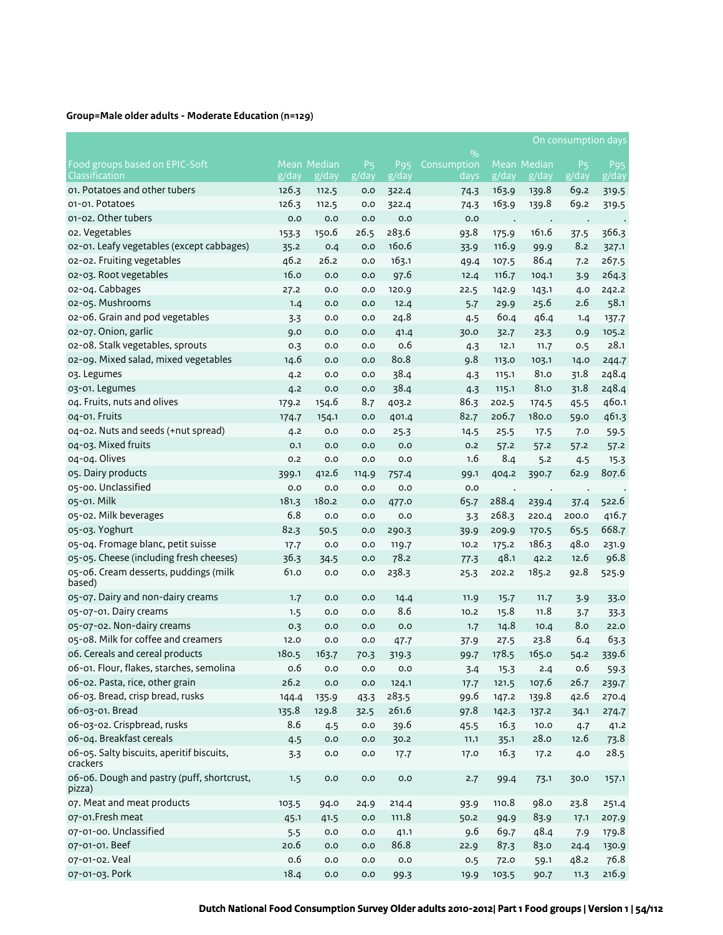# **Group=Male older adults - Moderate Education (n=129)**

|                                                       |               |                             |                               |                          |                     |                |                      | On consumption days                  |                          |
|-------------------------------------------------------|---------------|-----------------------------|-------------------------------|--------------------------|---------------------|----------------|----------------------|--------------------------------------|--------------------------|
|                                                       |               |                             |                               |                          | $\%$                |                |                      |                                      |                          |
| Food groups based on EPIC-Soft<br>Classification      | g/day         | <b>Mean Median</b><br>g/day | <b>P<sub>5</sub></b><br>g/day | P <sub>95</sub><br>g/day | Consumption<br>days | g/day          | Mean Median<br>g/day | P <sub>5</sub><br>$\overline{g}/day$ | P <sub>95</sub><br>g/day |
| 01. Potatoes and other tubers                         | 126.3         |                             |                               |                          |                     | 163.9          | 139.8                |                                      |                          |
| 01-01. Potatoes                                       | 126.3         | 112.5                       | 0.0                           | 322.4                    | 74.3                | 163.9          | 139.8                | 69.2<br>69.2                         | 319.5                    |
| 01-02. Other tubers                                   |               | 112.5<br>0.0                | 0.0<br>0.0                    | 322.4<br>0.0             | 74.3<br>0.0         |                |                      |                                      | 319.5                    |
| o2. Vegetables                                        | 0.0           | 150.6                       | 26.5                          | 283.6                    | 93.8                |                | 161.6                |                                      | 366.3                    |
| 02-01. Leafy vegetables (except cabbages)             | 153.3<br>35.2 |                             |                               | 160.6                    |                     | 175.9<br>116.9 |                      | 37.5<br>8.2                          |                          |
| 02-02. Fruiting vegetables                            | 46.2          | 0.4<br>26.2                 | 0.0                           | 163.1                    | 33.9                |                | 99.9<br>86.4         |                                      | 327.1<br>267.5           |
| 02-03. Root vegetables                                | 16.0          | 0.0                         | 0.0                           |                          | 49.4                | 107.5<br>116.7 |                      | 7.2                                  | 264.3                    |
| 02-04. Cabbages                                       | 27.2          | 0.0                         | 0.0<br>0.0                    | 97.6<br>120.9            | 12.4                |                | 104.1                | 3.9                                  |                          |
| 02-05. Mushrooms                                      |               | 0.0                         |                               | 12.4                     | 22.5                | 142.9          | 143.1                | 4.0<br>2.6                           | 242.2<br>58.1            |
| o2-o6. Grain and pod vegetables                       | 1.4           | 0.0                         | 0.0<br>0.0                    | 24.8                     | 5.7                 | 29.9<br>60.4   | 25.6<br>46.4         |                                      |                          |
| 02-07. Onion, garlic                                  | 3.3           | 0.0                         |                               |                          | 4.5<br>30.0         |                |                      | 1.4                                  | 137.7                    |
| 02-08. Stalk vegetables, sprouts                      | 9.0<br>0.3    | 0.0                         | 0.0<br>0.0                    | 41.4<br>0.6              |                     | 32.7<br>12.1   | 23.3                 | 0.9                                  | 105.2<br>28.1            |
| 02-09. Mixed salad, mixed vegetables                  | 14.6          | 0.0                         | 0.0                           | 80.8                     | 4.3<br>9.8          |                | 11.7                 | 0.5                                  |                          |
| 03. Legumes                                           |               |                             |                               | 38.4                     |                     | 113.0          | 103.1<br>81.0        | 14.0<br>31.8                         | 244.7<br>248.4           |
|                                                       | 4.2           | 0.0                         | 0.0                           | 38.4                     | 4.3                 | 115.1          | 81.0                 |                                      |                          |
| 03-01. Legumes<br>04. Fruits, nuts and olives         | 4.2           | 0.0                         | 0.0<br>8.7                    |                          | 4.3<br>86.3         | 115.1          |                      | 31.8                                 | 248.4                    |
| 04-01. Fruits                                         | 179.2         | 154.6                       |                               | 403.2                    | 82.7                | 202.5<br>206.7 | 174.5<br>180.0       | 45.5                                 | 460.1<br>461.3           |
| 04-02. Nuts and seeds (+nut spread)                   | 174.7         | 154.1                       | 0.0                           | 401.4                    |                     |                |                      | 59.0                                 |                          |
| 04-03. Mixed fruits                                   | 4.2           | 0.0                         | 0.0                           | 25.3                     | 14.5                | 25.5           | 17.5                 | 7.0                                  | 59.5                     |
| 04-04. Olives                                         | 0.1<br>0.2    | 0.0<br>0.0                  | 0.0                           | 0.0                      | 0.2<br>1.6          | 57.2<br>8.4    | 57.2                 | 57.2                                 | 57.2                     |
| 05. Dairy products                                    |               |                             | 0.0                           | 0.0                      |                     |                | 5.2                  | 4.5                                  | 15.3                     |
| 05-00. Unclassified                                   | 399.1<br>0.0  | 412.6                       | 114.9                         | 757.4                    | 99.1                | 404.2          | 390.7                | 62.9                                 | 807.6                    |
| 05-01. Milk                                           | 181.3         | 0.0<br>180.2                | 0.0                           | 0.0                      | 0.0                 | 288.4          | $\cdot$              | $\cdot$                              |                          |
| 05-02. Milk beverages                                 | 6.8           | 0.0                         | 0.0                           | 477.0<br>0.0             | 65.7                | 268.3          | 239.4                | 37.4                                 | 522.6                    |
| 05-03. Yoghurt                                        | 82.3          |                             | 0.0                           |                          | 3.3                 |                | 220.4                | 200.0                                | 416.7<br>668.7           |
| 05-04. Fromage blanc, petit suisse                    |               | 50.5                        | 0.0                           | 290.3                    | 39.9                | 209.9          | 170.5<br>186.3       | 65.5                                 |                          |
| 05-05. Cheese (including fresh cheeses)               | 17.7<br>36.3  | 0.0                         | 0.0                           | 119.7<br>78.2            | 10.2                | 175.2<br>48.1  |                      | 48.0                                 | 231.9<br>96.8            |
| 05-06. Cream desserts, puddings (milk                 | 61.0          | 34.5<br>0.0                 | 0.0                           | 238.3                    | 77.3                |                | 42.2<br>185.2        | 12.6<br>92.8                         |                          |
| based)                                                |               |                             | 0.0                           |                          | 25.3                | 202.2          |                      |                                      | 525.9                    |
| 05-07. Dairy and non-dairy creams                     | 1.7           | 0.0                         | 0.0                           | 14.4                     | 11.9                | 15.7           | 11.7                 | 3.9                                  | 33.0                     |
| 05-07-01. Dairy creams                                | 1.5           | 0.0                         | 0.0                           | 8.6                      | 10.2                | 15.8           | 11.8                 | 3.7                                  | 33.3                     |
| 05-07-02. Non-dairy creams                            | 0.3           | 0.0                         | 0.0                           | 0.0                      | 1.7                 | 14.8           | 10.4                 | 8.0                                  | 22.0                     |
| 05-08. Milk for coffee and creamers                   | 12.0          | 0.0                         | 0.0                           | 47.7                     | 37.9                | 27.5           | 23.8                 | 6.4                                  | 63.3                     |
| 06. Cereals and cereal products                       | 180.5         | 163.7                       | 70.3                          | 319.3                    | 99.7                | 178.5          | 165.0                | 54.2                                 | 339.6                    |
| 06-01. Flour, flakes, starches, semolina              | 0.6           | $_{\rm 0.0}$                | 0.0                           | 0.0                      | 3.4                 | 15.3           | 2.4                  | 0.6                                  | 59.3                     |
| 06-02. Pasta, rice, other grain                       | 26.2          | $_{\rm 0.0}$                | 0.0                           | 124.1                    | 17.7                | 121.5          | 107.6                | 26.7                                 | 239.7                    |
| 06-03. Bread, crisp bread, rusks                      | 144.4         | 135.9                       | 43.3                          | 283.5                    | 99.6                | 147.2          | 139.8                | 42.6                                 | 270.4                    |
| 06-03-01. Bread                                       | 135.8         | 129.8                       | 32.5                          | 261.6                    | 97.8                | 142.3          | 137.2                | 34.1                                 | 274.7                    |
| 06-03-02. Crispbread, rusks                           | 8.6           | 4.5                         | $_{\rm 0.0}$                  | 39.6                     | 45.5                | 16.3           | 10.0                 | 4.7                                  | 41.2                     |
| 06-04. Breakfast cereals                              | 4.5           | $_{\rm 0.0}$                | 0.0                           | 30.2                     | 11.1                | 35.1           | 28.0                 | 12.6                                 | 73.8                     |
| 06-05. Salty biscuits, aperitif biscuits,<br>crackers | 3.3           | $_{\rm 0.0}$                | 0.0                           | 17.7                     | 17.0                | 16.3           | 17.2                 | 4.0                                  | 28.5                     |
| 06-06. Dough and pastry (puff, shortcrust,<br>pizza)  | 1.5           | $_{\rm 0.0}$                | $_{\rm 0.0}$                  | $_{\rm 0.0}$             | 2.7                 | 99.4           | 73.1                 | 30.0                                 | 157.1                    |
| 07. Meat and meat products                            | 103.5         | 94.0                        | 24.9                          | 214.4                    | 93.9                | 110.8          | 98.0                 | 23.8                                 | 251.4                    |
| 07-01.Fresh meat                                      | 45.1          | 41.5                        | 0.0                           | 111.8                    | 50.2                | 94.9           | 83.9                 | 17.1                                 | 207.9                    |
| 07-01-00. Unclassified                                | 5.5           | $_{\rm 0.0}$                | 0.0                           | 41.1                     | 9.6                 | 69.7           | 48.4                 | 7.9                                  | 179.8                    |
| 07-01-01. Beef                                        | 20.6          | $_{\rm 0.0}$                | 0.0                           | 86.8                     | 22.9                | 87.3           | 83.0                 | 24.4                                 | 130.9                    |
| 07-01-02. Veal                                        | 0.6           | 0.0                         | 0.0                           | 0.0                      | 0.5                 | 72.0           | 59.1                 | 48.2                                 | 76.8                     |
| 07-01-03. Pork                                        | 18.4          | $_{\rm 0.0}$                | 0.0                           | 99.3                     | 19.9                | 103.5          | 90.7                 | 11.3                                 | 216.9                    |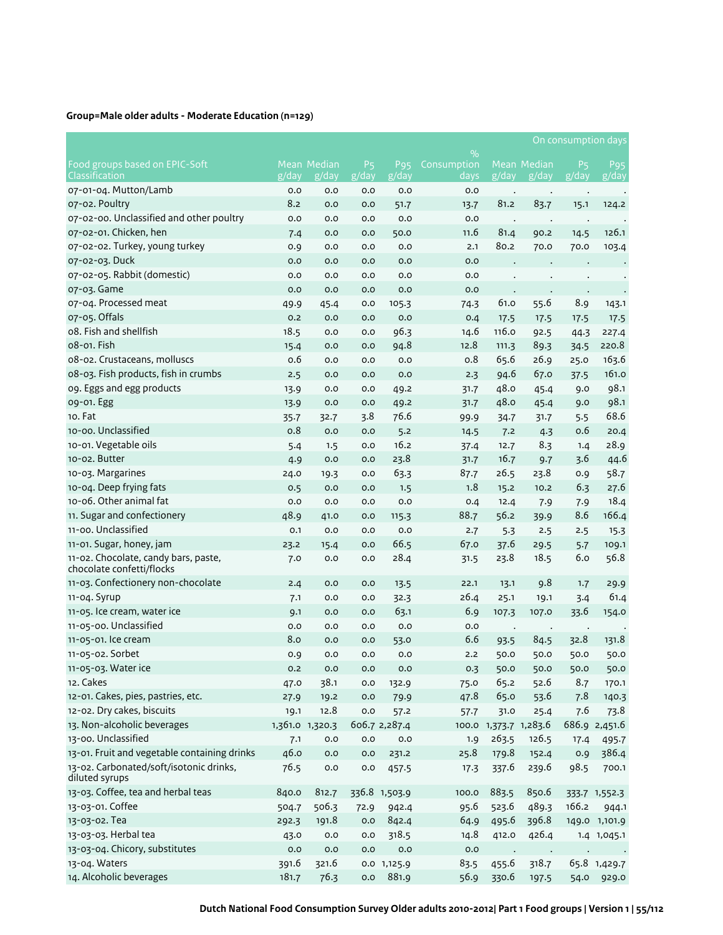# **Group=Male older adults - Moderate Education (n=129)**

|                                                           |       |                      |                         |                                                  |                     |                 |                      |                         | On consumption days |
|-----------------------------------------------------------|-------|----------------------|-------------------------|--------------------------------------------------|---------------------|-----------------|----------------------|-------------------------|---------------------|
|                                                           |       |                      |                         |                                                  | $\%$                |                 |                      |                         |                     |
| Food groups based on EPIC-Soft<br>Classification          | g/day | Mean Median<br>g/day | P <sub>5</sub><br>g/day | P <sub>95</sub><br>$\overline{g}/\overline{day}$ | Consumption<br>days | g/day           | Mean Median<br>g/day | P <sub>5</sub><br>g/day | P95<br>g/day        |
| 07-01-04. Mutton/Lamb                                     | 0.0   | 0.0                  | 0.0                     | 0.0                                              | 0.0                 | $\cdot$         | $\cdot$              | $\bullet$               |                     |
| 07-02. Poultry                                            | 8.2   | 0.0                  | 0.0                     | 51.7                                             | 13.7                | 81.2            | 83.7                 | 15.1                    | 124.2               |
| 07-02-00. Unclassified and other poultry                  | 0.0   | 0.0                  | 0.0                     | 0.0                                              | 0.0                 | $\cdot$         | $\cdot$              | $\bullet$               |                     |
| 07-02-01. Chicken, hen                                    | 7.4   | 0.0                  | 0.0                     | 50.0                                             | 11.6                | 81.4            | 90.2                 | 14.5                    | 126.1               |
| 07-02-02. Turkey, young turkey                            | 0.9   | 0.0                  | 0.0                     | 0.0                                              | 2.1                 | 80.2            | 70.0                 | 70.0                    | 103.4               |
| 07-02-03. Duck                                            | 0.0   | 0.0                  | 0.0                     | 0.0                                              | 0.0                 |                 |                      |                         |                     |
| 07-02-05. Rabbit (domestic)                               | 0.0   | 0.0                  | 0.0                     | 0.0                                              | 0.0                 |                 |                      |                         |                     |
| 07-03. Game                                               | 0.0   | 0.0                  | 0.0                     | 0.0                                              | 0.0                 |                 |                      |                         |                     |
| 07-04. Processed meat                                     | 49.9  | 45.4                 | 0.0                     | 105.3                                            | 74.3                | 61.0            | 55.6                 | 8.9                     | 143.1               |
| 07-05. Offals                                             | 0.2   | 0.0                  | 0.0                     | 0.0                                              | 0.4                 | 17.5            | 17.5                 | 17.5                    | 17.5                |
| o8. Fish and shellfish                                    | 18.5  | 0.0                  | 0.0                     | 96.3                                             | 14.6                | 116.0           | 92.5                 | 44.3                    | 227.4               |
| 08-01. Fish                                               | 15.4  | 0.0                  | 0.0                     | 94.8                                             | 12.8                | 111.3           | 89.3                 | 34.5                    | 220.8               |
| 08-02. Crustaceans, molluscs                              | 0.6   | 0.0                  | 0.0                     | 0.0                                              | 0.8                 | 65.6            | 26.9                 | 25.0                    | 163.6               |
| 08-03. Fish products, fish in crumbs                      | 2.5   | 0.0                  | 0.0                     | 0.0                                              | 2.3                 | 94.6            | 67.0                 | 37.5                    | 161.0               |
| og. Eggs and egg products                                 | 13.9  | 0.0                  | 0.0                     | 49.2                                             | 31.7                | 48.0            | 45.4                 | 9.0                     | 98.1                |
| 09-01. Egg                                                | 13.9  | 0.0                  | 0.0                     | 49.2                                             | 31.7                | 48.0            | 45.4                 | 9.0                     | 98.1                |
| 10. Fat                                                   | 35.7  | 32.7                 | 3.8                     | 76.6                                             | 99.9                | 34.7            | 31.7                 | 5.5                     | 68.6                |
| 10-00. Unclassified                                       | 0.8   | 0.0                  | 0.0                     | 5.2                                              | 14.5                | 7.2             | 4.3                  | 0.6                     | 20.4                |
| 10-01. Vegetable oils                                     | 5.4   | 1.5                  | 0.0                     | 16.2                                             | 37.4                | 12.7            | 8.3                  | 1.4                     | 28.9                |
| 10-02. Butter                                             | 4.9   | 0.0                  | 0.0                     | 23.8                                             | 31.7                | 16.7            | 9.7                  | 3.6                     | 44.6                |
| 10-03. Margarines                                         | 24.0  | 19.3                 | 0.0                     | 63.3                                             | 87.7                | 26.5            | 23.8                 | 0.9                     | 58.7                |
| 10-04. Deep frying fats                                   | 0.5   | 0.0                  | 0.0                     | 1.5                                              | 1.8                 | 15.2            | 10.2                 | 6.3                     | 27.6                |
| 10-06. Other animal fat                                   | 0.0   | 0.0                  | 0.0                     | 0.0                                              | 0.4                 | 12.4            | 7.9                  | 7.9                     | 18.4                |
| 11. Sugar and confectionery                               | 48.9  | 41.0                 | 0.0                     | 115.3                                            | 88.7                | 56.2            | 39.9                 | 8.6                     | 166.4               |
| 11-00. Unclassified                                       | 0.1   | 0.0                  | 0.0                     | 0.0                                              | 2.7                 | 5.3             | 2.5                  | 2.5                     | 15.3                |
| 11-01. Sugar, honey, jam                                  | 23.2  | 15.4                 | 0.0                     | 66.5                                             | 67.0                | 37.6            | 29.5                 | 5.7                     | 109.1               |
| 11-02. Chocolate, candy bars, paste,                      | 7.0   | 0.0                  | 0.0                     | 28.4                                             | 31.5                | 23.8            | 18.5                 | 6.0                     | 56.8                |
| chocolate confetti/flocks                                 |       |                      |                         |                                                  |                     |                 |                      |                         |                     |
| 11-03. Confectionery non-chocolate                        | 2.4   | 0.0                  | 0.0                     | 13.5                                             | 22.1                | 13.1            | 9.8                  | 1.7                     | 29.9                |
| 11-04. Syrup                                              | 7.1   | 0.0                  | 0.0                     | 32.3                                             | 26.4                | 25.1            | 19.1                 | 3.4                     | 61.4                |
| 11-05. Ice cream, water ice                               | 9.1   | 0.0                  | 0.0                     | 63.1                                             | 6.9                 | 107.3           | 107.0                | 33.6                    | 154.0               |
| 11-05-00. Unclassified                                    | 0.0   | 0.0                  | 0.0                     | 0.0                                              | 0.0                 | $\cdot$         | $\cdot$              |                         |                     |
| 11-05-01. Ice cream                                       | 8.0   | 0.0                  | 0.0                     | 53.0                                             | 6.6                 | 93.5            | 84.5                 | 32.8                    | 131.8               |
| 11-05-02. Sorbet                                          | 0.9   | 0.0                  | 0.0                     | 0.0                                              | 2.2                 | 50.0            | 50.0                 | 50.0                    | 50.0                |
| 11-05-03. Water ice                                       | 0.2   | 0.0                  | 0.0                     | 0.0                                              | 0.3                 | 50.0            | 50.0                 | 50.0                    | 50.0                |
| 12. Cakes                                                 | 47.0  | 38.1                 | 0.0                     | 132.9                                            | 75.0                | 65.2            | 52.6                 | 8.7                     | 170.1               |
| 12-01. Cakes, pies, pastries, etc.                        | 27.9  | 19.2                 | 0.0                     | 79.9                                             | 47.8                | 65.0            | 53.6                 | 7.8                     | 140.3               |
| 12-02. Dry cakes, biscuits                                | 19.1  | 12.8                 | 0.0                     | 57.2                                             | 57.7                | 31.0            | 25.4                 | 7.6                     | 73.8                |
| 13. Non-alcoholic beverages                               |       | 1,361.0 1,320.3      |                         | 606.7 2,287.4                                    | 100.0               | 1,373.7 1,283.6 |                      |                         | 686.9 2,451.6       |
| 13-00. Unclassified                                       | 7.1   | 0.0                  | $_{\rm 0.0}$            | 0.0                                              | 1.9                 | 263.5           | 126.5                | 17.4                    | 495.7               |
| 13-01. Fruit and vegetable containing drinks              | 46.0  | 0.0                  | 0.0                     | 231.2                                            | 25.8                | 179.8           | 152.4                | 0.9                     | 386.4               |
| 13-02. Carbonated/soft/isotonic drinks,<br>diluted syrups | 76.5  | 0.0                  | 0.0                     | 457.5                                            | 17.3                | 337.6           | 239.6                | 98.5                    | 700.1               |
| 13-03. Coffee, tea and herbal teas                        | 840.0 | 812.7                |                         | 336.8 1,503.9                                    | 100.0               | 883.5           | 850.6                |                         | 333.7 1,552.3       |
| 13-03-01. Coffee                                          | 504.7 | 506.3                | 72.9                    | 942.4                                            | 95.6                | 523.6           | 489.3                | 166.2                   | 944.1               |
| 13-03-02. Tea                                             | 292.3 | 191.8                | 0.0                     | 842.4                                            | 64.9                | 495.6           | 396.8                |                         | 149.0 1,101.9       |
| 13-03-03. Herbal tea                                      | 43.0  | 0.0                  | 0.0                     | 318.5                                            | 14.8                | 412.0           | 426.4                |                         | 1.4 1,045.1         |
| 13-03-04. Chicory, substitutes                            | 0.0   | 0.0                  | 0.0                     | 0.0                                              | 0.0                 |                 |                      |                         |                     |
| 13-04. Waters                                             | 391.6 | 321.6                |                         | 0.0 1,125.9                                      | 83.5                | 455.6           | 318.7                |                         | 65.8 1,429.7        |
| 14. Alcoholic beverages                                   | 181.7 | 76.3                 | 0.0                     | 881.9                                            | 56.9                | 330.6           | 197.5                | 54.0                    | 929.0               |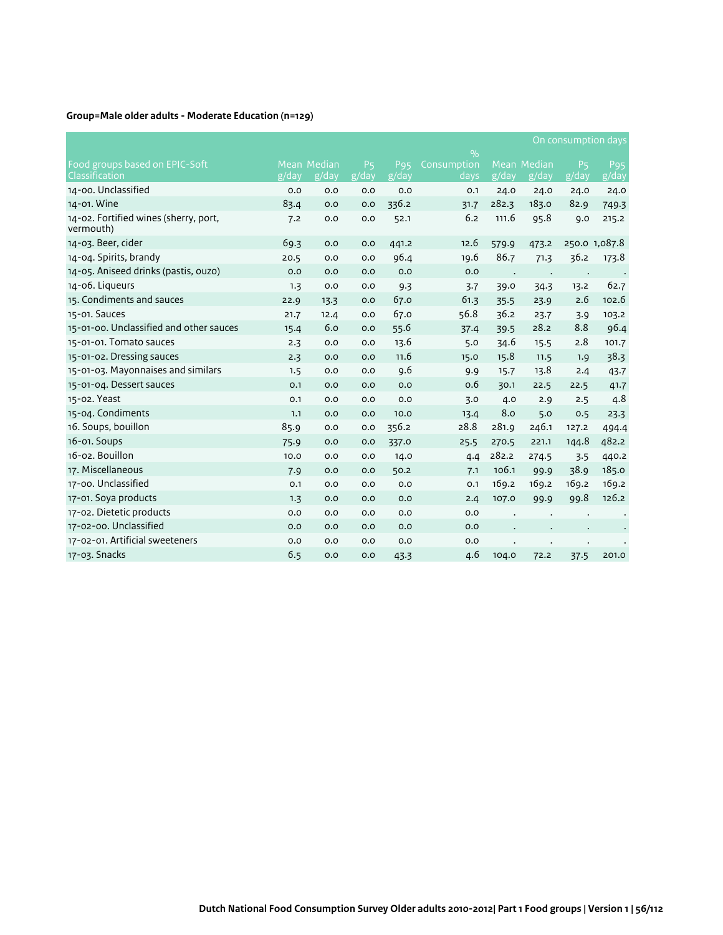# **Group=Male older adults - Moderate Education (n=129)**

|                                                    |       |             |                         |                 |                              |       |                      |                         | On consumption days |
|----------------------------------------------------|-------|-------------|-------------------------|-----------------|------------------------------|-------|----------------------|-------------------------|---------------------|
| Food groups based on EPIC-Soft                     |       | Mean Median |                         | P <sub>95</sub> | $\frac{9}{0}$<br>Consumption |       | Mean Median          |                         |                     |
| Classification                                     | g/day | g/day       | P <sub>5</sub><br>g/day | g/day           | days                         | g/day | g/day                | P <sub>5</sub><br>g/day | P95<br>g/day        |
| 14-00. Unclassified                                | 0.0   | 0.0         | 0.0                     | O.O             | 0.1                          | 24.0  | 24.0                 | 24.0                    | 24.0                |
| 14-01. Wine                                        | 83.4  | 0.0         | 0.0                     | 336.2           | 31.7                         | 282.3 | 183.0                | 82.9                    | 749.3               |
| 14-02. Fortified wines (sherry, port,<br>vermouth) | 7.2   | 0.0         | 0.0                     | 52.1            | 6.2                          | 111.6 | 95.8                 | 9.0                     | 215.2               |
| 14-03. Beer, cider                                 | 69.3  | 0.0         | 0.0                     | 441.2           | 12.6                         | 579.9 | 473.2                |                         | 250.0 1,087.8       |
| 14-04. Spirits, brandy                             | 20.5  | 0.0         | 0.0                     | 96.4            | 19.6                         | 86.7  | 71.3                 | 36.2                    | 173.8               |
| 14-05. Aniseed drinks (pastis, ouzo)               | 0.0   | O.O         | 0.0                     | O.O             | 0.0                          |       | $\ddot{\phantom{0}}$ | $\bullet$               |                     |
| 14-06. Liqueurs                                    | 1.3   | 0.0         | 0.0                     | 9.3             | 3.7                          | 39.0  | 34.3                 | 13.2                    | 62.7                |
| 15. Condiments and sauces                          | 22.9  | 13.3        | 0.0                     | 67.0            | 61.3                         | 35.5  | 23.9                 | 2.6                     | 102.6               |
| 15-01. Sauces                                      | 21.7  | 12.4        | 0.0                     | 67.0            | 56.8                         | 36.2  | 23.7                 | 3.9                     | 103.2               |
| 15-01-00. Unclassified and other sauces            | 15.4  | 6.0         | 0.0                     | 55.6            | 37.4                         | 39.5  | 28.2                 | 8.8                     | 96.4                |
| 15-01-01. Tomato sauces                            | 2.3   | 0.0         | 0.0                     | 13.6            | 5.0                          | 34.6  | 15.5                 | 2.8                     | 101.7               |
| 15-01-02. Dressing sauces                          | 2.3   | 0.0         | 0.0                     | 11.6            | 15.0                         | 15.8  | 11.5                 | 1.9                     | 38.3                |
| 15-01-03. Mayonnaises and similars                 | 1.5   | 0.0         | 0.0                     | 9.6             | 9.9                          | 15.7  | 13.8                 | 2.4                     | 43.7                |
| 15-01-04. Dessert sauces                           | O.1   | 0.0         | 0.0                     | 0.0             | 0.6                          | 30.1  | 22.5                 | 22.5                    | 41.7                |
| 15-02. Yeast                                       | O.1   | 0.0         | 0.0                     | 0.0             | 3.0                          | 4.0   | 2.9                  | 2.5                     | 4.8                 |
| 15-04. Condiments                                  | 1.1   | 0.0         | 0.0                     | 10.0            | 13.4                         | 8.0   | 5.0                  | 0.5                     | 23.3                |
| 16. Soups, bouillon                                | 85.9  | 0.0         | 0.0                     | 356.2           | 28.8                         | 281.9 | 246.1                | 127.2                   | 494.4               |
| 16-01. Soups                                       | 75.9  | 0.0         | 0.0                     | 337.0           | 25.5                         | 270.5 | 221.1                | 144.8                   | 482.2               |
| 16-02. Bouillon                                    | 10.0  | 0.0         | 0.0                     | 14.0            | 4.4                          | 282.2 | 274.5                | 3.5                     | 440.2               |
| 17. Miscellaneous                                  | 7.9   | 0.0         | 0.0                     | 50.2            | 7.1                          | 106.1 | 99.9                 | 38.9                    | 185.0               |
| 17-00. Unclassified                                | 0.1   | 0.0         | 0.0                     | O.O             | 0.1                          | 169.2 | 169.2                | 169.2                   | 169.2               |
| 17-01. Soya products                               | 1.3   | 0.0         | 0.0                     | 0.0             | 2.4                          | 107.0 | 99.9                 | 99.8                    | 126.2               |
| 17-02. Dietetic products                           | 0.0   | 0.0         | 0.0                     | 0.0             | 0.0                          |       |                      |                         |                     |
| 17-02-00. Unclassified                             | 0.0   | 0.0         | 0.0                     | 0.0             | 0.0                          |       |                      |                         |                     |
| 17-02-01. Artificial sweeteners                    | 0.0   | 0.0         | 0.0                     | O.O             | O.O                          |       |                      |                         |                     |
| 17-03. Snacks                                      | 6.5   | 0.0         | 0.0                     | 43.3            | 4.6                          | 104.0 | 72.2                 | 37.5                    | 201.0               |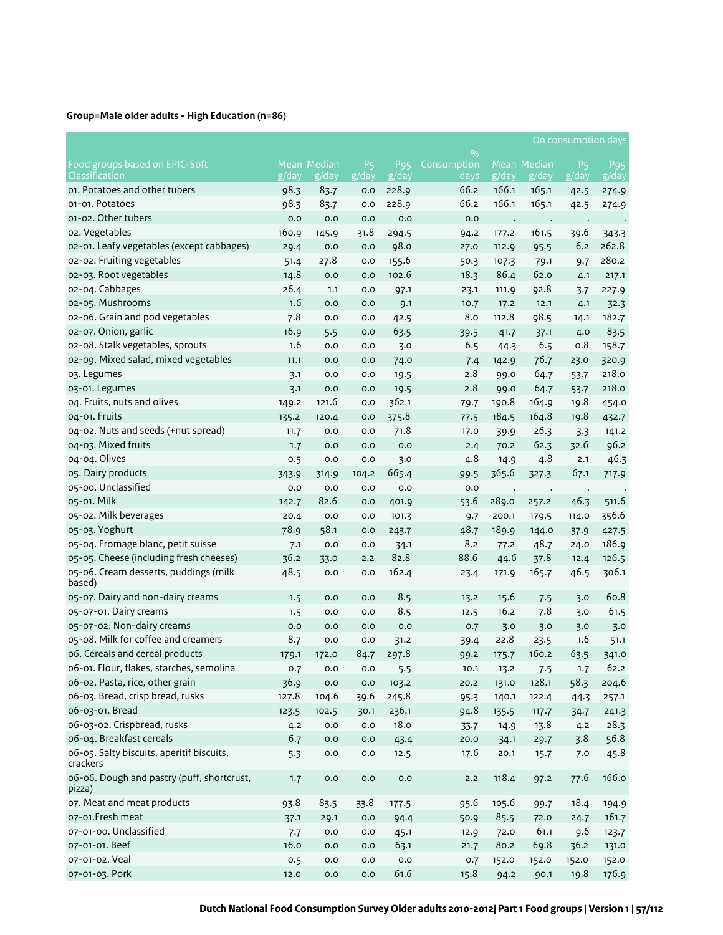# **Group=Male older adults - High Education (n=86)**

|                                                       |       |                             |                                               |                      |                     |       |                      | On consumption days                  |                          |
|-------------------------------------------------------|-------|-----------------------------|-----------------------------------------------|----------------------|---------------------|-------|----------------------|--------------------------------------|--------------------------|
|                                                       |       |                             |                                               |                      | $\frac{9}{0}$       |       |                      |                                      |                          |
| Food groups based on EPIC-Soft<br>Classification      | g/day | <b>Mean Median</b><br>g/day | <b>P<sub>5</sub></b><br>$\sqrt{g}/\sqrt{day}$ | <b>P</b> 95<br>g/day | Consumption<br>days | g/day | Mean Median<br>g/day | P <sub>5</sub><br>$\overline{g}/day$ | P <sub>95</sub><br>g/day |
| 01. Potatoes and other tubers                         | 98.3  | 83.7                        | 0.0                                           | 228.9                | 66.2                | 166.1 | 165.1                | 42.5                                 | 274.9                    |
| 01-01. Potatoes                                       | 98.3  | 83.7                        | 0.0                                           | 228.9                | 66.2                | 166.1 | 165.1                | 42.5                                 | 274.9                    |
| 01-02. Other tubers                                   | 0.0   | 0.0                         | 0.0                                           | 0.0                  | 0.0                 |       |                      |                                      |                          |
| o2. Vegetables                                        | 160.9 | 145.9                       | 31.8                                          | 294.5                | 94.2                | 177.2 | 161.5                | 39.6                                 | 343.3                    |
| 02-01. Leafy vegetables (except cabbages)             | 29.4  | 0.0                         | 0.0                                           | 98.0                 | 27.0                | 112.9 | 95.5                 | 6.2                                  | 262.8                    |
| 02-02. Fruiting vegetables                            | 51.4  | 27.8                        | 0.0                                           | 155.6                | 50.3                | 107.3 | 79.1                 | 9.7                                  | 280.2                    |
| 02-03. Root vegetables                                | 14.8  | 0.0                         | 0.0                                           | 102.6                | 18.3                | 86.4  | 62.0                 | 4.1                                  | 217.1                    |
| 02-04. Cabbages                                       | 26.4  | 1.1                         | 0.0                                           | 97.1                 | 23.1                | 111.9 | 92.8                 | $3-7$                                | 227.9                    |
| 02-05. Mushrooms                                      | 1.6   | 0.0                         | 0.0                                           | 9.1                  | 10.7                | 17.2  | 12.1                 | 4.1                                  | 32.3                     |
| o2-o6. Grain and pod vegetables                       | 7.8   | 0.0                         | 0.0                                           | 42.5                 | 8.0                 | 112.8 | 98.5                 | 14.1                                 | 182.7                    |
| 02-07. Onion, garlic                                  | 16.9  | 5.5                         | 0.0                                           | 63.5                 | 39.5                | 41.7  | 37.1                 | 4.0                                  | 83.5                     |
| 02-08. Stalk vegetables, sprouts                      | 1.6   | 0.0                         | 0.0                                           | 3.0                  | 6.5                 | 44.3  | 6.5                  | 0.8                                  | 158.7                    |
| o2-o9. Mixed salad, mixed vegetables                  | 11.1  | 0.0                         | 0.0                                           | 74.0                 | 7.4                 | 142.9 | 76.7                 | 23.0                                 | 320.9                    |
| 03. Legumes                                           | 3.1   | 0.0                         | 0.0                                           | 19.5                 | 2.8                 | 99.0  | 64.7                 | 53.7                                 | 218.0                    |
| 03-01. Legumes                                        | 3.1   | 0.0                         | 0.0                                           | 19.5                 | 2.8                 | 99.0  | 64.7                 | 53.7                                 | 218.0                    |
| 04. Fruits, nuts and olives                           | 149.2 | 121.6                       | 0.0                                           | 362.1                | 79.7                | 190.8 | 164.9                | 19.8                                 | 454.0                    |
| 04-01. Fruits                                         | 135.2 | 120.4                       | 0.0                                           | 375.8                | 77.5                | 184.5 | 164.8                | 19.8                                 | 432.7                    |
| 04-02. Nuts and seeds (+nut spread)                   | 11.7  | 0.0                         | 0.0                                           | 71.8                 | 17.0                | 39.9  | 26.3                 | 3.3                                  | 141.2                    |
| 04-03. Mixed fruits                                   | 1.7   | 0.0                         | 0.0                                           | 0.0                  | 2.4                 | 70.2  | 62.3                 | 32.6                                 | 96.2                     |
| 04-04. Olives                                         | 0.5   | 0.0                         | 0.0                                           | 3.0                  | 4.8                 | 14.9  | 4.8                  | 2.1                                  | 46.3                     |
| 05. Dairy products                                    | 343.9 | 314.9                       | 104.2                                         | 665.4                | 99.5                | 365.6 | 327.3                | 67.1                                 | 717.9                    |
| 05-00. Unclassified                                   | 0.0   | 0.0                         | 0.0                                           | 0.0                  | 0.0                 |       |                      |                                      |                          |
| 05-01. Milk                                           | 142.7 | 82.6                        | 0.0                                           | 401.9                | 53.6                | 289.0 | $\cdot$<br>257.2     | $\bullet$<br>46.3                    | 511.6                    |
| 05-02. Milk beverages                                 | 20.4  | 0.0                         | 0.0                                           | 101.3                | 9.7                 | 200.1 | 179.5                | 114.0                                | 356.6                    |
| 05-03. Yoghurt                                        | 78.9  | 58.1                        | 0.0                                           | 243.7                | 48.7                | 189.9 | 144.0                | 37.9                                 | 427.5                    |
| 05-04. Fromage blanc, petit suisse                    | 7.1   | 0.0                         | 0.0                                           | 34.1                 | 8.2                 | 77.2  | 48.7                 | 24.0                                 | 186.9                    |
| 05-05. Cheese (including fresh cheeses)               | 36.2  | 33.0                        | 2.2                                           | 82.8                 | 88.6                | 44.6  | 37.8                 | 12.4                                 | 126.5                    |
| 05-06. Cream desserts, puddings (milk                 | 48.5  | 0.0                         | 0.0                                           | 162.4                | 23.4                | 171.9 | 165.7                | 46.5                                 | 306.1                    |
| based)                                                |       |                             |                                               |                      |                     |       |                      |                                      |                          |
| 05-07. Dairy and non-dairy creams                     | 1.5   | 0.0                         | 0.0                                           | 8.5                  | 13.2                | 15.6  | 7.5                  | 3.0                                  | 60.8                     |
| 05-07-01. Dairy creams                                | 1.5   | 0.0                         | 0.0                                           | 8.5                  | 12.5                | 16.2  | 7.8                  | 3.0                                  | 61.5                     |
| 05-07-02. Non-dairy creams                            | 0.0   | 0.0                         | 0.0                                           | 0.0                  | 0.7                 | 3.0   | 3.0                  | 3.0                                  | 3.0                      |
| 05-08. Milk for coffee and creamers                   | 8.7   | 0.0                         | 0.0                                           | 31.2                 | 39.4                | 22.8  | 23.5                 | 1.6                                  | 51.1                     |
| o6. Cereals and cereal products                       | 179.1 | 172.0                       | 84.7                                          | 297.8                | 99.2                | 175.7 | 160.2                | 63.5                                 | 341.0                    |
| 06-01. Flour, flakes, starches, semolina              | 0.7   | $_{\rm 0.0}$                | 0.0                                           | 5.5                  | 10.1                | 13.2  | 7.5                  | 1.7                                  | 62.2                     |
| 06-02. Pasta, rice, other grain                       | 36.9  | 0.0                         | 0.0                                           | 103.2                | 20.2                | 131.0 | 128.1                | 58.3                                 | 204.6                    |
| 06-03. Bread, crisp bread, rusks                      | 127.8 | 104.6                       | 39.6                                          | 245.8                | 95.3                | 140.1 | 122.4                | 44.3                                 | 257.1                    |
| 06-03-01. Bread                                       | 123.5 | 102.5                       | 30.1                                          | 236.1                | 94.8                | 135.5 | 117.7                | 34.7                                 | 241.3                    |
| 06-03-02. Crispbread, rusks                           | 4.2   | $_{\rm 0.0}$                | $_{\rm 0.0}$                                  | 18.0                 | 33.7                | 14.9  | 13.8                 | 4.2                                  | 28.3                     |
| 06-04. Breakfast cereals                              | 6.7   | 0.0                         | 0.0                                           | 43.4                 | 20.0                | 34.1  | 29.7                 | 3.8                                  | 56.8                     |
| 06-05. Salty biscuits, aperitif biscuits,<br>crackers | 5.3   | $_{\rm 0.0}$                | 0.0                                           | 12.5                 | 17.6                | 20.1  | 15.7                 | 7.0                                  | 45.8                     |
| 06-06. Dough and pastry (puff, shortcrust,<br>pizza)  | 1.7   | $_{\rm 0.0}$                | $_{\rm 0.0}$                                  | 0.0                  | 2.2                 | 118.4 | 97.2                 | 77.6                                 | 166.0                    |
| 07. Meat and meat products                            | 93.8  | 83.5                        | 33.8                                          | 177.5                | 95.6                | 105.6 | 99.7                 | 18.4                                 | 194.9                    |
| 07-01.Fresh meat                                      | 37.1  | 29.1                        | 0.0                                           | 94.4                 | 50.9                | 85.5  | 72.0                 | 24.7                                 | 161.7                    |
| 07-01-00. Unclassified                                | 7.7   | $_{\rm 0.0}$                | 0.0                                           | 45.1                 | 12.9                | 72.0  | 61.1                 | 9.6                                  | 123.7                    |
| 07-01-01. Beef                                        | 16.0  | 0.0                         | 0.0                                           | 63.1                 | 21.7                | 80.2  | 69.8                 | 36.2                                 | 131.0                    |
| 07-01-02. Veal                                        | 0.5   | 0.0                         | 0.0                                           | $_{\rm 0.0}$         | 0.7                 | 152.0 | 152.0                | 152.0                                | 152.0                    |
| 07-01-03. Pork                                        | 12.0  | 0.0                         | 0.0                                           | 61.6                 | 15.8                | 94.2  | 90.1                 | 19.8                                 | 176.9                    |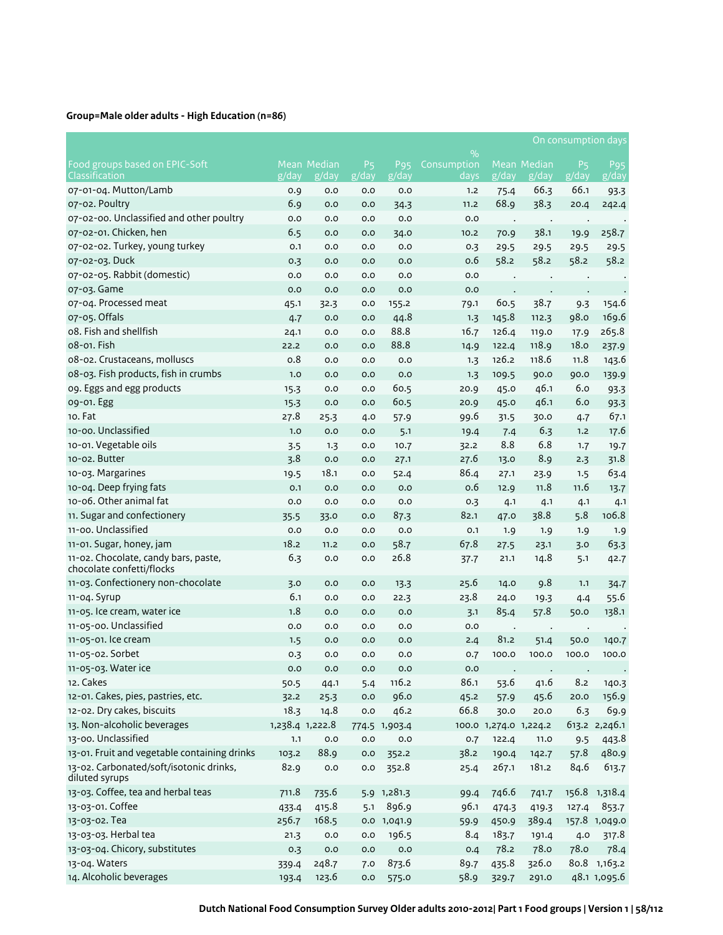# **Group=Male older adults - High Education (n=86)**

|                                                           |                 |                      |                               |               |                     |                       |                             |                         | On consumption days      |
|-----------------------------------------------------------|-----------------|----------------------|-------------------------------|---------------|---------------------|-----------------------|-----------------------------|-------------------------|--------------------------|
|                                                           |                 |                      |                               |               | $\%$                |                       |                             |                         |                          |
| Food groups based on EPIC-Soft<br>Classification          | g/day           | Mean Median<br>g/day | <b>P<sub>5</sub></b><br>g/day | Pg5<br>g/day  | Consumption<br>days | g/day                 | <b>Mean Median</b><br>g/day | P <sub>5</sub><br>g/day | P <sub>95</sub><br>g/day |
| 07-01-04. Mutton/Lamb                                     | 0.9             | 0.0                  | 0.0                           | 0.0           | 1.2                 | 75.4                  | 66.3                        | 66.1                    |                          |
| 07-02. Poultry                                            | 6.9             | 0.0                  | 0.0                           | 34.3          | 11.2                | 68.9                  | 38.3                        | 20.4                    | 93.3<br>242.4            |
| 07-02-00. Unclassified and other poultry                  | 0.0             | 0.0                  | 0.0                           | 0.0           | 0.0                 |                       |                             |                         |                          |
| 07-02-01. Chicken, hen                                    | 6.5             | 0.0                  | 0.0                           | 34.0          | 10.2                | $\cdot$<br>70.9       | $\bullet$<br>38.1           | $\cdot$<br>19.9         | 258.7                    |
| 07-02-02. Turkey, young turkey                            | 0.1             | 0.0                  | 0.0                           | 0.0           | 0.3                 | 29.5                  | 29.5                        | 29.5                    | 29.5                     |
| 07-02-03. Duck                                            | 0.3             | 0.0                  | 0.0                           | 0.0           | 0.6                 | 58.2                  | 58.2                        | 58.2                    | 58.2                     |
| 07-02-05. Rabbit (domestic)                               | 0.0             | 0.0                  | 0.0                           | 0.0           | 0.0                 |                       |                             |                         |                          |
| 07-03. Game                                               | 0.0             | 0.0                  | 0.0                           | 0.0           | 0.0                 |                       |                             |                         |                          |
| 07-04. Processed meat                                     | 45.1            | 32.3                 | 0.0                           | 155.2         | 79.1                | 60.5                  | 38.7                        | $\bullet$<br>9.3        | 154.6                    |
| 07-05. Offals                                             | 4.7             | 0.0                  | 0.0                           | 44.8          | 1.3                 | 145.8                 | 112.3                       | 98.0                    | 169.6                    |
| o8. Fish and shellfish                                    | 24.1            | 0.0                  | 0.0                           | 88.8          | 16.7                | 126.4                 | 119.0                       | 17.9                    | 265.8                    |
| 08-01. Fish                                               | 22.2            | 0.0                  | 0.0                           | 88.8          | 14.9                | 122.4                 | 118.9                       | 18.0                    | 237.9                    |
| 08-02. Crustaceans, molluscs                              | 0.8             | 0.0                  | 0.0                           | 0.0           | 1.3                 | 126.2                 | 118.6                       | 11.8                    | 143.6                    |
| 08-03. Fish products, fish in crumbs                      | 1.0             | 0.0                  | 0.0                           | 0.0           | 1.3                 | 109.5                 | 90.0                        | 90.0                    | 139.9                    |
| og. Eggs and egg products                                 | 15.3            | 0.0                  | 0.0                           | 60.5          | 20.9                | 45.0                  | 46.1                        | 6.0                     | 93.3                     |
| 09-01. Egg                                                | 15.3            | 0.0                  | 0.0                           | 60.5          | 20.9                | 45.0                  | 46.1                        | 6.0                     | 93.3                     |
| 10. Fat                                                   | 27.8            | 25.3                 | 4.0                           | 57.9          | 99.6                | 31.5                  | 30.0                        | 4.7                     | 67.1                     |
| 10-00. Unclassified                                       | 1.0             | 0.0                  | 0.0                           | 5.1           | 19.4                | 7.4                   | 6.3                         | 1.2                     | 17.6                     |
| 10-01. Vegetable oils                                     | 3.5             | 1.3                  | 0.0                           | 10.7          | 32.2                | 8.8                   | 6.8                         | 1.7                     | 19.7                     |
| 10-02. Butter                                             | 3.8             | 0.0                  | 0.0                           | 27.1          | 27.6                | 13.0                  | 8.9                         | 2.3                     | 31.8                     |
| 10-03. Margarines                                         | 19.5            | 18.1                 | 0.0                           | 52.4          | 86.4                | 27.1                  | 23.9                        | 1.5                     | 63.4                     |
| 10-04. Deep frying fats                                   | O.1             | 0.0                  | 0.0                           | 0.0           | 0.6                 | 12.9                  | 11.8                        | 11.6                    | 13.7                     |
| 10-06. Other animal fat                                   | 0.0             | 0.0                  | 0.0                           | 0.0           | 0.3                 | 4.1                   | 4.1                         | 4.1                     | 4.1                      |
| 11. Sugar and confectionery                               | 35.5            | 33.0                 | 0.0                           | 87.3          | 82.1                | 47.0                  | 38.8                        | 5.8                     | 106.8                    |
| 11-00. Unclassified                                       | 0.0             | 0.0                  | 0.0                           | 0.0           | 0.1                 | 1.9                   | 1.9                         | 1.9                     | 1.9                      |
| 11-01. Sugar, honey, jam                                  | 18.2            | 11.2                 | 0.0                           | 58.7          | 67.8                | 27.5                  | 23.1                        | 3.0                     | 63.3                     |
| 11-02. Chocolate, candy bars, paste,                      | 6.3             | 0.0                  | 0.0                           | 26.8          | 37.7                | 21.1                  | 14.8                        | 5.1                     | 42.7                     |
| chocolate confetti/flocks                                 |                 |                      |                               |               |                     |                       |                             |                         |                          |
| 11-03. Confectionery non-chocolate                        | 3.0             | 0.0                  | 0.0                           | 13.3          | 25.6                | 14.0                  | 9.8                         | 1.1                     | 34.7                     |
| 11-04. Syrup                                              | 6.1             | 0.0                  | 0.0                           | 22.3          | 23.8                | 24.0                  | 19.3                        | 4.4                     | 55.6                     |
| 11-05. Ice cream, water ice                               | 1.8             | 0.0                  | 0.0                           | 0.0           | 3.1                 | 85.4                  | 57.8                        | 50.0                    | 138.1                    |
| 11-05-00. Unclassified                                    | 0.0             | 0.0                  | 0.0                           | 0.0           | 0.0                 | $\cdot$               | $\bullet$                   | $\bullet$               |                          |
| 11-05-01. Ice cream                                       | 1.5             | 0.0                  | 0.0                           | 0.0           | 2.4                 | 81.2                  | 51.4                        | 50.0                    | 140.7                    |
| 11-05-02. Sorbet                                          | 0.3             | 0.0                  | 0.0                           | 0.0           | 0.7                 | 100.0                 | 100.0                       | 100.0                   | 100.0                    |
| 11-05-03. Water ice                                       | 0.0             | 0.0                  | $_{\rm 0.0}$                  | 0.0           | 0.0                 |                       |                             |                         |                          |
| 12. Cakes                                                 | 50.5            | 44.1                 | 5.4                           | 116.2         | 86.1                | 53.6                  | 41.6                        | 8.2                     | 140.3                    |
| 12-01. Cakes, pies, pastries, etc.                        | 32.2            | 25.3                 | $_{\rm 0.0}$                  | 96.0          | 45.2                | 57.9                  | 45.6                        | 20.0                    | 156.9                    |
| 12-02. Dry cakes, biscuits                                | 18.3            | 14.8                 | 0.0                           | 46.2          | 66.8                | 30.0                  | 20.0                        | 6.3                     | 69.9                     |
| 13. Non-alcoholic beverages                               | 1,238.4 1,222.8 |                      |                               | 774.5 1,903.4 |                     | 100.0 1,274.0 1,224.2 |                             |                         | 613.2 2,246.1            |
| 13-00. Unclassified                                       | 1.1             | 0.0                  | $_{\rm 0.0}$                  | 0.0           | 0.7                 | 122.4                 | 11.0                        | 9.5                     | 443.8                    |
| 13-01. Fruit and vegetable containing drinks              | 103.2           | 88.9                 | 0.0                           | 352.2         | 38.2                | 190.4                 | 142.7                       | 57.8                    | 480.9                    |
| 13-02. Carbonated/soft/isotonic drinks,<br>diluted syrups | 82.9            | 0.0                  | 0.0                           | 352.8         | 25.4                | 267.1                 | 181.2                       | 84.6                    | 613.7                    |
| 13-03. Coffee, tea and herbal teas                        | 711.8           | 735.6                |                               | 5.9 1,281.3   | 99.4                | 746.6                 | 741.7                       |                         | 156.8 1,318.4            |
| 13-03-01. Coffee                                          | 433.4           | 415.8                | 5.1                           | 896.9         | 96.1                | 474.3                 | 419.3                       | 127.4                   | 853.7                    |
| 13-03-02. Tea                                             | 256.7           | 168.5                |                               | 0.0 1,041.9   | 59.9                | 450.9                 | 389.4                       |                         | 157.8 1,049.0            |
| 13-03-03. Herbal tea                                      | 21.3            | 0.0                  | 0.0                           | 196.5         | 8.4                 | 183.7                 | 191.4                       | 4.0                     | 317.8                    |
| 13-03-04. Chicory, substitutes                            | 0.3             | 0.0                  | 0.0                           | 0.0           | 0.4                 | 78.2                  | 78.0                        | 78.0                    | 78.4                     |
| 13-04. Waters                                             | 339.4           | 248.7                | 7.0                           | 873.6         | 89.7                | 435.8                 | 326.0                       |                         | 80.8 1,163.2             |
| 14. Alcoholic beverages                                   | 193.4           | 123.6                | 0.0                           | 575.0         | 58.9                | 329.7                 | 291.0                       |                         | 48.1 1,095.6             |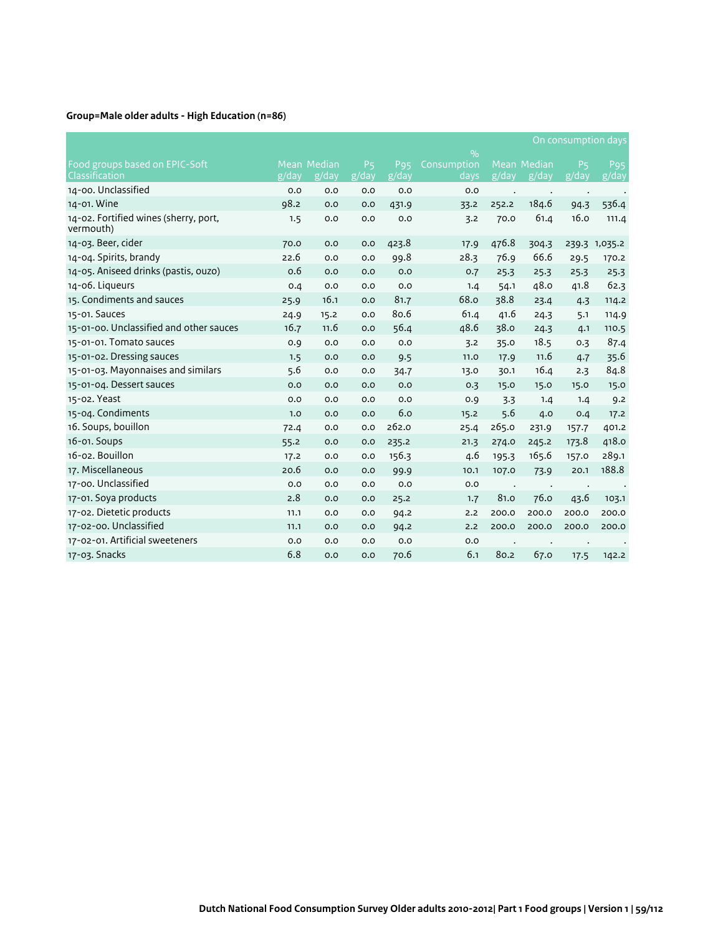# **Group=Male older adults - High Education (n=86)**

|                                                    |                       |                               |                         |                        |                              |                       |                      |                               | On consumption days |
|----------------------------------------------------|-----------------------|-------------------------------|-------------------------|------------------------|------------------------------|-----------------------|----------------------|-------------------------------|---------------------|
| Food groups based on EPIC-Soft                     |                       | Mean Median                   |                         | <b>P</b> <sub>95</sub> | $\frac{9}{0}$<br>Consumption |                       | Mean Median          | <b>P<sub>5</sub></b>          |                     |
| Classification                                     | $\sqrt{g}/\sqrt{day}$ | $\overline{g}/\overline{day}$ | P <sub>5</sub><br>g/day | g/day                  | days                         | $\sqrt{g}/\sqrt{day}$ | g/day                | $\overline{g}/\overline{day}$ | P95<br>g/day        |
| 14-00. Unclassified                                | 0.0                   | O.O                           | 0.0                     | 0.0                    | O.O                          |                       |                      | $\bullet$                     |                     |
| 14-01. Wine                                        | 98.2                  | O.O                           | 0.0                     | 431.9                  | 33.2                         | 252.2                 | 184.6                | 94.3                          | 536.4               |
| 14-02. Fortified wines (sherry, port,<br>vermouth) | 1.5                   | 0.0                           | 0.0                     | 0.0                    | 3.2                          | 70.0                  | 61.4                 | 16.0                          | 111.4               |
| 14-03. Beer, cider                                 | 70.0                  | O.O                           | 0.0                     | 423.8                  | 17.9                         | 476.8                 | 304.3                |                               | 239.3 1,035.2       |
| 14-04. Spirits, brandy                             | 22.6                  | 0.0                           | 0.0                     | 99.8                   | 28.3                         | 76.9                  | 66.6                 | 29.5                          | 170.2               |
| 14-05. Aniseed drinks (pastis, ouzo)               | 0.6                   | O.O                           | 0.0                     | 0.0                    | 0.7                          | 25.3                  | 25.3                 | 25.3                          | 25.3                |
| 14-06. Liqueurs                                    | 0.4                   | O.O                           | 0.0                     | 0.0                    | 1.4                          | 54.1                  | 48.0                 | 41.8                          | 62.3                |
| 15. Condiments and sauces                          | 25.9                  | 16.1                          | 0.0                     | 81.7                   | 68.o                         | 78.8                  | 23.4                 | 4.3                           | 114.2               |
| 15-01. Sauces                                      | 24.9                  | 15.2                          | 0.0                     | 80.6                   | 61.4                         | 41.6                  | 24.3                 | 5.1                           | 114.9               |
| 15-01-00. Unclassified and other sauces            | 16.7                  | 11.6                          | 0.0                     | 56.4                   | 48.6                         | 38.0                  | 24.3                 | 4.1                           | 110.5               |
| 15-01-01. Tomato sauces                            | 0.9                   | 0.0                           | 0.0                     | 0.0                    | 3.2                          | 35.0                  | 18.5                 | 0.3                           | 87.4                |
| 15-01-02. Dressing sauces                          | 1.5                   | O.O                           | 0.0                     | 9.5                    | 11.0                         | 17.9                  | 11.6                 | 4.7                           | 35.6                |
| 15-01-03. Mayonnaises and similars                 | 5.6                   | 0.0                           | 0.0                     | 34.7                   | 13.0                         | 30.1                  | 16.4                 | 2.3                           | 84.8                |
| 15-01-04. Dessert sauces                           | 0.0                   | 0.0                           | 0.0                     | 0.0                    | 0.3                          | 15.0                  | 15.0                 | 15.0                          | 15.0                |
| 15-02. Yeast                                       | 0.0                   | O.O                           | 0.0                     | 0.0                    | 0.9                          | 3.3                   | 1.4                  | 1.4                           | 9.2                 |
| 15-04. Condiments                                  | 1.0                   | O.O                           | 0.0                     | 6.0                    | 15.2                         | 5.6                   | 4.0                  | 0.4                           | 17.2                |
| 16. Soups, bouillon                                | 72.4                  | O.O                           | 0.0                     | 262.0                  | 25.4                         | 265.0                 | 231.9                | 157.7                         | 401.2               |
| 16-01. Soups                                       | 55.2                  | O.O                           | 0.0                     | 235.2                  | 21.3                         | 274.0                 | 245.2                | 173.8                         | 418.0               |
| 16-02. Bouillon                                    | 17.2                  | 0.0                           | 0.0                     | 156.3                  | 4.6                          | 195.3                 | 165.6                | 157.0                         | 289.1               |
| 17. Miscellaneous                                  | 20.6                  | O.O                           | 0.0                     | 99.9                   | 10.1                         | 107.0                 | 73.9                 | 20.1                          | 188.8               |
| 17-00. Unclassified                                | 0.0                   | O.O                           | 0.0                     | 0.0                    | 0.0                          |                       | $\ddot{\phantom{0}}$ | $\ddot{\phantom{0}}$          |                     |
| 17-01. Soya products                               | 2.8                   | O.O                           | 0.0                     | 25.2                   | 1.7                          | 81.0                  | 76.0                 | 43.6                          | 103.1               |
| 17-02. Dietetic products                           | 11.1                  | 0.0                           | 0.0                     | 94.2                   | 2.2                          | 200.0                 | 200.0                | 200.0                         | 200.0               |
| 17-02-00. Unclassified                             | 11.1                  | O.O                           | 0.0                     | 94.2                   | 2.2                          | 200.0                 | 200.0                | 200.0                         | 200.0               |
| 17-02-01. Artificial sweeteners                    | 0.0                   | 0.0                           | 0.0                     | 0.0                    | O.O                          |                       |                      |                               |                     |
| 17-03. Snacks                                      | 6.8                   | O.O                           | 0.0                     | 70.6                   | 6.1                          | 80.2                  | 67.0                 | 17.5                          | 142.2               |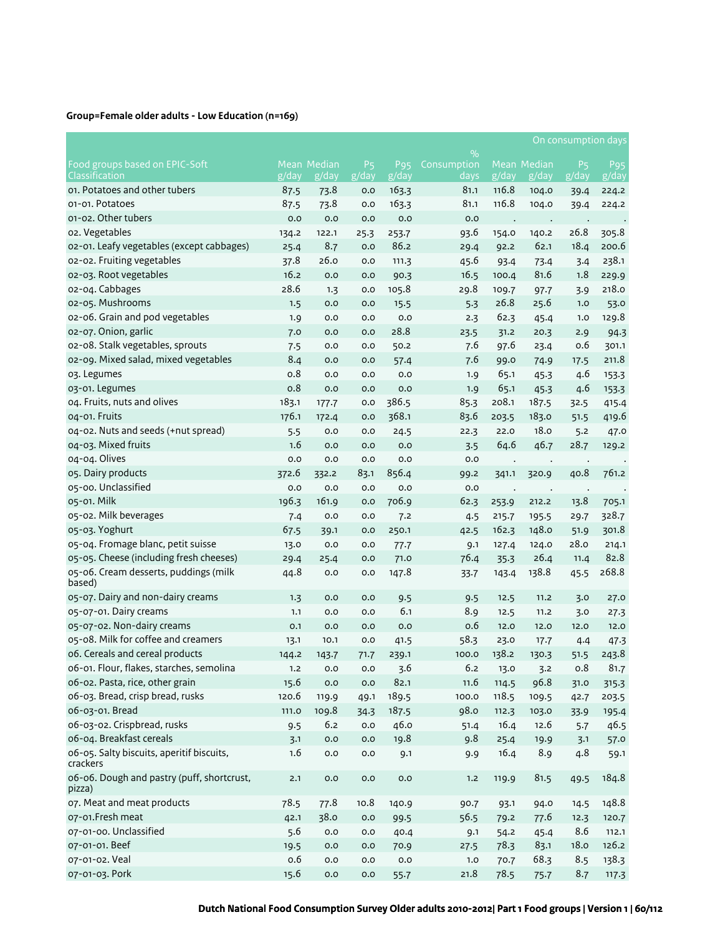# **Group=Female older adults - Low Education (n=169)**

|                                                       |       |              |                |              |             |       |                    | On consumption days           |                 |
|-------------------------------------------------------|-------|--------------|----------------|--------------|-------------|-------|--------------------|-------------------------------|-----------------|
|                                                       |       |              |                |              | $\%$        |       |                    |                               |                 |
| Food groups based on EPIC-Soft                        |       | Mean Median  | P <sub>5</sub> | <b>P</b> 95  | Consumption |       | <b>Mean Median</b> | P <sub>5</sub>                | P <sub>95</sub> |
| Classification                                        | g/day | g/day        | g/day          | g/day        | days        | g/day | g/day              | $\overline{g}/\overline{day}$ | g/day           |
| 01. Potatoes and other tubers                         | 87.5  | 73.8         | 0.0            | 163.3        | 81.1        | 116.8 | 104.0              | 39.4                          | 224.2           |
| 01-01. Potatoes                                       | 87.5  | 73.8         | 0.0            | 163.3        | 81.1        | 116.8 | 104.0              | 39.4                          | 224.2           |
| 01-02. Other tubers                                   | 0.0   | 0.0          | 0.0            | 0.0          | 0.0         |       |                    |                               |                 |
| o2. Vegetables                                        | 134.2 | 122.1        | 25.3           | 253.7        | 93.6        | 154.0 | 140.2              | 26.8                          | 305.8           |
| 02-01. Leafy vegetables (except cabbages)             | 25.4  | 8.7          | 0.0            | 86.2         | 29.4        | 92.2  | 62.1               | 18.4                          | 200.6           |
| 02-02. Fruiting vegetables                            | 37.8  | 26.0         | 0.0            | 111.3        | 45.6        | 93.4  | 73.4               | 3.4                           | 238.1           |
| 02-03. Root vegetables                                | 16.2  | 0.0          | 0.0            | 90.3         | 16.5        | 100.4 | 81.6               | 1.8                           | 229.9           |
| 02-04. Cabbages                                       | 28.6  | 1.3          | 0.0            | 105.8        | 29.8        | 109.7 | 97.7               | 3.9                           | 218.0           |
| 02-05. Mushrooms                                      | 1.5   | 0.0          | 0.0            | 15.5         | 5.3         | 26.8  | 25.6               | 1.0                           | 53.0            |
| o2-o6. Grain and pod vegetables                       | 1.9   | 0.0          | 0.0            | 0.0          | 2.3         | 62.3  | 45.4               | 1.0                           | 129.8           |
| 02-07. Onion, garlic                                  | 7.0   | 0.0          | 0.0            | 28.8         | 23.5        | 31.2  | 20.3               | 2.9                           | 94.3            |
| 02-08. Stalk vegetables, sprouts                      | 7.5   | 0.0          | 0.0            | 50.2         | 7.6         | 97.6  | 23.4               | 0.6                           | 301.1           |
| 02-09. Mixed salad, mixed vegetables                  | 8.4   | 0.0          | 0.0            | 57.4         | 7.6         | 99.0  | 74.9               | 17.5                          | 211.8           |
| 03. Legumes                                           | 0.8   | 0.0          | 0.0            | 0.0          | 1.9         | 65.1  | 45.3               | 4.6                           | 153.3           |
| 03-01. Legumes                                        | 0.8   | 0.0          | 0.0            | 0.0          | 1.9         | 65.1  | 45.3               | 4.6                           | 153.3           |
| 04. Fruits, nuts and olives                           | 183.1 | 177.7        | 0.0            | 386.5        | 85.3        | 208.1 | 187.5              | 32.5                          | 415.4           |
| 04-01. Fruits                                         | 176.1 | 172.4        | 0.0            | 368.1        | 83.6        | 203.5 | 183.0              | 51.5                          | 419.6           |
| 04-02. Nuts and seeds (+nut spread)                   | 5.5   | 0.0          | 0.0            | 24.5         | 22.3        | 22.0  | 18.0               | 5.2                           | 47.0            |
| 04-03. Mixed fruits                                   | 1.6   | 0.0          | 0.0            | 0.0          | 3.5         | 64.6  | 46.7               | 28.7                          | 129.2           |
| 04-04. Olives                                         | 0.0   | 0.0          | 0.0            | 0.0          | 0.0         |       | $\cdot$            | $\bullet$                     |                 |
| 05. Dairy products                                    | 372.6 | 332.2        | 83.1           | 856.4        | 99.2        | 341.1 | 320.9              | 40.8                          | 761.2           |
| 05-00. Unclassified                                   | 0.0   | 0.0          | 0.0            | 0.0          | 0.0         |       | $\cdot$            | $\bullet$                     |                 |
| 05-01. Milk                                           | 196.3 | 161.9        | 0.0            | 706.9        | 62.3        | 253.9 | 212.2              | 13.8                          | 705.1           |
| 05-02. Milk beverages                                 | 7.4   | 0.0          | 0.0            | 7.2          | 4.5         | 215.7 | 195.5              | 29.7                          | 328.7           |
| 05-03. Yoghurt                                        | 67.5  | 39.1         | 0.0            | 250.1        | 42.5        | 162.3 | 148.0              | 51.9                          | 301.8           |
| 05-04. Fromage blanc, petit suisse                    | 13.0  | 0.0          | 0.0            | 77.7         | 9.1         | 127.4 | 124.0              | 28.0                          | 214.1           |
| 05-05. Cheese (including fresh cheeses)               | 29.4  | 25.4         | 0.0            | 71.0         | 76.4        | 35.3  | 26.4               | 11.4                          | 82.8            |
| 05-06. Cream desserts, puddings (milk<br>based)       | 44.8  | 0.0          | 0.0            | 147.8        | 33.7        | 143.4 | 138.8              | 45.5                          | 268.8           |
| 05-07. Dairy and non-dairy creams                     | 1.3   | 0.0          | 0.0            | 9.5          | 9.5         | 12.5  | 11.2               | 3.0                           | 27.0            |
| 05-07-01. Dairy creams                                | 1.1   | 0.0          | 0.0            | 6.1          | 8.9         | 12.5  | 11.2               | 3.0                           | 27.3            |
| 05-07-02. Non-dairy creams                            | O.1   | 0.0          | 0.0            | 0.0          | 0.6         | 12.0  | 12.0               | 12.0                          | 12.0            |
| 05-08. Milk for coffee and creamers                   | 13.1  | 10.1         | 0.0            | 41.5         | 58.3        | 23.0  | 17.7               | 4.4                           | 47.3            |
| o6. Cereals and cereal products                       | 144.2 | 143.7        | 71.7           | 239.1        | 100.0       | 138.2 | 130.3              | 51.5                          | 243.8           |
| 06-01. Flour, flakes, starches, semolina              | 1.2   | $_{\rm 0.0}$ | $_{\rm 0.0}$   | 3.6          | 6.2         | 13.0  | 3.2                | 0.8                           | 81.7            |
| 06-02. Pasta, rice, other grain                       | 15.6  | 0.0          | 0.0            | 82.1         | 11.6        | 114.5 | 96.8               | 31.0                          | 315.3           |
| 06-03. Bread, crisp bread, rusks                      | 120.6 | 119.9        | 49.1           | 189.5        | 100.0       | 118.5 | 109.5              | 42.7                          | 203.5           |
| 06-03-01. Bread                                       | 111.0 | 109.8        | 34.3           | 187.5        | 98.0        | 112.3 | 103.0              | 33.9                          | 195.4           |
| 06-03-02. Crispbread, rusks                           | 9.5   | 6.2          | $_{\rm 0.0}$   | 46.0         | 51.4        | 16.4  | 12.6               | 5.7                           | 46.5            |
| 06-04. Breakfast cereals                              | 3.1   | $_{\rm 0.0}$ | $_{0.0}$       | 19.8         | 9.8         | 25.4  | 19.9               | 3.1                           | 57.0            |
| 06-05. Salty biscuits, aperitif biscuits,<br>crackers | 1.6   | 0.0          | 0.0            | 9.1          | 9.9         | 16.4  | 8.9                | 4.8                           | 59.1            |
| 06-06. Dough and pastry (puff, shortcrust,<br>pizza)  | 2.1   | $_{\rm 0.0}$ | $_{\rm 0.0}$   | $_{\rm 0.0}$ | 1.2         | 119.9 | 81.5               | 49.5                          | 184.8           |
| 07. Meat and meat products                            | 78.5  | 77.8         | 10.8           | 140.9        | 90.7        | 93.1  | 94.0               | 14.5                          | 148.8           |
| 07-01.Fresh meat                                      | 42.1  | 38.0         | $_{\rm 0.0}$   | 99.5         | 56.5        | 79.2  | 77.6               | 12.3                          | 120.7           |
| 07-01-00. Unclassified                                | 5.6   | 0.0          | $_{\rm 0.0}$   | 40.4         | 9.1         | 54.2  | 45.4               | 8.6                           | 112.1           |
| 07-01-01. Beef                                        | 19.5  | 0.0          | 0.0            | 70.9         | 27.5        | 78.3  | 83.1               | 18.0                          | 126.2           |
| 07-01-02. Veal                                        | 0.6   | 0.0          | 0.0            | $_{0.0}$     | 1.0         | 70.7  | 68.3               | 8.5                           | 138.3           |
| 07-01-03. Pork                                        | 15.6  | $_{\rm 0.0}$ | 0.0            | $55-7$       | 21.8        | 78.5  | 75.7               | 8.7                           | 117.3           |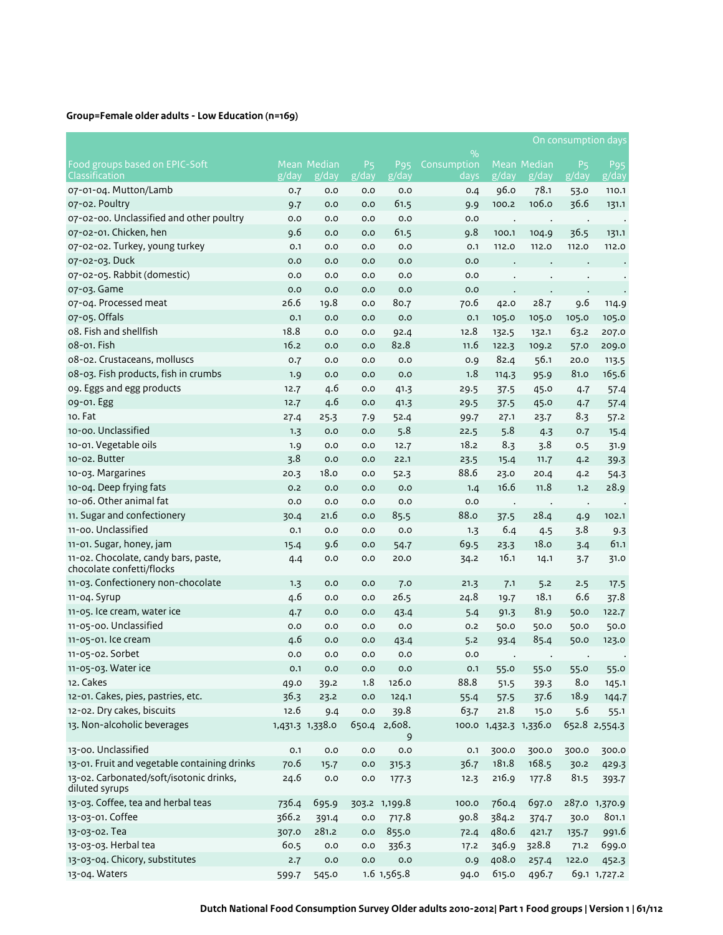# **Group=Female older adults - Low Education (n=169)**

|                                                           |       |                      |                               |                   |                     |                       |                      |                                      | On consumption days      |
|-----------------------------------------------------------|-------|----------------------|-------------------------------|-------------------|---------------------|-----------------------|----------------------|--------------------------------------|--------------------------|
|                                                           |       |                      |                               |                   | $\%$                |                       |                      |                                      |                          |
| Food groups based on EPIC-Soft<br>Classification          | g/day | Mean Median<br>g/day | <b>P<sub>5</sub></b><br>g/day | Pg5<br>g/day      | Consumption<br>days | g/day                 | Mean Median<br>g/day | P <sub>5</sub><br>$\overline{g}/day$ | P <sub>95</sub><br>g/day |
| 07-01-04. Mutton/Lamb                                     | 0.7   | 0.0                  | 0.0                           | 0.0               | 0.4                 | 96.0                  | 78.1                 | 53.0                                 | 110.1                    |
| 07-02. Poultry                                            | 9.7   | 0.0                  | 0.0                           | 61.5              | 9.9                 | 100.2                 | 106.0                | 36.6                                 | 131.1                    |
| 07-02-00. Unclassified and other poultry                  | 0.0   | 0.0                  | 0.0                           | 0.0               | 0.0                 |                       |                      |                                      |                          |
| 07-02-01. Chicken, hen                                    | 9.6   | 0.0                  | 0.0                           | 61.5              | 9.8                 | $\,$ .<br>100.1       | $\bullet$<br>104.9   | $\bullet$<br>36.5                    | 131.1                    |
| 07-02-02. Turkey, young turkey                            | 0.1   | 0.0                  | 0.0                           | 0.0               | 0.1                 | 112.0                 | 112.0                | 112.0                                | 112.0                    |
| 07-02-03. Duck                                            | 0.0   | 0.0                  | 0.0                           | 0.0               | 0.0                 |                       |                      |                                      |                          |
| 07-02-05. Rabbit (domestic)                               | 0.0   | 0.0                  | 0.0                           | 0.0               | 0.0                 |                       |                      |                                      |                          |
| 07-03. Game                                               | 0.0   | 0.0                  | 0.0                           | 0.0               | 0.0                 |                       |                      |                                      |                          |
| 07-04. Processed meat                                     | 26.6  | 19.8                 | 0.0                           | 80.7              | 70.6                | 42.0                  | 28.7                 | 9.6                                  | 114.9                    |
| 07-05. Offals                                             | O.1   | 0.0                  | 0.0                           | 0.0               | O.1                 | 105.0                 | 105.0                | 105.0                                | 105.0                    |
| o8. Fish and shellfish                                    | 18.8  | 0.0                  | 0.0                           | 92.4              | 12.8                | 132.5                 | 132.1                | 63.2                                 | 207.0                    |
| 08-01. Fish                                               | 16.2  | 0.0                  | 0.0                           | 82.8              | 11.6                | 122.3                 | 109.2                | 57.0                                 | 209.0                    |
| 08-02. Crustaceans, molluscs                              | 0.7   | 0.0                  | 0.0                           | 0.0               | 0.9                 | 82.4                  | 56.1                 | 20.0                                 | 113.5                    |
| 08-03. Fish products, fish in crumbs                      | 1.9   | 0.0                  | 0.0                           | 0.0               | 1.8                 | 114.3                 | 95.9                 | 81.0                                 | 165.6                    |
| og. Eggs and egg products                                 | 12.7  | 4.6                  | 0.0                           | 41.3              | 29.5                | 37.5                  | 45.0                 | 4.7                                  | 57.4                     |
| 09-01. Egg                                                | 12.7  | 4.6                  | 0.0                           | 41.3              | 29.5                | 37.5                  | 45.0                 | 4.7                                  | 57.4                     |
| 10. Fat                                                   | 27.4  | 25.3                 | 7.9                           | 52.4              | 99.7                | 27.1                  | 23.7                 | 8.3                                  | 57.2                     |
| 10-00. Unclassified                                       | 1.3   | 0.0                  | 0.0                           | 5.8               | 22.5                | 5.8                   | 4.3                  | 0.7                                  | 15.4                     |
| 10-01. Vegetable oils                                     | 1.9   | 0.0                  | 0.0                           | 12.7              | 18.2                | 8.3                   | 3.8                  | 0.5                                  | 31.9                     |
| 10-02. Butter                                             | 3.8   | 0.0                  | 0.0                           | 22.1              | 23.5                | 15.4                  | 11.7                 | 4.2                                  | 39.3                     |
| 10-03. Margarines                                         | 20.3  | 18.0                 | 0.0                           | 52.3              | 88.6                | 23.0                  | 20.4                 | 4.2                                  | 54.3                     |
| 10-04. Deep frying fats                                   | 0.2   | 0.0                  | 0.0                           | 0.0               | 1.4                 | 16.6                  | 11.8                 | 1.2                                  | 28.9                     |
| 10-06. Other animal fat                                   | 0.0   | 0.0                  | 0.0                           | 0.0               | 0.0                 | $\cdot$               | $\cdot$              | $\,$ .                               |                          |
| 11. Sugar and confectionery                               | 30.4  | 21.6                 | 0.0                           | 85.5              | 88.0                | 37.5                  | 28.4                 | 4.9                                  | 102.1                    |
| 11-00. Unclassified                                       | O.1   | 0.0                  | 0.0                           | 0.0               | 1.3                 | 6.4                   | 4.5                  | 3.8                                  | 9.3                      |
| 11-01. Sugar, honey, jam                                  | 15.4  | 9.6                  | 0.0                           | 54.7              | 69.5                | 23.3                  | 18.0                 | 3.4                                  | 61.1                     |
| 11-02. Chocolate, candy bars, paste,                      | 4.4   | 0.0                  | 0.0                           | 20.0              | 34.2                | 16.1                  | 14.1                 | 3.7                                  | 31.0                     |
| chocolate confetti/flocks                                 |       |                      |                               |                   |                     |                       |                      |                                      |                          |
| 11-03. Confectionery non-chocolate                        | 1.3   | 0.0                  | 0.0                           | 7.0               | 21.3                | 7.1                   | 5.2                  | 2.5                                  | 17.5                     |
| 11-04. Syrup                                              | 4.6   | 0.0                  | 0.0                           | 26.5              | 24.8                | 19.7                  | 18.1                 | 6.6                                  | 37.8                     |
| 11-05. Ice cream, water ice                               | 4.7   | 0.0                  | 0.0                           | 43.4              | 5.4                 | 91.3                  | 81.9                 | 50.0                                 | 122.7                    |
| 11-05-00. Unclassified                                    | 0.0   | 0.0                  | 0.0                           | 0.0               | 0.2                 | 50.0                  | 50.0                 | 50.0                                 | 50.0                     |
| 11-05-01. Ice cream                                       | 4.6   | 0.0                  | 0.0                           | 43.4              | 5.2                 | 93.4                  | 85.4                 | 50.0                                 | 123.0                    |
| 11-05-02. Sorbet                                          | 0.0   | 0.0                  | 0.0                           | 0.0               | 0.0                 |                       |                      |                                      |                          |
| 11-05-03. Water ice                                       | 0.1   | 0.0                  | 0.0                           | 0.0               | 0.1                 | 55.0                  | 55.0                 | 55.0                                 | 55.0                     |
| 12. Cakes                                                 | 49.0  | 39.2                 | 1.8                           | 126.0             | 88.8                | 51.5                  | 39.3                 | 8.0                                  | 145.1                    |
| 12-01. Cakes, pies, pastries, etc.                        | 36.3  | 23.2                 | 0.0                           | 124.1             | 55.4                | 57.5                  | 37.6                 | 18.9                                 | 144.7                    |
| 12-02. Dry cakes, biscuits                                | 12.6  | 9.4                  | 0.0                           | 39.8              | 63.7                | 21.8                  | 15.0                 | 5.6                                  | 55.1                     |
| 13. Non-alcoholic beverages                               |       | 1,431.3 1,338.0      |                               | 650.4 2,608.<br>9 |                     | 100.0 1,432.3 1,336.0 |                      |                                      | 652.8 2,554.3            |
| 13-00. Unclassified                                       | 0.1   | 0.0                  | 0.0                           | 0.0               | 0.1                 | 300.0                 | 300.0                | 300.0                                | 300.0                    |
| 13-01. Fruit and vegetable containing drinks              | 70.6  | 15.7                 | 0.0                           | 315.3             | 36.7                | 181.8                 | 168.5                | 30.2                                 | 429.3                    |
| 13-02. Carbonated/soft/isotonic drinks,<br>diluted syrups | 24.6  | 0.0                  | 0.0                           | 177.3             | 12.3                | 216.9                 | 177.8                | 81.5                                 | 393.7                    |
| 13-03. Coffee, tea and herbal teas                        | 736.4 | 695.9                |                               | 303.2 1,199.8     | 100.0               | 760.4                 | 697.0                |                                      | 287.0 1,370.9            |
| 13-03-01. Coffee                                          | 366.2 | 391.4                | $_{\rm 0.0}$                  | 717.8             | 90.8                | 384.2                 | 374.7                | 30.0                                 | 801.1                    |
| 13-03-02. Tea                                             | 307.0 | 281.2                | 0.0                           | 855.0             | 72.4                | 480.6                 | 421.7                | 135.7                                | 991.6                    |
| 13-03-03. Herbal tea                                      | 60.5  | 0.0                  | 0.0                           | 336.3             | 17.2                | 346.9                 | 328.8                | 71.2                                 | 699.0                    |
| 13-03-04. Chicory, substitutes                            | 2.7   | 0.0                  | 0.0                           | 0.0               | 0.9                 | 408.0                 | 257.4                | 122.0                                | 452.3                    |
| 13-04. Waters                                             | 599.7 | 545.0                |                               | 1.6 1,565.8       | 94.0                | 615.0                 | 496.7                |                                      | 69.1 1,727.2             |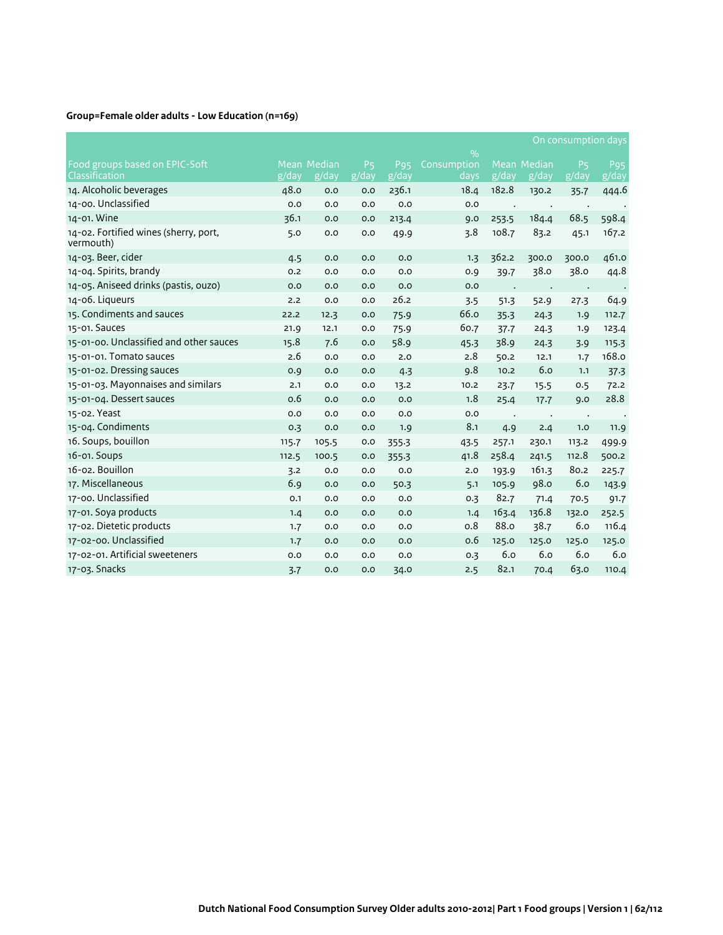# **Group=Female older adults - Low Education (n=169)**

|                                                    |                    |             |                         |                        |                              |       |             | On consumption days     |                          |
|----------------------------------------------------|--------------------|-------------|-------------------------|------------------------|------------------------------|-------|-------------|-------------------------|--------------------------|
| Food groups based on EPIC-Soft                     |                    | Mean Median |                         | <b>P</b> <sub>95</sub> | $\frac{9}{0}$<br>Consumption |       | Mean Median |                         |                          |
| Classification                                     | $\overline{g}/day$ | g/day       | P <sub>5</sub><br>g/day | g/day                  | days                         | g/day | g/day       | P <sub>5</sub><br>g/day | P <sub>95</sub><br>g/day |
| 14. Alcoholic beverages                            | 48.0               | 0.0         | 0.0                     | 236.1                  | 18.4                         | 182.8 | 130.2       | 35.7                    | 444.6                    |
| 14-00. Unclassified                                | 0.0                | 0.0         | 0.0                     | 0.0                    | 0.0                          |       |             |                         |                          |
| 14-01. Wine                                        | 36.1               | 0.0         | 0.0                     | 213.4                  | 9.0                          | 253.5 | 184.4       | 68.5                    | 598.4                    |
| 14-02. Fortified wines (sherry, port,<br>vermouth) | 5.0                | 0.0         | 0.0                     | 49.9                   | 3.8                          | 108.7 | 83.2        | 45.1                    | 167.2                    |
| 14-03. Beer, cider                                 | 4.5                | 0.0         | 0.0                     | 0.0                    | 1.3                          | 362.2 | 300.0       | 300.0                   | 461.0                    |
| 14-04. Spirits, brandy                             | 0.2                | O.O         | 0.0                     | 0.0                    | 0.9                          | 39.7  | 38.0        | 38.0                    | 44.8                     |
| 14-05. Aniseed drinks (pastis, ouzo)               | 0.0                | O.O         | 0.0                     | O.O                    | 0.0                          |       |             | $\bullet$               | $\bullet$                |
| 14-06. Liqueurs                                    | 2.2                | 0.0         | 0.0                     | 26.2                   | 3.5                          | 51.3  | 52.9        | 27.3                    | 64.9                     |
| 15. Condiments and sauces                          | 22.2               | 12.3        | 0.0                     | 75.9                   | 66.0                         | 35.3  | 24.3        | 1.9                     | 112.7                    |
| 15-01. Sauces                                      | 21.9               | 12.1        | 0.0                     | 75.9                   | 60.7                         | 37.7  | 24.3        | 1.9                     | 123.4                    |
| 15-01-00. Unclassified and other sauces            | 15.8               | 7.6         | 0.0                     | 58.9                   | 45.3                         | 38.9  | 24.3        | 3.9                     | 115.3                    |
| 15-01-01. Tomato sauces                            | 2.6                | 0.0         | 0.0                     | 2.0                    | 2.8                          | 50.2  | 12.1        | 1.7                     | 168.0                    |
| 15-01-02. Dressing sauces                          | 0.9                | 0.0         | 0.0                     | 4.3                    | 9.8                          | 10.2  | 6.0         | 1.1                     | 37.3                     |
| 15-01-03. Mayonnaises and similars                 | 2.1                | 0.0         | 0.0                     | 13.2                   | 10.2                         | 23.7  | 15.5        | 0.5                     | 72.2                     |
| 15-01-04. Dessert sauces                           | 0.6                | 0.0         | 0.0                     | 0.0                    | 1.8                          | 25.4  | 17.7        | 9.0                     | 28.8                     |
| 15-02. Yeast                                       | 0.0                | O.O         | 0.0                     | 0.0                    | 0.0                          |       | $\cdot$     | $\bullet$               |                          |
| 15-04. Condiments                                  | 0.3                | 0.0         | 0.0                     | 1.9                    | 8.1                          | 4.9   | 2.4         | 1.0                     | 11.9                     |
| 16. Soups, bouillon                                | 115.7              | 105.5       | 0.0                     | 355.3                  | 43.5                         | 257.1 | 230.1       | 113.2                   | 499.9                    |
| 16-01. Soups                                       | 112.5              | 100.5       | 0.0                     | 355.3                  | 41.8                         | 258.4 | 241.5       | 112.8                   | 500.2                    |
| 16-02. Bouillon                                    | 3.2                | 0.0         | 0.0                     | 0.0                    | 2.0                          | 193.9 | 161.3       | 80.2                    | 225.7                    |
| 17. Miscellaneous                                  | 6.9                | 0.0         | 0.0                     | 50.3                   | 5.1                          | 105.9 | 98.0        | 6.0                     | 143.9                    |
| 17-00. Unclassified                                | 0.1                | 0.0         | 0.0                     | 0.0                    | 0.3                          | 82.7  | 71.4        | 70.5                    | 91.7                     |
| 17-01. Soya products                               | 1.4                | 0.0         | 0.0                     | 0.0                    | 1.4                          | 163.4 | 136.8       | 132.0                   | 252.5                    |
| 17-02. Dietetic products                           | 1.7                | 0.0         | 0.0                     | 0.0                    | 0.8                          | 88.o  | 38.7        | 6.0                     | 116.4                    |
| 17-02-00. Unclassified                             | 1.7                | O.O         | 0.0                     | O.O                    | 0.6                          | 125.0 | 125.0       | 125.0                   | 125.0                    |
| 17-02-01. Artificial sweeteners                    | 0.0                | O.O         | 0.0                     | 0.0                    | 0.3                          | 6.0   | 6.0         | 6.0                     | 6.0                      |
| 17-03. Snacks                                      | 3.7                | O.O         | 0.0                     | 34.0                   | 2.5                          | 82.1  | 70.4        | 63.0                    | 110.4                    |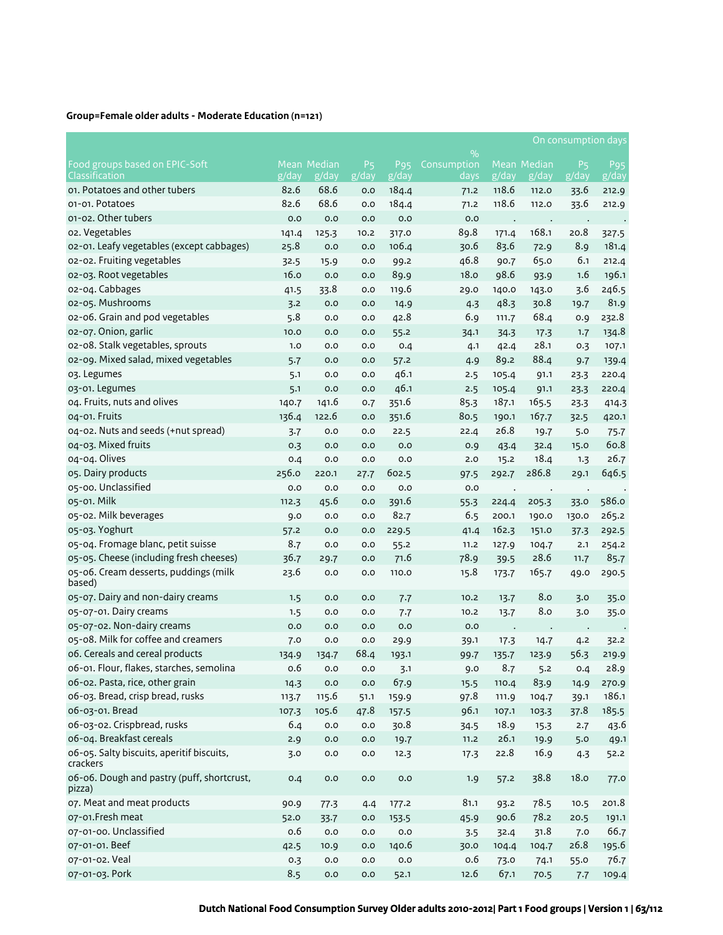# **Group=Female older adults - Moderate Education (n=121)**

|                                                       |       |                    |                      |                 |               |       |             | On consumption days           |                 |
|-------------------------------------------------------|-------|--------------------|----------------------|-----------------|---------------|-------|-------------|-------------------------------|-----------------|
|                                                       |       |                    |                      |                 | $\frac{9}{0}$ |       |             |                               |                 |
| Food groups based on EPIC-Soft                        |       | <b>Mean Median</b> | <b>P<sub>5</sub></b> | P <sub>95</sub> | Consumption   |       | Mean Median | P <sub>5</sub>                | P <sub>95</sub> |
| Classification                                        | g/day | g/day              | $\sqrt{g/day}$       | g/day           | days          | g/day | g/day       | $\overline{g}/\overline{day}$ | g/day           |
| 01. Potatoes and other tubers                         | 82.6  | 68.6               | 0.0                  | 184.4           | 71.2          | 118.6 | 112.0       | 33.6                          | 212.9           |
| 01-01. Potatoes                                       | 82.6  | 68.6               | 0.0                  | 184.4           | 71.2          | 118.6 | 112.0       | 33.6                          | 212.9           |
| 01-02. Other tubers                                   | 0.0   | 0.0                | 0.0                  | 0.0             | 0.0           |       |             |                               |                 |
| o2. Vegetables                                        | 141.4 | 125.3              | 10.2                 | 317.0           | 89.8          | 171.4 | 168.1       | 20.8                          | 327.5           |
| 02-01. Leafy vegetables (except cabbages)             | 25.8  | 0.0                | 0.0                  | 106.4           | 30.6          | 83.6  | 72.9        | 8.9                           | 181.4           |
| 02-02. Fruiting vegetables                            | 32.5  | 15.9               | 0.0                  | 99.2            | 46.8          | 90.7  | 65.0        | 6.1                           | 212.4           |
| 02-03. Root vegetables                                | 16.0  | 0.0                | 0.0                  | 89.9            | 18.0          | 98.6  | 93.9        | 1.6                           | 196.1           |
| 02-04. Cabbages                                       | 41.5  | 33.8               | 0.0                  | 119.6           | 29.0          | 140.0 | 143.0       | 3.6                           | 246.5           |
| 02-05. Mushrooms                                      | 3.2   | 0.0                | 0.0                  | 14.9            | 4.3           | 48.3  | 30.8        | 19.7                          | 81.9            |
| o2-o6. Grain and pod vegetables                       | 5.8   | 0.0                | 0.0                  | 42.8            | 6.9           | 111.7 | 68.4        | 0.9                           | 232.8           |
| 02-07. Onion, garlic                                  | 10.0  | 0.0                | 0.0                  | 55.2            | 34.1          | 34.3  | 17.3        | 1.7                           | 134.8           |
| 02-08. Stalk vegetables, sprouts                      | 1.0   | 0.0                | 0.0                  | 0.4             | 4.1           | 42.4  | 28.1        | 0.3                           | 107.1           |
| o2-o9. Mixed salad, mixed vegetables                  | 5.7   | 0.0                | 0.0                  | 57.2            | 4.9           | 89.2  | 88.4        | 9.7                           | 139.4           |
| 03. Legumes                                           | 5.1   | 0.0                | 0.0                  | 46.1            | 2.5           | 105.4 | 91.1        | 23.3                          | 220.4           |
| 03-01. Legumes                                        | 5.1   | 0.0                | 0.0                  | 46.1            | 2.5           | 105.4 | 91.1        | 23.3                          | 220.4           |
| 04. Fruits, nuts and olives                           | 140.7 | 141.6              | 0.7                  | 351.6           | 85.3          | 187.1 | 165.5       | 23.3                          | 414.3           |
| 04-01. Fruits                                         | 136.4 | 122.6              | 0.0                  | 351.6           | 80.5          | 190.1 | 167.7       | 32.5                          | 420.1           |
| 04-02. Nuts and seeds (+nut spread)                   | 3.7   | 0.0                | 0.0                  | 22.5            | 22.4          | 26.8  | 19.7        | 5.0                           | 75.7            |
| 04-03. Mixed fruits                                   | 0.3   | 0.0                | 0.0                  | 0.0             | 0.9           | 43.4  | 32.4        | 15.0                          | 60.8            |
| 04-04. Olives                                         | 0.4   | 0.0                | 0.0                  | O.O             | 2.0           | 15.2  | 18.4        | 1.3                           | 26.7            |
| 05. Dairy products                                    | 256.0 | 220.1              | 27.7                 | 602.5           | 97.5          | 292.7 | 286.8       | 29.1                          | 646.5           |
| 05-00. Unclassified                                   | 0.0   | 0.0                | 0.0                  | 0.0             | 0.0           |       | $\cdot$     |                               |                 |
| 05-01. Milk                                           | 112.3 | 45.6               | 0.0                  | 391.6           | 55.3          | 224.4 | 205.3       | 33.0                          | 586.0           |
| 05-02. Milk beverages                                 | 9.0   | 0.0                | 0.0                  | 82.7            | 6.5           | 200.1 | 190.0       | 130.0                         | 265.2           |
| 05-03. Yoghurt                                        | 57.2  | 0.0                | 0.0                  | 229.5           | 41.4          | 162.3 | 151.0       | 37.3                          | 292.5           |
| 05-04. Fromage blanc, petit suisse                    | 8.7   | 0.0                | 0.0                  | 55.2            | 11.2          | 127.9 | 104.7       | 2.1                           | 254.2           |
| 05-05. Cheese (including fresh cheeses)               | 36.7  | 29.7               | 0.0                  | 71.6            | 78.9          | 39.5  | 28.6        | 11.7                          | 85.7            |
| 05-06. Cream desserts, puddings (milk<br>based)       | 23.6  | 0.0                | 0.0                  | 110.0           | 15.8          | 173.7 | 165.7       | 49.0                          | 290.5           |
| 05-07. Dairy and non-dairy creams                     | 1.5   | 0.0                | 0.0                  | 7.7             | 10.2          | 13.7  | 8.0         | 3.0                           | 35.0            |
| 05-07-01. Dairy creams                                | 1.5   | 0.0                | 0.0                  | 7.7             | 10.2          | 13.7  | 8.0         | 3.0                           | 35.0            |
| 05-07-02. Non-dairy creams                            | 0.0   | 0.0                | 0.0                  | 0.0             | 0.0           |       |             |                               |                 |
| 05-08. Milk for coffee and creamers                   | 7.0   | 0.0                | 0.0                  | 29.9            | 39.1          | 17.3  | 14.7        | 4.2                           | 32.2            |
| o6. Cereals and cereal products                       | 134.9 | 134.7              | 68.4                 | 193.1           | 99.7          | 135.7 | 123.9       | 56.3                          | 219.9           |
| 06-01. Flour, flakes, starches, semolina              | 0.6   | 0.0                | 0.0                  | 3.1             | 9.0           | 8.7   | 5.2         | 0.4                           | 28.9            |
| 06-02. Pasta, rice, other grain                       | 14.3  | $_{\rm 0.0}$       | 0.0                  | 67.9            | 15.5          | 110.4 | 83.9        | 14.9                          | 270.9           |
| 06-03. Bread, crisp bread, rusks                      | 113.7 | 115.6              | 51.1                 | 159.9           | 97.8          | 111.9 | 104.7       | 39.1                          | 186.1           |
| 06-03-01. Bread                                       | 107.3 | 105.6              | 47.8                 | 157.5           | 96.1          | 107.1 | 103.3       | 37.8                          | 185.5           |
| 06-03-02. Crispbread, rusks                           | 6.4   | $_{\rm 0.0}$       | 0.0                  | 30.8            | 34.5          | 18.9  | 15.3        | 2.7                           | 43.6            |
| 06-04. Breakfast cereals                              | 2.9   | $_{\rm 0.0}$       | $_{\rm 0.0}$         | 19.7            | 11.2          | 26.1  | 19.9        | 5.0                           | 49.1            |
| 06-05. Salty biscuits, aperitif biscuits,<br>crackers | 3.0   | 0.0                | 0.0                  | 12.3            | 17.3          | 22.8  | 16.9        | 4.3                           | 52.2            |
| 06-06. Dough and pastry (puff, shortcrust,<br>pizza)  | 0.4   | $_{\rm 0.0}$       | $_{\rm 0.0}$         | 0.0             | 1.9           | 57.2  | 38.8        | 18.0                          | 77.0            |
| 07. Meat and meat products                            | 90.9  | 77.3               | 4.4                  | 177.2           | 81.1          | 93.2  | 78.5        | 10.5                          | 201.8           |
| 07-01.Fresh meat                                      | 52.0  | 33.7               | 0.0                  | 153.5           | 45.9          | 90.6  | 78.2        | 20.5                          | 191.1           |
| 07-01-00. Unclassified                                | 0.6   | 0.0                | 0.0                  | $_{0.0}$        | 3.5           | 32.4  | 31.8        | 7.0                           | 66.7            |
| 07-01-01. Beef                                        | 42.5  | 10.9               | 0.0                  | 140.6           | 30.0          | 104.4 | 104.7       | 26.8                          | 195.6           |
| 07-01-02. Veal                                        | 0.3   | 0.0                | 0.0                  | 0.0             | 0.6           | 73.0  | 74.1        | 55.0                          | 76.7            |
| 07-01-03. Pork                                        | 8.5   | $_{\rm 0.0}$       | 0.0                  | 52.1            | 12.6          | 67.1  | 70.5        | 7.7                           | 109.4           |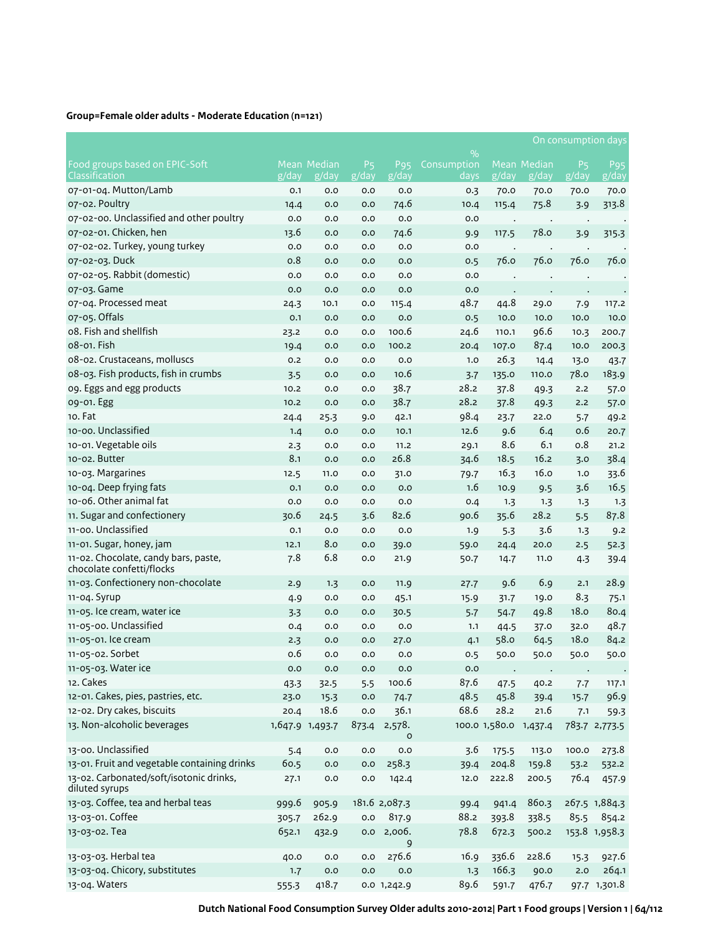# **Group=Female older adults - Moderate Education (n=121)**

|                                                                   |       |                 |                      |                        |             |                       |             |                | On consumption days |
|-------------------------------------------------------------------|-------|-----------------|----------------------|------------------------|-------------|-----------------------|-------------|----------------|---------------------|
|                                                                   |       |                 |                      |                        | $\%$        |                       |             |                |                     |
| Food groups based on EPIC-Soft                                    |       | Mean Median     | <b>P<sub>5</sub></b> | P <sub>95</sub>        | Consumption |                       | Mean Median | P <sub>5</sub> | P <sub>95</sub>     |
| Classification                                                    | g/day | g/day           | $\overline{g}/day$   | g/day                  | days        | g/day                 | g/day       | g/day          | g/day               |
| 07-01-04. Mutton/Lamb<br>07-02. Poultry                           | 0.1   | 0.0             | 0.0                  | 0.0                    | 0.3         | 70.0                  | 70.0        | 70.0           | 70.0                |
|                                                                   | 14.4  | 0.0             | 0.0                  | 74.6                   | 10.4        | 115.4                 | 75.8        | 3.9            | 313.8               |
| 07-02-00. Unclassified and other poultry                          | 0.0   | 0.0             | 0.0                  | 0.0                    | 0.0         | $\cdot$               |             | $\,$ .         |                     |
| 07-02-01. Chicken, hen                                            | 13.6  | 0.0             | 0.0                  | 74.6                   | 9.9         | 117.5                 | 78.0        | 3.9            | 315.3               |
| 07-02-02. Turkey, young turkey                                    | 0.0   | 0.0             | 0.0                  | 0.0                    | 0.0         | $\cdot$               | $\cdot$     | $\bullet$      |                     |
| 07-02-03. Duck                                                    | 0.8   | 0.0             | 0.0                  | 0.0                    | 0.5         | 76.0                  | 76.0        | 76.0           | 76.0                |
| 07-02-05. Rabbit (domestic)                                       | 0.0   | 0.0             | 0.0                  | 0.0                    | 0.0         |                       |             |                |                     |
| 07-03. Game                                                       | 0.0   | 0.0             | 0.0                  | 0.0                    | 0.0         |                       |             | $\bullet$      |                     |
| 07-04. Processed meat                                             | 24.3  | 10.1            | 0.0                  | 115.4                  | 48.7        | 44.8                  | 29.0        | 7.9            | 117.2               |
| 07-05. Offals                                                     | O.1   | 0.0             | 0.0                  | 0.0                    | 0.5         | 10.0                  | 10.0        | 10.0           | 10.0                |
| 08. Fish and shellfish                                            | 23.2  | 0.0             | 0.0                  | 100.6                  | 24.6        | 110.1                 | 96.6        | 10.3           | 200.7               |
| 08-01. Fish                                                       | 19.4  | 0.0             | 0.0                  | 100.2                  | 20.4        | 107.0                 | 87.4        | 10.0           | 200.3               |
| 08-02. Crustaceans, molluscs                                      | 0.2   | 0.0             | 0.0                  | 0.0                    | 1.0         | 26.3                  | 14.4        | 13.0           | 43.7                |
| 08-03. Fish products, fish in crumbs                              | 3.5   | 0.0             | 0.0                  | 10.6                   | 3.7         | 135.0                 | 110.0       | 78.0           | 183.9               |
| og. Eggs and egg products                                         | 10.2  | 0.0             | 0.0                  | 38.7                   | 28.2        | 37.8                  | 49.3        | 2.2            | 57.0                |
| 09-01. Egg                                                        | 10.2  | 0.0             | 0.0                  | 38.7                   | 28.2        | 37.8                  | 49.3        | 2.2            | 57.0                |
| 10. Fat                                                           | 24.4  | 25.3            | 9.0                  | 42.1                   | 98.4        | 23.7                  | 22.0        | $5-7$          | 49.2                |
| 10-00. Unclassified                                               | 1.4   | 0.0             | 0.0                  | 10.1                   | 12.6        | 9.6                   | 6.4         | 0.6            | 20.7                |
| 10-01. Vegetable oils                                             | 2.3   | 0.0             | 0.0                  | 11.2                   | 29.1        | 8.6                   | 6.1         | 0.8            | 21.2                |
| 10-02. Butter                                                     | 8.1   | 0.0             | 0.0                  | 26.8                   | 34.6        | 18.5                  | 16.2        | 3.0            | 38.4                |
| 10-03. Margarines                                                 | 12.5  | 11.0            | 0.0                  | 31.0                   | 79.7        | 16.3                  | 16.0        | 1.0            | 33.6                |
| 10-04. Deep frying fats                                           | 0.1   | 0.0             | 0.0                  | 0.0                    | 1.6         | 10.9                  | 9.5         | 3.6            | 16.5                |
| 10-06. Other animal fat                                           | 0.0   | 0.0             | 0.0                  | 0.0                    | 0.4         | 1.3                   | 1.3         | 1.3            | 1.3                 |
| 11. Sugar and confectionery                                       | 30.6  | 24.5            | 3.6                  | 82.6                   | 90.6        | 35.6                  | 28.2        | 5.5            | 87.8                |
| 11-00. Unclassified                                               | 0.1   | 0.0             | 0.0                  | 0.0                    | 1.9         | 5.3                   | 3.6         | 1.3            | 9.2                 |
| 11-01. Sugar, honey, jam                                          | 12.1  | 8.0             | 0.0                  | 39.0                   | 59.0        | 24.4                  | 20.0        | 2.5            | 52.3                |
| 11-02. Chocolate, candy bars, paste,<br>chocolate confetti/flocks | 7.8   | 6.8             | 0.0                  | 21.9                   | 50.7        | 14.7                  | 11.0        | 4.3            | 39.4                |
| 11-03. Confectionery non-chocolate                                | 2.9   | 1.3             | 0.0                  | 11.9                   | 27.7        | 9.6                   | 6.9         | 2.1            | 28.9                |
| 11-04. Syrup                                                      | 4.9   | 0.0             | 0.0                  | 45.1                   | 15.9        | 31.7                  | 19.0        | 8.3            | 75.1                |
| 11-05. Ice cream, water ice                                       | 3.3   | 0.0             | 0.0                  | 30.5                   | 5.7         | 54.7                  | 49.8        | 18.0           | 80.4                |
| 11-05-00. Unclassified                                            | 0.4   | 0.0             | 0.0                  | 0.0                    | 1.1         | 44.5                  | 37.0        | 32.0           | 48.7                |
| 11-05-01. Ice cream                                               | 2.3   | 0.0             | 0.0                  | 27.0                   | 4.1         | 58.0                  | 64.5        | 18.0           | 84.2                |
| 11-05-02. Sorbet                                                  | 0.6   | 0.0             | 0.0                  | 0.0                    | 0.5         | 50.0                  | 50.0        | 50.0           | 50.0                |
| 11-05-03. Water ice                                               | 0.0   | 0.0             | 0.0                  | 0.0                    | 0.0         |                       |             |                |                     |
| 12. Cakes                                                         | 43.3  | 32.5            | 5.5                  | 100.6                  | 87.6        | 47.5                  | 40.2        | 7.7            | 117.1               |
| 12-01. Cakes, pies, pastries, etc.                                | 23.0  | 15.3            | 0.0                  | 74.7                   | 48.5        | 45.8                  | 39.4        | 15.7           | 96.9                |
| 12-02. Dry cakes, biscuits                                        | 20.4  | 18.6            | 0.0                  | 36.1                   | 68.6        | 28.2                  | 21.6        | 7.1            | 59.3                |
| 13. Non-alcoholic beverages                                       |       | 1,647.9 1,493.7 | 873.4                | 2,578.<br>$\mathsf{o}$ |             | 100.0 1,580.0 1,437.4 |             |                | 783.7 2,773.5       |
| 13-00. Unclassified                                               | 5.4   | 0.0             | 0.0                  | 0.0                    | 3.6         | 175.5                 | 113.0       | 100.0          | 273.8               |
| 13-01. Fruit and vegetable containing drinks                      | 60.5  | 0.0             | 0.0                  | 258.3                  | 39.4        | 204.8                 | 159.8       | 53.2           | 532.2               |
| 13-02. Carbonated/soft/isotonic drinks,<br>diluted syrups         | 27.1  | 0.0             | 0.0                  | 142.4                  | 12.0        | 222.8                 | 200.5       | 76.4           | 457.9               |
| 13-03. Coffee, tea and herbal teas                                | 999.6 | 905.9           |                      | 181.6 2,087.3          | 99.4        | 941.4                 | 860.3       |                | 267.5 1,884.3       |
| 13-03-01. Coffee                                                  | 305.7 | 262.9           | 0.0                  | 817.9                  | 88.2        | 393.8                 | 338.5       | 85.5           | 854.2               |
| 13-03-02. Tea                                                     | 652.1 | 432.9           | 0.0                  | 2,006.<br>9            | 78.8        | 672.3                 | 500.2       |                | 153.8 1,958.3       |
| 13-03-03. Herbal tea                                              | 40.0  | 0.0             | 0.0                  | 276.6                  | 16.9        | 336.6                 | 228.6       | 15.3           | 927.6               |
| 13-03-04. Chicory, substitutes                                    | 1.7   | 0.0             | 0.0                  | 0.0                    | 1.3         | 166.3                 | 90.0        | 2.0            | 264.1               |
| 13-04. Waters                                                     | 555-3 | 418.7           |                      | 0.0 1,242.9            | 89.6        | 591.7                 | 476.7       |                | 97.7 1,301.8        |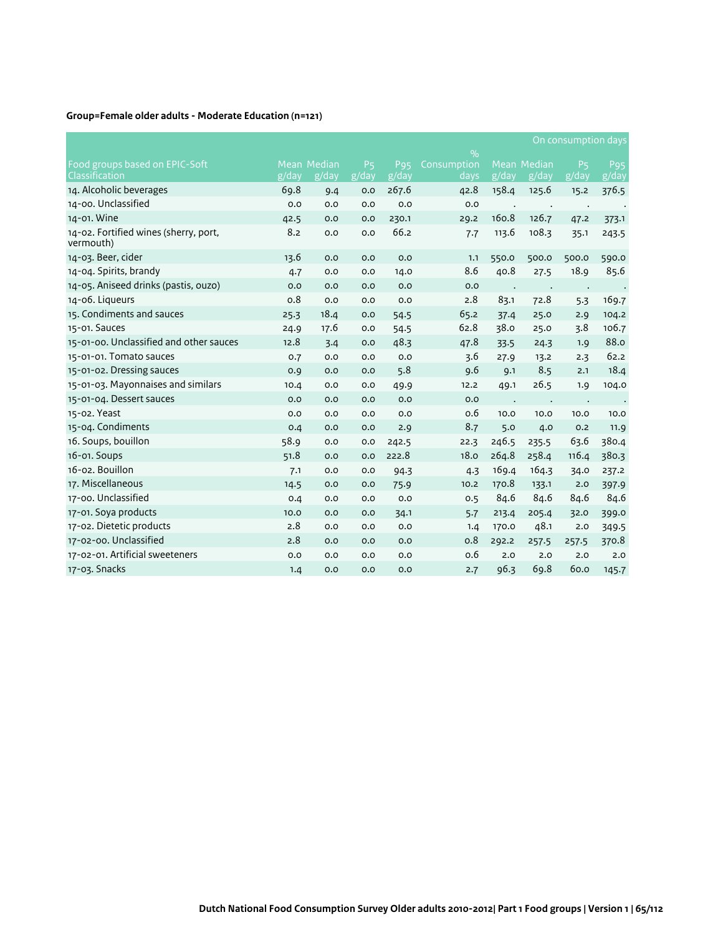# **Group=Female older adults - Moderate Education (n=121)**

|                                                    |                               |             |                |                 |                              |       |             | On consumption days |       |
|----------------------------------------------------|-------------------------------|-------------|----------------|-----------------|------------------------------|-------|-------------|---------------------|-------|
| Food groups based on EPIC-Soft                     |                               | Mean Median | P <sub>5</sub> | P <sub>95</sub> | $\frac{9}{6}$<br>Consumption |       | Mean Median | P <sub>5</sub>      | P95   |
| Classification                                     | $\overline{g}/\overline{day}$ | g/day       | g/day          | g/day           | days                         | g/day | g/day       | g/day               | g/day |
| 14. Alcoholic beverages                            | 69.8                          | 9.4         | 0.0            | 267.6           | 42.8                         | 158.4 | 125.6       | 15.2                | 376.5 |
| 14-00. Unclassified                                | 0.0                           | 0.0         | 0.0            | 0.0             | 0.0                          |       |             |                     |       |
| 14-01. Wine                                        | 42.5                          | 0.0         | 0.0            | 230.1           | 29.2                         | 160.8 | 126.7       | 47.2                | 373.1 |
| 14-02. Fortified wines (sherry, port,<br>vermouth) | 8.2                           | 0.0         | 0.0            | 66.2            | 7.7                          | 113.6 | 108.3       | 35.1                | 243.5 |
| 14-03. Beer, cider                                 | 13.6                          | 0.0         | 0.0            | O.O             | 1.1                          | 550.0 | 500.0       | 500.0               | 590.0 |
| 14-04. Spirits, brandy                             | 4.7                           | 0.0         | 0.0            | 14.0            | 8.6                          | 40.8  | 27.5        | 18.9                | 85.6  |
| 14-05. Aniseed drinks (pastis, ouzo)               | 0.0                           | 0.0         | 0.0            | 0.0             | 0.0                          |       |             |                     |       |
| 14-06. Liqueurs                                    | 0.8                           | 0.0         | 0.0            | 0.0             | 2.8                          | 83.1  | 72.8        | 5.3                 | 169.7 |
| 15. Condiments and sauces                          | 25.3                          | 18.4        | 0.0            | 54.5            | 65.2                         | 37.4  | 25.0        | 2.9                 | 104.2 |
| 15-01. Sauces                                      | 24.9                          | 17.6        | 0.0            | 54.5            | 62.8                         | 38.0  | 25.0        | 3.8                 | 106.7 |
| 15-01-00. Unclassified and other sauces            | 12.8                          | 3.4         | 0.0            | 48.3            | 47.8                         | 33.5  | 24.3        | 1.9                 | 88.0  |
| 15-01-01. Tomato sauces                            | 0.7                           | 0.0         | 0.0            | 0.0             | 3.6                          | 27.9  | 13.2        | 2.3                 | 62.2  |
| 15-01-02. Dressing sauces                          | 0.9                           | 0.0         | 0.0            | 5.8             | 9.6                          | 9.1   | 8.5         | 2.1                 | 18.4  |
| 15-01-03. Mayonnaises and similars                 | 10.4                          | 0.0         | 0.0            | 49.9            | 12.2                         | 49.1  | 26.5        | 1.9                 | 104.0 |
| 15-01-04. Dessert sauces                           | 0.0                           | 0.0         | 0.0            | 0.0             | 0.0                          |       |             |                     |       |
| 15-02. Yeast                                       | 0.0                           | 0.0         | 0.0            | 0.0             | 0.6                          | 10.0  | 10.0        | 10.0                | 10.0  |
| 15-04. Condiments                                  | 0.4                           | 0.0         | 0.0            | 2.9             | 8.7                          | 5.0   | 4.0         | 0.2                 | 11.9  |
| 16. Soups, bouillon                                | 58.9                          | 0.0         | 0.0            | 242.5           | 22.3                         | 246.5 | 235.5       | 63.6                | 380.4 |
| 16-01. Soups                                       | 51.8                          | 0.0         | 0.0            | 222.8           | 18.0                         | 264.8 | 258.4       | 116.4               | 380.3 |
| 16-o2. Bouillon                                    | 7.1                           | 0.0         | 0.0            | 94.3            | 4.3                          | 169.4 | 164.3       | 34.0                | 237.2 |
| 17. Miscellaneous                                  | 14.5                          | 0.0         | 0.0            | 75.9            | 10.2                         | 170.8 | 133.1       | 2.0                 | 397.9 |
| 17-00. Unclassified                                | 0.4                           | 0.0         | 0.0            | 0.0             | 0.5                          | 84.6  | 84.6        | 84.6                | 84.6  |
| 17-01. Soya products                               | 10.0                          | 0.0         | 0.0            | 34.1            | 5.7                          | 213.4 | 205.4       | 32.0                | 399.0 |
| 17-02. Dietetic products                           | 2.8                           | 0.0         | 0.0            | O.O             | 1.4                          | 170.0 | 48.1        | 2.0                 | 349.5 |
| 17-02-00. Unclassified                             | 2.8                           | 0.0         | 0.0            | O.O             | 0.8                          | 292.2 | 257.5       | 257.5               | 370.8 |
| 17-02-01. Artificial sweeteners                    | 0.0                           | 0.0         | 0.0            | O.O             | 0.6                          | 2.0   | 2.0         | 2.0                 | 2.0   |
| 17-03. Snacks                                      | 1.4                           | 0.0         | 0.0            | 0.0             | 2.7                          | 96.3  | 69.8        | 60.0                | 145.7 |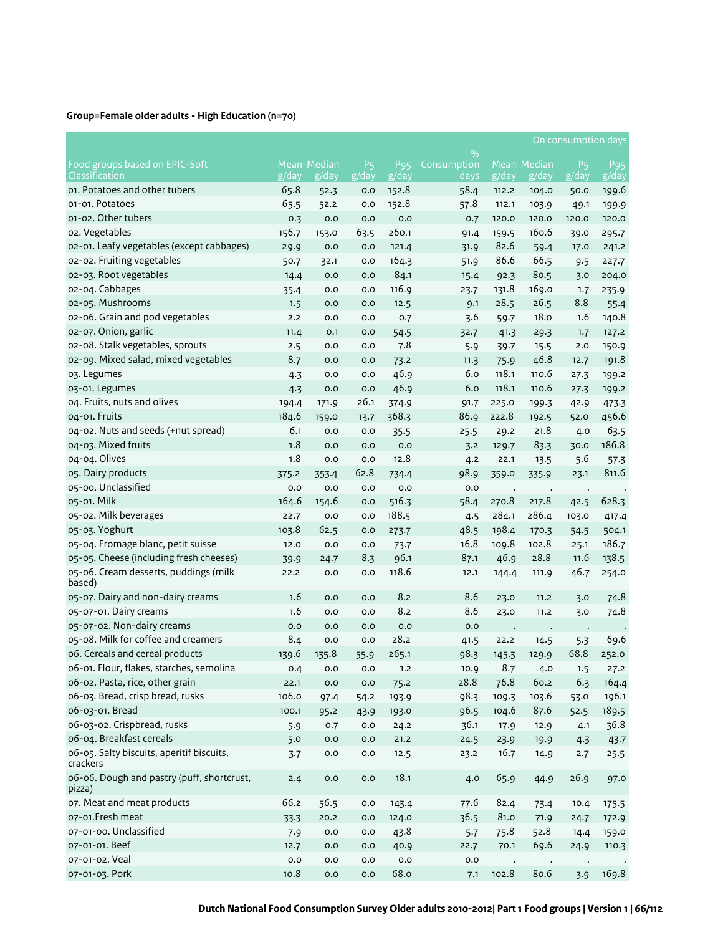# **Group=Female older adults - High Education (n=70)**

|                                                       |       |                             |                                               |                          |                     |       |                      | On consumption days                             |                          |
|-------------------------------------------------------|-------|-----------------------------|-----------------------------------------------|--------------------------|---------------------|-------|----------------------|-------------------------------------------------|--------------------------|
|                                                       |       |                             |                                               |                          | $\frac{9}{0}$       |       |                      |                                                 |                          |
| Food groups based on EPIC-Soft<br>Classification      | g/day | <b>Mean Median</b><br>g/day | <b>P<sub>5</sub></b><br>$\sqrt{g}/\sqrt{day}$ | P <sub>95</sub><br>g/day | Consumption<br>days | g/day | Mean Median<br>g/day | P <sub>5</sub><br>$\overline{g}/\overline{day}$ | P <sub>95</sub><br>g/day |
| 01. Potatoes and other tubers                         | 65.8  | 52.3                        | 0.0                                           | 152.8                    | 58.4                | 112.2 | 104.0                | 50.0                                            | 199.6                    |
| 01-01. Potatoes                                       | 65.5  | 52.2                        | 0.0                                           | 152.8                    | 57.8                | 112.1 | 103.9                | 49.1                                            |                          |
| 01-02. Other tubers                                   | 0.3   | 0.0                         | 0.0                                           | 0.0                      | 0.7                 | 120.0 | 120.0                | 120.0                                           | 199.9<br>120.0           |
| o2. Vegetables                                        | 156.7 | 153.0                       | 63.5                                          | 260.1                    | 91.4                | 159.5 | 160.6                | 39.0                                            | 295.7                    |
| 02-01. Leafy vegetables (except cabbages)             | 29.9  | 0.0                         | 0.0                                           | 121.4                    | 31.9                | 82.6  | 59.4                 | 17.0                                            | 241.2                    |
| 02-02. Fruiting vegetables                            | 50.7  | 32.1                        | 0.0                                           | 164.3                    | 51.9                | 86.6  | 66.5                 | 9.5                                             | 227.7                    |
| 02-03. Root vegetables                                | 14.4  | 0.0                         | 0.0                                           | 84.1                     | 15.4                | 92.3  | 80.5                 | 3.0                                             | 204.0                    |
| 02-04. Cabbages                                       | 35.4  | 0.0                         | 0.0                                           | 116.9                    | 23.7                | 131.8 | 169.0                | 1.7                                             |                          |
| 02-05. Mushrooms                                      | 1.5   | 0.0                         | 0.0                                           | 12.5                     | 9.1                 | 28.5  | 26.5                 | 8.8                                             | 235.9<br>55.4            |
| o2-o6. Grain and pod vegetables                       | 2.2   | 0.0                         | 0.0                                           | 0.7                      | 3.6                 | 59.7  | 18.0                 | 1.6                                             | 140.8                    |
| 02-07. Onion, garlic                                  | 11.4  | O.1                         | 0.0                                           | 54.5                     | 32.7                | 41.3  | 29.3                 | 1.7                                             | 127.2                    |
| 02-08. Stalk vegetables, sprouts                      | 2.5   | 0.0                         | 0.0                                           | 7.8                      | 5.9                 | 39.7  | 15.5                 | 2.0                                             | 150.9                    |
| o2-o9. Mixed salad, mixed vegetables                  | 8.7   | 0.0                         | 0.0                                           | 73.2                     | 11.3                | 75.9  | 46.8                 | 12.7                                            | 191.8                    |
| 03. Legumes                                           | 4.3   | 0.0                         | 0.0                                           | 46.9                     | 6.0                 | 118.1 | 110.6                | 27.3                                            | 199.2                    |
| 03-01. Legumes                                        | 4.3   | 0.0                         | 0.0                                           | 46.9                     | 6.0                 | 118.1 | 110.6                | 27.3                                            | 199.2                    |
| 04. Fruits, nuts and olives                           | 194.4 | 171.9                       | 26.1                                          | 374.9                    | 91.7                | 225.0 | 199.3                | 42.9                                            |                          |
| 04-01. Fruits                                         | 184.6 | 159.0                       | 13.7                                          | 368.3                    | 86.9                | 222.8 | 192.5                | 52.0                                            | 473.3<br>456.6           |
| 04-02. Nuts and seeds (+nut spread)                   | 6.1   | 0.0                         | 0.0                                           | 35.5                     | 25.5                | 29.2  | 21.8                 |                                                 | 63.5                     |
| 04-03. Mixed fruits                                   | 1.8   | 0.0                         | 0.0                                           | 0.0                      | 3.2                 | 129.7 | 83.3                 | 4.0<br>30.0                                     | 186.8                    |
| 04-04. Olives                                         | 1.8   | 0.0                         | 0.0                                           | 12.8                     | 4.2                 | 22.1  | 13.5                 | 5.6                                             | 57.3                     |
| 05. Dairy products                                    | 375.2 |                             | 62.8                                          | 734.4                    | 98.9                | 359.0 | 335.9                | 23.1                                            | 811.6                    |
| 05-00. Unclassified                                   | 0.0   | 353.4<br>0.0                | 0.0                                           | 0.0                      | 0.0                 |       |                      |                                                 |                          |
| 05-01. Milk                                           | 164.6 | 154.6                       | 0.0                                           | 516.3                    | 58.4                | 270.8 | $\cdot$<br>217.8     | 42.5                                            | 628.3                    |
| 05-02. Milk beverages                                 | 22.7  | 0.0                         | 0.0                                           | 188.5                    |                     | 284.1 | 286.4                | 103.0                                           | 417.4                    |
| 05-03. Yoghurt                                        | 103.8 | 62.5                        | 0.0                                           | 273.7                    | 4.5<br>48.5         | 198.4 | 170.3                | 54.5                                            | 504.1                    |
| 05-04. Fromage blanc, petit suisse                    | 12.0  | 0.0                         | 0.0                                           | 73.7                     | 16.8                | 109.8 | 102.8                | 25.1                                            | 186.7                    |
| 05-05. Cheese (including fresh cheeses)               | 39.9  | 24.7                        | 8.3                                           | 96.1                     | 87.1                | 46.9  | 28.8                 | 11.6                                            | 138.5                    |
| 05-06. Cream desserts, puddings (milk                 | 22.2  | 0.0                         | 0.0                                           | 118.6                    | 12.1                | 144.4 | 111.9                | 46.7                                            | 254.0                    |
| based)                                                |       |                             |                                               |                          |                     |       |                      |                                                 |                          |
| 05-07. Dairy and non-dairy creams                     | 1.6   | 0.0                         | 0.0                                           | 8.2                      | 8.6                 | 23.0  | 11.2                 | 3.0                                             | 74.8                     |
| 05-07-01. Dairy creams                                | 1.6   | 0.0                         | 0.0                                           | 8.2                      | 8.6                 | 23.0  | 11.2                 | 3.0                                             | 74.8                     |
| 05-07-02. Non-dairy creams                            | 0.0   | 0.0                         | 0.0                                           | 0.0                      | 0.0                 |       |                      |                                                 |                          |
| 05-08. Milk for coffee and creamers                   | 8.4   | 0.0                         | 0.0                                           | 28.2                     | 41.5                | 22.2  | 14.5                 | 5.3                                             | 69.6                     |
| o6. Cereals and cereal products                       | 139.6 | 135.8                       | 55.9                                          | 265.1                    | 98.3                | 145.3 | 129.9                | 68.8                                            | 252.0                    |
| 06-01. Flour, flakes, starches, semolina              | 0.4   | $_{\rm 0.0}$                | 0.0                                           | 1.2                      | 10.9                | 8.7   | 4.0                  | 1.5                                             | 27.2                     |
| 06-02. Pasta, rice, other grain                       | 22.1  | 0.0                         | 0.0                                           | 75.2                     | 28.8                | 76.8  | 60.2                 | 6.3                                             | 164.4                    |
| 06-03. Bread, crisp bread, rusks                      | 106.0 | 97.4                        | 54.2                                          | 193.9                    | 98.3                | 109.3 | 103.6                | 53.0                                            | 196.1                    |
| 06-03-01. Bread                                       | 100.1 | 95.2                        | 43.9                                          | 193.0                    | 96.5                | 104.6 | 87.6                 | 52.5                                            | 189.5                    |
| 06-03-02. Crispbread, rusks                           | 5.9   | 0.7                         | 0.0                                           | 24.2                     | 36.1                | 17.9  | 12.9                 | 4.1                                             | 36.8                     |
| 06-04. Breakfast cereals                              | 5.0   | $_{\rm 0.0}$                | 0.0                                           | 21.2                     | 24.5                | 23.9  | 19.9                 | 4.3                                             | 43.7                     |
| 06-05. Salty biscuits, aperitif biscuits,<br>crackers | 3.7   | $_{\rm 0.0}$                | 0.0                                           | 12.5                     | 23.2                | 16.7  | 14.9                 | 2.7                                             | 25.5                     |
| 06-06. Dough and pastry (puff, shortcrust,<br>pizza)  | 2.4   | $_{\rm 0.0}$                | 0.0                                           | 18.1                     | 4.0                 | 65.9  | 44.9                 | 26.9                                            | 97.0                     |
| 07. Meat and meat products                            | 66.2  | 56.5                        | 0.0                                           | 143.4                    | 77.6                | 82.4  | 73.4                 | 10.4                                            | 175.5                    |
| 07-01.Fresh meat                                      | 33.3  | 20.2                        | 0.0                                           | 124.0                    | 36.5                | 81.0  | 71.9                 | 24.7                                            | 172.9                    |
| 07-01-00. Unclassified                                | 7.9   | $_{\rm 0.0}$                | 0.0                                           | 43.8                     | 5.7                 | 75.8  | 52.8                 | 14.4                                            | 159.0                    |
| 07-01-01. Beef                                        | 12.7  | 0.0                         | 0.0                                           | 40.9                     | 22.7                | 70.1  | 69.6                 | 24.9                                            | 110.3                    |
| 07-01-02. Veal                                        | 0.0   | 0.0                         | 0.0                                           | $_{0.0}$                 | 0.0                 |       |                      |                                                 |                          |
| 07-01-03. Pork                                        | 10.8  | $_{\rm 0.0}$                | 0.0                                           | 68.0                     | 7.1                 | 102.8 | 80.6                 | 3.9                                             | 169.8                    |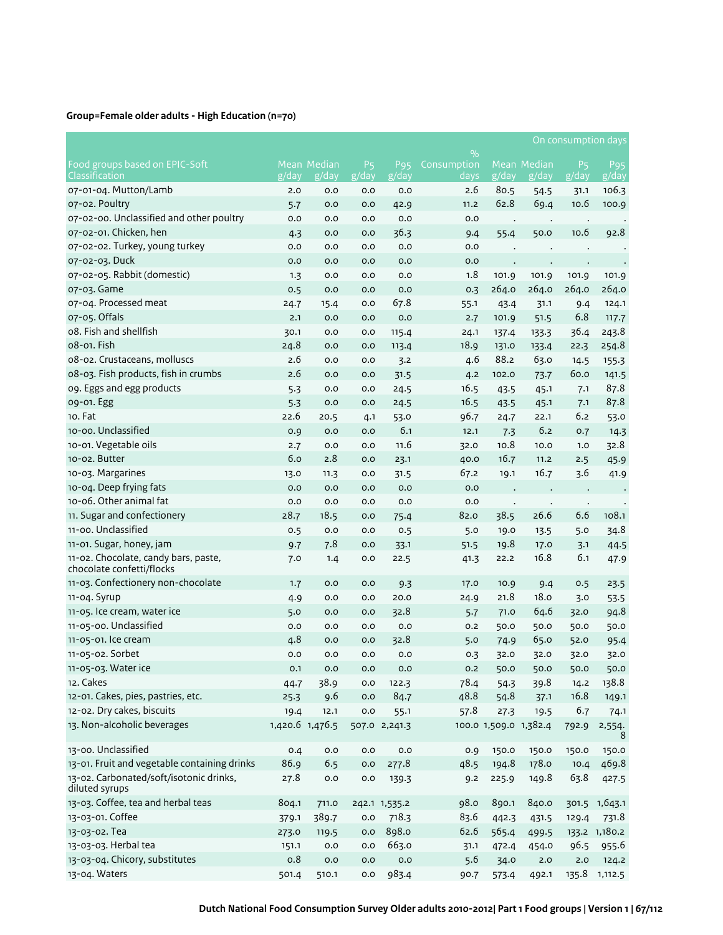# **Group=Female older adults - High Education (n=70)**

|                                                                   |                 |                      |                               |                          |                     |                       |                      |                                      | On consumption days      |
|-------------------------------------------------------------------|-----------------|----------------------|-------------------------------|--------------------------|---------------------|-----------------------|----------------------|--------------------------------------|--------------------------|
|                                                                   |                 |                      |                               |                          | $\%$                |                       |                      |                                      |                          |
| Food groups based on EPIC-Soft<br>Classification                  | g/day           | Mean Median<br>g/day | <b>P<sub>5</sub></b><br>g/day | P <sub>95</sub><br>g/day | Consumption<br>days | g/day                 | Mean Median<br>g/day | P <sub>5</sub><br>$\overline{g}/day$ | P <sub>95</sub><br>g/day |
| 07-01-04. Mutton/Lamb                                             | 2.0             | 0.0                  | 0.0                           | 0.0                      | 2.6                 | 80.5                  | 54.5                 | 31.1                                 | 106.3                    |
| 07-02. Poultry                                                    | 5.7             | 0.0                  | 0.0                           | 42.9                     | 11.2                | 62.8                  | 69.4                 | 10.6                                 | 100.9                    |
| 07-02-00. Unclassified and other poultry                          | 0.0             | 0.0                  | 0.0                           | 0.0                      | 0.0                 |                       | $\cdot$              | $\bullet$                            |                          |
| 07-02-01. Chicken, hen                                            | 4.3             | 0.0                  | 0.0                           | 36.3                     | 9.4                 | 55.4                  | 50.0                 | 10.6                                 | 92.8                     |
| 07-02-02. Turkey, young turkey                                    | 0.0             | 0.0                  | 0.0                           | 0.0                      | 0.0                 |                       |                      |                                      |                          |
| 07-02-03. Duck                                                    | 0.0             | 0.0                  | 0.0                           | 0.0                      | 0.0                 |                       |                      |                                      |                          |
| 07-02-05. Rabbit (domestic)                                       | 1.3             | 0.0                  | 0.0                           | 0.0                      | 1.8                 | 101.9                 | 101.9                | 101.9                                | 101.9                    |
| 07-03. Game                                                       | 0.5             | 0.0                  | 0.0                           | 0.0                      | 0.3                 | 264.0                 | 264.0                | 264.0                                | 264.0                    |
| 07-04. Processed meat                                             | 24.7            | 15.4                 | 0.0                           | 67.8                     | 55.1                | 43.4                  | 31.1                 | 9.4                                  | 124.1                    |
| 07-05. Offals                                                     | 2.1             | 0.0                  | 0.0                           | 0.0                      | 2.7                 | 101.9                 | 51.5                 | 6.8                                  | 117.7                    |
| 08. Fish and shellfish                                            | 30.1            | 0.0                  | 0.0                           | 115.4                    | 24.1                | 137.4                 | 133.3                | 36.4                                 | 243.8                    |
| 08-01. Fish                                                       | 24.8            | 0.0                  | 0.0                           | 113.4                    | 18.9                | 131.0                 | 133.4                | 22.3                                 | 254.8                    |
| 08-02. Crustaceans, molluscs                                      | 2.6             | 0.0                  | 0.0                           | 3.2                      | 4.6                 | 88.2                  | 63.0                 | 14.5                                 | 155.3                    |
| 08-03. Fish products, fish in crumbs                              | 2.6             | 0.0                  | 0.0                           | 31.5                     | 4.2                 | 102.0                 | 73.7                 | 60.0                                 | 141.5                    |
| og. Eggs and egg products                                         | 5.3             | 0.0                  | 0.0                           | 24.5                     | 16.5                | 43.5                  | 45.1                 | 7.1                                  | 87.8                     |
| 09-01. Egg                                                        | 5.3             | 0.0                  | 0.0                           | 24.5                     | 16.5                | 43.5                  | 45.1                 | 7.1                                  | 87.8                     |
| 10. Fat                                                           | 22.6            | 20.5                 | 4.1                           | 53.0                     | 96.7                | 24.7                  | 22.1                 | 6.2                                  | 53.0                     |
| 10-00. Unclassified                                               | 0.9             | 0.0                  | 0.0                           | 6.1                      | 12.1                | 7.3                   | 6.2                  | 0.7                                  | 14.3                     |
| 10-01. Vegetable oils                                             | 2.7             | 0.0                  | 0.0                           | 11.6                     | 32.0                | 10.8                  | 10.0                 | 1.0                                  | 32.8                     |
| 10-02. Butter                                                     | 6.0             | 2.8                  | 0.0                           | 23.1                     | 40.0                | 16.7                  | 11.2                 | 2.5                                  | 45.9                     |
| 10-03. Margarines                                                 | 13.0            | 11.3                 | 0.0                           | 31.5                     | 67.2                | 19.1                  | 16.7                 | 3.6                                  | 41.9                     |
| 10-04. Deep frying fats                                           | 0.0             | 0.0                  | 0.0                           | 0.0                      | 0.0                 |                       |                      |                                      |                          |
| 10-06. Other animal fat                                           | 0.0             | 0.0                  | 0.0                           | 0.0                      | 0.0                 | $\cdot$               | $\cdot$              | $\cdot$                              |                          |
| 11. Sugar and confectionery                                       | 28.7            | 18.5                 | 0.0                           | 75.4                     | 82.0                | 38.5                  | 26.6                 | 6.6                                  | 108.1                    |
| 11-00. Unclassified                                               | 0.5             | 0.0                  | 0.0                           | 0.5                      | 5.0                 | 19.0                  | 13.5                 | 5.0                                  | 34.8                     |
| 11-01. Sugar, honey, jam                                          | 9.7             | 7.8                  | 0.0                           | 33.1                     | 51.5                | 19.8                  | 17.0                 | 3.1                                  | 44.5                     |
| 11-02. Chocolate, candy bars, paste,<br>chocolate confetti/flocks | 7.0             | 1.4                  | 0.0                           | 22.5                     | 41.3                | 22.2                  | 16.8                 | 6.1                                  | 47.9                     |
| 11-03. Confectionery non-chocolate                                | 1.7             | 0.0                  | 0.0                           | 9.3                      | 17.0                | 10.9                  | 9.4                  | 0.5                                  | 23.5                     |
| 11-04. Syrup                                                      | 4.9             | 0.0                  | 0.0                           | 20.0                     | 24.9                | 21.8                  | 18.0                 | 3.0                                  | 53.5                     |
| 11-05. Ice cream, water ice                                       | 5.0             | 0.0                  | 0.0                           | 32.8                     | 5.7                 | 71.0                  | 64.6                 | 32.0                                 | 94.8                     |
| 11-05-00. Unclassified                                            | 0.0             | 0.0                  | 0.0                           | 0.0                      | 0.2                 | 50.0                  | 50.0                 | 50.0                                 | 50.0                     |
| 11-05-01. Ice cream                                               | 4.8             | 0.0                  | 0.0                           | 32.8                     | 5.0                 | 74.9                  | 65.0                 | 52.0                                 | 95.4                     |
| 11-05-02. Sorbet                                                  | 0.0             | 0.0                  | 0.0                           | 0.0                      | 0.3                 | 32.0                  | 32.0                 | 32.0                                 | 32.0                     |
| 11-05-03. Water ice                                               | O.1             | 0.0                  | 0.0                           | 0.0                      | 0.2                 | 50.0                  | 50.0                 | 50.0                                 | 50.0                     |
| 12. Cakes                                                         | 44.7            | 38.9                 | 0.0                           | 122.3                    | 78.4                | 54.3                  | 39.8                 | 14.2                                 | 138.8                    |
| 12-01. Cakes, pies, pastries, etc.                                | 25.3            | 9.6                  | 0.0                           | 84.7                     | 48.8                | 54.8                  | 37.1                 | 16.8                                 | 149.1                    |
| 12-02. Dry cakes, biscuits                                        | 19.4            | 12.1                 | 0.0                           | 55.1                     | 57.8                | 27.3                  | 19.5                 | 6.7                                  | 74.1                     |
| 13. Non-alcoholic beverages                                       | 1,420.6 1,476.5 |                      |                               | 507.0 2,241.3            |                     | 100.0 1,509.0 1,382.4 |                      | 792.9                                | 2,554.<br>8              |
| 13-00. Unclassified                                               | 0.4             | 0.0                  | 0.0                           | 0.0                      | 0.9                 | 150.0                 | 150.0                | 150.0                                | 150.0                    |
| 13-01. Fruit and vegetable containing drinks                      | 86.9            | 6.5                  | 0.0                           | 277.8                    | 48.5                | 194.8                 | 178.0                | 10.4                                 | 469.8                    |
| 13-02. Carbonated/soft/isotonic drinks,<br>diluted syrups         | 27.8            | 0.0                  | 0.0                           | 139.3                    | 9.2                 | 225.9                 | 149.8                | 63.8                                 | 427.5                    |
| 13-03. Coffee, tea and herbal teas                                | 804.1           | 711.0                |                               | 242.1 1,535.2            | 98.0                | 890.1                 | 840.0                |                                      | 301.5 1,643.1            |
| 13-03-01. Coffee                                                  | 379.1           | 389.7                | 0.0                           | 718.3                    | 83.6                | 442.3                 | 431.5                | 129.4                                | 731.8                    |
| 13-03-02. Tea                                                     | 273.0           | 119.5                | 0.0                           | 898.0                    | 62.6                | 565.4                 | 499.5                |                                      | 133.2 1,180.2            |
| 13-03-03. Herbal tea                                              | 151.1           | 0.0                  | 0.0                           | 663.0                    | 31.1                | 472.4                 | 454.0                | 96.5                                 | 955.6                    |
| 13-03-04. Chicory, substitutes                                    | 0.8             | 0.0                  | 0.0                           | $_{\rm 0.0}$             | 5.6                 | 34.0                  | 2.0                  | 2.0                                  | 124.2                    |
| 13-04. Waters                                                     | 501.4           | 510.1                | 0.0                           | 983.4                    | 90.7                | 573.4                 | 492.1                | 135.8                                | 1,112.5                  |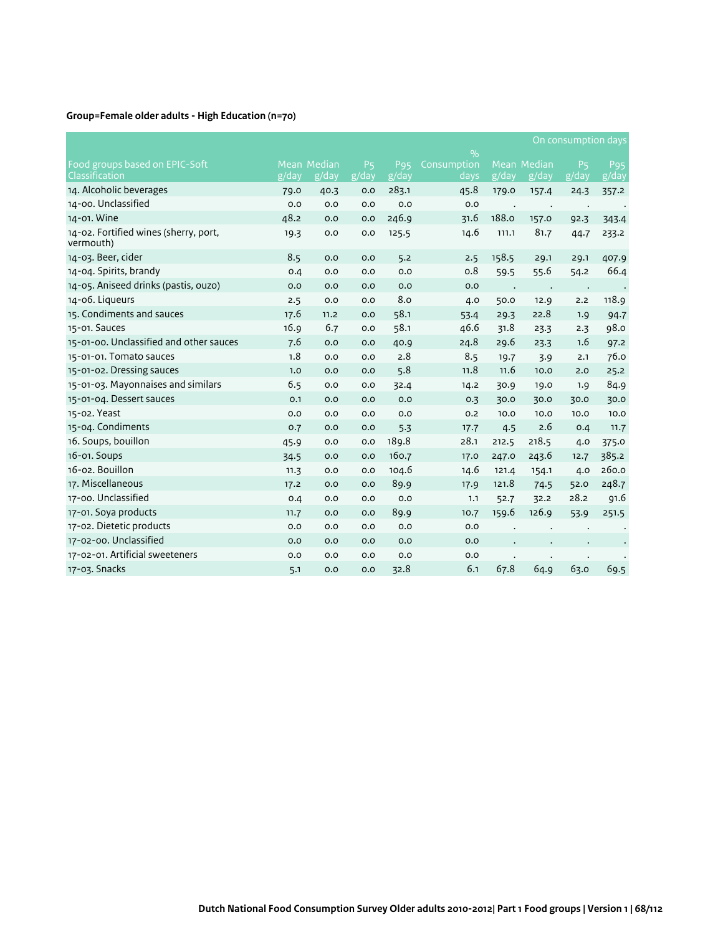# **Group=Female older adults - High Education (n=70)**

|                                                    |       |                      |                                                       |                                                  |                                      |       |                      | On consumption days                             |                                                  |
|----------------------------------------------------|-------|----------------------|-------------------------------------------------------|--------------------------------------------------|--------------------------------------|-------|----------------------|-------------------------------------------------|--------------------------------------------------|
| Food groups based on EPIC-Soft<br>Classification   | g/day | Mean Median<br>g/day | <b>P<sub>5</sub></b><br>$\overline{g}/\overline{day}$ | P <sub>95</sub><br>$\overline{g}/\overline{day}$ | $\frac{9}{6}$<br>Consumption<br>days | g/day | Mean Median<br>g/day | P <sub>5</sub><br>$\overline{g}/\overline{day}$ | P <sub>95</sub><br>$\overline{g}/\overline{day}$ |
| 14. Alcoholic beverages                            | 79.0  | 40.3                 | 0.0                                                   | 283.1                                            | 45.8                                 | 179.0 | 157.4                | 24.3                                            | 357.2                                            |
| 14-00. Unclassified                                | 0.0   | 0.0                  | 0.0                                                   | O.O                                              | O.O                                  |       |                      |                                                 |                                                  |
| 14-01. Wine                                        | 48.2  | 0.0                  | 0.0                                                   | 246.9                                            | 31.6                                 | 188.0 | 157.0                | 92.3                                            | 343.4                                            |
| 14-02. Fortified wines (sherry, port,<br>vermouth) | 19.3  | 0.0                  | 0.0                                                   | 125.5                                            | 14.6                                 | 111.1 | 81.7                 | 44.7                                            | 233.2                                            |
| 14-03. Beer, cider                                 | 8.5   | 0.0                  | 0.0                                                   | 5.2                                              | 2.5                                  | 158.5 | 29.1                 | 29.1                                            | 407.9                                            |
| 14-04. Spirits, brandy                             | 0.4   | 0.0                  | 0.0                                                   | 0.0                                              | 0.8                                  | 59.5  | 55.6                 | 54.2                                            | 66.4                                             |
| 14-05. Aniseed drinks (pastis, ouzo)               | 0.0   | 0.0                  | 0.0                                                   | O.O                                              | 0.0                                  |       |                      | $\bullet$                                       |                                                  |
| 14-06. Liqueurs                                    | 2.5   | 0.0                  | 0.0                                                   | 8.0                                              | 4.0                                  | 50.0  | 12.9                 | 2.2                                             | 118.9                                            |
| 15. Condiments and sauces                          | 17.6  | 11.2                 | 0.0                                                   | 58.1                                             | 53.4                                 | 29.3  | 22.8                 | 1.9                                             | 94.7                                             |
| 15-01. Sauces                                      | 16.9  | 6.7                  | 0.0                                                   | 58.1                                             | 46.6                                 | 31.8  | 23.3                 | 2.3                                             | 98.0                                             |
| 15-01-00. Unclassified and other sauces            | 7.6   | 0.0                  | 0.0                                                   | 40.9                                             | 24.8                                 | 29.6  | 23.3                 | 1.6                                             | 97.2                                             |
| 15-01-01. Tomato sauces                            | 1.8   | 0.0                  | 0.0                                                   | 2.8                                              | 8.5                                  | 19.7  | 3.9                  | 2.1                                             | 76.0                                             |
| 15-01-02. Dressing sauces                          | 1.0   | 0.0                  | 0.0                                                   | 5.8                                              | 11.8                                 | 11.6  | 10.0                 | 2.0                                             | 25.2                                             |
| 15-01-03. Mayonnaises and similars                 | 6.5   | 0.0                  | 0.0                                                   | 32.4                                             | 14.2                                 | 30.9  | 19.0                 | 1.9                                             | 84.9                                             |
| 15-01-04. Dessert sauces                           | 0.1   | 0.0                  | 0.0                                                   | O.O                                              | 0.3                                  | 30.0  | 30.0                 | 30.0                                            | 30.0                                             |
| 15-02. Yeast                                       | 0.0   | 0.0                  | 0.0                                                   | O.O                                              | 0.2                                  | 10.0  | 10.0                 | 10.0                                            | 10.0                                             |
| 15-04. Condiments                                  | 0.7   | 0.0                  | 0.0                                                   | 5.3                                              | 17.7                                 | 4.5   | 2.6                  | 0.4                                             | 11.7                                             |
| 16. Soups, bouillon                                | 45.9  | 0.0                  | 0.0                                                   | 189.8                                            | 28.1                                 | 212.5 | 218.5                | 4.0                                             | 375.0                                            |
| 16-01. Soups                                       | 34.5  | 0.0                  | 0.0                                                   | 160.7                                            | 17.0                                 | 247.0 | 243.6                | 12.7                                            | 385.2                                            |
| 16-02. Bouillon                                    | 11.3  | O.O                  | 0.0                                                   | 104.6                                            | 14.6                                 | 121.4 | 154.1                | 4.0                                             | 260.0                                            |
| 17. Miscellaneous                                  | 17.2  | 0.0                  | 0.0                                                   | 89.9                                             | 17.9                                 | 121.8 | 74.5                 | 52.0                                            | 248.7                                            |
| 17-00. Unclassified                                | 0.4   | 0.0                  | 0.0                                                   | O.O                                              | 1.1                                  | 52.7  | 32.2                 | 28.2                                            | 91.6                                             |
| 17-01. Soya products                               | 11.7  | 0.0                  | 0.0                                                   | 89.9                                             | 10.7                                 | 159.6 | 126.9                | 53.9                                            | 251.5                                            |
| 17-02. Dietetic products                           | 0.0   | 0.0                  | 0.0                                                   | 0.0                                              | 0.0                                  |       |                      |                                                 |                                                  |
| 17-02-00. Unclassified                             | 0.0   | 0.0                  | 0.0                                                   | 0.0                                              | 0.0                                  |       |                      |                                                 |                                                  |
| 17-02-01. Artificial sweeteners                    | 0.0   | 0.0                  | 0.0                                                   | O.O                                              | 0.0                                  |       |                      |                                                 |                                                  |
| 17-03. Snacks                                      | 5.1   | 0.0                  | 0.0                                                   | 32.8                                             | 6.1                                  | 67.8  | 64.9                 | 63.0                                            | 69.5                                             |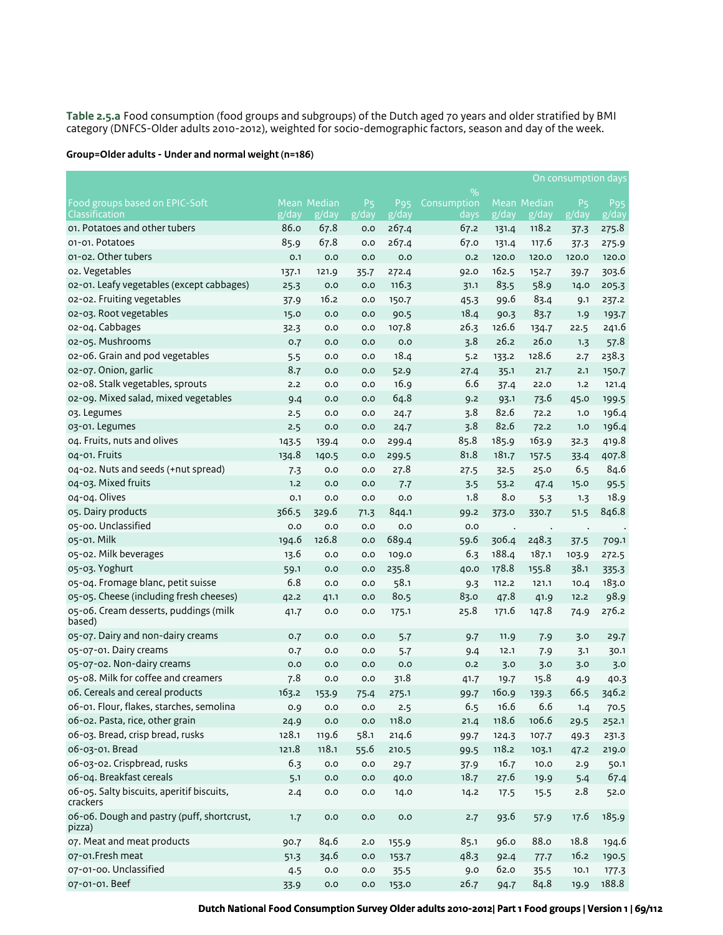**Table 2.5.a** Food consumption (food groups and subgroups) of the Dutch aged 70 years and older stratified by BMI category (DNFCS-Older adults 2010-2012), weighted for socio-demographic factors, season and day of the week.

**Group=Older adults - Under and normal weight (n=186)**

|                                                       |       |              |                |                        |                     |       |             | On consumption days |                               |
|-------------------------------------------------------|-------|--------------|----------------|------------------------|---------------------|-------|-------------|---------------------|-------------------------------|
| Food groups based on EPIC-Soft                        |       | Mean Median  | P <sub>5</sub> | <b>P</b> <sub>95</sub> | $\%$<br>Consumption |       | Mean Median | P <sub>5</sub>      | P <sub>95</sub>               |
| <b>Classification</b>                                 | g/day | g/day        | g/day          | g/day                  | days                | g/day | g/day       | g/day               | $\overline{g}/\overline{day}$ |
| 01. Potatoes and other tubers                         | 86.0  | 67.8         | 0.0            | 267.4                  | 67.2                | 131.4 | 118.2       | 37.3                | 275.8                         |
| 01-01. Potatoes                                       | 85.9  | 67.8         | 0.0            | 267.4                  | 67.0                | 131.4 | 117.6       | 37.3                | 275.9                         |
| 01-02. Other tubers                                   | O.1   | 0.0          | 0.0            | 0.0                    | 0.2                 | 120.0 | 120.0       | 120.0               | 120.0                         |
| o2. Vegetables                                        | 137.1 | 121.9        | 35.7           | 272.4                  | 92.0                | 162.5 | 152.7       | 39.7                | 303.6                         |
| 02-01. Leafy vegetables (except cabbages)             | 25.3  | 0.0          | 0.0            | 116.3                  | 31.1                | 83.5  | 58.9        | 14.0                | 205.3                         |
| 02-02. Fruiting vegetables                            | 37.9  | 16.2         | 0.0            | 150.7                  | 45.3                | 99.6  | 83.4        | 9.1                 | 237.2                         |
| 02-03. Root vegetables                                | 15.0  | 0.0          | 0.0            | 90.5                   | 18.4                | 90.3  | 83.7        | 1.9                 | 193.7                         |
| 02-04. Cabbages                                       | 32.3  | 0.0          | 0.0            | 107.8                  | 26.3                | 126.6 | 134.7       | 22.5                | 241.6                         |
| 02-05. Mushrooms                                      | 0.7   | 0.0          | 0.0            | 0.0                    | 3.8                 | 26.2  | 26.0        | 1.3                 | 57.8                          |
| o2-o6. Grain and pod vegetables                       | 5.5   | 0.0          | 0.0            | 18.4                   | 5.2                 | 133.2 | 128.6       | 2.7                 | 238.3                         |
| 02-07. Onion, garlic                                  | 8.7   | 0.0          | 0.0            | 52.9                   | 27.4                | 35.1  | 21.7        | 2.1                 | 150.7                         |
| 02-08. Stalk vegetables, sprouts                      | 2.2   | 0.0          | 0.0            | 16.9                   | 6.6                 | 37.4  | 22.0        | 1.2                 | 121.4                         |
| 02-09. Mixed salad, mixed vegetables                  | 9.4   | 0.0          | 0.0            | 64.8                   | 9.2                 | 93.1  | 73.6        | 45.0                | 199.5                         |
| 03. Legumes                                           | 2.5   | 0.0          | 0.0            | 24.7                   | 3.8                 | 82.6  | 72.2        | 1.0                 | 196.4                         |
| 03-01. Legumes                                        | 2.5   | 0.0          | 0.0            | 24.7                   | 3.8                 | 82.6  | 72.2        | 1.0                 | 196.4                         |
| 04. Fruits, nuts and olives                           | 143.5 | 139.4        | 0.0            | 299.4                  | 85.8                | 185.9 | 163.9       | 32.3                | 419.8                         |
| 04-01. Fruits                                         | 134.8 | 140.5        | 0.0            | 299.5                  | 81.8                | 181.7 | 157.5       | 33.4                | 407.8                         |
| 04-02. Nuts and seeds (+nut spread)                   | 7.3   | 0.0          | 0.0            | 27.8                   | 27.5                | 32.5  | 25.0        | 6.5                 | 84.6                          |
| 04-03. Mixed fruits                                   | 1.2   | 0.0          | 0.0            | 7.7                    | 3.5                 | 53.2  | 47.4        | 15.0                | 95.5                          |
| 04-04. Olives                                         | O.1   | 0.0          | 0.0            | 0.0                    | 1.8                 | 8.0   | 5.3         | 1.3                 | 18.9                          |
| 05. Dairy products                                    | 366.5 | 329.6        | 71.3           | 844.1                  | 99.2                | 373.0 | 330.7       | 51.5                | 846.8                         |
| 05-00. Unclassified                                   | 0.0   | 0.0          | 0.0            | 0.0                    | 0.0                 |       | $\cdot$     |                     |                               |
| 05-01. Milk                                           | 194.6 | 126.8        | 0.0            | 689.4                  | 59.6                | 306.4 | 248.3       | 37.5                | 709.1                         |
| 05-02. Milk beverages                                 | 13.6  | 0.0          | 0.0            | 109.0                  | 6.3                 | 188.4 | 187.1       | 103.9               | 272.5                         |
| 05-03. Yoghurt                                        | 59.1  | 0.0          | 0.0            | 235.8                  | 40.0                | 178.8 | 155.8       | 38.1                | 335.3                         |
| 05-04. Fromage blanc, petit suisse                    | 6.8   | 0.0          | 0.0            | 58.1                   | 9.3                 | 112.2 | 121.1       | 10.4                | 183.0                         |
| 05-05. Cheese (including fresh cheeses)               | 42.2  | 41.1         | 0.0            | 80.5                   | 83.0                | 47.8  | 41.9        | 12.2                | 98.9                          |
| 05-06. Cream desserts, puddings (milk<br>based)       | 41.7  | 0.0          | 0.0            | 175.1                  | 25.8                | 171.6 | 147.8       | 74.9                | 276.2                         |
| 05-07. Dairy and non-dairy creams                     | 0.7   | 0.0          | 0.0            | 5.7                    | 9.7                 | 11.9  | 7.9         | 3.0                 | 29.7                          |
| 05-07-01. Dairy creams                                | 0.7   | 0.0          | 0.0            | 5.7                    | 9.4                 | 12.1  | 7.9         | 3.1                 | 30.1                          |
| 05-07-02. Non-dairy creams                            | 0.0   | 0.0          | 0.0            | 0.0                    | 0.2                 | 3.0   | 3.0         | 3.0                 | 3.0                           |
| 05-08. Milk for coffee and creamers                   | 7.8   | 0.0          | 0.0            | 31.8                   | 41.7                | 19.7  | 15.8        | 4.9                 | 40.3                          |
| o6. Cereals and cereal products                       | 163.2 | 153.9        | 75.4           | 275.1                  | 99.7                | 160.9 | 139.3       | 66.5                | 346.2                         |
| 06-01. Flour, flakes, starches, semolina              | 0.9   | 0.0          | 0.0            | 2.5                    | 6.5                 | 16.6  | 6.6         | 1.4                 | 70.5                          |
| 06-02. Pasta, rice, other grain                       | 24.9  | 0.0          | 0.0            | 118.0                  | 21.4                | 118.6 | 106.6       | 29.5                | 252.1                         |
| 06-03. Bread, crisp bread, rusks                      | 128.1 | 119.6        | 58.1           | 214.6                  | 99.7                | 124.3 | 107.7       | 49.3                | 231.3                         |
| 06-03-01. Bread                                       | 121.8 | 118.1        | 55.6           | 210.5                  | 99.5                | 118.2 | 103.1       | 47.2                | 219.0                         |
| 06-03-02. Crispbread, rusks                           | 6.3   | $_{\rm 0.0}$ | 0.0            | 29.7                   | 37.9                | 16.7  | 10.0        | 2.9                 | 50.1                          |
| 06-04. Breakfast cereals                              | 5.1   | 0.0          | 0.0            | 40.0                   | 18.7                | 27.6  | 19.9        | 5.4                 | 67.4                          |
| 06-05. Salty biscuits, aperitif biscuits,<br>crackers | 2.4   | $_{\rm 0.0}$ | 0.0            | 14.0                   | 14.2                | 17.5  | 15.5        | 2.8                 | 52.0                          |
| 06-06. Dough and pastry (puff, shortcrust,<br>pizza)  | 1.7   | 0.0          | 0.0            | 0.0                    | 2.7                 | 93.6  | 57.9        | 17.6                | 185.9                         |
| 07. Meat and meat products                            | 90.7  | 84.6         | 2.0            | 155.9                  | 85.1                | 96.0  | 88.o        | 18.8                | 194.6                         |
| 07-01.Fresh meat                                      | 51.3  | 34.6         | 0.0            | 153.7                  | 48.3                | 92.4  | 77.7        | 16.2                | 190.5                         |
| 07-01-00. Unclassified                                | 4.5   | $_{\rm 0.0}$ | 0.0            | 35.5                   | 9.0                 | 62.0  | 35.5        | 10.1                | 177.3                         |
| 07-01-01. Beef                                        | 33.9  | 0.0          | $_{\rm 0.0}$   | 153.0                  | 26.7                | 94.7  | 84.8        | 19.9                | 188.8                         |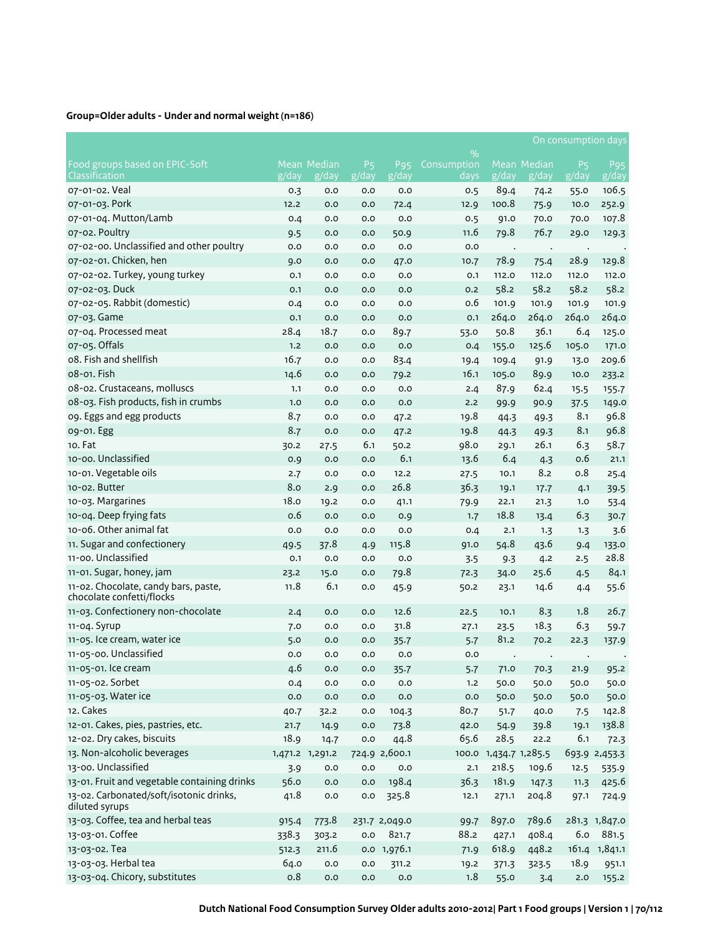# **Group=Older adults - Under and normal weight (n=186)**

|                                                                   |       |                      |                               |               |                     |                       |                             |                         | On consumption days      |
|-------------------------------------------------------------------|-------|----------------------|-------------------------------|---------------|---------------------|-----------------------|-----------------------------|-------------------------|--------------------------|
|                                                                   |       |                      |                               |               | $\%$                |                       |                             |                         |                          |
| Food groups based on EPIC-Soft<br>Classification                  | g/day | Mean Median<br>g/day | <b>P<sub>5</sub></b><br>g/day | Pg5<br>g/day  | Consumption<br>days | g/day                 | <b>Mean Median</b><br>g/day | P <sub>5</sub><br>g/day | P <sub>95</sub><br>g/day |
| 07-01-02. Veal                                                    | 0.3   | 0.0                  | 0.0                           | 0.0           | 0.5                 | 89.4                  | 74.2                        | 55.0                    | 106.5                    |
| 07-01-03. Pork                                                    | 12.2  | 0.0                  | 0.0                           | 72.4          | 12.9                | 100.8                 | 75.9                        | 10.0                    | 252.9                    |
| 07-01-04. Mutton/Lamb                                             | 0.4   | 0.0                  | 0.0                           | 0.0           | 0.5                 | 91.0                  | 70.0                        | 70.0                    | 107.8                    |
| 07-02. Poultry                                                    | 9.5   | 0.0                  | 0.0                           | 50.9          | 11.6                | 79.8                  | 76.7                        | 29.0                    | 129.3                    |
| 07-02-00. Unclassified and other poultry                          | 0.0   | 0.0                  | 0.0                           | 0.0           | 0.0                 |                       |                             |                         |                          |
| 07-02-01. Chicken, hen                                            | 9.0   | 0.0                  | 0.0                           | 47.0          | 10.7                | $\cdot$<br>78.9       | $\bullet$<br>75.4           | $\cdot$<br>28.9         | 129.8                    |
| 07-02-02. Turkey, young turkey                                    | 0.1   | 0.0                  | 0.0                           | 0.0           | 0.1                 | 112.0                 | 112.0                       | 112.0                   | 112.0                    |
| 07-02-03. Duck                                                    | O.1   | 0.0                  | 0.0                           | 0.0           | 0.2                 | 58.2                  | 58.2                        | 58.2                    | 58.2                     |
| 07-02-05. Rabbit (domestic)                                       | 0.4   | 0.0                  | 0.0                           | 0.0           | 0.6                 | 101.9                 | 101.9                       | 101.9                   | 101.9                    |
| 07-03. Game                                                       | O.1   | 0.0                  | 0.0                           | 0.0           | O.1                 | 264.0                 | 264.0                       | 264.0                   | 264.0                    |
| 07-04. Processed meat                                             | 28.4  | 18.7                 | 0.0                           | 89.7          | 53.0                | 50.8                  | 36.1                        | 6.4                     | 125.0                    |
| 07-05. Offals                                                     | 1.2   | 0.0                  | 0.0                           | 0.0           | 0.4                 | 155.0                 | 125.6                       | 105.0                   | 171.0                    |
| o8. Fish and shellfish                                            | 16.7  | 0.0                  | 0.0                           | 83.4          | 19.4                | 109.4                 | 91.9                        | 13.0                    | 209.6                    |
| 08-01. Fish                                                       | 14.6  | 0.0                  | 0.0                           | 79.2          | 16.1                | 105.0                 | 89.9                        | 10.0                    | 233.2                    |
| 08-02. Crustaceans, molluscs                                      | 1.1   | 0.0                  | 0.0                           | 0.0           | 2.4                 | 87.9                  | 62.4                        | 15.5                    | 155.7                    |
| 08-03. Fish products, fish in crumbs                              | 1.0   | 0.0                  | 0.0                           | 0.0           | 2.2                 | 99.9                  | 90.9                        | 37.5                    | 149.0                    |
| og. Eggs and egg products                                         | 8.7   | 0.0                  | 0.0                           | 47.2          | 19.8                | 44.3                  | 49.3                        | 8.1                     | 96.8                     |
| 09-01. Egg                                                        | 8.7   | 0.0                  | 0.0                           | 47.2          | 19.8                | 44.3                  | 49.3                        | 8.1                     | 96.8                     |
| 10. Fat                                                           | 30.2  | 27.5                 | 6.1                           | 50.2          | 98.0                | 29.1                  | 26.1                        | 6.3                     | 58.7                     |
| 10-00. Unclassified                                               | 0.9   | 0.0                  | 0.0                           | 6.1           | 13.6                | 6.4                   | 4.3                         | 0.6                     | 21.1                     |
| 10-01. Vegetable oils                                             | 2.7   | 0.0                  | 0.0                           | 12.2          | 27.5                | 10.1                  | 8.2                         | 0.8                     | 25.4                     |
| 10-02. Butter                                                     | 8.0   | 2.9                  | 0.0                           | 26.8          | 36.3                | 19.1                  | 17.7                        | 4.1                     | 39.5                     |
| 10-03. Margarines                                                 | 18.0  | 19.2                 | 0.0                           | 41.1          | 79.9                | 22.1                  | 21.3                        | 1.0                     | 53.4                     |
| 10-04. Deep frying fats                                           | 0.6   | 0.0                  | 0.0                           | 0.9           | 1.7                 | 18.8                  | 13.4                        | 6.3                     | 30.7                     |
| 10-06. Other animal fat                                           | 0.0   | 0.0                  | 0.0                           | 0.0           | 0.4                 | 2.1                   | 1.3                         | 1.3                     | 3.6                      |
| 11. Sugar and confectionery                                       | 49.5  | 37.8                 | 4.9                           | 115.8         | 91.0                | 54.8                  | 43.6                        | 9.4                     | 133.0                    |
| 11-00. Unclassified                                               | O.1   | 0.0                  | 0.0                           | 0.0           | 3.5                 | 9.3                   | 4.2                         | 2.5                     | 28.8                     |
| 11-01. Sugar, honey, jam                                          | 23.2  | 15.0                 | 0.0                           | 79.8          | 72.3                | 34.0                  | 25.6                        | 4.5                     | 84.1                     |
| 11-02. Chocolate, candy bars, paste,<br>chocolate confetti/flocks | 11.8  | 6.1                  | 0.0                           | 45.9          | 50.2                | 23.1                  | 14.6                        | 4.4                     | 55.6                     |
| 11-03. Confectionery non-chocolate                                | 2.4   | 0.0                  | 0.0                           | 12.6          | 22.5                | 10.1                  | 8.3                         | 1.8                     | 26.7                     |
| 11-04. Syrup                                                      | 7.0   | 0.0                  | 0.0                           | 31.8          | 27.1                | 23.5                  | 18.3                        | 6.3                     | 59.7                     |
| 11-05. Ice cream, water ice                                       | 5.0   | 0.0                  | 0.0                           | 35.7          | 5.7                 | 81.2                  | 70.2                        | 22.3                    | 137.9                    |
| 11-05-00. Unclassified                                            | 0.0   | 0.0                  | 0.0                           | 0.0           | 0.0                 |                       |                             |                         |                          |
| 11-05-01. Ice cream                                               | 4.6   | 0.0                  | 0.0                           | 35.7          | 5.7                 | 71.0                  | 70.3                        | 21.9                    | 95.2                     |
| 11-05-02. Sorbet                                                  | 0.4   | 0.0                  | 0.0                           | 0.0           | 1.2                 | 50.0                  | 50.0                        | 50.0                    | 50.0                     |
| 11-05-03. Water ice                                               | 0.0   | 0.0                  | 0.0                           | 0.0           | 0.0                 | 50.0                  | 50.0                        | 50.0                    | 50.0                     |
| 12. Cakes                                                         | 40.7  | 32.2                 | 0.0                           | 104.3         | 80.7                | 51.7                  | 40.0                        | 7.5                     | 142.8                    |
| 12-01. Cakes, pies, pastries, etc.                                | 21.7  | 14.9                 | 0.0                           | 73.8          | 42.0                | 54.9                  | 39.8                        | 19.1                    | 138.8                    |
| 12-02. Dry cakes, biscuits                                        | 18.9  | 14.7                 | 0.0                           | 44.8          | 65.6                | 28.5                  | 22.2                        | 6.1                     | 72.3                     |
| 13. Non-alcoholic beverages                                       |       | 1,471.2 1,291.2      |                               | 724.9 2,600.1 |                     | 100.0 1,434.7 1,285.5 |                             |                         | 693.9 2,453.3            |
| 13-00. Unclassified                                               | 3.9   | 0.0                  | $_{\rm 0.0}$                  | 0.0           | 2.1                 | 218.5                 | 109.6                       | 12.5                    | 535.9                    |
| 13-01. Fruit and vegetable containing drinks                      | 56.0  | 0.0                  | 0.0                           | 198.4         | 36.3                | 181.9                 | 147.3                       | 11.3                    | 425.6                    |
| 13-02. Carbonated/soft/isotonic drinks,<br>diluted syrups         | 41.8  | 0.0                  | 0.0                           | 325.8         | 12.1                | 271.1                 | 204.8                       | 97.1                    | 724.9                    |
| 13-03. Coffee, tea and herbal teas                                | 915.4 | 773.8                |                               | 231.7 2,049.0 | 99.7                | 897.0                 | 789.6                       |                         | 281.3 1,847.0            |
| 13-03-01. Coffee                                                  | 338.3 | 303.2                | $_{\rm 0.0}$                  | 821.7         | 88.2                | 427.1                 | 408.4                       | 6.0                     | 881.5                    |
| 13-03-02. Tea                                                     | 512.3 | 211.6                |                               | 0.0 1,976.1   | 71.9                | 618.9                 | 448.2                       |                         | 161.4 1,841.1            |
| 13-03-03. Herbal tea                                              | 64.0  | 0.0                  | 0.0                           | 311.2         | 19.2                | 371.3                 | 323.5                       | 18.9                    | 951.1                    |
| 13-03-04. Chicory, substitutes                                    | 0.8   | 0.0                  | 0.0                           | 0.0           | 1.8                 | 55.0                  | 3.4                         | 2.0                     | 155.2                    |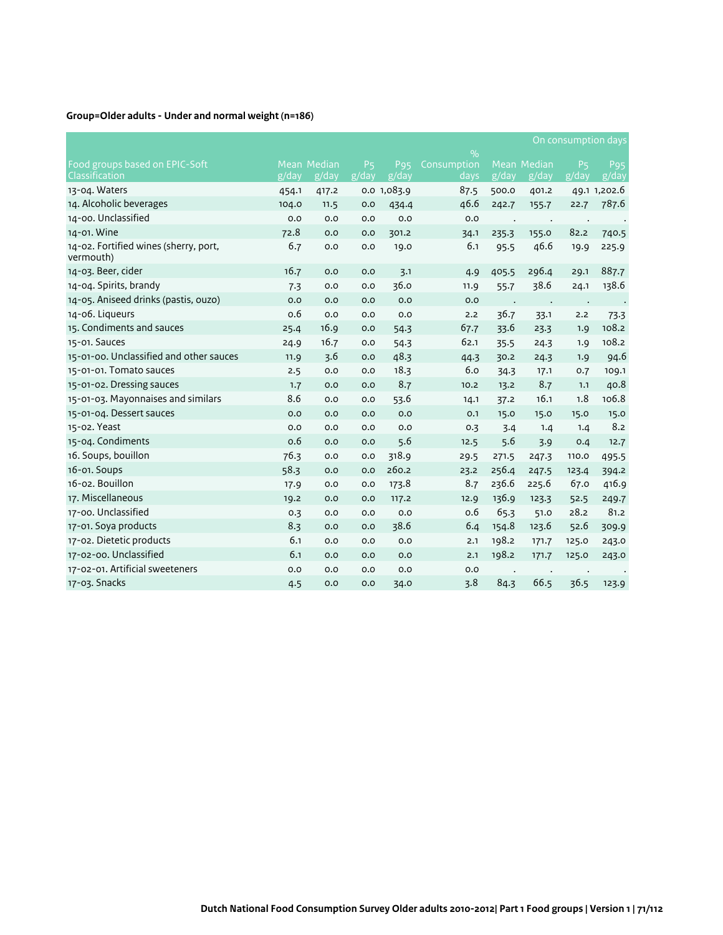# **Group=Older adults - Under and normal weight (n=186)**

|                                                  |       |                      |                         |                                                  |                     |       |                      | On consumption days                        |                          |
|--------------------------------------------------|-------|----------------------|-------------------------|--------------------------------------------------|---------------------|-------|----------------------|--------------------------------------------|--------------------------|
|                                                  |       |                      |                         |                                                  | $\frac{9}{0}$       |       |                      |                                            |                          |
| Food groups based on EPIC-Soft<br>Classification | g/day | Mean Median<br>g/day | P <sub>5</sub><br>g/day | P <sub>95</sub><br>$\overline{g}/\overline{day}$ | Consumption<br>days | g/day | Mean Median<br>g/day | <b>P<sub>5</sub></b><br>$\overline{g}/day$ | P <sub>95</sub><br>g/day |
| 13-04. Waters                                    | 454.1 | 417.2                |                         | 0.0 1,083.9                                      | 87.5                | 500.0 | 401.2                |                                            | 49.1 1,202.6             |
| 14. Alcoholic beverages                          | 104.0 | 11.5                 | 0.0                     | 434.4                                            | 46.6                | 242.7 | 155.7                | 22.7                                       | 787.6                    |
| 14-00. Unclassified                              | 0.0   | 0.0                  | 0.0                     | 0.0                                              | 0.0                 |       |                      |                                            |                          |
| 14-01. Wine                                      | 72.8  | O.O                  | 0.0                     | 301.2                                            | 34.1                | 235.3 | 155.0                | 82.2                                       | 740.5                    |
| 14-02. Fortified wines (sherry, port,            | 6.7   | O.O                  | 0.0                     | 19.0                                             | 6.1                 |       | 46.6                 | 19.9                                       | 225.9                    |
| vermouth)                                        |       |                      |                         |                                                  |                     | 95.5  |                      |                                            |                          |
| 14-03. Beer, cider                               | 16.7  | 0.0                  | 0.0                     | 3.1                                              | 4.9                 | 405.5 | 296.4                | 29.1                                       | 887.7                    |
| 14-04. Spirits, brandy                           | 7.3   | 0.0                  | 0.0                     | 36.0                                             | 11.9                | 55.7  | 38.6                 | 24.1                                       | 138.6                    |
| 14-05. Aniseed drinks (pastis, ouzo)             | 0.0   | 0.0                  | O.O                     | 0.0                                              | 0.0                 |       |                      |                                            |                          |
| 14-06. Liqueurs                                  | 0.6   | 0.0                  | 0.0                     | 0.0                                              | 2.2                 | 36.7  | 33.1                 | 2.2                                        | 73.3                     |
| 15. Condiments and sauces                        | 25.4  | 16.9                 | 0.0                     | 54.3                                             | 67.7                | 33.6  | 23.3                 | 1.9                                        | 108.2                    |
| 15-01. Sauces                                    | 24.9  | 16.7                 | 0.0                     | 54.3                                             | 62.1                | 35.5  | 24.3                 | 1.9                                        | 108.2                    |
| 15-01-00. Unclassified and other sauces          | 11.9  | 3.6                  | 0.0                     | 48.3                                             | 44.3                | 30.2  | 24.3                 | 1.9                                        | 94.6                     |
| 15-01-01. Tomato sauces                          | 2.5   | 0.0                  | 0.0                     | 18.3                                             | 6.0                 | 34.3  | 17.1                 | 0.7                                        | 109.1                    |
| 15-01-02. Dressing sauces                        | 1.7   | 0.0                  | 0.0                     | 8.7                                              | 10.2                | 13.2  | 8.7                  | 1.1                                        | 40.8                     |
| 15-01-03. Mayonnaises and similars               | 8.6   | 0.0                  | 0.0                     | 53.6                                             | 14.1                | 37.2  | 16.1                 | 1.8                                        | 106.8                    |
| 15-01-04. Dessert sauces                         | 0.0   | O.O                  | 0.0                     | 0.0                                              | O.1                 | 15.0  | 15.0                 | 15.0                                       | 15.0                     |
| 15-02. Yeast                                     | 0.0   | O.O                  | O.O                     | 0.0                                              | 0.3                 | 3.4   | 1.4                  | 1.4                                        | 8.2                      |
| 15-04. Condiments                                | 0.6   | 0.0                  | 0.0                     | 5.6                                              | 12.5                | 5.6   | 3.9                  | 0.4                                        | 12.7                     |
| 16. Soups, bouillon                              | 76.3  | 0.0                  | 0.0                     | 318.9                                            | 29.5                | 271.5 | 247.3                | 110.0                                      | 495.5                    |
| 16-01. Soups                                     | 58.3  | 0.0                  | 0.0                     | 260.2                                            | 23.2                | 256.4 | 247.5                | 123.4                                      | 394.2                    |
| 16-02. Bouillon                                  | 17.9  | O.O                  | 0.0                     | 173.8                                            | 8.7                 | 236.6 | 225.6                | 67.0                                       | 416.9                    |
| 17. Miscellaneous                                | 19.2  | O.O                  | 0.0                     | 117.2                                            | 12.9                | 136.9 | 123.3                | 52.5                                       | 249.7                    |
| 17-00. Unclassified                              | 0.3   | 0.0                  | 0.0                     | 0.0                                              | 0.6                 | 65.3  | 51.0                 | 28.2                                       | 81.2                     |
| 17-01. Soya products                             | 8.3   | O.O                  | 0.0                     | 38.6                                             | 6.4                 | 154.8 | 123.6                | 52.6                                       | 309.9                    |
| 17-02. Dietetic products                         | 6.1   | 0.0                  | 0.0                     | 0.0                                              | 2.1                 | 198.2 | 171.7                | 125.0                                      | 243.0                    |
| 17-02-00. Unclassified                           | 6.1   | O.O                  | 0.0                     | 0.0                                              | 2.1                 | 198.2 | 171.7                | 125.0                                      | 243.0                    |
| 17-02-01. Artificial sweeteners                  | 0.0   | 0.0                  | 0.0                     | 0.0                                              | 0.0                 |       |                      |                                            |                          |
| 17-03. Snacks                                    | 4.5   | O.O                  | 0.0                     | 34.0                                             | 3.8                 | 84.3  | 66.5                 | 36.5                                       | 123.9                    |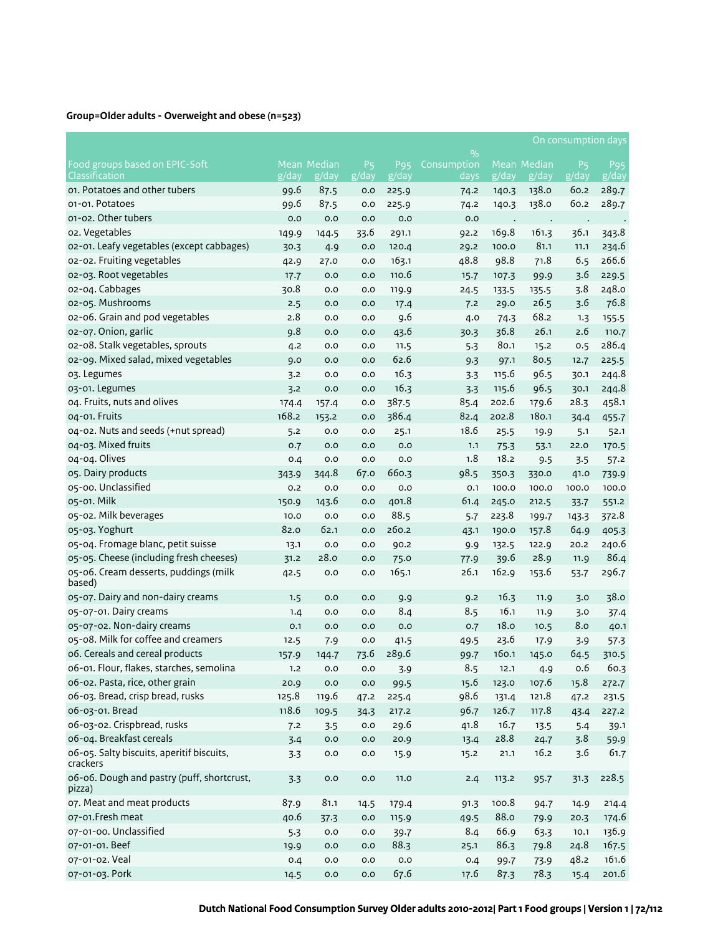# **Group=Older adults - Overweight and obese (n=523)**

|                                                       |            |                    |                |                 |             |       |                | On consumption days                  |                                                  |
|-------------------------------------------------------|------------|--------------------|----------------|-----------------|-------------|-------|----------------|--------------------------------------|--------------------------------------------------|
|                                                       |            |                    |                |                 | $\%$        |       |                |                                      |                                                  |
| Food groups based on EPIC-Soft<br>Classification      |            | <b>Mean Median</b> | P <sub>5</sub> | P <sub>95</sub> | Consumption |       | Mean Median    | P <sub>5</sub><br>$\overline{g}/day$ | P <sub>95</sub><br>$\overline{g}/\overline{day}$ |
| 01. Potatoes and other tubers                         | g/day      | g/day              | g/day          | g/day           | days        | g/day | g/day          |                                      |                                                  |
| 01-01. Potatoes                                       | 99.6       | 87.5               | 0.0            | 225.9           | 74.2        | 140.3 | 138.0<br>138.0 | 60.2<br>60.2                         | 289.7<br>289.7                                   |
| 01-02. Other tubers                                   | 99.6       | 87.5               | 0.0            | 225.9           | 74.2        | 140.3 |                |                                      |                                                  |
| o2. Vegetables                                        | 0.0        | 0.0                | 0.0            | 0.0             | 0.0         |       |                |                                      |                                                  |
|                                                       | 149.9      | 144.5              | 33.6           | 291.1           | 92.2        | 169.8 | 161.3          | 36.1                                 | 343.8                                            |
| 02-01. Leafy vegetables (except cabbages)             | 30.3       | 4.9                | 0.0            | 120.4           | 29.2        | 100.0 | 81.1           | 11.1                                 | 234.6                                            |
| 02-02. Fruiting vegetables                            | 42.9       | 27.0               | 0.0            | 163.1           | 48.8        | 98.8  | 71.8           | 6.5                                  | 266.6                                            |
| 02-03. Root vegetables<br>02-04. Cabbages             | 17.7       | 0.0                | 0.0            | 110.6           | 15.7        | 107.3 | 99.9           | 3.6                                  | 229.5                                            |
|                                                       | 30.8       | 0.0                | 0.0            | 119.9           | 24.5        | 133.5 | 135.5          | 3.8                                  | 248.0                                            |
| 02-05. Mushrooms                                      | 2.5<br>2.8 | 0.0                | 0.0            | 17.4            | 7.2         | 29.0  | 26.5           | 3.6                                  | 76.8                                             |
| o2-o6. Grain and pod vegetables                       |            | 0.0                | 0.0            | 9.6             | 4.0         | 74.3  | 68.2           | 1.3                                  | 155.5                                            |
| 02-07. Onion, garlic                                  | 9.8        | 0.0                | 0.0            | 43.6            | 30.3        | 36.8  | 26.1           | 2.6                                  | 110.7                                            |
| 02-08. Stalk vegetables, sprouts                      | 4.2        | 0.0                | 0.0            | 11.5            | 5.3         | 80.1  | 15.2           | 0.5                                  | 286.4                                            |
| 02-09. Mixed salad, mixed vegetables                  | 9.0        | 0.0                | 0.0            | 62.6            | 9.3         | 97.1  | 80.5           | 12.7                                 | 225.5                                            |
| 03. Legumes                                           | 3.2        | 0.0                | 0.0            | 16.3            | 3.3         | 115.6 | 96.5           | 30.1                                 | 244.8                                            |
| 03-01. Legumes                                        | 3.2        | 0.0                | 0.0            | 16.3            | 3.3         | 115.6 | 96.5           | 30.1                                 | 244.8                                            |
| 04. Fruits, nuts and olives                           | 174.4      | 157.4              | 0.0            | 387.5           | 85.4        | 202.6 | 179.6          | 28.3                                 | 458.1                                            |
| 04-01. Fruits                                         | 168.2      | 153.2              | 0.0            | 386.4           | 82.4        | 202.8 | 180.1          | 34.4                                 | 455.7                                            |
| 04-02. Nuts and seeds (+nut spread)                   | 5.2        | 0.0                | 0.0            | 25.1            | 18.6        | 25.5  | 19.9           | 5.1                                  | 52.1                                             |
| 04-03. Mixed fruits                                   | 0.7        | 0.0                | 0.0            | 0.0             | 1.1         | 75.3  | 53.1           | 22.0                                 | 170.5                                            |
| 04-04. Olives                                         | 0.4        | 0.0                | 0.0            | 0.0             | 1.8         | 18.2  | 9.5            | 3.5                                  | 57.2                                             |
| 05. Dairy products                                    | 343.9      | 344.8              | 67.0           | 660.3           | 98.5        | 350.3 | 330.0          | 41.0                                 | 739.9                                            |
| 05-00. Unclassified                                   | 0.2        | 0.0                | 0.0            | 0.0             | O.1         | 100.0 | 100.0          | 100.0                                | 100.0                                            |
| 05-01. Milk                                           | 150.9      | 143.6              | 0.0            | 401.8           | 61.4        | 245.0 | 212.5          | 33.7                                 | 551.2                                            |
| 05-02. Milk beverages                                 | 10.0       | 0.0                | 0.0            | 88.5            | 5.7         | 223.8 | 199.7          | 143.3                                | 372.8                                            |
| 05-03. Yoghurt                                        | 82.0       | 62.1               | 0.0            | 260.2           | 43.1        | 190.0 | 157.8          | 64.9                                 | 405.3                                            |
| 05-04. Fromage blanc, petit suisse                    | 13.1       | 0.0                | 0.0            | 90.2            | 9.9         | 132.5 | 122.9          | 20.2                                 | 240.6                                            |
| 05-05. Cheese (including fresh cheeses)               | 31.2       | 28.0               | 0.0            | 75.0            | 77.9        | 39.6  | 28.9           | 11.9                                 | 86.4                                             |
| 05-06. Cream desserts, puddings (milk<br>based)       | 42.5       | 0.0                | 0.0            | 165.1           | 26.1        | 162.9 | 153.6          | 53.7                                 | 296.7                                            |
| 05-07. Dairy and non-dairy creams                     | 1.5        | 0.0                | 0.0            | 9.9             | 9.2         | 16.3  | 11.9           | 3.0                                  | 38.0                                             |
| 05-07-01. Dairy creams                                | 1.4        | 0.0                | 0.0            | 8.4             | 8.5         | 16.1  | 11.9           | 3.0                                  | 37.4                                             |
| 05-07-02. Non-dairy creams                            | O.1        | 0.0                | 0.0            | 0.0             | 0.7         | 18.0  | 10.5           | 8.0                                  | 40.1                                             |
| 05-08. Milk for coffee and creamers                   | 12.5       | 7.9                | 0.0            | 41.5            | 49.5        | 23.6  | 17.9           | 3.9                                  | 57.3                                             |
| 06. Cereals and cereal products                       | 157.9      | 144.7              | 73.6           | 289.6           | 99.7        | 160.1 | 145.0          | 64.5                                 | 310.5                                            |
| 06-01. Flour, flakes, starches, semolina              | 1.2        | $_{\rm 0.0}$       | 0.0            | 3.9             | 8.5         | 12.1  | 4.9            | 0.6                                  | 60.3                                             |
| 06-02. Pasta, rice, other grain                       | 20.9       | 0.0                | 0.0            | 99.5            | 15.6        | 123.0 | 107.6          | 15.8                                 | 272.7                                            |
| 06-03. Bread, crisp bread, rusks                      | 125.8      | 119.6              | 47.2           | 225.4           | 98.6        | 131.4 | 121.8          | 47.2                                 | 231.5                                            |
| 06-03-01. Bread                                       | 118.6      | 109.5              | 34.3           | 217.2           | 96.7        | 126.7 | 117.8          | 43.4                                 | 227.2                                            |
| 06-03-02. Crispbread, rusks                           | 7.2        | 3.5                | $_{\rm 0.0}$   | 29.6            | 41.8        | 16.7  | 13.5           | 5.4                                  | 39.1                                             |
| 06-04. Breakfast cereals                              | 3.4        | $_{\rm 0.0}$       | 0.0            | 20.9            | 13.4        | 28.8  | 24.7           | 3.8                                  | 59.9                                             |
| 06-05. Salty biscuits, aperitif biscuits,<br>crackers | 3.3        | $_{\rm 0.0}$       | 0.0            | 15.9            | 15.2        | 21.1  | 16.2           | 3.6                                  | 61.7                                             |
| 06-06. Dough and pastry (puff, shortcrust,<br>pizza)  | 3.3        | $_{\rm 0.0}$       | 0.0            | 11.0            | 2.4         | 113.2 | 95.7           | 31.3                                 | 228.5                                            |
| 07. Meat and meat products                            | 87.9       | 81.1               | 14.5           | 179.4           | 91.3        | 100.8 | 94.7           | 14.9                                 | 214.4                                            |
| 07-01.Fresh meat                                      | 40.6       | 37.3               | 0.0            | 115.9           | 49.5        | 88.o  | 79.9           | 20.3                                 | 174.6                                            |
| 07-01-00. Unclassified                                | 5.3        | $_{\rm 0.0}$       | $_{\rm 0.0}$   | 39.7            | 8.4         | 66.9  | 63.3           | 10.1                                 | 136.9                                            |
| 07-01-01. Beef                                        | 19.9       | 0.0                | 0.0            | 88.3            | 25.1        | 86.3  | 79.8           | 24.8                                 | 167.5                                            |
| 07-01-02. Veal                                        | 0.4        | 0.0                | 0.0            | 0.0             | 0.4         | 99.7  | 73.9           | 48.2                                 | 161.6                                            |
| 07-01-03. Pork                                        | 14.5       | 0.0                | 0.0            | 67.6            | 17.6        | 87.3  | 78.3           | 15.4                                 | 201.6                                            |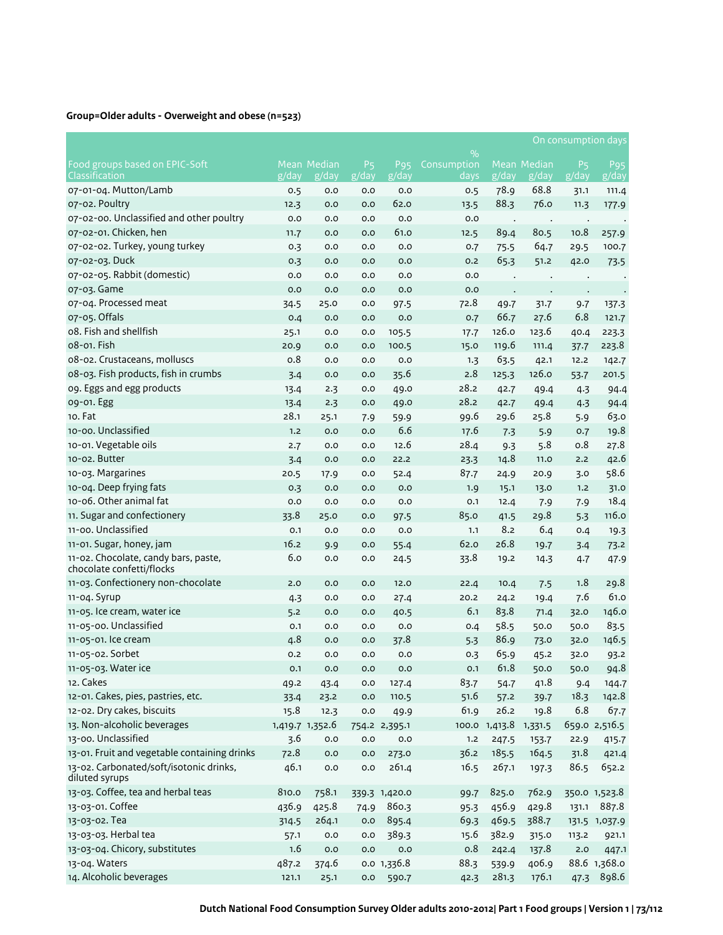# **Group=Older adults - Overweight and obese (n=523)**

|                                                                   |       |                      |                         |                                                  |                     |                 |                      |                         | On consumption days      |
|-------------------------------------------------------------------|-------|----------------------|-------------------------|--------------------------------------------------|---------------------|-----------------|----------------------|-------------------------|--------------------------|
|                                                                   |       |                      |                         |                                                  | $\%$                |                 |                      |                         |                          |
| Food groups based on EPIC-Soft<br>Classification                  | g/day | Mean Median<br>g/day | P <sub>5</sub><br>g/day | P <sub>95</sub><br>$\overline{g}/\overline{day}$ | Consumption<br>days | g/day           | Mean Median<br>g/day | P <sub>5</sub><br>g/day | P <sub>95</sub><br>g/day |
| 07-01-04. Mutton/Lamb                                             | 0.5   | 0.0                  | 0.0                     | 0.0                                              | 0.5                 | 78.9            | 68.8                 | 31.1                    | 111.4                    |
| 07-02. Poultry                                                    | 12.3  | 0.0                  | 0.0                     | 62.0                                             | 13.5                | 88.3            | 76.0                 | 11.3                    | 177.9                    |
| 07-02-00. Unclassified and other poultry                          | 0.0   | 0.0                  | 0.0                     | 0.0                                              | 0.0                 |                 |                      |                         |                          |
| 07-02-01. Chicken, hen                                            | 11.7  | 0.0                  | 0.0                     | 61.0                                             | 12.5                | $\cdot$<br>89.4 | $\cdot$<br>80.5      | $\cdot$<br>10.8         | 257.9                    |
| 07-02-02. Turkey, young turkey                                    | 0.3   | 0.0                  | 0.0                     | 0.0                                              |                     | 75.5            | 64.7                 | 29.5                    | 100.7                    |
| 07-02-03. Duck                                                    | 0.3   | 0.0                  | 0.0                     | 0.0                                              | 0.7<br>0.2          | 65.3            | 51.2                 | 42.0                    | 73.5                     |
| 07-02-05. Rabbit (domestic)                                       | 0.0   | 0.0                  | 0.0                     | 0.0                                              | 0.0                 |                 |                      |                         |                          |
| 07-03. Game                                                       | 0.0   | 0.0                  | 0.0                     | 0.0                                              | 0.0                 |                 |                      |                         |                          |
| 07-04. Processed meat                                             |       |                      | 0.0                     |                                                  | 72.8                |                 |                      |                         |                          |
| 07-05. Offals                                                     | 34.5  | 25.0                 |                         | 97.5                                             |                     | 49.7<br>66.7    | 31.7                 | 9.7<br>6.8              | 137.3                    |
| o8. Fish and shellfish                                            | 0.4   | 0.0                  | 0.0                     | 0.0                                              | 0.7                 | 126.0           | 27.6                 |                         | 121.7                    |
| 08-01. Fish                                                       | 25.1  | 0.0                  | 0.0                     | 105.5                                            | 17.7                |                 | 123.6                | 40.4                    | 223.3                    |
|                                                                   | 20.9  | 0.0                  | 0.0                     | 100.5                                            | 15.0                | 119.6           | 111.4                | 37.7                    | 223.8                    |
| 08-02. Crustaceans, molluscs                                      | 0.8   | 0.0                  | 0.0                     | 0.0                                              | 1.3                 | 63.5            | 42.1                 | 12.2                    | 142.7                    |
| 08-03. Fish products, fish in crumbs                              | 3.4   | 0.0                  | 0.0                     | 35.6                                             | 2.8                 | 125.3           | 126.0                | 53.7                    | 201.5                    |
| og. Eggs and egg products                                         | 13.4  | 2.3                  | 0.0                     | 49.0                                             | 28.2                | 42.7            | 49.4                 | 4.3                     | 94.4                     |
| 09-01. Egg                                                        | 13.4  | 2.3                  | 0.0                     | 49.0                                             | 28.2                | 42.7            | 49.4                 | 4.3                     | 94.4                     |
| 10. Fat                                                           | 28.1  | 25.1                 | 7.9                     | 59.9                                             | 99.6                | 29.6            | 25.8                 | 5.9                     | 63.0                     |
| 10-00. Unclassified                                               | 1.2   | 0.0                  | 0.0                     | 6.6                                              | 17.6                | 7.3             | 5.9                  | 0.7                     | 19.8                     |
| 10-01. Vegetable oils                                             | 2.7   | 0.0                  | 0.0                     | 12.6                                             | 28.4                | 9.3             | 5.8                  | 0.8                     | 27.8                     |
| 10-02. Butter                                                     | 3.4   | 0.0                  | 0.0                     | 22.2                                             | 23.3                | 14.8            | 11.0                 | 2.2                     | 42.6                     |
| 10-03. Margarines                                                 | 20.5  | 17.9                 | 0.0                     | 52.4                                             | 87.7                | 24.9            | 20.9                 | 3.0                     | 58.6                     |
| 10-04. Deep frying fats                                           | 0.3   | 0.0                  | 0.0                     | 0.0                                              | 1.9                 | 15.1            | 13.0                 | 1.2                     | 31.0                     |
| 10-06. Other animal fat                                           | 0.0   | 0.0                  | 0.0                     | 0.0                                              | 0.1                 | 12.4            | 7.9                  | 7.9                     | 18.4                     |
| 11. Sugar and confectionery                                       | 33.8  | 25.0                 | 0.0                     | 97.5                                             | 85.0                | 41.5            | 29.8                 | 5.3                     | 116.0                    |
| 11-00. Unclassified                                               | 0.1   | 0.0                  | 0.0                     | 0.0                                              | 1.1                 | 8.2             | 6.4                  | 0.4                     | 19.3                     |
| 11-01. Sugar, honey, jam                                          | 16.2  | 9.9                  | 0.0                     | 55.4                                             | 62.0                | 26.8            | 19.7                 | 3.4                     | 73.2                     |
| 11-02. Chocolate, candy bars, paste,<br>chocolate confetti/flocks | 6.0   | 0.0                  | 0.0                     | 24.5                                             | 33.8                | 19.2            | 14.3                 | 4.7                     | 47.9                     |
| 11-03. Confectionery non-chocolate                                | 2.0   | 0.0                  | 0.0                     | 12.0                                             | 22.4                | 10.4            | 7.5                  | 1.8                     | 29.8                     |
| 11-04. Syrup                                                      | 4.3   | 0.0                  | 0.0                     | 27.4                                             | 20.2                | 24.2            | 19.4                 | 7.6                     | 61.0                     |
| 11-05. Ice cream, water ice                                       | 5.2   | 0.0                  | 0.0                     | 40.5                                             | 6.1                 | 83.8            | 71.4                 | 32.0                    | 146.0                    |
| 11-05-00. Unclassified                                            | 0.1   | 0.0                  | 0.0                     | 0.0                                              | 0.4                 | 58.5            | 50.0                 | 50.0                    | 83.5                     |
| 11-05-01. Ice cream                                               | 4.8   | 0.0                  | 0.0                     | 37.8                                             | 5.3                 | 86.9            | 73.0                 | 32.0                    | 146.5                    |
| 11-05-02. Sorbet                                                  | 0.2   | O.O                  | 0.0                     | 0.0                                              | 0.3                 | 65.9            | 45.2                 | 32.0                    | 93.2                     |
| 11-05-03. Water ice                                               | 0.1   | 0.0                  | 0.0                     | 0.0                                              | 0.1                 | 61.8            | 50.0                 | 50.0                    | 94.8                     |
| 12. Cakes                                                         | 49.2  | 43.4                 | 0.0                     | 127.4                                            | 83.7                | 54.7            | 41.8                 | 9.4                     | 144.7                    |
| 12-01. Cakes, pies, pastries, etc.                                | 33.4  | 23.2                 | 0.0                     | 110.5                                            | 51.6                | 57.2            | 39.7                 | 18.3                    | 142.8                    |
| 12-02. Dry cakes, biscuits                                        | 15.8  | 12.3                 | $_{\rm 0.0}$            | 49.9                                             | 61.9                | 26.2            | 19.8                 | 6.8                     | 67.7                     |
| 13. Non-alcoholic beverages                                       |       | 1,419.7 1,352.6      |                         | 754.2 2,395.1                                    |                     | 100.0 1,413.8   | 1,331.5              |                         | 659.0 2,516.5            |
| 13-00. Unclassified                                               | 3.6   | 0.0                  | 0.0                     | 0.0                                              | 1.2                 | 247.5           | 153.7                | 22.9                    | 415.7                    |
| 13-01. Fruit and vegetable containing drinks                      | 72.8  | 0.0                  | 0.0                     | 273.0                                            | 36.2                | 185.5           | 164.5                | 31.8                    | 421.4                    |
| 13-02. Carbonated/soft/isotonic drinks,<br>diluted syrups         | 46.1  | 0.0                  | 0.0                     | 261.4                                            | 16.5                | 267.1           | 197.3                | 86.5                    | 652.2                    |
| 13-03. Coffee, tea and herbal teas                                | 810.0 | 758.1                |                         | 339.3 1,420.0                                    | 99.7                | 825.0           | 762.9                |                         | 350.0 1,523.8            |
| 13-03-01. Coffee                                                  | 436.9 | 425.8                | 74.9                    | 860.3                                            | 95.3                | 456.9           | 429.8                | 131.1                   | 887.8                    |
| 13-03-02. Tea                                                     | 314.5 | 264.1                | 0.0                     | 895.4                                            | 69.3                | 469.5           | 388.7                |                         | 131.5 1,037.9            |
| 13-03-03. Herbal tea                                              | 57.1  | 0.0                  | 0.0                     | 389.3                                            | 15.6                | 382.9           | 315.0                | 113.2                   | 921.1                    |
| 13-03-04. Chicory, substitutes                                    | 1.6   | 0.0                  | 0.0                     | 0.0                                              | 0.8                 | 242.4           | 137.8                | 2.0                     | 447.1                    |
| 13-04. Waters                                                     | 487.2 | 374.6                |                         | 0.0 1,336.8                                      | 88.3                | 539.9           | 406.9                |                         | 88.6 1,368.0             |
| 14. Alcoholic beverages                                           | 121.1 | 25.1                 | 0.0                     | 590.7                                            | 42.3                | 281.3           | 176.1                | 47.3                    | 898.6                    |
|                                                                   |       |                      |                         |                                                  |                     |                 |                      |                         |                          |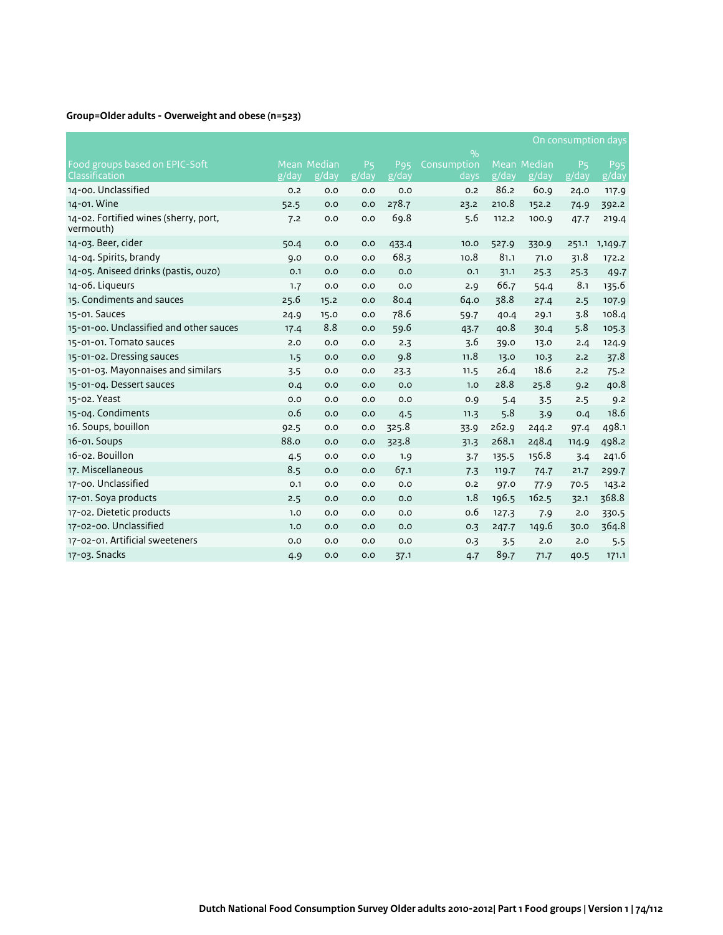# **Group=Older adults - Overweight and obese (n=523)**

|                                                    |                       |                      |                         |                                 |                     |                       |                      | On consumption days     |                          |
|----------------------------------------------------|-----------------------|----------------------|-------------------------|---------------------------------|---------------------|-----------------------|----------------------|-------------------------|--------------------------|
|                                                    |                       |                      |                         |                                 | $\frac{9}{0}$       |                       |                      |                         |                          |
| Food groups based on EPIC-Soft<br>Classification   | $\sqrt{g}/\sqrt{day}$ | Mean Median<br>g/day | P <sub>5</sub><br>g/day | <b>P</b> <sub>95</sub><br>g/day | Consumption<br>days | $\sqrt{g}/\sqrt{day}$ | Mean Median<br>g/day | P <sub>5</sub><br>g/day | P <sub>95</sub><br>g/day |
| 14-00. Unclassified                                | 0.2                   | 0.0                  | 0.0                     | O.O                             | 0.2                 | 86.2                  | 60.9                 | 24.0                    | 117.9                    |
| 14-01. Wine                                        | 52.5                  | 0.0                  | 0.0                     | 278.7                           | 23.2                | 210.8                 | 152.2                | 74.9                    | 392.2                    |
| 14-02. Fortified wines (sherry, port,<br>vermouth) | 7.2                   | 0.0                  | 0.0                     | 69.8                            | 5.6                 | 112.2                 | 100.9                | 47.7                    | 219.4                    |
| 14-03. Beer, cider                                 | 50.4                  | 0.0                  | 0.0                     | 433.4                           | 10.0                | 527.9                 | 330.9                | 251.1                   | 1,149.7                  |
| 14-04. Spirits, brandy                             | 9.0                   | 0.0                  | 0.0                     | 68.3                            | 10.8                | 81.1                  | 71.0                 | 31.8                    | 172.2                    |
| 14-05. Aniseed drinks (pastis, ouzo)               | O.1                   | 0.0                  | 0.0                     | 0.0                             | 0.1                 | 31.1                  | 25.3                 | 25.3                    | 49.7                     |
| 14-06. Liqueurs                                    | 1.7                   | 0.0                  | 0.0                     | 0.0                             | 2.9                 | 66.7                  | 54.4                 | 8.1                     | 135.6                    |
| 15. Condiments and sauces                          | 25.6                  | 15.2                 | 0.0                     | 80.4                            | 64.0                | 38.8                  | 27.4                 | 2.5                     | 107.9                    |
| 15-01. Sauces                                      | 24.9                  | 15.0                 | 0.0                     | 78.6                            | 59.7                | 40.4                  | 29.1                 | 3.8                     | 108.4                    |
| 15-01-00. Unclassified and other sauces            | 17.4                  | 8.8                  | 0.0                     | 59.6                            | 43.7                | 40.8                  | 30.4                 | 5.8                     | 105.3                    |
| 15-01-01. Tomato sauces                            | 2.0                   | 0.0                  | 0.0                     | 2.3                             | 3.6                 | 39.0                  | 13.0                 | 2.4                     | 124.9                    |
| 15-01-02. Dressing sauces                          | 1.5                   | 0.0                  | 0.0                     | 9.8                             | 11.8                | 13.0                  | 10.3                 | 2.2                     | 37.8                     |
| 15-01-03. Mayonnaises and similars                 | 3.5                   | 0.0                  | 0.0                     | 23.3                            | 11.5                | 26.4                  | 18.6                 | 2.2                     | 75.2                     |
| 15-01-04. Dessert sauces                           | 0.4                   | 0.0                  | 0.0                     | 0.0                             | 1.0                 | 28.8                  | 25.8                 | 9.2                     | 40.8                     |
| 15-02. Yeast                                       | 0.0                   | 0.0                  | 0.0                     | 0.0                             | 0.9                 | 5.4                   | 3.5                  | 2.5                     | 9.2                      |
| 15-04. Condiments                                  | 0.6                   | 0.0                  | 0.0                     | 4.5                             | 11.3                | 5.8                   | 3.9                  | 0.4                     | 18.6                     |
| 16. Soups, bouillon                                | 92.5                  | 0.0                  | 0.0                     | 325.8                           | 33.9                | 262.9                 | 244.2                | 97.4                    | 498.1                    |
| 16-01. Soups                                       | 88.o                  | 0.0                  | 0.0                     | 323.8                           | 31.3                | 268.1                 | 248.4                | 114.9                   | 498.2                    |
| 16-02. Bouillon                                    | 4.5                   | 0.0                  | 0.0                     | 1.9                             | 3.7                 | 135.5                 | 156.8                | 3.4                     | 241.6                    |
| 17. Miscellaneous                                  | 8.5                   | 0.0                  | 0.0                     | 67.1                            | 7.3                 | 119.7                 | 74.7                 | 21.7                    | 299.7                    |
| 17-00. Unclassified                                | 0.1                   | 0.0                  | 0.0                     | O.O                             | 0.2                 | 97.0                  | 77.9                 | 70.5                    | 143.2                    |
| 17-01. Soya products                               | 2.5                   | 0.0                  | 0.0                     | O.O                             | 1.8                 | 196.5                 | 162.5                | 32.1                    | 368.8                    |
| 17-02. Dietetic products                           | 1.0                   | 0.0                  | 0.0                     | 0.0                             | 0.6                 | 127.3                 | 7.9                  | 2.0                     | 330.5                    |
| 17-02-00. Unclassified                             | 1.0                   | 0.0                  | 0.0                     | 0.0                             | 0.3                 | 247.7                 | 149.6                | 30.0                    | 364.8                    |
| 17-02-01. Artificial sweeteners                    | 0.0                   | 0.0                  | 0.0                     | 0.0                             | 0.3                 | 3.5                   | 2.0                  | 2.0                     | 5.5                      |
| 17-03. Snacks                                      | 4.9                   | 0.0                  | 0.0                     | 37.1                            | 4.7                 | 89.7                  | 71.7                 | 40.5                    | 171.1                    |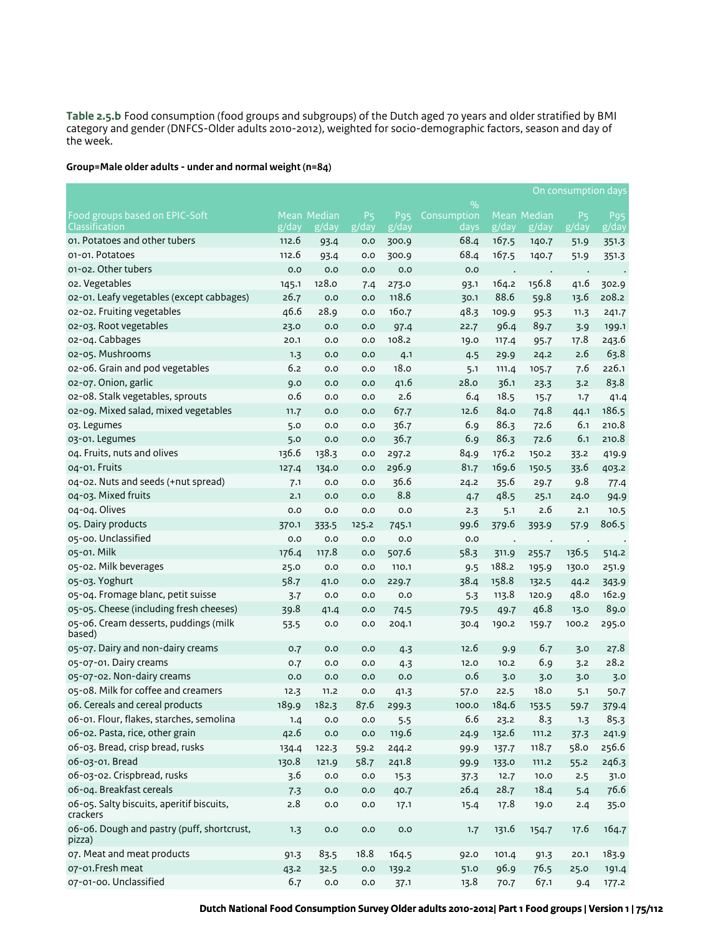**Table 2.5.b** Food consumption (food groups and subgroups) of the Dutch aged 70 years and older stratified by BMI category and gender (DNFCS-Older adults 2010-2012), weighted for socio-demographic factors, season and day of the week.

#### **Group=Male older adults - under and normal weight (n=84)**

|                                                       |            |              |                |                 |             |             |             | On consumption days  |                 |
|-------------------------------------------------------|------------|--------------|----------------|-----------------|-------------|-------------|-------------|----------------------|-----------------|
|                                                       |            |              |                |                 | $\%$        |             |             |                      |                 |
| Food groups based on EPIC-Soft                        |            | Mean Median  | P <sub>5</sub> | P <sub>95</sub> | Consumption |             | Mean Median | P <sub>5</sub>       | P <sub>95</sub> |
| Classification<br>01. Potatoes and other tubers       | g/day      | g/day        | g/day          | $\sqrt{g/day}$  | days        | g/day       | g/day       | g/day                | g/day           |
|                                                       | 112.6      | 93.4         | 0.0            | 300.9           | 68.4        | 167.5       | 140.7       | 51.9                 | 351.3           |
| 01-01. Potatoes                                       | 112.6      | 93.4         | 0.0            | 300.9           | 68.4        | 167.5       | 140.7       | 51.9                 | 351.3           |
| 01-02. Other tubers                                   | 0.0        | 0.0          | 0.0            | 0.0             | 0.0         |             |             |                      |                 |
| o2. Vegetables                                        | 145.1      | 128.0        | 7.4            | 273.0           | 93.1        | 164.2       | 156.8       | 41.6                 | 302.9           |
| 02-01. Leafy vegetables (except cabbages)             | 26.7       | 0.0          | 0.0            | 118.6           | 30.1        | 88.6        | 59.8        | 13.6                 | 208.2           |
| 02-02. Fruiting vegetables                            | 46.6       | 28.9         | 0.0            | 160.7           | 48.3        | 109.9       | 95.3        | 11.3                 | 241.7           |
| 02-03. Root vegetables                                | 23.0       | 0.0          | 0.0            | 97.4            | 22.7        | 96.4        | 89.7        | 3.9                  | 199.1           |
| 02-04. Cabbages                                       | 20.1       | 0.0          | 0.0            | 108.2           | 19.0        | 117.4       | 95.7        | 17.8                 | 243.6           |
| 02-05. Mushrooms                                      | 1.3        | 0.0          | 0.0            | 4.1             | 4.5         | 29.9        | 24.2        | 2.6                  | 63.8            |
| o2-o6. Grain and pod vegetables                       | 6.2        | 0.0          | 0.0            | 18.0            | 5.1         | 111.4       | 105.7       | 7.6                  | 226.1           |
| 02-07. Onion, garlic                                  | 9.0        | 0.0          | 0.0            | 41.6            | 28.0        | 36.1        | 23.3        | 3.2                  | 83.8            |
| 02-08. Stalk vegetables, sprouts                      | 0.6        | 0.0          | 0.0            | 2.6             | 6.4         | 18.5        | 15.7        | 1.7                  | 41.4            |
| 02-09. Mixed salad, mixed vegetables                  | 11.7       | 0.0          | 0.0            | 67.7            | 12.6        | 84.0        | 74.8        | 44.1                 | 186.5           |
| 03. Legumes                                           | 5.0        | 0.0          | 0.0            | 36.7            | 6.9         | 86.3        | 72.6        | 6.1                  | 210.8           |
| 03-01. Legumes                                        | 5.0        | 0.0          | 0.0            | 36.7            | 6.9         | 86.3        | 72.6        | 6.1                  | 210.8           |
| 04. Fruits, nuts and olives                           | 136.6      | 138.3        | 0.0            | 297.2           | 84.9        | 176.2       | 150.2       | 33.2                 | 419.9           |
| 04-01. Fruits                                         | 127.4      | 134.0        | 0.0            | 296.9           | 81.7        | 169.6       | 150.5       | 33.6                 | 403.2           |
| 04-02. Nuts and seeds (+nut spread)                   | 7.1        | 0.0          | 0.0            | 36.6            | 24.2        | 35.6        | 29.7        | 9.8                  | 77.4            |
| 04-03. Mixed fruits                                   | 2.1        | 0.0          | 0.0            | 8.8             | 4.7         | 48.5        | 25.1        | 24.0                 | 94.9            |
| 04-04. Olives                                         | 0.0        | 0.0          | 0.0            | 0.0             | 2.3         | 5.1         | 2.6         | 2.1                  | 10.5            |
| 05. Dairy products                                    | 370.1      | 333.5        | 125.2          | 745.1           | 99.6        | 379.6       | 393.9       | 57.9                 | 806.5           |
| 05-00. Unclassified                                   | 0.0        | 0.0          | 0.0            | 0.0             | 0.0         | $\cdot$     | $\cdot$     | $\ddot{\phantom{0}}$ |                 |
| 05-01. Milk                                           | 176.4      | 117.8        | 0.0            | 507.6           | 58.3        | 311.9       | 255.7       | 136.5                | 514.2           |
| 05-02. Milk beverages                                 | 25.0       | 0.0          | 0.0            | 110.1           | 9.5         | 188.2       | 195.9       | 130.0                | 251.9           |
| 05-03. Yoghurt                                        | 58.7       | 41.0         | 0.0            | 229.7           | 38.4        | 158.8       | 132.5       | 44.2                 | 343.9           |
| 05-04. Fromage blanc, petit suisse                    | 3.7        | 0.0          | 0.0            | 0.0             | 5.3         | 113.8       | 120.9       | 48.0                 | 162.9           |
| 05-05. Cheese (including fresh cheeses)               | 39.8       | 41.4         | 0.0            | 74.5            | 79.5        | 49.7        | 46.8        | 13.0                 | 89.0            |
| 05-06. Cream desserts, puddings (milk<br>based)       | 53.5       | 0.0          | 0.0            | 204.1           | 30.4        | 190.2       | 159.7       | 100.2                | 295.0           |
| 05-07. Dairy and non-dairy creams                     | 0.7        | 0.0          | 0.0            |                 | 12.6        |             | 6.7         | 3.0                  | 27.8            |
| 05-07-01. Dairy creams                                |            | 0.0          | 0.0            | 4.3             | 12.0        | 9.9<br>10.2 | 6.9         | 3.2                  | 28.2            |
| 05-07-02. Non-dairy creams                            | 0.7<br>0.0 |              |                | 4.3<br>0.0      | 0.6         |             |             |                      |                 |
| 05-08. Milk for coffee and creamers                   |            | 0.0<br>11.2  | 0.0<br>0.0     |                 |             | 3.0         | 3.0<br>18.0 | 3.0                  | 3.0             |
| o6. Cereals and cereal products                       | 12.3       |              | 87.6           | 41.3            | 57.0        | 22.5        |             | 5.1                  | 50.7            |
| 06-01. Flour, flakes, starches, semolina              | 189.9      | 182.3        |                | 299.3           | 100.0       | 184.6       | 153.5       | 59.7                 | 379.4           |
|                                                       | 1.4        | $_{\rm 0.0}$ | $_{\rm 0.0}$   | 5.5             | 6.6         | 23.2        | 8.3         | 1.3                  | 85.3            |
| 06-02. Pasta, rice, other grain                       | 42.6       | $_{\rm 0.0}$ | $_{\rm 0.0}$   | 119.6           | 24.9        | 132.6       | 111.2       | 37.3                 | 241.9           |
| 06-03. Bread, crisp bread, rusks                      | 134.4      | 122.3        | 59.2           | 244.2           | 99.9        | 137.7       | 118.7       | 58.0                 | 256.6           |
| 06-03-01. Bread                                       | 130.8      | 121.9        | 58.7           | 241.8           | 99.9        | 133.0       | 111.2       | 55.2                 | 246.3           |
| 06-03-02. Crispbread, rusks                           | 3.6        | 0.0          | $_{\rm 0.0}$   | 15.3            | 37.3        | 12.7        | 10.0        | 2.5                  | 31.0            |
| 06-04. Breakfast cereals                              | 7.3        | 0.0          | 0.0            | 40.7            | 26.4        | 28.7        | 18.4        | 5.4                  | 76.6            |
| 06-05. Salty biscuits, aperitif biscuits,<br>crackers | 2.8        | 0.0          | 0.0            | 17.1            | 15.4        | 17.8        | 19.0        | 2.4                  | 35.0            |
| 06-06. Dough and pastry (puff, shortcrust,<br>pizza)  | 1.3        | 0.0          | 0.0            | $_{\rm 0.0}$    | 1.7         | 131.6       | 154.7       | 17.6                 | 164.7           |
| 07. Meat and meat products                            | 91.3       | 83.5         | 18.8           | 164.5           | 92.0        | 101.4       | 91.3        | 20.1                 | 183.9           |
| 07-01.Fresh meat                                      | 43.2       | 32.5         | $_{\rm 0.0}$   | 139.2           | 51.0        | 96.9        | 76.5        | 25.0                 | 191.4           |
| 07-01-00. Unclassified                                | 6.7        | $_{0.0}$     | 0.0            | 37.1            | 13.8        | 70.7        | 67.1        | 9.4                  | 177.2           |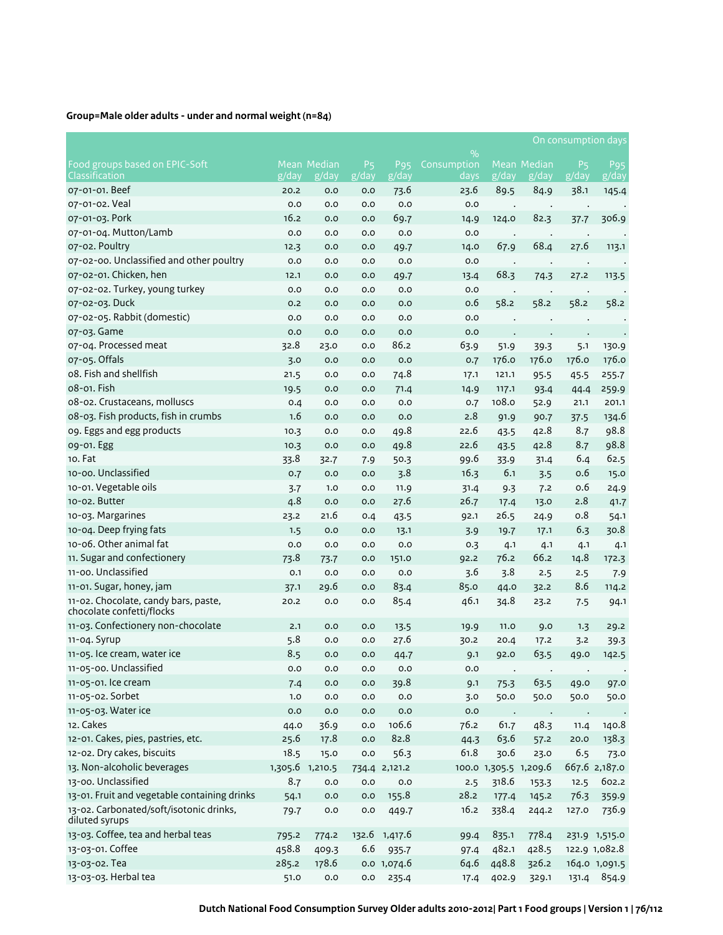|                                                                   |                 |                      |                         |                          |                     |                       |                      | On consumption days                             |                          |
|-------------------------------------------------------------------|-----------------|----------------------|-------------------------|--------------------------|---------------------|-----------------------|----------------------|-------------------------------------------------|--------------------------|
|                                                                   |                 |                      |                         |                          | $\%$                |                       |                      |                                                 |                          |
| Food groups based on EPIC-Soft<br>Classification                  | g/day           | Mean Median<br>g/day | P <sub>5</sub><br>g/day | P <sub>95</sub><br>g/day | Consumption<br>days | g/day                 | Mean Median<br>g/day | P <sub>5</sub><br>$\overline{g}/\overline{day}$ | P <sub>95</sub><br>g/day |
| 07-01-01. Beef                                                    | 20.2            | 0.0                  | 0.0                     | 73.6                     | 23.6                | 89.5                  | 84.9                 | 38.1                                            |                          |
| 07-01-02. Veal                                                    | 0.0             | 0.0                  | 0.0                     | 0.0                      | 0.0                 |                       |                      |                                                 | 145.4                    |
| 07-01-03. Pork                                                    | 16.2            | 0.0                  | 0.0                     | 69.7                     | 14.9                | $\cdot$<br>124.0      | $\cdot$<br>82.3      | $\bullet$<br>37.7                               | 306.9                    |
| 07-01-04. Mutton/Lamb                                             | 0.0             | 0.0                  | 0.0                     | 0.0                      | 0.0                 |                       |                      |                                                 |                          |
| 07-02. Poultry                                                    | 12.3            | 0.0                  | 0.0                     | 49.7                     | 14.0                | $\cdot$<br>67.9       | $\cdot$<br>68.4      | $\cdot$<br>27.6                                 | 113.1                    |
| 07-02-00. Unclassified and other poultry                          | 0.0             | 0.0                  | 0.0                     | 0.0                      | 0.0                 | $\cdot$               | $\cdot$              |                                                 |                          |
| 07-02-01. Chicken, hen                                            | 12.1            | 0.0                  | 0.0                     | 49.7                     | 13.4                | 68.3                  | 74.3                 | $\bullet$<br>27.2                               | 113.5                    |
| 07-02-02. Turkey, young turkey                                    | 0.0             | 0.0                  | 0.0                     | 0.0                      | 0.0                 | $\cdot$               | $\cdot$              | $\cdot$                                         |                          |
| 07-02-03. Duck                                                    | 0.2             | 0.0                  | 0.0                     | 0.0                      | 0.6                 | 58.2                  | 58.2                 | 58.2                                            | 58.2                     |
| 07-02-05. Rabbit (domestic)                                       | 0.0             | 0.0                  | 0.0                     | 0.0                      | 0.0                 |                       |                      |                                                 |                          |
| 07-03. Game                                                       | 0.0             | 0.0                  | 0.0                     | 0.0                      | 0.0                 |                       | $\bullet$            | $\bullet$                                       |                          |
| 07-04. Processed meat                                             | 32.8            | 23.0                 | 0.0                     | 86.2                     | 63.9                | 51.9                  | 39.3                 | 5.1                                             | 130.9                    |
| 07-05. Offals                                                     | 3.0             | 0.0                  | 0.0                     | 0.0                      | 0.7                 | 176.0                 | 176.0                | 176.0                                           | 176.0                    |
| 08. Fish and shellfish                                            | 21.5            | 0.0                  | 0.0                     | 74.8                     | 17.1                | 121.1                 | 95.5                 | 45.5                                            | 255.7                    |
| 08-01. Fish                                                       | 19.5            | 0.0                  | 0.0                     | 71.4                     | 14.9                | 117.1                 | 93.4                 | 44.4                                            | 259.9                    |
| 08-02. Crustaceans, molluscs                                      | 0.4             | 0.0                  | 0.0                     | 0.0                      | 0.7                 | 108.0                 | 52.9                 | 21.1                                            | 201.1                    |
| 08-03. Fish products, fish in crumbs                              | 1.6             | 0.0                  | 0.0                     | 0.0                      | 2.8                 | 91.9                  | 90.7                 | 37.5                                            | 134.6                    |
| og. Eggs and egg products                                         | 10.3            | 0.0                  | 0.0                     | 49.8                     | 22.6                | 43.5                  | 42.8                 | 8.7                                             | 98.8                     |
| 09-01. Egg                                                        | 10.3            | 0.0                  | 0.0                     | 49.8                     | 22.6                | 43.5                  | 42.8                 | 8.7                                             | 98.8                     |
| 10. Fat                                                           | 33.8            | 32.7                 | 7.9                     | 50.3                     | 99.6                | 33.9                  | 31.4                 | 6.4                                             | 62.5                     |
| 10-00. Unclassified                                               | 0.7             | 0.0                  | 0.0                     | 3.8                      | 16.3                | 6.1                   | 3.5                  | 0.6                                             | 15.0                     |
| 10-01. Vegetable oils                                             | 3.7             | 1.0                  | 0.0                     | 11.9                     | 31.4                | 9.3                   | 7.2                  | 0.6                                             | 24.9                     |
| 10-02. Butter                                                     | 4.8             | 0.0                  | 0.0                     | 27.6                     | 26.7                | 17.4                  | 13.0                 | 2.8                                             | 41.7                     |
| 10-03. Margarines                                                 | 23.2            | 21.6                 | 0.4                     | 43.5                     | 92.1                | 26.5                  | 24.9                 | 0.8                                             | 54.1                     |
| 10-04. Deep frying fats                                           | 1.5             | 0.0                  | 0.0                     | 13.1                     | 3.9                 | 19.7                  | 17.1                 | 6.3                                             | 30.8                     |
| 10-06. Other animal fat                                           | 0.0             | 0.0                  | 0.0                     | 0.0                      | 0.3                 | 4.1                   | 4.1                  | 4.1                                             | 4.1                      |
| 11. Sugar and confectionery                                       | 73.8            | 73.7                 | 0.0                     | 151.0                    | 92.2                | 76.2                  | 66.2                 | 14.8                                            | 172.3                    |
| 11-00. Unclassified                                               | 0.1             | 0.0                  | 0.0                     | 0.0                      | 3.6                 | 3.8                   | 2.5                  | 2.5                                             | 7.9                      |
| 11-01. Sugar, honey, jam                                          | 37.1            | 29.6                 | 0.0                     | 83.4                     | 85.0                | 44.0                  | 32.2                 | 8.6                                             | 114.2                    |
| 11-02. Chocolate, candy bars, paste,<br>chocolate confetti/flocks | 20.2            | 0.0                  | 0.0                     | 85.4                     | 46.1                | 34.8                  | 23.2                 | 7.5                                             | 94.1                     |
| 11-03. Confectionery non-chocolate                                | 2.1             | 0.0                  | 0.0                     | 13.5                     | 19.9                | 11.0                  | 9.0                  | 1.3                                             | 29.2                     |
| 11-04. Syrup                                                      | 5.8             | 0.0                  | 0.0                     | 27.6                     | 30.2                | 20.4                  | 17.2                 | 3.2                                             | 39.3                     |
| 11-05. Ice cream, water ice                                       | 8.5             | 0.0                  | 0.0                     | 44.7                     | 9.1                 | 92.0                  | 63.5                 | 49.0                                            | 142.5                    |
| 11-05-00. Unclassified                                            | 0.0             | 0.0                  | $_{\rm 0.0}$            | 0.0                      | 0.0                 |                       | $\ddot{\phantom{a}}$ | $\bullet$                                       |                          |
| 11-05-01. Ice cream                                               | 7.4             | 0.0                  | 0.0                     | 39.8                     | 9.1                 | 75.3                  | 63.5                 | 49.0                                            | 97.0                     |
| 11-05-02. Sorbet                                                  | 1.0             | 0.0                  | 0.0                     | 0.0                      | 3.0                 | 50.0                  | 50.0                 | 50.0                                            | 50.0                     |
| 11-05-03. Water ice                                               | 0.0             | 0.0                  | 0.0                     | 0.0                      | 0.0                 |                       |                      |                                                 |                          |
| 12. Cakes                                                         | 44.0            | 36.9                 | 0.0                     | 106.6                    | 76.2                | 61.7                  | 48.3                 | 11.4                                            | 140.8                    |
| 12-01. Cakes, pies, pastries, etc.                                | 25.6            | 17.8                 | 0.0                     | 82.8                     | 44.3                | 63.6                  | 57.2                 | 20.0                                            | 138.3                    |
| 12-02. Dry cakes, biscuits                                        | 18.5            | 15.0                 | $_{\rm 0.0}$            | 56.3                     | 61.8                | 30.6                  | 23.0                 | 6.5                                             | 73.0                     |
| 13. Non-alcoholic beverages                                       | 1,305.6 1,210.5 |                      |                         | 734.4 2,121.2            |                     | 100.0 1,305.5 1,209.6 |                      |                                                 | 667.6 2,187.0            |
| 13-00. Unclassified                                               | 8.7             | 0.0                  | 0.0                     | 0.0                      | 2.5                 | 318.6                 | 153.3                | 12.5                                            | 602.2                    |
| 13-01. Fruit and vegetable containing drinks                      | 54.1            | 0.0                  | 0.0                     | 155.8                    | 28.2                | 177.4                 | 145.2                | 76.3                                            | 359.9                    |
| 13-02. Carbonated/soft/isotonic drinks,<br>diluted syrups         | 79.7            | 0.0                  | 0.0                     | 449.7                    | 16.2                | 338.4                 | 244.2                | 127.0                                           | 736.9                    |
| 13-03. Coffee, tea and herbal teas                                | 795.2           | 774.2                | 132.6                   | 1,417.6                  | 99.4                | 835.1                 | 778.4                |                                                 | 231.9 1,515.0            |
| 13-03-01. Coffee                                                  | 458.8           | 409.3                | 6.6                     | 935.7                    | 97.4                | 482.1                 | 428.5                |                                                 | 122.9 1,082.8            |
| 13-03-02. Tea                                                     | 285.2           | 178.6                |                         | 0.0 1,074.6              | 64.6                | 448.8                 | 326.2                |                                                 | 164.0 1,091.5            |
| 13-03-03. Herbal tea                                              | 51.0            | $_{\rm 0.0}$         | 0.0                     | 235.4                    | 17.4                | 402.9                 | 329.1                | 131.4                                           | 854.9                    |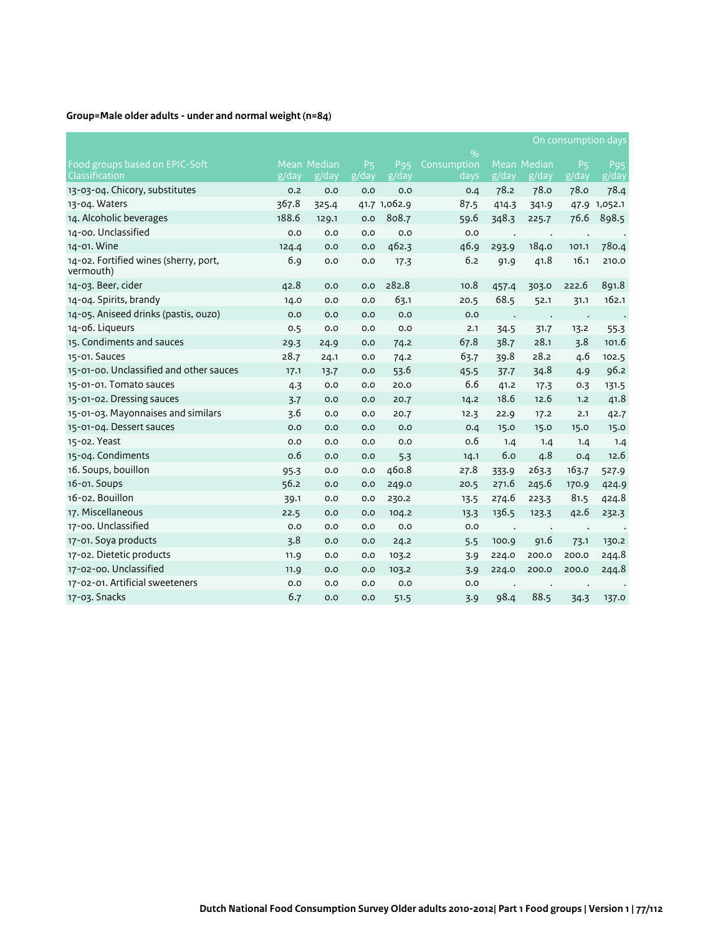|                                                    |       |                      |                                         |                                                     |                     |       |                             | On consumption days     |                          |
|----------------------------------------------------|-------|----------------------|-----------------------------------------|-----------------------------------------------------|---------------------|-------|-----------------------------|-------------------------|--------------------------|
|                                                    |       |                      |                                         |                                                     | $\frac{9}{0}$       |       |                             |                         |                          |
| Food groups based on EPIC-Soft<br>Classification   | g/day | Mean Median<br>g/day | P <sub>5</sub><br>$\sqrt{g}/\sqrt{day}$ | <b>P</b> <sub>95</sub><br>$\overline{g}/\text{day}$ | Consumption<br>days | g/day | <b>Mean Median</b><br>g/day | P <sub>5</sub><br>g/day | P <sub>95</sub><br>g/day |
| 13-03-04. Chicory, substitutes                     | 0.2   | 0.0                  | 0.0                                     | 0.0                                                 | 0.4                 | 78.2  | 78.0                        | 78.0                    | 78.4                     |
| 13-04. Waters                                      | 367.8 | 325.4                |                                         | 41.7 1,062.9                                        | 87.5                | 414.3 | 341.9                       | 47.9                    | 1,052.1                  |
| 14. Alcoholic beverages                            | 188.6 | 129.1                | 0.0                                     | 808.7                                               | 59.6                | 348.3 | 225.7                       | 76.6                    | 898.5                    |
| 14-00. Unclassified                                | 0.0   | 0.0                  | 0.0                                     | O.O                                                 | O.O                 |       |                             |                         |                          |
| 14-01. Wine                                        | 124.4 | 0.0                  | 0.0                                     | 462.3                                               | 46.9                | 293.9 | 184.0                       | 101.1                   | 780.4                    |
| 14-02. Fortified wines (sherry, port,<br>vermouth) | 6.9   | 0.0                  | 0.0                                     | 17.3                                                | 6.2                 | 91.9  | 41.8                        | 16.1                    | 210.0                    |
| 14-03. Beer, cider                                 | 42.8  | 0.0                  | 0.0                                     | 282.8                                               | 10.8                | 457.4 | 303.0                       | 222.6                   | 891.8                    |
| 14-04. Spirits, brandy                             | 14.0  | 0.0                  | 0.0                                     | 63.1                                                | 20.5                | 68.5  | 52.1                        | 31.1                    | 162.1                    |
| 14-05. Aniseed drinks (pastis, ouzo)               | 0.0   | 0.0                  | 0.0                                     | 0.0                                                 | O.O                 |       |                             |                         |                          |
| 14-06. Liqueurs                                    | 0.5   | 0.0                  | 0.0                                     | O.O                                                 | 2.1                 | 34.5  | 31.7                        | 13.2                    | 55.3                     |
| 15. Condiments and sauces                          | 29.3  | 24.9                 | 0.0                                     | 74.2                                                | 67.8                | 38.7  | 28.1                        | 3.8                     | 101.6                    |
| 15-01. Sauces                                      | 28.7  | 24.1                 | 0.0                                     | 74.2                                                | 63.7                | 39.8  | 28.2                        | 4.6                     | 102.5                    |
| 15-01-00. Unclassified and other sauces            | 17.1  | 13.7                 | 0.0                                     | 53.6                                                | 45.5                | 37.7  | 34.8                        | 4.9                     | 96.2                     |
| 15-01-01. Tomato sauces                            | 4.3   | O.O                  | 0.0                                     | 20.0                                                | 6.6                 | 41.2  | 17.3                        | 0.3                     | 131.5                    |
| 15-01-02. Dressing sauces                          | 3.7   | 0.0                  | 0.0                                     | 20.7                                                | 14.2                | 18.6  | 12.6                        | 1.2                     | 41.8                     |
| 15-01-03. Mayonnaises and similars                 | 3.6   | 0.0                  | 0.0                                     | 20.7                                                | 12.3                | 22.9  | 17.2                        | 2.1                     | 42.7                     |
| 15-01-04. Dessert sauces                           | 0.0   | 0.0                  | 0.0                                     | 0.0                                                 | 0.4                 | 15.0  | 15.0                        | 15.0                    | 15.0                     |
| 15-02. Yeast                                       | 0.0   | 0.0                  | 0.0                                     | 0.0                                                 | 0.6                 | 1.4   | 1.4                         | 1.4                     | 1.4                      |
| 15-04. Condiments                                  | 0.6   | 0.0                  | 0.0                                     | 5.3                                                 | 14.1                | 6.0   | 4.8                         | 0.4                     | 12.6                     |
| 16. Soups, bouillon                                | 95.3  | 0.0                  | 0.0                                     | 460.8                                               | 27.8                | 333.9 | 263.3                       | 163.7                   | 527.9                    |
| 16-01. Soups                                       | 56.2  | 0.0                  | 0.0                                     | 249.0                                               | 20.5                | 271.6 | 245.6                       | 170.9                   | 424.9                    |
| 16-02. Bouillon                                    | 39.1  | 0.0                  | 0.0                                     | 230.2                                               | 13.5                | 274.6 | 223.3                       | 81.5                    | 424.8                    |
| 17. Miscellaneous                                  | 22.5  | 0.0                  | 0.0                                     | 104.2                                               | 13.3                | 136.5 | 123.3                       | 42.6                    | 232.3                    |
| 17-00. Unclassified                                | 0.0   | O.O                  | 0.0                                     | O.O                                                 | O.O                 |       |                             |                         |                          |
| 17-01. Soya products                               | 3.8   | 0.0                  | 0.0                                     | 24.2                                                | 5.5                 | 100.9 | 91.6                        | 73.1                    | 130.2                    |
| 17-02. Dietetic products                           | 11.9  | 0.0                  | 0.0                                     | 103.2                                               | 3.9                 | 224.0 | 200.0                       | 200.0                   | 244.8                    |
| 17-02-00. Unclassified                             | 11.9  | 0.0                  | 0.0                                     | 103.2                                               | 3.9                 | 224.0 | 200.0                       | 200.0                   | 244.8                    |
| 17-02-01. Artificial sweeteners                    | 0.0   | 0.0                  | 0.0                                     | 0.0                                                 | 0.0                 |       |                             |                         |                          |
| 17-03. Snacks                                      | 6.7   | 0.0                  | 0.0                                     | 51.5                                                | 3.9                 | 98.4  | 88.5                        | 34.3                    | 137.0                    |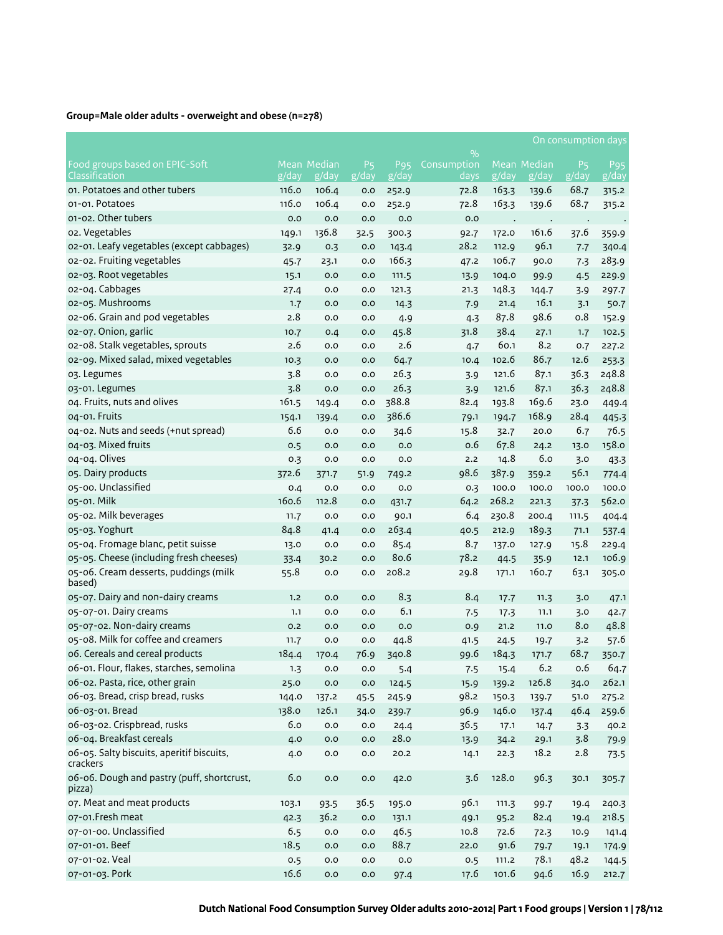|                                                       |              |                      |                         |                          |                     |               |                      | On consumption days                        |                                       |
|-------------------------------------------------------|--------------|----------------------|-------------------------|--------------------------|---------------------|---------------|----------------------|--------------------------------------------|---------------------------------------|
|                                                       |              |                      |                         |                          | $\frac{9}{0}$       |               |                      |                                            |                                       |
| Food groups based on EPIC-Soft<br>Classification      | g/day        | Mean Median<br>g/day | P <sub>5</sub><br>g/day | P <sub>95</sub><br>g/day | Consumption<br>days | g/day         | Mean Median<br>g/day | <b>P<sub>5</sub></b><br>$\overline{g}/day$ | P <sub>95</sub><br>$\overline{g}/day$ |
| 01. Potatoes and other tubers                         | 116.0        | 106.4                | 0.0                     | 252.9                    | 72.8                | 163.3         | 139.6                | 68.7                                       | 315.2                                 |
| 01-01. Potatoes                                       | 116.0        | 106.4                | 0.0                     | 252.9                    | 72.8                | 163.3         | 139.6                | 68.7                                       | 315.2                                 |
| 01-02. Other tubers                                   | 0.0          | 0.0                  | 0.0                     | 0.0                      | 0.0                 |               |                      |                                            |                                       |
| o2. Vegetables                                        | 149.1        | 136.8                | 32.5                    | 300.3                    | 92.7                | 172.0         | 161.6                | 37.6                                       | 359.9                                 |
| 02-01. Leafy vegetables (except cabbages)             | 32.9         | 0.3                  | 0.0                     | 143.4                    | 28.2                | 112.9         | 96.1                 | 7.7                                        | 340.4                                 |
| 02-02. Fruiting vegetables                            | 45.7         | 23.1                 | 0.0                     | 166.3                    | 47.2                | 106.7         | 90.0                 | 7.3                                        | 283.9                                 |
| 02-03. Root vegetables                                | 15.1         | 0.0                  | 0.0                     | 111.5                    | 13.9                | 104.0         | 99.9                 | 4.5                                        | 229.9                                 |
| 02-04. Cabbages                                       | 27.4         | 0.0                  | 0.0                     | 121.3                    | 21.3                | 148.3         | 144.7                | 3.9                                        | 297.7                                 |
| 02-05. Mushrooms                                      | 1.7          | 0.0                  | 0.0                     | 14.3                     | 7.9                 | 21.4          | 16.1                 | 3.1                                        | 50.7                                  |
| o2-o6. Grain and pod vegetables                       | 2.8          | 0.0                  | 0.0                     | 4.9                      | 4.3                 | 87.8          | 98.6                 | 0.8                                        | 152.9                                 |
| 02-07. Onion, garlic                                  | 10.7         | 0.4                  | 0.0                     | 45.8                     | 31.8                | 38.4          | 27.1                 | 1.7                                        | 102.5                                 |
| 02-08. Stalk vegetables, sprouts                      | 2.6          | 0.0                  | 0.0                     | 2.6                      | 4.7                 | 60.1          | 8.2                  | 0.7                                        | 227.2                                 |
| 02-09. Mixed salad, mixed vegetables                  | 10.3         | 0.0                  | 0.0                     | 64.7                     | 10.4                | 102.6         | 86.7                 | 12.6                                       | 253.3                                 |
| 03. Legumes                                           | 3.8          | 0.0                  | 0.0                     | 26.3                     | 3.9                 | 121.6         | 87.1                 | 36.3                                       | 248.8                                 |
| 03-01. Legumes                                        | 3.8          | 0.0                  | 0.0                     | 26.3                     | 3.9                 | 121.6         | 87.1                 | 36.3                                       | 248.8                                 |
| 04. Fruits, nuts and olives                           | 161.5        | 149.4                | 0.0                     | 388.8                    | 82.4                | 193.8         | 169.6                | 23.0                                       |                                       |
| 04-01. Fruits                                         | 154.1        | 139.4                | 0.0                     | 386.6                    | 79.1                | 194.7         | 168.9                | 28.4                                       | 449.4                                 |
| 04-02. Nuts and seeds (+nut spread)                   | 6.6          | 0.0                  | 0.0                     | 34.6                     | 15.8                | 32.7          | 20.0                 | 6.7                                        | 445.3<br>76.5                         |
| 04-03. Mixed fruits                                   | 0.5          | 0.0                  | 0.0                     | 0.0                      | 0.6                 | 67.8          | 24.2                 |                                            | 158.0                                 |
| 04-04. Olives                                         | 0.3          | 0.0                  | 0.0                     | 0.0                      | 2.2                 | 14.8          | 6.0                  | 13.0<br>3.0                                |                                       |
| 05. Dairy products                                    | 372.6        |                      |                         | 749.2                    | 98.6                | 387.9         |                      | 56.1                                       | 43.3<br>774.4                         |
| 05-00. Unclassified                                   | 0.4          | 371.7<br>0.0         | 51.9<br>0.0             | 0.0                      |                     | 100.0         | 359.2<br>100.0       | 100.0                                      | 100.0                                 |
| 05-01. Milk                                           | 160.6        | 112.8                | 0.0                     | 431.7                    | 0.3<br>64.2         | 268.2         | 221.3                |                                            | 562.0                                 |
| 05-02. Milk beverages                                 | 11.7         | 0.0                  | 0.0                     | 90.1                     | 6.4                 | 230.8         | 200.4                | 37.3<br>111.5                              | 404.4                                 |
| 05-03. Yoghurt                                        | 84.8         | 41.4                 | 0.0                     | 263.4                    | 40.5                | 212.9         | 189.3                | 71.1                                       |                                       |
| 05-04. Fromage blanc, petit suisse                    |              | 0.0                  | 0.0                     | 85.4                     | 8.7                 |               |                      | 15.8                                       | 537.4                                 |
| 05-05. Cheese (including fresh cheeses)               | 13.0         |                      |                         | 80.6                     | 78.2                | 137.0         | 127.9                | 12.1                                       | 229.4<br>106.9                        |
| 05-06. Cream desserts, puddings (milk                 | 33.4<br>55.8 | 30.2<br>0.0          | 0.0<br>0.0              | 208.2                    | 29.8                | 44.5<br>171.1 | 35.9<br>160.7        | 63.1                                       | 305.0                                 |
| based)                                                |              |                      |                         |                          |                     |               |                      |                                            |                                       |
| 05-07. Dairy and non-dairy creams                     | 1.2          | 0.0                  | 0.0                     | 8.3                      | 8.4                 | 17.7          | 11.3                 | 3.0                                        | 47.1                                  |
| 05-07-01. Dairy creams                                | 1.1          | 0.0                  | 0.0                     | 6.1                      | 7.5                 | 17.3          | 11.1                 | 3.0                                        | 42.7                                  |
| 05-07-02. Non-dairy creams                            | 0.2          | 0.0                  | 0.0                     | 0.0                      | 0.9                 | 21.2          | 11.0                 | 8.0                                        | 48.8                                  |
| 05-08. Milk for coffee and creamers                   | 11.7         | 0.0                  | 0.0                     | 44.8                     | 41.5                | 24.5          | 19.7                 | 3.2                                        | 57.6                                  |
| 06. Cereals and cereal products                       | 184.4        | 170.4                | 76.9                    | 340.8                    | 99.6                | 184.3         | 171.7                | 68.7                                       | 350.7                                 |
| 06-01. Flour, flakes, starches, semolina              | 1.3          | $_{\rm 0.0}$         | 0.0                     | 5.4                      | 7.5                 | 15.4          | 6.2                  | 0.6                                        | 64.7                                  |
| 06-02. Pasta, rice, other grain                       | 25.0         | 0.0                  | 0.0                     | 124.5                    | 15.9                | 139.2         | 126.8                | 34.0                                       | 262.1                                 |
| 06-03. Bread, crisp bread, rusks                      | 144.0        | 137.2                | 45.5                    | 245.9                    | 98.2                | 150.3         | 139.7                | 51.0                                       | 275.2                                 |
| 06-03-01. Bread                                       | 138.0        | 126.1                | 34.0                    | 239.7                    | 96.9                | 146.0         | 137.4                | 46.4                                       | 259.6                                 |
| 06-03-02. Crispbread, rusks                           | 6.0          | 0.0                  | $_{\rm 0.0}$            | 24.4                     | 36.5                | 17.1          | 14.7                 | 3.3                                        | 40.2                                  |
| 06-04. Breakfast cereals                              | 4.0          | 0.0                  | 0.0                     | 28.0                     | 13.9                | 34.2          | 29.1                 | 3.8                                        | 79.9                                  |
| 06-05. Salty biscuits, aperitif biscuits,<br>crackers | 4.0          | 0.0                  | 0.0                     | 20.2                     | 14.1                | 22.3          | 18.2                 | 2.8                                        | 73.5                                  |
| 06-06. Dough and pastry (puff, shortcrust,<br>pizza)  | 6.0          | $_{\rm 0.0}$         | $_{\rm 0.0}$            | 42.0                     | 3.6                 | 128.0         | 96.3                 | 30.1                                       | 305.7                                 |
| 07. Meat and meat products                            | 103.1        | 93.5                 | 36.5                    | 195.0                    | 96.1                | 111.3         | 99.7                 | 19.4                                       | 240.3                                 |
| 07-01.Fresh meat                                      | 42.3         | 36.2                 | 0.0                     | 131.1                    | 49.1                | 95.2          | 82.4                 | 19.4                                       | 218.5                                 |
| 07-01-00. Unclassified                                | 6.5          | 0.0                  | 0.0                     | 46.5                     | 10.8                | 72.6          | 72.3                 | 10.9                                       | 141.4                                 |
| 07-01-01. Beef                                        | 18.5         | 0.0                  | 0.0                     | 88.7                     | 22.0                | 91.6          | 79.7                 | 19.1                                       | 174.9                                 |
| 07-01-02. Veal                                        | 0.5          | 0.0                  | 0.0                     | 0.0                      | 0.5                 | 111.2         | 78.1                 | 48.2                                       | 144.5                                 |
| 07-01-03. Pork                                        | 16.6         | 0.0                  | 0.0                     | 97.4                     | 17.6                | 101.6         | 94.6                 | 16.9                                       | 212.7                                 |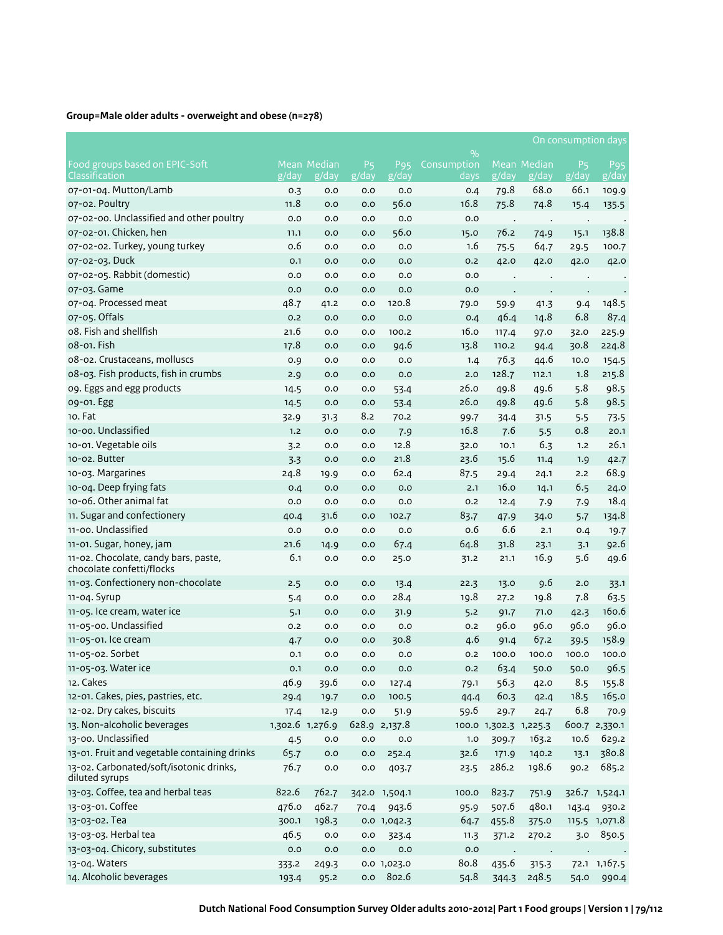|                                                           |       |                      |                         |               |                     |                       |                      |                                      | On consumption days                              |
|-----------------------------------------------------------|-------|----------------------|-------------------------|---------------|---------------------|-----------------------|----------------------|--------------------------------------|--------------------------------------------------|
|                                                           |       |                      |                         |               | $\%$                |                       |                      |                                      |                                                  |
| Food groups based on EPIC-Soft<br>Classification          | g/day | Mean Median<br>g/day | P <sub>5</sub><br>g/day | Pg5<br>g/day  | Consumption<br>days | g/day                 | Mean Median<br>g/day | P <sub>5</sub><br>$\overline{g}/day$ | P <sub>95</sub><br>$\overline{g}/\overline{day}$ |
| 07-01-04. Mutton/Lamb                                     | 0.3   | 0.0                  | 0.0                     | 0.0           | 0.4                 | 79.8                  | 68.0                 | 66.1                                 | 109.9                                            |
| 07-02. Poultry                                            | 11.8  | 0.0                  | 0.0                     | 56.0          | 16.8                | 75.8                  | 74.8                 | 15.4                                 | 135.5                                            |
| 07-02-00. Unclassified and other poultry                  | 0.0   | 0.0                  | 0.0                     | 0.0           | 0.0                 | $\cdot$               | $\cdot$              | $\cdot$                              |                                                  |
| 07-02-01. Chicken, hen                                    | 11.1  | 0.0                  | 0.0                     | 56.0          | 15.0                | 76.2                  | 74.9                 | 15.1                                 | 138.8                                            |
| 07-02-02. Turkey, young turkey                            | 0.6   | 0.0                  | 0.0                     | 0.0           | 1.6                 | 75.5                  | 64.7                 | 29.5                                 | 100.7                                            |
| 07-02-03. Duck                                            | O.1   | 0.0                  | 0.0                     | 0.0           | 0.2                 | 42.0                  | 42.0                 | 42.0                                 | 42.0                                             |
| 07-02-05. Rabbit (domestic)                               | 0.0   | 0.0                  | 0.0                     | 0.0           | 0.0                 |                       |                      |                                      |                                                  |
| 07-03. Game                                               | 0.0   | 0.0                  | 0.0                     | 0.0           | 0.0                 |                       | $\bullet$            | $\bullet$                            |                                                  |
| 07-04. Processed meat                                     | 48.7  | 41.2                 | 0.0                     | 120.8         | 79.0                | 59.9                  | 41.3                 | 9.4                                  | 148.5                                            |
| 07-05. Offals                                             | 0.2   | 0.0                  | 0.0                     | 0.0           | 0.4                 | 46.4                  | 14.8                 | 6.8                                  | 87.4                                             |
| o8. Fish and shellfish                                    | 21.6  | 0.0                  | 0.0                     | 100.2         | 16.0                | 117.4                 | 97.0                 | 32.0                                 | 225.9                                            |
| 08-01. Fish                                               | 17.8  | 0.0                  | 0.0                     | 94.6          | 13.8                | 110.2                 | 94.4                 | 30.8                                 | 224.8                                            |
| 08-02. Crustaceans, molluscs                              | 0.9   | 0.0                  | 0.0                     | 0.0           | 1.4                 | 76.3                  | 44.6                 | 10.0                                 | 154.5                                            |
| 08-03. Fish products, fish in crumbs                      | 2.9   | 0.0                  | 0.0                     | 0.0           | 2.0                 | 128.7                 | 112.1                | 1.8                                  | 215.8                                            |
| og. Eggs and egg products                                 | 14.5  | 0.0                  | 0.0                     | 53.4          | 26.0                | 49.8                  | 49.6                 | 5.8                                  | 98.5                                             |
| 09-01. Egg                                                | 14.5  | 0.0                  | 0.0                     | 53.4          | 26.0                | 49.8                  | 49.6                 | 5.8                                  | 98.5                                             |
| 10. Fat                                                   | 32.9  | 31.3                 | 8.2                     | 70.2          | 99.7                | 34.4                  | 31.5                 | 5.5                                  | 73.5                                             |
| 10-00. Unclassified                                       | 1.2   | 0.0                  | 0.0                     | 7.9           | 16.8                | 7.6                   | 5.5                  | 0.8                                  | 20.1                                             |
| 10-01. Vegetable oils                                     | 3.2   | 0.0                  | 0.0                     | 12.8          | 32.0                | 10.1                  | 6.3                  | 1.2                                  | 26.1                                             |
| 10-02. Butter                                             | 3.3   | 0.0                  | 0.0                     | 21.8          | 23.6                | 15.6                  | 11.4                 | 1.9                                  | 42.7                                             |
| 10-03. Margarines                                         | 24.8  | 19.9                 | 0.0                     | 62.4          | 87.5                | 29.4                  | 24.1                 | 2.2                                  | 68.9                                             |
| 10-04. Deep frying fats                                   | 0.4   | 0.0                  | 0.0                     | 0.0           | 2.1                 | 16.0                  | 14.1                 | 6.5                                  | 24.0                                             |
| 10-06. Other animal fat                                   | 0.0   | 0.0                  | 0.0                     | 0.0           | 0.2                 | 12.4                  | 7.9                  | 7.9                                  | 18.4                                             |
| 11. Sugar and confectionery                               | 40.4  | 31.6                 | 0.0                     | 102.7         | 83.7                | 47.9                  | 34.0                 | 5.7                                  | 134.8                                            |
| 11-00. Unclassified                                       | 0.0   | 0.0                  | 0.0                     | 0.0           | 0.6                 | 6.6                   | 2.1                  | 0.4                                  | 19.7                                             |
| 11-01. Sugar, honey, jam                                  | 21.6  | 14.9                 | 0.0                     | 67.4          | 64.8                | 31.8                  | 23.1                 | 3.1                                  | 92.6                                             |
| 11-02. Chocolate, candy bars, paste,                      | 6.1   | 0.0                  | 0.0                     | 25.0          | 31.2                | 21.1                  | 16.9                 | 5.6                                  | 49.6                                             |
| chocolate confetti/flocks                                 |       |                      |                         |               |                     |                       |                      |                                      |                                                  |
| 11-03. Confectionery non-chocolate                        | 2.5   | 0.0                  | 0.0                     | 13.4          | 22.3                | 13.0                  | 9.6                  | 2.0                                  | 33.1                                             |
| 11-04. Syrup                                              | 5.4   | 0.0                  | 0.0                     | 28.4          | 19.8                | 27.2                  | 19.8                 | 7.8                                  | 63.5                                             |
| 11-05. Ice cream, water ice                               | 5.1   | 0.0                  | 0.0                     | 31.9          | 5.2                 | 91.7                  | 71.0                 | 42.3                                 | 160.6                                            |
| 11-05-00. Unclassified                                    | 0.2   | 0.0                  | 0.0                     | 0.0           | 0.2                 | 96.0                  | 96.0                 | 96.0                                 | 96.0                                             |
| 11-05-01. Ice cream                                       | 4.7   | 0.0                  | 0.0                     | 30.8          | 4.6                 | 91.4                  | 67.2                 | 39.5                                 | 158.9                                            |
| 11-05-02. Sorbet                                          | 0.1   | 0.0                  | 0.0                     | 0.0           | 0.2                 | 100.0                 | 100.0                | 100.0                                | 100.0                                            |
| 11-05-03. Water ice                                       | 0.1   | 0.0                  | 0.0                     | 0.0           | 0.2                 | 63.4                  | 50.0                 | 50.0                                 | 96.5                                             |
| 12. Cakes                                                 | 46.9  | 39.6                 | 0.0                     | 127.4         | 79.1                | 56.3                  | 42.0                 | 8.5                                  | 155.8                                            |
| 12-01. Cakes, pies, pastries, etc.                        | 29.4  | 19.7                 | 0.0                     | 100.5         | 44.4                | 60.3                  | 42.4                 | 18.5                                 | 165.0                                            |
| 12-02. Dry cakes, biscuits                                | 17.4  | 12.9                 | 0.0                     | 51.9          | 59.6                | 29.7                  | 24.7                 | 6.8                                  | 70.9                                             |
| 13. Non-alcoholic beverages                               |       | 1,302.6 1,276.9      |                         | 628.9 2,137.8 |                     | 100.0 1,302.3 1,225.3 |                      |                                      | 600.7 2,330.1                                    |
| 13-00. Unclassified                                       | 4.5   | 0.0                  | 0.0                     | 0.0           | 1.0                 | 309.7                 | 163.2                | 10.6                                 | 629.2                                            |
| 13-01. Fruit and vegetable containing drinks              | 65.7  | 0.0                  | 0.0                     | 252.4         | 32.6                | 171.9                 | 140.2                | 13.1                                 | 380.8                                            |
| 13-02. Carbonated/soft/isotonic drinks,<br>diluted syrups | 76.7  | 0.0                  | 0.0                     | 403.7         | 23.5                | 286.2                 | 198.6                | 90.2                                 | 685.2                                            |
| 13-03. Coffee, tea and herbal teas                        | 822.6 | 762.7                |                         | 342.0 1,504.1 | 100.0               | 823.7                 | 751.9                |                                      | 326.7 1,524.1                                    |
| 13-03-01. Coffee                                          | 476.0 | 462.7                | 70.4                    | 943.6         | 95.9                | 507.6                 | 480.1                | 143.4                                | 930.2                                            |
| 13-03-02. Tea                                             | 300.1 | 198.3                |                         | 0.0 1,042.3   | 64.7                | 455.8                 | 375.0                |                                      | 115.5 1,071.8                                    |
| 13-03-03. Herbal tea                                      | 46.5  | 0.0                  | 0.0                     | 323.4         | 11.3                | 371.2                 | 270.2                | 3.0                                  | 850.5                                            |
| 13-03-04. Chicory, substitutes                            | 0.0   | 0.0                  | 0.0                     | 0.0           | 0.0                 |                       |                      |                                      |                                                  |
| 13-04. Waters                                             | 333.2 | 249.3                |                         | 0.0 1,023.0   | 80.8                | 435.6                 | 315.3                |                                      | 72.1 1,167.5                                     |
| 14. Alcoholic beverages                                   | 193.4 | 95.2                 | 0.0                     | 802.6         | 54.8                | 344.3                 | 248.5                | 54.0                                 | 990.4                                            |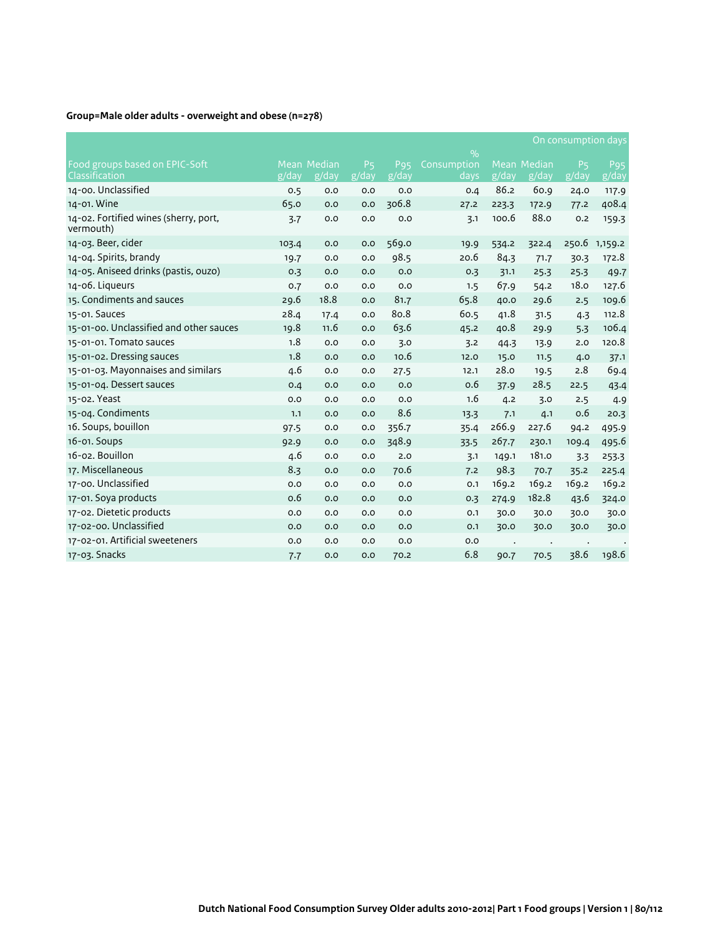|                                                    |       |                      |                         |                          |                     |                 |                      |                               | On consumption days      |
|----------------------------------------------------|-------|----------------------|-------------------------|--------------------------|---------------------|-----------------|----------------------|-------------------------------|--------------------------|
|                                                    |       |                      |                         |                          | $\frac{9}{0}$       |                 |                      |                               |                          |
| Food groups based on EPIC-Soft<br>Classification   | g/day | Mean Median<br>g/day | P <sub>5</sub><br>g/day | P <sub>95</sub><br>g/day | Consumption<br>days | $\sqrt{g/d}$ ay | Mean Median<br>g/day | <b>P<sub>5</sub></b><br>g/day | P <sub>95</sub><br>g/day |
| 14-00. Unclassified                                | 0.5   | O.O                  | 0.0                     | O.O                      | 0.4                 | 86.2            | 60.9                 | 24.0                          | 117.9                    |
| 14-01. Wine                                        | 65.0  | O.O                  | 0.0                     | 306.8                    | 27.2                | 223.3           | 172.9                | 77.2                          | 408.4                    |
| 14-02. Fortified wines (sherry, port,<br>vermouth) | 3.7   | 0.0                  | 0.0                     | 0.0                      | 3.1                 | 100.6           | 88.o                 | 0.2                           | 159.3                    |
| 14-03. Beer, cider                                 | 103.4 | 0.0                  | 0.0                     | 569.0                    | 19.9                | 534.2           | 322.4                | 250.6                         | 1,159.2                  |
| 14-04. Spirits, brandy                             | 19.7  | O.O                  | 0.0                     | 98.5                     | 20.6                | 84.3            | 71.7                 | 30.3                          | 172.8                    |
| 14-05. Aniseed drinks (pastis, ouzo)               | 0.3   | O.O                  | 0.0                     | 0.0                      | 0.3                 | 31.1            | 25.3                 | 25.3                          | 49.7                     |
| 14-06. Liqueurs                                    | 0.7   | 0.0                  | 0.0                     | 0.0                      | 1.5                 | 67.9            | 54.2                 | 18.0                          | 127.6                    |
| 15. Condiments and sauces                          | 29.6  | 18.8                 | 0.0                     | 81.7                     | 65.8                | 40.0            | 29.6                 | 2.5                           | 109.6                    |
| 15-01. Sauces                                      | 28.4  | 17.4                 | 0.0                     | 80.8                     | 60.5                | 41.8            | 31.5                 | 4.3                           | 112.8                    |
| 15-01-00. Unclassified and other sauces            | 19.8  | 11.6                 | 0.0                     | 63.6                     | 45.2                | 40.8            | 29.9                 | 5.3                           | 106.4                    |
| 15-01-01. Tomato sauces                            | 1.8   | 0.0                  | 0.0                     | 3.0                      | 3.2                 | 44.3            | 13.9                 | 2.0                           | 120.8                    |
| 15-01-02. Dressing sauces                          | 1.8   | O.O                  | 0.0                     | 10.6                     | 12.0                | 15.0            | 11.5                 | 4.0                           | 37.1                     |
| 15-01-03. Mayonnaises and similars                 | 4.6   | 0.0                  | 0.0                     | 27.5                     | 12.1                | 28.0            | 19.5                 | 2.8                           | 69.4                     |
| 15-01-04. Dessert sauces                           | 0.4   | 0.0                  | 0.0                     | 0.0                      | 0.6                 | 37.9            | 28.5                 | 22.5                          | 43.4                     |
| 15-02. Yeast                                       | 0.0   | O.O                  | 0.0                     | 0.0                      | 1.6                 | 4.2             | 3.0                  | 2.5                           | 4.9                      |
| 15-04. Condiments                                  | 1.1   | O.O                  | 0.0                     | 8.6                      | 13.3                | 7.1             | 4.1                  | 0.6                           | 20.3                     |
| 16. Soups, bouillon                                | 97.5  | 0.0                  | 0.0                     | 356.7                    | 35.4                | 266.9           | 227.6                | 94.2                          | 495.9                    |
| 16-01. Soups                                       | 92.9  | 0.0                  | 0.0                     | 348.9                    | 33.5                | 267.7           | 230.1                | 109.4                         | 495.6                    |
| 16-02. Bouillon                                    | 4.6   | O.O                  | 0.0                     | 2.0                      | 3.1                 | 149.1           | 181.0                | 3.3                           | 253.3                    |
| 17. Miscellaneous                                  | 8.3   | O.O                  | 0.0                     | 70.6                     | 7.2                 | 98.3            | 70.7                 | 35.2                          | 225.4                    |
| 17-00. Unclassified                                | 0.0   | O.O                  | 0.0                     | 0.0                      | O.1                 | 169.2           | 169.2                | 169.2                         | 169.2                    |
| 17-01. Soya products                               | 0.6   | O.O                  | 0.0                     | O.O                      | 0.3                 | 274.9           | 182.8                | 43.6                          | 324.0                    |
| 17-02. Dietetic products                           | 0.0   | 0.0                  | 0.0                     | 0.0                      | 0.1                 | 30.0            | 30.0                 | 30.0                          | 30.0                     |
| 17-02-00. Unclassified                             | O.O   | 0.0                  | 0.0                     | 0.0                      | O.1                 | 30.0            | 30.0                 | 30.0                          | 30.0                     |
| 17-02-01. Artificial sweeteners                    | 0.0   | 0.0                  | 0.0                     | 0.0                      | O.O                 |                 |                      |                               |                          |
| 17-03. Snacks                                      | 7.7   | O.O                  | 0.0                     | 70.2                     | 6.8                 | 90.7            | 70.5                 | 38.6                          | 198.6                    |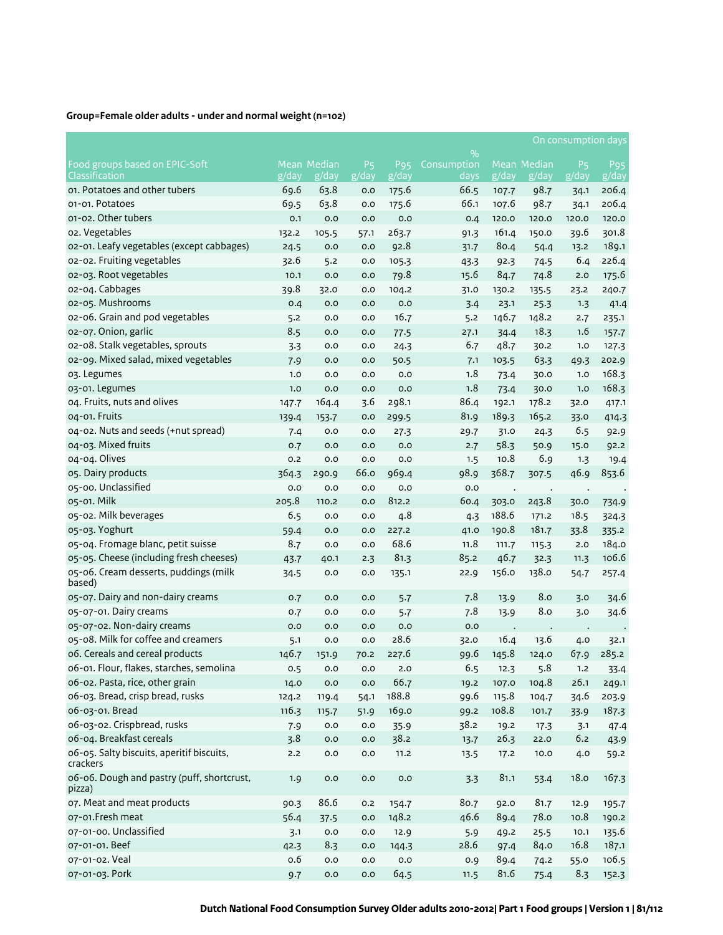|                                                       |       |                      |                         |                     |                     |                    |                      | On consumption days     |                          |
|-------------------------------------------------------|-------|----------------------|-------------------------|---------------------|---------------------|--------------------|----------------------|-------------------------|--------------------------|
|                                                       |       |                      |                         |                     | $\%$                |                    |                      |                         |                          |
| Food groups based on EPIC-Soft<br>Classification      | g/day | Mean Median<br>g/day | P <sub>5</sub><br>g/day | <b>P95</b><br>g/day | Consumption<br>days | $\overline{g}/day$ | Mean Median<br>g/day | P <sub>5</sub><br>g/day | P <sub>95</sub><br>g/day |
| 01. Potatoes and other tubers                         | 69.6  | 63.8                 | 0.0                     | 175.6               | 66.5                | 107.7              | 98.7                 | 34.1                    | 206.4                    |
| 01-01. Potatoes                                       | 69.5  | 63.8                 | 0.0                     | 175.6               | 66.1                | 107.6              | 98.7                 | 34.1                    | 206.4                    |
| 01-02. Other tubers                                   | O.1   | 0.0                  | 0.0                     | 0.0                 | 0.4                 | 120.0              | 120.0                | 120.0                   | 120.0                    |
| o2. Vegetables                                        | 132.2 | 105.5                | 57.1                    | 263.7               | 91.3                | 161.4              | 150.0                | 39.6                    | 301.8                    |
| 02-01. Leafy vegetables (except cabbages)             | 24.5  | 0.0                  | 0.0                     | 92.8                | 31.7                | 80.4               | 54.4                 | 13.2                    | 189.1                    |
| 02-02. Fruiting vegetables                            | 32.6  | 5.2                  | 0.0                     | 105.3               | 43.3                | 92.3               | 74.5                 | 6.4                     | 226.4                    |
| 02-03. Root vegetables                                | 10.1  | 0.0                  | 0.0                     | 79.8                | 15.6                | 84.7               | 74.8                 | 2.0                     | 175.6                    |
| 02-04. Cabbages                                       | 39.8  | 32.0                 | 0.0                     | 104.2               | 31.0                | 130.2              | 135.5                | 23.2                    | 240.7                    |
| 02-05. Mushrooms                                      | 0.4   | 0.0                  | 0.0                     | 0.0                 | 3.4                 | 23.1               | 25.3                 | 1.3                     | 41.4                     |
| o2-o6. Grain and pod vegetables                       | 5.2   | 0.0                  | 0.0                     | 16.7                | 5.2                 | 146.7              | 148.2                | 2.7                     | 235.1                    |
| 02-07. Onion, garlic                                  | 8.5   | 0.0                  | 0.0                     | 77.5                | 27.1                | 34.4               | 18.3                 | 1.6                     | 157.7                    |
| 02-08. Stalk vegetables, sprouts                      | 3.3   | 0.0                  | 0.0                     | 24.3                | 6.7                 | 48.7               | 30.2                 | 1.0                     | 127.3                    |
| 02-09. Mixed salad, mixed vegetables                  | 7.9   | 0.0                  | 0.0                     | 50.5                | 7.1                 | 103.5              | 63.3                 | 49.3                    | 202.9                    |
| 03. Legumes                                           | 1.0   | 0.0                  | 0.0                     | 0.0                 | 1.8                 | 73.4               | 30.0                 | 1.0                     | 168.3                    |
| 03-01. Legumes                                        | 1.0   | 0.0                  | 0.0                     | 0.0                 | 1.8                 | 73.4               | 30.0                 | 1.0                     | 168.3                    |
| 04. Fruits, nuts and olives                           | 147.7 | 164.4                | 3.6                     | 298.1               | 86.4                | 192.1              | 178.2                | 32.0                    | 417.1                    |
| 04-01. Fruits                                         | 139.4 | 153.7                | 0.0                     | 299.5               | 81.9                | 189.3              | 165.2                | 33.0                    | 414.3                    |
| 04-02. Nuts and seeds (+nut spread)                   | 7.4   | 0.0                  | 0.0                     | 27.3                | 29.7                | 31.0               | 24.3                 | 6.5                     | 92.9                     |
| 04-03. Mixed fruits                                   | 0.7   | 0.0                  | 0.0                     | 0.0                 | 2.7                 | 58.3               | 50.9                 | 15.0                    | 92.2                     |
| 04-04. Olives                                         | 0.2   | 0.0                  | 0.0                     | 0.0                 | 1.5                 | 10.8               | 6.9                  | 1.3                     | 19.4                     |
| 05. Dairy products                                    | 364.3 | 290.9                | 66.o                    | 969.4               | 98.9                | 368.7              | 307.5                | 46.9                    | 853.6                    |
| 05-00. Unclassified                                   | 0.0   | 0.0                  | 0.0                     | 0.0                 | 0.0                 |                    | $\cdot$              | $\bullet$               |                          |
| 05-01. Milk                                           | 205.8 | 110.2                | 0.0                     | 812.2               | 60.4                | 303.0              | 243.8                | 30.0                    | 734.9                    |
| 05-02. Milk beverages                                 | 6.5   | 0.0                  | 0.0                     | 4.8                 | 4.3                 | 188.6              | 171.2                | 18.5                    | 324.3                    |
| 05-03. Yoghurt                                        | 59.4  | 0.0                  | 0.0                     | 227.2               | 41.0                | 190.8              | 181.7                | 33.8                    | 335.2                    |
| 05-04. Fromage blanc, petit suisse                    | 8.7   | 0.0                  | 0.0                     | 68.6                | 11.8                | 111.7              | 115.3                | 2.0                     | 184.0                    |
| 05-05. Cheese (including fresh cheeses)               | 43.7  | 40.1                 | 2.3                     | 81.3                | 85.2                | 46.7               | 32.3                 | 11.3                    | 106.6                    |
| 05-06. Cream desserts, puddings (milk<br>based)       | 34.5  | 0.0                  | 0.0                     | 135.1               | 22.9                | 156.0              | 138.0                | 54.7                    | 257.4                    |
| 05-07. Dairy and non-dairy creams                     | 0.7   | 0.0                  | 0.0                     | 5.7                 | 7.8                 | 13.9               | 8.0                  | 3.0                     | 34.6                     |
| 05-07-01. Dairy creams                                | 0.7   | 0.0                  | 0.0                     | 5.7                 | 7.8                 | 13.9               | 8.0                  | 3.0                     | 34.6                     |
| 05-07-02. Non-dairy creams                            | 0.0   | 0.0                  | 0.0                     | 0.0                 | 0.0                 |                    |                      |                         |                          |
| 05-08. Milk for coffee and creamers                   | 5.1   | 0.0                  | 0.0                     | 28.6                | 32.0                | 16.4               | 13.6                 | 4.0                     | 32.1                     |
| o6. Cereals and cereal products                       | 146.7 | 151.9                | 70.2                    | 227.6               | 99.6                | 145.8              | 124.0                | 67.9                    | 285.2                    |
| 06-01. Flour, flakes, starches, semolina              | 0.5   | $_{0.0}$             | $_{\rm 0.0}$            | $2.0$               | 6.5                 | 12.3               | 5.8                  | 1.2                     | 33.4                     |
| 06-02. Pasta, rice, other grain                       | 14.0  | 0.0                  | $_{\rm 0.0}$            | 66.7                | 19.2                | 107.0              | 104.8                | 26.1                    | 249.1                    |
| 06-03. Bread, crisp bread, rusks                      | 124.2 | 119.4                | 54.1                    | 188.8               | 99.6                | 115.8              | 104.7                | 34.6                    | 203.9                    |
| 06-03-01. Bread                                       | 116.3 | 115.7                | 51.9                    | 169.0               | 99.2                | 108.8              | 101.7                | 33.9                    | 187.3                    |
| 06-03-02. Crispbread, rusks                           | 7.9   | $_{\rm 0.0}$         | $_{\rm 0.0}$            | 35.9                | 38.2                | 19.2               | 17.3                 | 3.1                     | 47.4                     |
| 06-04. Breakfast cereals                              | 3.8   | 0.0                  | 0.0                     | 38.2                | 13.7                | 26.3               | 22.0                 | 6.2                     | 43.9                     |
| 06-05. Salty biscuits, aperitif biscuits,<br>crackers | 2.2   | $_{\rm 0.0}$         | 0.0                     | 11.2                | 13.5                | 17.2               | 10.0                 | 4.0                     | 59.2                     |
| o6-o6. Dough and pastry (puff, shortcrust,<br>pizza)  | 1.9   | 0.0                  | 0.0                     | $_{\rm 0.0}$        | 3.3                 | 81.1               | 53.4                 | 18.0                    | 167.3                    |
| 07. Meat and meat products                            | 90.3  | 86.6                 | 0.2                     | 154.7               | 80.7                | 92.0               | 81.7                 | 12.9                    | 195.7                    |
| 07-01.Fresh meat                                      | 56.4  | 37.5                 | 0.0                     | 148.2               | 46.6                | 89.4               | 78.0                 | 10.8                    | 190.2                    |
| 07-01-00. Unclassified                                | 3.1   | $_{\rm 0.0}$         | 0.0                     | 12.9                | 5.9                 | 49.2               | 25.5                 | 10.1                    | 135.6                    |
| 07-01-01. Beef                                        | 42.3  | 8.3                  | 0.0                     | 144.3               | 28.6                | 97.4               | 84.0                 | 16.8                    | 187.1                    |
| 07-01-02. Veal                                        | 0.6   | 0.0                  | 0.0                     | $_{\rm 0.0}$        | 0.9                 | 89.4               | 74.2                 | 55.0                    | 106.5                    |
| 07-01-03. Pork                                        | 9.7   | $_{\rm 0.0}$         | 0.0                     | 64.5                | 11.5                | 81.6               | 75.4                 | 8.3                     | 152.3                    |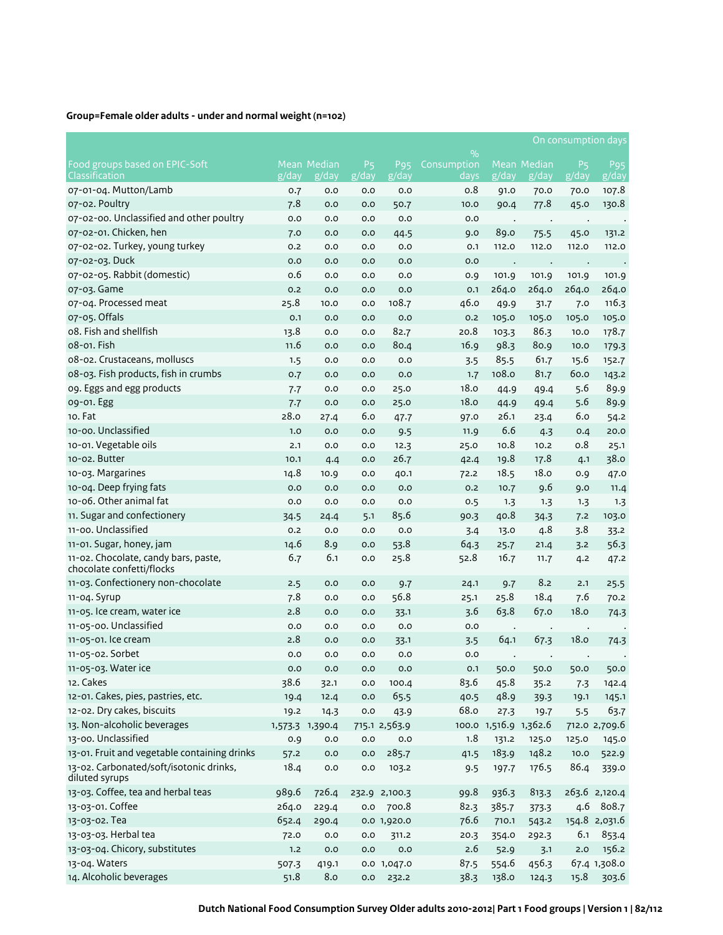|                                                                   |             |                 |                      |               |             |                       |                    |                | On consumption days                              |
|-------------------------------------------------------------------|-------------|-----------------|----------------------|---------------|-------------|-----------------------|--------------------|----------------|--------------------------------------------------|
|                                                                   |             |                 |                      |               | $\%$        |                       |                    |                |                                                  |
| Food groups based on EPIC-Soft<br>Classification                  |             | Mean Median     | <b>P<sub>5</sub></b> | Pg5           | Consumption |                       | <b>Mean Median</b> | P <sub>5</sub> | P <sub>95</sub><br>$\overline{g}/\overline{day}$ |
| 07-01-04. Mutton/Lamb                                             | g/day       | g/day           | g/day                | g/day         | days<br>0.8 | g/day                 | g/day              | g/day          |                                                  |
| 07-02. Poultry                                                    | 0.7<br>7.8  | 0.0<br>0.0      | 0.0                  | 0.0           |             | 91.0                  | 70.0<br>77.8       | 70.0           | 107.8<br>130.8                                   |
| 07-02-00. Unclassified and other poultry                          |             | 0.0             | 0.0                  | 50.7<br>0.0   | 10.0<br>0.0 | 90.4                  |                    | 45.0           |                                                  |
| 07-02-01. Chicken, hen                                            | 0.0         |                 | 0.0                  |               |             | $\cdot$               | $\cdot$            | $\bullet$      |                                                  |
|                                                                   | 7.0         | 0.0             | 0.0                  | 44.5          | 9.0         | 89.0                  | 75.5               | 45.0           | 131.2                                            |
| 07-02-02. Turkey, young turkey                                    | 0.2         | 0.0             | 0.0                  | 0.0           | 0.1         | 112.0                 | 112.0              | 112.0          | 112.0                                            |
| 07-02-03. Duck<br>07-02-05. Rabbit (domestic)                     | 0.0<br>0.6  | 0.0             | 0.0                  | 0.0           | 0.0         |                       |                    |                |                                                  |
| 07-03. Game                                                       |             | 0.0             | 0.0                  | 0.0           | 0.9         | 101.9                 | 101.9              | 101.9          | 101.9                                            |
| 07-04. Processed meat                                             | 0.2<br>25.8 | 0.0             | 0.0                  | 0.0<br>108.7  | 0.1<br>46.0 | 264.0                 | 264.0              | 264.0          | 264.0                                            |
| 07-05. Offals                                                     |             | 10.0            | 0.0                  |               |             | 49.9                  | 31.7               | 7.0            | 116.3                                            |
| o8. Fish and shellfish                                            | O.1         | 0.0             | 0.0                  | 0.0           | 0.2         | 105.0                 | 105.0              | 105.0          | 105.0                                            |
|                                                                   | 13.8        | 0.0             | 0.0                  | 82.7          | 20.8        | 103.3                 | 86.3               | 10.0           | 178.7                                            |
| 08-01. Fish                                                       | 11.6        | 0.0             | 0.0                  | 80.4          | 16.9        | 98.3                  | 80.9               | 10.0           | 179.3                                            |
| 08-02. Crustaceans, molluscs                                      | 1.5         | 0.0             | 0.0                  | 0.0           | 3.5         | 85.5                  | 61.7               | 15.6           | 152.7                                            |
| 08-03. Fish products, fish in crumbs                              | 0.7         | 0.0             | 0.0                  | 0.0           | 1.7         | 108.0                 | 81.7               | 60.0           | 143.2                                            |
| og. Eggs and egg products                                         | 7.7         | 0.0             | 0.0                  | 25.0          | 18.0        | 44.9                  | 49.4               | 5.6            | 89.9                                             |
| 09-01. Egg                                                        | 7.7         | 0.0             | 0.0                  | 25.0          | 18.0        | 44.9                  | 49.4               | 5.6            | 89.9                                             |
| 10. Fat                                                           | 28.0        | 27.4            | 6.0                  | 47.7          | 97.0        | 26.1                  | 23.4               | 6.0            | 54.2                                             |
| 10-00. Unclassified                                               | 1.0         | 0.0             | 0.0                  | 9.5           | 11.9        | 6.6                   | 4.3                | 0.4            | 20.0                                             |
| 10-01. Vegetable oils                                             | 2.1         | 0.0             | 0.0                  | 12.3          | 25.0        | 10.8                  | 10.2               | 0.8            | 25.1                                             |
| 10-02. Butter                                                     | 10.1        | 4.4             | 0.0                  | 26.7          | 42.4        | 19.8                  | 17.8               | 4.1            | 38.0                                             |
| 10-03. Margarines                                                 | 14.8        | 10.9            | 0.0                  | 40.1          | 72.2        | 18.5                  | 18.0               | 0.9            | 47.0                                             |
| 10-04. Deep frying fats                                           | 0.0         | 0.0             | 0.0                  | 0.0           | 0.2         | 10.7                  | 9.6                | 9.0            | 11.4                                             |
| 10-06. Other animal fat                                           | 0.0         | 0.0             | 0.0                  | 0.0           | 0.5         | 1.3                   | 1.3                | 1.3            | 1.3                                              |
| 11. Sugar and confectionery                                       | 34.5        | 24.4            | 5.1                  | 85.6          | 90.3        | 40.8                  | 34.3               | 7.2            | 103.0                                            |
| 11-00. Unclassified                                               | 0.2         | 0.0             | 0.0                  | 0.0           | 3.4         | 13.0                  | 4.8                | 3.8            | 33.2                                             |
| 11-01. Sugar, honey, jam                                          | 14.6        | 8.9             | 0.0                  | 53.8          | 64.3        | 25.7                  | 21.4               | 3.2            | 56.3                                             |
| 11-02. Chocolate, candy bars, paste,<br>chocolate confetti/flocks | 6.7         | 6.1             | 0.0                  | 25.8          | 52.8        | 16.7                  | 11.7               | 4.2            | 47.2                                             |
| 11-03. Confectionery non-chocolate                                | 2.5         | 0.0             | 0.0                  | 9.7           | 24.1        | 9.7                   | 8.2                | 2.1            | 25.5                                             |
| 11-04. Syrup                                                      | 7.8         | 0.0             | 0.0                  | 56.8          | 25.1        | 25.8                  | 18.4               | 7.6            | 70.2                                             |
| 11-05. Ice cream, water ice                                       | 2.8         | 0.0             | 0.0                  | 33.1          | 3.6         | 63.8                  | 67.0               | 18.0           | 74.3                                             |
| 11-05-00. Unclassified                                            | 0.0         | 0.0             | 0.0                  | 0.0           | 0.0         | $\cdot$               | $\bullet$          | $\bullet$      |                                                  |
| 11-05-01. Ice cream                                               | 2.8         | 0.0             | 0.0                  | 33.1          | 3.5         | 64.1                  | 67.3               | 18.0           | 74.3                                             |
| 11-05-02. Sorbet                                                  | 0.0         | 0.0             | 0.0                  | 0.0           | 0.0         |                       |                    |                |                                                  |
| 11-05-03. Water ice                                               | 0.0         | 0.0             | 0.0                  | 0.0           | 0.1         | 50.0                  | 50.0               | 50.0           | 50.0                                             |
| 12. Cakes                                                         | 38.6        | 32.1            | 0.0                  | 100.4         | 83.6        | 45.8                  | 35.2               | 7.3            | 142.4                                            |
| 12-01. Cakes, pies, pastries, etc.                                | 19.4        | 12.4            | 0.0                  | 65.5          | 40.5        | 48.9                  | 39.3               | 19.1           | 145.1                                            |
| 12-02. Dry cakes, biscuits                                        | 19.2        | 14.3            | 0.0                  | 43.9          | 68.0        | 27.3                  | 19.7               | 5.5            | 63.7                                             |
| 13. Non-alcoholic beverages                                       |             | 1,573.3 1,390.4 |                      | 715.1 2,563.9 |             | 100.0 1,516.9 1,362.6 |                    |                | 712.0 2,709.6                                    |
| 13-00. Unclassified                                               | 0.9         | 0.0             | 0.0                  | 0.0           | 1.8         | 131.2                 | 125.0              | 125.0          | 145.0                                            |
| 13-01. Fruit and vegetable containing drinks                      | 57.2        | 0.0             | 0.0                  | 285.7         | 41.5        | 183.9                 | 148.2              | 10.0           | 522.9                                            |
| 13-02. Carbonated/soft/isotonic drinks,<br>diluted syrups         | 18.4        | 0.0             | 0.0                  | 103.2         | 9.5         | 197.7                 | 176.5              | 86.4           | 339.0                                            |
| 13-03. Coffee, tea and herbal teas                                | 989.6       | 726.4           |                      | 232.9 2,100.3 | 99.8        | 936.3                 | 813.3              |                | 263.6 2,120.4                                    |
| 13-03-01. Coffee                                                  | 264.0       | 229.4           | 0.0                  | 700.8         | 82.3        | 385.7                 | 373.3              |                | 4.6 808.7                                        |
| 13-03-02. Tea                                                     | 652.4       | 290.4           |                      | 0.0 1,920.0   | 76.6        | 710.1                 | 543.2              |                | 154.8 2,031.6                                    |
| 13-03-03. Herbal tea                                              | 72.0        | 0.0             | 0.0                  | 311.2         | 20.3        | 354.0                 | 292.3              | 6.1            | 853.4                                            |
| 13-03-04. Chicory, substitutes                                    | 1.2         | 0.0             | 0.0                  | 0.0           | 2.6         | 52.9                  | 3.1                | 2.0            | 156.2                                            |
| 13-04. Waters                                                     | 507.3       | 419.1           |                      | 0.0 1,047.0   | 87.5        | 554.6                 | 456.3              |                | 67.4 1,308.0                                     |
| 14. Alcoholic beverages                                           | 51.8        | 8.0             | 0.0                  | 232.2         | 38.3        | 138.0                 | 124.3              | 15.8           | 303.6                                            |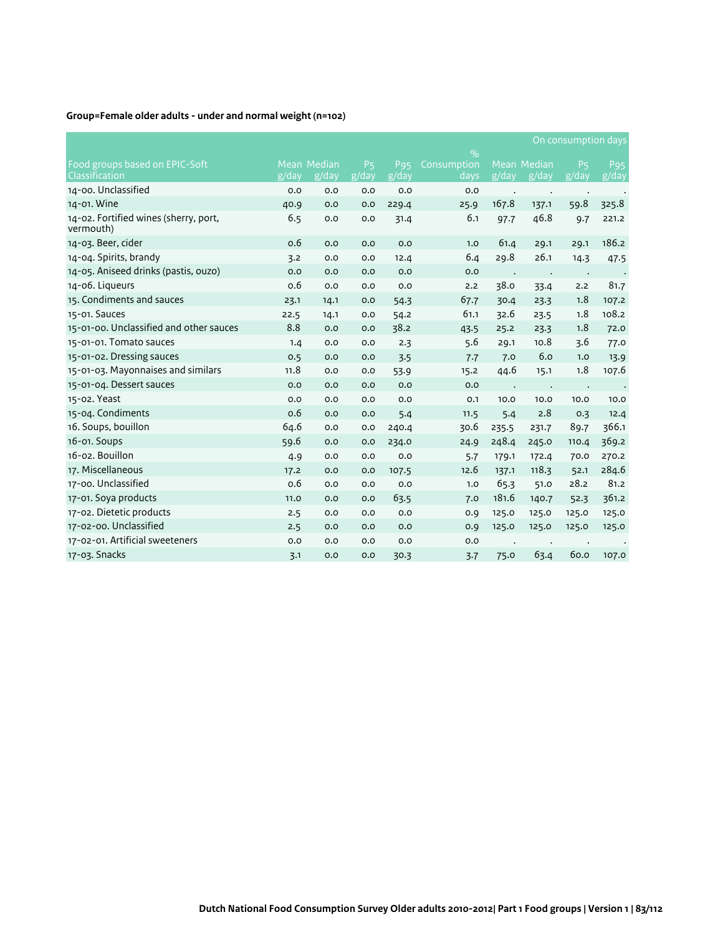|                                                    |                       |                                              |                         |                                 |                     |       |                      | On consumption days                             |                                                  |
|----------------------------------------------------|-----------------------|----------------------------------------------|-------------------------|---------------------------------|---------------------|-------|----------------------|-------------------------------------------------|--------------------------------------------------|
|                                                    |                       |                                              |                         |                                 | $\frac{9}{0}$       |       |                      |                                                 |                                                  |
| Food groups based on EPIC-Soft<br>Classification   | $\sqrt{g}/\sqrt{day}$ | Mean Median<br>$\overline{g}/\overline{day}$ | P <sub>5</sub><br>g/day | <b>P</b> <sub>95</sub><br>g/day | Consumption<br>days | g/day | Mean Median<br>g/day | P <sub>5</sub><br>$\overline{g}/\overline{day}$ | P <sub>95</sub><br>$\overline{g}/\overline{day}$ |
| 14-00. Unclassified                                | 0.0                   | 0.0                                          | 0.0                     | 0.0                             | 0.0                 |       |                      |                                                 |                                                  |
| 14-01. Wine                                        | 40.9                  | 0.0                                          | 0.0                     | 229.4                           | 25.9                | 167.8 | 137.1                | 59.8                                            | 325.8                                            |
| 14-02. Fortified wines (sherry, port,<br>vermouth) | 6.5                   | 0.0                                          | 0.0                     | 31.4                            | 6.1                 | 97.7  | 46.8                 | 9.7                                             | 221.2                                            |
| 14-03. Beer, cider                                 | 0.6                   | 0.0                                          | 0.0                     | 0.0                             | 1.0                 | 61.4  | 29.1                 | 29.1                                            | 186.2                                            |
| 14-04. Spirits, brandy                             | 3.2                   | 0.0                                          | 0.0                     | 12.4                            | 6.4                 | 29.8  | 26.1                 | 14.3                                            | 47.5                                             |
| 14-05. Aniseed drinks (pastis, ouzo)               | 0.0                   | 0.0                                          | 0.0                     | 0.0                             | 0.0                 |       |                      |                                                 |                                                  |
| 14-06. Liqueurs                                    | 0.6                   | 0.0                                          | 0.0                     | 0.0                             | 2.2                 | 38.0  | 33.4                 | 2.2                                             | 81.7                                             |
| 15. Condiments and sauces                          | 23.1                  | 14.1                                         | 0.0                     | 54.3                            | 67.7                | 30.4  | 23.3                 | 1.8                                             | 107.2                                            |
| 15-01. Sauces                                      | 22.5                  | 14.1                                         | 0.0                     | 54.2                            | 61.1                | 32.6  | 23.5                 | 1.8                                             | 108.2                                            |
| 15-01-00. Unclassified and other sauces            | 8.8                   | 0.0                                          | 0.0                     | 38.2                            | 43.5                | 25.2  | 23.3                 | 1.8                                             | 72.0                                             |
| 15-01-01. Tomato sauces                            | 1.4                   | 0.0                                          | 0.0                     | 2.3                             | 5.6                 | 29.1  | 10.8                 | 3.6                                             | 77.0                                             |
| 15-01-02. Dressing sauces                          | 0.5                   | 0.0                                          | 0.0                     | 3.5                             | 7.7                 | 7.0   | 6.0                  | 1.0                                             | 13.9                                             |
| 15-01-03. Mayonnaises and similars                 | 11.8                  | 0.0                                          | 0.0                     | 53.9                            | 15.2                | 44.6  | 15.1                 | 1.8                                             | 107.6                                            |
| 15-01-04. Dessert sauces                           | 0.0                   | 0.0                                          | 0.0                     | 0.0                             | 0.0                 |       |                      | $\cdot$                                         |                                                  |
| 15-02. Yeast                                       | 0.0                   | 0.0                                          | 0.0                     | 0.0                             | O.1                 | 10.0  | 10.0                 | 10.0                                            | 10.0                                             |
| 15-04. Condiments                                  | 0.6                   | 0.0                                          | 0.0                     | 5.4                             | 11.5                | 5.4   | 2.8                  | 0.3                                             | 12.4                                             |
| 16. Soups, bouillon                                | 64.6                  | 0.0                                          | 0.0                     | 240.4                           | 30.6                | 235.5 | 231.7                | 89.7                                            | 366.1                                            |
| 16-01. Soups                                       | 59.6                  | 0.0                                          | 0.0                     | 234.0                           | 24.9                | 248.4 | 245.0                | 110.4                                           | 369.2                                            |
| 16-02. Bouillon                                    | 4.9                   | 0.0                                          | 0.0                     | 0.0                             | 5.7                 | 179.1 | 172.4                | 70.0                                            | 270.2                                            |
| 17. Miscellaneous                                  | 17.2                  | 0.0                                          | 0.0                     | 107.5                           | 12.6                | 137.1 | 118.3                | 52.1                                            | 284.6                                            |
| 17-00. Unclassified                                | 0.6                   | 0.0                                          | 0.0                     | 0.0                             | 1.0                 | 65.3  | 51.0                 | 28.2                                            | 81.2                                             |
| 17-01. Soya products                               | 11.0                  | 0.0                                          | 0.0                     | 63.5                            | 7.0                 | 181.6 | 140.7                | 52.3                                            | 361.2                                            |
| 17-02. Dietetic products                           | 2.5                   | 0.0                                          | 0.0                     | 0.0                             | 0.9                 | 125.0 | 125.0                | 125.0                                           | 125.0                                            |
| 17-02-00. Unclassified                             | 2.5                   | 0.0                                          | 0.0                     | O.O                             | 0.9                 | 125.0 | 125.0                | 125.0                                           | 125.0                                            |
| 17-02-01. Artificial sweeteners                    | 0.0                   | 0.0                                          | 0.0                     | O.O                             | 0.0                 |       |                      |                                                 |                                                  |
| 17-03. Snacks                                      | 3.1                   | 0.0                                          | 0.0                     | 30.3                            | 3.7                 | 75.0  | 63.4                 | 60.0                                            | 107.0                                            |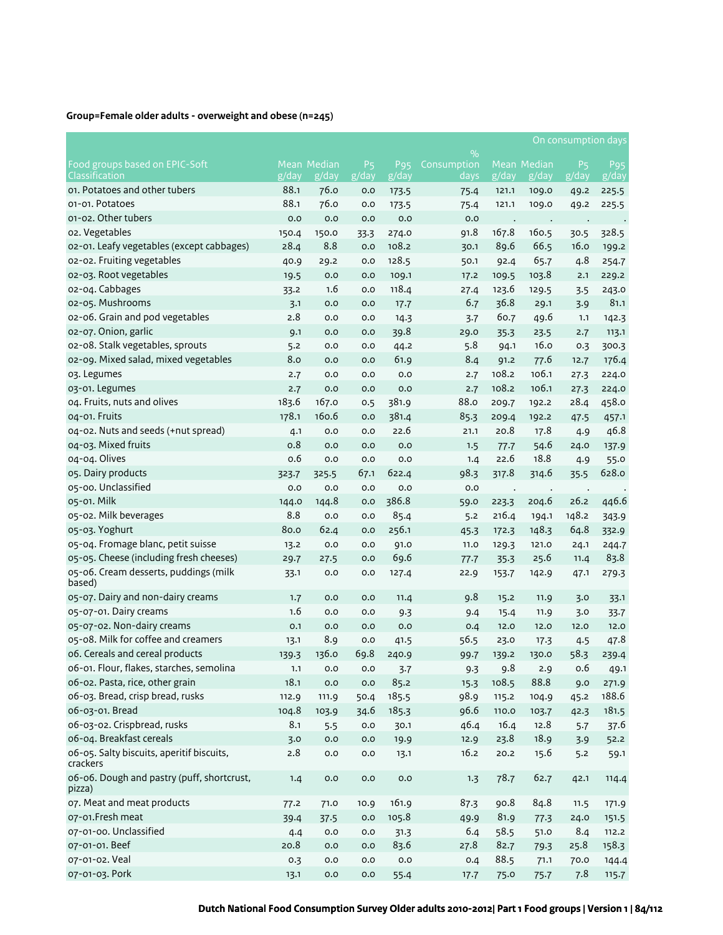|                                                       |       |              |                         |                 |                     |       |             | On consumption days |                     |
|-------------------------------------------------------|-------|--------------|-------------------------|-----------------|---------------------|-------|-------------|---------------------|---------------------|
| Food groups based on EPIC-Soft                        |       | Mean Median  |                         | P <sub>95</sub> | $\%$<br>Consumption |       | Mean Median | P <sub>5</sub>      | P <sub>95</sub>     |
| Classification                                        | g/day | g/day        | P <sub>5</sub><br>g/day | g/day           | days                | g/day | g/day       | g/day               | $\overline{g/d}$ ay |
| 01. Potatoes and other tubers                         | 88.1  | 76.0         | 0.0                     | 173.5           | 75.4                | 121.1 | 109.0       | 49.2                | 225.5               |
| 01-01. Potatoes                                       | 88.1  | 76.0         | 0.0                     | 173.5           | 75.4                | 121.1 | 109.0       | 49.2                | 225.5               |
| 01-02. Other tubers                                   | 0.0   | 0.0          | 0.0                     | 0.0             | 0.0                 |       |             |                     |                     |
| o2. Vegetables                                        | 150.4 | 150.0        | 33.3                    | 274.0           | 91.8                | 167.8 | 160.5       | 30.5                | 328.5               |
| 02-01. Leafy vegetables (except cabbages)             | 28.4  | 8.8          | 0.0                     | 108.2           | 30.1                | 89.6  | 66.5        | 16.0                | 199.2               |
| 02-02. Fruiting vegetables                            | 40.9  | 29.2         | 0.0                     | 128.5           | 50.1                | 92.4  | 65.7        | 4.8                 | 254.7               |
| 02-03. Root vegetables                                | 19.5  | 0.0          | 0.0                     | 109.1           | 17.2                | 109.5 | 103.8       | 2.1                 | 229.2               |
| 02-04. Cabbages                                       | 33.2  | 1.6          | 0.0                     | 118.4           | 27.4                | 123.6 | 129.5       | 3.5                 | 243.0               |
| 02-05. Mushrooms                                      | 3.1   | 0.0          | 0.0                     | 17.7            | 6.7                 | 36.8  | 29.1        | 3.9                 | 81.1                |
| o2-o6. Grain and pod vegetables                       | 2.8   | 0.0          | 0.0                     | 14.3            | 3.7                 | 60.7  | 49.6        | 1.1                 | 142.3               |
| 02-07. Onion, garlic                                  | 9.1   | 0.0          | 0.0                     | 39.8            | 29.0                | 35.3  | 23.5        | 2.7                 | 113.1               |
| 02-08. Stalk vegetables, sprouts                      | 5.2   | 0.0          | 0.0                     | 44.2            | 5.8                 | 94.1  | 16.0        | 0.3                 | 300.3               |
| 02-09. Mixed salad, mixed vegetables                  | 8.0   | 0.0          | 0.0                     | 61.9            | 8.4                 | 91.2  | 77.6        | 12.7                | 176.4               |
| 03. Legumes                                           | 2.7   | 0.0          | 0.0                     | 0.0             | 2.7                 | 108.2 | 106.1       | 27.3                | 224.0               |
| 03-01. Legumes                                        | 2.7   | 0.0          | 0.0                     | 0.0             | 2.7                 | 108.2 | 106.1       | 27.3                | 224.0               |
| 04. Fruits, nuts and olives                           | 183.6 | 167.0        | 0.5                     | 381.9           | 88.0                | 209.7 | 192.2       | 28.4                | 458.0               |
| 04-01. Fruits                                         | 178.1 | 160.6        | 0.0                     | 381.4           | 85.3                | 209.4 | 192.2       | 47.5                | 457.1               |
| 04-02. Nuts and seeds (+nut spread)                   | 4.1   | 0.0          | 0.0                     | 22.6            | 21.1                | 20.8  | 17.8        | 4.9                 | 46.8                |
| 04-03. Mixed fruits                                   | 0.8   | 0.0          | 0.0                     | 0.0             | 1.5                 | 77.7  | 54.6        | 24.0                | 137.9               |
| 04-04. Olives                                         | 0.6   | 0.0          | 0.0                     | 0.0             | 1.4                 | 22.6  | 18.8        | 4.9                 | 55.0                |
| 05. Dairy products                                    | 323.7 | 325.5        | 67.1                    | 622.4           | 98.3                | 317.8 | 314.6       | 35.5                | 628.0               |
| 05-00. Unclassified                                   | 0.0   | 0.0          | 0.0                     | 0.0             | 0.0                 |       | $\cdot$     | $\bullet$           |                     |
| 05-01. Milk                                           | 144.0 | 144.8        | 0.0                     | 386.8           | 59.0                | 223.3 | 204.6       | 26.2                | 446.6               |
| 05-02. Milk beverages                                 | 8.8   | 0.0          | 0.0                     | 85.4            | 5.2                 | 216.4 | 194.1       | 148.2               | 343.9               |
| 05-03. Yoghurt                                        | 80.0  | 62.4         | 0.0                     | 256.1           | 45.3                | 172.3 | 148.3       | 64.8                | 332.9               |
| 05-04. Fromage blanc, petit suisse                    | 13.2  | 0.0          | 0.0                     | 91.0            | 11.0                | 129.3 | 121.0       | 24.1                | 244.7               |
| 05-05. Cheese (including fresh cheeses)               | 29.7  | 27.5         | 0.0                     | 69.6            | 77.7                | 35.3  | 25.6        | 11.4                | 83.8                |
| 05-06. Cream desserts, puddings (milk<br>based)       | 33.1  | 0.0          | 0.0                     | 127.4           | 22.9                | 153.7 | 142.9       | 47.1                | 279.3               |
| 05-07. Dairy and non-dairy creams                     | 1.7   | 0.0          | 0.0                     | 11.4            | 9.8                 | 15.2  | 11.9        | 3.0                 | 33.1                |
| 05-07-01. Dairy creams                                | 1.6   | 0.0          | 0.0                     | 9.3             | 9.4                 | 15.4  | 11.9        | 3.0                 | 33.7                |
| 05-07-02. Non-dairy creams                            | 0.1   | 0.0          | 0.0                     | 0.0             | 0.4                 | 12.0  | 12.0        | 12.0                | 12.0                |
| 05-08. Milk for coffee and creamers                   | 13.1  | 8.9          | 0.0                     | 41.5            | 56.5                | 23.0  | 17.3        | 4.5                 | 47.8                |
| o6. Cereals and cereal products                       | 139.3 | 136.0        | 69.8                    | 240.9           | 99.7                | 139.2 | 130.0       | 58.3                | 239.4               |
| 06-01. Flour, flakes, starches, semolina              | 1.1   | $_{\rm 0.0}$ | 0.0                     | 3.7             | 9.3                 | 9.8   | 2.9         | 0.6                 | 49.1                |
| 06-02. Pasta, rice, other grain                       | 18.1  | 0.0          | 0.0                     | 85.2            | 15.3                | 108.5 | 88.8        | 9.0                 | 271.9               |
| 06-03. Bread, crisp bread, rusks                      | 112.9 | 111.9        | 50.4                    | 185.5           | 98.9                | 115.2 | 104.9       | 45.2                | 188.6               |
| 06-03-01. Bread                                       | 104.8 | 103.9        | 34.6                    | 185.3           | 96.6                | 110.0 | 103.7       | 42.3                | 181.5               |
| 06-03-02. Crispbread, rusks                           | 8.1   | 5.5          | $_{\rm 0.0}$            | 30.1            | 46.4                | 16.4  | 12.8        | 5.7                 | 37.6                |
| 06-04. Breakfast cereals                              | 3.0   | $_{\rm 0.0}$ | 0.0                     | 19.9            | 12.9                | 23.8  | 18.9        | 3.9                 | 52.2                |
| 06-05. Salty biscuits, aperitif biscuits,<br>crackers | 2.8   | 0.0          | 0.0                     | 13.1            | 16.2                | 20.2  | 15.6        | 5.2                 | 59.1                |
| 06-06. Dough and pastry (puff, shortcrust,<br>pizza)  | 1.4   | 0.0          | 0.0                     | 0.0             | 1.3                 | 78.7  | 62.7        | 42.1                | 114.4               |
| 07. Meat and meat products                            | 77.2  | 71.0         | 10.9                    | 161.9           | 87.3                | 90.8  | 84.8        | 11.5                | 171.9               |
| 07-01.Fresh meat                                      | 39.4  | 37.5         | 0.0                     | 105.8           | 49.9                | 81.9  | 77.3        | 24.0                | 151.5               |
| 07-01-00. Unclassified                                | 4.4   | $_{\rm 0.0}$ | 0.0                     | 31.3            | 6.4                 | 58.5  | 51.0        | 8.4                 | 112.2               |
| 07-01-01. Beef                                        | 20.8  | 0.0          | 0.0                     | 83.6            | 27.8                | 82.7  | 79.3        | 25.8                | 158.3               |
| 07-01-02. Veal                                        | 0.3   | 0.0          | 0.0                     | 0.0             | 0.4                 | 88.5  | 71.1        | 70.0                | 144.4               |
| 07-01-03. Pork                                        | 13.1  | 0.0          | 0.0                     | 55.4            | 17.7                | 75.0  | 75.7        | 7.8                 | 115.7               |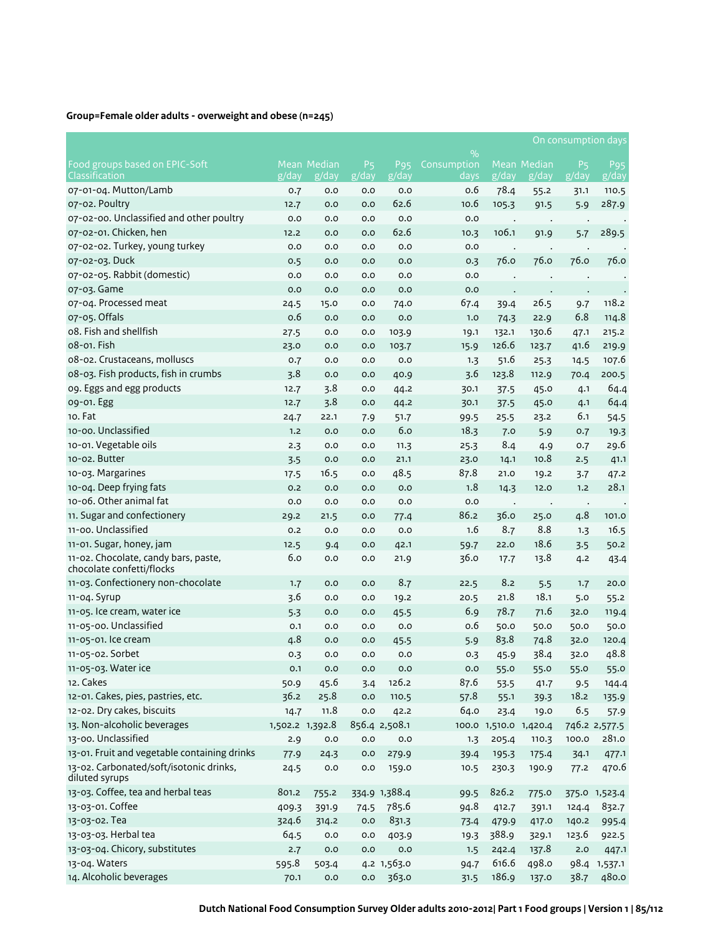|                                                                   |                 |                      |                               |                                                  |                     |                       |                             |                                      | On consumption days      |
|-------------------------------------------------------------------|-----------------|----------------------|-------------------------------|--------------------------------------------------|---------------------|-----------------------|-----------------------------|--------------------------------------|--------------------------|
|                                                                   |                 |                      |                               |                                                  | $\%$                |                       |                             |                                      |                          |
| Food groups based on EPIC-Soft<br>Classification                  | g/day           | Mean Median<br>g/day | <b>P<sub>5</sub></b><br>g/day | P <sub>95</sub><br>$\overline{g}/\overline{day}$ | Consumption<br>days | g/day                 | <b>Mean Median</b><br>g/day | P <sub>5</sub><br>$\overline{g}/day$ | P <sub>95</sub><br>g/day |
| 07-01-04. Mutton/Lamb                                             | 0.7             | 0.0                  | 0.0                           | 0.0                                              | 0.6                 | 78.4                  | 55.2                        | 31.1                                 | 110.5                    |
| 07-02. Poultry                                                    | 12.7            | 0.0                  | 0.0                           | 62.6                                             | 10.6                | 105.3                 | 91.5                        |                                      | 287.9                    |
| 07-02-00. Unclassified and other poultry                          | 0.0             | 0.0                  | 0.0                           | 0.0                                              | 0.0                 |                       |                             | 5.9                                  |                          |
| 07-02-01. Chicken, hen                                            |                 | 0.0                  | 0.0                           | 62.6                                             |                     | 106.1                 | $\cdot$                     |                                      | 289.5                    |
| 07-02-02. Turkey, young turkey                                    | 12.2            | 0.0                  |                               |                                                  | 10.3                |                       | 91.9                        | 5.7                                  |                          |
| 07-02-03. Duck                                                    | 0.0             |                      | 0.0                           | 0.0                                              | 0.0                 |                       | $\cdot$<br>76.0             | $\bullet$                            |                          |
|                                                                   | 0.5             | 0.0                  | 0.0                           | 0.0                                              | 0.3                 | 76.0                  |                             | 76.0                                 | 76.0                     |
| 07-02-05. Rabbit (domestic)                                       | 0.0             | 0.0                  | 0.0                           | 0.0                                              | 0.0                 |                       |                             |                                      |                          |
| 07-03. Game                                                       | 0.0             | 0.0                  | 0.0                           | 0.0                                              | 0.0                 |                       |                             | $\bullet$                            |                          |
| 07-04. Processed meat                                             | 24.5            | 15.0                 | 0.0                           | 74.0                                             | 67.4                | 39.4                  | 26.5                        | 9.7                                  | 118.2                    |
| 07-05. Offals                                                     | 0.6             | 0.0                  | 0.0                           | 0.0                                              | 1.0                 | 74.3                  | 22.9                        | 6.8                                  | 114.8                    |
| o8. Fish and shellfish                                            | 27.5            | 0.0                  | 0.0                           | 103.9                                            | 19.1                | 132.1                 | 130.6                       | 47.1                                 | 215.2                    |
| 08-01. Fish                                                       | 23.0            | 0.0                  | 0.0                           | 103.7                                            | 15.9                | 126.6                 | 123.7                       | 41.6                                 | 219.9                    |
| 08-02. Crustaceans, molluscs                                      | 0.7             | 0.0                  | 0.0                           | 0.0                                              | 1.3                 | 51.6                  | 25.3                        | 14.5                                 | 107.6                    |
| 08-03. Fish products, fish in crumbs                              | 3.8             | 0.0                  | 0.0                           | 40.9                                             | 3.6                 | 123.8                 | 112.9                       | 70.4                                 | 200.5                    |
| og. Eggs and egg products                                         | 12.7            | 3.8                  | 0.0                           | 44.2                                             | 30.1                | 37.5                  | 45.0                        | 4.1                                  | 64.4                     |
| 09-01. Egg                                                        | 12.7            | 3.8                  | 0.0                           | 44.2                                             | 30.1                | 37.5                  | 45.0                        | 4.1                                  | 64.4                     |
| 10. Fat                                                           | 24.7            | 22.1                 | 7.9                           | 51.7                                             | 99.5                | 25.5                  | 23.2                        | 6.1                                  | 54.5                     |
| 10-00. Unclassified                                               | 1.2             | 0.0                  | 0.0                           | 6.0                                              | 18.3                | 7.0                   | 5.9                         | 0.7                                  | 19.3                     |
| 10-01. Vegetable oils                                             | 2.3             | 0.0                  | 0.0                           | 11.3                                             | 25.3                | 8.4                   | 4.9                         | 0.7                                  | 29.6                     |
| 10-02. Butter                                                     | 3.5             | 0.0                  | 0.0                           | 21.1                                             | 23.0                | 14.1                  | 10.8                        | 2.5                                  | 41.1                     |
| 10-03. Margarines                                                 | 17.5            | 16.5                 | 0.0                           | 48.5                                             | 87.8                | 21.0                  | 19.2                        | $3-7$                                | 47.2                     |
| 10-04. Deep frying fats                                           | 0.2             | 0.0                  | 0.0                           | 0.0                                              | 1.8                 | 14.3                  | 12.0                        | 1.2                                  | 28.1                     |
| 10-06. Other animal fat                                           | 0.0             | 0.0                  | 0.0                           | 0.0                                              | 0.0                 | $\cdot$               | $\cdot$                     | $\,$ .                               |                          |
| 11. Sugar and confectionery                                       | 29.2            | 21.5                 | 0.0                           | 77.4                                             | 86.2                | 36.0                  | 25.0                        | 4.8                                  | 101.0                    |
| 11-00. Unclassified                                               | 0.2             | 0.0                  | 0.0                           | 0.0                                              | 1.6                 | 8.7                   | 8.8                         | 1.3                                  | 16.5                     |
| 11-01. Sugar, honey, jam                                          | 12.5            | 9.4                  | 0.0                           | 42.1                                             | 59.7                | 22.0                  | 18.6                        | 3.5                                  | 50.2                     |
| 11-02. Chocolate, candy bars, paste,<br>chocolate confetti/flocks | 6.0             | 0.0                  | 0.0                           | 21.9                                             | 36.0                | 17.7                  | 13.8                        | 4.2                                  | 43.4                     |
| 11-03. Confectionery non-chocolate                                | 1.7             | 0.0                  | 0.0                           | 8.7                                              | 22.5                | 8.2                   | 5.5                         | 1.7                                  | 20.0                     |
| 11-04. Syrup                                                      | 3.6             | 0.0                  | 0.0                           | 19.2                                             | 20.5                | 21.8                  | 18.1                        | 5.0                                  | 55.2                     |
| 11-05. Ice cream, water ice                                       | 5.3             | 0.0                  | 0.0                           | 45.5                                             | 6.9                 | 78.7                  | 71.6                        | 32.0                                 | 119.4                    |
| 11-05-00. Unclassified                                            | 0.1             | 0.0                  | 0.0                           | 0.0                                              | 0.6                 | 50.0                  | 50.0                        | 50.0                                 | 50.0                     |
| 11-05-01. Ice cream                                               | 4.8             | 0.0                  | 0.0                           | 45.5                                             | 5.9                 | 83.8                  | 74.8                        | 32.0                                 | 120.4                    |
| 11-05-02. Sorbet                                                  | 0.3             | 0.0                  | 0.0                           | 0.0                                              | 0.3                 | 45.9                  | 38.4                        | 32.0                                 | 48.8                     |
| 11-05-03. Water ice                                               | 0.1             | $_{\rm 0.0}$         | $_{\rm 0.0}$                  | 0.0                                              | 0.0                 | 55.0                  | 55.0                        | 55.0                                 | 55.0                     |
| 12. Cakes                                                         | 50.9            | 45.6                 | 3.4                           | 126.2                                            | 87.6                | 53.5                  | 41.7                        | 9.5                                  | 144.4                    |
| 12-01. Cakes, pies, pastries, etc.                                | 36.2            | 25.8                 | $_{\rm 0.0}$                  | 110.5                                            | 57.8                | 55.1                  | 39.3                        | 18.2                                 | 135.9                    |
| 12-02. Dry cakes, biscuits                                        | 14.7            | 11.8                 | 0.0                           | 42.2                                             | 64.0                | 23.4                  | 19.0                        | 6.5                                  | 57.9                     |
| 13. Non-alcoholic beverages                                       | 1,502.2 1,392.8 |                      |                               | 856.4 2,508.1                                    |                     | 100.0 1,510.0 1,420.4 |                             |                                      | 746.2 2,577.5            |
| 13-00. Unclassified                                               | 2.9             | 0.0                  | 0.0                           | 0.0                                              | 1.3                 | 205.4                 | 110.3                       | 100.0                                | 281.0                    |
| 13-01. Fruit and vegetable containing drinks                      | 77.9            | 24.3                 | 0.0                           | 279.9                                            | 39.4                | 195.3                 | 175.4                       | 34.1                                 | 477.1                    |
| 13-02. Carbonated/soft/isotonic drinks,<br>diluted syrups         | 24.5            | 0.0                  | 0.0                           | 159.0                                            | 10.5                | 230.3                 | 190.9                       | 77.2                                 | 470.6                    |
| 13-03. Coffee, tea and herbal teas                                | 801.2           | 755.2                |                               | 334.9 1,388.4                                    | 99.5                | 826.2                 | 775.0                       |                                      | 375.0 1,523.4            |
| 13-03-01. Coffee                                                  | 409.3           | 391.9                | 74.5                          | 785.6                                            | 94.8                | 412.7                 | 391.1                       | 124.4                                | 832.7                    |
| 13-03-02. Tea                                                     | 324.6           | 314.2                | $_{\rm 0.0}$                  | 831.3                                            | 73.4                | 479.9                 | 417.0                       | 140.2                                | 995.4                    |
| 13-03-03. Herbal tea                                              | 64.5            | 0.0                  | 0.0                           | 403.9                                            | 19.3                | 388.9                 | 329.1                       | 123.6                                | 922.5                    |
| 13-03-04. Chicory, substitutes                                    | 2.7             | 0.0                  | 0.0                           | 0.0                                              | 1.5                 | 242.4                 | 137.8                       | 2.0                                  | 447.1                    |
| 13-04. Waters                                                     | 595.8           | 503.4                |                               | 4.2 1,563.0                                      | 94.7                | 616.6                 | 498.0                       | 98.4                                 | 1,537.1                  |
| 14. Alcoholic beverages                                           | 70.1            | 0.0                  | $_{\rm 0.0}$                  | 363.0                                            | 31.5                | 186.9                 | 137.0                       | 38.7                                 | 480.0                    |
|                                                                   |                 |                      |                               |                                                  |                     |                       |                             |                                      |                          |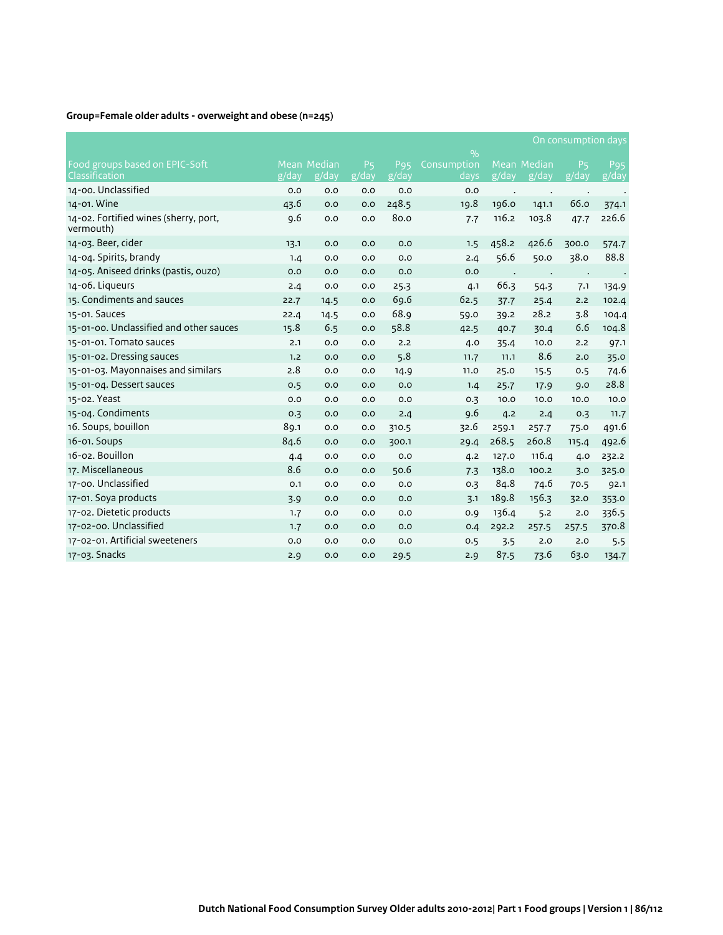|                                                    |       |             |                                         |                          |                              |       |             | On consumption days           |                                      |
|----------------------------------------------------|-------|-------------|-----------------------------------------|--------------------------|------------------------------|-------|-------------|-------------------------------|--------------------------------------|
| Food groups based on EPIC-Soft                     |       | Mean Median |                                         |                          | $\frac{9}{0}$<br>Consumption |       | Mean Median |                               |                                      |
| Classification                                     | g/day | g/day       | P <sub>5</sub><br>$\sqrt{g}/\sqrt{day}$ | P <sub>95</sub><br>g/day | days                         | g/day | g/day       | <b>P<sub>5</sub></b><br>g/day | P95<br>$\overline{g}/\overline{day}$ |
| 14-00. Unclassified                                | 0.0   | 0.0         | 0.0                                     | O.O                      | O.O                          |       |             |                               |                                      |
| 14-01. Wine                                        | 43.6  | 0.0         | 0.0                                     | 248.5                    | 19.8                         | 196.0 | 141.1       | 66.0                          | 374.1                                |
| 14-02. Fortified wines (sherry, port,<br>vermouth) | 9.6   | 0.0         | 0.0                                     | 80.0                     | 7.7                          | 116.2 | 103.8       | 47.7                          | 226.6                                |
| 14-03. Beer, cider                                 | 13.1  | 0.0         | 0.0                                     | O.O                      | 1.5                          | 458.2 | 426.6       | 300.0                         | 574.7                                |
| 14-04. Spirits, brandy                             | 1.4   | 0.0         | 0.0                                     | 0.0                      | 2.4                          | 56.6  | 50.0        | 38.0                          | 88.8                                 |
| 14-05. Aniseed drinks (pastis, ouzo)               | 0.0   | 0.0         | 0.0                                     | 0.0                      | O.O                          |       |             |                               |                                      |
| 14-06. Liqueurs                                    | 2.4   | 0.0         | 0.0                                     | 25.3                     | 4.1                          | 66.3  | 54.3        | 7.1                           | 134.9                                |
| 15. Condiments and sauces                          | 22.7  | 14.5        | 0.0                                     | 69.6                     | 62.5                         | 37.7  | 25.4        | 2.2                           | 102.4                                |
| 15-01. Sauces                                      | 22.4  | 14.5        | 0.0                                     | 68.9                     | 59.0                         | 39.2  | 28.2        | 3.8                           | 104.4                                |
| 15-01-00. Unclassified and other sauces            | 15.8  | 6.5         | 0.0                                     | 58.8                     | 42.5                         | 40.7  | 30.4        | 6.6                           | 104.8                                |
| 15-01-01. Tomato sauces                            | 2.1   | 0.0         | 0.0                                     | 2.2                      | 4.0                          | 35.4  | 10.0        | 2.2                           | 97.1                                 |
| 15-01-02. Dressing sauces                          | 1.2   | 0.0         | 0.0                                     | 5.8                      | 11.7                         | 11.1  | 8.6         | 2.0                           | 35.0                                 |
| 15-01-03. Mayonnaises and similars                 | 2.8   | 0.0         | 0.0                                     | 14.9                     | 11.0                         | 25.0  | 15.5        | 0.5                           | 74.6                                 |
| 15-01-04. Dessert sauces                           | 0.5   | 0.0         | 0.0                                     | 0.0                      | 1.4                          | 25.7  | 17.9        | 9.0                           | 28.8                                 |
| 15-02. Yeast                                       | 0.0   | 0.0         | 0.0                                     | 0.0                      | 0.3                          | 10.0  | 10.0        | 10.0                          | 10.0                                 |
| 15-04. Condiments                                  | 0.3   | 0.0         | 0.0                                     | 2.4                      | 9.6                          | 4.2   | 2.4         | 0.3                           | 11.7                                 |
| 16. Soups, bouillon                                | 89.1  | 0.0         | 0.0                                     | 310.5                    | 32.6                         | 259.1 | 257.7       | 75.0                          | 491.6                                |
| 16-01. Soups                                       | 84.6  | 0.0         | 0.0                                     | 300.1                    | 29.4                         | 268.5 | 260.8       | 115.4                         | 492.6                                |
| 16-02. Bouillon                                    | 4.4   | 0.0         | 0.0                                     | 0.0                      | 4.2                          | 127.0 | 116.4       | 4.0                           | 232.2                                |
| 17. Miscellaneous                                  | 8.6   | 0.0         | 0.0                                     | 50.6                     | 7.3                          | 138.0 | 100.2       | 3.0                           | 325.0                                |
| 17-00. Unclassified                                | 0.1   | 0.0         | 0.0                                     | O.O                      | 0.3                          | 84.8  | 74.6        | 70.5                          | 92.1                                 |
| 17-01. Soya products                               | 3.9   | 0.0         | 0.0                                     | O.O                      | 3.1                          | 189.8 | 156.3       | 32.0                          | 353.0                                |
| 17-02. Dietetic products                           | 1.7   | 0.0         | 0.0                                     | O.O                      | 0.9                          | 136.4 | 5.2         | 2.0                           | 336.5                                |
| 17-02-00. Unclassified                             | 1.7   | 0.0         | 0.0                                     | 0.0                      | 0.4                          | 292.2 | 257.5       | 257.5                         | 370.8                                |
| 17-02-01. Artificial sweeteners                    | 0.0   | 0.0         | 0.0                                     | O.O                      | 0.5                          | 3.5   | 2.0         | 2.0                           | 5.5                                  |
| 17-03. Snacks                                      | 2.9   | 0.0         | 0.0                                     | 29.5                     | 2.9                          | 87.5  | 73.6        | 63.0                          | 134.7                                |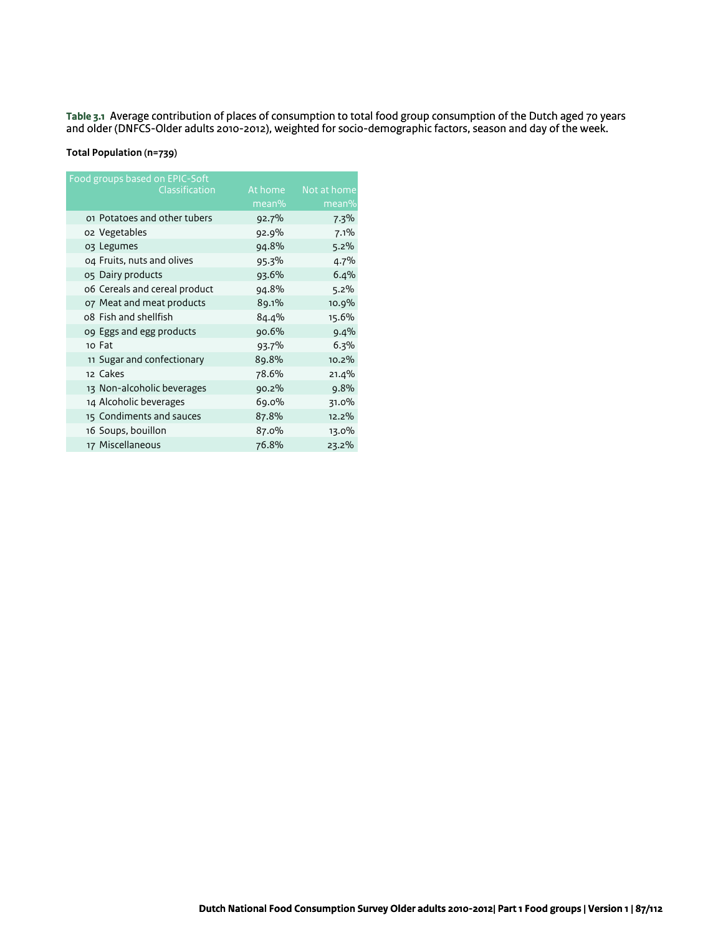**Table 3.1** Average contribution of places of consumption to total food group consumption of the Dutch aged 70 years and older (DNFCS-Older adults 2010-2012), weighted for socio-demographic factors, season and day of the week.

#### **Total Population (n=739)**

| Food groups based on EPIC-Soft |         |             |
|--------------------------------|---------|-------------|
| Classification                 | At home | Not at home |
|                                | mean%   | mean%       |
| 01 Potatoes and other tubers   | 92.7%   | 7.3%        |
| o2 Vegetables                  | 92.9%   | 7.1%        |
| 03 Legumes                     | 94.8%   | 5.2%        |
| 04 Fruits, nuts and olives     | 95.3%   | 4.7%        |
| 05 Dairy products              | 93.6%   | 6.4%        |
| 06 Cereals and cereal product  | 94.8%   | 5.2%        |
| 07 Meat and meat products      | 89.1%   | 10.9%       |
| 08 Fish and shellfish          | 84.4%   | 15.6%       |
| 09 Eggs and egg products       | 90.6%   | 9.4%        |
| 10 Fat                         | 93.7%   | 6.3%        |
| 11 Sugar and confectionary     | 89.8%   | 10.2%       |
| 12 Cakes                       | 78.6%   | 21.4%       |
| 13 Non-alcoholic beverages     | 90.2%   | 9.8%        |
| 14 Alcoholic beverages         | 69.0%   | 31.0%       |
| 15 Condiments and sauces       | 87.8%   | 12.2%       |
| 16 Soups, bouillon             | 87.0%   | 13.0%       |
| 17 Miscellaneous               | 76.8%   | 23.2%       |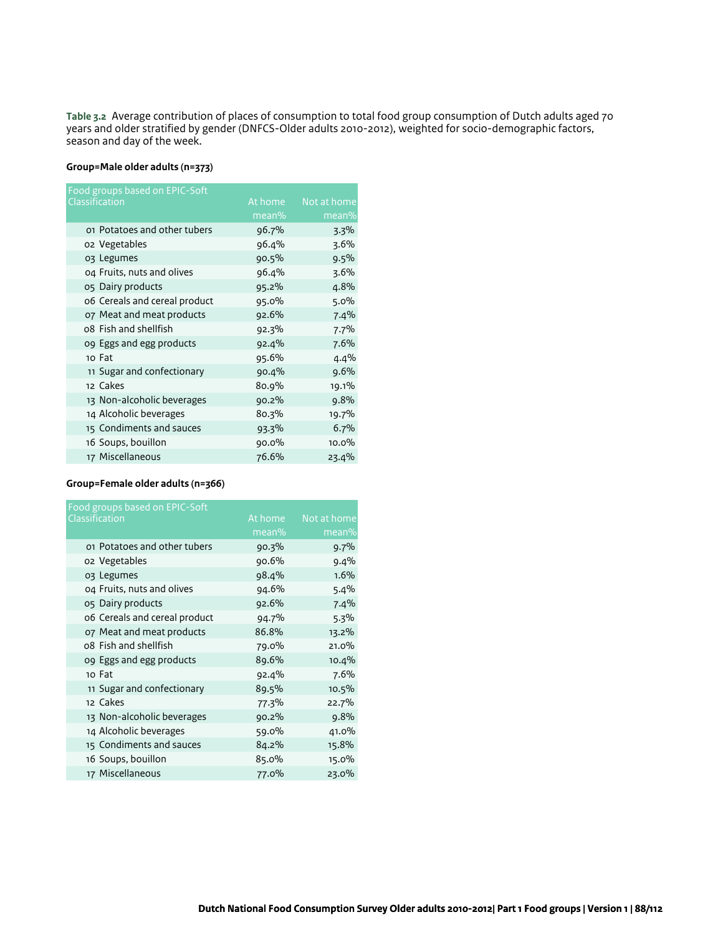**Table 3.2** Average contribution of places of consumption to total food group consumption of Dutch adults aged 70 years and older stratified by gender (DNFCS-Older adults 2010-2012), weighted for socio-demographic factors, season and day of the week.

#### **Group=Male older adults (n=373)**

| Food groups based on EPIC-Soft |          |             |
|--------------------------------|----------|-------------|
| Classification                 | At home  | Not at home |
|                                | mean%    | mean%       |
| 01 Potatoes and other tubers   | 96.7%    | $3.3\%$     |
| o2 Vegetables                  | 96.4%    | 3.6%        |
| 03 Legumes                     | 90.5%    | 9.5%        |
| 04 Fruits, nuts and olives     | 96.4%    | 3.6%        |
| 05 Dairy products              | 95.2%    | 4.8%        |
| 06 Cereals and cereal product  | 95.0%    | 5.0%        |
| 07 Meat and meat products      | 92.6%    | 7.4%        |
| 08 Fish and shellfish          | 92.3%    | 7.7%        |
| og Eggs and egg products       | 92.4%    | 7.6%        |
| 10 Fat                         | 95.6%    | 4.4%        |
| 11 Sugar and confectionary     | 90.4%    | 9.6%        |
| 12 Cakes                       | 80.9%    | 19.1%       |
| 13 Non-alcoholic beverages     | 90.2%    | 9.8%        |
| 14 Alcoholic beverages         | 80.3%    | 19.7%       |
| 15 Condiments and sauces       | 93.3%    | 6.7%        |
| 16 Soups, bouillon             | $90.0\%$ | $10.0\%$    |
| 17 Miscellaneous               | 76.6%    | 23.4%       |

#### **Group=Female older adults (n=366)**

| Food groups based on EPIC-Soft |         |             |
|--------------------------------|---------|-------------|
| Classification                 | At home | Not at home |
|                                | mean%   | mean%       |
| 01 Potatoes and other tubers   | 90.3%   | 9.7%        |
| o2 Vegetables                  | 90.6%   | 9.4%        |
| 03 Legumes                     | 98.4%   | 1.6%        |
| 04 Fruits, nuts and olives     | 94.6%   | 5.4%        |
| 05 Dairy products              | 92.6%   | 7.4%        |
| 06 Cereals and cereal product  | 94.7%   | 5.3%        |
| 07 Meat and meat products      | 86.8%   | 13.2%       |
| 08 Fish and shellfish          | 79.0%   | 21.0%       |
| og Eggs and egg products       | 89.6%   | 10.4%       |
| 10 Fat                         | 92.4%   | 7.6%        |
| 11 Sugar and confectionary     | 89.5%   | 10.5%       |
| 12 Cakes                       | 77.3%   | 22.7%       |
| 13 Non-alcoholic beverages     | 90.2%   | 9.8%        |
| 14 Alcoholic beverages         | 59.0%   | 41.0%       |
| 15 Condiments and sauces       | 84.2%   | 15.8%       |
| 16 Soups, bouillon             | 85.0%   | 15.0%       |
| 17 Miscellaneous               | 77.0%   | 23.0%       |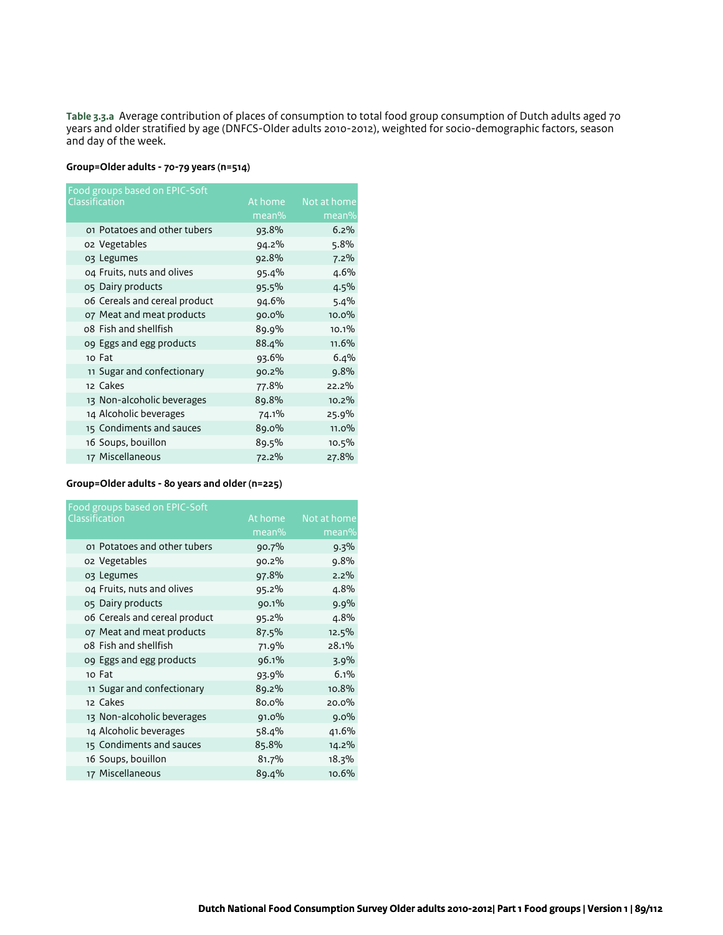**Table 3.3.a** Average contribution of places of consumption to total food group consumption of Dutch adults aged 70 years and older stratified by age (DNFCS-Older adults 2010-2012), weighted for socio-demographic factors, season and day of the week.

# **Group=Older adults - 70-79 years (n=514)**

| Food groups based on EPIC-Soft |          |             |
|--------------------------------|----------|-------------|
| Classification                 | At home  | Not at home |
|                                | mean%    | $mean\%$    |
| 01 Potatoes and other tubers   | 93.8%    | 6.2%        |
| o2 Vegetables                  | 94.2%    | 5.8%        |
| 03 Legumes                     | 92.8%    | 7.2%        |
| 04 Fruits, nuts and olives     | 95.4%    | 4.6%        |
| 05 Dairy products              | 95.5%    | 4.5%        |
| 06 Cereals and cereal product  | 94.6%    | 5.4%        |
| 07 Meat and meat products      | $90.0\%$ | 10.0%       |
| 08 Fish and shellfish          | 89.9%    | 10.1%       |
| og Eggs and egg products       | 88.4%    | 11.6%       |
| 10 Fat                         | 93.6%    | 6.4%        |
| 11 Sugar and confectionary     | 90.2%    | 9.8%        |
| 12 Cakes                       | 77.8%    | 22.2%       |
| 13 Non-alcoholic beverages     | 89.8%    | 10.2%       |
| 14 Alcoholic beverages         | 74.1%    | 25.9%       |
| 15 Condiments and sauces       | 89.0%    | 11.0%       |
| 16 Soups, bouillon             | 89.5%    | 10.5%       |
| 17 Miscellaneous               | 72.2%    | 27.8%       |

#### **Group=Older adults - 80 years and older (n=225)**

| Food groups based on EPIC-Soft |         |             |
|--------------------------------|---------|-------------|
| Classification                 | At home | Not at home |
|                                | mean%   | mean%       |
| 01 Potatoes and other tubers   | 90.7%   | $9.3\%$     |
| o2 Vegetables                  | 90.2%   | 9.8%        |
| 03 Legumes                     | 97.8%   | $2.2\%$     |
| 04 Fruits, nuts and olives     | 95.2%   | 4.8%        |
| 05 Dairy products              | 90.1%   | 9.9%        |
| 06 Cereals and cereal product  | 95.2%   | 4.8%        |
| 07 Meat and meat products      | 87.5%   | 12.5%       |
| 08 Fish and shellfish          | 71.9%   | 28.1%       |
| 09 Eggs and egg products       | 96.1%   | 3.9%        |
| 10 Fat                         | 93.9%   | 6.1%        |
| 11 Sugar and confectionary     | 89.2%   | 10.8%       |
| 12 Cakes                       | 80.0%   | 20.0%       |
| 13 Non-alcoholic beverages     | 91.0%   | $9.0\%$     |
| 14 Alcoholic beverages         | 58.4%   | 41.6%       |
| 15 Condiments and sauces       | 85.8%   | 14.2%       |
| 16 Soups, bouillon             | 81.7%   | 18.3%       |
| 17 Miscellaneous               | 89.4%   | 10.6%       |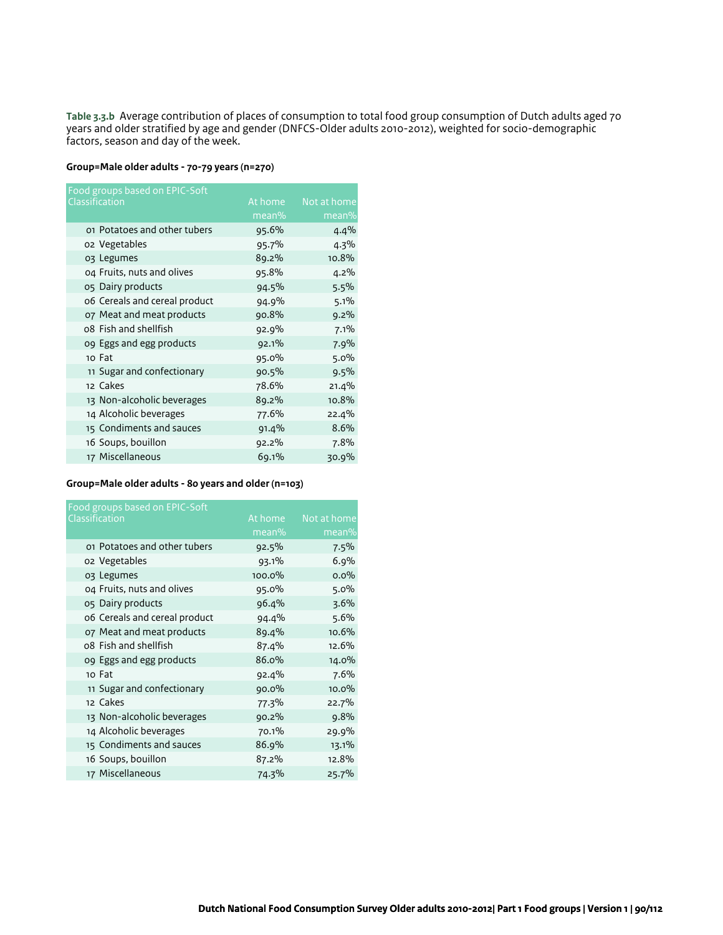**Table 3.3.b** Average contribution of places of consumption to total food group consumption of Dutch adults aged 70 years and older stratified by age and gender (DNFCS-Older adults 2010-2012), weighted for socio-demographic factors, season and day of the week.

# **Group=Male older adults - 70-79 years (n=270)**

| Food groups based on EPIC-Soft |         |             |
|--------------------------------|---------|-------------|
| Classification                 | At home | Not at home |
|                                | mean%   | mean%       |
| 01 Potatoes and other tubers   | 95.6%   | 4.4%        |
| o2 Vegetables                  | 95.7%   | $4.3\%$     |
| 03 Legumes                     | 89.2%   | 10.8%       |
| 04 Fruits, nuts and olives     | 95.8%   | 4.2%        |
| 05 Dairy products              | 94.5%   | 5.5%        |
| 06 Cereals and cereal product  | 94.9%   | 5.1%        |
| 07 Meat and meat products      | 90.8%   | 9.2%        |
| 08 Fish and shellfish          | 92.9%   | 7.1%        |
| og Eggs and egg products       | 92.1%   | 7.9%        |
| 10 Fat                         | 95.0%   | 5.0%        |
| 11 Sugar and confectionary     | 90.5%   | 9.5%        |
| 12 Cakes                       | 78.6%   | 21.4%       |
| 13 Non-alcoholic beverages     | 89.2%   | 10.8%       |
| 14 Alcoholic beverages         | 77.6%   | 22.4%       |
| 15 Condiments and sauces       | 91.4%   | 8.6%        |
| 16 Soups, bouillon             | 92.2%   | 7.8%        |
| 17 Miscellaneous               | 69.1%   | 30.9%       |

#### **Group=Male older adults - 80 years and older (n=103)**

| Food groups based on EPIC-Soft |          |             |
|--------------------------------|----------|-------------|
| Classification                 | At home  | Not at home |
|                                | mean%    | mean%       |
| 01 Potatoes and other tubers   | 92.5%    | 7.5%        |
| o2 Vegetables                  | 93.1%    | 6.9%        |
| 03 Legumes                     | 100.0%   | $0.0\%$     |
| 04 Fruits, nuts and olives     | 95.0%    | 5.0%        |
| 05 Dairy products              | 96.4%    | $3.6\%$     |
| 06 Cereals and cereal product  | 94.4%    | 5.6%        |
| 07 Meat and meat products      | 89.4%    | 10.6%       |
| 08 Fish and shellfish          | 87.4%    | 12.6%       |
| og Eggs and egg products       | 86.0%    | 14.0%       |
| 10 Fat                         | 92.4%    | 7.6%        |
| 11 Sugar and confectionary     | $90.0\%$ | $10.0\%$    |
| 12 Cakes                       | 77.3%    | 22.7%       |
| 13 Non-alcoholic beverages     | 90.2%    | 9.8%        |
| 14 Alcoholic beverages         | 70.1%    | 29.9%       |
| 15 Condiments and sauces       | 86.9%    | 13.1%       |
| 16 Soups, bouillon             | 87.2%    | 12.8%       |
| 17 Miscellaneous               | 74.3%    | 25.7%       |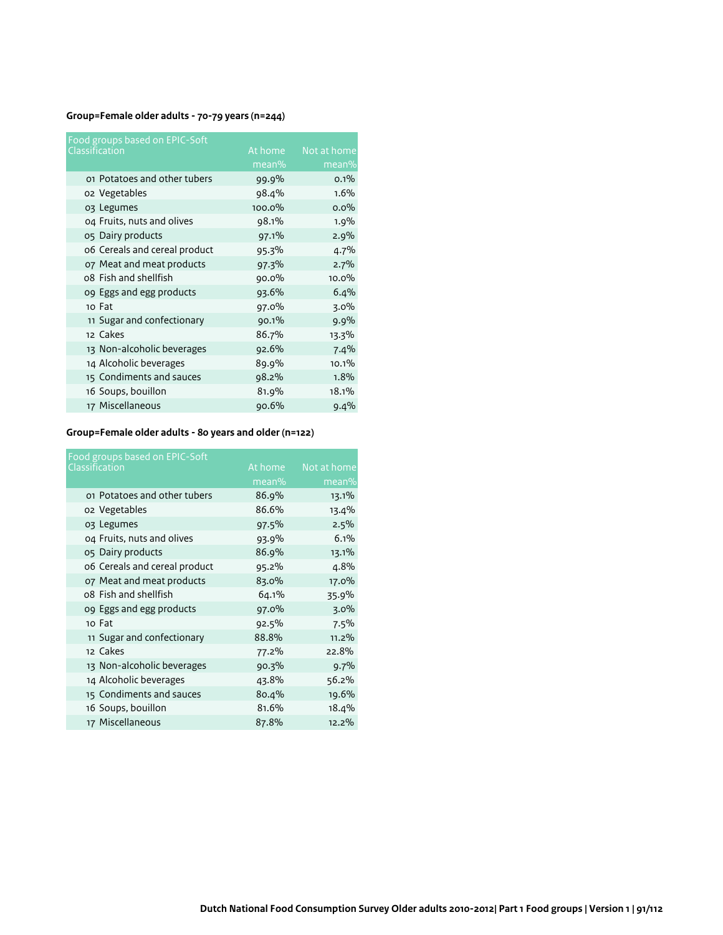# **Group=Female older adults - 70-79 years (n=244)**

| Food groups based on EPIC-Soft |          |             |
|--------------------------------|----------|-------------|
| Classification                 | At home  | Not at home |
|                                | mean%    | mean%       |
| 01 Potatoes and other tubers   | 99.9%    | 0.1%        |
| o2 Vegetables                  | 98.4%    | 1.6%        |
| 03 Legumes                     | 100.0%   | $0.0\%$     |
| 04 Fruits, nuts and olives     | 98.1%    | 1.9%        |
| 05 Dairy products              | 97.1%    | 2.9%        |
| 06 Cereals and cereal product  | 95.3%    | 4.7%        |
| 07 Meat and meat products      | 97.3%    | 2.7%        |
| 08 Fish and shellfish          | $90.0\%$ | 10.0%       |
| 09 Eggs and egg products       | 93.6%    | 6.4%        |
| 10 Fat                         | 97.0%    | 3.0%        |
| 11 Sugar and confectionary     | 90.1%    | 9.9%        |
| 12 Cakes                       | 86.7%    | 13.3%       |
| 13 Non-alcoholic beverages     | 92.6%    | 7.4%        |
| 14 Alcoholic beverages         | 89.9%    | 10.1%       |
| 15 Condiments and sauces       | 98.2%    | 1.8%        |
| 16 Soups, bouillon             | 81.9%    | 18.1%       |
| 17 Miscellaneous               | 90.6%    | 9.4%        |

# **Group=Female older adults - 80 years and older (n=122)**

| Food groups based on EPIC-Soft |         |             |
|--------------------------------|---------|-------------|
| Classification                 | At home | Not at home |
|                                | mean%   | mean%       |
| 01 Potatoes and other tubers   | 86.9%   | 13.1%       |
| o2 Vegetables                  | 86.6%   | 13.4%       |
| 03 Legumes                     | 97.5%   | 2.5%        |
| 04 Fruits, nuts and olives     | 93.9%   | 6.1%        |
| 05 Dairy products              | 86.9%   | 13.1%       |
| 06 Cereals and cereal product  | 95.2%   | 4.8%        |
| 07 Meat and meat products      | 83.0%   | 17.0%       |
| 08 Fish and shellfish          | 64.1%   | 35.9%       |
| 09 Eggs and egg products       | 97.0%   | $3.0\%$     |
| 10 Fat                         | 92.5%   | 7.5%        |
| 11 Sugar and confectionary     | 88.8%   | 11.2%       |
| 12 Cakes                       | 77.2%   | 22.8%       |
| 13 Non-alcoholic beverages     | 90.3%   | $9.7\%$     |
| 14 Alcoholic beverages         | 43.8%   | 56.2%       |
| 15 Condiments and sauces       | 80.4%   | 19.6%       |
| 16 Soups, bouillon             | 81.6%   | 18.4%       |
| 17 Miscellaneous               | 87.8%   | 12.2%       |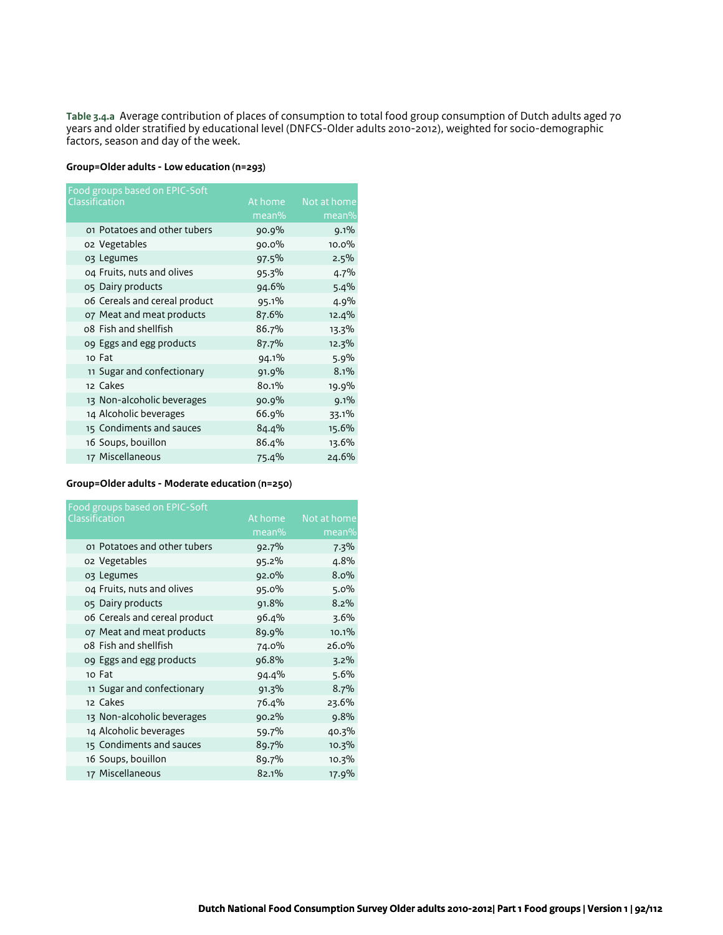**Table 3.4.a** Average contribution of places of consumption to total food group consumption of Dutch adults aged 70 years and older stratified by educational level (DNFCS-Older adults 2010-2012), weighted for socio-demographic factors, season and day of the week.

#### **Group=Older adults - Low education (n=293)**

| Food groups based on EPIC-Soft |          |             |
|--------------------------------|----------|-------------|
| Classification                 | At home  | Not at home |
|                                | mean%    | mean%       |
| 01 Potatoes and other tubers   | 90.9%    | 9.1%        |
| 02 Vegetables                  | $90.0\%$ | $10.0\%$    |
| 03 Legumes                     | 97.5%    | 2.5%        |
| 04 Fruits, nuts and olives     | 95.3%    | 4.7%        |
| 05 Dairy products              | 94.6%    | 5.4%        |
| 06 Cereals and cereal product  | 95.1%    | 4.9%        |
| 07 Meat and meat products      | 87.6%    | 12.4%       |
| 08 Fish and shellfish          | 86.7%    | 13.3%       |
| og Eggs and egg products       | 87.7%    | 12.3%       |
| 10 Fat                         | 94.1%    | 5.9%        |
| 11 Sugar and confectionary     | 91.9%    | 8.1%        |
| 12 Cakes                       | 80.1%    | 19.9%       |
| 13 Non-alcoholic beverages     | 90.9%    | 9.1%        |
| 14 Alcoholic beverages         | 66.9%    | 33.1%       |
| 15 Condiments and sauces       | 84.4%    | 15.6%       |
| 16 Soups, bouillon             | 86.4%    | 13.6%       |
| 17 Miscellaneous               | 75.4%    | 24.6%       |

# **Group=Older adults - Moderate education (n=250)**

| Food groups based on EPIC-Soft |         |             |
|--------------------------------|---------|-------------|
| Classification                 | At home | Not at home |
|                                | mean%   | mean%       |
| 01 Potatoes and other tubers   | 92.7%   | 7.3%        |
| o2 Vegetables                  | 95.2%   | 4.8%        |
| 03 Legumes                     | 92.0%   | 8.0%        |
| 04 Fruits, nuts and olives     | 95.0%   | 5.0%        |
| 05 Dairy products              | 91.8%   | 8.2%        |
| 06 Cereals and cereal product  | 96.4%   | 3.6%        |
| 07 Meat and meat products      | 89.9%   | 10.1%       |
| 08 Fish and shellfish          | 74.0%   | 26.0%       |
| 09 Eggs and egg products       | 96.8%   | $3.2\%$     |
| 10 Fat                         | 94.4%   | 5.6%        |
| 11 Sugar and confectionary     | 91.3%   | 8.7%        |
| 12 Cakes                       | 76.4%   | 23.6%       |
| 13 Non-alcoholic beverages     | 90.2%   | 9.8%        |
| 14 Alcoholic beverages         | 59.7%   | 40.3%       |
| 15 Condiments and sauces       | 89.7%   | 10.3%       |
| 16 Soups, bouillon             | 89.7%   | 10.3%       |
| 17 Miscellaneous               | 82.1%   | 17.9%       |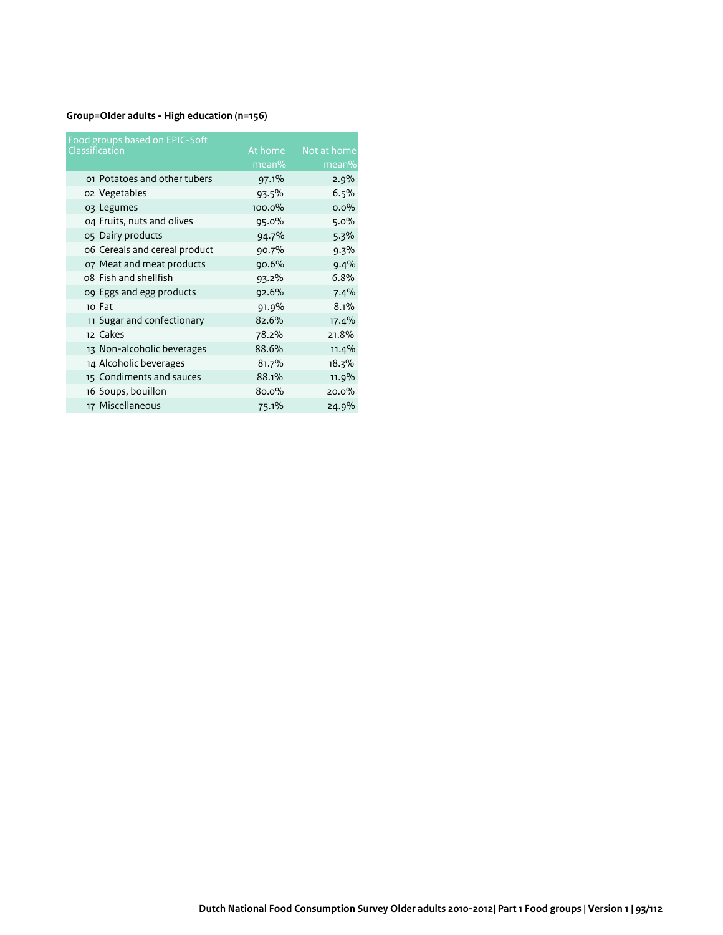# **Group=Older adults - High education (n=156)**

| Food groups based on EPIC-Soft |          |             |
|--------------------------------|----------|-------------|
| Classification                 | At home  | Not at home |
|                                | mean%    | mean%       |
| 01 Potatoes and other tubers   | 97.1%    | 2.9%        |
| o2 Vegetables                  | 93.5%    | 6.5%        |
| 03 Legumes                     | 100.0%   | 0.0%        |
| 04 Fruits, nuts and olives     | 95.0%    | 5.0%        |
| 05 Dairy products              | 94.7%    | 5.3%        |
| 06 Cereals and cereal product  | 90.7%    | 9.3%        |
| 07 Meat and meat products      | 90.6%    | 9.4%        |
| 08 Fish and shellfish          | 93.2%    | 6.8%        |
| 09 Eggs and egg products       | 92.6%    | 7.4%        |
| 10 Fat                         | 91.9%    | 8.1%        |
| 11 Sugar and confectionary     | 82.6%    | 17.4%       |
| 12 Cakes                       | 78.2%    | 21.8%       |
| 13 Non-alcoholic beverages     | 88.6%    | 11.4%       |
| 14 Alcoholic beverages         | 81.7%    | 18.3%       |
| 15 Condiments and sauces       | 88.1%    | 11.9%       |
| 16 Soups, bouillon             | $80.0\%$ | 20.0%       |
| 17 Miscellaneous               | 75.1%    | 24.9%       |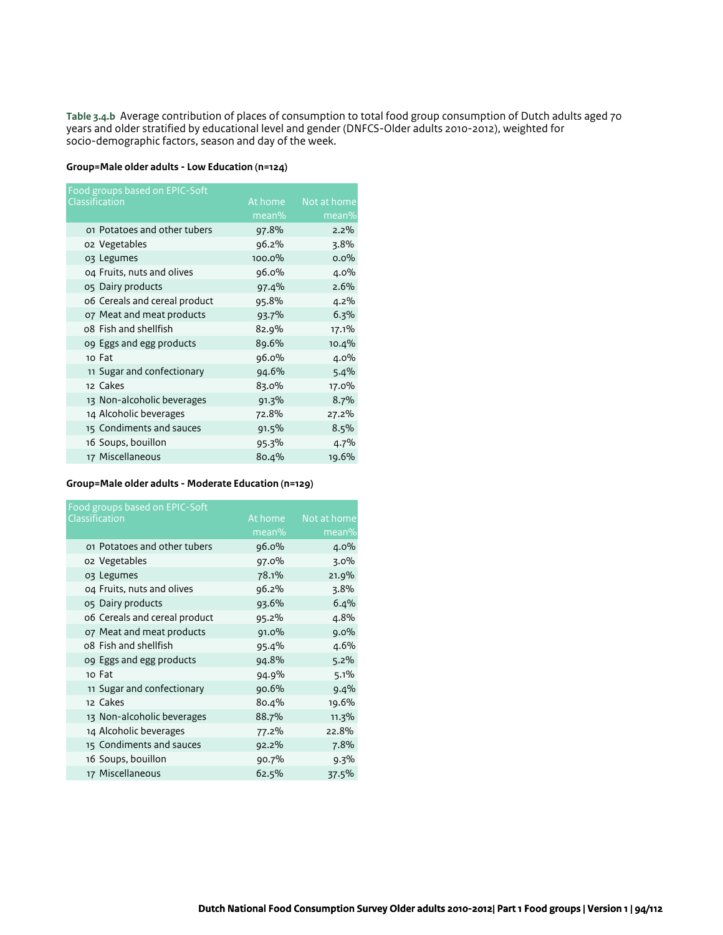**Table 3.4.b** Average contribution of places of consumption to total food group consumption of Dutch adults aged 70 years and older stratified by educational level and gender (DNFCS-Older adults 2010-2012), weighted for socio-demographic factors, season and day of the week.

#### **Group=Male older adults - Low Education (n=124)**

| Food groups based on EPIC-Soft |         |             |
|--------------------------------|---------|-------------|
| Classification                 | At home | Not at home |
|                                | mean%   | mean%       |
| 01 Potatoes and other tubers   | 97.8%   | $2.2\%$     |
| 02 Vegetables                  | 96.2%   | 3.8%        |
| 03 Legumes                     | 100.0%  | $0.0\%$     |
| 04 Fruits, nuts and olives     | 96.0%   | $4.0\%$     |
| 05 Dairy products              | 97.4%   | 2.6%        |
| 06 Cereals and cereal product  | 95.8%   | 4.2%        |
| 07 Meat and meat products      | 93.7%   | 6.3%        |
| 08 Fish and shellfish          | 82.9%   | 17.1%       |
| og Eggs and egg products       | 89.6%   | 10.4%       |
| 10 Fat                         | 96.0%   | $4.0\%$     |
| 11 Sugar and confectionary     | 94.6%   | 5.4%        |
| 12 Cakes                       | 83.0%   | 17.0%       |
| 13 Non-alcoholic beverages     | 91.3%   | 8.7%        |
| 14 Alcoholic beverages         | 72.8%   | 27.2%       |
| 15 Condiments and sauces       | 91.5%   | 8.5%        |
| 16 Soups, bouillon             | 95.3%   | 4.7%        |
| 17 Miscellaneous               | 80.4%   | 19.6%       |

#### **Group=Male older adults - Moderate Education (n=129)**

| Food groups based on EPIC-Soft |          |             |
|--------------------------------|----------|-------------|
| Classification                 | At home  | Not at home |
|                                | mean%    | mean%       |
| 01 Potatoes and other tubers   | $96.0\%$ | 4.0%        |
| o2 Vegetables                  | 97.0%    | 3.0%        |
| 03 Legumes                     | 78.1%    | 21.9%       |
| 04 Fruits, nuts and olives     | 96.2%    | 3.8%        |
| 05 Dairy products              | 93.6%    | 6.4%        |
| 06 Cereals and cereal product  | 95.2%    | 4.8%        |
| 07 Meat and meat products      | $91.0\%$ | $9.0\%$     |
| 08 Fish and shellfish          | 95.4%    | 4.6%        |
| og Eggs and egg products       | 94.8%    | 5.2%        |
| 10 Fat                         | 94.9%    | 5.1%        |
| 11 Sugar and confectionary     | 90.6%    | 9.4%        |
| 12 Cakes                       | 80.4%    | 19.6%       |
| 13 Non-alcoholic beverages     | 88.7%    | 11.3%       |
| 14 Alcoholic beverages         | 77.2%    | 22.8%       |
| 15 Condiments and sauces       | 92.2%    | 7.8%        |
| 16 Soups, bouillon             | 90.7%    | 9.3%        |
| 17 Miscellaneous               | 62.5%    | 37.5%       |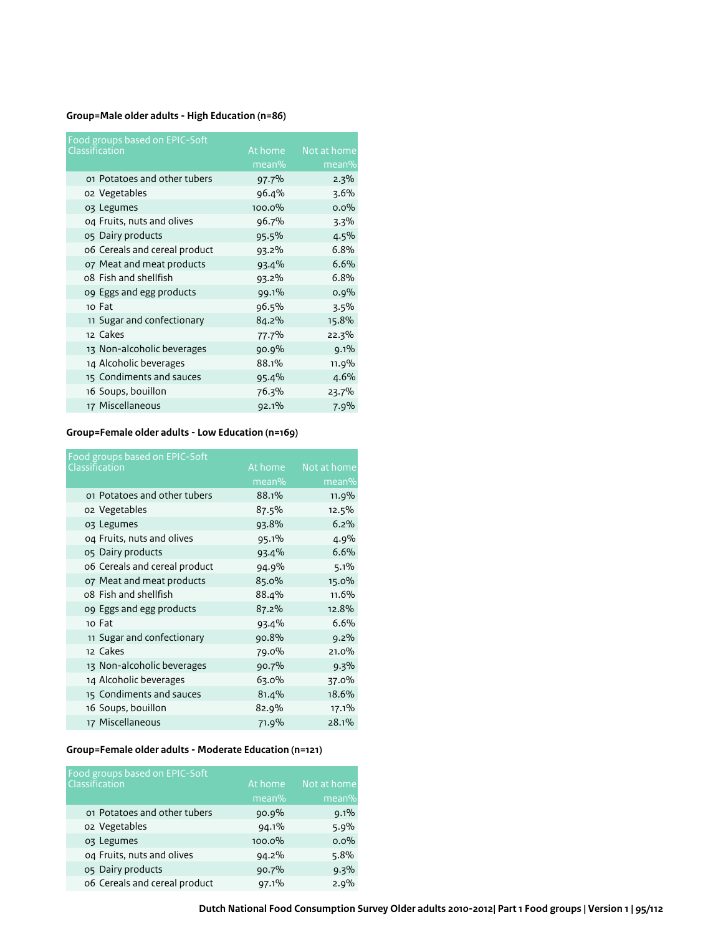# **Group=Male older adults - High Education (n=86)**

| Food groups based on EPIC-Soft |         |             |
|--------------------------------|---------|-------------|
| Classification                 | At home | Not at home |
|                                | mean%   | mean%       |
| 01 Potatoes and other tubers   | 97.7%   | 2.3%        |
| o2 Vegetables                  | 96.4%   | 3.6%        |
| 03 Legumes                     | 100.0%  | $0.0\%$     |
| 04 Fruits, nuts and olives     | 96.7%   | 3.3%        |
| 05 Dairy products              | 95.5%   | 4.5%        |
| 06 Cereals and cereal product  | 93.2%   | 6.8%        |
| 07 Meat and meat products      | 93.4%   | 6.6%        |
| 08 Fish and shellfish          | 93.2%   | 6.8%        |
| 09 Eggs and egg products       | 99.1%   | 0.9%        |
| 10 Fat                         | 96.5%   | 3.5%        |
| 11 Sugar and confectionary     | 84.2%   | 15.8%       |
| 12 Cakes                       | 77.7%   | 22.3%       |
| 13 Non-alcoholic beverages     | 90.9%   | 9.1%        |
| 14 Alcoholic beverages         | 88.1%   | 11.9%       |
| 15 Condiments and sauces       | 95.4%   | 4.6%        |
| 16 Soups, bouillon             | 76.3%   | 23.7%       |
| 17 Miscellaneous               | 92.1%   | 7.9%        |

# **Group=Female older adults - Low Education (n=169)**

| Food groups based on EPIC-Soft |         |             |
|--------------------------------|---------|-------------|
| Classification                 | At home | Not at home |
|                                | mean%   | mean%       |
| 01 Potatoes and other tubers   | 88.1%   | 11.9%       |
| o2 Vegetables                  | 87.5%   | 12.5%       |
| 03 Legumes                     | 93.8%   | 6.2%        |
| 04 Fruits, nuts and olives     | 95.1%   | 4.9%        |
| 05 Dairy products              | 93.4%   | 6.6%        |
| 06 Cereals and cereal product  | 94.9%   | 5.1%        |
| 07 Meat and meat products      | 85.0%   | 15.0%       |
| 08 Fish and shellfish          | 88.4%   | 11.6%       |
| 09 Eggs and egg products       | 87.2%   | 12.8%       |
| 10 Fat                         | 93.4%   | 6.6%        |
| 11 Sugar and confectionary     | 90.8%   | 9.2%        |
| 12 Cakes                       | 79.0%   | 21.0%       |
| 13 Non-alcoholic beverages     | 90.7%   | 9.3%        |
| 14 Alcoholic beverages         | 63.0%   | 37.0%       |
| 15 Condiments and sauces       | 81.4%   | 18.6%       |
| 16 Soups, bouillon             | 82.9%   | 17.1%       |
| 17 Miscellaneous               | 71.9%   | 28.1%       |

# **Group=Female older adults - Moderate Education (n=121)**

| Food groups based on EPIC-Soft<br><b>Classification</b> | At home<br>$mean\%$ | Not at home<br>mean% |
|---------------------------------------------------------|---------------------|----------------------|
|                                                         |                     |                      |
| 01 Potatoes and other tubers                            | 90.9%               | 9.1%                 |
| o2 Vegetables                                           | 94.1%               | 5.9%                 |
| 03 Legumes                                              | 100.0%              | 0.0%                 |
| 04 Fruits, nuts and olives                              | 94.2%               | 5.8%                 |
| 05 Dairy products                                       | 90.7%               | 9.3%                 |
| 06 Cereals and cereal product                           | 97.1%               | 2.9%                 |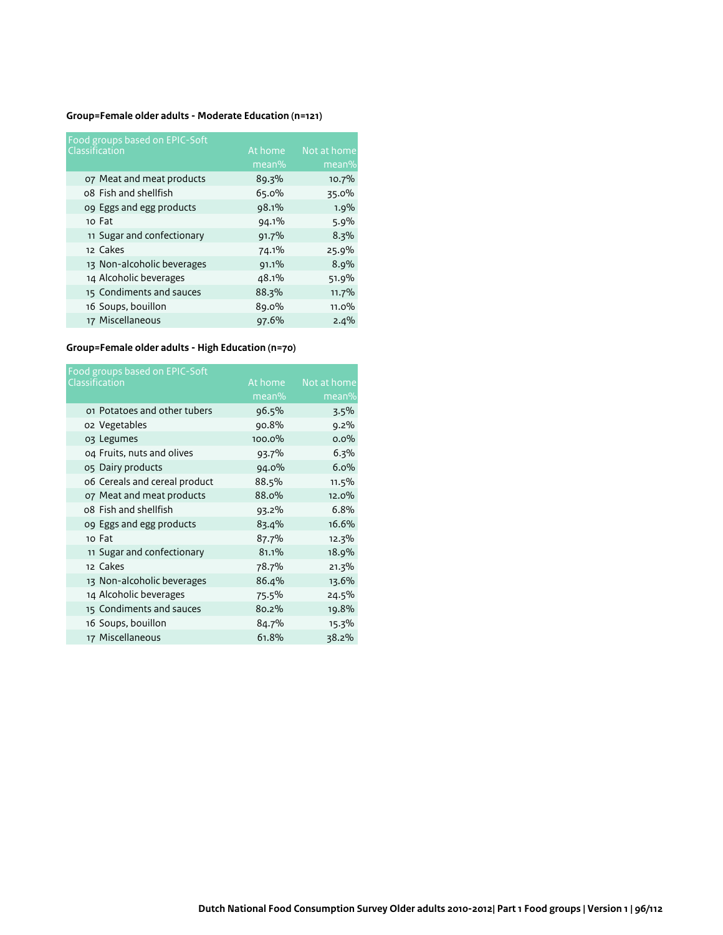# **Group=Female older adults - Moderate Education (n=121)**

| Food groups based on EPIC-Soft<br>Classification | At home<br>mean% | Not at home<br>mean% |
|--------------------------------------------------|------------------|----------------------|
| 07 Meat and meat products                        | 89.3%            | 10.7%                |
| 08 Fish and shellfish                            | 65.0%            | 35.0%                |
| og Eggs and egg products                         | 98.1%            | 1.9%                 |
| 10 Fat                                           | 94.1%            | 5.9%                 |
| 11 Sugar and confectionary                       | 91.7%            | 8.3%                 |
| 12 Cakes                                         | 74.1%            | 25.9%                |
| 13 Non-alcoholic beverages                       | 91.1%            | 8.9%                 |
| 14 Alcoholic beverages                           | 48.1%            | 51.9%                |
| 15 Condiments and sauces                         | 88.3%            | 11.7%                |
| 16 Soups, bouillon                               | 89.0%            | 11.0%                |
| 17 Miscellaneous                                 | 97.6%            | 2.4%                 |

**Group=Female older adults - High Education (n=70)**

| Food groups based on EPIC-Soft |         |             |
|--------------------------------|---------|-------------|
| Classification                 | At home | Not at home |
|                                | mean%   | mean%       |
| 01 Potatoes and other tubers   | 96.5%   | 3.5%        |
| o2 Vegetables                  | 90.8%   | 9.2%        |
| 03 Legumes                     | 100.0%  | $0.0\%$     |
| 04 Fruits, nuts and olives     | 93.7%   | 6.3%        |
| 05 Dairy products              | 94.0%   | 6.0%        |
| 06 Cereals and cereal product  | 88.5%   | 11.5%       |
| 07 Meat and meat products      | 88.0%   | 12.0%       |
| 08 Fish and shellfish          | 93.2%   | 6.8%        |
| og Eggs and egg products       | 83.4%   | 16.6%       |
| 10 Fat                         | 87.7%   | 12.3%       |
| 11 Sugar and confectionary     | 81.1%   | 18.9%       |
| 12 Cakes                       | 78.7%   | 21.3%       |
| 13 Non-alcoholic beverages     | 86.4%   | 13.6%       |
| 14 Alcoholic beverages         | 75.5%   | 24.5%       |
| 15 Condiments and sauces       | 80.2%   | 19.8%       |
| 16 Soups, bouillon             | 84.7%   | 15.3%       |
| 17 Miscellaneous               | 61.8%   | 38.2%       |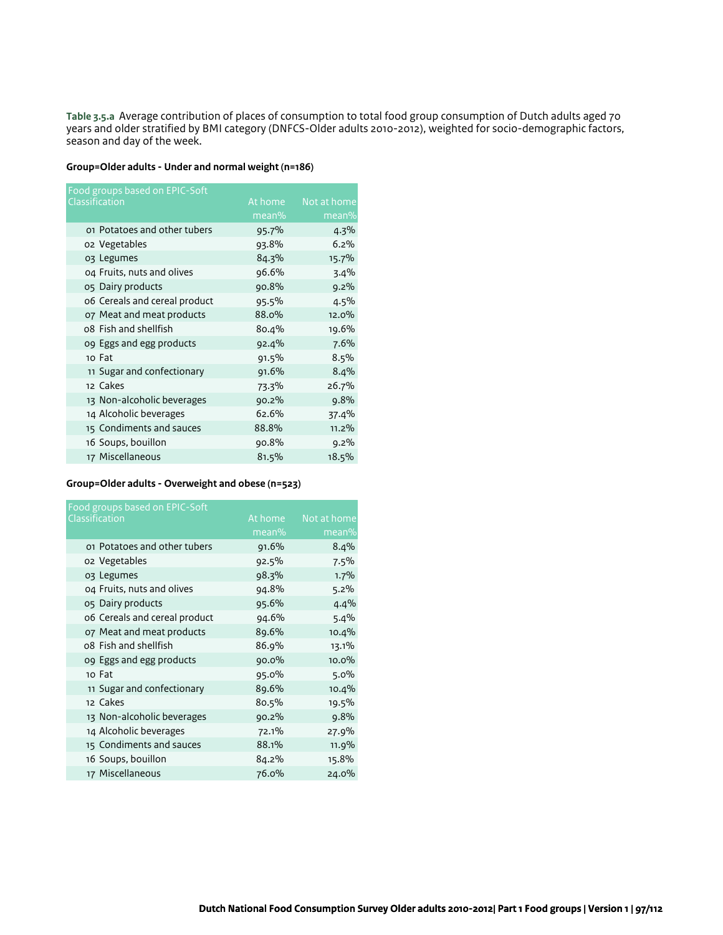**Table 3.5.a** Average contribution of places of consumption to total food group consumption of Dutch adults aged 70 years and older stratified by BMI category (DNFCS-Older adults 2010-2012), weighted for socio-demographic factors, season and day of the week.

# **Group=Older adults - Under and normal weight (n=186)**

| Food groups based on EPIC-Soft |         |             |
|--------------------------------|---------|-------------|
| Classification                 | At home | Not at home |
|                                | mean%   | mean%       |
| 01 Potatoes and other tubers   | 95.7%   | 4.3%        |
| o2 Vegetables                  | 93.8%   | 6.2%        |
| 03 Legumes                     | 84.3%   | 15.7%       |
| 04 Fruits, nuts and olives     | 96.6%   | 3.4%        |
| 05 Dairy products              | 90.8%   | 9.2%        |
| 06 Cereals and cereal product  | 95.5%   | 4.5%        |
| 07 Meat and meat products      | 88.0%   | 12.0%       |
| 08 Fish and shellfish          | 80.4%   | 19.6%       |
| og Eggs and egg products       | 92.4%   | 7.6%        |
| 10 Fat                         | 91.5%   | 8.5%        |
| 11 Sugar and confectionary     | 91.6%   | 8.4%        |
| 12 Cakes                       | 73.3%   | 26.7%       |
| 13 Non-alcoholic beverages     | 90.2%   | 9.8%        |
| 14 Alcoholic beverages         | 62.6%   | 37.4%       |
| 15 Condiments and sauces       | 88.8%   | 11.2%       |
| 16 Soups, bouillon             | 90.8%   | 9.2%        |
| 17 Miscellaneous               | 81.5%   | 18.5%       |

#### **Group=Older adults - Overweight and obese (n=523)**

| Food groups based on EPIC-Soft |          |             |
|--------------------------------|----------|-------------|
| Classification                 | At home  | Not at home |
|                                | mean%    | mean%       |
| 01 Potatoes and other tubers   | 91.6%    | 8.4%        |
| o2 Vegetables                  | 92.5%    | 7.5%        |
| 03 Legumes                     | 98.3%    | 1.7%        |
| 04 Fruits, nuts and olives     | 94.8%    | $5.2\%$     |
| 05 Dairy products              | 95.6%    | 4.4%        |
| 06 Cereals and cereal product  | 94.6%    | 5.4%        |
| 07 Meat and meat products      | 89.6%    | 10.4%       |
| 08 Fish and shellfish          | 86.9%    | 13.1%       |
| 09 Eggs and egg products       | $90.0\%$ | 10.0%       |
| 10 Fat                         | 95.0%    | 5.0%        |
| 11 Sugar and confectionary     | 89.6%    | 10.4%       |
| 12 Cakes                       | 80.5%    | 19.5%       |
| 13 Non-alcoholic beverages     | 90.2%    | 9.8%        |
| 14 Alcoholic beverages         | 72.1%    | 27.9%       |
| 15 Condiments and sauces       | 88.1%    | 11.9%       |
| 16 Soups, bouillon             | 84.2%    | 15.8%       |
| 17 Miscellaneous               | 76.0%    | 24.0%       |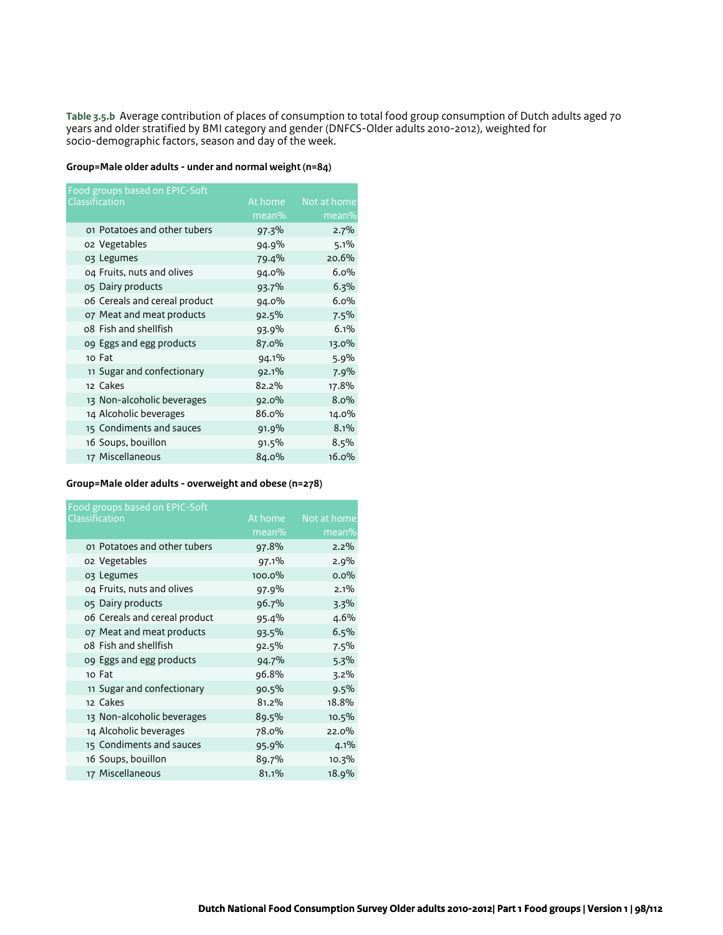**Table 3.5.b** Average contribution of places of consumption to total food group consumption of Dutch adults aged 70 years and older stratified by BMI category and gender (DNFCS-Older adults 2010-2012), weighted for socio-demographic factors, season and day of the week.

#### **Group=Male older adults - under and normal weight (n=84)**

| Food groups based on EPIC-Soft |         |             |
|--------------------------------|---------|-------------|
| Classification                 | At home | Not at home |
|                                | mean%   | mean%       |
| 01 Potatoes and other tubers   | 97.3%   | 2.7%        |
| o2 Vegetables                  | 94.9%   | 5.1%        |
| 03 Legumes                     | 79.4%   | 20.6%       |
| 04 Fruits, nuts and olives     | 94.0%   | 6.0%        |
| 05 Dairy products              | 93.7%   | 6.3%        |
| 06 Cereals and cereal product  | 94.0%   | 6.0%        |
| 07 Meat and meat products      | 92.5%   | 7.5%        |
| 08 Fish and shellfish          | 93.9%   | 6.1%        |
| og Eggs and egg products       | 87.0%   | 13.0%       |
| 10 Fat                         | 94.1%   | 5.9%        |
| 11 Sugar and confectionary     | 92.1%   | 7.9%        |
| 12 Cakes                       | 82.2%   | 17.8%       |
| 13 Non-alcoholic beverages     | 92.0%   | 8.0%        |
| 14 Alcoholic beverages         | 86.0%   | 14.0%       |
| 15 Condiments and sauces       | 91.9%   | 8.1%        |
| 16 Soups, bouillon             | 91.5%   | 8.5%        |
| 17 Miscellaneous               | 84.0%   | 16.0%       |

| Food groups based on EPIC-Soft |         |             |
|--------------------------------|---------|-------------|
| Classification                 | At home | Not at home |
|                                | mean%   | mean%       |
| 01 Potatoes and other tubers   | 97.8%   | $2.2\%$     |
| o2 Vegetables                  | 97.1%   | 2.9%        |
| 03 Legumes                     | 100.0%  | $0.0\%$     |
| 04 Fruits, nuts and olives     | 97.9%   | 2.1%        |
| 05 Dairy products              | 96.7%   | 3.3%        |
| 06 Cereals and cereal product  | 95.4%   | 4.6%        |
| 07 Meat and meat products      | 93.5%   | 6.5%        |
| 08 Fish and shellfish          | 92.5%   | 7.5%        |
| og Eggs and egg products       | 94.7%   | 5.3%        |
| 10 Fat                         | 96.8%   | $3.2\%$     |
| 11 Sugar and confectionary     | 90.5%   | 9.5%        |
| 12 Cakes                       | 81.2%   | 18.8%       |
| 13 Non-alcoholic beverages     | 89.5%   | 10.5%       |
| 14 Alcoholic beverages         | 78.0%   | 22.0%       |
| 15 Condiments and sauces       | 95.9%   | 4.1%        |
| 16 Soups, bouillon             | 89.7%   | 10.3%       |
| 17 Miscellaneous               | 81.1%   | 18.9%       |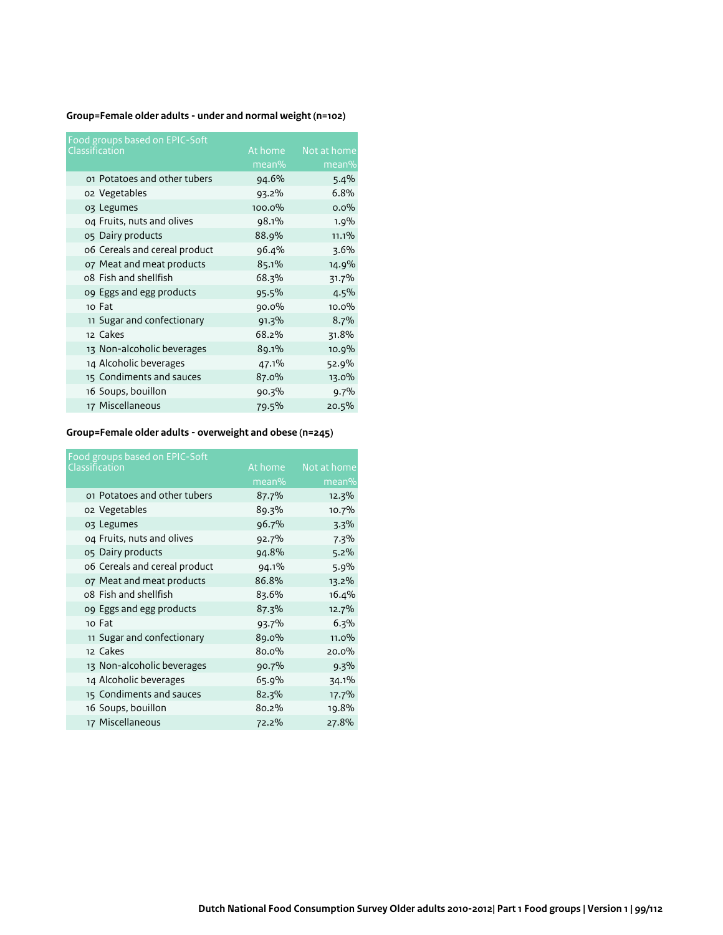| Food groups based on EPIC-Soft<br>Classification | At home  | Not at home |
|--------------------------------------------------|----------|-------------|
|                                                  | mean%    | mean%       |
| 01 Potatoes and other tubers                     | 94.6%    | 5.4%        |
| o2 Vegetables                                    | 93.2%    | 6.8%        |
| 03 Legumes                                       | 100.0%   | 0.0%        |
| 04 Fruits, nuts and olives                       | 98.1%    | 1.9%        |
| 05 Dairy products                                | 88.9%    | 11.1%       |
| 06 Cereals and cereal product                    | 96.4%    | $3.6\%$     |
| 07 Meat and meat products                        | 85.1%    | 14.9%       |
| 08 Fish and shellfish                            | 68.3%    | 31.7%       |
| 09 Eggs and egg products                         | 95.5%    | 4.5%        |
| 10 Fat                                           | $90.0\%$ | $10.0\%$    |
| 11 Sugar and confectionary                       | 91.3%    | 8.7%        |
| 12 Cakes                                         | 68.2%    | 31.8%       |
| 13 Non-alcoholic beverages                       | 89.1%    | 10.9%       |
| 14 Alcoholic beverages                           | 47.1%    | 52.9%       |
| 15 Condiments and sauces                         | 87.0%    | 13.0%       |
| 16 Soups, bouillon                               | 90.3%    | 9.7%        |
| 17 Miscellaneous                                 | 79.5%    | 20.5%       |

| Food groups based on EPIC-Soft |         |             |
|--------------------------------|---------|-------------|
| Classification                 | At home | Not at home |
|                                | mean%   | mean%       |
| 01 Potatoes and other tubers   | 87.7%   | 12.3%       |
| o2 Vegetables                  | 89.3%   | 10.7%       |
| 03 Legumes                     | 96.7%   | 3.3%        |
| 04 Fruits, nuts and olives     | 92.7%   | 7.3%        |
| 05 Dairy products              | 94.8%   | 5.2%        |
| 06 Cereals and cereal product  | 94.1%   | 5.9%        |
| 07 Meat and meat products      | 86.8%   | 13.2%       |
| 08 Fish and shellfish          | 83.6%   | 16.4%       |
| 09 Eggs and egg products       | 87.3%   | 12.7%       |
| 10 Fat                         | 93.7%   | 6.3%        |
| 11 Sugar and confectionary     | 89.0%   | 11.0%       |
| 12 Cakes                       | 80.0%   | 20.0%       |
| 13 Non-alcoholic beverages     | 90.7%   | $9.3\%$     |
| 14 Alcoholic beverages         | 65.9%   | 34.1%       |
| 15 Condiments and sauces       | 82.3%   | 17.7%       |
| 16 Soups, bouillon             | 80.2%   | 19.8%       |
| 17 Miscellaneous               | 72.2%   | 27.8%       |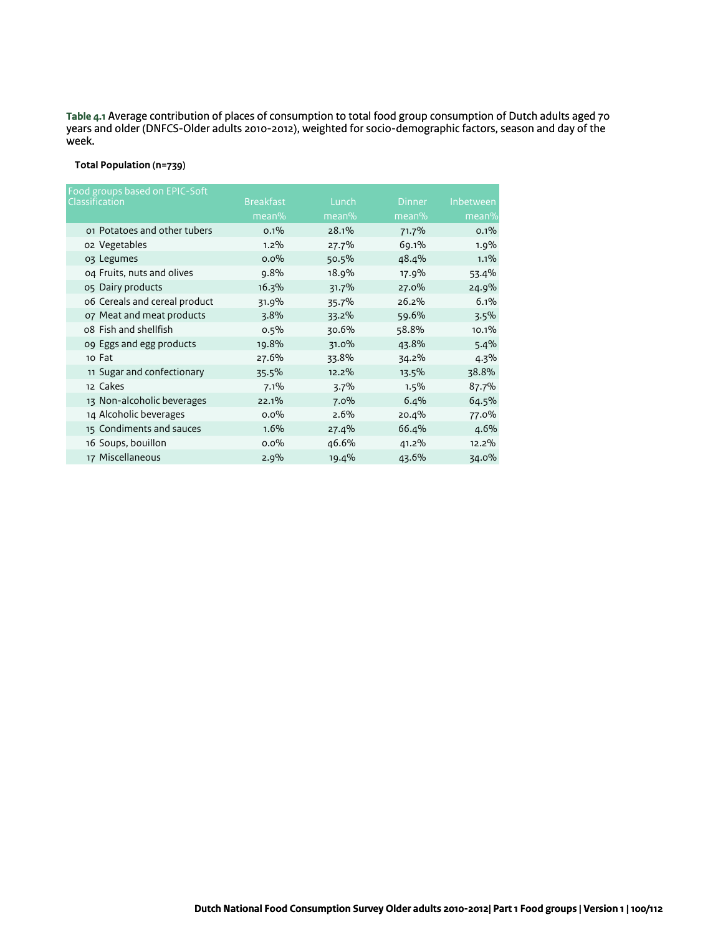**Table 4.1** Average contribution of places of consumption to total food group consumption of Dutch adults aged 70 years and older (DNFCS-Older adults 2010-2012), weighted for socio-demographic factors, season and day of the week.

# **Total Population (n=739)**

| Food groups based on EPIC-Soft |                  |          |               |           |
|--------------------------------|------------------|----------|---------------|-----------|
| <b>Classification</b>          | <b>Breakfast</b> | Lunch    | <b>Dinner</b> | Inbetween |
|                                | mean%            | mean%    | mean%         | mean%     |
| 01 Potatoes and other tubers   | 0.1%             | 28.1%    | 71.7%         | 0.1%      |
| o2 Vegetables                  | 1.2%             | 27.7%    | 69.1%         | 1.9%      |
| 03 Legumes                     | $0.0\%$          | 50.5%    | 48.4%         | 1.1%      |
| 04 Fruits, nuts and olives     | 9.8%             | 18.9%    | 17.9%         | 53.4%     |
| 05 Dairy products              | 16.3%            | 31.7%    | 27.0%         | 24.9%     |
| 06 Cereals and cereal product  | 31.9%            | 35.7%    | 26.2%         | 6.1%      |
| 07 Meat and meat products      | 3.8%             | 33.2%    | 59.6%         | 3.5%      |
| 08 Fish and shellfish          | $0.5\%$          | 30.6%    | 58.8%         | 10.1%     |
| og Eggs and egg products       | 19.8%            | 31.0%    | 43.8%         | 5.4%      |
| 10 Fat                         | 27.6%            | 33.8%    | 34.2%         | $4.3\%$   |
| 11 Sugar and confectionary     | 35.5%            | $12.2\%$ | 13.5%         | 38.8%     |
| 12 Cakes                       | 7.1%             | 3.7%     | $1.5\%$       | 87.7%     |
| 13 Non-alcoholic beverages     | 22.1%            | 7.0%     | 6.4%          | 64.5%     |
| 14 Alcoholic beverages         | $0.0\%$          | 2.6%     | 20.4%         | 77.0%     |
| 15 Condiments and sauces       | 1.6%             | 27.4%    | 66.4%         | 4.6%      |
| 16 Soups, bouillon             | $0.0\%$          | 46.6%    | 41.2%         | 12.2%     |
| 17 Miscellaneous               | 2.9%             | 19.4%    | 43.6%         | 34.0%     |
|                                |                  |          |               |           |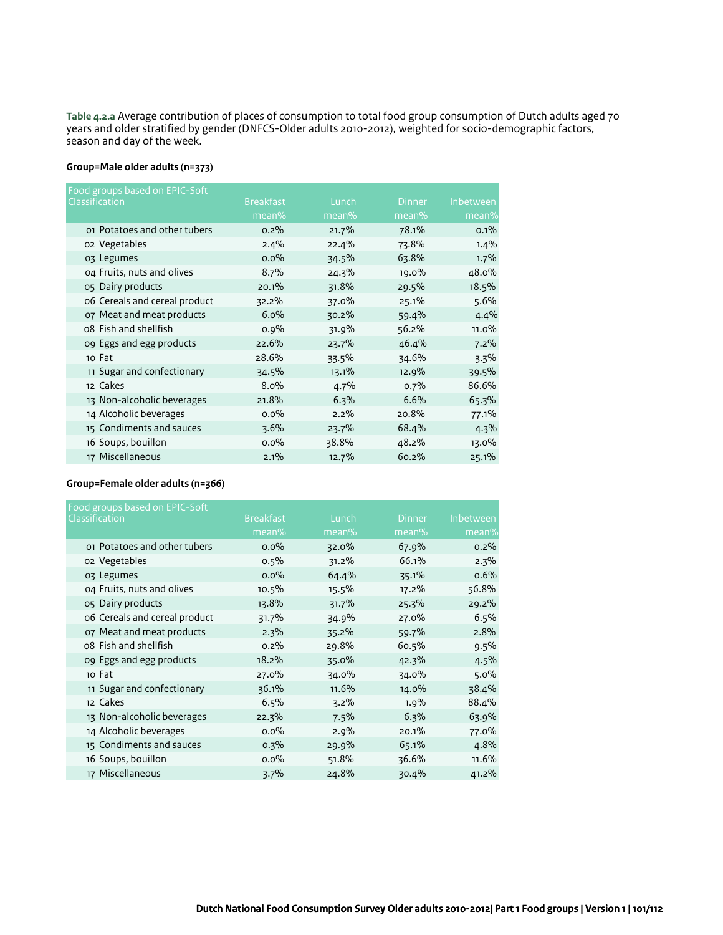**Table 4.2.a** Average contribution of places of consumption to total food group consumption of Dutch adults aged 70 years and older stratified by gender (DNFCS-Older adults 2010-2012), weighted for socio-demographic factors, season and day of the week.

#### **Group=Male older adults (n=373)**

| Food groups based on EPIC-Soft |                  |         |               |           |
|--------------------------------|------------------|---------|---------------|-----------|
| Classification                 | <b>Breakfast</b> | Lunch   | <b>Dinner</b> | Inbetween |
|                                | mean%            | mean%   | mean%         | mean%     |
| 01 Potatoes and other tubers   | $0.2\%$          | 21.7%   | 78.1%         | 0.1%      |
| oz Vegetables                  | 2.4%             | 22.4%   | 73.8%         | $1.4\%$   |
| 03 Legumes                     | $0.0\%$          | 34.5%   | 63.8%         | 1.7%      |
| 04 Fruits, nuts and olives     | 8.7%             | 24.3%   | 19.0%         | 48.0%     |
| 05 Dairy products              | 20.1%            | 31.8%   | 29.5%         | 18.5%     |
| 06 Cereals and cereal product  | 32.2%            | 37.0%   | 25.1%         | 5.6%      |
| 07 Meat and meat products      | 6.0%             | 30.2%   | 59.4%         | 4.4%      |
| 08 Fish and shellfish          | 0.9%             | 31.9%   | 56.2%         | $11.0\%$  |
| og Eggs and egg products       | 22.6%            | 23.7%   | 46.4%         | 7.2%      |
| 10 Fat                         | 28.6%            | 33.5%   | 34.6%         | $3.3\%$   |
| 11 Sugar and confectionary     | 34.5%            | 13.1%   | 12.9%         | 39.5%     |
| 12 Cakes                       | 8.0%             | 4.7%    | 0.7%          | 86.6%     |
| 13 Non-alcoholic beverages     | 21.8%            | 6.3%    | 6.6%          | 65.3%     |
| 14 Alcoholic beverages         | $0.0\%$          | $2.2\%$ | 20.8%         | 77.1%     |
| 15 Condiments and sauces       | 3.6%             | 23.7%   | 68.4%         | $4.3\%$   |
| 16 Soups, bouillon             | $0.0\%$          | 38.8%   | 48.2%         | 13.0%     |
| 17 Miscellaneous               | 2.1%             | 12.7%   | 60.2%         | 25.1%     |

#### **Group=Female older adults (n=366)**

| Food groups based on EPIC-Soft |                  |         |               |           |
|--------------------------------|------------------|---------|---------------|-----------|
| Classification                 | <b>Breakfast</b> | Lunch   | <b>Dinner</b> | Inbetween |
|                                | mean%            | mean%   | mean%         | mean%     |
| on Potatoes and other tubers   | $0.0\%$          | 32.0%   | 67.9%         | 0.2%      |
| o2 Vegetables                  | 0.5%             | 31.2%   | 66.1%         | 2.3%      |
| 03 Legumes                     | $0.0\%$          | 64.4%   | 35.1%         | 0.6%      |
| 04 Fruits, nuts and olives     | 10.5%            | 15.5%   | 17.2%         | 56.8%     |
| 05 Dairy products              | 13.8%            | 31.7%   | 25.3%         | 29.2%     |
| 06 Cereals and cereal product  | 31.7%            | 34.9%   | 27.0%         | 6.5%      |
| 07 Meat and meat products      | 2.3%             | 35.2%   | 59.7%         | 2.8%      |
| 08 Fish and shellfish          | $0.2\%$          | 29.8%   | 60.5%         | 9.5%      |
| og Eggs and egg products       | 18.2%            | 35.0%   | 42.3%         | 4.5%      |
| 10 Fat                         | 27.0%            | 34.0%   | 34.0%         | 5.0%      |
| 11 Sugar and confectionary     | 36.1%            | 11.6%   | 14.0%         | 38.4%     |
| 12 Cakes                       | 6.5%             | $3.2\%$ | 1.9%          | 88.4%     |
| 13 Non-alcoholic beverages     | 22.3%            | $7.5\%$ | 6.3%          | 63.9%     |
| 14 Alcoholic beverages         | $0.0\%$          | 2.9%    | 20.1%         | 77.0%     |
| 15 Condiments and sauces       | 0.3%             | 29.9%   | 65.1%         | 4.8%      |
| 16 Soups, bouillon             | $0.0\%$          | 51.8%   | 36.6%         | 11.6%     |
| 17 Miscellaneous               | 3.7%             | 24.8%   | 30.4%         | $41.2\%$  |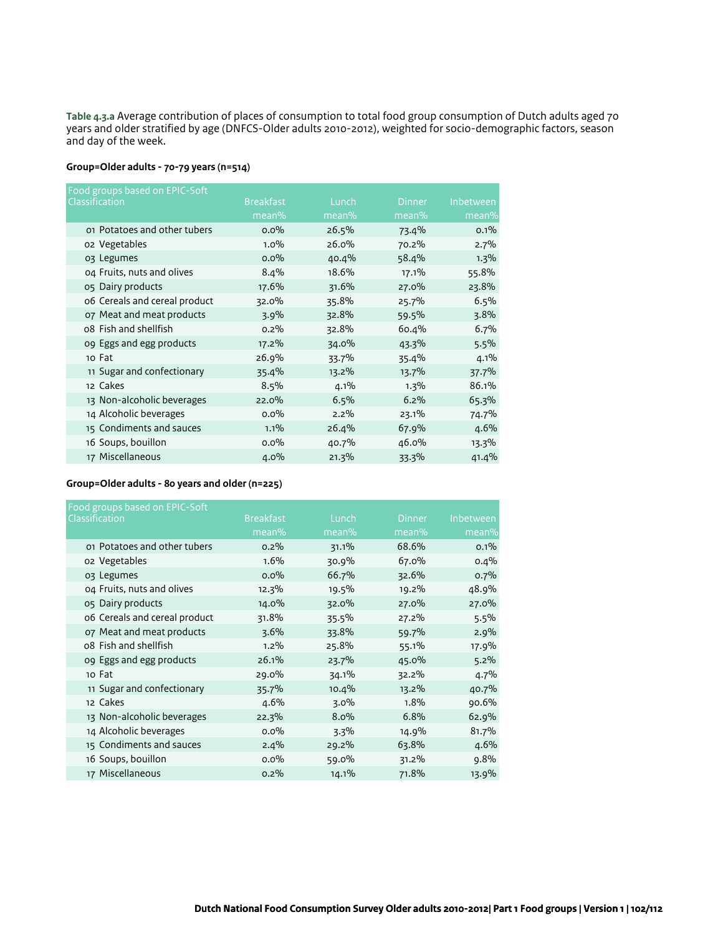**Table 4.3.a** Average contribution of places of consumption to total food group consumption of Dutch adults aged 70 years and older stratified by age (DNFCS-Older adults 2010-2012), weighted for socio-demographic factors, season and day of the week.

#### **Group=Older adults - 70-79 years (n=514)**

| Food groups based on EPIC-Soft<br>Classification | <b>Breakfast</b> | Lunch    | <b>Dinner</b> | Inbetween |
|--------------------------------------------------|------------------|----------|---------------|-----------|
|                                                  |                  |          |               |           |
|                                                  | mean%            | mean%    | mean%         | mean%     |
| 01 Potatoes and other tubers                     | $0.0\%$          | 26.5%    | 73.4%         | 0.1%      |
| oz Vegetables                                    | $1.0\%$          | 26.0%    | 70.2%         | 2.7%      |
| 03 Legumes                                       | $0.0\%$          | 40.4%    | 58.4%         | 1.3%      |
| 04 Fruits, nuts and olives                       | 8.4%             | 18.6%    | 17.1%         | 55.8%     |
| 05 Dairy products                                | 17.6%            | 31.6%    | 27.0%         | 23.8%     |
| 06 Cereals and cereal product                    | 32.0%            | 35.8%    | 25.7%         | 6.5%      |
| 07 Meat and meat products                        | 3.9%             | 32.8%    | 59.5%         | 3.8%      |
| 08 Fish and shellfish                            | $0.2\%$          | 32.8%    | 60.4%         | 6.7%      |
| og Eggs and egg products                         | 17.2%            | 34.0%    | 43.3%         | 5.5%      |
| 10 Fat                                           | 26.9%            | 33.7%    | 35.4%         | 4.1%      |
| 11 Sugar and confectionary                       | 35.4%            | $13.2\%$ | 13.7%         | 37.7%     |
| 12 Cakes                                         | 8.5%             | $4.1\%$  | $1.3\%$       | 86.1%     |
| 13 Non-alcoholic beverages                       | 22.0%            | 6.5%     | 6.2%          | 65.3%     |
| 14 Alcoholic beverages                           | $0.0\%$          | $2.2\%$  | 23.1%         | 74.7%     |
| 15 Condiments and sauces                         | 1.1%             | 26.4%    | 67.9%         | 4.6%      |
| 16 Soups, bouillon                               | $0.0\%$          | 40.7%    | 46.0%         | 13.3%     |
| 17 Miscellaneous                                 | $4.0\%$          | 21.3%    | 33.3%         | 41.4%     |
|                                                  |                  |          |               |           |

#### **Group=Older adults - 80 years and older (n=225)**

| Food groups based on EPIC-Soft |                  |         |               |           |
|--------------------------------|------------------|---------|---------------|-----------|
| Classification                 | <b>Breakfast</b> | Lunch   | <b>Dinner</b> | Inbetween |
|                                | mean%            | mean%   | mean%         | mean%     |
| 01 Potatoes and other tubers   | $0.2\%$          | 31.1%   | 68.6%         | 0.1%      |
| o2 Vegetables                  | 1.6%             | 30.9%   | 67.0%         | 0.4%      |
| 03 Legumes                     | $0.0\%$          | 66.7%   | 32.6%         | 0.7%      |
| 04 Fruits, nuts and olives     | 12.3%            | 19.5%   | 19.2%         | 48.9%     |
| 05 Dairy products              | 14.0%            | 32.0%   | 27.0%         | 27.0%     |
| 06 Cereals and cereal product  | 31.8%            | 35.5%   | 27.2%         | 5.5%      |
| 07 Meat and meat products      | 3.6%             | 33.8%   | 59.7%         | 2.9%      |
| 08 Fish and shellfish          | $1.2\%$          | 25.8%   | 55.1%         | 17.9%     |
| 09 Eggs and egg products       | 26.1%            | 23.7%   | 45.0%         | 5.2%      |
| 10 Fat                         | 29.0%            | 34.1%   | 32.2%         | 4.7%      |
| 11 Sugar and confectionary     | 35.7%            | 10.4%   | $13.2\%$      | 40.7%     |
| 12 Cakes                       | 4.6%             | $3.0\%$ | 1.8%          | 90.6%     |
| 13 Non-alcoholic beverages     | 22.3%            | 8.0%    | 6.8%          | 62.9%     |
| 14 Alcoholic beverages         | $0.0\%$          | $3.3\%$ | 14.9%         | 81.7%     |
| 15 Condiments and sauces       | 2.4%             | 29.2%   | 63.8%         | 4.6%      |
| 16 Soups, bouillon             | $0.0\%$          | 59.0%   | 31.2%         | 9.8%      |
| 17 Miscellaneous               | 0.2%             | 14.1%   | 71.8%         | 13.9%     |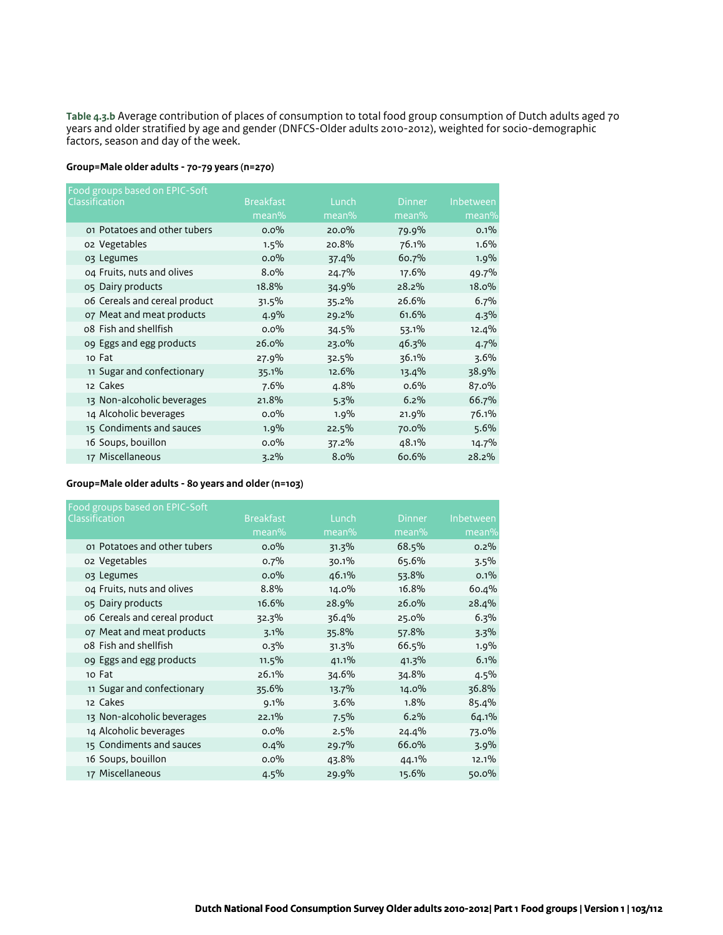**Table 4.3.b** Average contribution of places of consumption to total food group consumption of Dutch adults aged 70 years and older stratified by age and gender (DNFCS-Older adults 2010-2012), weighted for socio-demographic factors, season and day of the week.

# **Group=Male older adults - 70-79 years (n=270)**

| Food groups based on EPIC-Soft<br>Classification | <b>Breakfast</b> | Lunch | <b>Dinner</b> | Inbetween |
|--------------------------------------------------|------------------|-------|---------------|-----------|
|                                                  |                  |       |               |           |
|                                                  | mean%            | mean% | mean%         | mean%     |
| 01 Potatoes and other tubers                     | $0.0\%$          | 20.0% | 79.9%         | 0.1%      |
| oz Vegetables                                    | $1.5\%$          | 20.8% | 76.1%         | 1.6%      |
| 03 Legumes                                       | $0.0\%$          | 37.4% | 60.7%         | 1.9%      |
| 04 Fruits, nuts and olives                       | 8.0%             | 24.7% | 17.6%         | 49.7%     |
| 05 Dairy products                                | 18.8%            | 34.9% | 28.2%         | 18.0%     |
| 06 Cereals and cereal product                    | 31.5%            | 35.2% | 26.6%         | 6.7%      |
| 07 Meat and meat products                        | 4.9%             | 29.2% | 61.6%         | 4.3%      |
| o8 Fish and shellfish                            | $0.0\%$          | 34.5% | 53.1%         | 12.4%     |
| og Eggs and egg products                         | 26.0%            | 23.0% | 46.3%         | 4.7%      |
| 10 Fat                                           | 27.9%            | 32.5% | 36.1%         | 3.6%      |
| 11 Sugar and confectionary                       | 35.1%            | 12.6% | $13.4\%$      | 38.9%     |
| 12 Cakes                                         | 7.6%             | 4.8%  | 0.6%          | 87.0%     |
| 13 Non-alcoholic beverages                       | 21.8%            | 5.3%  | 6.2%          | 66.7%     |
| 14 Alcoholic beverages                           | $0.0\%$          | 1.9%  | 21.9%         | 76.1%     |
| 15 Condiments and sauces                         | 1.9%             | 22.5% | 70.0%         | 5.6%      |
| 16 Soups, bouillon                               | $0.0\%$          | 37.2% | 48.1%         | 14.7%     |
| 17 Miscellaneous                                 | $3.2\%$          | 8.0%  | 60.6%         | 28.2%     |

#### **Group=Male older adults - 80 years and older (n=103)**

| Food groups based on EPIC-Soft |                  |         |               |           |
|--------------------------------|------------------|---------|---------------|-----------|
| <b>Classification</b>          | <b>Breakfast</b> | Lunch   | <b>Dinner</b> | Inbetween |
|                                | mean%            | mean%   | mean%         | mean%     |
| 01 Potatoes and other tubers   | $0.0\%$          | 31.3%   | 68.5%         | 0.2%      |
| o2 Vegetables                  | 0.7%             | 30.1%   | 65.6%         | 3.5%      |
| 03 Legumes                     | $0.0\%$          | 46.1%   | 53.8%         | 0.1%      |
| 04 Fruits, nuts and olives     | 8.8%             | 14.0%   | 16.8%         | 60.4%     |
| 05 Dairy products              | 16.6%            | 28.9%   | 26.0%         | 28.4%     |
| 06 Cereals and cereal product  | 32.3%            | 36.4%   | 25.0%         | 6.3%      |
| 07 Meat and meat products      | $3.1\%$          | 35.8%   | 57.8%         | 3.3%      |
| 08 Fish and shellfish          | 0.3%             | 31.3%   | 66.5%         | 1.9%      |
| og Eggs and egg products       | 11.5%            | 41.1%   | 41.3%         | 6.1%      |
| 10 Fat                         | 26.1%            | 34.6%   | 34.8%         | 4.5%      |
| 11 Sugar and confectionary     | 35.6%            | 13.7%   | 14.0%         | 36.8%     |
| 12 Cakes                       | 9.1%             | 3.6%    | 1.8%          | 85.4%     |
| 13 Non-alcoholic beverages     | 22.1%            | 7.5%    | 6.2%          | 64.1%     |
| 14 Alcoholic beverages         | $0.0\%$          | $2.5\%$ | 24.4%         | 73.0%     |
| 15 Condiments and sauces       | 0.4%             | 29.7%   | 66.0%         | 3.9%      |
| 16 Soups, bouillon             | $0.0\%$          | 43.8%   | 44.1%         | 12.1%     |
| 17 Miscellaneous               | 4.5%             | 29.9%   | 15.6%         | 50.0%     |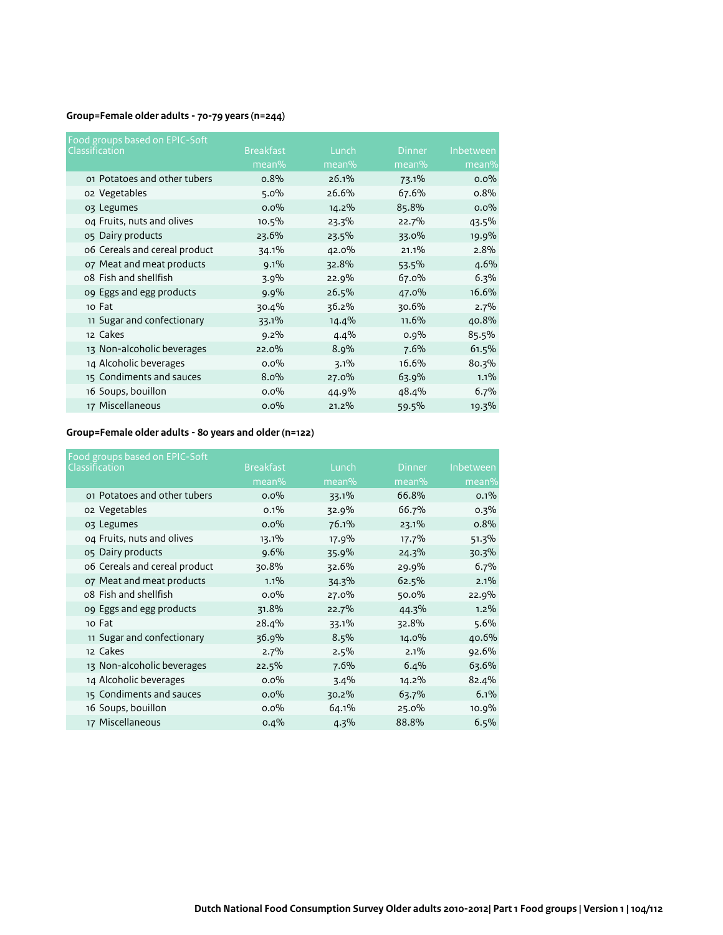# **Group=Female older adults - 70-79 years (n=244)**

| Food groups based on EPIC-Soft<br>Classification | <b>Breakfast</b> | Lunch   | <b>Dinner</b> | Inbetween |
|--------------------------------------------------|------------------|---------|---------------|-----------|
|                                                  | $mean\%$         | mean%   | mean%         | mean%     |
| on Potatoes and other tubers                     | 0.8%             | 26.1%   | 73.1%         | $0.0\%$   |
| o2 Vegetables                                    | 5.0%             | 26.6%   | 67.6%         | 0.8%      |
| 03 Legumes                                       | $0.0\%$          | 14.2%   | 85.8%         | $0.0\%$   |
| 04 Fruits, nuts and olives                       | 10.5%            | 23.3%   | 22.7%         | 43.5%     |
| 05 Dairy products                                | 23.6%            | 23.5%   | 33.0%         | 19.9%     |
| 06 Cereals and cereal product                    | 34.1%            | 42.0%   | 21.1%         | 2.8%      |
| 07 Meat and meat products                        | 9.1%             | 32.8%   | 53.5%         | 4.6%      |
| 08 Fish and shellfish                            | 3.9%             | 22.9%   | 67.0%         | 6.3%      |
| og Eggs and egg products                         | 9.9%             | 26.5%   | 47.0%         | 16.6%     |
| 10 Fat                                           | 30.4%            | 36.2%   | 30.6%         | 2.7%      |
| 11 Sugar and confectionary                       | 33.1%            | 14.4%   | 11.6%         | 40.8%     |
| 12 Cakes                                         | $9.2\%$          | 4.4%    | 0.9%          | 85.5%     |
| 13 Non-alcoholic beverages                       | 22.0%            | 8.9%    | 7.6%          | 61.5%     |
| 14 Alcoholic beverages                           | $0.0\%$          | $3.1\%$ | 16.6%         | 80.3%     |
| 15 Condiments and sauces                         | 8.0%             | 27.0%   | 63.9%         | 1.1%      |
| 16 Soups, bouillon                               | $0.0\%$          | 44.9%   | 48.4%         | 6.7%      |
| 17 Miscellaneous                                 | $0.0\%$          | 21.2%   | 59.5%         | 19.3%     |

# **Group=Female older adults - 80 years and older (n=122)**

| Food groups based on EPIC-Soft |                  |       |               |           |
|--------------------------------|------------------|-------|---------------|-----------|
| Classification                 | <b>Breakfast</b> | Lunch | <b>Dinner</b> | Inbetween |
|                                | mean%            | mean% | mean%         | mean%     |
| 01 Potatoes and other tubers   | $0.0\%$          | 33.1% | 66.8%         | 0.1%      |
| o2 Vegetables                  | $0.1\%$          | 32.9% | 66.7%         | 0.3%      |
| 03 Legumes                     | $0.0\%$          | 76.1% | 23.1%         | 0.8%      |
| 04 Fruits, nuts and olives     | 13.1%            | 17.9% | 17.7%         | 51.3%     |
| 05 Dairy products              | 9.6%             | 35.9% | 24.3%         | 30.3%     |
| 06 Cereals and cereal product  | 30.8%            | 32.6% | 29.9%         | 6.7%      |
| 07 Meat and meat products      | $1.1\%$          | 34.3% | 62.5%         | 2.1%      |
| 08 Fish and shellfish          | $0.0\%$          | 27.0% | 50.0%         | 22.9%     |
| og Eggs and egg products       | 31.8%            | 22.7% | 44.3%         | $1.2\%$   |
| 10 Fat                         | 28.4%            | 33.1% | 32.8%         | 5.6%      |
| 11 Sugar and confectionary     | 36.9%            | 8.5%  | 14.0%         | 40.6%     |
| 12 Cakes                       | 2.7%             | 2.5%  | 2.1%          | 92.6%     |
| 13 Non-alcoholic beverages     | 22.5%            | 7.6%  | 6.4%          | 63.6%     |
| 14 Alcoholic beverages         | $0.0\%$          | 3.4%  | 14.2%         | 82.4%     |
| 15 Condiments and sauces       | $0.0\%$          | 30.2% | 63.7%         | 6.1%      |
| 16 Soups, bouillon             | $0.0\%$          | 64.1% | 25.0%         | 10.9%     |
| 17 Miscellaneous               | 0.4%             | 4.3%  | 88.8%         | 6.5%      |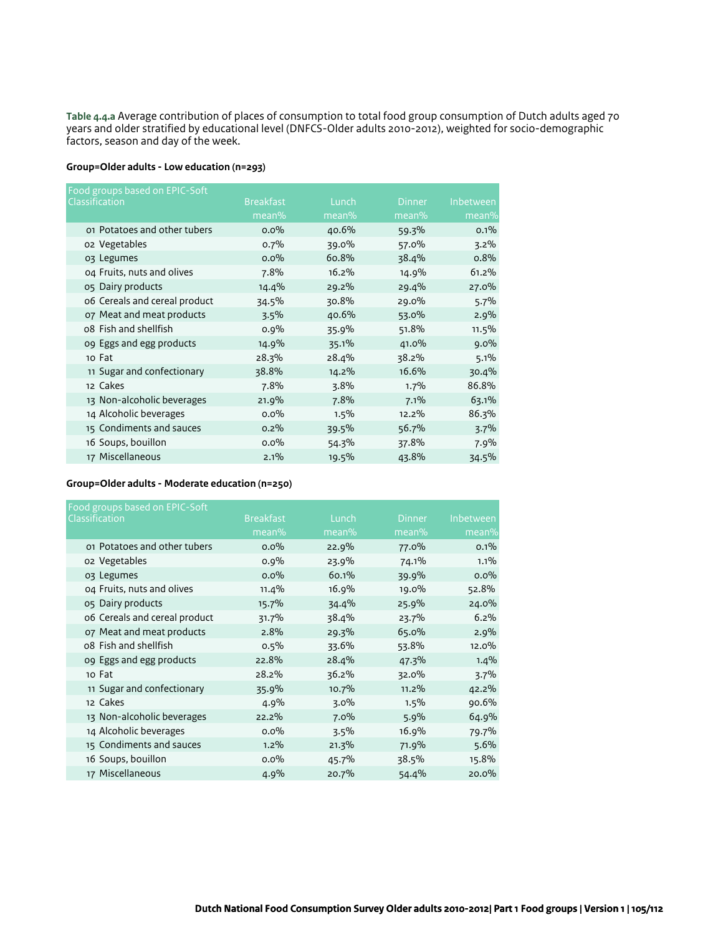**Table 4.4.a** Average contribution of places of consumption to total food group consumption of Dutch adults aged 70 years and older stratified by educational level (DNFCS-Older adults 2010-2012), weighted for socio-demographic factors, season and day of the week.

# **Group=Older adults - Low education (n=293)**

| Food groups based on EPIC-Soft |                  |       |               |           |
|--------------------------------|------------------|-------|---------------|-----------|
| Classification                 | <b>Breakfast</b> | Lunch | <b>Dinner</b> | Inbetween |
|                                | $mean\%$         | mean% | mean%         | mean%     |
| 01 Potatoes and other tubers   | $0.0\%$          | 40.6% | 59.3%         | 0.1%      |
| o2 Vegetables                  | 0.7%             | 39.0% | 57.0%         | $3.2\%$   |
| 03 Legumes                     | $0.0\%$          | 60.8% | 38.4%         | 0.8%      |
| 04 Fruits, nuts and olives     | 7.8%             | 16.2% | 14.9%         | 61.2%     |
| 05 Dairy products              | 14.4%            | 29.2% | 29.4%         | 27.0%     |
| 06 Cereals and cereal product  | 34.5%            | 30.8% | 29.0%         | 5.7%      |
| 07 Meat and meat products      | 3.5%             | 40.6% | 53.0%         | 2.9%      |
| 08 Fish and shellfish          | 0.9%             | 35.9% | 51.8%         | 11.5%     |
| og Eggs and egg products       | 14.9%            | 35.1% | 41.0%         | $9.0\%$   |
| 10 Fat                         | 28.3%            | 28.4% | 38.2%         | 5.1%      |
| 11 Sugar and confectionary     | 38.8%            | 14.2% | 16.6%         | 30.4%     |
| 12 Cakes                       | 7.8%             | 3.8%  | 1.7%          | 86.8%     |
| 13 Non-alcoholic beverages     | 21.9%            | 7.8%  | 7.1%          | 63.1%     |
| 14 Alcoholic beverages         | $0.0\%$          | 1.5%  | 12.2%         | 86.3%     |
| 15 Condiments and sauces       | $0.2\%$          | 39.5% | 56.7%         | 3.7%      |
| 16 Soups, bouillon             | $0.0\%$          | 54.3% | 37.8%         | 7.9%      |
| 17 Miscellaneous               | 2.1%             | 19.5% | 43.8%         | 34.5%     |

#### **Group=Older adults - Moderate education (n=250)**

| Food groups based on EPIC-Soft |                  |         |               |           |
|--------------------------------|------------------|---------|---------------|-----------|
| <b>Classification</b>          | <b>Breakfast</b> | Lunch   | <b>Dinner</b> | Inbetween |
|                                | mean%            | mean%   | mean%         | mean%     |
| 01 Potatoes and other tubers   | $0.0\%$          | 22.9%   | 77.0%         | 0.1%      |
| o2 Vegetables                  | 0.9%             | 23.9%   | 74.1%         | $1.1\%$   |
| 03 Legumes                     | $0.0\%$          | 60.1%   | 39.9%         | $0.0\%$   |
| 04 Fruits, nuts and olives     | 11.4%            | 16.9%   | 19.0%         | 52.8%     |
| 05 Dairy products              | 15.7%            | 34.4%   | 25.9%         | 24.0%     |
| 06 Cereals and cereal product  | 31.7%            | 38.4%   | 23.7%         | 6.2%      |
| 07 Meat and meat products      | 2.8%             | 29.3%   | 65.0%         | 2.9%      |
| 08 Fish and shellfish          | $0.5\%$          | 33.6%   | 53.8%         | 12.0%     |
| og Eggs and egg products       | 22.8%            | 28.4%   | 47.3%         | 1.4%      |
| 10 Fat                         | 28.2%            | 36.2%   | 32.0%         | 3.7%      |
| 11 Sugar and confectionary     | 35.9%            | 10.7%   | $11.2\%$      | 42.2%     |
| 12 Cakes                       | 4.9%             | $3.0\%$ | $1.5\%$       | 90.6%     |
| 13 Non-alcoholic beverages     | 22.2%            | 7.0%    | 5.9%          | 64.9%     |
| 14 Alcoholic beverages         | $0.0\%$          | 3.5%    | 16.9%         | 79.7%     |
| 15 Condiments and sauces       | $1.2\%$          | 21.3%   | 71.9%         | 5.6%      |
| 16 Soups, bouillon             | $0.0\%$          | 45.7%   | 38.5%         | 15.8%     |
| 17 Miscellaneous               | 4.9%             | 20.7%   | 54.4%         | 20.0%     |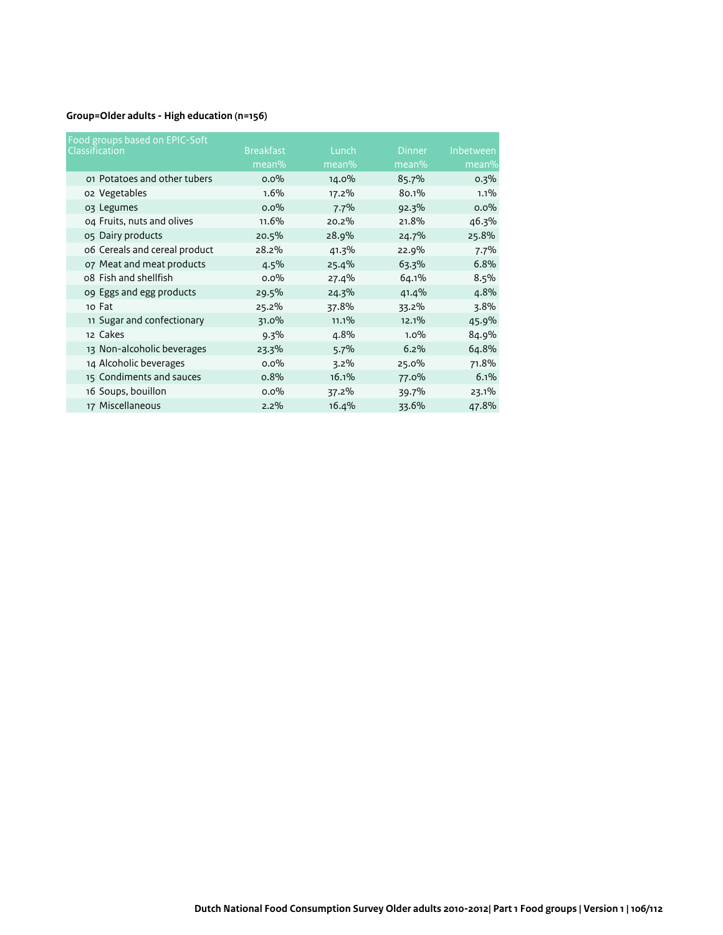# **Group=Older adults - High education (n=156)**

| Food groups based on EPIC-Soft |                  |         |               |           |
|--------------------------------|------------------|---------|---------------|-----------|
| Classification                 | <b>Breakfast</b> | Lunch   | <b>Dinner</b> | Inbetween |
|                                | mean%            | mean%   | mean%         | mean%     |
| on Potatoes and other tubers   | $0.0\%$          | 14.0%   | 85.7%         | 0.3%      |
| o2 Vegetables                  | 1.6%             | 17.2%   | 80.1%         | $1.1\%$   |
| 03 Legumes                     | $0.0\%$          | 7.7%    | 92.3%         | $0.0\%$   |
| 04 Fruits, nuts and olives     | 11.6%            | 20.2%   | 21.8%         | 46.3%     |
| 05 Dairy products              | 20.5%            | 28.9%   | 24.7%         | 25.8%     |
| 06 Cereals and cereal product  | 28.2%            | 41.3%   | 22.9%         | 7.7%      |
| 07 Meat and meat products      | 4.5%             | 25.4%   | 63.3%         | 6.8%      |
| 08 Fish and shellfish          | $0.0\%$          | 27.4%   | 64.1%         | 8.5%      |
| og Eggs and egg products       | 29.5%            | 24.3%   | 41.4%         | 4.8%      |
| 10 Fat                         | 25.2%            | 37.8%   | 33.2%         | 3.8%      |
| 11 Sugar and confectionary     | 31.0%            | 11.1%   | $12.1\%$      | 45.9%     |
| 12 Cakes                       | $9.3\%$          | 4.8%    | $1.0\%$       | 84.9%     |
| 13 Non-alcoholic beverages     | 23.3%            | 5.7%    | 6.2%          | 64.8%     |
| 14 Alcoholic beverages         | $0.0\%$          | $3.2\%$ | 25.0%         | 71.8%     |
| 15 Condiments and sauces       | 0.8%             | 16.1%   | 77.0%         | 6.1%      |
| 16 Soups, bouillon             | $0.0\%$          | 37.2%   | 39.7%         | 23.1%     |
| 17 Miscellaneous               | $2.2\%$          | 16.4%   | 33.6%         | 47.8%     |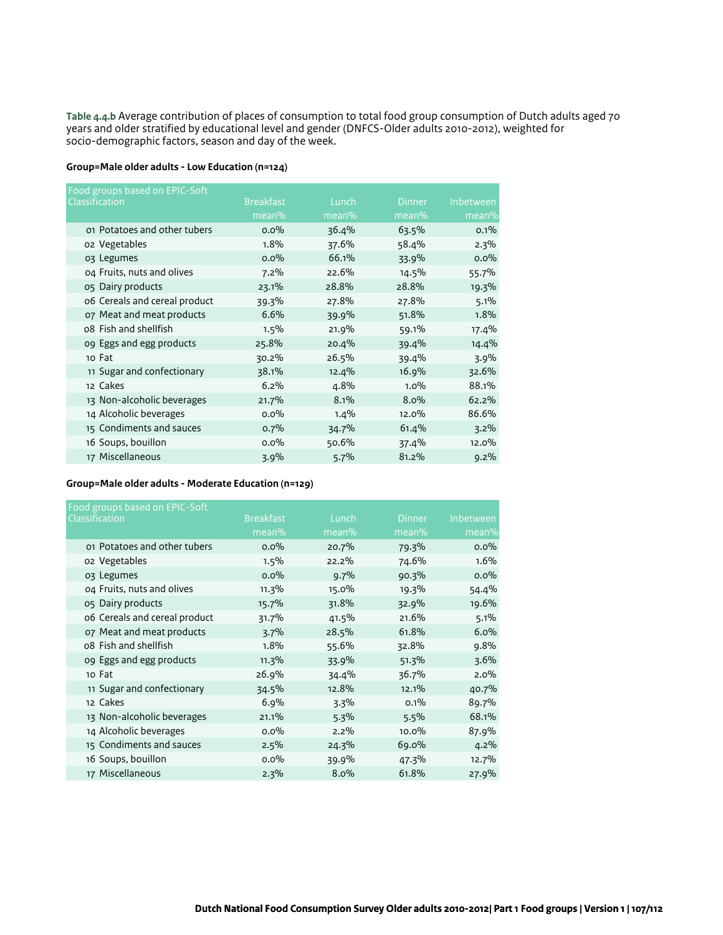**Table 4.4.b** Average contribution of places of consumption to total food group consumption of Dutch adults aged 70 years and older stratified by educational level and gender (DNFCS-Older adults 2010-2012), weighted for socio-demographic factors, season and day of the week.

#### **Group=Male older adults - Low Education (n=124)**

| Food groups based on EPIC-Soft<br><b>Classification</b> | <b>Breakfast</b> |         |               |           |
|---------------------------------------------------------|------------------|---------|---------------|-----------|
|                                                         |                  | Lunch   | <b>Dinner</b> | Inbetween |
|                                                         | $mean\%$         | mean%   | mean%         | mean%     |
| 01 Potatoes and other tubers                            | $0.0\%$          | 36.4%   | 63.5%         | 0.1%      |
| o2 Vegetables                                           | $1.8\%$          | 37.6%   | 58.4%         | 2.3%      |
| 03 Legumes                                              | $0.0\%$          | 66.1%   | 33.9%         | $0.0\%$   |
| 04 Fruits, nuts and olives                              | $7.2\%$          | 22.6%   | 14.5%         | 55.7%     |
| 05 Dairy products                                       | 23.1%            | 28.8%   | 28.8%         | 19.3%     |
| 06 Cereals and cereal product                           | 39.3%            | 27.8%   | 27.8%         | 5.1%      |
| 07 Meat and meat products                               | 6.6%             | 39.9%   | 51.8%         | 1.8%      |
| 08 Fish and shellfish                                   | $1.5\%$          | 21.9%   | 59.1%         | 17.4%     |
| og Eggs and egg products                                | 25.8%            | 20.4%   | 39.4%         | 14.4%     |
| 10 Fat                                                  | 30.2%            | 26.5%   | 39.4%         | 3.9%      |
| 11 Sugar and confectionary                              | 38.1%            | 12.4%   | 16.9%         | 32.6%     |
| 12 Cakes                                                | 6.2%             | 4.8%    | $1.0\%$       | 88.1%     |
| 13 Non-alcoholic beverages                              | 21.7%            | 8.1%    | 8.0%          | 62.2%     |
| 14 Alcoholic beverages                                  | $0.0\%$          | $1.4\%$ | 12.0%         | 86.6%     |
| 15 Condiments and sauces                                | 0.7%             | 34.7%   | 61.4%         | $3.2\%$   |
| 16 Soups, bouillon                                      | $0.0\%$          | 50.6%   | 37.4%         | 12.0%     |
| 17 Miscellaneous                                        | 3.9%             | 5.7%    | 81.2%         | $9.2\%$   |

#### **Group=Male older adults - Moderate Education (n=129)**

| Food groups based on EPIC-Soft |                  |         |               |           |
|--------------------------------|------------------|---------|---------------|-----------|
| <b>Classification</b>          | <b>Breakfast</b> | Lunch,  | <b>Dinner</b> | Inbetween |
|                                | $mean\%$         | mean%   | mean%         | mean%     |
| 01 Potatoes and other tubers   | $0.0\%$          | 20.7%   | 79.3%         | $0.0\%$   |
| o2 Vegetables                  | $1.5\%$          | 22.2%   | 74.6%         | 1.6%      |
| 03 Legumes                     | $0.0\%$          | 9.7%    | 90.3%         | $0.0\%$   |
| 04 Fruits, nuts and olives     | 11.3%            | 15.0%   | 19.3%         | 54.4%     |
| 05 Dairy products              | 15.7%            | 31.8%   | 32.9%         | 19.6%     |
| 06 Cereals and cereal product  | 31.7%            | 41.5%   | 21.6%         | 5.1%      |
| 07 Meat and meat products      | 3.7%             | 28.5%   | 61.8%         | 6.0%      |
| 08 Fish and shellfish          | 1.8%             | 55.6%   | 32.8%         | 9.8%      |
| og Eggs and egg products       | 11.3%            | 33.9%   | 51.3%         | 3.6%      |
| 10 Fat                         | 26.9%            | 34.4%   | 36.7%         | 2.0%      |
| 11 Sugar and confectionary     | 34.5%            | 12.8%   | 12.1%         | 40.7%     |
| 12 Cakes                       | 6.9%             | $3.3\%$ | 0.1%          | 89.7%     |
| 13 Non-alcoholic beverages     | 21.1%            | 5.3%    | 5.5%          | 68.1%     |
| 14 Alcoholic beverages         | $0.0\%$          | $2.2\%$ | $10.0\%$      | 87.9%     |
| 15 Condiments and sauces       | 2.5%             | 24.3%   | 69.0%         | 4.2%      |
| 16 Soups, bouillon             | $0.0\%$          | 39.9%   | 47.3%         | 12.7%     |
| 17 Miscellaneous               | 2.3%             | 8.0%    | 61.8%         | 27.9%     |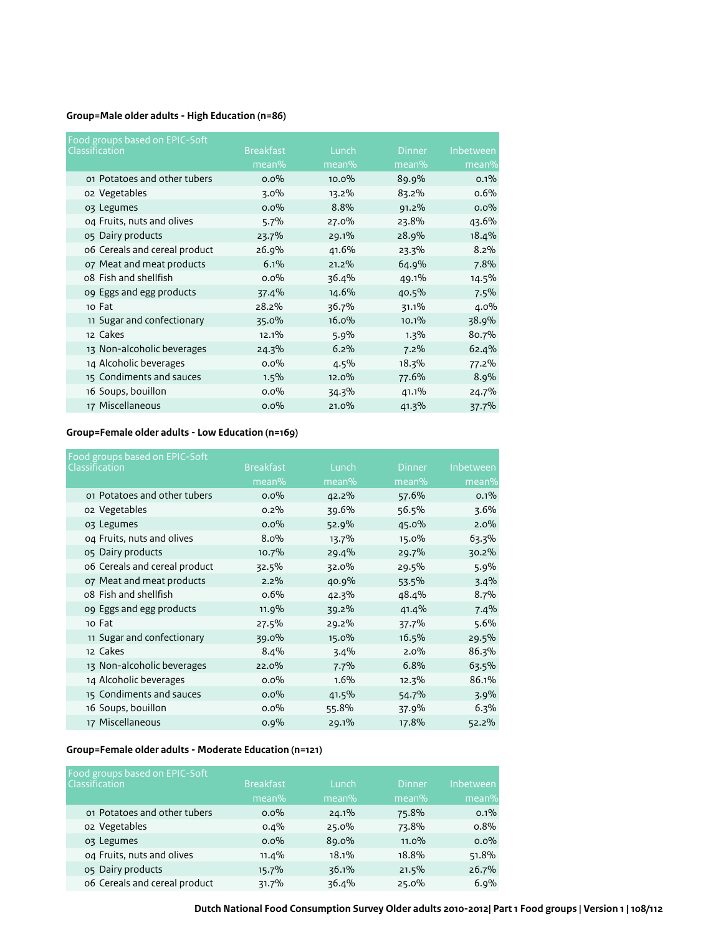# **Group=Male older adults - High Education (n=86)**

| Food groups based on EPIC-Soft |                  |          |               |           |
|--------------------------------|------------------|----------|---------------|-----------|
| Classification                 | <b>Breakfast</b> | Lunch    | <b>Dinner</b> | Inbetween |
|                                | mean%            | mean%    | mean%         | mean%     |
| on Potatoes and other tubers   | $0.0\%$          | $10.0\%$ | 89.9%         | 0.1%      |
| o2 Vegetables                  | $3.0\%$          | 13.2%    | 83.2%         | 0.6%      |
| 03 Legumes                     | $0.0\%$          | 8.8%     | 91.2%         | $0.0\%$   |
| 04 Fruits, nuts and olives     | 5.7%             | 27.0%    | 23.8%         | 43.6%     |
| 05 Dairy products              | 23.7%            | 29.1%    | 28.9%         | 18.4%     |
| 06 Cereals and cereal product  | 26.9%            | 41.6%    | 23.3%         | 8.2%      |
| 07 Meat and meat products      | 6.1%             | 21.2%    | 64.9%         | 7.8%      |
| 08 Fish and shellfish          | $0.0\%$          | 36.4%    | 49.1%         | 14.5%     |
| og Eggs and egg products       | 37.4%            | 14.6%    | 40.5%         | 7.5%      |
| 10 Fat                         | 28.2%            | 36.7%    | 31.1%         | $4.0\%$   |
| 11 Sugar and confectionary     | 35.0%            | 16.0%    | 10.1%         | 38.9%     |
| 12 Cakes                       | 12.1%            | 5.9%     | $1.3\%$       | 80.7%     |
| 13 Non-alcoholic beverages     | 24.3%            | 6.2%     | $7.2\%$       | 62.4%     |
| 14 Alcoholic beverages         | $0.0\%$          | $4.5\%$  | 18.3%         | 77.2%     |
| 15 Condiments and sauces       | $1.5\%$          | 12.0%    | 77.6%         | 8.9%      |
| 16 Soups, bouillon             | $0.0\%$          | 34.3%    | 41.1%         | 24.7%     |
| 17 Miscellaneous               | $0.0\%$          | 21.0%    | 41.3%         | 37.7%     |

# **Group=Female older adults - Low Education (n=169)**

| Food groups based on EPIC-Soft |                  |         |               |           |
|--------------------------------|------------------|---------|---------------|-----------|
| Classification                 | <b>Breakfast</b> | Lunch   | <b>Dinner</b> | Inbetween |
|                                | mean%            | mean%   | mean%         | mean%     |
| 01 Potatoes and other tubers   | $0.0\%$          | 42.2%   | 57.6%         | 0.1%      |
| o2 Vegetables                  | $0.2\%$          | 39.6%   | 56.5%         | 3.6%      |
| 03 Legumes                     | $0.0\%$          | 52.9%   | 45.0%         | 2.0%      |
| 04 Fruits, nuts and olives     | 8.0%             | 13.7%   | 15.0%         | 63.3%     |
| 05 Dairy products              | 10.7%            | 29.4%   | 29.7%         | 30.2%     |
| 06 Cereals and cereal product  | 32.5%            | 32.0%   | 29.5%         | 5.9%      |
| 07 Meat and meat products      | $2.2\%$          | 40.9%   | 53.5%         | 3.4%      |
| 08 Fish and shellfish          | 0.6%             | 42.3%   | 48.4%         | 8.7%      |
| og Eggs and egg products       | 11.9%            | 39.2%   | 41.4%         | 7.4%      |
| 10 Fat                         | 27.5%            | 29.2%   | 37.7%         | 5.6%      |
| 11 Sugar and confectionary     | 39.0%            | 15.0%   | 16.5%         | 29.5%     |
| 12 Cakes                       | 8.4%             | 3.4%    | 2.0%          | 86.3%     |
| 13 Non-alcoholic beverages     | 22.0%            | $7.7\%$ | 6.8%          | 63.5%     |
| 14 Alcoholic beverages         | $0.0\%$          | 1.6%    | 12.3%         | 86.1%     |
| 15 Condiments and sauces       | $0.0\%$          | 41.5%   | 54.7%         | 3.9%      |
| 16 Soups, bouillon             | $0.0\%$          | 55.8%   | 37.9%         | 6.3%      |
| 17 Miscellaneous               | 0.9%             | 29.1%   | 17.8%         | 52.2%     |

# **Group=Female older adults - Moderate Education (n=121)**

| Food groups based on EPIC-Soft |                  |          |               |           |
|--------------------------------|------------------|----------|---------------|-----------|
| <b>Classification</b>          | <b>Breakfast</b> | Lunch    | <b>Dinner</b> | Inbetween |
|                                | $mean\%$         | $mean\%$ | mean%         | mean%     |
| on Potatoes and other tubers   | $0.0\%$          | 24.1%    | 75.8%         | 0.1%      |
| o2 Vegetables                  | $0.4\%$          | 25.0%    | 73.8%         | 0.8%      |
| 03 Legumes                     | $0.0\%$          | 89.0%    | 11.0%         | $0.0\%$   |
| 04 Fruits, nuts and olives     | 11.4%            | 18.1%    | 18.8%         | 51.8%     |
| 05 Dairy products              | 15.7%            | 36.1%    | 21.5%         | 26.7%     |
| 06 Cereals and cereal product  | 31.7%            | 36.4%    | 25.0%         | 6.9%      |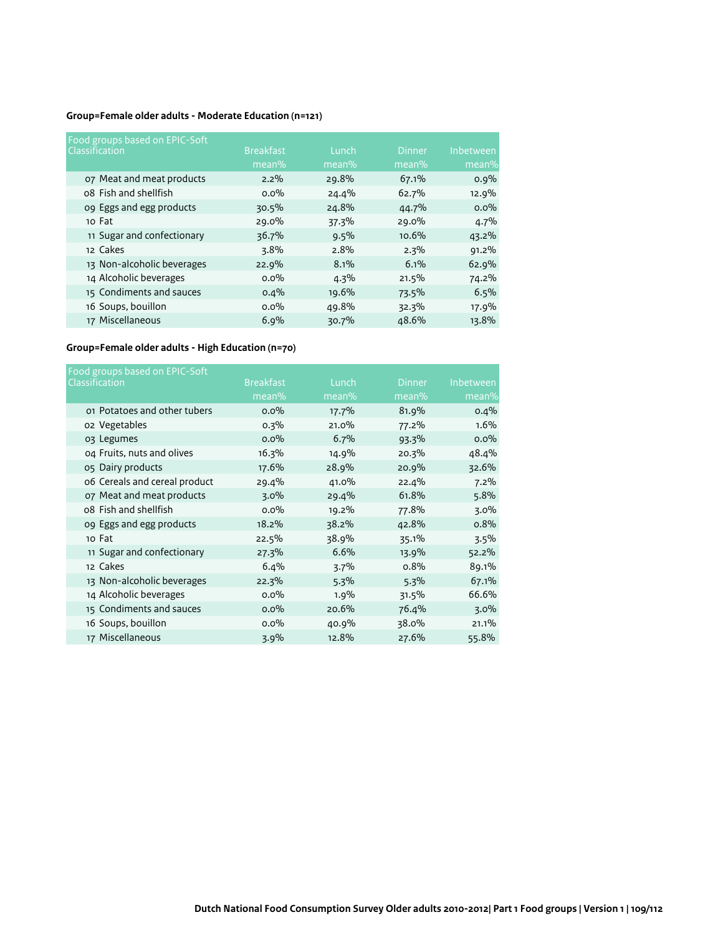# **Group=Female older adults - Moderate Education (n=121)**

| Food groups based on EPIC-Soft |                  |       |               |           |
|--------------------------------|------------------|-------|---------------|-----------|
| Classification                 | <b>Breakfast</b> | Lunch | <b>Dinner</b> | Inbetween |
|                                | mean%            | mean% | mean%         | mean%     |
| 07 Meat and meat products      | $2.2\%$          | 29.8% | 67.1%         | 0.9%      |
| 08 Fish and shellfish          | $0.0\%$          | 24.4% | 62.7%         | 12.9%     |
| og Eggs and egg products       | 30.5%            | 24.8% | 44.7%         | $0.0\%$   |
| 10 Fat                         | $29.0\%$         | 37.3% | $29.0\%$      | 4.7%      |
| 11 Sugar and confectionary     | 36.7%            | 9.5%  | 10.6%         | 43.2%     |
| 12 Cakes                       | $3.8\%$          | 2.8%  | 2.3%          | 91.2%     |
| 13 Non-alcoholic beverages     | 22.9%            | 8.1%  | 6.1%          | 62.9%     |
| 14 Alcoholic beverages         | $0.0\%$          | 4.3%  | 21.5%         | 74.2%     |
| 15 Condiments and sauces       | 0.4%             | 19.6% | 73.5%         | 6.5%      |
| 16 Soups, bouillon             | $0.0\%$          | 49.8% | 32.3%         | 17.9%     |
| 17 Miscellaneous               | 6.9%             | 30.7% | 48.6%         | 13.8%     |

# **Group=Female older adults - High Education (n=70)**

| Food groups based on EPIC-Soft |                  |       |               |           |
|--------------------------------|------------------|-------|---------------|-----------|
| Classification                 | <b>Breakfast</b> | Lunch | <b>Dinner</b> | Inbetween |
|                                | mean%            | mean% | mean%         | mean%     |
| 01 Potatoes and other tubers   | $0.0\%$          | 17.7% | 81.9%         | 0.4%      |
| o2 Vegetables                  | $0.3\%$          | 21.0% | 77.2%         | 1.6%      |
| 03 Legumes                     | $0.0\%$          | 6.7%  | 93.3%         | $0.0\%$   |
| 04 Fruits, nuts and olives     | 16.3%            | 14.9% | 20.3%         | 48.4%     |
| 05 Dairy products              | 17.6%            | 28.9% | 20.9%         | 32.6%     |
| 06 Cereals and cereal product  | 29.4%            | 41.0% | 22.4%         | $7.2\%$   |
| 07 Meat and meat products      | $3.0\%$          | 29.4% | 61.8%         | 5.8%      |
| 08 Fish and shellfish          | $0.0\%$          | 19.2% | 77.8%         | $3.0\%$   |
| og Eggs and egg products       | 18.2%            | 38.2% | 42.8%         | 0.8%      |
| 10 Fat                         | 22.5%            | 38.9% | 35.1%         | $3.5\%$   |
| 11 Sugar and confectionary     | 27.3%            | 6.6%  | 13.9%         | 52.2%     |
| 12 Cakes                       | 6.4%             | 3.7%  | 0.8%          | 89.1%     |
| 13 Non-alcoholic beverages     | 22.3%            | 5.3%  | 5.3%          | 67.1%     |
| 14 Alcoholic beverages         | $0.0\%$          | 1.9%  | 31.5%         | 66.6%     |
| 15 Condiments and sauces       | $0.0\%$          | 20.6% | 76.4%         | 3.0%      |
| 16 Soups, bouillon             | $0.0\%$          | 40.9% | 38.0%         | 21.1%     |
| 17 Miscellaneous               | 3.9%             | 12.8% | 27.6%         | 55.8%     |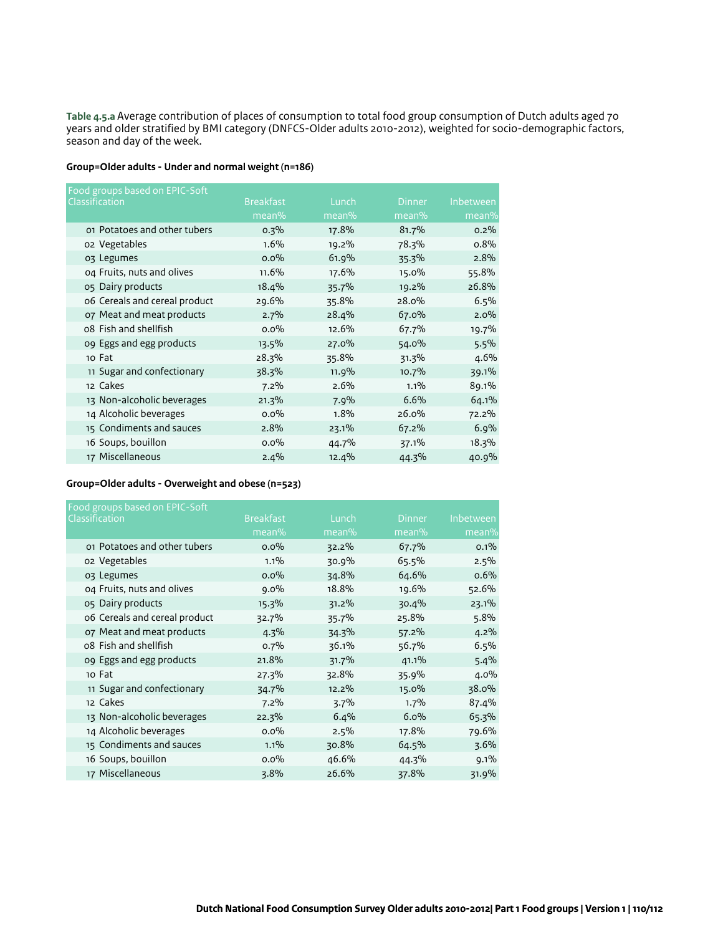**Table 4.5.a** Average contribution of places of consumption to total food group consumption of Dutch adults aged 70 years and older stratified by BMI category (DNFCS-Older adults 2010-2012), weighted for socio-demographic factors, season and day of the week.

### **Group=Older adults - Under and normal weight (n=186)**

| Food groups based on EPIC-Soft |                  |       |               |           |
|--------------------------------|------------------|-------|---------------|-----------|
| Classification                 | <b>Breakfast</b> | Lunch | <b>Dinner</b> | Inbetween |
|                                | mean%            | mean% | mean%         | mean%     |
| 01 Potatoes and other tubers   | 0.3%             | 17.8% | 81.7%         | $0.2\%$   |
| o2 Vegetables                  | 1.6%             | 19.2% | 78.3%         | 0.8%      |
| 03 Legumes                     | $0.0\%$          | 61.9% | 35.3%         | 2.8%      |
| 04 Fruits, nuts and olives     | 11.6%            | 17.6% | 15.0%         | 55.8%     |
| 05 Dairy products              | 18.4%            | 35.7% | 19.2%         | 26.8%     |
| 06 Cereals and cereal product  | 29.6%            | 35.8% | 28.0%         | 6.5%      |
| 07 Meat and meat products      | 2.7%             | 28.4% | 67.0%         | 2.0%      |
| 08 Fish and shellfish          | $0.0\%$          | 12.6% | 67.7%         | 19.7%     |
| og Eggs and egg products       | 13.5%            | 27.0% | 54.0%         | 5.5%      |
| 10 Fat                         | 28.3%            | 35.8% | 31.3%         | 4.6%      |
| 11 Sugar and confectionary     | 38.3%            | 11.9% | 10.7%         | 39.1%     |
| 12 Cakes                       | $7.2\%$          | 2.6%  | $1.1\%$       | 89.1%     |
| 13 Non-alcoholic beverages     | 21.3%            | 7.9%  | 6.6%          | 64.1%     |
| 14 Alcoholic beverages         | $0.0\%$          | 1.8%  | 26.0%         | 72.2%     |
| 15 Condiments and sauces       | 2.8%             | 23.1% | 67.2%         | 6.9%      |
| 16 Soups, bouillon             | $0.0\%$          | 44.7% | 37.1%         | 18.3%     |
| 17 Miscellaneous               | 2.4%             | 12.4% | 44.3%         | 40.9%     |

## **Group=Older adults - Overweight and obese (n=523)**

| Food groups based on EPIC-Soft |                  |       |               |           |
|--------------------------------|------------------|-------|---------------|-----------|
| <b>Classification</b>          | <b>Breakfast</b> | Lunch | <b>Dinner</b> | Inbetween |
|                                | mean%            | mean% | mean%         | mean%     |
| 01 Potatoes and other tubers   | $0.0\%$          | 32.2% | 67.7%         | 0.1%      |
| o2 Vegetables                  | $1.1\%$          | 30.9% | 65.5%         | 2.5%      |
| 03 Legumes                     | $0.0\%$          | 34.8% | 64.6%         | 0.6%      |
| 04 Fruits, nuts and olives     | $9.0\%$          | 18.8% | 19.6%         | 52.6%     |
| 05 Dairy products              | 15.3%            | 31.2% | 30.4%         | 23.1%     |
| 06 Cereals and cereal product  | 32.7%            | 35.7% | 25.8%         | 5.8%      |
| 07 Meat and meat products      | 4.3%             | 34.3% | 57.2%         | 4.2%      |
| 08 Fish and shellfish          | 0.7%             | 36.1% | 56.7%         | 6.5%      |
| og Eggs and egg products       | 21.8%            | 31.7% | 41.1%         | 5.4%      |
| 10 Fat                         | 27.3%            | 32.8% | 35.9%         | $4.0\%$   |
| 11 Sugar and confectionary     | 34.7%            | 12.2% | 15.0%         | 38.0%     |
| 12 Cakes                       | $7.2\%$          | 3.7%  | 1.7%          | 87.4%     |
| 13 Non-alcoholic beverages     | 22.3%            | 6.4%  | 6.0%          | 65.3%     |
| 14 Alcoholic beverages         | $0.0\%$          | 2.5%  | 17.8%         | 79.6%     |
| 15 Condiments and sauces       | $1.1\%$          | 30.8% | 64.5%         | 3.6%      |
| 16 Soups, bouillon             | $0.0\%$          | 46.6% | 44.3%         | $9.1\%$   |
| 17 Miscellaneous               | $3.8\%$          | 26.6% | 37.8%         | 31.9%     |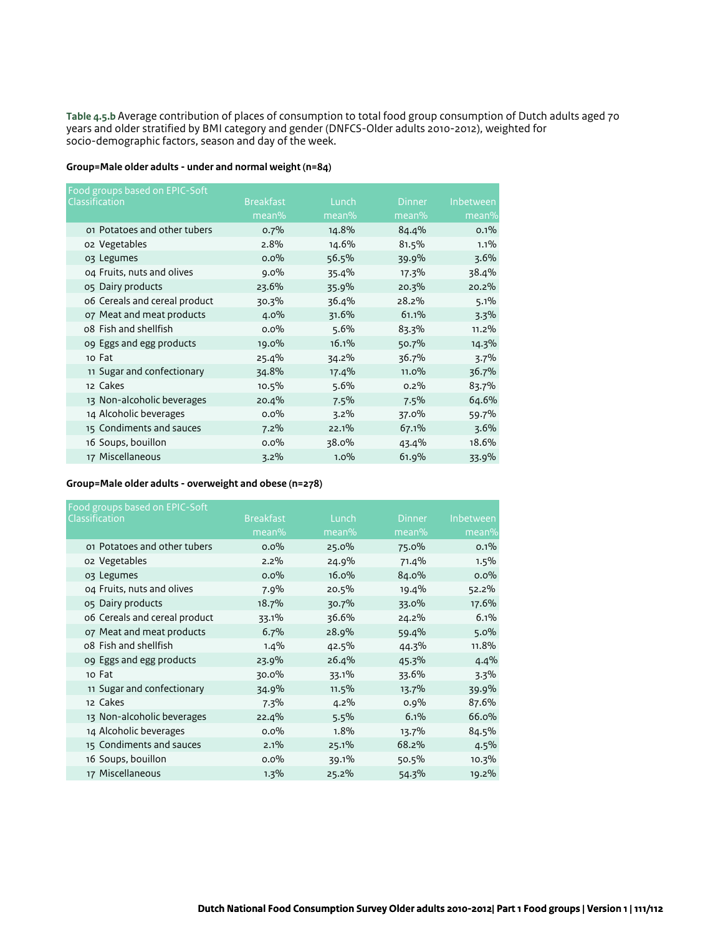**Table 4.5.b** Average contribution of places of consumption to total food group consumption of Dutch adults aged 70 years and older stratified by BMI category and gender (DNFCS-Older adults 2010-2012), weighted for socio-demographic factors, season and day of the week.

#### **Group=Male older adults - under and normal weight (n=84)**

| Food groups based on EPIC-Soft<br>Classification | <b>Breakfast</b> | Lunch   | <b>Dinner</b> | Inbetween |
|--------------------------------------------------|------------------|---------|---------------|-----------|
|                                                  |                  |         |               |           |
|                                                  | mean%            | mean%   | mean%         | mean%     |
| 01 Potatoes and other tubers                     | 0.7%             | 14.8%   | 84.4%         | 0.1%      |
| o2 Vegetables                                    | $2.8\%$          | 14.6%   | 81.5%         | $1.1\%$   |
| 03 Legumes                                       | $0.0\%$          | 56.5%   | 39.9%         | 3.6%      |
| 04 Fruits, nuts and olives                       | $9.0\%$          | 35.4%   | 17.3%         | 38.4%     |
| 05 Dairy products                                | 23.6%            | 35.9%   | 20.3%         | 20.2%     |
| 06 Cereals and cereal product                    | 30.3%            | 36.4%   | 28.2%         | 5.1%      |
| 07 Meat and meat products                        | $4.0\%$          | 31.6%   | 61.1%         | 3.3%      |
| 08 Fish and shellfish                            | $0.0\%$          | 5.6%    | 83.3%         | $11.2\%$  |
| og Eggs and egg products                         | 19.0%            | 16.1%   | 50.7%         | 14.3%     |
| 10 Fat                                           | 25.4%            | 34.2%   | 36.7%         | 3.7%      |
| 11 Sugar and confectionary                       | 34.8%            | 17.4%   | $11.0\%$      | 36.7%     |
| 12 Cakes                                         | 10.5%            | 5.6%    | $0.2\%$       | 83.7%     |
| 13 Non-alcoholic beverages                       | 20.4%            | 7.5%    | 7.5%          | 64.6%     |
| 14 Alcoholic beverages                           | $0.0\%$          | $3.2\%$ | 37.0%         | 59.7%     |
| 15 Condiments and sauces                         | $7.2\%$          | 22.1%   | 67.1%         | 3.6%      |
| 16 Soups, bouillon                               | $0.0\%$          | 38.0%   | 43.4%         | 18.6%     |
| 17 Miscellaneous                                 | 3.2%             | $1.0\%$ | 61.9%         | 33.9%     |
|                                                  |                  |         |               |           |

## **Group=Male older adults - overweight and obese (n=278)**

| Food groups based on EPIC-Soft |                  |       |               |           |
|--------------------------------|------------------|-------|---------------|-----------|
| <b>Classification</b>          | <b>Breakfast</b> | Lunch | <b>Dinner</b> | Inbetween |
|                                | mean%            | mean% | mean%         | mean%     |
| 01 Potatoes and other tubers   | $0.0\%$          | 25.0% | 75.0%         | 0.1%      |
| o2 Vegetables                  | $2.2\%$          | 24.9% | 71.4%         | 1.5%      |
| 03 Legumes                     | $0.0\%$          | 16.0% | 84.0%         | $0.0\%$   |
| 04 Fruits, nuts and olives     | 7.9%             | 20.5% | 19.4%         | 52.2%     |
| 05 Dairy products              | 18.7%            | 30.7% | 33.0%         | 17.6%     |
| 06 Cereals and cereal product  | 33.1%            | 36.6% | 24.2%         | 6.1%      |
| 07 Meat and meat products      | 6.7%             | 28.9% | 59.4%         | 5.0%      |
| 08 Fish and shellfish          | $1.4\%$          | 42.5% | 44.3%         | 11.8%     |
| og Eggs and egg products       | 23.9%            | 26.4% | 45.3%         | 4.4%      |
| 10 Fat                         | 30.0%            | 33.1% | 33.6%         | $3.3\%$   |
| 11 Sugar and confectionary     | 34.9%            | 11.5% | 13.7%         | 39.9%     |
| 12 Cakes                       | $7.3\%$          | 4.2%  | 0.9%          | 87.6%     |
| 13 Non-alcoholic beverages     | 22.4%            | 5.5%  | 6.1%          | 66.0%     |
| 14 Alcoholic beverages         | $0.0\%$          | 1.8%  | 13.7%         | 84.5%     |
| 15 Condiments and sauces       | 2.1%             | 25.1% | 68.2%         | 4.5%      |
| 16 Soups, bouillon             | $0.0\%$          | 39.1% | 50.5%         | 10.3%     |
| 17 Miscellaneous               | 1.3%             | 25.2% | 54.3%         | 19.2%     |